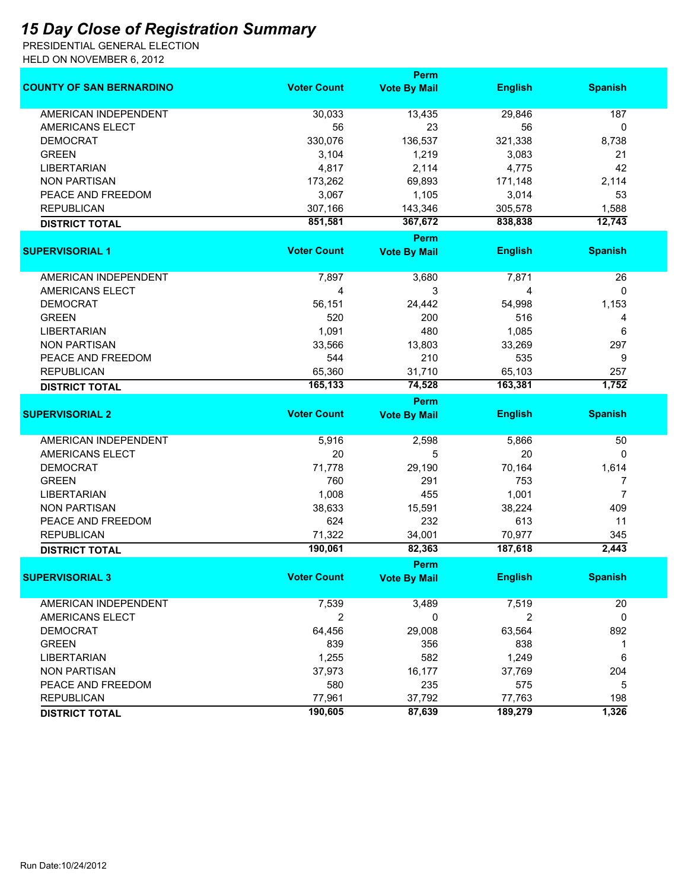## *15 Day Close of Registration Summary*

PRESIDENTIAL GENERAL ELECTION HELD ON NOVEMBER 6, 2012

|                                 |                    | <b>Perm</b>         |                |                |
|---------------------------------|--------------------|---------------------|----------------|----------------|
| <b>COUNTY OF SAN BERNARDINO</b> | <b>Voter Count</b> | <b>Vote By Mail</b> | <b>English</b> | <b>Spanish</b> |
| <b>AMERICAN INDEPENDENT</b>     | 30,033             | 13,435              | 29,846         | 187            |
| AMERICANS ELECT                 | 56                 | 23                  | 56             | 0              |
| <b>DEMOCRAT</b>                 | 330,076            | 136,537             | 321,338        | 8,738          |
| <b>GREEN</b>                    | 3,104              | 1,219               | 3,083          | 21             |
| <b>LIBERTARIAN</b>              | 4,817              | 2,114               | 4,775          | 42             |
| <b>NON PARTISAN</b>             | 173,262            | 69,893              | 171,148        | 2,114          |
| PEACE AND FREEDOM               | 3,067              | 1,105               | 3,014          | 53             |
| <b>REPUBLICAN</b>               | 307,166            | 143,346             | 305,578        | 1,588          |
| <b>DISTRICT TOTAL</b>           | 851,581            | 367,672             | 838,838        | 12,743         |
|                                 |                    | <b>Perm</b>         |                |                |
| <b>SUPERVISORIAL 1</b>          | <b>Voter Count</b> | <b>Vote By Mail</b> | <b>English</b> | <b>Spanish</b> |
|                                 |                    |                     |                |                |
| AMERICAN INDEPENDENT            | 7,897              | 3,680               | 7,871          | 26             |
| <b>AMERICANS ELECT</b>          | 4                  | 3                   | 4              | 0              |
| <b>DEMOCRAT</b>                 | 56,151             | 24,442              | 54,998         | 1,153          |
| <b>GREEN</b>                    | 520                | 200                 | 516            | 4              |
| <b>LIBERTARIAN</b>              | 1,091              | 480                 | 1,085          | 6              |
| <b>NON PARTISAN</b>             | 33,566             | 13,803              | 33,269         | 297            |
| PEACE AND FREEDOM               | 544                | 210                 | 535            | 9              |
| <b>REPUBLICAN</b>               | 65,360             | 31,710              | 65,103         | 257            |
| <b>DISTRICT TOTAL</b>           | 165,133            | 74,528              | 163,381        | 1,752          |
|                                 |                    | <b>Perm</b>         |                |                |
| <b>SUPERVISORIAL 2</b>          | <b>Voter Count</b> | <b>Vote By Mail</b> | <b>English</b> | <b>Spanish</b> |
|                                 |                    |                     |                |                |
| <b>AMERICAN INDEPENDENT</b>     | 5,916              | 2,598               | 5,866          | 50             |
| AMERICANS ELECT                 | 20                 | 5                   | 20             | 0              |
| <b>DEMOCRAT</b>                 | 71,778             | 29,190              | 70,164         | 1,614          |
| <b>GREEN</b>                    | 760                | 291                 | 753            | 7              |
| <b>LIBERTARIAN</b>              | 1,008              | 455                 | 1,001          | $\overline{7}$ |
| <b>NON PARTISAN</b>             | 38,633             | 15,591              | 38,224         | 409            |
| PEACE AND FREEDOM               | 624                | 232                 | 613            | 11             |
| <b>REPUBLICAN</b>               | 71,322             | 34,001              | 70,977         | 345            |
| <b>DISTRICT TOTAL</b>           | 190,061            | 82,363              | 187,618        | 2,443          |
|                                 |                    | Perm                |                |                |
| <b>SUPERVISORIAL 3</b>          | <b>Voter Count</b> | <b>Vote By Mail</b> | <b>English</b> | <b>Spanish</b> |
| AMERICAN INDEPENDENT            | 7,539              | 3,489               | 7,519          | 20             |
| AMERICANS ELECT                 | 2                  | 0                   | 2              | 0              |
| <b>DEMOCRAT</b>                 | 64,456             | 29,008              | 63,564         | 892            |
| <b>GREEN</b>                    | 839                | 356                 | 838            | 1              |
| <b>LIBERTARIAN</b>              | 1,255              | 582                 | 1,249          | 6              |
| <b>NON PARTISAN</b>             | 37,973             | 16,177              | 37,769         | 204            |
| PEACE AND FREEDOM               | 580                | 235                 | 575            | 5              |
| <b>REPUBLICAN</b>               | 77,961             | 37,792              | 77,763         | 198            |
|                                 | 190,605            |                     |                | 1,326          |
| <b>DISTRICT TOTAL</b>           |                    | 87,639              | 189,279        |                |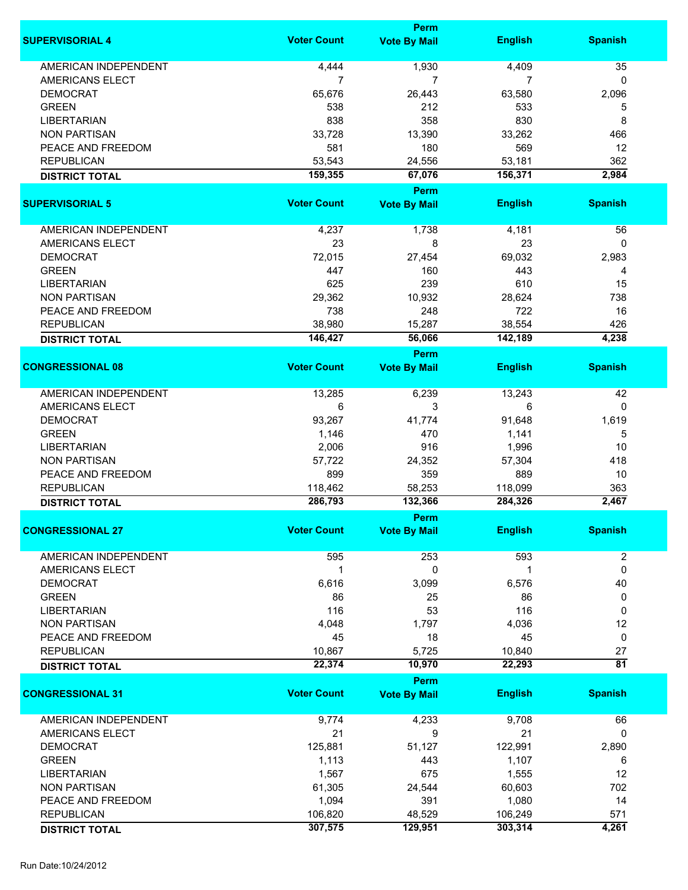|                             |                    | Perm                |                |                 |
|-----------------------------|--------------------|---------------------|----------------|-----------------|
| <b>SUPERVISORIAL 4</b>      | <b>Voter Count</b> | <b>Vote By Mail</b> | <b>English</b> | <b>Spanish</b>  |
| <b>AMERICAN INDEPENDENT</b> | 4,444              | 1,930               | 4,409          | 35              |
|                             |                    |                     |                |                 |
| AMERICANS ELECT             | 7                  | $\overline{7}$      | 7              | $\mathbf{0}$    |
| <b>DEMOCRAT</b>             | 65,676             | 26,443              | 63,580         | 2,096           |
| <b>GREEN</b>                | 538                | 212                 | 533            | 5               |
| <b>LIBERTARIAN</b>          | 838                | 358                 | 830            | 8               |
| <b>NON PARTISAN</b>         | 33,728             | 13,390              | 33,262         | 466             |
| PEACE AND FREEDOM           | 581                | 180                 | 569            | 12              |
| <b>REPUBLICAN</b>           | 53,543             | 24,556              | 53,181         | 362             |
| <b>DISTRICT TOTAL</b>       | 159,355            | 67,076              | 156,371        | 2,984           |
|                             |                    | Perm                |                |                 |
| <b>SUPERVISORIAL 5</b>      | <b>Voter Count</b> | <b>Vote By Mail</b> | <b>English</b> | <b>Spanish</b>  |
| AMERICAN INDEPENDENT        | 4,237              | 1,738               | 4,181          | 56              |
| AMERICANS ELECT             | 23                 | 8                   | 23             | $\mathbf{0}$    |
| <b>DEMOCRAT</b>             | 72,015             | 27,454              | 69,032         | 2,983           |
|                             |                    |                     |                |                 |
| <b>GREEN</b>                | 447                | 160                 | 443            | 4               |
| <b>LIBERTARIAN</b>          | 625                | 239                 | 610            | 15              |
| <b>NON PARTISAN</b>         | 29,362             | 10,932              | 28,624         | 738             |
| PEACE AND FREEDOM           | 738                | 248                 | 722            | 16              |
| <b>REPUBLICAN</b>           | 38,980             | 15,287              | 38,554         | 426             |
| <b>DISTRICT TOTAL</b>       | 146,427            | 56,066              | 142,189        | 4,238           |
|                             |                    | Perm                |                |                 |
| <b>CONGRESSIONAL 08</b>     | <b>Voter Count</b> | <b>Vote By Mail</b> | <b>English</b> | <b>Spanish</b>  |
| <b>AMERICAN INDEPENDENT</b> | 13,285             | 6,239               | 13,243         | 42              |
| AMERICANS ELECT             | 6                  | 3                   | 6              | 0               |
|                             |                    |                     |                |                 |
| <b>DEMOCRAT</b>             | 93,267             | 41,774              | 91,648         | 1,619           |
| <b>GREEN</b>                | 1,146              | 470                 | 1,141          | 5               |
| <b>LIBERTARIAN</b>          | 2,006              | 916                 | 1,996          | 10              |
| <b>NON PARTISAN</b>         | 57,722             | 24,352              | 57,304         | 418             |
| PEACE AND FREEDOM           | 899                | 359                 | 889            | 10              |
| <b>REPUBLICAN</b>           | 118,462            | 58,253              | 118,099        | 363             |
| <b>DISTRICT TOTAL</b>       | 286,793            | 132,366             | 284,326        | 2,467           |
|                             |                    | Perm                |                |                 |
| <b>CONGRESSIONAL 27</b>     | <b>Voter Count</b> | <b>Vote By Mail</b> | <b>English</b> | <b>Spanish</b>  |
| AMERICAN INDEPENDENT        | 595                | 253                 | 593            | 2               |
| AMERICANS ELECT             | $\mathbf 1$        | 0                   | 1              | $\mathbf 0$     |
| <b>DEMOCRAT</b>             | 6,616              | 3,099               | 6,576          | 40              |
| <b>GREEN</b>                | 86                 | 25                  | 86             | 0               |
| <b>LIBERTARIAN</b>          | 116                | 53                  | 116            | 0               |
|                             |                    |                     |                |                 |
| <b>NON PARTISAN</b>         | 4,048              | 1,797               | 4,036          | 12              |
| PEACE AND FREEDOM           | 45                 | 18                  | 45             | 0               |
| <b>REPUBLICAN</b>           | 10,867             | 5,725               | 10,840         | 27              |
| <b>DISTRICT TOTAL</b>       | 22,374             | 10,970              | 22,293         | $\overline{81}$ |
|                             |                    | Perm                |                |                 |
| <b>CONGRESSIONAL 31</b>     | <b>Voter Count</b> | <b>Vote By Mail</b> | <b>English</b> | <b>Spanish</b>  |
| <b>AMERICAN INDEPENDENT</b> | 9,774              | 4,233               | 9,708          | 66              |
| AMERICANS ELECT             | 21                 | 9                   | 21             | $\mathbf{0}$    |
| <b>DEMOCRAT</b>             | 125,881            | 51,127              | 122,991        | 2,890           |
| <b>GREEN</b>                | 1,113              | 443                 | 1,107          | 6               |
| <b>LIBERTARIAN</b>          | 1,567              | 675                 | 1,555          | 12              |
| <b>NON PARTISAN</b>         | 61,305             | 24,544              | 60,603         | 702             |
| PEACE AND FREEDOM           | 1,094              | 391                 | 1,080          | 14              |
|                             |                    |                     |                |                 |
| <b>REPUBLICAN</b>           | 106,820            | 48,529              | 106,249        | 571             |
| <b>DISTRICT TOTAL</b>       | 307,575            | 129,951             | 303,314        | 4,261           |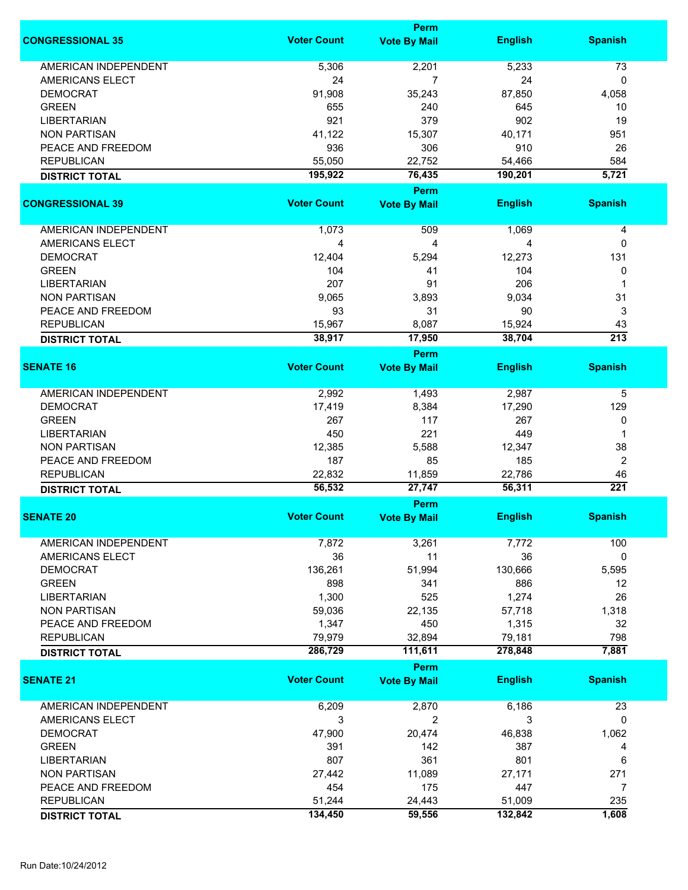|                             |                    | <b>Perm</b>         |                  |                        |
|-----------------------------|--------------------|---------------------|------------------|------------------------|
| <b>CONGRESSIONAL 35</b>     | <b>Voter Count</b> | <b>Vote By Mail</b> | <b>English</b>   | <b>Spanish</b>         |
| <b>AMERICAN INDEPENDENT</b> | 5,306              | 2,201               | 5,233            | 73                     |
| AMERICANS ELECT             | 24                 | 7                   | 24               | 0                      |
| <b>DEMOCRAT</b>             | 91,908             | 35,243              | 87,850           | 4,058                  |
| <b>GREEN</b>                | 655                | 240                 | 645              | 10                     |
| <b>LIBERTARIAN</b>          | 921                | 379                 | 902              | 19                     |
| <b>NON PARTISAN</b>         |                    | 15,307              |                  | 951                    |
|                             | 41,122             |                     | 40,171           |                        |
| PEACE AND FREEDOM           | 936                | 306                 | 910              | 26                     |
| <b>REPUBLICAN</b>           | 55,050             | 22,752              | 54,466           | 584                    |
| <b>DISTRICT TOTAL</b>       | 195,922            | 76,435<br>Perm      | 190,201          | 5,721                  |
| <b>CONGRESSIONAL 39</b>     | <b>Voter Count</b> | <b>Vote By Mail</b> | <b>English</b>   | <b>Spanish</b>         |
|                             |                    |                     |                  |                        |
| <b>AMERICAN INDEPENDENT</b> | 1,073              | 509                 | 1,069            | 4                      |
| <b>AMERICANS ELECT</b>      | 4                  | 4                   | 4                | 0                      |
| <b>DEMOCRAT</b>             | 12,404             | 5,294               | 12,273           | 131                    |
| <b>GREEN</b>                | 104                | 41                  | 104              | 0                      |
| <b>LIBERTARIAN</b>          | 207                | 91                  | 206              | 1                      |
| <b>NON PARTISAN</b>         | 9,065              | 3,893               | 9,034            | 31                     |
| PEACE AND FREEDOM           | 93                 | 31                  | 90               | 3                      |
|                             |                    |                     |                  |                        |
| <b>REPUBLICAN</b>           | 15,967<br>38,917   | 8,087<br>17,950     | 15,924<br>38,704 | 43<br>$\overline{213}$ |
| <b>DISTRICT TOTAL</b>       |                    | Perm                |                  |                        |
| <b>SENATE 16</b>            | <b>Voter Count</b> | <b>Vote By Mail</b> | <b>English</b>   | <b>Spanish</b>         |
| <b>AMERICAN INDEPENDENT</b> | 2,992              | 1,493               | 2,987            | 5                      |
| <b>DEMOCRAT</b>             | 17,419             | 8,384               | 17,290           | 129                    |
|                             | 267                | 117                 | 267              |                        |
| <b>GREEN</b>                |                    |                     |                  | 0                      |
| <b>LIBERTARIAN</b>          | 450                | 221                 | 449              | 1                      |
| <b>NON PARTISAN</b>         | 12,385             | 5,588               | 12,347           | 38                     |
| PEACE AND FREEDOM           | 187                | 85                  | 185              | $\overline{2}$         |
| <b>REPUBLICAN</b>           | 22,832             | 11,859              | 22,786           | 46                     |
| <b>DISTRICT TOTAL</b>       | 56,532             | 27,747              | 56,311           | 221                    |
|                             |                    | Perm                |                  |                        |
| <b>SENATE 20</b>            | <b>Voter Count</b> | <b>Vote By Mail</b> | <b>English</b>   | <b>Spanish</b>         |
| <b>AMERICAN INDEPENDENT</b> | 7,872              | 3,261               | 7,772            | 100                    |
| AMERICANS ELECT             | 36                 | 11                  | 36               | 0                      |
| <b>DEMOCRAT</b>             | 136,261            | 51,994              | 130,666          | 5,595                  |
| <b>GREEN</b>                | 898                | 341                 | 886              | 12                     |
| <b>LIBERTARIAN</b>          | 1,300              | 525                 | 1,274            | 26                     |
| <b>NON PARTISAN</b>         | 59,036             | 22,135              | 57,718           | 1,318                  |
| PEACE AND FREEDOM           | 1,347              | 450                 | 1,315            | 32                     |
| <b>REPUBLICAN</b>           | 79,979             | 32,894              | 79,181           | 798                    |
| <b>DISTRICT TOTAL</b>       | 286,729            | 111,611             | 278,848          | 7,881                  |
|                             |                    | <b>Perm</b>         |                  |                        |
| <b>SENATE 21</b>            | <b>Voter Count</b> | <b>Vote By Mail</b> | <b>English</b>   | <b>Spanish</b>         |
|                             |                    |                     |                  |                        |
| AMERICAN INDEPENDENT        | 6,209              | 2,870               | 6,186            | 23                     |
| AMERICANS ELECT             | 3                  | 2                   | 3                | 0                      |
| <b>DEMOCRAT</b>             | 47,900             | 20,474              | 46,838           | 1,062                  |
| <b>GREEN</b>                | 391                | 142                 | 387              | 4                      |
| <b>LIBERTARIAN</b>          | 807                | 361                 | 801              | 6                      |
| <b>NON PARTISAN</b>         | 27,442             | 11,089              | 27,171           | 271                    |
| PEACE AND FREEDOM           | 454                | 175                 | 447              | 7                      |
| <b>REPUBLICAN</b>           | 51,244             | 24,443              | 51,009           | 235                    |
|                             | 134,450            | 59,556              | 132,842          | 1,608                  |
| <b>DISTRICT TOTAL</b>       |                    |                     |                  |                        |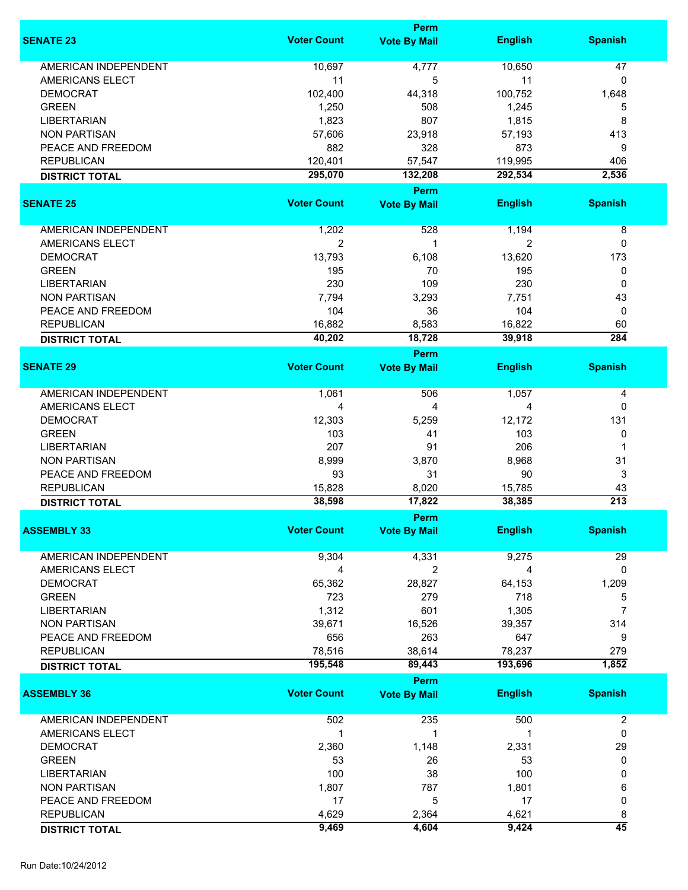|                             |                    | <b>Perm</b>         |                |                  |
|-----------------------------|--------------------|---------------------|----------------|------------------|
| <b>SENATE 23</b>            | <b>Voter Count</b> | <b>Vote By Mail</b> | <b>English</b> | <b>Spanish</b>   |
| <b>AMERICAN INDEPENDENT</b> | 10,697             | 4,777               | 10,650         | 47               |
| AMERICANS ELECT             | 11                 | 5                   | 11             | 0                |
| <b>DEMOCRAT</b>             | 102,400            | 44,318              | 100,752        | 1,648            |
|                             |                    |                     |                |                  |
| <b>GREEN</b>                | 1,250              | 508                 | 1,245          | 5                |
| <b>LIBERTARIAN</b>          | 1,823              | 807                 | 1,815          | 8                |
| <b>NON PARTISAN</b>         | 57,606             | 23,918              | 57,193         | 413              |
| PEACE AND FREEDOM           | 882                | 328                 | 873            | 9                |
| <b>REPUBLICAN</b>           | 120,401            | 57,547              | 119,995        | 406              |
| <b>DISTRICT TOTAL</b>       | 295,070            | 132,208             | 292,534        | 2,536            |
|                             |                    | <b>Perm</b>         |                |                  |
| <b>SENATE 25</b>            | <b>Voter Count</b> | <b>Vote By Mail</b> | <b>English</b> | <b>Spanish</b>   |
| AMERICAN INDEPENDENT        | 1,202              | 528                 | 1,194          | 8                |
| AMERICANS ELECT             | $\mathbf{2}$       | 1                   | $\overline{2}$ | 0                |
| <b>DEMOCRAT</b>             | 13,793             | 6,108               | 13,620         | 173              |
| <b>GREEN</b>                | 195                | 70                  | 195            | 0                |
|                             |                    |                     |                |                  |
| <b>LIBERTARIAN</b>          | 230                | 109                 | 230            | 0                |
| <b>NON PARTISAN</b>         | 7,794              | 3,293               | 7,751          | 43               |
| PEACE AND FREEDOM           | 104                | 36                  | 104            | 0                |
| <b>REPUBLICAN</b>           | 16,882             | 8,583               | 16,822         | 60               |
| <b>DISTRICT TOTAL</b>       | 40,202             | 18,728              | 39,918         | 284              |
|                             |                    | <b>Perm</b>         |                |                  |
| <b>SENATE 29</b>            | <b>Voter Count</b> | <b>Vote By Mail</b> | <b>English</b> | <b>Spanish</b>   |
| <b>AMERICAN INDEPENDENT</b> | 1,061              | 506                 | 1,057          | 4                |
| AMERICANS ELECT             | 4                  | $\overline{4}$      | 4              | 0                |
| <b>DEMOCRAT</b>             | 12,303             | 5,259               | 12,172         | 131              |
|                             |                    |                     |                |                  |
| <b>GREEN</b>                | 103                | 41                  | 103            | 0                |
| <b>LIBERTARIAN</b>          | 207                | 91                  | 206            | 1                |
| <b>NON PARTISAN</b>         | 8,999              | 3,870               | 8,968          | 31               |
| PEACE AND FREEDOM           | 93                 | 31                  | 90             | 3                |
| <b>REPUBLICAN</b>           | 15,828             | 8,020               | 15,785         | 43               |
| <b>DISTRICT TOTAL</b>       | 38,598             | 17,822              | 38,385         | $\overline{213}$ |
|                             |                    | Perm                |                |                  |
| <b>ASSEMBLY 33</b>          | <b>Voter Count</b> | <b>Vote By Mail</b> | <b>English</b> | <b>Spanish</b>   |
| <b>AMERICAN INDEPENDENT</b> | 9,304              | 4,331               | 9,275          | 29               |
| AMERICANS ELECT             | 4                  | $\overline{2}$      | 4              | 0                |
| <b>DEMOCRAT</b>             | 65,362             | 28,827              | 64,153         | 1,209            |
|                             |                    |                     |                |                  |
| <b>GREEN</b>                | 723                | 279                 | 718            | 5                |
| <b>LIBERTARIAN</b>          | 1,312              | 601                 | 1,305          | $\overline{7}$   |
| <b>NON PARTISAN</b>         | 39,671             | 16,526              | 39,357         | 314              |
| PEACE AND FREEDOM           | 656                | 263                 | 647            | 9                |
| <b>REPUBLICAN</b>           | 78,516             | 38,614              | 78,237         | 279              |
| <b>DISTRICT TOTAL</b>       | 195,548            | 89,443              | 193,696        | 1,852            |
|                             |                    | Perm                |                |                  |
| <b>ASSEMBLY 36</b>          | <b>Voter Count</b> | <b>Vote By Mail</b> | <b>English</b> | <b>Spanish</b>   |
| AMERICAN INDEPENDENT        | 502                | 235                 | 500            | $\overline{2}$   |
| AMERICANS ELECT             | 1                  | 1                   | 1              | 0                |
| <b>DEMOCRAT</b>             | 2,360              | 1,148               | 2,331          | 29               |
| <b>GREEN</b>                | 53                 | 26                  | 53             | 0                |
| <b>LIBERTARIAN</b>          | 100                | 38                  | 100            | 0                |
| <b>NON PARTISAN</b>         | 1,807              | 787                 | 1,801          | 6                |
| PEACE AND FREEDOM           | 17                 | 5                   | 17             | 0                |
|                             |                    |                     |                |                  |
| <b>REPUBLICAN</b>           | 4,629              | 2,364               | 4,621          | 8                |
| <b>DISTRICT TOTAL</b>       | 9,469              | 4,604               | 9,424          | $\overline{45}$  |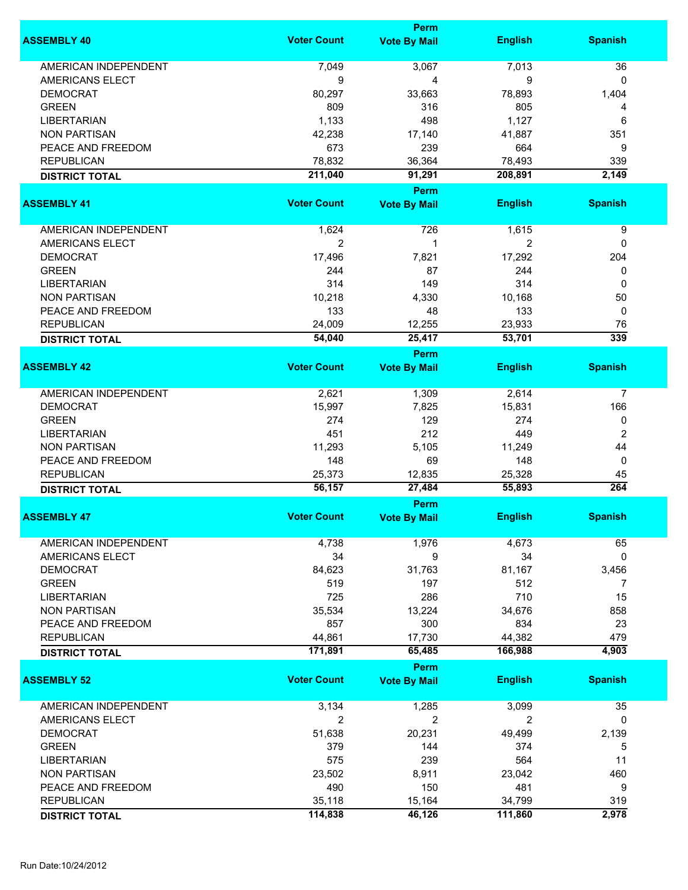|                             |                    | Perm                        |                  |                        |
|-----------------------------|--------------------|-----------------------------|------------------|------------------------|
| <b>ASSEMBLY 40</b>          | <b>Voter Count</b> | <b>Vote By Mail</b>         | <b>English</b>   | <b>Spanish</b>         |
| <b>AMERICAN INDEPENDENT</b> | 7,049              | 3,067                       | 7,013            | 36                     |
| <b>AMERICANS ELECT</b>      | 9                  | 4                           | 9                | 0                      |
| <b>DEMOCRAT</b>             | 80,297             | 33,663                      | 78,893           | 1,404                  |
| <b>GREEN</b>                | 809                | 316                         | 805              |                        |
|                             |                    |                             |                  | 4                      |
| <b>LIBERTARIAN</b>          | 1,133              | 498                         | 1,127            | 6                      |
| <b>NON PARTISAN</b>         | 42,238             | 17,140                      | 41,887           | 351                    |
| PEACE AND FREEDOM           | 673                | 239                         | 664              | 9                      |
| <b>REPUBLICAN</b>           | 78,832             | 36,364                      | 78,493           | 339                    |
| <b>DISTRICT TOTAL</b>       | 211,040            | 91,291                      | 208,891          | 2,149                  |
|                             |                    | <b>Perm</b>                 |                  |                        |
| <b>ASSEMBLY 41</b>          | <b>Voter Count</b> | <b>Vote By Mail</b>         | <b>English</b>   | <b>Spanish</b>         |
| AMERICAN INDEPENDENT        | 1,624              | 726                         | 1,615            | 9                      |
| <b>AMERICANS ELECT</b>      | $\overline{2}$     | 1                           | 2                | 0                      |
| <b>DEMOCRAT</b>             | 17,496             | 7,821                       | 17,292           | 204                    |
| <b>GREEN</b>                | 244                | 87                          | 244              | 0                      |
| <b>LIBERTARIAN</b>          | 314                | 149                         | 314              | 0                      |
| <b>NON PARTISAN</b>         | 10,218             | 4,330                       | 10,168           | 50                     |
|                             |                    |                             |                  |                        |
| PEACE AND FREEDOM           | 133                | 48                          | 133              | 0                      |
| <b>REPUBLICAN</b>           | 24,009             | 12,255                      | 23,933           | 76                     |
| <b>DISTRICT TOTAL</b>       | 54,040             | 25,417                      | 53,701           | $\overline{339}$       |
| <b>ASSEMBLY 42</b>          | <b>Voter Count</b> | Perm<br><b>Vote By Mail</b> | <b>English</b>   | <b>Spanish</b>         |
|                             |                    |                             |                  |                        |
| <b>AMERICAN INDEPENDENT</b> | 2,621              | 1,309                       | 2,614            | 7                      |
| <b>DEMOCRAT</b>             | 15,997             | 7,825                       | 15,831           | 166                    |
| <b>GREEN</b>                | 274                | 129                         | 274              | 0                      |
| <b>LIBERTARIAN</b>          | 451                | 212                         | 449              | $\overline{2}$         |
| <b>NON PARTISAN</b>         | 11,293             | 5,105                       | 11,249           | 44                     |
| PEACE AND FREEDOM           | 148                | 69                          | 148              | 0                      |
|                             |                    |                             |                  |                        |
| <b>REPUBLICAN</b>           | 25,373<br>56,157   | 12,835                      | 25,328<br>55,893 | 45<br>$\overline{264}$ |
| <b>DISTRICT TOTAL</b>       |                    | 27,484<br><b>Perm</b>       |                  |                        |
| <b>ASSEMBLY 47</b>          | <b>Voter Count</b> | <b>Vote By Mail</b>         | <b>English</b>   | <b>Spanish</b>         |
|                             |                    |                             |                  |                        |
| AMERICAN INDEPENDENT        | 4,738              | 1,976                       | 4,673            | 65                     |
| AMERICANS ELECT             | 34                 | 9                           | 34               | 0                      |
| <b>DEMOCRAT</b>             | 84,623             | 31,763                      | 81,167           | 3,456                  |
| <b>GREEN</b>                | 519                | 197                         | 512              | 7                      |
| <b>LIBERTARIAN</b>          | 725                | 286                         | 710              | 15                     |
| <b>NON PARTISAN</b>         | 35,534             | 13,224                      | 34,676           | 858                    |
| PEACE AND FREEDOM           | 857                | 300                         | 834              | 23                     |
| <b>REPUBLICAN</b>           | 44,861             | 17,730                      | 44,382           | 479                    |
| <b>DISTRICT TOTAL</b>       | 171,891            | 65,485                      | 166,988          | 4,903                  |
|                             |                    | <b>Perm</b>                 |                  |                        |
| <b>ASSEMBLY 52</b>          | <b>Voter Count</b> | <b>Vote By Mail</b>         | <b>English</b>   | <b>Spanish</b>         |
| AMERICAN INDEPENDENT        | 3,134              | 1,285                       | 3,099            | 35                     |
|                             |                    | $\overline{2}$              | $\overline{2}$   | $\mathbf{0}$           |
| AMERICANS ELECT             | 2                  |                             |                  |                        |
| <b>DEMOCRAT</b>             | 51,638             | 20,231                      | 49,499           | 2,139                  |
| <b>GREEN</b>                | 379                | 144                         | 374              | 5                      |
| <b>LIBERTARIAN</b>          | 575                | 239                         | 564              | 11                     |
| <b>NON PARTISAN</b>         | 23,502             | 8,911                       | 23,042           | 460                    |
| PEACE AND FREEDOM           | 490                | 150                         | 481              | 9                      |
| <b>REPUBLICAN</b>           | 35,118             | 15,164                      | 34,799           | 319                    |
| <b>DISTRICT TOTAL</b>       | 114,838            | 46,126                      | 111,860          | 2,978                  |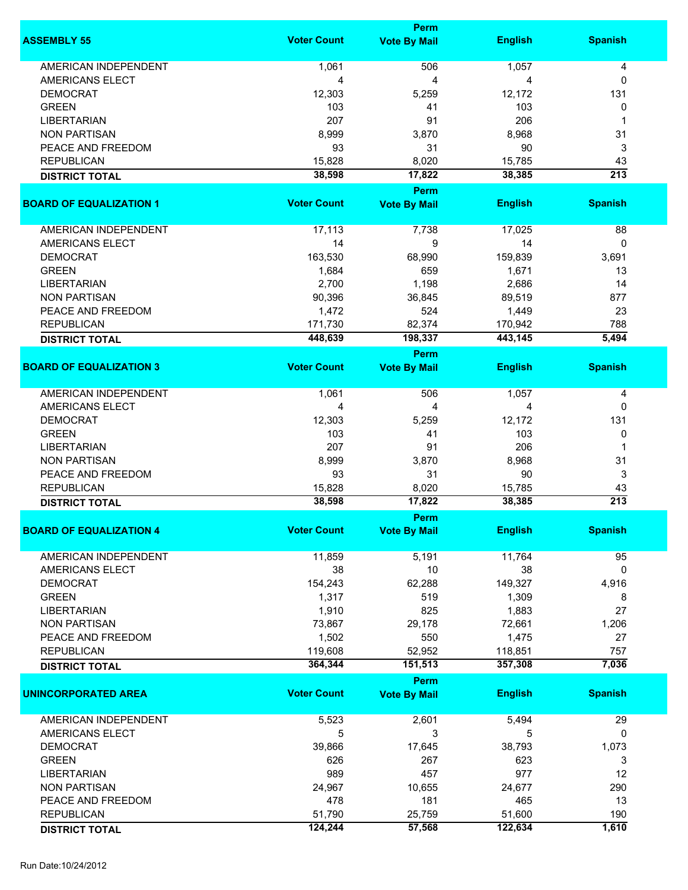|                                |                    | <b>Perm</b>         |                |                  |
|--------------------------------|--------------------|---------------------|----------------|------------------|
| <b>ASSEMBLY 55</b>             | <b>Voter Count</b> | <b>Vote By Mail</b> | <b>English</b> | <b>Spanish</b>   |
| <b>AMERICAN INDEPENDENT</b>    | 1,061              | 506                 | 1,057          | 4                |
|                                |                    |                     |                |                  |
| AMERICANS ELECT                | 4                  | 4                   | 4              | 0                |
| <b>DEMOCRAT</b>                | 12,303             | 5,259               | 12,172         | 131              |
| <b>GREEN</b>                   | 103                | 41                  | 103            | 0                |
| <b>LIBERTARIAN</b>             | 207                | 91                  | 206            | 1                |
| <b>NON PARTISAN</b>            | 8,999              | 3,870               | 8,968          | 31               |
| PEACE AND FREEDOM              | 93                 | 31                  | 90             | 3                |
| <b>REPUBLICAN</b>              | 15,828             | 8,020               | 15,785         | 43               |
| <b>DISTRICT TOTAL</b>          | 38,598             | 17,822              | 38,385         | $\overline{213}$ |
|                                |                    | <b>Perm</b>         |                |                  |
| <b>BOARD OF EQUALIZATION 1</b> | <b>Voter Count</b> | <b>Vote By Mail</b> | <b>English</b> | <b>Spanish</b>   |
| AMERICAN INDEPENDENT           | 17,113             | 7,738               | 17,025         | 88               |
| AMERICANS ELECT                | 14                 | 9                   | 14             | 0                |
| <b>DEMOCRAT</b>                | 163,530            | 68,990              | 159,839        | 3,691            |
|                                |                    |                     |                |                  |
| <b>GREEN</b>                   | 1,684              | 659                 | 1,671          | 13               |
| <b>LIBERTARIAN</b>             | 2,700              | 1,198               | 2,686          | 14               |
| <b>NON PARTISAN</b>            | 90,396             | 36,845              | 89,519         | 877              |
| PEACE AND FREEDOM              | 1,472              | 524                 | 1,449          | 23               |
| <b>REPUBLICAN</b>              | 171,730            | 82,374              | 170,942        | 788              |
| <b>DISTRICT TOTAL</b>          | 448,639            | 198,337             | 443,145        | 5,494            |
|                                |                    | <b>Perm</b>         |                |                  |
| <b>BOARD OF EQUALIZATION 3</b> | <b>Voter Count</b> | <b>Vote By Mail</b> | <b>English</b> | <b>Spanish</b>   |
| <b>AMERICAN INDEPENDENT</b>    | 1,061              | 506                 | 1,057          | 4                |
| <b>AMERICANS ELECT</b>         | 4                  | 4                   | 4              | 0                |
| <b>DEMOCRAT</b>                | 12,303             | 5,259               | 12,172         | 131              |
|                                |                    |                     | 103            |                  |
| <b>GREEN</b>                   | 103                | 41                  |                | 0                |
| <b>LIBERTARIAN</b>             | 207                | 91                  | 206            | 1                |
| <b>NON PARTISAN</b>            | 8,999              | 3,870               | 8,968          | 31               |
| PEACE AND FREEDOM              | 93                 | 31                  | 90             | 3                |
| <b>REPUBLICAN</b>              | 15,828             | 8,020               | 15,785         | 43               |
| <b>DISTRICT TOTAL</b>          | 38,598             | 17,822              | 38,385         | $\overline{213}$ |
|                                |                    | <b>Perm</b>         |                |                  |
| <b>BOARD OF EQUALIZATION 4</b> | <b>Voter Count</b> | <b>Vote By Mail</b> | <b>English</b> | <b>Spanish</b>   |
| <b>AMERICAN INDEPENDENT</b>    | 11,859             | 5,191               | 11,764         | 95               |
| AMERICANS ELECT                | 38                 | 10                  | 38             | 0                |
| <b>DEMOCRAT</b>                | 154,243            | 62,288              | 149,327        | 4,916            |
| <b>GREEN</b>                   | 1,317              | 519                 | 1,309          | 8                |
| <b>LIBERTARIAN</b>             | 1,910              | 825                 | 1,883          | 27               |
| <b>NON PARTISAN</b>            | 73,867             | 29,178              |                |                  |
|                                |                    |                     | 72,661         | 1,206            |
| PEACE AND FREEDOM              | 1,502              | 550                 | 1,475          | 27               |
| <b>REPUBLICAN</b>              | 119,608            | 52,952              | 118,851        | 757              |
| <b>DISTRICT TOTAL</b>          | 364,344            | 151,513             | 357,308        | 7,036            |
|                                | <b>Voter Count</b> | <b>Perm</b>         |                |                  |
| <b>UNINCORPORATED AREA</b>     |                    | <b>Vote By Mail</b> | <b>English</b> | <b>Spanish</b>   |
| <b>AMERICAN INDEPENDENT</b>    | 5,523              | 2,601               | 5,494          | 29               |
| AMERICANS ELECT                | 5                  | 3                   | 5              | 0                |
| <b>DEMOCRAT</b>                | 39,866             | 17,645              | 38,793         | 1,073            |
| <b>GREEN</b>                   | 626                | 267                 | 623            | 3                |
| <b>LIBERTARIAN</b>             | 989                | 457                 | 977            | 12               |
| <b>NON PARTISAN</b>            | 24,967             | 10,655              | 24,677         | 290              |
| PEACE AND FREEDOM              | 478                | 181                 | 465            | 13               |
| <b>REPUBLICAN</b>              | 51,790             | 25,759              | 51,600         | 190              |
|                                | 124,244            | 57,568              | 122,634        | 1,610            |
| <b>DISTRICT TOTAL</b>          |                    |                     |                |                  |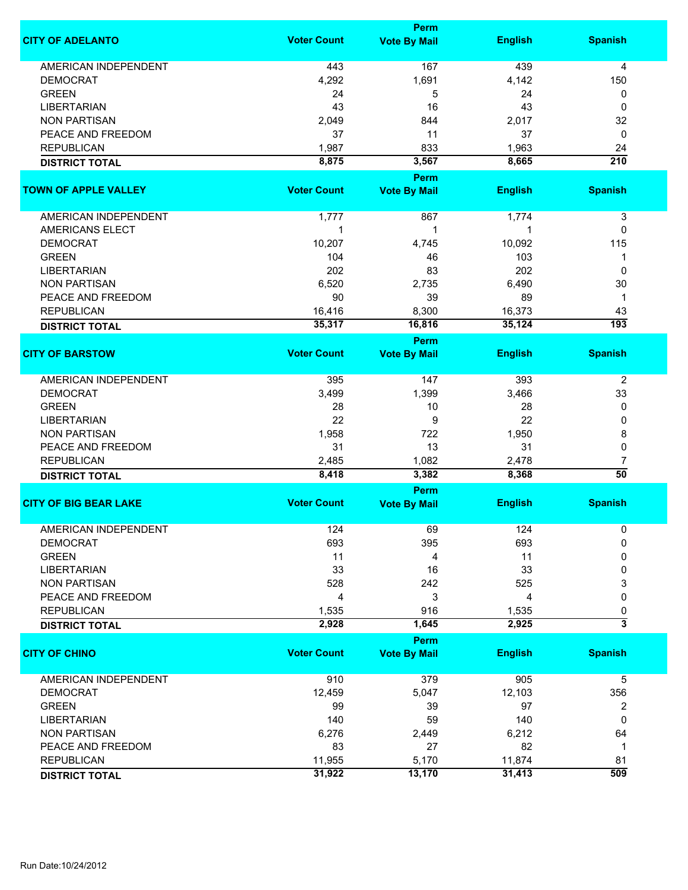|                                            |                    | Perm                        |                |                              |
|--------------------------------------------|--------------------|-----------------------------|----------------|------------------------------|
| <b>CITY OF ADELANTO</b>                    | <b>Voter Count</b> | <b>Vote By Mail</b>         | <b>English</b> | <b>Spanish</b>               |
| <b>AMERICAN INDEPENDENT</b>                | 443                | 167                         | 439            | 4                            |
| <b>DEMOCRAT</b>                            | 4,292              | 1,691                       | 4,142          | 150                          |
| <b>GREEN</b>                               | 24                 | 5                           | 24             | 0                            |
| <b>LIBERTARIAN</b>                         | 43                 | 16                          | 43             | 0                            |
| <b>NON PARTISAN</b>                        | 2,049              | 844                         | 2,017          | 32                           |
|                                            |                    |                             |                |                              |
| PEACE AND FREEDOM                          | 37                 | 11                          | 37             | 0                            |
| <b>REPUBLICAN</b>                          | 1,987              | 833                         | 1,963          | 24                           |
| <b>DISTRICT TOTAL</b>                      | 8,875              | 3,567                       | 8,665          | $\overline{210}$             |
| <b>TOWN OF APPLE VALLEY</b>                | <b>Voter Count</b> | Perm<br><b>Vote By Mail</b> | <b>English</b> | <b>Spanish</b>               |
| AMERICAN INDEPENDENT                       | 1,777              | 867                         | 1,774          | 3                            |
|                                            |                    |                             |                |                              |
| <b>AMERICANS ELECT</b>                     | 1                  | 1                           |                | 0                            |
| <b>DEMOCRAT</b>                            | 10,207             | 4,745                       | 10,092         | 115                          |
| <b>GREEN</b>                               | 104                | 46                          | 103            | 1                            |
| <b>LIBERTARIAN</b>                         | 202                | 83                          | 202            | 0                            |
| <b>NON PARTISAN</b>                        | 6,520              | 2,735                       | 6,490          | 30                           |
| PEACE AND FREEDOM                          | 90                 | 39                          | 89             | $\mathbf 1$                  |
| <b>REPUBLICAN</b>                          | 16,416             | 8,300                       | 16,373         | 43                           |
| <b>DISTRICT TOTAL</b>                      | 35,317             | 16,816                      | 35,124         | $\overline{193}$             |
|                                            |                    | Perm                        |                |                              |
| <b>CITY OF BARSTOW</b>                     | <b>Voter Count</b> | <b>Vote By Mail</b>         | <b>English</b> | <b>Spanish</b>               |
| AMERICAN INDEPENDENT                       | 395                | 147                         | 393            | 2                            |
| <b>DEMOCRAT</b>                            | 3,499              | 1,399                       | 3,466          | 33                           |
| <b>GREEN</b>                               | 28                 | 10                          | 28             | 0                            |
| <b>LIBERTARIAN</b>                         | 22                 | 9                           | 22             | 0                            |
| <b>NON PARTISAN</b>                        | 1,958              | 722                         | 1,950          | 8                            |
| PEACE AND FREEDOM                          | 31                 | 13                          | 31             | 0                            |
|                                            |                    |                             |                |                              |
| <b>REPUBLICAN</b>                          | 2,485<br>8,418     | 1,082<br>3,382              | 2,478<br>8,368 | 7<br>$\overline{50}$         |
| <b>DISTRICT TOTAL</b>                      |                    | Perm                        |                |                              |
| <b>CITY OF BIG BEAR LAKE</b>               | <b>Voter Count</b> | <b>Vote By Mail</b>         | <b>English</b> | <b>Spanish</b>               |
| AMERICAN INDEPENDENT                       | 124                | 69                          | 124            | 0                            |
| <b>DEMOCRAT</b>                            | 693                | 395                         | 693            | $\Omega$                     |
| <b>GREEN</b>                               | 11                 | 4                           | 11             | 0                            |
| <b>LIBERTARIAN</b>                         | 33                 | 16                          | 33             | 0                            |
| <b>NON PARTISAN</b>                        | 528                | 242                         | 525            | 3                            |
| PEACE AND FREEDOM                          | 4                  | 3                           | 4              | 0                            |
|                                            |                    |                             |                |                              |
| <b>REPUBLICAN</b><br><b>DISTRICT TOTAL</b> | 1,535<br>2,928     | 916<br>1,645                | 1,535<br>2,925 | 0<br>$\overline{\mathbf{3}}$ |
|                                            |                    | Perm                        |                |                              |
| <b>CITY OF CHINO</b>                       | <b>Voter Count</b> | <b>Vote By Mail</b>         | <b>English</b> | <b>Spanish</b>               |
| AMERICAN INDEPENDENT                       | 910                | 379                         | 905            | 5                            |
| <b>DEMOCRAT</b>                            | 12,459             | 5,047                       | 12,103         | 356                          |
| <b>GREEN</b>                               | 99                 | 39                          | 97             | 2                            |
| <b>LIBERTARIAN</b>                         | 140                | 59                          | 140            | 0                            |
| <b>NON PARTISAN</b>                        | 6,276              |                             | 6,212          | 64                           |
|                                            |                    | 2,449                       |                |                              |
| PEACE AND FREEDOM                          | 83                 | 27                          | 82             | 1                            |
| <b>REPUBLICAN</b>                          | 11,955             | 5,170                       | 11,874         | 81<br>509                    |
| <b>DISTRICT TOTAL</b>                      | 31,922             | 13,170                      | 31,413         |                              |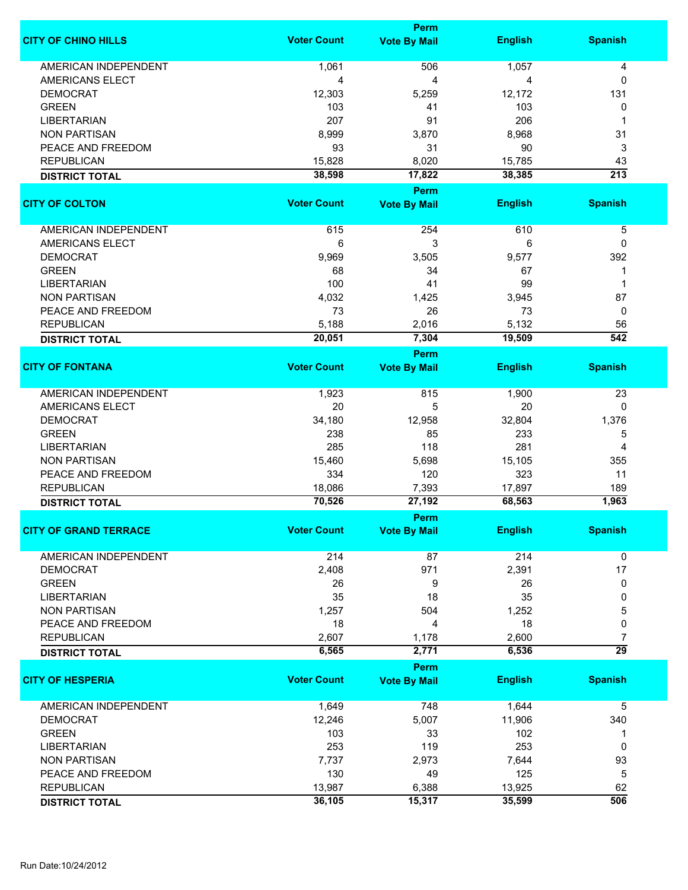|                              |                    | Perm                |                |                  |
|------------------------------|--------------------|---------------------|----------------|------------------|
| <b>CITY OF CHINO HILLS</b>   | <b>Voter Count</b> | <b>Vote By Mail</b> | <b>English</b> | <b>Spanish</b>   |
| <b>AMERICAN INDEPENDENT</b>  | 1,061              | 506                 | 1,057          | 4                |
| AMERICANS ELECT              | 4                  | 4                   | 4              | $\mathbf{0}$     |
| <b>DEMOCRAT</b>              | 12,303             | 5,259               | 12,172         | 131              |
| <b>GREEN</b>                 | 103                | 41                  | 103            | 0                |
|                              |                    |                     |                |                  |
| <b>LIBERTARIAN</b>           | 207                | 91                  | 206            | 1                |
| <b>NON PARTISAN</b>          | 8,999              | 3,870               | 8,968          | 31               |
| PEACE AND FREEDOM            | 93                 | 31                  | 90             | 3                |
| <b>REPUBLICAN</b>            | 15,828             | 8,020               | 15,785         | 43               |
| <b>DISTRICT TOTAL</b>        | 38,598             | 17,822              | 38,385         | $\overline{213}$ |
|                              |                    | Perm                |                |                  |
| <b>CITY OF COLTON</b>        | <b>Voter Count</b> | <b>Vote By Mail</b> | <b>English</b> | <b>Spanish</b>   |
|                              |                    |                     |                |                  |
| <b>AMERICAN INDEPENDENT</b>  | 615                | 254                 | 610            | 5                |
| AMERICANS ELECT              | 6                  | 3                   | 6              | 0                |
| <b>DEMOCRAT</b>              | 9,969              | 3,505               | 9,577          | 392              |
| <b>GREEN</b>                 | 68                 | 34                  | 67             | 1                |
| <b>LIBERTARIAN</b>           | 100                | 41                  | 99             | 1                |
| <b>NON PARTISAN</b>          | 4,032              | 1,425               | 3,945          | 87               |
| PEACE AND FREEDOM            | 73                 | 26                  | 73             | $\mathbf 0$      |
| <b>REPUBLICAN</b>            | 5,188              | 2,016               | 5,132          | 56               |
| <b>DISTRICT TOTAL</b>        | 20,051             | 7,304               | 19,509         | 542              |
|                              |                    |                     |                |                  |
| <b>CITY OF FONTANA</b>       | <b>Voter Count</b> | <b>Perm</b>         | <b>English</b> | <b>Spanish</b>   |
|                              |                    | <b>Vote By Mail</b> |                |                  |
| <b>AMERICAN INDEPENDENT</b>  | 1,923              | 815                 | 1,900          | 23               |
| <b>AMERICANS ELECT</b>       | 20                 | 5                   | 20             | 0                |
| <b>DEMOCRAT</b>              | 34,180             | 12,958              | 32,804         | 1,376            |
| <b>GREEN</b>                 | 238                | 85                  | 233            | 5                |
| <b>LIBERTARIAN</b>           | 285                | 118                 | 281            | 4                |
| <b>NON PARTISAN</b>          | 15,460             | 5,698               | 15,105         | 355              |
| PEACE AND FREEDOM            | 334                | 120                 | 323            | 11               |
| <b>REPUBLICAN</b>            | 18,086             | 7,393               | 17,897         | 189              |
| <b>DISTRICT TOTAL</b>        | 70,526             | 27,192              | 68,563         | 1,963            |
|                              |                    |                     |                |                  |
|                              |                    | <b>Perm</b>         | <b>English</b> |                  |
| <b>CITY OF GRAND TERRACE</b> | Voter Count        | <b>Vote By Mail</b> |                | <b>Spanish</b>   |
| <b>AMERICAN INDEPENDENT</b>  | 214                | 87                  | 214            | 0                |
| <b>DEMOCRAT</b>              | 2,408              | 971                 | 2,391          | 17               |
| <b>GREEN</b>                 | 26                 | 9                   | 26             | 0                |
| <b>LIBERTARIAN</b>           | 35                 | 18                  | 35             | 0                |
| <b>NON PARTISAN</b>          | 1,257              | 504                 | 1,252          | 5                |
| PEACE AND FREEDOM            | 18                 | 4                   | 18             | 0                |
| <b>REPUBLICAN</b>            | 2,607              | 1,178               | 2,600          | $\overline{7}$   |
|                              | 6,565              | 2,771               | 6,536          | $\overline{29}$  |
| <b>DISTRICT TOTAL</b>        |                    |                     |                |                  |
|                              |                    | <b>Perm</b>         |                |                  |
| <b>CITY OF HESPERIA</b>      | <b>Voter Count</b> | <b>Vote By Mail</b> | <b>English</b> | <b>Spanish</b>   |
| AMERICAN INDEPENDENT         | 1,649              | 748                 | 1,644          | 5                |
| <b>DEMOCRAT</b>              | 12,246             | 5,007               | 11,906         | 340              |
| <b>GREEN</b>                 | 103                | 33                  | 102            | -1               |
| <b>LIBERTARIAN</b>           | 253                | 119                 | 253            | 0                |
| <b>NON PARTISAN</b>          | 7,737              | 2,973               | 7,644          | 93               |
|                              | 130                |                     |                |                  |
| PEACE AND FREEDOM            |                    | 49                  | 125            | 5                |
| <b>REPUBLICAN</b>            | 13,987             | 6,388               | 13,925         | 62               |
| <b>DISTRICT TOTAL</b>        | 36,105             | 15,317              | 35,599         | 506              |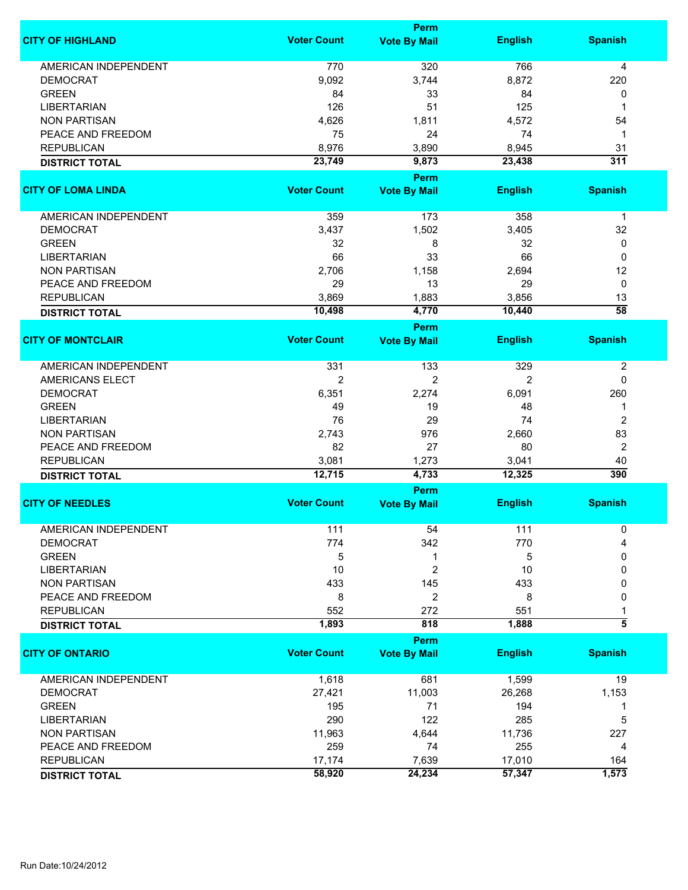|                             |                    | Perm                        |                |                  |
|-----------------------------|--------------------|-----------------------------|----------------|------------------|
| <b>CITY OF HIGHLAND</b>     | <b>Voter Count</b> | <b>Vote By Mail</b>         | <b>English</b> | <b>Spanish</b>   |
| <b>AMERICAN INDEPENDENT</b> | 770                | 320                         | 766            | 4                |
| <b>DEMOCRAT</b>             | 9,092              | 3,744                       | 8,872          | 220              |
| <b>GREEN</b>                | 84                 | 33                          | 84             | 0                |
| <b>LIBERTARIAN</b>          | 126                | 51                          | 125            | -1               |
|                             |                    |                             |                |                  |
| <b>NON PARTISAN</b>         | 4,626              | 1,811                       | 4,572          | 54               |
| PEACE AND FREEDOM           | 75                 | 24                          | 74             | 1                |
| <b>REPUBLICAN</b>           | 8,976              | 3,890                       | 8,945          | 31               |
| <b>DISTRICT TOTAL</b>       | 23,749             | 9,873                       | 23,438         | 311              |
| <b>CITY OF LOMA LINDA</b>   | <b>Voter Count</b> | Perm<br><b>Vote By Mail</b> | <b>English</b> | <b>Spanish</b>   |
|                             |                    |                             |                |                  |
| <b>AMERICAN INDEPENDENT</b> | 359                | 173                         | 358            | $\mathbf 1$      |
| <b>DEMOCRAT</b>             | 3,437              | 1,502                       | 3,405          | 32               |
| <b>GREEN</b>                | 32                 | 8                           | 32             | 0                |
| <b>LIBERTARIAN</b>          | 66                 | 33                          | 66             | 0                |
| <b>NON PARTISAN</b>         | 2,706              | 1,158                       | 2,694          | 12               |
| PEACE AND FREEDOM           | 29                 | 13                          | 29             | 0                |
| <b>REPUBLICAN</b>           | 3,869              | 1,883                       | 3,856          | 13               |
| <b>DISTRICT TOTAL</b>       | 10,498             | 4,770                       | 10,440         | $\overline{58}$  |
|                             |                    | <b>Perm</b>                 |                |                  |
| <b>CITY OF MONTCLAIR</b>    | <b>Voter Count</b> | <b>Vote By Mail</b>         | <b>English</b> | <b>Spanish</b>   |
|                             |                    |                             |                |                  |
| <b>AMERICAN INDEPENDENT</b> | 331                | 133                         | 329            | $\boldsymbol{2}$ |
| <b>AMERICANS ELECT</b>      | $\overline{2}$     | $\overline{2}$              | 2              | $\mathbf 0$      |
| <b>DEMOCRAT</b>             | 6,351              | 2,274                       | 6,091          | 260              |
| <b>GREEN</b>                | 49                 | 19                          | 48             | 1                |
| <b>LIBERTARIAN</b>          | 76                 | 29                          | 74             | 2                |
| <b>NON PARTISAN</b>         | 2,743              | 976                         | 2,660          | 83               |
| PEACE AND FREEDOM           | 82                 | 27                          | 80             | $\overline{2}$   |
| <b>REPUBLICAN</b>           | 3,081              | 1,273                       | 3,041          | 40               |
| <b>DISTRICT TOTAL</b>       | 12,715             | 4,733                       | 12,325         | 390              |
|                             |                    | Perm                        |                |                  |
| <b>CITY OF NEEDLES</b>      | <b>Voter Count</b> | <b>Vote By Mail</b>         | <b>English</b> | <b>Spanish</b>   |
| <b>AMERICAN INDEPENDENT</b> |                    |                             |                |                  |
| <b>DEMOCRAT</b>             | 111<br>774         | 54<br>342                   | 111<br>770     | 0<br>4           |
|                             |                    |                             |                |                  |
| <b>GREEN</b>                | 5                  | 1                           | 5              | 0                |
| <b>LIBERTARIAN</b>          | 10                 | $\overline{c}$              | 10             | 0                |
| <b>NON PARTISAN</b>         | 433                | 145                         | 433            | 0                |
| PEACE AND FREEDOM           | 8                  | 2                           | 8              | 0                |
| <b>REPUBLICAN</b>           | 552                | 272                         | 551            | 1                |
| <b>DISTRICT TOTAL</b>       | 1,893              | 818                         | 1,888          | $\overline{5}$   |
|                             |                    | Perm                        |                |                  |
| <b>CITY OF ONTARIO</b>      | <b>Voter Count</b> | <b>Vote By Mail</b>         | <b>English</b> | <b>Spanish</b>   |
| <b>AMERICAN INDEPENDENT</b> | 1,618              | 681                         | 1,599          | 19               |
| <b>DEMOCRAT</b>             | 27,421             | 11,003                      | 26,268         | 1,153            |
| <b>GREEN</b>                | 195                | 71                          | 194            | 1                |
| <b>LIBERTARIAN</b>          | 290                | 122                         | 285            | 5                |
| <b>NON PARTISAN</b>         | 11,963             | 4,644                       | 11,736         | 227              |
| PEACE AND FREEDOM           | 259                | 74                          | 255            | 4                |
| <b>REPUBLICAN</b>           | 17,174             | 7,639                       | 17,010         | 164              |
| <b>DISTRICT TOTAL</b>       | 58,920             | 24,234                      | 57,347         | 1,573            |
|                             |                    |                             |                |                  |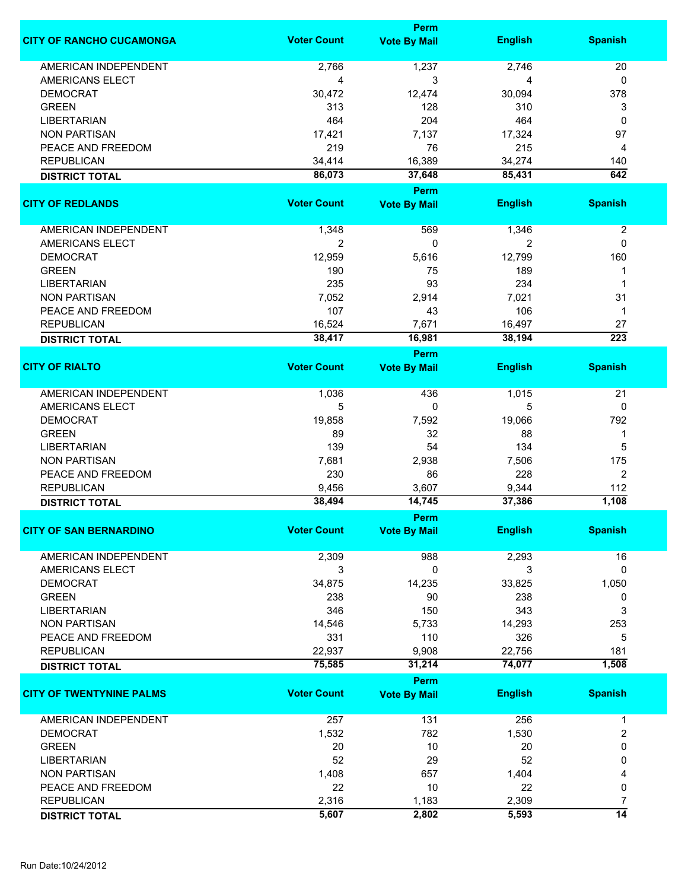|                                 |                    | Perm                               |                |                  |
|---------------------------------|--------------------|------------------------------------|----------------|------------------|
| <b>CITY OF RANCHO CUCAMONGA</b> | <b>Voter Count</b> | <b>Vote By Mail</b>                | <b>English</b> | <b>Spanish</b>   |
| <b>AMERICAN INDEPENDENT</b>     | 2,766              | 1,237                              | 2,746          | 20               |
| AMERICANS ELECT                 | 4                  | 3                                  | 4              | 0                |
| <b>DEMOCRAT</b>                 | 30,472             | 12,474                             | 30,094         | 378              |
| <b>GREEN</b>                    | 313                | 128                                | 310            | 3                |
|                                 | 464                | 204                                | 464            | $\mathbf{0}$     |
| <b>LIBERTARIAN</b>              |                    |                                    |                |                  |
| <b>NON PARTISAN</b>             | 17,421             | 7,137                              | 17,324         | 97               |
| PEACE AND FREEDOM               | 219                | 76                                 | 215            | 4                |
| <b>REPUBLICAN</b>               | 34,414             | 16,389                             | 34,274         | 140              |
| <b>DISTRICT TOTAL</b>           | 86,073             | 37,648                             | 85,431         | 642              |
|                                 |                    | Perm                               |                |                  |
| <b>CITY OF REDLANDS</b>         | <b>Voter Count</b> | <b>Vote By Mail</b>                | <b>English</b> | <b>Spanish</b>   |
| AMERICAN INDEPENDENT            | 1,348              | 569                                | 1,346          | $\boldsymbol{2}$ |
| <b>AMERICANS ELECT</b>          | $\overline{2}$     | 0                                  | $\overline{2}$ | 0                |
| <b>DEMOCRAT</b>                 | 12,959             | 5,616                              | 12,799         | 160              |
| <b>GREEN</b>                    | 190                | 75                                 | 189            | 1                |
| <b>LIBERTARIAN</b>              | 235                | 93                                 | 234            | 1                |
|                                 |                    |                                    |                |                  |
| <b>NON PARTISAN</b>             | 7,052              | 2,914                              | 7,021          | 31               |
| PEACE AND FREEDOM               | 107                | 43                                 | 106            | $\mathbf 1$      |
| <b>REPUBLICAN</b>               | 16,524             | 7,671                              | 16,497         | 27               |
| <b>DISTRICT TOTAL</b>           | 38,417             | 16,981<br>Perm                     | 38,194         | $\overline{223}$ |
| <b>CITY OF RIALTO</b>           | <b>Voter Count</b> | <b>Vote By Mail</b>                | <b>English</b> | <b>Spanish</b>   |
|                                 |                    |                                    |                |                  |
| <b>AMERICAN INDEPENDENT</b>     | 1,036              | 436                                | 1,015          | 21               |
| AMERICANS ELECT                 | 5                  | 0                                  | 5              | 0                |
| <b>DEMOCRAT</b>                 | 19,858             | 7,592                              | 19,066         | 792              |
| <b>GREEN</b>                    | 89                 | 32                                 | 88             | 1                |
| LIBERTARIAN                     | 139                | 54                                 | 134            | 5                |
| <b>NON PARTISAN</b>             | 7,681              | 2,938                              | 7,506          | 175              |
| PEACE AND FREEDOM               | 230                | 86                                 | 228            | 2                |
| <b>REPUBLICAN</b>               | 9,456              | 3,607                              | 9,344          | 112              |
|                                 | 38,494             | 14,745                             | 37,386         | 1,108            |
| <b>DISTRICT TOTAL</b>           |                    |                                    |                |                  |
| <b>CITY OF SAN BERNARDINO</b>   | <b>Voter Count</b> | <b>Perm</b><br><b>Vote By Mail</b> | <b>English</b> | <b>Spanish</b>   |
|                                 |                    |                                    |                |                  |
| AMERICAN INDEPENDENT            | 2,309              | 988                                | 2,293          | 16               |
| AMERICANS ELECT                 | 3                  | 0                                  | 3              | 0                |
| <b>DEMOCRAT</b>                 | 34,875             | 14,235                             | 33,825         | 1,050            |
| <b>GREEN</b>                    | 238                | 90                                 | 238            | 0                |
| <b>LIBERTARIAN</b>              | 346                | 150                                | 343            | 3                |
| <b>NON PARTISAN</b>             | 14,546             | 5,733                              | 14,293         | 253              |
| PEACE AND FREEDOM               | 331                | 110                                | 326            | 5                |
| <b>REPUBLICAN</b>               | 22,937             | 9,908                              | 22,756         | 181              |
| <b>DISTRICT TOTAL</b>           | 75,585             | 31,214                             | 74,077         | 1,508            |
|                                 |                    | Perm                               |                |                  |
| <b>CITY OF TWENTYNINE PALMS</b> | <b>Voter Count</b> | <b>Vote By Mail</b>                | <b>English</b> | <b>Spanish</b>   |
| <b>AMERICAN INDEPENDENT</b>     | 257                | 131                                | 256            | 1                |
| <b>DEMOCRAT</b>                 | 1,532              | 782                                | 1,530          | $\overline{2}$   |
| <b>GREEN</b>                    |                    |                                    |                | 0                |
|                                 | 20                 | 10                                 | 20             |                  |
| <b>LIBERTARIAN</b>              | 52                 | 29                                 | 52             | 0                |
| <b>NON PARTISAN</b>             | 1,408              | 657                                | 1,404          | 4                |
| PEACE AND FREEDOM               | 22                 | 10                                 | 22             | 0                |
| <b>REPUBLICAN</b>               | 2,316              | 1,183                              | 2,309          | 7                |
| <b>DISTRICT TOTAL</b>           | 5,607              | 2,802                              | 5,593          | $\overline{14}$  |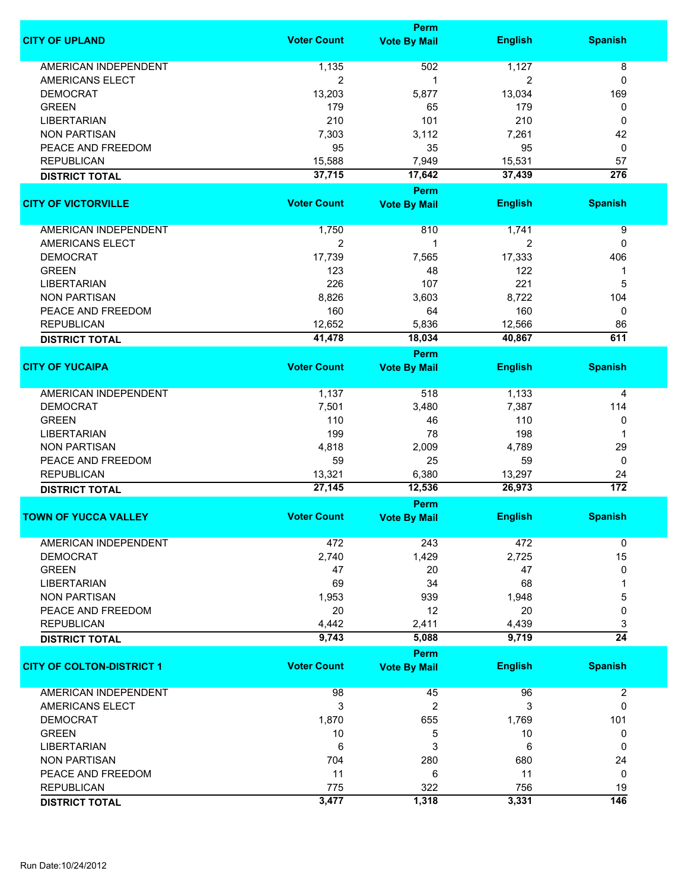|                                  |                    | Perm                |                |                  |
|----------------------------------|--------------------|---------------------|----------------|------------------|
| <b>CITY OF UPLAND</b>            | <b>Voter Count</b> | <b>Vote By Mail</b> | <b>English</b> | <b>Spanish</b>   |
| <b>AMERICAN INDEPENDENT</b>      | 1,135              | 502                 | 1,127          | 8                |
| AMERICANS ELECT                  | $\overline{2}$     | 1                   | 2              | 0                |
|                                  |                    |                     |                |                  |
| <b>DEMOCRAT</b>                  | 13,203             | 5,877               | 13,034         | 169              |
| <b>GREEN</b>                     | 179                | 65                  | 179            | 0                |
| <b>LIBERTARIAN</b>               | 210                | 101                 | 210            | $\mathbf{0}$     |
| <b>NON PARTISAN</b>              | 7,303              | 3,112               | 7,261          | 42               |
| PEACE AND FREEDOM                | 95                 | 35                  | 95             | 0                |
| <b>REPUBLICAN</b>                | 15,588             | 7,949               | 15,531         | 57               |
| <b>DISTRICT TOTAL</b>            | 37,715             | 17,642              | 37,439         | $\overline{276}$ |
|                                  |                    | Perm                |                |                  |
| <b>CITY OF VICTORVILLE</b>       | <b>Voter Count</b> | <b>Vote By Mail</b> | <b>English</b> | <b>Spanish</b>   |
| <b>AMERICAN INDEPENDENT</b>      | 1,750              | 810                 | 1,741          | 9                |
| AMERICANS ELECT                  | $\overline{2}$     | 1                   | 2              | 0                |
| <b>DEMOCRAT</b>                  | 17,739             | 7,565               | 17,333         | 406              |
| <b>GREEN</b>                     | 123                |                     | 122            |                  |
|                                  |                    | 48                  |                | 1                |
| <b>LIBERTARIAN</b>               | 226                | 107                 | 221            | 5                |
| <b>NON PARTISAN</b>              | 8,826              | 3,603               | 8,722          | 104              |
| PEACE AND FREEDOM                | 160                | 64                  | 160            | 0                |
| <b>REPUBLICAN</b>                | 12,652             | 5,836               | 12,566         | 86               |
| <b>DISTRICT TOTAL</b>            | 41,478             | 18,034              | 40,867         | 611              |
|                                  |                    | Perm                |                |                  |
| <b>CITY OF YUCAIPA</b>           | <b>Voter Count</b> | <b>Vote By Mail</b> | <b>English</b> | <b>Spanish</b>   |
|                                  |                    |                     |                |                  |
| <b>AMERICAN INDEPENDENT</b>      | 1,137              | 518                 | 1,133          | 4                |
| <b>DEMOCRAT</b>                  | 7,501              | 3,480               | 7,387          | 114              |
| <b>GREEN</b>                     | 110                | 46                  | 110            | 0                |
| LIBERTARIAN                      | 199                | 78                  | 198            | 1                |
|                                  |                    |                     |                | 29               |
| <b>NON PARTISAN</b>              | 4,818              | 2,009               | 4,789          |                  |
| PEACE AND FREEDOM                | 59                 | 25                  | 59             | 0                |
| <b>REPUBLICAN</b>                | 13,321             | 6,380               | 13,297         | 24               |
| <b>DISTRICT TOTAL</b>            | 27,145             | 12,536              | 26,973         | $\overline{172}$ |
|                                  |                    | Perm                |                |                  |
| <b>TOWN OF YUCCA VALLEY</b>      | <b>Voter Count</b> | <b>Vote By Mail</b> | <b>English</b> | <b>Spanish</b>   |
| <b>AMERICAN INDEPENDENT</b>      | 472                | 243                 | 472            | 0                |
| <b>DEMOCRAT</b>                  | 2,740              | 1,429               | 2,725          | 15               |
| <b>GREEN</b>                     | 47                 | 20                  | 47             | 0                |
| <b>LIBERTARIAN</b>               | 69                 | 34                  | 68             | 1                |
| <b>NON PARTISAN</b>              | 1,953              | 939                 | 1,948          | 5                |
| PEACE AND FREEDOM                | 20                 | 12                  |                |                  |
|                                  |                    |                     | 20             | 0                |
| <b>REPUBLICAN</b>                | 4,442              | 2,411               | 4,439          | 3                |
| <b>DISTRICT TOTAL</b>            | 9,743              | 5,088               | 9,719          | $\overline{24}$  |
|                                  |                    | Perm                |                |                  |
| <b>CITY OF COLTON-DISTRICT 1</b> | <b>Voter Count</b> | <b>Vote By Mail</b> | <b>English</b> | <b>Spanish</b>   |
| <b>AMERICAN INDEPENDENT</b>      | 98                 | 45                  | 96             | $\boldsymbol{2}$ |
| AMERICANS ELECT                  | 3                  | $\overline{2}$      | 3              | 0                |
| <b>DEMOCRAT</b>                  | 1,870              | 655                 | 1,769          | 101              |
| <b>GREEN</b>                     |                    |                     |                | 0                |
|                                  | 10                 | 5                   | 10             |                  |
| <b>LIBERTARIAN</b>               | 6                  | 3                   | 6              | 0                |
| <b>NON PARTISAN</b>              | 704                | 280                 | 680            | 24               |
| PEACE AND FREEDOM                | 11                 | 6                   | 11             | 0                |
| <b>REPUBLICAN</b>                | 775                | 322                 | 756            | 19               |
| <b>DISTRICT TOTAL</b>            | 3,477              | 1,318               | 3,331          | 146              |
|                                  |                    |                     |                |                  |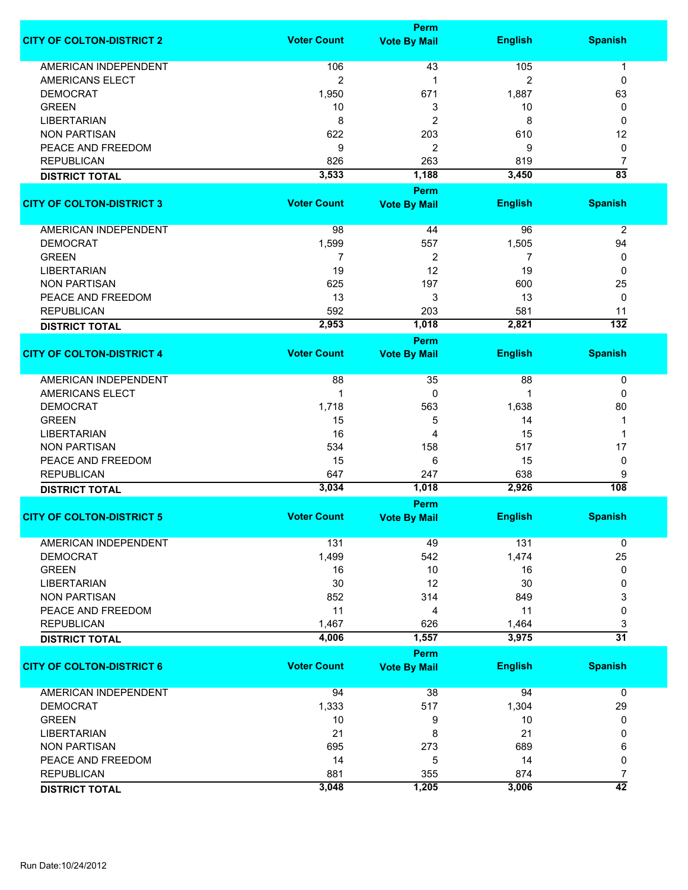|                                  |                    | Perm                |                |                  |
|----------------------------------|--------------------|---------------------|----------------|------------------|
| <b>CITY OF COLTON-DISTRICT 2</b> | <b>Voter Count</b> | <b>Vote By Mail</b> | <b>English</b> | <b>Spanish</b>   |
| <b>AMERICAN INDEPENDENT</b>      | 106                | 43                  | 105            |                  |
|                                  |                    |                     |                | 1                |
| <b>AMERICANS ELECT</b>           | 2                  | 1                   | 2              | 0                |
| <b>DEMOCRAT</b>                  | 1,950              | 671                 | 1,887          | 63               |
| <b>GREEN</b>                     | 10                 | 3                   | 10             | 0                |
| <b>LIBERTARIAN</b>               | 8                  | $\overline{2}$      | 8              | 0                |
| <b>NON PARTISAN</b>              | 622                | 203                 | 610            | 12               |
| PEACE AND FREEDOM                | 9                  | 2                   | 9              | 0                |
| <b>REPUBLICAN</b>                | 826                | 263                 | 819            | 7                |
| <b>DISTRICT TOTAL</b>            | 3,533              | 1,188               | 3,450          | $\overline{83}$  |
|                                  |                    |                     |                |                  |
|                                  |                    | <b>Perm</b>         |                |                  |
| <b>CITY OF COLTON-DISTRICT 3</b> | <b>Voter Count</b> | <b>Vote By Mail</b> | <b>English</b> | <b>Spanish</b>   |
|                                  |                    |                     |                |                  |
| AMERICAN INDEPENDENT             | 98                 | 44                  | 96             | $\overline{2}$   |
| <b>DEMOCRAT</b>                  | 1,599              | 557                 | 1,505          | 94               |
| <b>GREEN</b>                     | 7                  | $\overline{c}$      | 7              | 0                |
| <b>LIBERTARIAN</b>               | 19                 | 12                  | 19             | 0                |
| <b>NON PARTISAN</b>              | 625                | 197                 | 600            | 25               |
| PEACE AND FREEDOM                | 13                 | 3                   | 13             | 0                |
| <b>REPUBLICAN</b>                | 592                | 203                 | 581            | 11               |
| <b>DISTRICT TOTAL</b>            | 2,953              | 1,018               | 2,821          | $\overline{132}$ |
|                                  |                    | Perm                |                |                  |
| <b>CITY OF COLTON-DISTRICT 4</b> | <b>Voter Count</b> | <b>Vote By Mail</b> | <b>English</b> | <b>Spanish</b>   |
|                                  |                    |                     |                |                  |
| <b>AMERICAN INDEPENDENT</b>      | 88                 | 35                  | 88             | 0                |
| <b>AMERICANS ELECT</b>           | 1                  | 0                   | 1              | 0                |
| <b>DEMOCRAT</b>                  | 1,718              | 563                 | 1,638          | 80               |
| <b>GREEN</b>                     | 15                 | 5                   | 14             | 1                |
| <b>LIBERTARIAN</b>               | 16                 | 4                   | 15             | -1               |
|                                  |                    |                     | 517            | 17               |
| <b>NON PARTISAN</b>              | 534                | 158                 |                |                  |
| PEACE AND FREEDOM                | 15                 | 6                   | 15             | 0                |
| <b>REPUBLICAN</b>                | 647                | 247                 | 638            | 9                |
| <b>DISTRICT TOTAL</b>            | 3,034              | 1,018               | 2,926          | $\overline{108}$ |
|                                  |                    | <b>Perm</b>         |                |                  |
| <b>CITY OF COLTON-DISTRICT 5</b> | <b>Voter Count</b> | <b>Vote By Mail</b> | <b>English</b> | <b>Spanish</b>   |
|                                  |                    |                     |                |                  |
| <b>AMERICAN INDEPENDENT</b>      | 131                | 49                  | 131            | 0                |
| <b>DEMOCRAT</b>                  | 1,499              | 542                 | 1,474          | 25               |
| <b>GREEN</b>                     | 16                 | 10                  | 16             | 0                |
| <b>LIBERTARIAN</b>               | 30                 | 12                  | 30             | 0                |
| <b>NON PARTISAN</b>              | 852                | 314                 | 849            | 3                |
| PEACE AND FREEDOM                | 11                 | 4                   | 11             | 0                |
| <b>REPUBLICAN</b>                | 1,467              | 626                 | 1,464          | 3                |
| <b>DISTRICT TOTAL</b>            | 4,006              | 1,557               | 3,975          | $\overline{31}$  |
|                                  |                    | Perm                |                |                  |
| <b>CITY OF COLTON-DISTRICT 6</b> | <b>Voter Count</b> | <b>Vote By Mail</b> | <b>English</b> | <b>Spanish</b>   |
|                                  |                    |                     |                |                  |
| <b>AMERICAN INDEPENDENT</b>      | 94                 | 38                  | 94             | $\mathbf 0$      |
| <b>DEMOCRAT</b>                  | 1,333              | 517                 | 1,304          | 29               |
| <b>GREEN</b>                     | 10                 | 9                   | 10             | 0                |
| <b>LIBERTARIAN</b>               | 21                 | 8                   | 21             | 0                |
| <b>NON PARTISAN</b>              |                    | 273                 | 689            |                  |
|                                  | 695                |                     |                | 6                |
| PEACE AND FREEDOM                | 14                 | 5                   | 14             | 0                |
| <b>REPUBLICAN</b>                | 881                | 355                 | 874            | 7                |
| <b>DISTRICT TOTAL</b>            | 3,048              | 1,205               | 3,006          | $\overline{42}$  |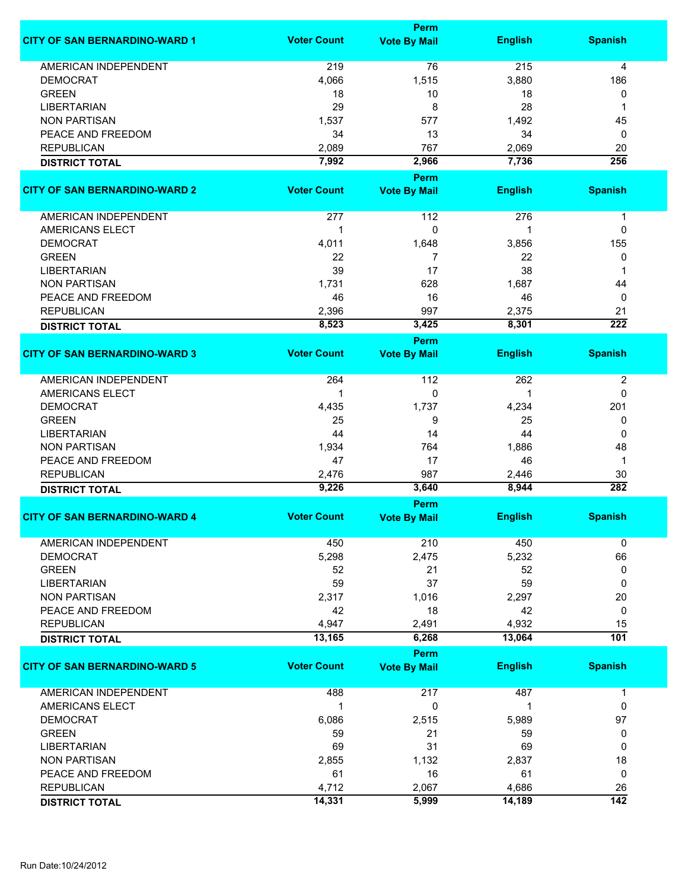|                                      |                    | <b>Perm</b>         |                |                  |
|--------------------------------------|--------------------|---------------------|----------------|------------------|
| <b>CITY OF SAN BERNARDINO-WARD 1</b> | <b>Voter Count</b> | <b>Vote By Mail</b> | <b>English</b> | <b>Spanish</b>   |
| <b>AMERICAN INDEPENDENT</b>          | 219                | 76                  | 215            | 4                |
| <b>DEMOCRAT</b>                      | 4,066              | 1,515               | 3,880          | 186              |
| <b>GREEN</b>                         | 18                 | 10                  | 18             | 0                |
| <b>LIBERTARIAN</b>                   | 29                 | 8                   | 28             | 1                |
| <b>NON PARTISAN</b>                  | 1,537              | 577                 | 1,492          | 45               |
| PEACE AND FREEDOM                    | 34                 | 13                  | 34             | 0                |
| <b>REPUBLICAN</b>                    |                    | 767                 | 2,069          |                  |
|                                      | 2,089              |                     |                | 20               |
| <b>DISTRICT TOTAL</b>                | 7,992              | 2,966               | 7,736          | 256              |
|                                      |                    | <b>Perm</b>         |                |                  |
| <b>CITY OF SAN BERNARDINO-WARD 2</b> | <b>Voter Count</b> | <b>Vote By Mail</b> | <b>English</b> | <b>Spanish</b>   |
| AMERICAN INDEPENDENT                 | 277                | 112                 | 276            | 1                |
| <b>AMERICANS ELECT</b>               | 1                  | 0                   | 1              | 0                |
| <b>DEMOCRAT</b>                      | 4,011              | 1,648               | 3,856          | 155              |
| <b>GREEN</b>                         | 22                 | $\overline{7}$      | 22             | 0                |
| <b>LIBERTARIAN</b>                   | 39                 | 17                  | 38             | 1                |
| <b>NON PARTISAN</b>                  | 1,731              | 628                 | 1,687          | 44               |
| PEACE AND FREEDOM                    | 46                 | 16                  | 46             | 0                |
| <b>REPUBLICAN</b>                    | 2,396              | 997                 | 2,375          | 21               |
| <b>DISTRICT TOTAL</b>                | 8,523              | 3,425               | 8,301          | $\overline{222}$ |
|                                      |                    | <b>Perm</b>         |                |                  |
| <b>CITY OF SAN BERNARDINO-WARD 3</b> | <b>Voter Count</b> | <b>Vote By Mail</b> | <b>English</b> | <b>Spanish</b>   |
| AMERICAN INDEPENDENT                 | 264                | 112                 | 262            | $\overline{c}$   |
| <b>AMERICANS ELECT</b>               | $\mathbf 1$        | 0                   |                | 0                |
|                                      |                    |                     |                |                  |
| <b>DEMOCRAT</b>                      | 4,435              | 1,737               | 4,234          | 201              |
| <b>GREEN</b>                         | 25                 | 9                   | 25             | 0                |
| <b>LIBERTARIAN</b>                   | 44                 | 14                  | 44             | 0                |
| <b>NON PARTISAN</b>                  | 1,934              | 764                 | 1,886          | 48               |
| PEACE AND FREEDOM                    | 47                 | 17                  | 46             | 1                |
| <b>REPUBLICAN</b>                    | 2,476              | 987                 | 2,446          | 30               |
| <b>DISTRICT TOTAL</b>                | 9,226              | 3,640               | 8,944          | 282              |
|                                      |                    | Perm                |                |                  |
| <b>CITY OF SAN BERNARDINO-WARD 4</b> | <b>Voter Count</b> | <b>Vote By Mail</b> | <b>English</b> | <b>Spanish</b>   |
| AMERICAN INDEPENDENT                 | 450                | 210                 | 450            | 0                |
| <b>DEMOCRAT</b>                      | 5,298              | 2,475               | 5,232          | 66               |
| <b>GREEN</b>                         | 52                 | 21                  | 52             | 0                |
| <b>LIBERTARIAN</b>                   | 59                 | 37                  | 59             | 0                |
| <b>NON PARTISAN</b>                  | 2,317              | 1,016               | 2,297          | 20               |
| PEACE AND FREEDOM                    | 42                 | 18                  | 42             | 0                |
| <b>REPUBLICAN</b>                    | 4,947              | 2,491               | 4,932          | 15               |
| <b>DISTRICT TOTAL</b>                | 13,165             | 6,268               | 13,064         | $\overline{101}$ |
|                                      |                    | <b>Perm</b>         |                |                  |
| <b>CITY OF SAN BERNARDINO-WARD 5</b> | <b>Voter Count</b> | <b>Vote By Mail</b> | <b>English</b> | <b>Spanish</b>   |
| <b>AMERICAN INDEPENDENT</b>          | 488                | 217                 | 487            | $\mathbf{1}$     |
| AMERICANS ELECT                      | $\mathbf 1$        | 0                   | 1              | 0                |
| <b>DEMOCRAT</b>                      | 6,086              | 2,515               | 5,989          | 97               |
| <b>GREEN</b>                         | 59                 | 21                  | 59             | 0                |
| <b>LIBERTARIAN</b>                   | 69                 | 31                  | 69             | 0                |
| <b>NON PARTISAN</b>                  | 2,855              | 1,132               | 2,837          | 18               |
| PEACE AND FREEDOM                    | 61                 | 16                  | 61             | 0                |
| <b>REPUBLICAN</b>                    | 4,712              | 2,067               | 4,686          | 26               |
| <b>DISTRICT TOTAL</b>                | 14,331             | 5,999               | 14,189         | $\overline{142}$ |
|                                      |                    |                     |                |                  |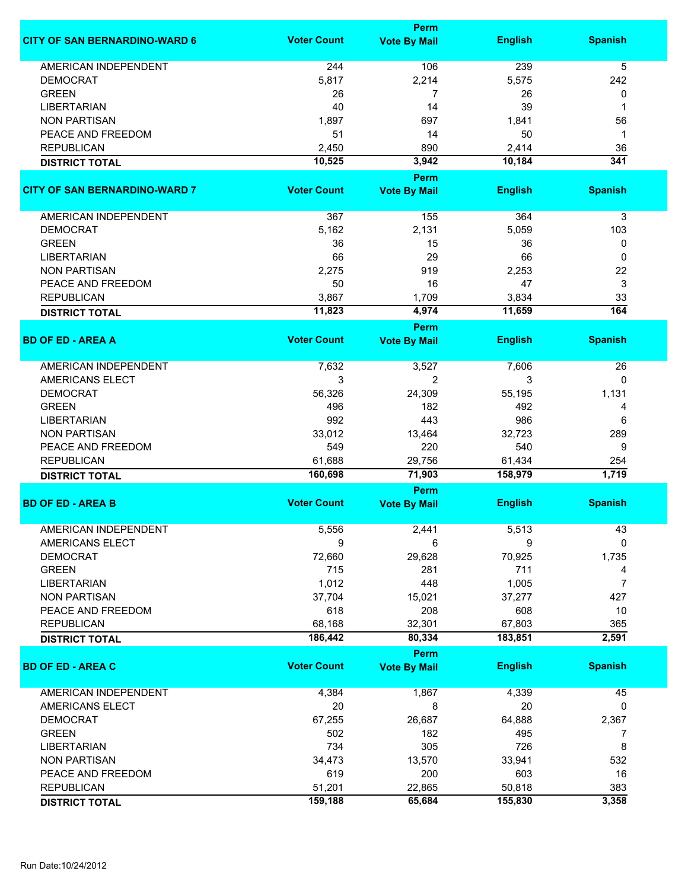|                                      |                    | <b>Perm</b>                        |                |                  |
|--------------------------------------|--------------------|------------------------------------|----------------|------------------|
| <b>CITY OF SAN BERNARDINO-WARD 6</b> | <b>Voter Count</b> | <b>Vote By Mail</b>                | <b>English</b> | <b>Spanish</b>   |
| <b>AMERICAN INDEPENDENT</b>          | 244                | 106                                | 239            | 5                |
| <b>DEMOCRAT</b>                      | 5,817              | 2,214                              | 5,575          | 242              |
| <b>GREEN</b>                         | 26                 | 7                                  | 26             | 0                |
| <b>LIBERTARIAN</b>                   | 40                 | 14                                 | 39             | 1                |
| <b>NON PARTISAN</b>                  | 1,897              | 697                                | 1,841          | 56               |
| PEACE AND FREEDOM                    | 51                 | 14                                 | 50             | 1                |
| <b>REPUBLICAN</b>                    | 2,450              | 890                                | 2,414          | 36               |
|                                      | 10,525             | 3,942                              | 10,184         | 341              |
| <b>DISTRICT TOTAL</b>                |                    |                                    |                |                  |
| <b>CITY OF SAN BERNARDINO-WARD 7</b> | <b>Voter Count</b> | <b>Perm</b><br><b>Vote By Mail</b> | <b>English</b> | <b>Spanish</b>   |
| AMERICAN INDEPENDENT                 | 367                | 155                                | 364            | 3                |
| <b>DEMOCRAT</b>                      | 5,162              | 2,131                              | 5,059          | 103              |
| <b>GREEN</b>                         | 36                 | 15                                 | 36             | 0                |
| <b>LIBERTARIAN</b>                   | 66                 | 29                                 | 66             | 0                |
| <b>NON PARTISAN</b>                  | 2,275              | 919                                | 2,253          | 22               |
| PEACE AND FREEDOM                    | 50                 | 16                                 | 47             | 3                |
| <b>REPUBLICAN</b>                    | 3,867              | 1,709                              | 3,834          | 33               |
|                                      | 11,823             | 4,974                              | 11,659         | $\overline{164}$ |
| <b>DISTRICT TOTAL</b>                |                    |                                    |                |                  |
|                                      |                    | <b>Perm</b>                        |                |                  |
| <b>BD OF ED - AREA A</b>             | <b>Voter Count</b> | <b>Vote By Mail</b>                | <b>English</b> | <b>Spanish</b>   |
| <b>AMERICAN INDEPENDENT</b>          | 7,632              | 3,527                              | 7,606          | 26               |
| <b>AMERICANS ELECT</b>               | 3                  | 2                                  | 3              | 0                |
| <b>DEMOCRAT</b>                      | 56,326             | 24,309                             | 55,195         | 1,131            |
| <b>GREEN</b>                         | 496                | 182                                | 492            | 4                |
| <b>LIBERTARIAN</b>                   | 992                | 443                                | 986            | 6                |
| <b>NON PARTISAN</b>                  | 33,012             | 13,464                             | 32,723         | 289              |
| PEACE AND FREEDOM                    | 549                | 220                                | 540            | 9                |
| <b>REPUBLICAN</b>                    | 61,688             | 29,756                             | 61,434         | 254              |
| <b>DISTRICT TOTAL</b>                | 160,698            | 71,903                             | 158,979        | 1,719            |
|                                      |                    | <b>Perm</b>                        |                |                  |
| <b>BD OF ED - AREA B</b>             | <b>Voter Count</b> | <b>Vote By Mail</b>                | <b>English</b> | <b>Spanish</b>   |
| <b>AMERICAN INDEPENDENT</b>          |                    |                                    | 5,513          | 43               |
| AMERICANS ELECT                      | 5,556<br>9         | 2,441<br>6                         | 9              | 0                |
| <b>DEMOCRAT</b>                      | 72,660             | 29,628                             | 70,925         | 1,735            |
| <b>GREEN</b>                         | 715                | 281                                | 711            | 4                |
| <b>LIBERTARIAN</b>                   | 1,012              | 448                                | 1,005          | $\overline{7}$   |
| <b>NON PARTISAN</b>                  | 37,704             | 15,021                             | 37,277         | 427              |
| PEACE AND FREEDOM                    | 618                | 208                                | 608            | 10               |
| <b>REPUBLICAN</b>                    | 68,168             | 32,301                             | 67,803         | 365              |
|                                      | 186,442            |                                    | 183,851        | 2,591            |
| <b>DISTRICT TOTAL</b>                |                    | 80,334                             |                |                  |
|                                      |                    | <b>Perm</b>                        |                |                  |
| <b>BD OF ED - AREA C</b>             | <b>Voter Count</b> | <b>Vote By Mail</b>                | <b>English</b> | <b>Spanish</b>   |
| AMERICAN INDEPENDENT                 | 4,384              | 1,867                              | 4,339          | 45               |
| AMERICANS ELECT                      | 20                 | 8                                  | 20             | 0                |
| <b>DEMOCRAT</b>                      | 67,255             | 26,687                             | 64,888         | 2,367            |
| <b>GREEN</b>                         | 502                | 182                                | 495            | 7                |
| <b>LIBERTARIAN</b>                   | 734                | 305                                | 726            | 8                |
| <b>NON PARTISAN</b>                  | 34,473             | 13,570                             | 33,941         | 532              |
| PEACE AND FREEDOM                    | 619                | 200                                | 603            | 16               |
| <b>REPUBLICAN</b>                    | 51,201             | 22,865                             | 50,818         | 383              |
| <b>DISTRICT TOTAL</b>                | 159,188            | 65,684                             | 155,830        | 3,358            |
|                                      |                    |                                    |                |                  |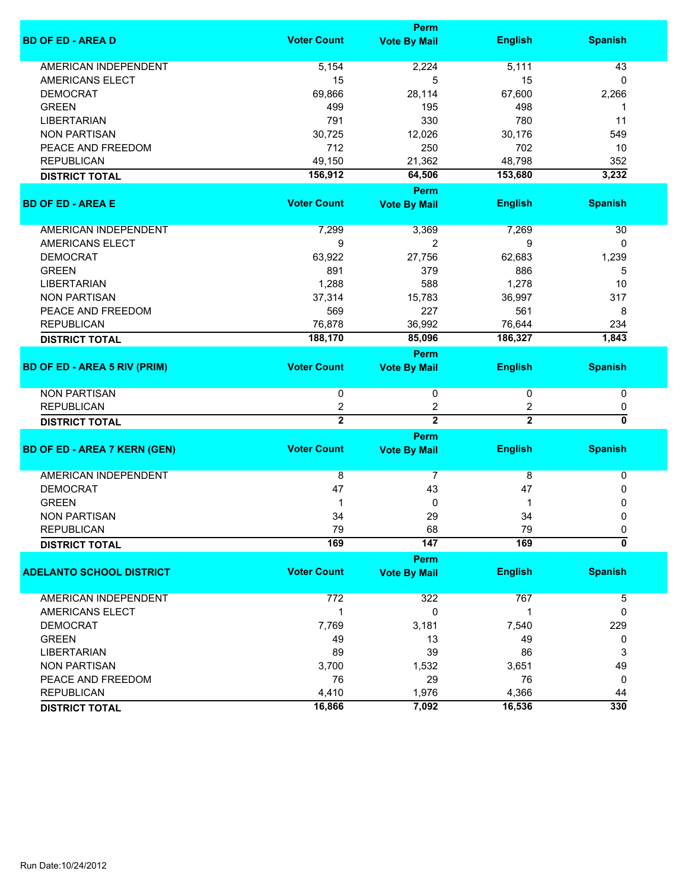|                                     |                    | <b>Perm</b>         |                |                           |
|-------------------------------------|--------------------|---------------------|----------------|---------------------------|
| <b>BD OF ED - AREA D</b>            | <b>Voter Count</b> | <b>Vote By Mail</b> | <b>English</b> | <b>Spanish</b>            |
| <b>AMERICAN INDEPENDENT</b>         | 5,154              | 2,224               | 5,111          | 43                        |
| AMERICANS ELECT                     | 15                 | 5                   | 15             | 0                         |
| <b>DEMOCRAT</b>                     | 69,866             | 28,114              | 67,600         | 2,266                     |
| <b>GREEN</b>                        | 499                | 195                 | 498            | 1                         |
| <b>LIBERTARIAN</b>                  | 791                | 330                 | 780            | 11                        |
| <b>NON PARTISAN</b>                 | 30,725             | 12,026              | 30,176         | 549                       |
| PEACE AND FREEDOM                   | 712                | 250                 | 702            | 10                        |
| <b>REPUBLICAN</b>                   | 49,150             | 21,362              | 48,798         | 352                       |
| <b>DISTRICT TOTAL</b>               | 156,912            | 64,506              | 153,680        | 3,232                     |
|                                     |                    | <b>Perm</b>         |                |                           |
| <b>BD OF ED - AREA E</b>            | <b>Voter Count</b> | <b>Vote By Mail</b> | <b>English</b> | <b>Spanish</b>            |
| AMERICAN INDEPENDENT                | 7,299              | 3,369               | 7,269          | 30                        |
| <b>AMERICANS ELECT</b>              | 9                  | $\overline{2}$      | 9              | 0                         |
| <b>DEMOCRAT</b>                     | 63,922             | 27,756              | 62,683         | 1,239                     |
| <b>GREEN</b>                        | 891                | 379                 | 886            | 5                         |
|                                     |                    | 588                 |                | 10                        |
| <b>LIBERTARIAN</b>                  | 1,288              |                     | 1,278          |                           |
| <b>NON PARTISAN</b>                 | 37,314             | 15,783              | 36,997         | 317                       |
| PEACE AND FREEDOM                   | 569                | 227                 | 561            | 8                         |
| <b>REPUBLICAN</b>                   | 76,878             | 36,992              | 76,644         | 234                       |
| <b>DISTRICT TOTAL</b>               | 188,170            | 85,096              | 186,327        | 1,843                     |
|                                     |                    | <b>Perm</b>         |                |                           |
| <b>BD OF ED - AREA 5 RIV (PRIM)</b> | <b>Voter Count</b> | <b>Vote By Mail</b> | <b>English</b> | <b>Spanish</b>            |
| <b>NON PARTISAN</b>                 | 0                  | 0                   | 0              | 0                         |
| <b>REPUBLICAN</b>                   | 2                  | 2                   | 2              | 0                         |
| <b>DISTRICT TOTAL</b>               | $\overline{2}$     | $\overline{2}$      | $\overline{2}$ | 0                         |
|                                     |                    | <b>Perm</b>         |                |                           |
| <b>BD OF ED - AREA 7 KERN (GEN)</b> | <b>Voter Count</b> | <b>Vote By Mail</b> | <b>English</b> | <b>Spanish</b>            |
| <b>AMERICAN INDEPENDENT</b>         | 8                  | 7                   | 8              | 0                         |
| <b>DEMOCRAT</b>                     | 47                 | 43                  | 47             | 0                         |
| <b>GREEN</b>                        | 1                  | 0                   |                | 0                         |
| <b>NON PARTISAN</b>                 | 34                 | 29                  | 34             | $\mathbf 0$               |
| REPUBLICAN                          | 79                 | 68                  | 79             | 0                         |
| <b>DISTRICT TOTAL</b>               | 169                | 147                 | 169            | $\overline{\mathfrak{o}}$ |
|                                     |                    | Perm                |                |                           |
| <b>ADELANTO SCHOOL DISTRICT</b>     | <b>Voter Count</b> | <b>Vote By Mail</b> | <b>English</b> | <b>Spanish</b>            |
| AMERICAN INDEPENDENT                | 772                | 322                 | 767            | 5                         |
| AMERICANS ELECT                     | 1                  | $\mathbf 0$         | 1              | 0                         |
| <b>DEMOCRAT</b>                     | 7,769              | 3,181               | 7,540          | 229                       |
| <b>GREEN</b>                        | 49                 | 13                  | 49             | 0                         |
| <b>LIBERTARIAN</b>                  | 89                 | 39                  | 86             | 3                         |
| <b>NON PARTISAN</b>                 | 3,700              | 1,532               | 3,651          | 49                        |
| PEACE AND FREEDOM                   | 76                 | 29                  | 76             | 0                         |
| <b>REPUBLICAN</b>                   | 4,410              | 1,976               | 4,366          | 44                        |
|                                     | 16,866             | 7,092               | 16,536         | 330                       |
| <b>DISTRICT TOTAL</b>               |                    |                     |                |                           |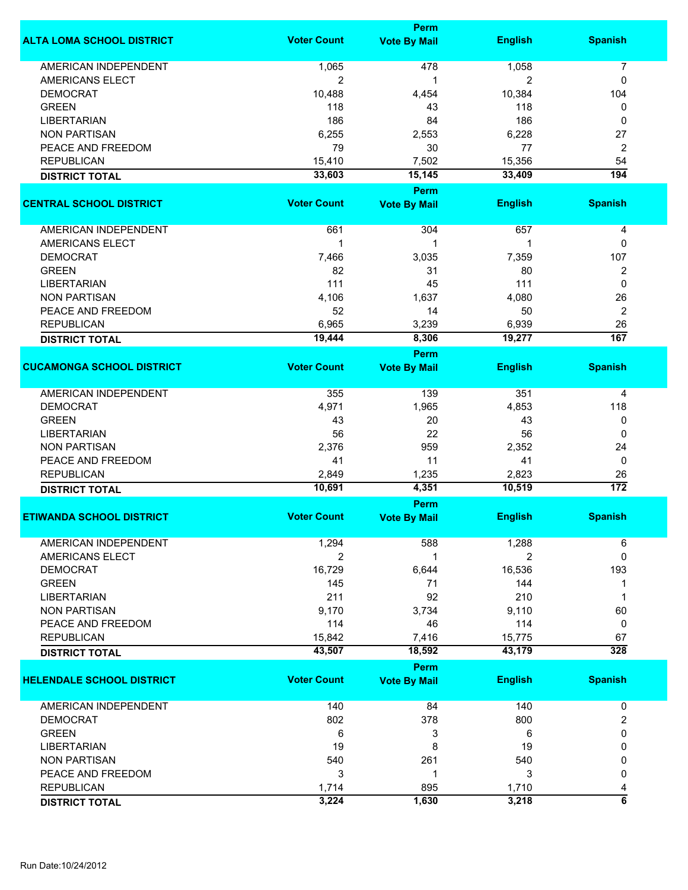|                                  |                    | <b>Perm</b>         |                |                          |
|----------------------------------|--------------------|---------------------|----------------|--------------------------|
| <b>ALTA LOMA SCHOOL DISTRICT</b> | <b>Voter Count</b> | <b>Vote By Mail</b> | <b>English</b> | <b>Spanish</b>           |
| <b>AMERICAN INDEPENDENT</b>      | 1,065              | 478                 | 1,058          | $\overline{7}$           |
| AMERICANS ELECT                  | $\overline{c}$     | 1                   | 2              | 0                        |
| <b>DEMOCRAT</b>                  | 10,488             | 4,454               | 10,384         | 104                      |
| <b>GREEN</b>                     | 118                | 43                  | 118            | 0                        |
| <b>LIBERTARIAN</b>               | 186                | 84                  | 186            | 0                        |
| <b>NON PARTISAN</b>              | 6,255              | 2,553               | 6,228          | 27                       |
| PEACE AND FREEDOM                | 79                 | 30                  | 77             | 2                        |
| <b>REPUBLICAN</b>                | 15,410             | 7,502               | 15,356         | 54                       |
|                                  | 33,603             |                     |                | 194                      |
| <b>DISTRICT TOTAL</b>            |                    | 15,145              | 33,409         |                          |
|                                  |                    | <b>Perm</b>         |                |                          |
| <b>CENTRAL SCHOOL DISTRICT</b>   | <b>Voter Count</b> | <b>Vote By Mail</b> | <b>English</b> | <b>Spanish</b>           |
| AMERICAN INDEPENDENT             | 661                | 304                 | 657            | 4                        |
| <b>AMERICANS ELECT</b>           | $\mathbf{1}$       | 1                   |                | 0                        |
| <b>DEMOCRAT</b>                  | 7,466              | 3,035               | 7,359          | 107                      |
| <b>GREEN</b>                     | 82                 | 31                  | 80             | 2                        |
| <b>LIBERTARIAN</b>               | 111                | 45                  | 111            | $\mathbf 0$              |
| <b>NON PARTISAN</b>              | 4,106              | 1,637               | 4,080          | 26                       |
| PEACE AND FREEDOM                | 52                 | 14                  | 50             | $\overline{2}$           |
| <b>REPUBLICAN</b>                | 6,965              | 3,239               | 6,939          | 26                       |
| <b>DISTRICT TOTAL</b>            | 19,444             | 8,306               | 19,277         | 167                      |
|                                  |                    |                     |                |                          |
|                                  | <b>Voter Count</b> | <b>Perm</b>         |                |                          |
| <b>CUCAMONGA SCHOOL DISTRICT</b> |                    | <b>Vote By Mail</b> | <b>English</b> | <b>Spanish</b>           |
| AMERICAN INDEPENDENT             | 355                | 139                 | 351            | 4                        |
| <b>DEMOCRAT</b>                  | 4,971              | 1,965               | 4,853          | 118                      |
| <b>GREEN</b>                     | 43                 | 20                  | 43             | 0                        |
| <b>LIBERTARIAN</b>               | 56                 | 22                  | 56             | 0                        |
| <b>NON PARTISAN</b>              | 2,376              | 959                 | 2,352          | 24                       |
| PEACE AND FREEDOM                | 41                 | 11                  | 41             | 0                        |
| <b>REPUBLICAN</b>                | 2,849              | 1,235               | 2,823          | 26                       |
| <b>DISTRICT TOTAL</b>            | 10,691             | 4,351               | 10,519         | $\overline{172}$         |
|                                  |                    | Perm                |                |                          |
| <b>ETIWANDA SCHOOL DISTRICT</b>  | <b>Voter Count</b> | <b>Vote By Mail</b> | <b>English</b> | <b>Spanish</b>           |
|                                  |                    |                     |                |                          |
| AMERICAN INDEPENDENT             | 1,294              | 588                 | 1,288          | 6                        |
| AMERICANS ELECT                  | 2                  | 1                   | 2              | $\mathbf{0}$             |
| <b>DEMOCRAT</b>                  | 16,729             | 6,644               | 16,536         | 193                      |
| <b>GREEN</b>                     | 145                | 71                  | 144            | 1                        |
| <b>LIBERTARIAN</b>               | 211                | 92                  | 210            | 1                        |
| <b>NON PARTISAN</b>              | 9,170              | 3,734               | 9,110          | 60                       |
| PEACE AND FREEDOM                | 114                | 46                  | 114            | 0                        |
| <b>REPUBLICAN</b>                | 15,842             | 7,416               | 15,775         | 67                       |
| <b>DISTRICT TOTAL</b>            | 43,507             | 18,592              | 43,179         | 328                      |
|                                  |                    | Perm                |                |                          |
| <b>HELENDALE SCHOOL DISTRICT</b> | <b>Voter Count</b> | <b>Vote By Mail</b> | <b>English</b> | <b>Spanish</b>           |
| <b>AMERICAN INDEPENDENT</b>      | 140                | 84                  | 140            | 0                        |
| <b>DEMOCRAT</b>                  | 802                | 378                 | 800            | $\overline{2}$           |
| <b>GREEN</b>                     | 6                  | 3                   | 6              | 0                        |
| <b>LIBERTARIAN</b>               | 19                 | 8                   | 19             | 0                        |
| <b>NON PARTISAN</b>              | 540                | 261                 | 540            | 0                        |
| PEACE AND FREEDOM                | 3                  | 1                   | 3              | 0                        |
| <b>REPUBLICAN</b>                | 1,714              | 895                 | 1,710          |                          |
|                                  | 3,224              | 1,630               |                | 4<br>$\overline{\bf{6}}$ |
| <b>DISTRICT TOTAL</b>            |                    |                     | 3,218          |                          |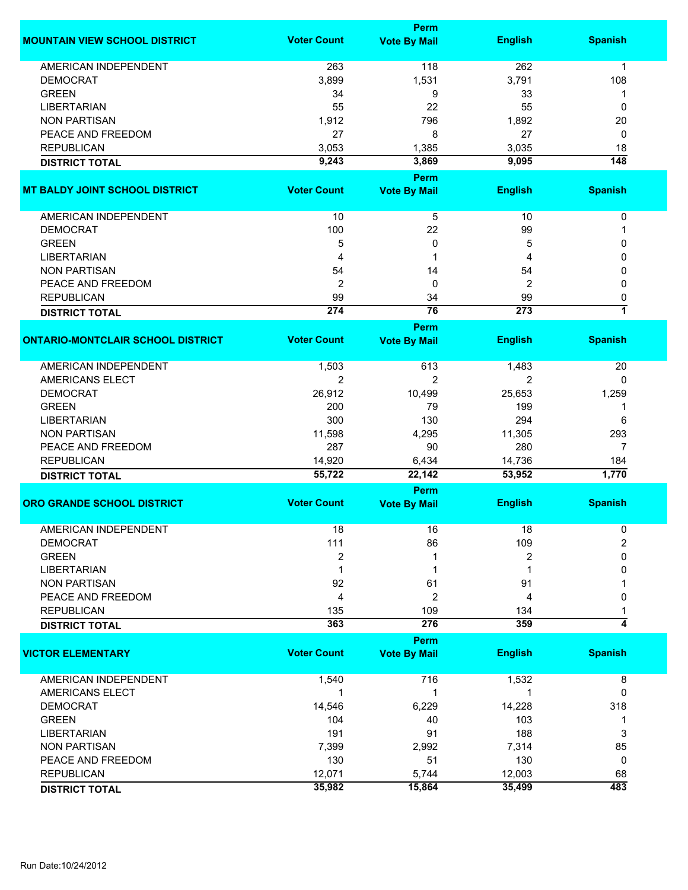|                                          |                    | <b>Perm</b>         |                  |                         |
|------------------------------------------|--------------------|---------------------|------------------|-------------------------|
| <b>MOUNTAIN VIEW SCHOOL DISTRICT</b>     | <b>Voter Count</b> | <b>Vote By Mail</b> | <b>English</b>   | <b>Spanish</b>          |
| AMERICAN INDEPENDENT                     | 263                | 118                 | 262              | $\mathbf{1}$            |
| <b>DEMOCRAT</b>                          | 3,899              | 1,531               | 3,791            | 108                     |
| <b>GREEN</b>                             | 34                 | 9                   | 33               | 1                       |
| LIBERTARIAN                              | 55                 | 22                  | 55               | 0                       |
| <b>NON PARTISAN</b>                      | 1,912              | 796                 | 1,892            | 20                      |
| PEACE AND FREEDOM                        | 27                 | 8                   | 27               | 0                       |
| <b>REPUBLICAN</b>                        | 3,053              | 1,385               | 3,035            | 18                      |
|                                          | 9,243              | 3,869               | 9,095            | $\overline{148}$        |
| <b>DISTRICT TOTAL</b>                    |                    | Perm                |                  |                         |
| <b>MT BALDY JOINT SCHOOL DISTRICT</b>    | <b>Voter Count</b> | <b>Vote By Mail</b> | <b>English</b>   | <b>Spanish</b>          |
|                                          |                    |                     |                  |                         |
| AMERICAN INDEPENDENT                     | 10                 | 5                   | 10               | 0                       |
| <b>DEMOCRAT</b>                          | 100                | 22                  | 99               | 1                       |
| <b>GREEN</b>                             | 5                  | 0                   | 5                | 0                       |
| <b>LIBERTARIAN</b>                       | 4                  | 1                   | 4                | 0                       |
| <b>NON PARTISAN</b>                      | 54                 | 14                  | 54               | 0                       |
| PEACE AND FREEDOM                        | $\overline{2}$     | 0                   | 2                | 0                       |
| <b>REPUBLICAN</b>                        | 99                 | 34                  | 99               | 0                       |
| <b>DISTRICT TOTAL</b>                    | 274                | $\overline{76}$     | $\overline{273}$ | $\overline{\mathbf{1}}$ |
|                                          |                    | Perm                |                  |                         |
| <b>ONTARIO-MONTCLAIR SCHOOL DISTRICT</b> | <b>Voter Count</b> | <b>Vote By Mail</b> | <b>English</b>   | <b>Spanish</b>          |
| <b>AMERICAN INDEPENDENT</b>              | 1,503              | 613                 | 1,483            | 20                      |
| AMERICANS ELECT                          | 2                  | $\overline{2}$      | 2                | 0                       |
| <b>DEMOCRAT</b>                          | 26,912             | 10,499              | 25,653           | 1,259                   |
| <b>GREEN</b>                             | 200                | 79                  | 199              | 1                       |
| <b>LIBERTARIAN</b>                       | 300                | 130                 | 294              | 6                       |
| <b>NON PARTISAN</b>                      | 11,598             | 4,295               | 11,305           | 293                     |
| PEACE AND FREEDOM                        | 287                | 90                  | 280              | 7                       |
| <b>REPUBLICAN</b>                        | 14,920             | 6,434               | 14,736           | 184                     |
| <b>DISTRICT TOTAL</b>                    | 55,722             | 22,142              | 53,952           | 1,770                   |
|                                          |                    | <b>Perm</b>         |                  |                         |
| <b>ORO GRANDE SCHOOL DISTRICT</b>        | <b>Voter Count</b> | <b>Vote By Mail</b> | <b>English</b>   | <b>Spanish</b>          |
| <b>AMERICAN INDEPENDENT</b>              | 18                 | 16                  | 18               | 0                       |
| <b>DEMOCRAT</b>                          | 111                | 86                  | 109              | $\overline{2}$          |
| <b>GREEN</b>                             | 2                  |                     | 2                | 0                       |
| <b>LIBERTARIAN</b>                       |                    |                     |                  | 0                       |
| <b>NON PARTISAN</b>                      | 92                 | 61                  | 91               |                         |
| PEACE AND FREEDOM                        | 4                  | $\overline{c}$      | 4                | 0                       |
| <b>REPUBLICAN</b>                        | 135                | 109                 | 134              |                         |
| <b>DISTRICT TOTAL</b>                    | 363                | 276                 | 359              | 4                       |
|                                          |                    | Perm                |                  |                         |
| <b>VICTOR ELEMENTARY</b>                 | <b>Voter Count</b> | <b>Vote By Mail</b> | <b>English</b>   | <b>Spanish</b>          |
| <b>AMERICAN INDEPENDENT</b>              | 1,540              | 716                 | 1,532            | 8                       |
| AMERICANS ELECT                          | 1                  | 1                   | 1                | 0                       |
| <b>DEMOCRAT</b>                          | 14,546             | 6,229               | 14,228           | 318                     |
| <b>GREEN</b>                             | 104                | 40                  | 103              | 1                       |
| <b>LIBERTARIAN</b>                       | 191                | 91                  | 188              | 3                       |
| <b>NON PARTISAN</b>                      | 7,399              | 2,992               | 7,314            | 85                      |
| PEACE AND FREEDOM                        | 130                | 51                  | 130              | 0                       |
| <b>REPUBLICAN</b>                        | 12,071             | 5,744               | 12,003           | 68                      |
| <b>DISTRICT TOTAL</b>                    | 35,982             | 15,864              | 35,499           | 483                     |
|                                          |                    |                     |                  |                         |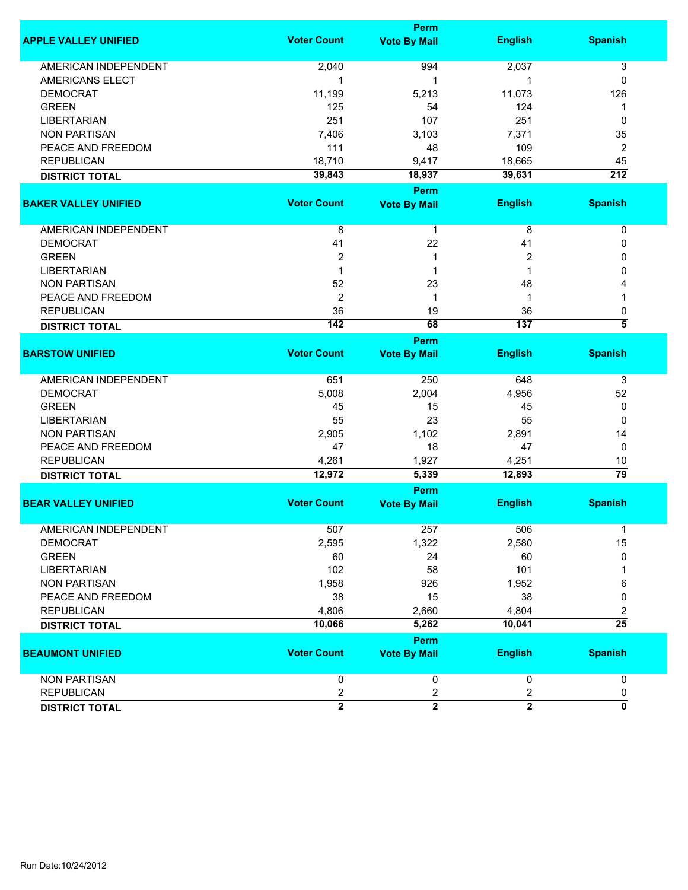|                             |                    | <b>Perm</b>             |                |                    |
|-----------------------------|--------------------|-------------------------|----------------|--------------------|
| <b>APPLE VALLEY UNIFIED</b> | <b>Voter Count</b> | <b>Vote By Mail</b>     | <b>English</b> | <b>Spanish</b>     |
| <b>AMERICAN INDEPENDENT</b> | 2,040              | 994                     | 2,037          | 3                  |
| <b>AMERICANS ELECT</b>      | 1                  | 1                       | 1              | 0                  |
| <b>DEMOCRAT</b>             | 11,199             | 5,213                   | 11,073         | 126                |
| <b>GREEN</b>                | 125                | 54                      | 124            | 1                  |
| <b>LIBERTARIAN</b>          | 251                | 107                     | 251            | 0                  |
| <b>NON PARTISAN</b>         | 7,406              | 3,103                   | 7,371          | 35                 |
| PEACE AND FREEDOM           | 111                | 48                      | 109            | 2                  |
| <b>REPUBLICAN</b>           | 18,710             | 9,417                   | 18,665         | 45                 |
| <b>DISTRICT TOTAL</b>       | 39,843             | 18,937                  | 39,631         | $\overline{212}$   |
|                             |                    | <b>Perm</b>             |                |                    |
| <b>BAKER VALLEY UNIFIED</b> | <b>Voter Count</b> | <b>Vote By Mail</b>     | <b>English</b> | <b>Spanish</b>     |
| AMERICAN INDEPENDENT        | 8                  | $\mathbf{1}$            | 8              | 0                  |
| <b>DEMOCRAT</b>             | 41                 | 22                      | 41             | 0                  |
| <b>GREEN</b>                | $\overline{c}$     | 1                       | 2              | 0                  |
| <b>LIBERTARIAN</b>          | 1                  | 1                       | 1              | 0                  |
| <b>NON PARTISAN</b>         | 52                 | 23                      | 48             | 4                  |
| PEACE AND FREEDOM           | $\overline{2}$     | 1                       | 1              |                    |
| <b>REPUBLICAN</b>           | 36                 | 19                      | 36             | 0                  |
| <b>DISTRICT TOTAL</b>       | $\overline{142}$   | 68                      | 137            | $\overline{\bf 5}$ |
|                             |                    | <b>Perm</b>             |                |                    |
| <b>BARSTOW UNIFIED</b>      | <b>Voter Count</b> | <b>Vote By Mail</b>     | <b>English</b> | <b>Spanish</b>     |
|                             |                    |                         |                |                    |
| <b>AMERICAN INDEPENDENT</b> | 651                | 250                     | 648            | 3                  |
| <b>DEMOCRAT</b>             | 5,008              | 2,004                   | 4,956          | 52                 |
| <b>GREEN</b>                | 45                 | 15                      | 45             | 0                  |
| <b>LIBERTARIAN</b>          | 55                 | 23                      | 55             | 0                  |
| <b>NON PARTISAN</b>         | 2,905              | 1,102                   | 2,891          | 14                 |
| PEACE AND FREEDOM           | 47                 | 18                      | 47             | 0                  |
| <b>REPUBLICAN</b>           | 4,261              | 1,927                   | 4,251          | 10                 |
| <b>DISTRICT TOTAL</b>       | 12,972             | 5,339                   | 12,893         | 79                 |
|                             |                    | <b>Perm</b>             |                |                    |
| <b>BEAR VALLEY UNIFIED</b>  | <b>Voter Count</b> | <b>Vote By Mail</b>     | <b>English</b> | <b>Spanish</b>     |
|                             |                    |                         |                |                    |
| AMERICAN INDEPENDENT        | 507                | 257                     | 506            | 1                  |
| <b>DEMOCRAT</b>             | 2,595              | 1,322                   | 2,580          | 15                 |
| <b>GREEN</b>                | 60                 | 24                      | 60             | 0                  |
| <b>LIBERTARIAN</b>          | 102                | 58                      | 101            |                    |
| <b>NON PARTISAN</b>         | 1,958              | 926                     | 1,952          | 6                  |
| PEACE AND FREEDOM           | 38                 | 15                      | 38             | 0                  |
| <b>REPUBLICAN</b>           | 4,806              | 2,660                   | 4,804          | 2                  |
| <b>DISTRICT TOTAL</b>       | 10,066             | 5,262                   | 10,041         | $\overline{25}$    |
|                             |                    | Perm                    |                |                    |
| <b>BEAUMONT UNIFIED</b>     | <b>Voter Count</b> | <b>Vote By Mail</b>     | <b>English</b> | <b>Spanish</b>     |
| <b>NON PARTISAN</b>         | 0                  | 0                       | 0              | 0                  |
| <b>REPUBLICAN</b>           | $\overline{c}$     | $\overline{\mathbf{c}}$ | 2              | 0                  |
| <b>DISTRICT TOTAL</b>       | $\overline{2}$     | $\overline{2}$          | $\overline{2}$ | Ō                  |
|                             |                    |                         |                |                    |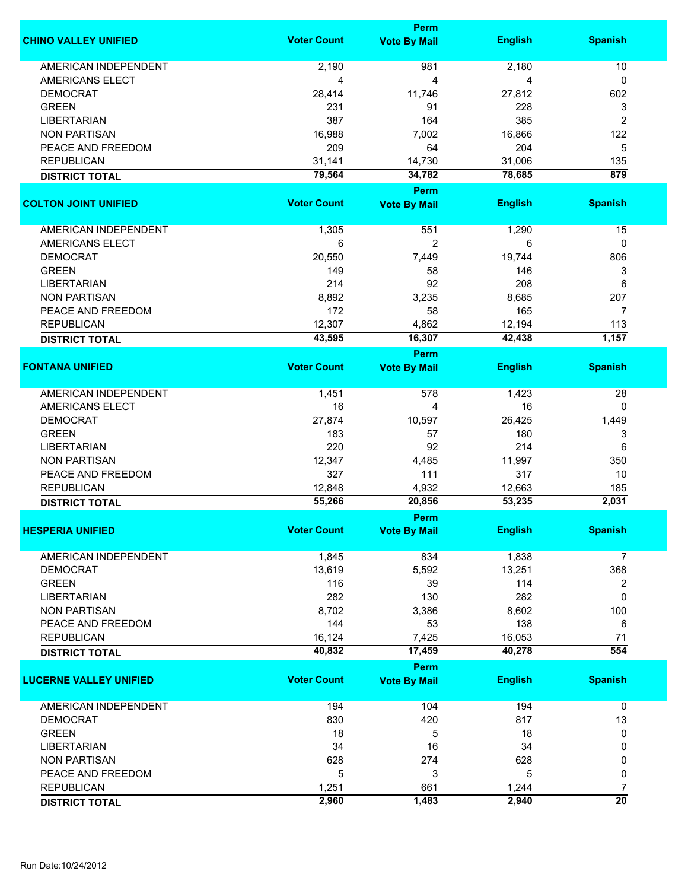|                               |                    | Perm                |                |                  |
|-------------------------------|--------------------|---------------------|----------------|------------------|
| <b>CHINO VALLEY UNIFIED</b>   | <b>Voter Count</b> | <b>Vote By Mail</b> | <b>English</b> | <b>Spanish</b>   |
|                               |                    |                     |                |                  |
| <b>AMERICAN INDEPENDENT</b>   | 2,190              | 981                 | 2,180          | 10               |
| AMERICANS ELECT               | 4                  | 4                   | 4              | 0                |
| <b>DEMOCRAT</b>               | 28,414             | 11,746              | 27,812         | 602              |
| <b>GREEN</b>                  | 231                | 91                  | 228            | 3                |
| <b>LIBERTARIAN</b>            | 387                | 164                 | 385            | $\overline{2}$   |
| <b>NON PARTISAN</b>           | 16,988             | 7,002               | 16,866         | 122              |
| PEACE AND FREEDOM             | 209                | 64                  | 204            | 5                |
| <b>REPUBLICAN</b>             | 31,141             | 14,730              | 31,006         | 135              |
| <b>DISTRICT TOTAL</b>         | 79,564             | 34,782              | 78,685         | $\overline{879}$ |
|                               |                    | Perm                |                |                  |
| <b>COLTON JOINT UNIFIED</b>   | <b>Voter Count</b> | <b>Vote By Mail</b> | <b>English</b> | <b>Spanish</b>   |
|                               |                    |                     |                |                  |
| <b>AMERICAN INDEPENDENT</b>   | 1,305              | 551                 | 1,290          | 15               |
| <b>AMERICANS ELECT</b>        | 6                  | $\overline{c}$      | 6              | $\mathbf{0}$     |
| <b>DEMOCRAT</b>               | 20,550             | 7,449               | 19,744         | 806              |
| <b>GREEN</b>                  | 149                | 58                  | 146            | 3                |
| <b>LIBERTARIAN</b>            | 214                | 92                  | 208            | 6                |
| <b>NON PARTISAN</b>           | 8,892              | 3,235               | 8,685          | 207              |
| PEACE AND FREEDOM             | 172                | 58                  | 165            | $\overline{7}$   |
| <b>REPUBLICAN</b>             | 12,307             | 4,862               | 12,194         | 113              |
|                               | 43,595             | 16,307              | 42,438         | 1,157            |
| <b>DISTRICT TOTAL</b>         |                    |                     |                |                  |
|                               |                    | Perm                |                |                  |
| <b>FONTANA UNIFIED</b>        | <b>Voter Count</b> | <b>Vote By Mail</b> | <b>English</b> | <b>Spanish</b>   |
| <b>AMERICAN INDEPENDENT</b>   | 1,451              | 578                 | 1,423          | 28               |
| <b>AMERICANS ELECT</b>        | 16                 |                     | 16             | 0                |
|                               |                    | 4                   |                |                  |
| <b>DEMOCRAT</b>               | 27,874             | 10,597              | 26,425         | 1,449            |
| <b>GREEN</b>                  | 183                | 57                  | 180            | 3                |
| LIBERTARIAN                   | 220                | 92                  | 214            | 6                |
| <b>NON PARTISAN</b>           | 12,347             | 4,485               | 11,997         | 350              |
| PEACE AND FREEDOM             | 327                | 111                 | 317            | 10               |
| <b>REPUBLICAN</b>             | 12,848             | 4,932               | 12,663         | 185              |
| <b>DISTRICT TOTAL</b>         | 55,266             | 20,856              | 53,235         | 2,031            |
|                               |                    | <b>Perm</b>         |                |                  |
| <b>HESPERIA UNIFIED</b>       | Voter Count        | <b>Vote By Mail</b> | <b>English</b> | <b>Spanish</b>   |
|                               |                    |                     |                |                  |
| <b>AMERICAN INDEPENDENT</b>   | 1,845              | 834                 | 1,838          | 7                |
| <b>DEMOCRAT</b>               | 13,619             | 5,592               | 13,251         | 368              |
| <b>GREEN</b>                  | 116                | 39                  | 114            | 2                |
| <b>LIBERTARIAN</b>            | 282                | 130                 | 282            | $\mathbf 0$      |
| <b>NON PARTISAN</b>           | 8,702              | 3,386               | 8,602          | 100              |
| PEACE AND FREEDOM             | 144                | 53                  | 138            | 6                |
| <b>REPUBLICAN</b>             | 16,124             | 7,425               | 16,053         | 71               |
| <b>DISTRICT TOTAL</b>         | 40,832             | 17,459              | 40,278         | $\overline{554}$ |
|                               |                    | Perm                |                |                  |
| <b>LUCERNE VALLEY UNIFIED</b> | <b>Voter Count</b> | <b>Vote By Mail</b> | <b>English</b> | <b>Spanish</b>   |
|                               |                    |                     |                |                  |
| AMERICAN INDEPENDENT          | 194                | 104                 | 194            | 0                |
| <b>DEMOCRAT</b>               | 830                | 420                 | 817            | 13               |
| <b>GREEN</b>                  | 18                 | 5                   | 18             | 0                |
|                               |                    |                     |                |                  |
| <b>LIBERTARIAN</b>            | 34                 | 16                  | 34             | 0                |
| <b>NON PARTISAN</b>           | 628                | 274                 | 628            | 0                |
| PEACE AND FREEDOM             | 5                  | 3                   | 5              | 0                |
| <b>REPUBLICAN</b>             | 1,251              | 661                 | 1,244          | 7                |
| <b>DISTRICT TOTAL</b>         | 2,960              | 1,483               | 2,940          | $\overline{20}$  |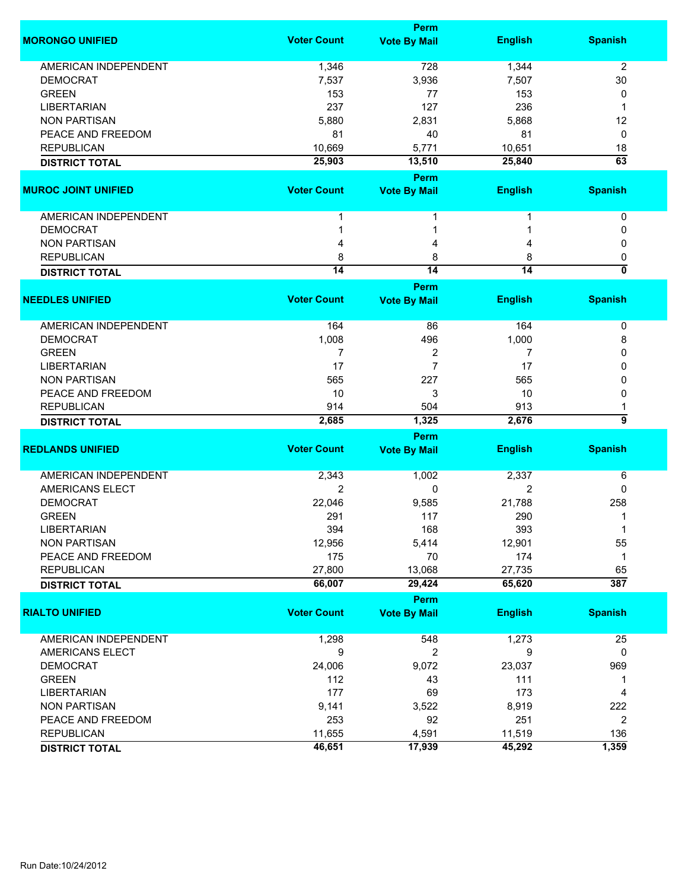|                                    |                    | <b>Perm</b>                 |                  |                           |
|------------------------------------|--------------------|-----------------------------|------------------|---------------------------|
| <b>MORONGO UNIFIED</b>             | <b>Voter Count</b> | <b>Vote By Mail</b>         | <b>English</b>   | <b>Spanish</b>            |
| <b>AMERICAN INDEPENDENT</b>        | 1,346              | 728                         | 1,344            | 2                         |
| <b>DEMOCRAT</b>                    | 7,537              | 3,936                       | 7,507            | 30                        |
| <b>GREEN</b>                       | 153                | 77                          | 153              | 0                         |
| <b>LIBERTARIAN</b>                 | 237                | 127                         | 236              | 1                         |
| <b>NON PARTISAN</b>                | 5,880              | 2,831                       | 5,868            | 12                        |
| PEACE AND FREEDOM                  | 81                 | 40                          | 81               | 0                         |
|                                    |                    |                             |                  |                           |
| <b>REPUBLICAN</b>                  | 10,669<br>25,903   | 5,771<br>13,510             | 10,651<br>25,840 | 18<br>$\overline{63}$     |
| <b>DISTRICT TOTAL</b>              |                    |                             |                  |                           |
|                                    | <b>Voter Count</b> | Perm                        |                  |                           |
| <b>MUROC JOINT UNIFIED</b>         |                    | <b>Vote By Mail</b>         | <b>English</b>   | <b>Spanish</b>            |
| AMERICAN INDEPENDENT               | 1                  |                             |                  | 0                         |
| <b>DEMOCRAT</b>                    |                    |                             |                  | 0                         |
| <b>NON PARTISAN</b>                |                    | 4                           | 4                | 0                         |
| <b>REPUBLICAN</b>                  | 8                  | 8                           | 8                | 0                         |
| <b>DISTRICT TOTAL</b>              | $\overline{14}$    | $\overline{14}$             | $\overline{14}$  | $\overline{\mathfrak{o}}$ |
|                                    |                    | Perm                        |                  |                           |
| <b>NEEDLES UNIFIED</b>             | <b>Voter Count</b> | <b>Vote By Mail</b>         | <b>English</b>   | <b>Spanish</b>            |
|                                    |                    |                             |                  |                           |
| <b>AMERICAN INDEPENDENT</b>        | 164                | 86                          | 164              | 0                         |
| <b>DEMOCRAT</b>                    | 1,008              | 496                         | 1,000            | 8                         |
| <b>GREEN</b>                       | 7                  | 2                           | 7                | 0                         |
| <b>LIBERTARIAN</b>                 | 17                 | $\overline{7}$              | 17               | 0                         |
| <b>NON PARTISAN</b>                | 565                | 227                         | 565              | 0                         |
| PEACE AND FREEDOM                  | 10                 | 3                           | 10               | 0                         |
| <b>REPUBLICAN</b>                  | 914                | 504                         | 913              | 1                         |
| <b>DISTRICT TOTAL</b>              | 2,685              | 1,325                       | 2,676            | 5                         |
|                                    |                    | Perm                        |                  |                           |
| <b>REDLANDS UNIFIED</b>            | <b>Voter Count</b> | <b>Vote By Mail</b>         | <b>English</b>   | <b>Spanish</b>            |
| <b>AMERICAN INDEPENDENT</b>        | 2,343              | 1,002                       | 2,337            | 6                         |
| <b>AMERICANS ELECT</b>             | 2                  | 0                           | 2                | 0                         |
| <b>DEMOCRAT</b>                    | 22,046             | 9,585                       | 21,788           | 258                       |
| <b>GREEN</b>                       | 291                | 117                         | 290              | 1                         |
|                                    |                    |                             |                  | 1                         |
| LIBERTARIAN<br><b>NON PARTISAN</b> | 394<br>12,956      | 168<br>5,414                | 393<br>12,901    | 55                        |
|                                    |                    |                             |                  |                           |
| PEACE AND FREEDOM                  | 175                | 70                          | 174              | 1                         |
| <b>REPUBLICAN</b>                  | 27,800             | 13,068                      | 27,735           | 65                        |
| <b>DISTRICT TOTAL</b>              | 66,007             | 29,424                      | 65,620           | 387                       |
| <b>RIALTO UNIFIED</b>              | <b>Voter Count</b> | Perm<br><b>Vote By Mail</b> | <b>English</b>   | <b>Spanish</b>            |
|                                    |                    |                             |                  |                           |
| AMERICAN INDEPENDENT               | 1,298              | 548                         | 1,273            | 25                        |
| AMERICANS ELECT                    | 9                  | 2                           | 9                | 0                         |
| <b>DEMOCRAT</b>                    | 24,006             | 9,072                       | 23,037           | 969                       |
| <b>GREEN</b>                       | 112                | 43                          | 111              | 1                         |
| <b>LIBERTARIAN</b>                 | 177                | 69                          | 173              | 4                         |
| <b>NON PARTISAN</b>                | 9,141              | 3,522                       | 8,919            | 222                       |
| PEACE AND FREEDOM                  | 253                | 92                          | 251              | $\overline{c}$            |
| <b>REPUBLICAN</b>                  | 11,655             | 4,591                       | 11,519           | 136                       |
|                                    | 46,651             | 17,939                      | 45,292           | 1,359                     |
| <b>DISTRICT TOTAL</b>              |                    |                             |                  |                           |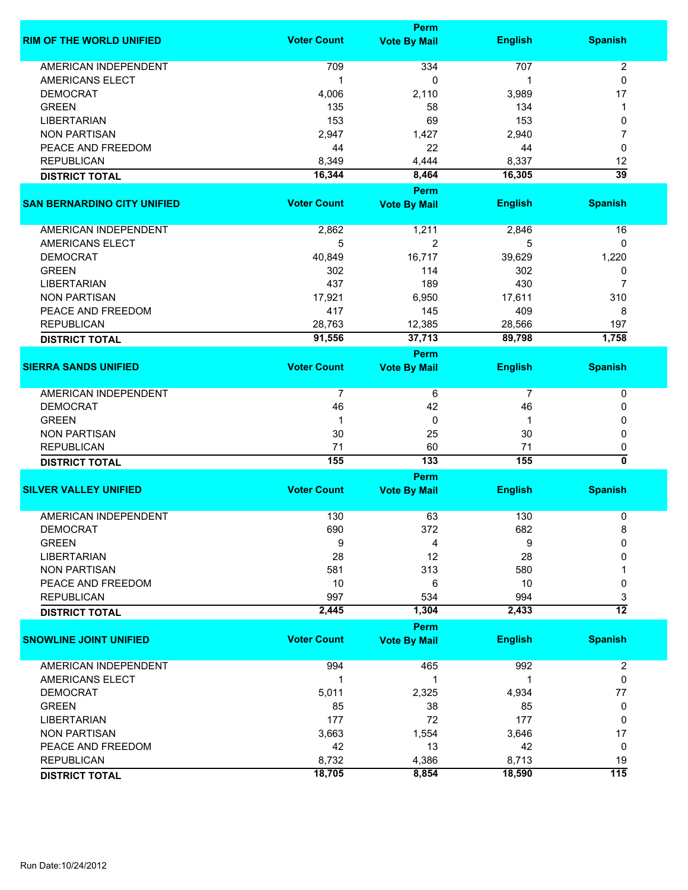|                                    |                    | <b>Perm</b>         |                |                  |
|------------------------------------|--------------------|---------------------|----------------|------------------|
| <b>RIM OF THE WORLD UNIFIED</b>    | <b>Voter Count</b> | <b>Vote By Mail</b> | <b>English</b> | <b>Spanish</b>   |
| <b>AMERICAN INDEPENDENT</b>        | 709                | 334                 | 707            | $\overline{c}$   |
| AMERICANS ELECT                    | 1                  | 0                   | 1              | $\mathbf 0$      |
| <b>DEMOCRAT</b>                    | 4,006              | 2,110               | 3,989          | 17               |
| <b>GREEN</b>                       | 135                | 58                  | 134            | 1                |
| <b>LIBERTARIAN</b>                 | 153                | 69                  | 153            | 0                |
| <b>NON PARTISAN</b>                | 2,947              | 1,427               | 2,940          | 7                |
| PEACE AND FREEDOM                  | 44                 | 22                  | 44             | 0                |
| <b>REPUBLICAN</b>                  | 8,349              | 4,444               | 8,337          | 12               |
| <b>DISTRICT TOTAL</b>              | 16,344             | 8,464               | 16,305         | $\overline{39}$  |
|                                    |                    | <b>Perm</b>         |                |                  |
| <b>SAN BERNARDINO CITY UNIFIED</b> | <b>Voter Count</b> | <b>Vote By Mail</b> | <b>English</b> | <b>Spanish</b>   |
|                                    |                    |                     |                |                  |
| AMERICAN INDEPENDENT               | 2,862              | 1,211               | 2,846          | 16               |
| AMERICANS ELECT                    | 5                  | $\overline{2}$      | 5              | 0                |
| <b>DEMOCRAT</b>                    | 40,849             | 16,717              | 39,629         | 1,220            |
| <b>GREEN</b>                       | 302                | 114                 | 302            | 0                |
| <b>LIBERTARIAN</b>                 | 437                | 189                 | 430            | 7                |
| <b>NON PARTISAN</b>                | 17,921             | 6,950               | 17,611         | 310              |
| PEACE AND FREEDOM                  | 417                | 145                 | 409            | 8                |
| <b>REPUBLICAN</b>                  | 28,763             | 12,385              | 28,566         | 197              |
| <b>DISTRICT TOTAL</b>              | 91,556             | 37,713              | 89,798         | 1,758            |
|                                    |                    | <b>Perm</b>         |                |                  |
| <b>SIERRA SANDS UNIFIED</b>        | <b>Voter Count</b> | <b>Vote By Mail</b> | <b>English</b> | <b>Spanish</b>   |
| <b>AMERICAN INDEPENDENT</b>        | $\overline{7}$     | 6                   | $\overline{7}$ | $\pmb{0}$        |
| <b>DEMOCRAT</b>                    | 46                 | 42                  | 46             | 0                |
| <b>GREEN</b>                       | 1                  | 0                   | 1              | 0                |
| <b>NON PARTISAN</b>                | 30                 | 25                  | 30             | 0                |
| <b>REPUBLICAN</b>                  | 71                 | 60                  | 71             | 0                |
| <b>DISTRICT TOTAL</b>              | 155                | 133                 | 155            | ō                |
|                                    |                    | <b>Perm</b>         |                |                  |
| <b>SILVER VALLEY UNIFIED</b>       | <b>Voter Count</b> | <b>Vote By Mail</b> | <b>English</b> | <b>Spanish</b>   |
| <b>AMERICAN INDEPENDENT</b>        | 130                | 63                  | 130            | 0                |
| DEMOCRAI                           | 690                | 372                 | 682            | 8                |
| <b>GREEN</b>                       | 9                  | 4                   | 9              | 0                |
| <b>LIBERTARIAN</b>                 | 28                 | 12                  | 28             | 0                |
| <b>NON PARTISAN</b>                | 581                | 313                 | 580            |                  |
| PEACE AND FREEDOM                  | 10                 | 6                   | 10             | 0                |
| <b>REPUBLICAN</b>                  | 997                | 534                 | 994            | 3                |
| <b>DISTRICT TOTAL</b>              | 2,445              | 1,304               | 2,433          | $\overline{12}$  |
|                                    |                    | <b>Perm</b>         |                |                  |
| <b>SNOWLINE JOINT UNIFIED</b>      | <b>Voter Count</b> | <b>Vote By Mail</b> | <b>English</b> | <b>Spanish</b>   |
| <b>AMERICAN INDEPENDENT</b>        | 994                | 465                 | 992            | $\overline{2}$   |
| AMERICANS ELECT                    | 1                  | 1                   | 1              | 0                |
| <b>DEMOCRAT</b>                    | 5,011              | 2,325               | 4,934          | 77               |
| <b>GREEN</b>                       | 85                 | 38                  | 85             | 0                |
| <b>LIBERTARIAN</b>                 | 177                | 72                  | 177            | 0                |
| <b>NON PARTISAN</b>                | 3,663              | 1,554               | 3,646          | 17               |
| PEACE AND FREEDOM                  | 42                 | 13                  | 42             | 0                |
| <b>REPUBLICAN</b>                  | 8,732              | 4,386               | 8,713          | 19               |
| <b>DISTRICT TOTAL</b>              | 18,705             | 8,854               | 18,590         | $\overline{115}$ |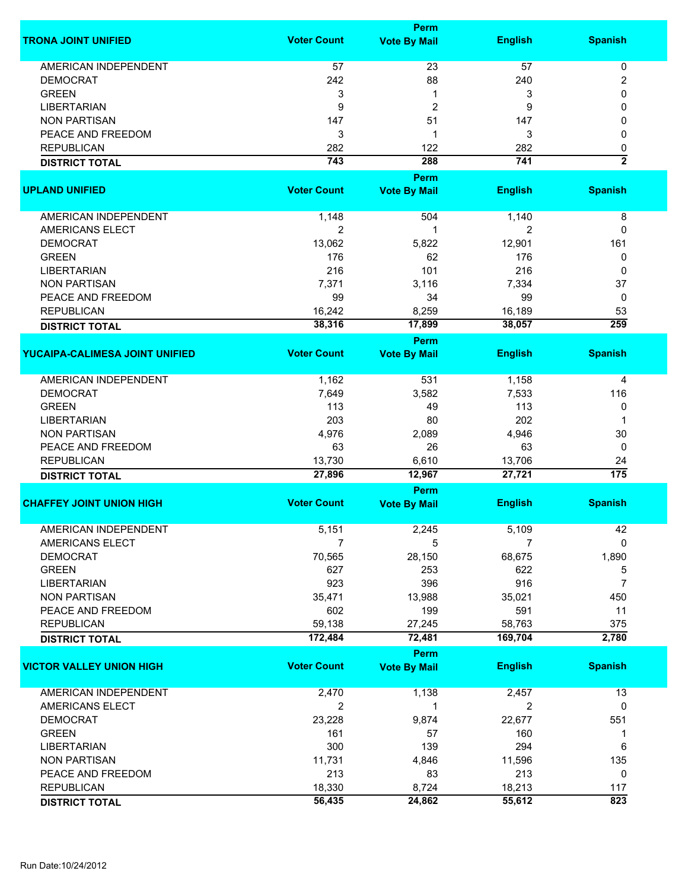|                                 |                    | <b>Perm</b>         |                |                  |
|---------------------------------|--------------------|---------------------|----------------|------------------|
| <b>TRONA JOINT UNIFIED</b>      | <b>Voter Count</b> | <b>Vote By Mail</b> | <b>English</b> | <b>Spanish</b>   |
| <b>AMERICAN INDEPENDENT</b>     | 57                 | 23                  | 57             | 0                |
| <b>DEMOCRAT</b>                 | 242                | 88                  | 240            | 2                |
| <b>GREEN</b>                    | 3                  | 1                   | 3              | 0                |
|                                 |                    |                     |                |                  |
| <b>LIBERTARIAN</b>              | 9                  | 2                   | 9              | 0                |
| <b>NON PARTISAN</b>             | 147                | 51                  | 147            |                  |
| PEACE AND FREEDOM               | 3                  | 1                   | 3              | 0                |
| <b>REPUBLICAN</b>               | 282                | 122                 | 282            | 0                |
| <b>DISTRICT TOTAL</b>           | 743                | 288                 | 741            | $\overline{2}$   |
|                                 |                    | Perm                |                |                  |
| <b>UPLAND UNIFIED</b>           | <b>Voter Count</b> | <b>Vote By Mail</b> | <b>English</b> | <b>Spanish</b>   |
| AMERICAN INDEPENDENT            | 1,148              | 504                 | 1,140          | 8                |
| AMERICANS ELECT                 | $\overline{2}$     | 1                   | 2              | 0                |
| <b>DEMOCRAT</b>                 | 13,062             | 5,822               | 12,901         | 161              |
| <b>GREEN</b>                    | 176                | 62                  | 176            |                  |
| <b>LIBERTARIAN</b>              | 216                |                     | 216            | 0                |
|                                 |                    | 101                 |                | 0                |
| <b>NON PARTISAN</b>             | 7,371              | 3,116               | 7,334          | 37               |
| PEACE AND FREEDOM               | 99                 | 34                  | 99             | 0                |
| <b>REPUBLICAN</b>               | 16,242             | 8,259               | 16,189         | 53               |
| <b>DISTRICT TOTAL</b>           | 38,316             | 17,899              | 38,057         | 259              |
|                                 |                    | Perm                |                |                  |
| YUCAIPA-CALIMESA JOINT UNIFIED  | <b>Voter Count</b> | <b>Vote By Mail</b> | <b>English</b> | <b>Spanish</b>   |
| <b>AMERICAN INDEPENDENT</b>     | 1,162              | 531                 | 1,158          | 4                |
| <b>DEMOCRAT</b>                 | 7,649              | 3,582               | 7,533          | 116              |
| <b>GREEN</b>                    | 113                | 49                  | 113            | 0                |
| <b>LIBERTARIAN</b>              | 203                | 80                  | 202            |                  |
| <b>NON PARTISAN</b>             | 4,976              | 2,089               | 4,946          | 30               |
| PEACE AND FREEDOM               | 63                 | 26                  | 63             | 0                |
| <b>REPUBLICAN</b>               | 13,730             | 6,610               | 13,706         | 24               |
|                                 | 27,896             | 12,967              | 27,721         | $\overline{175}$ |
| <b>DISTRICT TOTAL</b>           |                    |                     |                |                  |
|                                 |                    | Perm                |                |                  |
| <b>CHAFFEY JOINT UNION HIGH</b> | <b>Voter Count</b> | <b>Vote By Mail</b> | <b>English</b> | <b>Spanish</b>   |
| <b>AMERICAN INDEPENDENT</b>     | 5,151              | 2,245               | 5,109          | 42               |
| AMERICANS ELECT                 | 7                  | 5                   | 7              | $\Omega$         |
| <b>DEMOCRAT</b>                 | 70,565             | 28,150              | 68,675         | 1,890            |
| <b>GREEN</b>                    | 627                | 253                 | 622            | 5                |
| <b>LIBERTARIAN</b>              | 923                | 396                 | 916            | $\overline{7}$   |
| <b>NON PARTISAN</b>             | 35,471             | 13,988              | 35,021         | 450              |
| PEACE AND FREEDOM               | 602                | 199                 | 591            | 11               |
| <b>REPUBLICAN</b>               | 59,138             | 27,245              | 58,763         | 375              |
| <b>DISTRICT TOTAL</b>           | 172,484            | 72,481              | 169,704        | 2,780            |
|                                 |                    | <b>Perm</b>         |                |                  |
| <b>VICTOR VALLEY UNION HIGH</b> | <b>Voter Count</b> | <b>Vote By Mail</b> | <b>English</b> | <b>Spanish</b>   |
|                                 |                    |                     |                |                  |
| AMERICAN INDEPENDENT            | 2,470              | 1,138               | 2,457          | 13               |
| AMERICANS ELECT                 | 2                  | 1                   | 2              | 0                |
| <b>DEMOCRAT</b>                 | 23,228             | 9,874               | 22,677         | 551              |
| <b>GREEN</b>                    | 161                | 57                  | 160            | 1                |
| <b>LIBERTARIAN</b>              | 300                | 139                 | 294            | 6                |
| <b>NON PARTISAN</b>             | 11,731             | 4,846               | 11,596         | 135              |
| PEACE AND FREEDOM               | 213                | 83                  | 213            | 0                |
| <b>REPUBLICAN</b>               | 18,330             | 8,724               | 18,213         | 117              |
| <b>DISTRICT TOTAL</b>           | 56,435             | 24,862              | 55,612         | 823              |
|                                 |                    |                     |                |                  |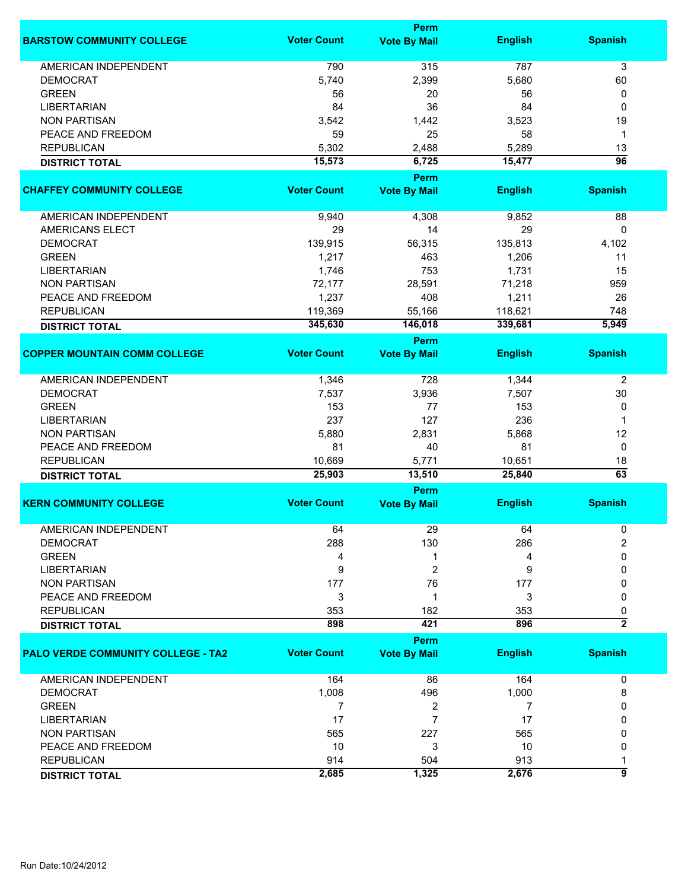|                                           |                    | Perm                |                |                 |
|-------------------------------------------|--------------------|---------------------|----------------|-----------------|
| <b>BARSTOW COMMUNITY COLLEGE</b>          | <b>Voter Count</b> | <b>Vote By Mail</b> | <b>English</b> | <b>Spanish</b>  |
| <b>AMERICAN INDEPENDENT</b>               | 790                | 315                 | 787            | 3               |
| <b>DEMOCRAT</b>                           | 5,740              | 2,399               | 5,680          | 60              |
| <b>GREEN</b>                              | 56                 | 20                  | 56             | 0               |
| <b>LIBERTARIAN</b>                        | 84                 | 36                  | 84             | 0               |
| <b>NON PARTISAN</b>                       | 3,542              | 1,442               | 3,523          | 19              |
| PEACE AND FREEDOM                         | 59                 | 25                  | 58             | $\mathbf 1$     |
| <b>REPUBLICAN</b>                         | 5,302              |                     |                | 13              |
|                                           |                    | 2,488               | 5,289          |                 |
| <b>DISTRICT TOTAL</b>                     | 15,573             | 6,725<br>Perm       | 15,477         | $\overline{96}$ |
| <b>CHAFFEY COMMUNITY COLLEGE</b>          | <b>Voter Count</b> | <b>Vote By Mail</b> | <b>English</b> | <b>Spanish</b>  |
| AMERICAN INDEPENDENT                      | 9,940              | 4,308               | 9,852          | 88              |
| <b>AMERICANS ELECT</b>                    | 29                 | 14                  | 29             | 0               |
| <b>DEMOCRAT</b>                           | 139,915            | 56,315              | 135,813        | 4,102           |
| <b>GREEN</b>                              | 1,217              | 463                 | 1,206          | 11              |
| <b>LIBERTARIAN</b>                        | 1,746              | 753                 | 1,731          | 15              |
| <b>NON PARTISAN</b>                       | 72,177             | 28,591              | 71,218         | 959             |
| PEACE AND FREEDOM                         | 1,237              | 408                 | 1,211          | 26              |
| <b>REPUBLICAN</b>                         |                    |                     |                |                 |
|                                           | 119,369            | 55,166              | 118,621        | 748             |
| <b>DISTRICT TOTAL</b>                     | 345,630            | 146,018             | 339,681        | 5,949           |
|                                           |                    | Perm                |                |                 |
| <b>COPPER MOUNTAIN COMM COLLEGE</b>       | <b>Voter Count</b> | <b>Vote By Mail</b> | <b>English</b> | <b>Spanish</b>  |
| <b>AMERICAN INDEPENDENT</b>               | 1,346              | 728                 | 1,344          | 2               |
| <b>DEMOCRAT</b>                           | 7,537              | 3,936               | 7,507          | 30              |
| <b>GREEN</b>                              | 153                | 77                  | 153            | 0               |
| <b>LIBERTARIAN</b>                        | 237                | 127                 | 236            | 1               |
| <b>NON PARTISAN</b>                       | 5,880              | 2,831               | 5,868          | 12              |
| PEACE AND FREEDOM                         | 81                 | 40                  | 81             | 0               |
| <b>REPUBLICAN</b>                         | 10,669             | 5,771               | 10,651         | 18              |
| <b>DISTRICT TOTAL</b>                     | 25,903             | 13,510              | 25,840         | $\overline{63}$ |
|                                           |                    | Perm                |                |                 |
| <b>KERN COMMUNITY COLLEGE</b>             | <b>Voter Count</b> | <b>Vote By Mail</b> | <b>English</b> | <b>Spanish</b>  |
| AMERICAN INDEPENDENT                      | 64                 | 29                  | 64             | 0               |
| <b>DEMOCRAT</b>                           | 288                | 130                 | 286            | $\overline{2}$  |
| <b>GREEN</b>                              | 4                  | 1                   | 4              | 0               |
| <b>LIBERTARIAN</b>                        | 9                  | 2                   | 9              | 0               |
| <b>NON PARTISAN</b>                       | 177                | 76                  | 177            | 0               |
| PEACE AND FREEDOM                         | 3                  | 1                   | 3              | 0               |
| <b>REPUBLICAN</b>                         | 353                | 182                 | 353            | 0               |
| <b>DISTRICT TOTAL</b>                     | 898                | 421                 | 896            | $\overline{2}$  |
|                                           |                    | Perm                |                |                 |
| <b>PALO VERDE COMMUNITY COLLEGE - TA2</b> | <b>Voter Count</b> | <b>Vote By Mail</b> | <b>English</b> | <b>Spanish</b>  |
| AMERICAN INDEPENDENT                      | 164                | 86                  | 164            | 0               |
| <b>DEMOCRAT</b>                           | 1,008              | 496                 | 1,000          | 8               |
| <b>GREEN</b>                              | 7                  | 2                   | 7              | 0               |
| <b>LIBERTARIAN</b>                        | 17                 | 7                   | 17             | 0               |
| <b>NON PARTISAN</b>                       | 565                | 227                 | 565            | 0               |
| PEACE AND FREEDOM                         | 10                 | 3                   | 10             | 0               |
| <b>REPUBLICAN</b>                         | 914                | 504                 | 913            | 1               |
| <b>DISTRICT TOTAL</b>                     | 2,685              | 1,325               | 2,676          | 9               |
|                                           |                    |                     |                |                 |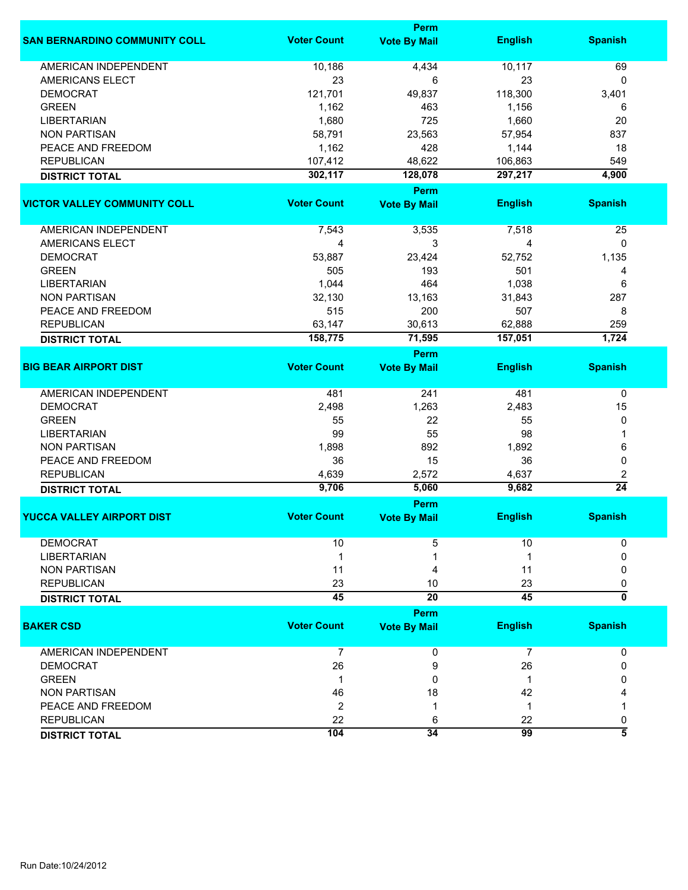|                                      |                    | Perm                |                |                         |
|--------------------------------------|--------------------|---------------------|----------------|-------------------------|
| <b>SAN BERNARDINO COMMUNITY COLL</b> | <b>Voter Count</b> | <b>Vote By Mail</b> | <b>English</b> | <b>Spanish</b>          |
| <b>AMERICAN INDEPENDENT</b>          | 10,186             | 4,434               | 10,117         | 69                      |
| <b>AMERICANS ELECT</b>               | 23                 | 6                   | 23             | 0                       |
| <b>DEMOCRAT</b>                      | 121,701            | 49,837              | 118,300        | 3,401                   |
| <b>GREEN</b>                         | 1,162              | 463                 | 1,156          | 6                       |
| <b>LIBERTARIAN</b>                   | 1,680              | 725                 | 1,660          | 20                      |
| <b>NON PARTISAN</b>                  | 58,791             | 23,563              | 57,954         | 837                     |
| PEACE AND FREEDOM                    |                    | 428                 |                |                         |
|                                      | 1,162              |                     | 1,144          | 18                      |
| <b>REPUBLICAN</b>                    | 107,412            | 48,622              | 106,863        | 549                     |
| <b>DISTRICT TOTAL</b>                | 302,117            | 128,078             | 297,217        | 4,900                   |
|                                      |                    | <b>Perm</b>         |                |                         |
| <b>VICTOR VALLEY COMMUNITY COLL</b>  | <b>Voter Count</b> | <b>Vote By Mail</b> | <b>English</b> | <b>Spanish</b>          |
| AMERICAN INDEPENDENT                 | 7,543              | 3,535               | 7,518          | 25                      |
| AMERICANS ELECT                      | 4                  | 3                   | 4              | 0                       |
| <b>DEMOCRAT</b>                      | 53,887             | 23,424              | 52,752         | 1,135                   |
| <b>GREEN</b>                         | 505                | 193                 | 501            | 4                       |
| <b>LIBERTARIAN</b>                   | 1,044              | 464                 | 1,038          | 6                       |
| <b>NON PARTISAN</b>                  | 32,130             | 13,163              | 31,843         | 287                     |
| PEACE AND FREEDOM                    | 515                | 200                 | 507            | 8                       |
| <b>REPUBLICAN</b>                    | 63,147             | 30,613              | 62,888         | 259                     |
|                                      | 158,775            | 71,595              | 157,051        | 1,724                   |
| <b>DISTRICT TOTAL</b>                |                    |                     |                |                         |
|                                      |                    | <b>Perm</b>         |                |                         |
| <b>BIG BEAR AIRPORT DIST</b>         | <b>Voter Count</b> | <b>Vote By Mail</b> | <b>English</b> | <b>Spanish</b>          |
| <b>AMERICAN INDEPENDENT</b>          | 481                | 241                 | 481            | 0                       |
| <b>DEMOCRAT</b>                      | 2,498              | 1,263               | 2,483          | 15                      |
| <b>GREEN</b>                         | 55                 | 22                  | 55             | 0                       |
| <b>LIBERTARIAN</b>                   | 99                 | 55                  | 98             | 1                       |
| <b>NON PARTISAN</b>                  | 1,898              | 892                 | 1,892          | 6                       |
| PEACE AND FREEDOM                    | 36                 | 15                  | 36             | 0                       |
| <b>REPUBLICAN</b>                    | 4,639              | 2,572               | 4,637          | 2                       |
| <b>DISTRICT TOTAL</b>                | 9,706              | 5,060               | 9,682          | $\overline{24}$         |
|                                      |                    | Perm                |                |                         |
| <b>YUCCA VALLEY AIRPORT DIST</b>     | <b>Voter Count</b> | <b>Vote By Mail</b> | <b>English</b> | <b>Spanish</b>          |
| <b>DEMOCRAT</b>                      | 10                 | 5                   | 10             | 0                       |
| <b>LIBERTARIAN</b>                   | 1                  |                     | 1              | 0                       |
| <b>NON PARTISAN</b>                  | 11                 | 4                   | 11             | 0                       |
| <b>REPUBLICAN</b>                    | 23                 | 10                  | 23             | 0                       |
|                                      | $\overline{45}$    | $\overline{20}$     | 45             | $\overline{\mathbf{0}}$ |
| <b>DISTRICT TOTAL</b>                |                    |                     |                |                         |
|                                      |                    | <b>Perm</b>         |                |                         |
| <b>BAKER CSD</b>                     | <b>Voter Count</b> | <b>Vote By Mail</b> | <b>English</b> | <b>Spanish</b>          |
| <b>AMERICAN INDEPENDENT</b>          | 7                  | 0                   | $\overline{7}$ | 0                       |
| <b>DEMOCRAT</b>                      | 26                 | 9                   | 26             | 0                       |
| <b>GREEN</b>                         | 1                  | 0                   | -1             | 0                       |
| <b>NON PARTISAN</b>                  | 46                 | 18                  | 42             |                         |
| PEACE AND FREEDOM                    | 2                  | -1                  | 1              |                         |
| <b>REPUBLICAN</b>                    | 22                 | 6                   | 22             | 0                       |
| <b>DISTRICT TOTAL</b>                | 104                | 34                  | 99             | 3                       |
|                                      |                    |                     |                |                         |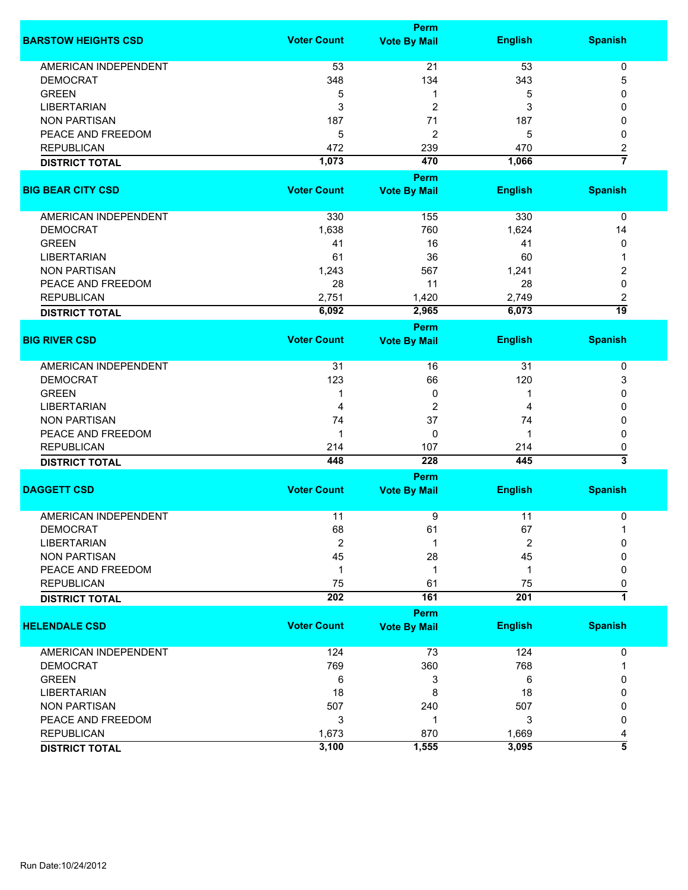|                             | Perm               |                     |                |                      |  |
|-----------------------------|--------------------|---------------------|----------------|----------------------|--|
| <b>BARSTOW HEIGHTS CSD</b>  | <b>Voter Count</b> | <b>Vote By Mail</b> | <b>English</b> | <b>Spanish</b>       |  |
| <b>AMERICAN INDEPENDENT</b> | 53                 | 21                  | 53             | $\pmb{0}$            |  |
| <b>DEMOCRAT</b>             | 348                | 134                 | 343            | 5                    |  |
| <b>GREEN</b>                | 5                  | 1                   | 5              | 0                    |  |
| <b>LIBERTARIAN</b>          | 3                  | $\overline{c}$      | 3              | 0                    |  |
|                             |                    |                     |                |                      |  |
| <b>NON PARTISAN</b>         | 187                | 71                  | 187            | 0                    |  |
| PEACE AND FREEDOM           | 5                  | $\overline{c}$      | 5              | 0                    |  |
| <b>REPUBLICAN</b>           | 472                | 239                 | 470            | 2                    |  |
| <b>DISTRICT TOTAL</b>       | 1,073              | 470                 | 1,066          | $\overline{7}$       |  |
|                             |                    | Perm                |                |                      |  |
| <b>BIG BEAR CITY CSD</b>    | <b>Voter Count</b> | <b>Vote By Mail</b> | <b>English</b> | <b>Spanish</b>       |  |
| AMERICAN INDEPENDENT        | 330                | 155                 | 330            | 0                    |  |
| <b>DEMOCRAT</b>             | 1,638              | 760                 | 1,624          | 14                   |  |
| <b>GREEN</b>                | 41                 | 16                  | 41             | 0                    |  |
| <b>LIBERTARIAN</b>          | 61                 | 36                  | 60             | 1                    |  |
| <b>NON PARTISAN</b>         | 1,243              | 567                 | 1,241          | 2                    |  |
| PEACE AND FREEDOM           | 28                 | 11                  | 28             | 0                    |  |
|                             | 2,751              |                     |                |                      |  |
| <b>REPUBLICAN</b>           | 6,092              | 1,420<br>2,965      | 2,749<br>6,073 | 2<br>$\overline{19}$ |  |
| <b>DISTRICT TOTAL</b>       |                    | Perm                |                |                      |  |
| <b>BIG RIVER CSD</b>        | <b>Voter Count</b> | <b>Vote By Mail</b> | <b>English</b> | <b>Spanish</b>       |  |
|                             |                    |                     |                |                      |  |
| <b>AMERICAN INDEPENDENT</b> | 31                 | 16                  | 31             | 0                    |  |
| <b>DEMOCRAT</b>             | 123                | 66                  | 120            | 3                    |  |
| <b>GREEN</b>                | 1                  | 0                   | 1              | 0                    |  |
| <b>LIBERTARIAN</b>          | 4                  | 2                   | 4              | 0                    |  |
| <b>NON PARTISAN</b>         | 74                 | 37                  | 74             | 0                    |  |
| PEACE AND FREEDOM           | 1                  | 0                   | 1              | $\mathbf{0}$         |  |
| <b>REPUBLICAN</b>           | 214                | 107                 | 214            | 0                    |  |
| <b>DISTRICT TOTAL</b>       | 448                | 228                 | 445            | 3                    |  |
|                             |                    | Perm                |                |                      |  |
| <b>DAGGETT CSD</b>          | <b>Voter Count</b> | <b>Vote By Mail</b> | <b>English</b> | <b>Spanish</b>       |  |
| <b>AMERICAN INDEPENDENT</b> | 11                 |                     | 11             |                      |  |
|                             |                    | 9                   |                | 0                    |  |
| <b>DEMOCRAT</b>             | 68                 | 61                  | 67             | 1                    |  |
| <b>LIBERTARIAN</b>          | $\overline{2}$     | 1                   | $\overline{2}$ | <sup>0</sup>         |  |
| <b>NON PARTISAN</b>         | 45                 | 28                  | 45             | ŋ                    |  |
| PEACE AND FREEDOM           | 1                  | 1                   | 1              | 0                    |  |
| <b>REPUBLICAN</b>           | 75                 | 61                  | 75             | 0                    |  |
| <b>DISTRICT TOTAL</b>       | 202                | 161                 | 201            | $\overline{1}$       |  |
|                             |                    | Perm                |                |                      |  |
| <b>HELENDALE CSD</b>        | <b>Voter Count</b> | <b>Vote By Mail</b> | <b>English</b> | <b>Spanish</b>       |  |
| <b>AMERICAN INDEPENDENT</b> | 124                | 73                  | 124            | 0                    |  |
| <b>DEMOCRAT</b>             | 769                | 360                 | 768            |                      |  |
| <b>GREEN</b>                | 6                  | 3                   | 6              | 0                    |  |
| <b>LIBERTARIAN</b>          | 18                 | 8                   | 18             | 0                    |  |
| <b>NON PARTISAN</b>         | 507                | 240                 | 507            | 0                    |  |
| PEACE AND FREEDOM           | 3                  | 1                   | 3              | 0                    |  |
| <b>REPUBLICAN</b>           | 1,673              | 870                 | 1,669          |                      |  |
|                             | 3,100              | 1,555               | 3,095          | 4<br>3               |  |
| <b>DISTRICT TOTAL</b>       |                    |                     |                |                      |  |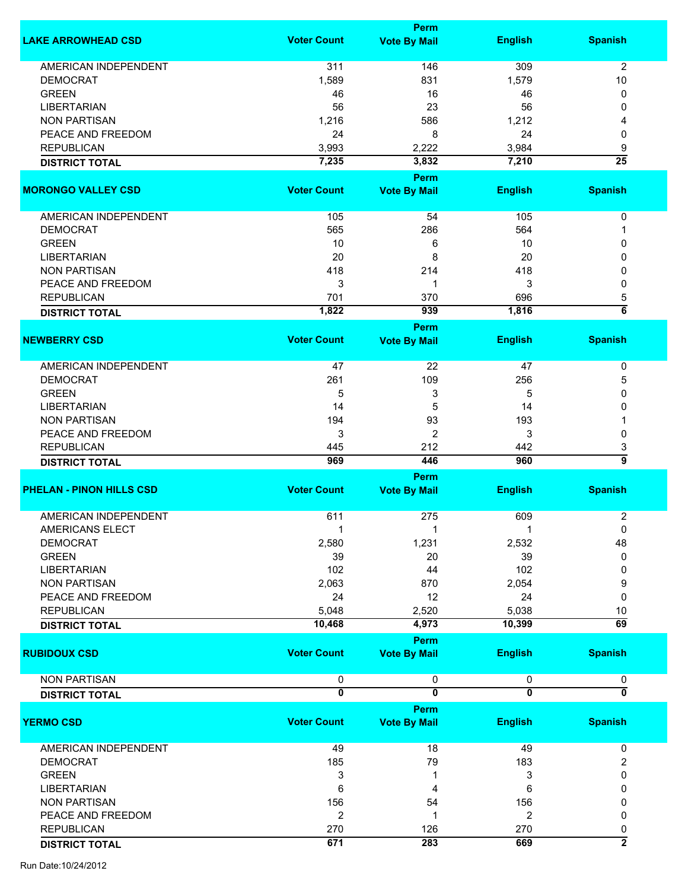|                                 |                    | <b>Perm</b>                 |                         |                           |
|---------------------------------|--------------------|-----------------------------|-------------------------|---------------------------|
| <b>LAKE ARROWHEAD CSD</b>       | <b>Voter Count</b> | <b>Vote By Mail</b>         | <b>English</b>          | <b>Spanish</b>            |
|                                 |                    |                             |                         |                           |
| <b>AMERICAN INDEPENDENT</b>     | 311                | 146                         | 309                     | $\overline{2}$            |
| <b>DEMOCRAT</b>                 | 1,589              | 831                         | 1,579                   | 10                        |
| <b>GREEN</b>                    | 46                 | 16                          | 46                      | 0                         |
| <b>LIBERTARIAN</b>              | 56                 | 23                          | 56                      | 0                         |
| <b>NON PARTISAN</b>             | 1,216              | 586                         | 1,212                   | 4                         |
| PEACE AND FREEDOM               | 24                 | 8                           | 24                      | 0                         |
| <b>REPUBLICAN</b>               | 3,993              | 2,222                       | 3,984                   | 9                         |
| <b>DISTRICT TOTAL</b>           | 7,235              | 3,832                       | 7,210                   | $\overline{25}$           |
|                                 |                    | Perm                        |                         |                           |
| <b>MORONGO VALLEY CSD</b>       | <b>Voter Count</b> | <b>Vote By Mail</b>         | <b>English</b>          | <b>Spanish</b>            |
| <b>AMERICAN INDEPENDENT</b>     | 105                | 54                          | 105                     | 0                         |
| <b>DEMOCRAT</b>                 | 565                | 286                         | 564                     | 1                         |
| <b>GREEN</b>                    | 10                 | 6                           | 10                      | 0                         |
| <b>LIBERTARIAN</b>              | 20                 | 8                           | 20                      | 0                         |
| <b>NON PARTISAN</b>             |                    |                             |                         |                           |
|                                 | 418                | 214                         | 418                     | 0                         |
| PEACE AND FREEDOM               | 3                  | 1                           | 3                       | 0                         |
| <b>REPUBLICAN</b>               | 701                | 370                         | 696                     | 5                         |
| <b>DISTRICT TOTAL</b>           | 1,822              | 939                         | 1,816                   | $\overline{\bf{6}}$       |
|                                 |                    | <b>Perm</b>                 |                         |                           |
| <b>NEWBERRY CSD</b>             | <b>Voter Count</b> | <b>Vote By Mail</b>         | <b>English</b>          | <b>Spanish</b>            |
| <b>AMERICAN INDEPENDENT</b>     | 47                 | 22                          | 47                      | $\pmb{0}$                 |
| <b>DEMOCRAT</b>                 | 261                | 109                         | 256                     | 5                         |
|                                 |                    |                             |                         |                           |
| <b>GREEN</b>                    | 5                  | 3                           | 5                       | 0                         |
| <b>LIBERTARIAN</b>              | 14                 | 5                           | 14                      | 0                         |
| <b>NON PARTISAN</b>             | 194                | 93                          | 193                     |                           |
| PEACE AND FREEDOM               | 3                  | $\overline{2}$              | 3                       | 0                         |
| <b>REPUBLICAN</b>               | 445                | 212                         | 442                     | 3                         |
| <b>DISTRICT TOTAL</b>           | 969                | 446                         | 960                     | 5                         |
|                                 |                    | <b>Perm</b>                 |                         |                           |
| <b>PHELAN - PINON HILLS CSD</b> | <b>Voter Count</b> | <b>Vote By Mail</b>         | <b>English</b>          | <b>Spanish</b>            |
|                                 |                    |                             |                         |                           |
| <b>AMERICAN INDEPENDENT</b>     | 611                | 275                         | 609                     | 2                         |
| AMERICANS ELECT                 | -1                 |                             |                         | 0                         |
| <b>DEMOCRAT</b>                 | 2,580              | 1,231                       | 2,532                   | 48                        |
| <b>GREEN</b>                    | 39                 | 20                          | 39                      | 0                         |
| <b>LIBERTARIAN</b>              | 102                | 44                          | 102                     | 0                         |
|                                 |                    |                             |                         |                           |
| <b>NON PARTISAN</b>             | 2,063              | 870                         | 2,054                   | 9                         |
| PEACE AND FREEDOM               | 24                 | 12                          | 24                      | 0                         |
| <b>REPUBLICAN</b>               | 5,048              | 2,520                       | 5,038                   | 10                        |
| <b>DISTRICT TOTAL</b>           | 10,468             | 4,973                       | 10,399                  | $\overline{69}$           |
|                                 |                    | <b>Perm</b>                 |                         |                           |
| <b>RUBIDOUX CSD</b>             | <b>Voter Count</b> | <b>Vote By Mail</b>         | <b>English</b>          | <b>Spanish</b>            |
| <b>NON PARTISAN</b>             | 0                  | 0                           | 0                       | 0                         |
|                                 | 0                  | $\overline{\mathbf{0}}$     | $\overline{\mathbf{0}}$ | $\overline{\mathfrak{o}}$ |
| <b>DISTRICT TOTAL</b>           |                    |                             |                         |                           |
| <b>YERMO CSD</b>                | <b>Voter Count</b> | Perm<br><b>Vote By Mail</b> | <b>English</b>          | <b>Spanish</b>            |
|                                 |                    |                             |                         |                           |
| AMERICAN INDEPENDENT            | 49                 | 18                          | 49                      | 0                         |
| <b>DEMOCRAT</b>                 | 185                | 79                          | 183                     | 2                         |
| <b>GREEN</b>                    | 3                  | 1                           | 3                       | 0                         |
| <b>LIBERTARIAN</b>              | 6                  | 4                           | 6                       | 0                         |
|                                 |                    |                             |                         |                           |
| <b>NON PARTISAN</b>             | 156                | 54                          | 156                     | 0                         |
| PEACE AND FREEDOM               | $\overline{2}$     | 1                           | 2                       | 0                         |
| <b>REPUBLICAN</b>               | 270                | 126                         | 270                     | 0                         |
| <b>DISTRICT TOTAL</b>           | 671                | 283                         | 669                     | $\overline{2}$            |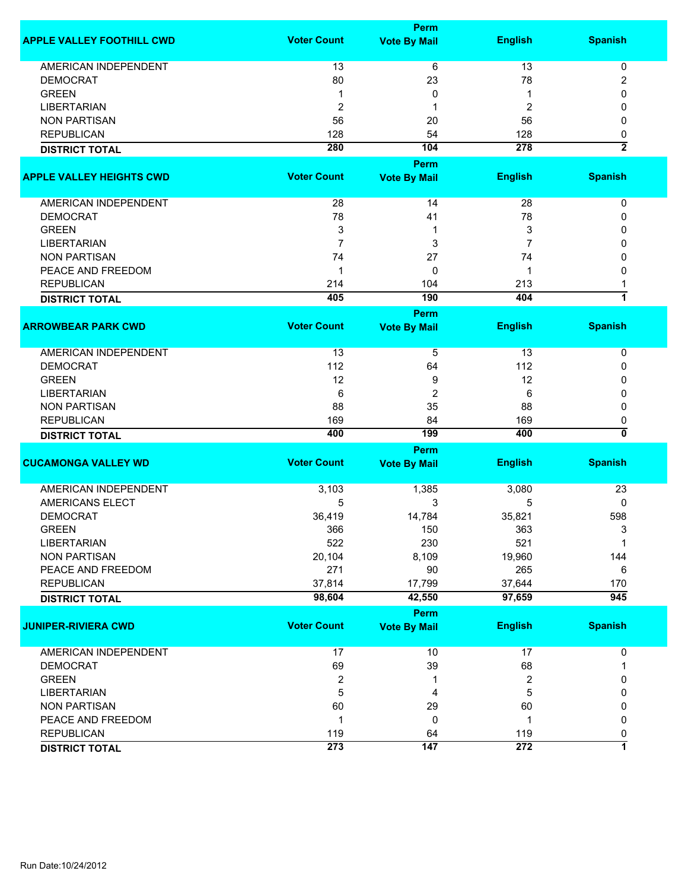|                                  |                         | <b>Perm</b>         |                         |                         |
|----------------------------------|-------------------------|---------------------|-------------------------|-------------------------|
| <b>APPLE VALLEY FOOTHILL CWD</b> | <b>Voter Count</b>      | <b>Vote By Mail</b> | <b>English</b>          | <b>Spanish</b>          |
| AMERICAN INDEPENDENT             | 13                      | 6                   | 13                      | 0                       |
| <b>DEMOCRAT</b>                  | 80                      | 23                  | 78                      | 2                       |
| <b>GREEN</b>                     | 1                       | 0                   | 1                       | 0                       |
| <b>LIBERTARIAN</b>               | 2                       | 1                   | $\overline{\mathbf{c}}$ | 0                       |
| <b>NON PARTISAN</b>              | 56                      | 20                  | 56                      | 0                       |
| <b>REPUBLICAN</b>                | 128                     | 54                  | 128                     |                         |
|                                  |                         | 104                 | 278                     | 0<br>$\overline{2}$     |
| <b>DISTRICT TOTAL</b>            | 280                     |                     |                         |                         |
|                                  |                         | Perm                |                         |                         |
| <b>APPLE VALLEY HEIGHTS CWD</b>  | <b>Voter Count</b>      | <b>Vote By Mail</b> | <b>English</b>          | <b>Spanish</b>          |
| AMERICAN INDEPENDENT             |                         |                     | 28                      |                         |
|                                  | 28                      | 14                  |                         | 0                       |
| <b>DEMOCRAT</b>                  | 78                      | 41                  | 78                      | 0                       |
| <b>GREEN</b>                     | 3                       | 1                   | 3                       | 0                       |
| <b>LIBERTARIAN</b>               | $\overline{7}$          | 3                   | 7                       | 0                       |
| <b>NON PARTISAN</b>              | 74                      | 27                  | 74                      | 0                       |
| PEACE AND FREEDOM                | 1                       | 0                   | 1                       | 0                       |
| <b>REPUBLICAN</b>                | 214                     | 104                 | 213                     | 1                       |
| <b>DISTRICT TOTAL</b>            | 405                     | 190                 | 404                     | $\overline{1}$          |
|                                  |                         | Perm                |                         |                         |
| <b>ARROWBEAR PARK CWD</b>        | <b>Voter Count</b>      | <b>Vote By Mail</b> | <b>English</b>          | <b>Spanish</b>          |
| <b>AMERICAN INDEPENDENT</b>      | 13                      | 5                   | 13                      | $\mathbf 0$             |
| <b>DEMOCRAT</b>                  | 112                     | 64                  | 112                     | 0                       |
| <b>GREEN</b>                     | 12                      | 9                   | 12                      | 0                       |
| <b>LIBERTARIAN</b>               | 6                       | $\overline{2}$      | 6                       | 0                       |
| <b>NON PARTISAN</b>              | 88                      | 35                  | 88                      | 0                       |
| <b>REPUBLICAN</b>                | 169                     | 84                  | 169                     | 0                       |
| <b>DISTRICT TOTAL</b>            | 400                     | 199                 | 400                     | 0                       |
|                                  |                         | Perm                |                         |                         |
| <b>CUCAMONGA VALLEY WD</b>       | <b>Voter Count</b>      | <b>Vote By Mail</b> | <b>English</b>          | <b>Spanish</b>          |
|                                  |                         |                     |                         |                         |
| <b>AMERICAN INDEPENDENT</b>      | 3,103                   | 1,385               | 3,080                   | 23                      |
| <b>AMERICANS ELECT</b>           | 5                       | 3                   | 5                       | 0                       |
| <b>DEMOCRAT</b>                  | 36,419                  | 14,784              | 35,821                  | 598                     |
| <b>GREEN</b>                     | 366                     | 150                 | 363                     | 3                       |
| <b>LIBERTARIAN</b>               | 522                     | 230                 | 521                     | 1                       |
| <b>NON PARTISAN</b>              | 20,104                  | 8,109               | 19,960                  | 144                     |
| PEACE AND FREEDOM                | 271                     | 90                  | 265                     | 6                       |
| <b>REPUBLICAN</b>                | 37,814                  | 17,799              | 37,644                  | 170                     |
| <b>DISTRICT TOTAL</b>            | 98,604                  | 42,550              | 97,659                  | $\overline{945}$        |
|                                  |                         | Perm                |                         |                         |
| <b>JUNIPER-RIVIERA CWD</b>       | <b>Voter Count</b>      | <b>Vote By Mail</b> | <b>English</b>          | <b>Spanish</b>          |
|                                  |                         |                     |                         |                         |
| <b>AMERICAN INDEPENDENT</b>      | 17                      | 10                  | 17                      | $\pmb{0}$               |
| <b>DEMOCRAT</b>                  | 69                      | 39                  | 68                      | 1                       |
| <b>GREEN</b>                     | $\overline{\mathbf{c}}$ | 1                   | $\overline{2}$          | 0                       |
| <b>LIBERTARIAN</b>               | 5                       | 4                   | 5                       | 0                       |
| <b>NON PARTISAN</b>              | 60                      | 29                  | 60                      | 0                       |
| PEACE AND FREEDOM                | 1                       | $\mathbf 0$         | 1                       | 0                       |
| <b>REPUBLICAN</b>                | 119                     | 64                  | 119                     | 0                       |
| <b>DISTRICT TOTAL</b>            | 273                     | 147                 | 272                     | $\overline{\mathbf{1}}$ |
|                                  |                         |                     |                         |                         |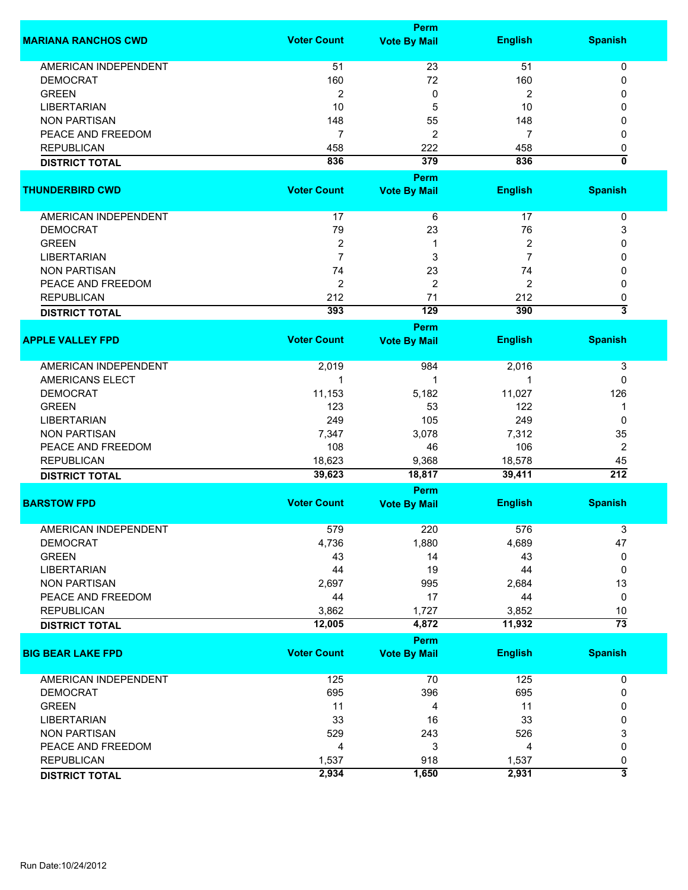|                             |                    | Perm                               |                |                         |
|-----------------------------|--------------------|------------------------------------|----------------|-------------------------|
| <b>MARIANA RANCHOS CWD</b>  | <b>Voter Count</b> | <b>Vote By Mail</b>                | <b>English</b> | <b>Spanish</b>          |
| <b>AMERICAN INDEPENDENT</b> | 51                 | 23                                 | 51             | 0                       |
| <b>DEMOCRAT</b>             | 160                | 72                                 | 160            | 0                       |
| <b>GREEN</b>                | $\overline{2}$     | 0                                  | $\overline{2}$ | 0                       |
| <b>LIBERTARIAN</b>          | 10                 | 5                                  | 10             | 0                       |
| <b>NON PARTISAN</b>         | 148                | 55                                 | 148            | 0                       |
|                             | $\overline{7}$     | $\overline{2}$                     | 7              |                         |
| PEACE AND FREEDOM           |                    |                                    |                | 0                       |
| <b>REPUBLICAN</b>           | 458                | 222                                | 458            | 0                       |
| <b>DISTRICT TOTAL</b>       | 836                | 379                                | 836            | 0                       |
| <b>THUNDERBIRD CWD</b>      | <b>Voter Count</b> | <b>Perm</b><br><b>Vote By Mail</b> | <b>English</b> | <b>Spanish</b>          |
|                             |                    |                                    |                |                         |
| AMERICAN INDEPENDENT        | 17                 | 6                                  | 17             | 0                       |
| <b>DEMOCRAT</b>             | 79                 | 23                                 | 76             | 3                       |
| <b>GREEN</b>                | $\overline{c}$     | 1                                  | 2              | 0                       |
| <b>LIBERTARIAN</b>          | $\overline{7}$     | 3                                  | 7              | 0                       |
| <b>NON PARTISAN</b>         | 74                 | 23                                 | 74             | 0                       |
| PEACE AND FREEDOM           | $\overline{c}$     | $\overline{2}$                     | $\overline{2}$ | 0                       |
| <b>REPUBLICAN</b>           | 212                | 71                                 | 212            | 0                       |
| <b>DISTRICT TOTAL</b>       | 393                | 129                                | 390            | $\overline{\mathbf{3}}$ |
|                             |                    | <b>Perm</b>                        |                |                         |
| <b>APPLE VALLEY FPD</b>     | <b>Voter Count</b> | <b>Vote By Mail</b>                | <b>English</b> | <b>Spanish</b>          |
|                             |                    |                                    |                |                         |
| <b>AMERICAN INDEPENDENT</b> | 2,019              | 984                                | 2,016          | 3                       |
| AMERICANS ELECT             | 1                  | 1                                  | 1              | 0                       |
| <b>DEMOCRAT</b>             | 11,153             | 5,182                              | 11,027         | 126                     |
| <b>GREEN</b>                | 123                | 53                                 | 122            | 1                       |
| <b>LIBERTARIAN</b>          | 249                | 105                                | 249            | 0                       |
| <b>NON PARTISAN</b>         | 7,347              | 3,078                              | 7,312          | 35                      |
| PEACE AND FREEDOM           | 108                | 46                                 | 106            | 2                       |
| <b>REPUBLICAN</b>           | 18,623             | 9,368                              | 18,578         | 45                      |
| <b>DISTRICT TOTAL</b>       | 39,623             | 18,817                             | 39,411         | $\overline{212}$        |
|                             |                    | Perm                               |                |                         |
| <b>BARSTOW FPD</b>          | <b>Voter Count</b> | <b>Vote By Mail</b>                | <b>English</b> | <b>Spanish</b>          |
|                             |                    |                                    |                |                         |
| <b>AMERICAN INDEPENDENT</b> | 579                | 220                                | 576            | 3                       |
| <b>DEMOCRAT</b>             | 4,736              | 1,880                              | 4,689          | 47                      |
| <b>GREEN</b>                | 43                 | 14                                 | 43             | 0                       |
| <b>LIBERTARIAN</b>          | 44                 | 19                                 | 44             | 0                       |
| <b>NON PARTISAN</b>         | 2,697              | 995                                | 2,684          | 13                      |
| PEACE AND FREEDOM           | 44                 | 17                                 | 44             | 0                       |
| <b>REPUBLICAN</b>           | 3,862              | 1,727                              | 3,852          | 10                      |
| <b>DISTRICT TOTAL</b>       | 12,005             | 4,872                              | 11,932         | $\overline{73}$         |
|                             | <b>Voter Count</b> | Perm                               |                |                         |
| <b>BIG BEAR LAKE FPD</b>    |                    | <b>Vote By Mail</b>                | <b>English</b> | <b>Spanish</b>          |
| AMERICAN INDEPENDENT        | 125                | 70                                 | 125            | 0                       |
| <b>DEMOCRAT</b>             | 695                | 396                                | 695            | 0                       |
| <b>GREEN</b>                | 11                 | 4                                  | 11             | 0                       |
| <b>LIBERTARIAN</b>          | 33                 | 16                                 | 33             | 0                       |
| <b>NON PARTISAN</b>         | 529                | 243                                | 526            | 3                       |
| PEACE AND FREEDOM           | 4                  | 3                                  | 4              | 0                       |
| <b>REPUBLICAN</b>           | 1,537              | 918                                | 1,537          | 0                       |
| <b>DISTRICT TOTAL</b>       | 2,934              | 1,650                              | 2,931          | $\overline{\mathbf{3}}$ |
|                             |                    |                                    |                |                         |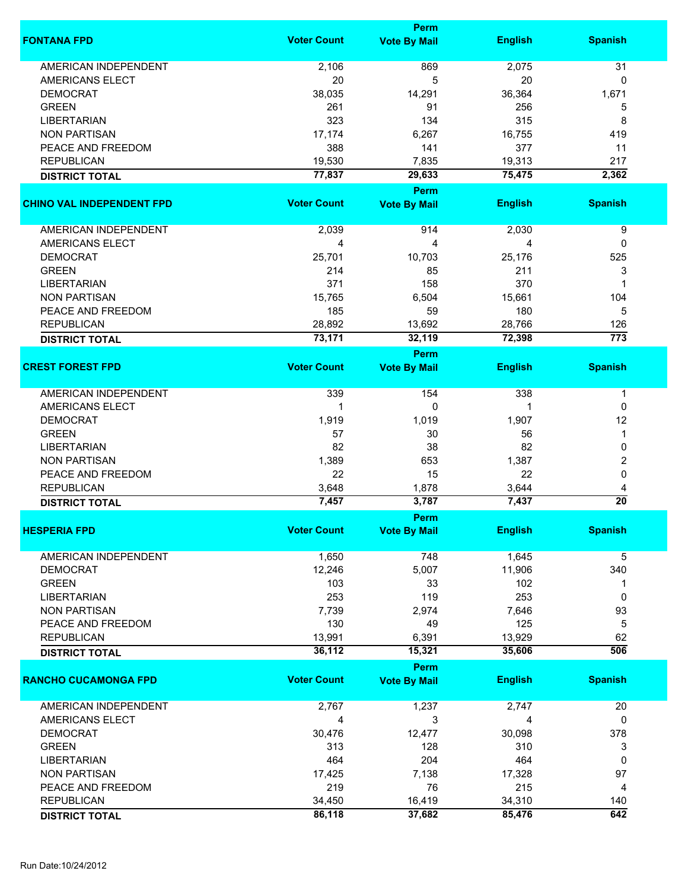|                                  |                    | <b>Perm</b>         |                |                  |
|----------------------------------|--------------------|---------------------|----------------|------------------|
| <b>FONTANA FPD</b>               | <b>Voter Count</b> | <b>Vote By Mail</b> | <b>English</b> | <b>Spanish</b>   |
| <b>AMERICAN INDEPENDENT</b>      | 2,106              | 869                 | 2,075          | 31               |
| AMERICANS ELECT                  | 20                 | 5                   | 20             | 0                |
|                                  | 38,035             |                     |                |                  |
| <b>DEMOCRAT</b>                  |                    | 14,291              | 36,364         | 1,671            |
| <b>GREEN</b>                     | 261                | 91                  | 256            | 5                |
| <b>LIBERTARIAN</b>               | 323                | 134                 | 315            | 8                |
| <b>NON PARTISAN</b>              | 17,174             | 6,267               | 16,755         | 419              |
| PEACE AND FREEDOM                | 388                | 141                 | 377            | 11               |
| <b>REPUBLICAN</b>                | 19,530             | 7,835               | 19,313         | 217              |
| <b>DISTRICT TOTAL</b>            | 77,837             | 29,633              | 75,475         | 2,362            |
|                                  |                    | <b>Perm</b>         |                |                  |
| <b>CHINO VAL INDEPENDENT FPD</b> | <b>Voter Count</b> | <b>Vote By Mail</b> | <b>English</b> | <b>Spanish</b>   |
| AMERICAN INDEPENDENT             | 2,039              | 914                 | 2,030          | 9                |
| <b>AMERICANS ELECT</b>           | 4                  | 4                   | 4              | 0                |
| <b>DEMOCRAT</b>                  | 25,701             | 10,703              |                | 525              |
|                                  |                    |                     | 25,176         |                  |
| <b>GREEN</b>                     | 214                | 85                  | 211            | 3                |
| <b>LIBERTARIAN</b>               | 371                | 158                 | 370            | 1                |
| <b>NON PARTISAN</b>              | 15,765             | 6,504               | 15,661         | 104              |
| PEACE AND FREEDOM                | 185                | 59                  | 180            | 5                |
| <b>REPUBLICAN</b>                | 28,892             | 13,692              | 28,766         | 126              |
| <b>DISTRICT TOTAL</b>            | 73,171             | 32,119              | 72,398         | $\overline{773}$ |
|                                  |                    | Perm                |                |                  |
| <b>CREST FOREST FPD</b>          | <b>Voter Count</b> | <b>Vote By Mail</b> | <b>English</b> | <b>Spanish</b>   |
| <b>AMERICAN INDEPENDENT</b>      | 339                | 154                 | 338            | 1                |
| AMERICANS ELECT                  | 1                  | 0                   | 1              | 0                |
| <b>DEMOCRAT</b>                  | 1,919              | 1,019               | 1,907          | 12               |
| <b>GREEN</b>                     | 57                 | 30                  | 56             | 1                |
|                                  |                    |                     |                |                  |
| <b>LIBERTARIAN</b>               | 82                 | 38                  | 82             | 0                |
| <b>NON PARTISAN</b>              | 1,389              | 653                 | 1,387          | 2                |
| PEACE AND FREEDOM                | 22                 | 15                  | 22             | 0                |
| <b>REPUBLICAN</b>                | 3,648              | 1,878               | 3,644          | 4                |
| <b>DISTRICT TOTAL</b>            | 7,457              | 3,787               | 7,437          | $\overline{20}$  |
|                                  |                    | Perm                |                |                  |
| <b>HESPERIA FPD</b>              | <b>Voter Count</b> | <b>Vote By Mail</b> | <b>English</b> | <b>Spanish</b>   |
| <b>AMERICAN INDEPENDENT</b>      | 1,650              | 748                 | 1,645          | 5                |
| <b>DEMOCRAT</b>                  | 12,246             | 5,007               | 11,906         | 340              |
| <b>GREEN</b>                     | 103                | 33                  | 102            | 1                |
| <b>LIBERTARIAN</b>               | 253                | 119                 | 253            | 0                |
| <b>NON PARTISAN</b>              |                    |                     |                |                  |
|                                  | 7,739              | 2,974               | 7,646          | 93               |
| PEACE AND FREEDOM                | 130                | 49                  | 125            | 5                |
| <b>REPUBLICAN</b>                | 13,991             | 6,391               | 13,929         | 62               |
| <b>DISTRICT TOTAL</b>            | 36,112             | 15,321              | 35,606         | 506              |
|                                  |                    | Perm                |                |                  |
| <b>RANCHO CUCAMONGA FPD</b>      | <b>Voter Count</b> | <b>Vote By Mail</b> | <b>English</b> | <b>Spanish</b>   |
| AMERICAN INDEPENDENT             | 2,767              | 1,237               | 2,747          | 20               |
| AMERICANS ELECT                  | 4                  | 3                   | 4              | 0                |
| <b>DEMOCRAT</b>                  | 30,476             | 12,477              | 30,098         | 378              |
| <b>GREEN</b>                     | 313                | 128                 | 310            | 3                |
|                                  |                    | 204                 | 464            | 0                |
| <b>LIBERTARIAN</b>               | 464                |                     |                |                  |
| <b>NON PARTISAN</b>              | 17,425             | 7,138               | 17,328         | 97               |
| PEACE AND FREEDOM                | 219                | 76                  | 215            | 4                |
| <b>REPUBLICAN</b>                | 34,450             | 16,419              | 34,310         | 140              |
| <b>DISTRICT TOTAL</b>            | 86,118             | 37,682              | 85,476         | 642              |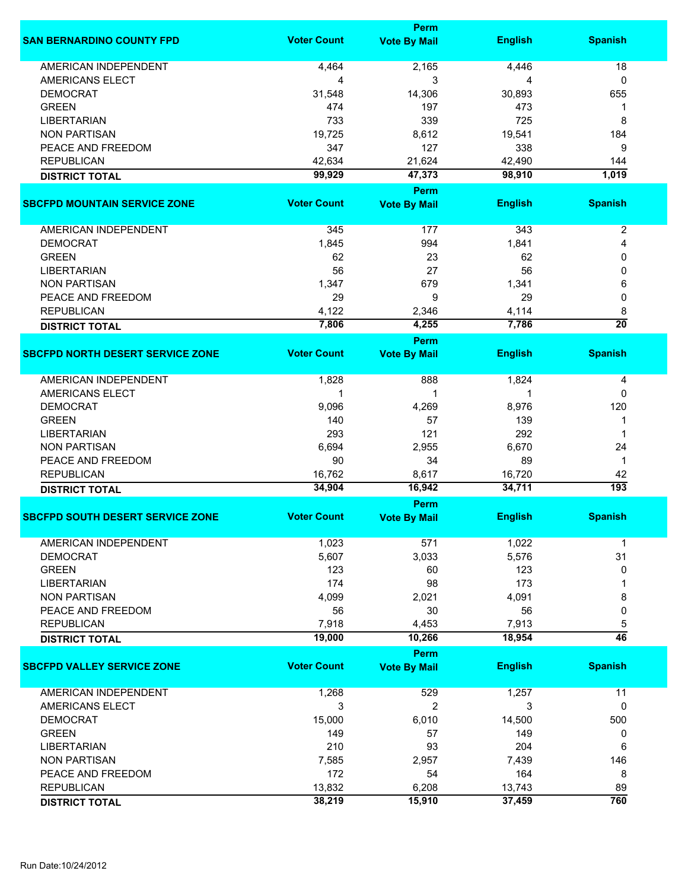| <b>Voter Count</b><br><b>SAN BERNARDINO COUNTY FPD</b><br><b>English</b><br><b>Spanish</b><br><b>Vote By Mail</b><br><b>AMERICAN INDEPENDENT</b><br>2,165<br>4,464<br>4,446<br>18<br>3<br>AMERICANS ELECT<br>4<br>0<br>4<br><b>DEMOCRAT</b><br>31,548<br>14,306<br>30,893<br>655<br><b>GREEN</b><br>474<br>197<br>473<br>1<br>725<br><b>LIBERTARIAN</b><br>733<br>339<br>8<br>19,725<br><b>NON PARTISAN</b><br>8,612<br>19,541<br>184<br>PEACE AND FREEDOM<br>347<br>127<br>338<br>9<br><b>REPUBLICAN</b><br>42,634<br>21,624<br>42,490<br>144<br>99,929<br>47,373<br>98,910<br>1,019<br><b>DISTRICT TOTAL</b><br><b>Perm</b><br><b>Voter Count</b><br><b>English</b><br><b>Vote By Mail</b><br><b>Spanish</b><br>$\boldsymbol{2}$<br>AMERICAN INDEPENDENT<br>345<br>177<br>343<br><b>DEMOCRAT</b><br>1,845<br>994<br>1,841<br>4<br><b>GREEN</b><br>62<br>23<br>62<br>0<br>27<br>56<br><b>LIBERTARIAN</b><br>56<br>0<br><b>NON PARTISAN</b><br>1,347<br>679<br>1,341<br>6<br>PEACE AND FREEDOM<br>29<br>9<br>29<br>0<br><b>REPUBLICAN</b><br>4,122<br>2,346<br>4,114<br>8<br>$\overline{20}$<br>7,806<br>4,255<br>7,786<br><b>DISTRICT TOTAL</b><br>Perm<br><b>Voter Count</b><br><b>English</b><br><b>Spanish</b><br><b>Vote By Mail</b><br><b>AMERICAN INDEPENDENT</b><br>1,828<br>888<br>1,824<br>4<br>AMERICANS ELECT<br>0<br>1<br>1<br>1<br><b>DEMOCRAT</b><br>9,096<br>4,269<br>8,976<br>120<br>139<br><b>GREEN</b><br>140<br>57<br>1<br>121<br>292<br><b>LIBERTARIAN</b><br>293<br>1<br>6,694<br>6,670<br>24<br><b>NON PARTISAN</b><br>2,955<br>34<br>PEACE AND FREEDOM<br>90<br>89<br>$\mathbf 1$<br><b>REPUBLICAN</b><br>16,762<br>16,720<br>42<br>8,617<br>193<br>34,904<br>16,942<br>34,711<br><b>DISTRICT TOTAL</b><br>Perm<br><b>Voter Count</b><br><b>Vote By Mail</b><br><b>English</b><br><b>Spanish</b><br><b>AMERICAN INDEPENDENT</b><br>1,023<br>571<br>1,022<br>1<br>5,607<br>3,033<br>5,576<br>31<br><b>DEMOCRAT</b><br><b>GREEN</b><br>123<br>123<br>60<br>0<br>174<br>98<br>173<br><b>LIBERTARIAN</b><br>1<br>4,091<br><b>NON PARTISAN</b><br>4,099<br>2,021<br>8<br>0<br>PEACE AND FREEDOM<br>56<br>30<br>56<br>5<br><b>REPUBLICAN</b><br>7,918<br>4,453<br>7,913<br>$\overline{46}$<br>19,000<br>18,954<br>10,266<br><b>DISTRICT TOTAL</b><br><b>Perm</b><br><b>Voter Count</b><br><b>Spanish</b><br><b>SBCFPD VALLEY SERVICE ZONE</b><br><b>English</b><br><b>Vote By Mail</b><br><b>AMERICAN INDEPENDENT</b><br>1,268<br>529<br>1,257<br>11<br>3<br>2<br>AMERICANS ELECT<br>3<br>0<br><b>DEMOCRAT</b><br>15,000<br>6,010<br>14,500<br>500<br><b>GREEN</b><br>149<br>57<br>149<br>0<br>210<br>204<br><b>LIBERTARIAN</b><br>93<br>6<br><b>NON PARTISAN</b><br>7,585<br>2,957<br>7,439<br>146<br>164<br>PEACE AND FREEDOM<br>172<br>54<br>8<br><b>REPUBLICAN</b><br>13,832<br>6,208<br>13,743<br>89<br>760<br>38,219<br>15,910<br>37,459 |                       | <b>Perm</b> |  |
|------------------------------------------------------------------------------------------------------------------------------------------------------------------------------------------------------------------------------------------------------------------------------------------------------------------------------------------------------------------------------------------------------------------------------------------------------------------------------------------------------------------------------------------------------------------------------------------------------------------------------------------------------------------------------------------------------------------------------------------------------------------------------------------------------------------------------------------------------------------------------------------------------------------------------------------------------------------------------------------------------------------------------------------------------------------------------------------------------------------------------------------------------------------------------------------------------------------------------------------------------------------------------------------------------------------------------------------------------------------------------------------------------------------------------------------------------------------------------------------------------------------------------------------------------------------------------------------------------------------------------------------------------------------------------------------------------------------------------------------------------------------------------------------------------------------------------------------------------------------------------------------------------------------------------------------------------------------------------------------------------------------------------------------------------------------------------------------------------------------------------------------------------------------------------------------------------------------------------------------------------------------------------------------------------------------------------------------------------------------------------------------------------------------------------------------------------------------------------------------------------------------------------------------------------------------------------------------------------------------------------------------------------------------------------------------------------------------------------------------------------------------------------------------------------------------------------------------------------------------|-----------------------|-------------|--|
|                                                                                                                                                                                                                                                                                                                                                                                                                                                                                                                                                                                                                                                                                                                                                                                                                                                                                                                                                                                                                                                                                                                                                                                                                                                                                                                                                                                                                                                                                                                                                                                                                                                                                                                                                                                                                                                                                                                                                                                                                                                                                                                                                                                                                                                                                                                                                                                                                                                                                                                                                                                                                                                                                                                                                                                                                                                                  |                       |             |  |
| <b>SBCFPD MOUNTAIN SERVICE ZONE</b><br><b>SBCFPD NORTH DESERT SERVICE ZONE</b><br><b>SBCFPD SOUTH DESERT SERVICE ZONE</b>                                                                                                                                                                                                                                                                                                                                                                                                                                                                                                                                                                                                                                                                                                                                                                                                                                                                                                                                                                                                                                                                                                                                                                                                                                                                                                                                                                                                                                                                                                                                                                                                                                                                                                                                                                                                                                                                                                                                                                                                                                                                                                                                                                                                                                                                                                                                                                                                                                                                                                                                                                                                                                                                                                                                        |                       |             |  |
|                                                                                                                                                                                                                                                                                                                                                                                                                                                                                                                                                                                                                                                                                                                                                                                                                                                                                                                                                                                                                                                                                                                                                                                                                                                                                                                                                                                                                                                                                                                                                                                                                                                                                                                                                                                                                                                                                                                                                                                                                                                                                                                                                                                                                                                                                                                                                                                                                                                                                                                                                                                                                                                                                                                                                                                                                                                                  |                       |             |  |
|                                                                                                                                                                                                                                                                                                                                                                                                                                                                                                                                                                                                                                                                                                                                                                                                                                                                                                                                                                                                                                                                                                                                                                                                                                                                                                                                                                                                                                                                                                                                                                                                                                                                                                                                                                                                                                                                                                                                                                                                                                                                                                                                                                                                                                                                                                                                                                                                                                                                                                                                                                                                                                                                                                                                                                                                                                                                  |                       |             |  |
|                                                                                                                                                                                                                                                                                                                                                                                                                                                                                                                                                                                                                                                                                                                                                                                                                                                                                                                                                                                                                                                                                                                                                                                                                                                                                                                                                                                                                                                                                                                                                                                                                                                                                                                                                                                                                                                                                                                                                                                                                                                                                                                                                                                                                                                                                                                                                                                                                                                                                                                                                                                                                                                                                                                                                                                                                                                                  |                       |             |  |
|                                                                                                                                                                                                                                                                                                                                                                                                                                                                                                                                                                                                                                                                                                                                                                                                                                                                                                                                                                                                                                                                                                                                                                                                                                                                                                                                                                                                                                                                                                                                                                                                                                                                                                                                                                                                                                                                                                                                                                                                                                                                                                                                                                                                                                                                                                                                                                                                                                                                                                                                                                                                                                                                                                                                                                                                                                                                  |                       |             |  |
|                                                                                                                                                                                                                                                                                                                                                                                                                                                                                                                                                                                                                                                                                                                                                                                                                                                                                                                                                                                                                                                                                                                                                                                                                                                                                                                                                                                                                                                                                                                                                                                                                                                                                                                                                                                                                                                                                                                                                                                                                                                                                                                                                                                                                                                                                                                                                                                                                                                                                                                                                                                                                                                                                                                                                                                                                                                                  |                       |             |  |
|                                                                                                                                                                                                                                                                                                                                                                                                                                                                                                                                                                                                                                                                                                                                                                                                                                                                                                                                                                                                                                                                                                                                                                                                                                                                                                                                                                                                                                                                                                                                                                                                                                                                                                                                                                                                                                                                                                                                                                                                                                                                                                                                                                                                                                                                                                                                                                                                                                                                                                                                                                                                                                                                                                                                                                                                                                                                  |                       |             |  |
|                                                                                                                                                                                                                                                                                                                                                                                                                                                                                                                                                                                                                                                                                                                                                                                                                                                                                                                                                                                                                                                                                                                                                                                                                                                                                                                                                                                                                                                                                                                                                                                                                                                                                                                                                                                                                                                                                                                                                                                                                                                                                                                                                                                                                                                                                                                                                                                                                                                                                                                                                                                                                                                                                                                                                                                                                                                                  |                       |             |  |
|                                                                                                                                                                                                                                                                                                                                                                                                                                                                                                                                                                                                                                                                                                                                                                                                                                                                                                                                                                                                                                                                                                                                                                                                                                                                                                                                                                                                                                                                                                                                                                                                                                                                                                                                                                                                                                                                                                                                                                                                                                                                                                                                                                                                                                                                                                                                                                                                                                                                                                                                                                                                                                                                                                                                                                                                                                                                  |                       |             |  |
|                                                                                                                                                                                                                                                                                                                                                                                                                                                                                                                                                                                                                                                                                                                                                                                                                                                                                                                                                                                                                                                                                                                                                                                                                                                                                                                                                                                                                                                                                                                                                                                                                                                                                                                                                                                                                                                                                                                                                                                                                                                                                                                                                                                                                                                                                                                                                                                                                                                                                                                                                                                                                                                                                                                                                                                                                                                                  |                       |             |  |
|                                                                                                                                                                                                                                                                                                                                                                                                                                                                                                                                                                                                                                                                                                                                                                                                                                                                                                                                                                                                                                                                                                                                                                                                                                                                                                                                                                                                                                                                                                                                                                                                                                                                                                                                                                                                                                                                                                                                                                                                                                                                                                                                                                                                                                                                                                                                                                                                                                                                                                                                                                                                                                                                                                                                                                                                                                                                  |                       |             |  |
|                                                                                                                                                                                                                                                                                                                                                                                                                                                                                                                                                                                                                                                                                                                                                                                                                                                                                                                                                                                                                                                                                                                                                                                                                                                                                                                                                                                                                                                                                                                                                                                                                                                                                                                                                                                                                                                                                                                                                                                                                                                                                                                                                                                                                                                                                                                                                                                                                                                                                                                                                                                                                                                                                                                                                                                                                                                                  |                       |             |  |
|                                                                                                                                                                                                                                                                                                                                                                                                                                                                                                                                                                                                                                                                                                                                                                                                                                                                                                                                                                                                                                                                                                                                                                                                                                                                                                                                                                                                                                                                                                                                                                                                                                                                                                                                                                                                                                                                                                                                                                                                                                                                                                                                                                                                                                                                                                                                                                                                                                                                                                                                                                                                                                                                                                                                                                                                                                                                  |                       |             |  |
|                                                                                                                                                                                                                                                                                                                                                                                                                                                                                                                                                                                                                                                                                                                                                                                                                                                                                                                                                                                                                                                                                                                                                                                                                                                                                                                                                                                                                                                                                                                                                                                                                                                                                                                                                                                                                                                                                                                                                                                                                                                                                                                                                                                                                                                                                                                                                                                                                                                                                                                                                                                                                                                                                                                                                                                                                                                                  |                       |             |  |
|                                                                                                                                                                                                                                                                                                                                                                                                                                                                                                                                                                                                                                                                                                                                                                                                                                                                                                                                                                                                                                                                                                                                                                                                                                                                                                                                                                                                                                                                                                                                                                                                                                                                                                                                                                                                                                                                                                                                                                                                                                                                                                                                                                                                                                                                                                                                                                                                                                                                                                                                                                                                                                                                                                                                                                                                                                                                  |                       |             |  |
|                                                                                                                                                                                                                                                                                                                                                                                                                                                                                                                                                                                                                                                                                                                                                                                                                                                                                                                                                                                                                                                                                                                                                                                                                                                                                                                                                                                                                                                                                                                                                                                                                                                                                                                                                                                                                                                                                                                                                                                                                                                                                                                                                                                                                                                                                                                                                                                                                                                                                                                                                                                                                                                                                                                                                                                                                                                                  |                       |             |  |
|                                                                                                                                                                                                                                                                                                                                                                                                                                                                                                                                                                                                                                                                                                                                                                                                                                                                                                                                                                                                                                                                                                                                                                                                                                                                                                                                                                                                                                                                                                                                                                                                                                                                                                                                                                                                                                                                                                                                                                                                                                                                                                                                                                                                                                                                                                                                                                                                                                                                                                                                                                                                                                                                                                                                                                                                                                                                  |                       |             |  |
|                                                                                                                                                                                                                                                                                                                                                                                                                                                                                                                                                                                                                                                                                                                                                                                                                                                                                                                                                                                                                                                                                                                                                                                                                                                                                                                                                                                                                                                                                                                                                                                                                                                                                                                                                                                                                                                                                                                                                                                                                                                                                                                                                                                                                                                                                                                                                                                                                                                                                                                                                                                                                                                                                                                                                                                                                                                                  |                       |             |  |
|                                                                                                                                                                                                                                                                                                                                                                                                                                                                                                                                                                                                                                                                                                                                                                                                                                                                                                                                                                                                                                                                                                                                                                                                                                                                                                                                                                                                                                                                                                                                                                                                                                                                                                                                                                                                                                                                                                                                                                                                                                                                                                                                                                                                                                                                                                                                                                                                                                                                                                                                                                                                                                                                                                                                                                                                                                                                  |                       |             |  |
|                                                                                                                                                                                                                                                                                                                                                                                                                                                                                                                                                                                                                                                                                                                                                                                                                                                                                                                                                                                                                                                                                                                                                                                                                                                                                                                                                                                                                                                                                                                                                                                                                                                                                                                                                                                                                                                                                                                                                                                                                                                                                                                                                                                                                                                                                                                                                                                                                                                                                                                                                                                                                                                                                                                                                                                                                                                                  |                       |             |  |
|                                                                                                                                                                                                                                                                                                                                                                                                                                                                                                                                                                                                                                                                                                                                                                                                                                                                                                                                                                                                                                                                                                                                                                                                                                                                                                                                                                                                                                                                                                                                                                                                                                                                                                                                                                                                                                                                                                                                                                                                                                                                                                                                                                                                                                                                                                                                                                                                                                                                                                                                                                                                                                                                                                                                                                                                                                                                  |                       |             |  |
|                                                                                                                                                                                                                                                                                                                                                                                                                                                                                                                                                                                                                                                                                                                                                                                                                                                                                                                                                                                                                                                                                                                                                                                                                                                                                                                                                                                                                                                                                                                                                                                                                                                                                                                                                                                                                                                                                                                                                                                                                                                                                                                                                                                                                                                                                                                                                                                                                                                                                                                                                                                                                                                                                                                                                                                                                                                                  |                       |             |  |
|                                                                                                                                                                                                                                                                                                                                                                                                                                                                                                                                                                                                                                                                                                                                                                                                                                                                                                                                                                                                                                                                                                                                                                                                                                                                                                                                                                                                                                                                                                                                                                                                                                                                                                                                                                                                                                                                                                                                                                                                                                                                                                                                                                                                                                                                                                                                                                                                                                                                                                                                                                                                                                                                                                                                                                                                                                                                  |                       |             |  |
|                                                                                                                                                                                                                                                                                                                                                                                                                                                                                                                                                                                                                                                                                                                                                                                                                                                                                                                                                                                                                                                                                                                                                                                                                                                                                                                                                                                                                                                                                                                                                                                                                                                                                                                                                                                                                                                                                                                                                                                                                                                                                                                                                                                                                                                                                                                                                                                                                                                                                                                                                                                                                                                                                                                                                                                                                                                                  |                       |             |  |
|                                                                                                                                                                                                                                                                                                                                                                                                                                                                                                                                                                                                                                                                                                                                                                                                                                                                                                                                                                                                                                                                                                                                                                                                                                                                                                                                                                                                                                                                                                                                                                                                                                                                                                                                                                                                                                                                                                                                                                                                                                                                                                                                                                                                                                                                                                                                                                                                                                                                                                                                                                                                                                                                                                                                                                                                                                                                  |                       |             |  |
|                                                                                                                                                                                                                                                                                                                                                                                                                                                                                                                                                                                                                                                                                                                                                                                                                                                                                                                                                                                                                                                                                                                                                                                                                                                                                                                                                                                                                                                                                                                                                                                                                                                                                                                                                                                                                                                                                                                                                                                                                                                                                                                                                                                                                                                                                                                                                                                                                                                                                                                                                                                                                                                                                                                                                                                                                                                                  |                       |             |  |
|                                                                                                                                                                                                                                                                                                                                                                                                                                                                                                                                                                                                                                                                                                                                                                                                                                                                                                                                                                                                                                                                                                                                                                                                                                                                                                                                                                                                                                                                                                                                                                                                                                                                                                                                                                                                                                                                                                                                                                                                                                                                                                                                                                                                                                                                                                                                                                                                                                                                                                                                                                                                                                                                                                                                                                                                                                                                  |                       |             |  |
|                                                                                                                                                                                                                                                                                                                                                                                                                                                                                                                                                                                                                                                                                                                                                                                                                                                                                                                                                                                                                                                                                                                                                                                                                                                                                                                                                                                                                                                                                                                                                                                                                                                                                                                                                                                                                                                                                                                                                                                                                                                                                                                                                                                                                                                                                                                                                                                                                                                                                                                                                                                                                                                                                                                                                                                                                                                                  |                       |             |  |
|                                                                                                                                                                                                                                                                                                                                                                                                                                                                                                                                                                                                                                                                                                                                                                                                                                                                                                                                                                                                                                                                                                                                                                                                                                                                                                                                                                                                                                                                                                                                                                                                                                                                                                                                                                                                                                                                                                                                                                                                                                                                                                                                                                                                                                                                                                                                                                                                                                                                                                                                                                                                                                                                                                                                                                                                                                                                  |                       |             |  |
|                                                                                                                                                                                                                                                                                                                                                                                                                                                                                                                                                                                                                                                                                                                                                                                                                                                                                                                                                                                                                                                                                                                                                                                                                                                                                                                                                                                                                                                                                                                                                                                                                                                                                                                                                                                                                                                                                                                                                                                                                                                                                                                                                                                                                                                                                                                                                                                                                                                                                                                                                                                                                                                                                                                                                                                                                                                                  |                       |             |  |
|                                                                                                                                                                                                                                                                                                                                                                                                                                                                                                                                                                                                                                                                                                                                                                                                                                                                                                                                                                                                                                                                                                                                                                                                                                                                                                                                                                                                                                                                                                                                                                                                                                                                                                                                                                                                                                                                                                                                                                                                                                                                                                                                                                                                                                                                                                                                                                                                                                                                                                                                                                                                                                                                                                                                                                                                                                                                  |                       |             |  |
|                                                                                                                                                                                                                                                                                                                                                                                                                                                                                                                                                                                                                                                                                                                                                                                                                                                                                                                                                                                                                                                                                                                                                                                                                                                                                                                                                                                                                                                                                                                                                                                                                                                                                                                                                                                                                                                                                                                                                                                                                                                                                                                                                                                                                                                                                                                                                                                                                                                                                                                                                                                                                                                                                                                                                                                                                                                                  |                       |             |  |
|                                                                                                                                                                                                                                                                                                                                                                                                                                                                                                                                                                                                                                                                                                                                                                                                                                                                                                                                                                                                                                                                                                                                                                                                                                                                                                                                                                                                                                                                                                                                                                                                                                                                                                                                                                                                                                                                                                                                                                                                                                                                                                                                                                                                                                                                                                                                                                                                                                                                                                                                                                                                                                                                                                                                                                                                                                                                  |                       |             |  |
|                                                                                                                                                                                                                                                                                                                                                                                                                                                                                                                                                                                                                                                                                                                                                                                                                                                                                                                                                                                                                                                                                                                                                                                                                                                                                                                                                                                                                                                                                                                                                                                                                                                                                                                                                                                                                                                                                                                                                                                                                                                                                                                                                                                                                                                                                                                                                                                                                                                                                                                                                                                                                                                                                                                                                                                                                                                                  |                       |             |  |
|                                                                                                                                                                                                                                                                                                                                                                                                                                                                                                                                                                                                                                                                                                                                                                                                                                                                                                                                                                                                                                                                                                                                                                                                                                                                                                                                                                                                                                                                                                                                                                                                                                                                                                                                                                                                                                                                                                                                                                                                                                                                                                                                                                                                                                                                                                                                                                                                                                                                                                                                                                                                                                                                                                                                                                                                                                                                  |                       |             |  |
|                                                                                                                                                                                                                                                                                                                                                                                                                                                                                                                                                                                                                                                                                                                                                                                                                                                                                                                                                                                                                                                                                                                                                                                                                                                                                                                                                                                                                                                                                                                                                                                                                                                                                                                                                                                                                                                                                                                                                                                                                                                                                                                                                                                                                                                                                                                                                                                                                                                                                                                                                                                                                                                                                                                                                                                                                                                                  |                       |             |  |
|                                                                                                                                                                                                                                                                                                                                                                                                                                                                                                                                                                                                                                                                                                                                                                                                                                                                                                                                                                                                                                                                                                                                                                                                                                                                                                                                                                                                                                                                                                                                                                                                                                                                                                                                                                                                                                                                                                                                                                                                                                                                                                                                                                                                                                                                                                                                                                                                                                                                                                                                                                                                                                                                                                                                                                                                                                                                  |                       |             |  |
|                                                                                                                                                                                                                                                                                                                                                                                                                                                                                                                                                                                                                                                                                                                                                                                                                                                                                                                                                                                                                                                                                                                                                                                                                                                                                                                                                                                                                                                                                                                                                                                                                                                                                                                                                                                                                                                                                                                                                                                                                                                                                                                                                                                                                                                                                                                                                                                                                                                                                                                                                                                                                                                                                                                                                                                                                                                                  |                       |             |  |
|                                                                                                                                                                                                                                                                                                                                                                                                                                                                                                                                                                                                                                                                                                                                                                                                                                                                                                                                                                                                                                                                                                                                                                                                                                                                                                                                                                                                                                                                                                                                                                                                                                                                                                                                                                                                                                                                                                                                                                                                                                                                                                                                                                                                                                                                                                                                                                                                                                                                                                                                                                                                                                                                                                                                                                                                                                                                  |                       |             |  |
|                                                                                                                                                                                                                                                                                                                                                                                                                                                                                                                                                                                                                                                                                                                                                                                                                                                                                                                                                                                                                                                                                                                                                                                                                                                                                                                                                                                                                                                                                                                                                                                                                                                                                                                                                                                                                                                                                                                                                                                                                                                                                                                                                                                                                                                                                                                                                                                                                                                                                                                                                                                                                                                                                                                                                                                                                                                                  |                       |             |  |
|                                                                                                                                                                                                                                                                                                                                                                                                                                                                                                                                                                                                                                                                                                                                                                                                                                                                                                                                                                                                                                                                                                                                                                                                                                                                                                                                                                                                                                                                                                                                                                                                                                                                                                                                                                                                                                                                                                                                                                                                                                                                                                                                                                                                                                                                                                                                                                                                                                                                                                                                                                                                                                                                                                                                                                                                                                                                  |                       |             |  |
|                                                                                                                                                                                                                                                                                                                                                                                                                                                                                                                                                                                                                                                                                                                                                                                                                                                                                                                                                                                                                                                                                                                                                                                                                                                                                                                                                                                                                                                                                                                                                                                                                                                                                                                                                                                                                                                                                                                                                                                                                                                                                                                                                                                                                                                                                                                                                                                                                                                                                                                                                                                                                                                                                                                                                                                                                                                                  |                       |             |  |
|                                                                                                                                                                                                                                                                                                                                                                                                                                                                                                                                                                                                                                                                                                                                                                                                                                                                                                                                                                                                                                                                                                                                                                                                                                                                                                                                                                                                                                                                                                                                                                                                                                                                                                                                                                                                                                                                                                                                                                                                                                                                                                                                                                                                                                                                                                                                                                                                                                                                                                                                                                                                                                                                                                                                                                                                                                                                  |                       |             |  |
|                                                                                                                                                                                                                                                                                                                                                                                                                                                                                                                                                                                                                                                                                                                                                                                                                                                                                                                                                                                                                                                                                                                                                                                                                                                                                                                                                                                                                                                                                                                                                                                                                                                                                                                                                                                                                                                                                                                                                                                                                                                                                                                                                                                                                                                                                                                                                                                                                                                                                                                                                                                                                                                                                                                                                                                                                                                                  |                       |             |  |
|                                                                                                                                                                                                                                                                                                                                                                                                                                                                                                                                                                                                                                                                                                                                                                                                                                                                                                                                                                                                                                                                                                                                                                                                                                                                                                                                                                                                                                                                                                                                                                                                                                                                                                                                                                                                                                                                                                                                                                                                                                                                                                                                                                                                                                                                                                                                                                                                                                                                                                                                                                                                                                                                                                                                                                                                                                                                  |                       |             |  |
|                                                                                                                                                                                                                                                                                                                                                                                                                                                                                                                                                                                                                                                                                                                                                                                                                                                                                                                                                                                                                                                                                                                                                                                                                                                                                                                                                                                                                                                                                                                                                                                                                                                                                                                                                                                                                                                                                                                                                                                                                                                                                                                                                                                                                                                                                                                                                                                                                                                                                                                                                                                                                                                                                                                                                                                                                                                                  |                       |             |  |
|                                                                                                                                                                                                                                                                                                                                                                                                                                                                                                                                                                                                                                                                                                                                                                                                                                                                                                                                                                                                                                                                                                                                                                                                                                                                                                                                                                                                                                                                                                                                                                                                                                                                                                                                                                                                                                                                                                                                                                                                                                                                                                                                                                                                                                                                                                                                                                                                                                                                                                                                                                                                                                                                                                                                                                                                                                                                  |                       |             |  |
|                                                                                                                                                                                                                                                                                                                                                                                                                                                                                                                                                                                                                                                                                                                                                                                                                                                                                                                                                                                                                                                                                                                                                                                                                                                                                                                                                                                                                                                                                                                                                                                                                                                                                                                                                                                                                                                                                                                                                                                                                                                                                                                                                                                                                                                                                                                                                                                                                                                                                                                                                                                                                                                                                                                                                                                                                                                                  |                       |             |  |
|                                                                                                                                                                                                                                                                                                                                                                                                                                                                                                                                                                                                                                                                                                                                                                                                                                                                                                                                                                                                                                                                                                                                                                                                                                                                                                                                                                                                                                                                                                                                                                                                                                                                                                                                                                                                                                                                                                                                                                                                                                                                                                                                                                                                                                                                                                                                                                                                                                                                                                                                                                                                                                                                                                                                                                                                                                                                  |                       |             |  |
|                                                                                                                                                                                                                                                                                                                                                                                                                                                                                                                                                                                                                                                                                                                                                                                                                                                                                                                                                                                                                                                                                                                                                                                                                                                                                                                                                                                                                                                                                                                                                                                                                                                                                                                                                                                                                                                                                                                                                                                                                                                                                                                                                                                                                                                                                                                                                                                                                                                                                                                                                                                                                                                                                                                                                                                                                                                                  |                       |             |  |
|                                                                                                                                                                                                                                                                                                                                                                                                                                                                                                                                                                                                                                                                                                                                                                                                                                                                                                                                                                                                                                                                                                                                                                                                                                                                                                                                                                                                                                                                                                                                                                                                                                                                                                                                                                                                                                                                                                                                                                                                                                                                                                                                                                                                                                                                                                                                                                                                                                                                                                                                                                                                                                                                                                                                                                                                                                                                  |                       |             |  |
|                                                                                                                                                                                                                                                                                                                                                                                                                                                                                                                                                                                                                                                                                                                                                                                                                                                                                                                                                                                                                                                                                                                                                                                                                                                                                                                                                                                                                                                                                                                                                                                                                                                                                                                                                                                                                                                                                                                                                                                                                                                                                                                                                                                                                                                                                                                                                                                                                                                                                                                                                                                                                                                                                                                                                                                                                                                                  |                       |             |  |
|                                                                                                                                                                                                                                                                                                                                                                                                                                                                                                                                                                                                                                                                                                                                                                                                                                                                                                                                                                                                                                                                                                                                                                                                                                                                                                                                                                                                                                                                                                                                                                                                                                                                                                                                                                                                                                                                                                                                                                                                                                                                                                                                                                                                                                                                                                                                                                                                                                                                                                                                                                                                                                                                                                                                                                                                                                                                  |                       |             |  |
|                                                                                                                                                                                                                                                                                                                                                                                                                                                                                                                                                                                                                                                                                                                                                                                                                                                                                                                                                                                                                                                                                                                                                                                                                                                                                                                                                                                                                                                                                                                                                                                                                                                                                                                                                                                                                                                                                                                                                                                                                                                                                                                                                                                                                                                                                                                                                                                                                                                                                                                                                                                                                                                                                                                                                                                                                                                                  |                       |             |  |
|                                                                                                                                                                                                                                                                                                                                                                                                                                                                                                                                                                                                                                                                                                                                                                                                                                                                                                                                                                                                                                                                                                                                                                                                                                                                                                                                                                                                                                                                                                                                                                                                                                                                                                                                                                                                                                                                                                                                                                                                                                                                                                                                                                                                                                                                                                                                                                                                                                                                                                                                                                                                                                                                                                                                                                                                                                                                  |                       |             |  |
|                                                                                                                                                                                                                                                                                                                                                                                                                                                                                                                                                                                                                                                                                                                                                                                                                                                                                                                                                                                                                                                                                                                                                                                                                                                                                                                                                                                                                                                                                                                                                                                                                                                                                                                                                                                                                                                                                                                                                                                                                                                                                                                                                                                                                                                                                                                                                                                                                                                                                                                                                                                                                                                                                                                                                                                                                                                                  | <b>DISTRICT TOTAL</b> |             |  |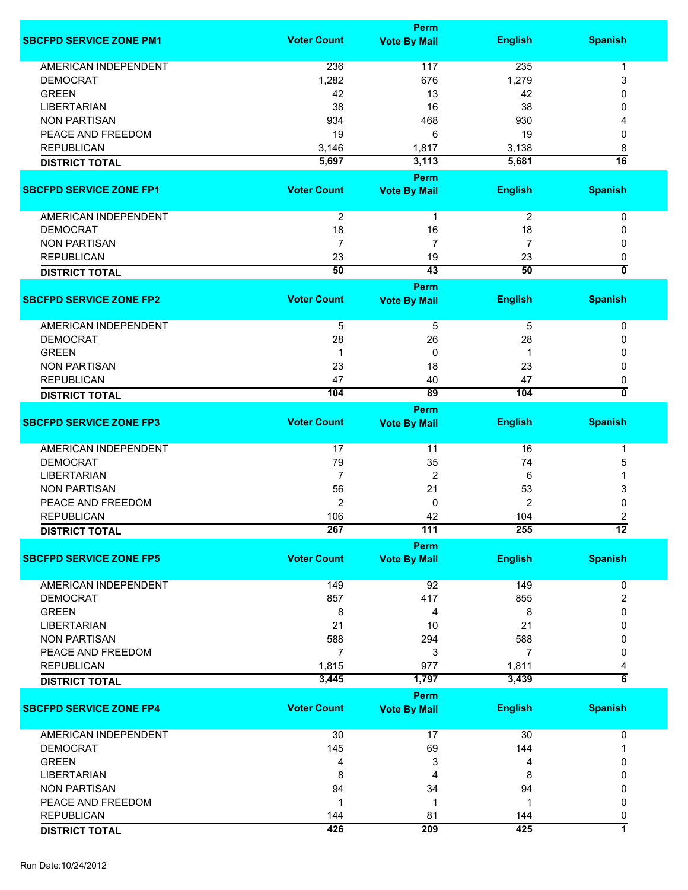|                                |                    | Perm                |                |                         |
|--------------------------------|--------------------|---------------------|----------------|-------------------------|
| <b>SBCFPD SERVICE ZONE PM1</b> | <b>Voter Count</b> | <b>Vote By Mail</b> | <b>English</b> | <b>Spanish</b>          |
| <b>AMERICAN INDEPENDENT</b>    | 236                | 117                 | 235            |                         |
|                                |                    |                     |                | 1                       |
| <b>DEMOCRAT</b>                | 1,282              | 676                 | 1,279          | 3                       |
| <b>GREEN</b>                   | 42                 | 13                  | 42             | 0                       |
| <b>LIBERTARIAN</b>             | 38                 | 16                  | 38             | 0                       |
| <b>NON PARTISAN</b>            | 934                | 468                 | 930            |                         |
| PEACE AND FREEDOM              | 19                 | 6                   | 19             | 0                       |
| <b>REPUBLICAN</b>              | 3,146              | 1,817               | 3,138          | 8                       |
| <b>DISTRICT TOTAL</b>          | 5,697              | 3,113               | 5,681          | $\overline{16}$         |
|                                |                    | Perm                |                |                         |
| <b>SBCFPD SERVICE ZONE FP1</b> | <b>Voter Count</b> | <b>Vote By Mail</b> | <b>English</b> | <b>Spanish</b>          |
| <b>AMERICAN INDEPENDENT</b>    | $\overline{2}$     | 1                   | $\overline{c}$ | 0                       |
| <b>DEMOCRAT</b>                | 18                 | 16                  | 18             | 0                       |
| <b>NON PARTISAN</b>            | 7                  | $\overline{7}$      | 7              | 0                       |
| <b>REPUBLICAN</b>              | 23                 | 19                  | 23             | 0                       |
| <b>DISTRICT TOTAL</b>          | 50                 | 43                  | 50             | $\overline{\mathbf{0}}$ |
|                                |                    | Perm                |                |                         |
| <b>SBCFPD SERVICE ZONE FP2</b> | <b>Voter Count</b> | <b>Vote By Mail</b> | <b>English</b> | <b>Spanish</b>          |
|                                |                    |                     |                |                         |
| <b>AMERICAN INDEPENDENT</b>    | $\overline{5}$     | $\overline{5}$      | 5              | 0                       |
| <b>DEMOCRAT</b>                | 28                 | 26                  | 28             | 0                       |
| <b>GREEN</b>                   | $\mathbf 1$        | 0                   | 1              | 0                       |
| <b>NON PARTISAN</b>            | 23                 | 18                  | 23             | 0                       |
| <b>REPUBLICAN</b>              | 47                 | 40                  | 47             | 0                       |
| <b>DISTRICT TOTAL</b>          | 104                | 89                  | 104            | 0                       |
|                                |                    | Perm                |                |                         |
| <b>SBCFPD SERVICE ZONE FP3</b> | <b>Voter Count</b> | <b>Vote By Mail</b> | <b>English</b> | <b>Spanish</b>          |
| AMERICAN INDEPENDENT           | 17                 | 11                  | 16             | 1                       |
| <b>DEMOCRAT</b>                | 79                 | 35                  | 74             | 5                       |
| <b>LIBERTARIAN</b>             | $\overline{7}$     | $\overline{2}$      | 6              | 1                       |
| <b>NON PARTISAN</b>            | 56                 | 21                  | 53             | 3                       |
| PEACE AND FREEDOM              | $\overline{2}$     | 0                   | 2              | 0                       |
| <b>REPUBLICAN</b>              | 106                | 42                  | 104            | 2                       |
|                                | 267                | 111                 | 255            | $\overline{12}$         |
| <b>DISTRICT TOTAL</b>          |                    | <b>Perm</b>         |                |                         |
| <b>SBCFPD SERVICE ZONE FP5</b> | <b>Voter Count</b> | <b>Vote By Mail</b> | <b>English</b> | <b>Spanish</b>          |
| <b>AMERICAN INDEPENDENT</b>    | 149                | 92                  | 149            | 0                       |
| <b>DEMOCRAT</b>                | 857                | 417                 | 855            | 2                       |
| <b>GREEN</b>                   |                    |                     |                | 0                       |
|                                | 8                  | 4                   | 8              |                         |
| <b>LIBERTARIAN</b>             | 21                 | 10                  | 21             | 0                       |
| <b>NON PARTISAN</b>            | 588                | 294                 | 588            | 0                       |
| PEACE AND FREEDOM              | 7                  | 3                   | 7              | 0                       |
| <b>REPUBLICAN</b>              | 1,815              | 977                 | 1,811          | 4                       |
| <b>DISTRICT TOTAL</b>          | 3,445              | 1,797               | 3,439          | $\overline{\bf 6}$      |
|                                |                    | Perm                |                |                         |
| <b>SBCFPD SERVICE ZONE FP4</b> | <b>Voter Count</b> | <b>Vote By Mail</b> | <b>English</b> | <b>Spanish</b>          |
| <b>AMERICAN INDEPENDENT</b>    | 30                 | 17                  | 30             | 0                       |
| <b>DEMOCRAT</b>                | 145                | 69                  | 144            | 1                       |
| <b>GREEN</b>                   | 4                  | 3                   | 4              | 0                       |
| <b>LIBERTARIAN</b>             | 8                  | 4                   | 8              | 0                       |
| <b>NON PARTISAN</b>            | 94                 | 34                  |                | 0                       |
|                                | $\mathbf 1$        | 1                   | 94             |                         |
| PEACE AND FREEDOM              |                    |                     | 1              | 0                       |
| <b>REPUBLICAN</b>              | 144                | 81                  | 144            | 0                       |
| <b>DISTRICT TOTAL</b>          | 426                | 209                 | 425            | 7                       |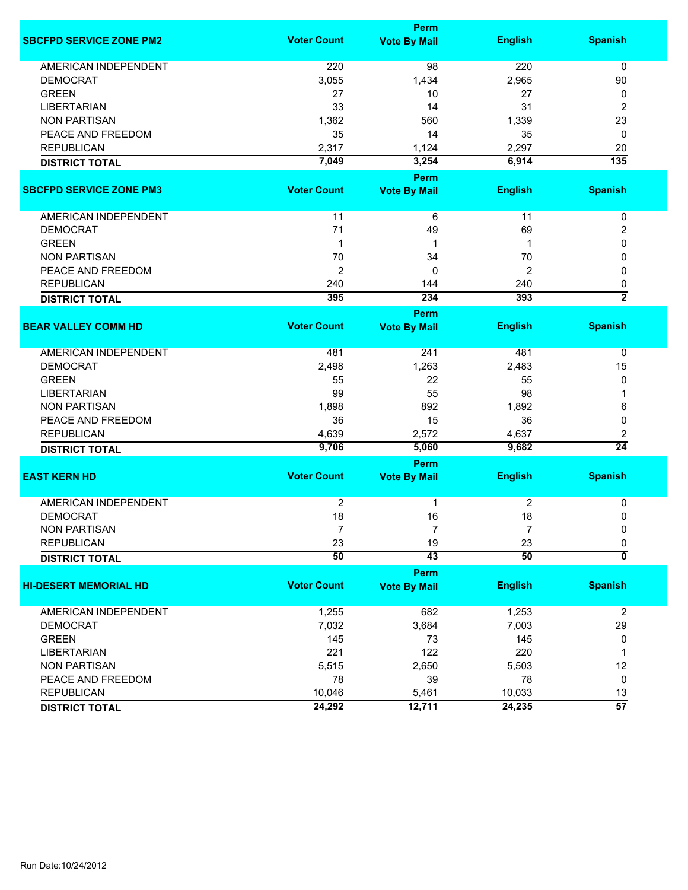|                                |                    | Perm                |                |                           |
|--------------------------------|--------------------|---------------------|----------------|---------------------------|
| <b>SBCFPD SERVICE ZONE PM2</b> | <b>Voter Count</b> | <b>Vote By Mail</b> | <b>English</b> | <b>Spanish</b>            |
| <b>AMERICAN INDEPENDENT</b>    | 220                | 98                  | 220            | 0                         |
| <b>DEMOCRAT</b>                | 3,055              | 1,434               | 2,965          | 90                        |
| <b>GREEN</b>                   | 27                 | 10                  | 27             | 0                         |
| <b>LIBERTARIAN</b>             | 33                 | 14                  | 31             | 2                         |
| <b>NON PARTISAN</b>            | 1,362              | 560                 | 1,339          | 23                        |
| PEACE AND FREEDOM              | 35                 | 14                  | 35             | 0                         |
| <b>REPUBLICAN</b>              | 2,317              | 1,124               | 2,297          | 20                        |
| <b>DISTRICT TOTAL</b>          | 7,049              | 3,254               | 6,914          | $\overline{135}$          |
|                                |                    | Perm                |                |                           |
| <b>SBCFPD SERVICE ZONE PM3</b> | <b>Voter Count</b> | <b>Vote By Mail</b> | <b>English</b> | <b>Spanish</b>            |
| AMERICAN INDEPENDENT           | 11                 | 6                   | 11             | 0                         |
| <b>DEMOCRAT</b>                | 71                 | 49                  | 69             | 2                         |
| <b>GREEN</b>                   | 1                  | 1                   | $\mathbf 1$    | 0                         |
| <b>NON PARTISAN</b>            | 70                 | 34                  | 70             | 0                         |
| PEACE AND FREEDOM              | 2                  | 0                   | 2              | 0                         |
| <b>REPUBLICAN</b>              | 240                | 144                 | 240            | 0                         |
| <b>DISTRICT TOTAL</b>          | 395                | 234                 | 393            | $\overline{2}$            |
|                                |                    | Perm                |                |                           |
| <b>BEAR VALLEY COMM HD</b>     | <b>Voter Count</b> | <b>Vote By Mail</b> | <b>English</b> | <b>Spanish</b>            |
|                                |                    |                     |                |                           |
| <b>AMERICAN INDEPENDENT</b>    | 481                | 241                 | 481            | 0                         |
| <b>DEMOCRAT</b>                | 2,498              | 1,263               | 2,483          | 15                        |
| <b>GREEN</b>                   | 55                 | 22                  | 55             | 0                         |
| <b>LIBERTARIAN</b>             | 99                 | 55                  | 98             | 1                         |
| <b>NON PARTISAN</b>            | 1,898              | 892                 | 1,892          | 6                         |
| PEACE AND FREEDOM              | 36                 | 15                  | 36             | 0                         |
| <b>REPUBLICAN</b>              | 4,639              | 2,572               | 4,637          | 2                         |
| <b>DISTRICT TOTAL</b>          | 9,706              | 5,060               | 9,682          | $\overline{24}$           |
|                                |                    | Perm                |                |                           |
| <b>EAST KERN HD</b>            | <b>Voter Count</b> | <b>Vote By Mail</b> | <b>English</b> | <b>Spanish</b>            |
| <b>AMERICAN INDEPENDENT</b>    | 2                  | 1                   | $\overline{c}$ | 0                         |
| <b>DEMOCRAT</b>                | 18                 | 16                  | 18             | 0                         |
| <b>NON PARTISAN</b>            | $\overline{7}$     | 7                   | $\overline{7}$ | 0                         |
| <b>REPUBLICAN</b>              | 23                 | 19                  | 23             | 0                         |
| <b>DISTRICT TOTAL</b>          | 50                 | 43                  | 50             | $\overline{\mathfrak{o}}$ |
|                                |                    | Perm                |                |                           |
| <b>HI-DESERT MEMORIAL HD</b>   | <b>Voter Count</b> | <b>Vote By Mail</b> | <b>English</b> | <b>Spanish</b>            |
|                                |                    |                     |                |                           |
| AMERICAN INDEPENDENT           | 1,255              | 682                 | 1,253          | $\overline{2}$            |
| <b>DEMOCRAT</b>                | 7,032              | 3,684               | 7,003          | 29                        |
| <b>GREEN</b>                   | 145                | 73                  | 145            | 0                         |
| <b>LIBERTARIAN</b>             | 221                | 122                 | 220            | 1                         |
| <b>NON PARTISAN</b>            | 5,515              | 2,650               | 5,503          | 12                        |
| PEACE AND FREEDOM              | 78                 | 39                  | 78             | 0                         |
| <b>REPUBLICAN</b>              | 10,046             | 5,461               | 10,033         | 13                        |
| <b>DISTRICT TOTAL</b>          | 24,292             | 12,711              | 24,235         | $\overline{57}$           |
|                                |                    |                     |                |                           |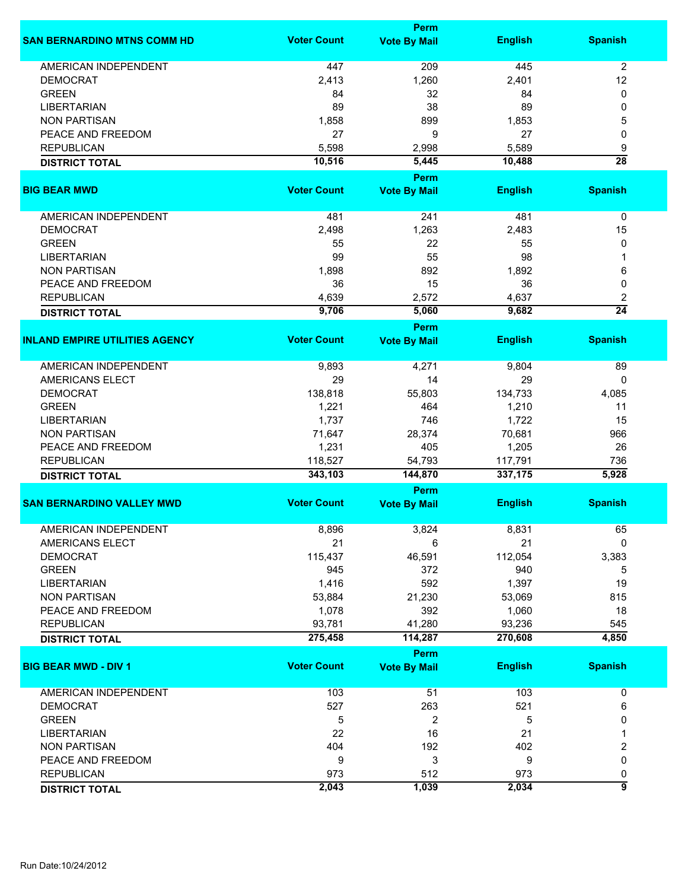|                                       |                    | Perm                        |                |                 |
|---------------------------------------|--------------------|-----------------------------|----------------|-----------------|
| <b>SAN BERNARDINO MTNS COMM HD</b>    | <b>Voter Count</b> | <b>Vote By Mail</b>         | <b>English</b> | <b>Spanish</b>  |
| <b>AMERICAN INDEPENDENT</b>           | 447                | 209                         | 445            | $\overline{2}$  |
| <b>DEMOCRAT</b>                       | 2,413              | 1,260                       | 2,401          | 12              |
| <b>GREEN</b>                          | 84                 | 32                          | 84             | 0               |
| <b>LIBERTARIAN</b>                    | 89                 | 38                          | 89             | 0               |
|                                       |                    |                             |                |                 |
| <b>NON PARTISAN</b>                   | 1,858              | 899                         | 1,853          | 5               |
| PEACE AND FREEDOM                     | 27                 | 9                           | 27             | 0               |
| <b>REPUBLICAN</b>                     | 5,598              | 2,998                       | 5,589          | 9               |
| <b>DISTRICT TOTAL</b>                 | 10,516             | 5,445                       | 10,488         | $\overline{28}$ |
|                                       |                    | Perm                        |                |                 |
| <b>BIG BEAR MWD</b>                   | <b>Voter Count</b> | <b>Vote By Mail</b>         | <b>English</b> | <b>Spanish</b>  |
| AMERICAN INDEPENDENT                  | 481                | 241                         | 481            | 0               |
| <b>DEMOCRAT</b>                       | 2,498              | 1,263                       | 2,483          | 15              |
| <b>GREEN</b>                          | 55                 | 22                          | 55             | 0               |
|                                       | 99                 | 55                          |                |                 |
| <b>LIBERTARIAN</b>                    |                    |                             | 98             |                 |
| <b>NON PARTISAN</b>                   | 1,898              | 892                         | 1,892          | 6               |
| PEACE AND FREEDOM                     | 36                 | 15                          | 36             | 0               |
| <b>REPUBLICAN</b>                     | 4,639              | 2,572                       | 4,637          | 2               |
| <b>DISTRICT TOTAL</b>                 | 9,706              | 5,060                       | 9,682          | $\overline{24}$ |
|                                       |                    | <b>Perm</b>                 |                |                 |
| <b>INLAND EMPIRE UTILITIES AGENCY</b> | <b>Voter Count</b> | <b>Vote By Mail</b>         | <b>English</b> | <b>Spanish</b>  |
| <b>AMERICAN INDEPENDENT</b>           | 9,893              | 4,271                       | 9,804          | 89              |
| <b>AMERICANS ELECT</b>                | 29                 | 14                          | 29             | 0               |
| <b>DEMOCRAT</b>                       | 138,818            | 55,803                      | 134,733        | 4,085           |
| <b>GREEN</b>                          | 1,221              | 464                         | 1,210          | 11              |
| <b>LIBERTARIAN</b>                    | 1,737              | 746                         | 1,722          | 15              |
| <b>NON PARTISAN</b>                   | 71,647             | 28,374                      | 70,681         | 966             |
|                                       |                    |                             |                |                 |
| PEACE AND FREEDOM                     | 1,231              | 405                         | 1,205          | 26              |
| <b>REPUBLICAN</b>                     | 118,527            | 54,793                      | 117,791        | 736             |
| <b>DISTRICT TOTAL</b>                 | 343,103            | 144,870                     | 337,175        | 5,928           |
| <b>SAN BERNARDINO VALLEY MWD</b>      | <b>Voter Count</b> | Perm<br><b>Vote By Mail</b> | <b>English</b> | <b>Spanish</b>  |
|                                       |                    |                             |                |                 |
| <b>AMERICAN INDEPENDENT</b>           | 8,896              | 3,824                       | 8,831          | 65              |
| AMERICANS ELECT                       | 21                 | 6                           | 21             | $\mathbf{0}$    |
| <b>DEMOCRAT</b>                       | 115,437            | 46,591                      | 112,054        | 3,383           |
| <b>GREEN</b>                          | 945                | 372                         | 940            | 5               |
| <b>LIBERTARIAN</b>                    | 1,416              | 592                         | 1,397          | 19              |
| <b>NON PARTISAN</b>                   | 53,884             | 21,230                      | 53,069         | 815             |
| PEACE AND FREEDOM                     | 1,078              | 392                         | 1,060          | 18              |
| <b>REPUBLICAN</b>                     | 93,781             | 41,280                      | 93,236         | 545             |
| <b>DISTRICT TOTAL</b>                 | 275,458            | 114,287                     | 270,608        | 4,850           |
|                                       |                    | <b>Perm</b>                 |                |                 |
| <b>BIG BEAR MWD - DIV 1</b>           | <b>Voter Count</b> | <b>Vote By Mail</b>         | <b>English</b> | <b>Spanish</b>  |
|                                       |                    |                             |                |                 |
| <b>AMERICAN INDEPENDENT</b>           | 103                | 51                          | 103            | 0               |
| <b>DEMOCRAT</b>                       | 527                | 263                         | 521            | 6               |
| <b>GREEN</b>                          | 5                  | 2                           | 5              | 0               |
| <b>LIBERTARIAN</b>                    | 22                 | 16                          | 21             | 1               |
| <b>NON PARTISAN</b>                   | 404                | 192                         | 402            | 2               |
| PEACE AND FREEDOM                     | 9                  | 3                           | 9              | 0               |
| <b>REPUBLICAN</b>                     | 973                | 512                         | 973            | 0               |
|                                       | 2,043              | 1,039                       | 2,034          | 5               |
| <b>DISTRICT TOTAL</b>                 |                    |                             |                |                 |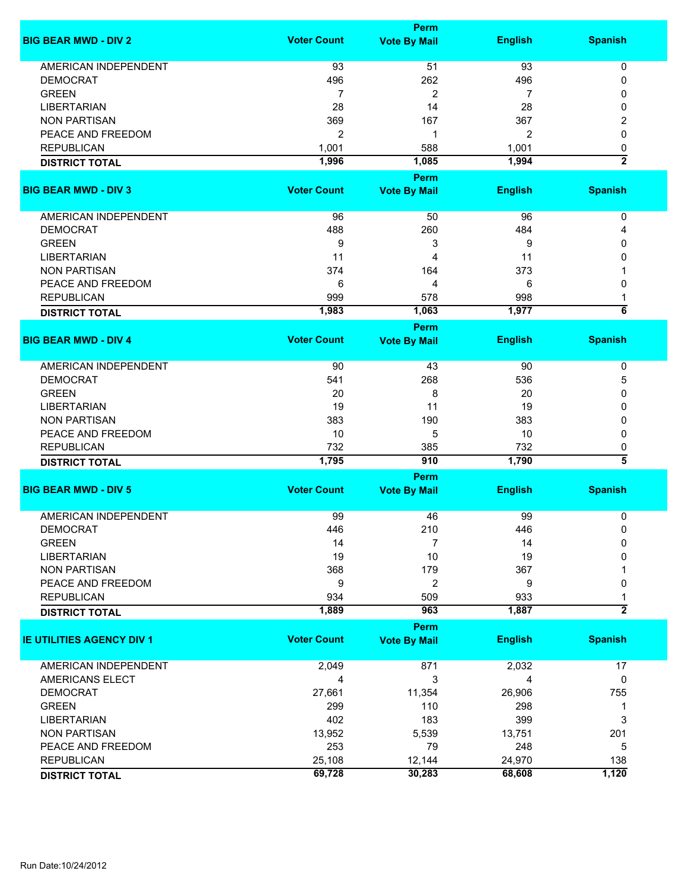|                                  |                    | <b>Perm</b>                 |                |                     |
|----------------------------------|--------------------|-----------------------------|----------------|---------------------|
| <b>BIG BEAR MWD - DIV 2</b>      | <b>Voter Count</b> | <b>Vote By Mail</b>         | <b>English</b> | <b>Spanish</b>      |
| <b>AMERICAN INDEPENDENT</b>      | 93                 | 51                          | 93             | 0                   |
| <b>DEMOCRAT</b>                  | 496                | 262                         | 496            | 0                   |
| <b>GREEN</b>                     | 7                  | $\overline{c}$              | 7              | 0                   |
| <b>LIBERTARIAN</b>               | 28                 | 14                          | 28             | 0                   |
| <b>NON PARTISAN</b>              | 369                | 167                         | 367            | 2                   |
| PEACE AND FREEDOM                | $\overline{2}$     | 1                           | 2              | 0                   |
| <b>REPUBLICAN</b>                |                    |                             |                |                     |
|                                  | 1,001              | 588                         | 1,001          | 0                   |
| <b>DISTRICT TOTAL</b>            | 1,996              | 1,085                       | 1,994          | $\overline{2}$      |
| <b>BIG BEAR MWD - DIV 3</b>      | <b>Voter Count</b> | Perm<br><b>Vote By Mail</b> | <b>English</b> | <b>Spanish</b>      |
| AMERICAN INDEPENDENT             | 96                 | 50                          | 96             | 0                   |
| <b>DEMOCRAT</b>                  | 488                | 260                         | 484            | 4                   |
| <b>GREEN</b>                     | 9                  | 3                           | 9              | 0                   |
| <b>LIBERTARIAN</b>               | 11                 | 4                           | 11             | 0                   |
|                                  |                    |                             |                |                     |
| <b>NON PARTISAN</b>              | 374                | 164                         | 373            |                     |
| PEACE AND FREEDOM                | 6                  | 4                           | 6              | 0                   |
| <b>REPUBLICAN</b>                | 999                | 578                         | 998            |                     |
| <b>DISTRICT TOTAL</b>            | 1,983              | 1,063                       | 1,977          | $\overline{\bf 6}$  |
|                                  |                    | Perm                        |                |                     |
| <b>BIG BEAR MWD - DIV 4</b>      | <b>Voter Count</b> | <b>Vote By Mail</b>         | <b>English</b> | <b>Spanish</b>      |
| <b>AMERICAN INDEPENDENT</b>      | 90                 | 43                          | 90             | 0                   |
| <b>DEMOCRAT</b>                  | 541                | 268                         | 536            | 5                   |
| <b>GREEN</b>                     | 20                 | 8                           | 20             | 0                   |
| <b>LIBERTARIAN</b>               | 19                 | 11                          | 19             | 0                   |
| <b>NON PARTISAN</b>              | 383                | 190                         | 383            | 0                   |
| PEACE AND FREEDOM                | 10                 | 5                           | 10             | 0                   |
| <b>REPUBLICAN</b>                | 732                | 385                         | 732            | 0                   |
| <b>DISTRICT TOTAL</b>            | 1,795              | 910                         | 1,790          | $\overline{\bf{5}}$ |
|                                  |                    | Perm                        |                |                     |
| <b>BIG BEAR MWD - DIV 5</b>      | <b>Voter Count</b> | <b>Vote By Mail</b>         | <b>English</b> | <b>Spanish</b>      |
| <b>AMERICAN INDEPENDENT</b>      | 99                 | 46                          | 99             | 0                   |
| DEMOCRAT                         | 446                | 210                         | 446            | 0                   |
| <b>GREEN</b>                     | 14                 | 7                           | 14             | 0                   |
| <b>LIBERTARIAN</b>               | 19                 | 10                          | 19             | 0                   |
| <b>NON PARTISAN</b>              | 368                | 179                         | 367            |                     |
| PEACE AND FREEDOM                | 9                  | $\overline{c}$              | 9              | 0                   |
| <b>REPUBLICAN</b>                | 934                | 509                         | 933            |                     |
| <b>DISTRICT TOTAL</b>            | 1,889              | 963                         | 1,887          | $\overline{2}$      |
|                                  |                    | <b>Perm</b>                 |                |                     |
| <b>IE UTILITIES AGENCY DIV 1</b> | <b>Voter Count</b> | <b>Vote By Mail</b>         | <b>English</b> | <b>Spanish</b>      |
|                                  |                    |                             |                |                     |
| <b>AMERICAN INDEPENDENT</b>      | 2,049              | 871                         | 2,032          | 17                  |
| AMERICANS ELECT                  | 4                  | 3                           | 4              | 0                   |
| <b>DEMOCRAT</b>                  | 27,661             | 11,354                      | 26,906         | 755                 |
| <b>GREEN</b>                     | 299                | 110                         | 298            | 1                   |
| <b>LIBERTARIAN</b>               | 402                | 183                         | 399            | 3                   |
| <b>NON PARTISAN</b>              | 13,952             | 5,539                       | 13,751         | 201                 |
| PEACE AND FREEDOM                | 253                | 79                          | 248            | 5                   |
| <b>REPUBLICAN</b>                | 25,108             | 12,144                      | 24,970         | 138                 |
| <b>DISTRICT TOTAL</b>            | 69,728             | 30,283                      | 68,608         | 1,120               |
|                                  |                    |                             |                |                     |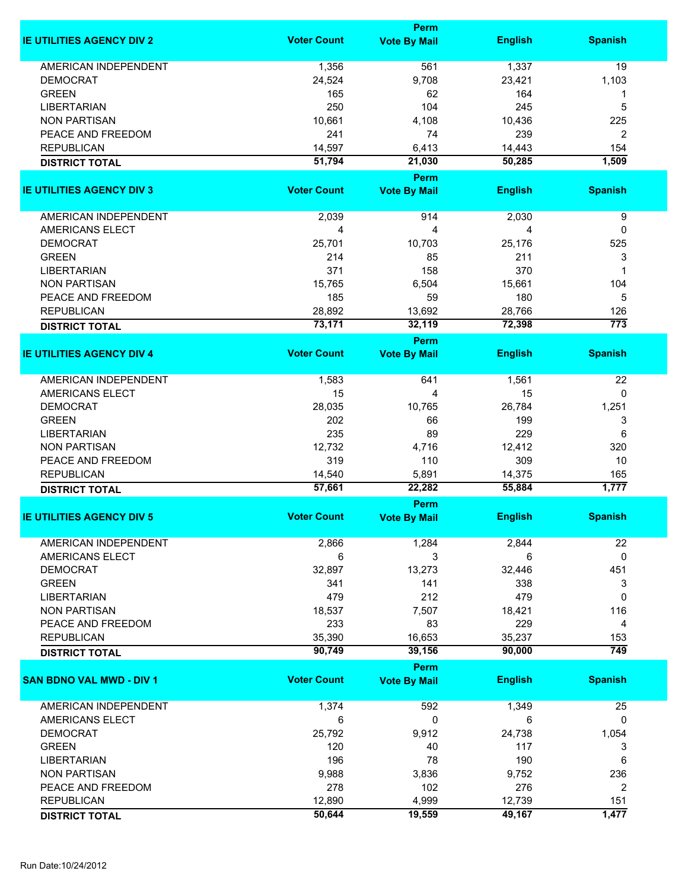|                                  |                    | <b>Perm</b>         |                |                  |
|----------------------------------|--------------------|---------------------|----------------|------------------|
| <b>IE UTILITIES AGENCY DIV 2</b> | <b>Voter Count</b> | <b>Vote By Mail</b> | <b>English</b> | <b>Spanish</b>   |
| <b>AMERICAN INDEPENDENT</b>      | 1,356              | 561                 | 1,337          | 19               |
|                                  |                    |                     |                |                  |
| <b>DEMOCRAT</b>                  | 24,524             | 9,708               | 23,421         | 1,103            |
| <b>GREEN</b>                     | 165                | 62                  | 164            | 1                |
| <b>LIBERTARIAN</b>               | 250                | 104                 | 245            | 5                |
| <b>NON PARTISAN</b>              | 10,661             | 4,108               | 10,436         | 225              |
| PEACE AND FREEDOM                | 241                | 74                  | 239            | 2                |
| <b>REPUBLICAN</b>                | 14,597             | 6,413               | 14,443         | 154              |
| <b>DISTRICT TOTAL</b>            | 51,794             | 21,030              | 50,285         | 1,509            |
|                                  |                    | Perm                |                |                  |
| <b>IE UTILITIES AGENCY DIV 3</b> | <b>Voter Count</b> | <b>Vote By Mail</b> | <b>English</b> | <b>Spanish</b>   |
| AMERICAN INDEPENDENT             | 2,039              | 914                 | 2,030          | 9                |
| <b>AMERICANS ELECT</b>           | 4                  | 4                   | 4              | 0                |
| <b>DEMOCRAT</b>                  | 25,701             | 10,703              | 25,176         | 525              |
|                                  |                    |                     |                |                  |
| <b>GREEN</b>                     | 214                | 85                  | 211            | 3                |
| <b>LIBERTARIAN</b>               | 371                | 158                 | 370            | 1                |
| <b>NON PARTISAN</b>              | 15,765             | 6,504               | 15,661         | 104              |
| PEACE AND FREEDOM                | 185                | 59                  | 180            | 5                |
| <b>REPUBLICAN</b>                | 28,892             | 13,692              | 28,766         | 126              |
| <b>DISTRICT TOTAL</b>            | 73,171             | 32,119              | 72,398         | $\overline{773}$ |
|                                  |                    | Perm                |                |                  |
| <b>IE UTILITIES AGENCY DIV 4</b> | <b>Voter Count</b> | <b>Vote By Mail</b> | <b>English</b> | <b>Spanish</b>   |
| AMERICAN INDEPENDENT             | 1,583              | 641                 | 1,561          | 22               |
| <b>AMERICANS ELECT</b>           | 15                 | 4                   | 15             | 0                |
| <b>DEMOCRAT</b>                  | 28,035             | 10,765              | 26,784         | 1,251            |
| <b>GREEN</b>                     | 202                | 66                  | 199            | 3                |
| <b>LIBERTARIAN</b>               | 235                | 89                  | 229            | 6                |
| <b>NON PARTISAN</b>              | 12,732             | 4,716               | 12,412         | 320              |
| PEACE AND FREEDOM                | 319                | 110                 | 309            | 10               |
| <b>REPUBLICAN</b>                | 14,540             | 5,891               | 14,375         | 165              |
| <b>DISTRICT TOTAL</b>            | 57,661             | 22,282              | 55,884         | 1,777            |
|                                  |                    | Perm                |                |                  |
| <b>IE UTILITIES AGENCY DIV 5</b> | <b>Voter Count</b> | <b>Vote By Mail</b> | <b>English</b> | <b>Spanish</b>   |
| AMERICAN INDEPENDENT             | 2,866              | 1,284               | 2,844          | 22               |
| AMERICANS ELECT                  | 6                  | 3                   | 6              | 0                |
| <b>DEMOCRAT</b>                  | 32,897             | 13,273              | 32,446         | 451              |
| <b>GREEN</b>                     | 341                | 141                 | 338            | 3                |
| <b>LIBERTARIAN</b>               | 479                | 212                 | 479            | $\mathbf 0$      |
| <b>NON PARTISAN</b>              | 18,537             | 7,507               | 18,421         | 116              |
| PEACE AND FREEDOM                | 233                | 83                  | 229            | 4                |
| <b>REPUBLICAN</b>                | 35,390             | 16,653              | 35,237         | 153              |
| <b>DISTRICT TOTAL</b>            | 90,749             | 39,156              | 90,000         | $\overline{749}$ |
|                                  |                    | Perm                |                |                  |
| <b>SAN BDNO VAL MWD - DIV 1</b>  | <b>Voter Count</b> | <b>Vote By Mail</b> | <b>English</b> | <b>Spanish</b>   |
|                                  |                    |                     |                |                  |
| AMERICAN INDEPENDENT             | 1,374              | 592                 | 1,349          | 25               |
| AMERICANS ELECT                  | 6                  | 0                   | 6              | 0                |
| <b>DEMOCRAT</b>                  | 25,792             | 9,912               | 24,738         | 1,054            |
| <b>GREEN</b>                     | 120                | 40                  | 117            | 3                |
| <b>LIBERTARIAN</b>               | 196                | 78                  | 190            | 6                |
| <b>NON PARTISAN</b>              | 9,988              | 3,836               | 9,752          | 236              |
| PEACE AND FREEDOM                | 278                | 102                 | 276            | 2                |
| <b>REPUBLICAN</b>                | 12,890             | 4,999               | 12,739         | 151              |
| <b>DISTRICT TOTAL</b>            | 50,644             | 19,559              | 49,167         | 1,477            |
|                                  |                    |                     |                |                  |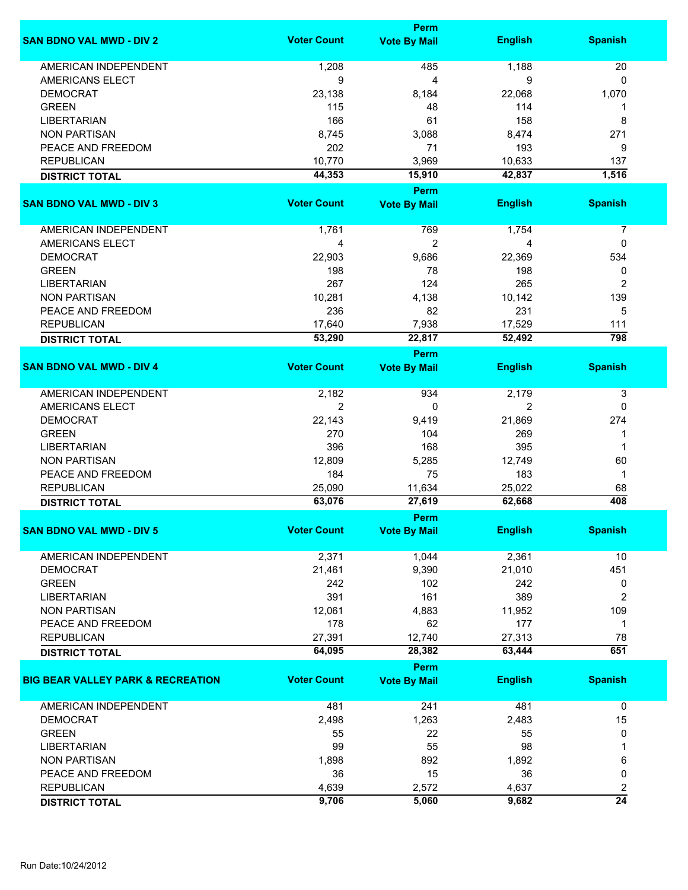| <b>Perm</b>         |                                                                                                                                                                                                                                                                                                          |                                                                                                                                                                                                                                          |
|---------------------|----------------------------------------------------------------------------------------------------------------------------------------------------------------------------------------------------------------------------------------------------------------------------------------------------------|------------------------------------------------------------------------------------------------------------------------------------------------------------------------------------------------------------------------------------------|
| <b>Vote By Mail</b> | <b>English</b>                                                                                                                                                                                                                                                                                           | <b>Spanish</b>                                                                                                                                                                                                                           |
|                     |                                                                                                                                                                                                                                                                                                          | 20                                                                                                                                                                                                                                       |
|                     |                                                                                                                                                                                                                                                                                                          | 0                                                                                                                                                                                                                                        |
|                     |                                                                                                                                                                                                                                                                                                          | 1,070                                                                                                                                                                                                                                    |
|                     |                                                                                                                                                                                                                                                                                                          | 1                                                                                                                                                                                                                                        |
|                     |                                                                                                                                                                                                                                                                                                          | 8                                                                                                                                                                                                                                        |
|                     |                                                                                                                                                                                                                                                                                                          | 271                                                                                                                                                                                                                                      |
|                     |                                                                                                                                                                                                                                                                                                          | 9                                                                                                                                                                                                                                        |
|                     |                                                                                                                                                                                                                                                                                                          | 137                                                                                                                                                                                                                                      |
|                     |                                                                                                                                                                                                                                                                                                          | 1,516                                                                                                                                                                                                                                    |
|                     |                                                                                                                                                                                                                                                                                                          |                                                                                                                                                                                                                                          |
|                     |                                                                                                                                                                                                                                                                                                          |                                                                                                                                                                                                                                          |
|                     |                                                                                                                                                                                                                                                                                                          | <b>Spanish</b>                                                                                                                                                                                                                           |
|                     |                                                                                                                                                                                                                                                                                                          | 7                                                                                                                                                                                                                                        |
|                     | 4                                                                                                                                                                                                                                                                                                        | 0                                                                                                                                                                                                                                        |
|                     |                                                                                                                                                                                                                                                                                                          | 534                                                                                                                                                                                                                                      |
|                     |                                                                                                                                                                                                                                                                                                          | 0                                                                                                                                                                                                                                        |
|                     |                                                                                                                                                                                                                                                                                                          | 2                                                                                                                                                                                                                                        |
|                     |                                                                                                                                                                                                                                                                                                          | 139                                                                                                                                                                                                                                      |
|                     |                                                                                                                                                                                                                                                                                                          | 5                                                                                                                                                                                                                                        |
|                     |                                                                                                                                                                                                                                                                                                          | 111                                                                                                                                                                                                                                      |
|                     |                                                                                                                                                                                                                                                                                                          | 798                                                                                                                                                                                                                                      |
|                     |                                                                                                                                                                                                                                                                                                          |                                                                                                                                                                                                                                          |
|                     |                                                                                                                                                                                                                                                                                                          |                                                                                                                                                                                                                                          |
|                     |                                                                                                                                                                                                                                                                                                          | <b>Spanish</b>                                                                                                                                                                                                                           |
| 934                 | 2,179                                                                                                                                                                                                                                                                                                    | 3                                                                                                                                                                                                                                        |
| 0                   | 2                                                                                                                                                                                                                                                                                                        | 0                                                                                                                                                                                                                                        |
| 9,419               | 21,869                                                                                                                                                                                                                                                                                                   | 274                                                                                                                                                                                                                                      |
| 104                 | 269                                                                                                                                                                                                                                                                                                      | 1                                                                                                                                                                                                                                        |
| 168                 | 395                                                                                                                                                                                                                                                                                                      | 1                                                                                                                                                                                                                                        |
| 5,285               | 12,749                                                                                                                                                                                                                                                                                                   | 60                                                                                                                                                                                                                                       |
| 75                  | 183                                                                                                                                                                                                                                                                                                      | 1                                                                                                                                                                                                                                        |
| 11,634              | 25,022                                                                                                                                                                                                                                                                                                   | 68                                                                                                                                                                                                                                       |
| 27,619              | 62,668                                                                                                                                                                                                                                                                                                   | 408                                                                                                                                                                                                                                      |
| Perm                |                                                                                                                                                                                                                                                                                                          |                                                                                                                                                                                                                                          |
|                     |                                                                                                                                                                                                                                                                                                          | <b>Spanish</b>                                                                                                                                                                                                                           |
|                     |                                                                                                                                                                                                                                                                                                          |                                                                                                                                                                                                                                          |
| 1,044               | 2,361                                                                                                                                                                                                                                                                                                    | 10                                                                                                                                                                                                                                       |
| 9,390               | 21,010                                                                                                                                                                                                                                                                                                   | 451                                                                                                                                                                                                                                      |
| 102                 | 242                                                                                                                                                                                                                                                                                                      | 0                                                                                                                                                                                                                                        |
| 161                 | 389                                                                                                                                                                                                                                                                                                      | 2                                                                                                                                                                                                                                        |
| 4,883               | 11,952                                                                                                                                                                                                                                                                                                   | 109                                                                                                                                                                                                                                      |
| 62                  | 177                                                                                                                                                                                                                                                                                                      | 1                                                                                                                                                                                                                                        |
|                     |                                                                                                                                                                                                                                                                                                          | 78                                                                                                                                                                                                                                       |
|                     |                                                                                                                                                                                                                                                                                                          | 651                                                                                                                                                                                                                                      |
|                     |                                                                                                                                                                                                                                                                                                          |                                                                                                                                                                                                                                          |
|                     |                                                                                                                                                                                                                                                                                                          | <b>Spanish</b>                                                                                                                                                                                                                           |
|                     |                                                                                                                                                                                                                                                                                                          |                                                                                                                                                                                                                                          |
| 241                 | 481                                                                                                                                                                                                                                                                                                      | $\mathbf 0$                                                                                                                                                                                                                              |
|                     | 2,483                                                                                                                                                                                                                                                                                                    | 15                                                                                                                                                                                                                                       |
| 22                  | 55                                                                                                                                                                                                                                                                                                       | 0                                                                                                                                                                                                                                        |
| 55                  | 98                                                                                                                                                                                                                                                                                                       | 1                                                                                                                                                                                                                                        |
| 892                 | 1,892                                                                                                                                                                                                                                                                                                    | 6                                                                                                                                                                                                                                        |
| 15                  | 36                                                                                                                                                                                                                                                                                                       | 0                                                                                                                                                                                                                                        |
| 2,572               | 4,637                                                                                                                                                                                                                                                                                                    | 2                                                                                                                                                                                                                                        |
| 5,060               | 9,682                                                                                                                                                                                                                                                                                                    | $\overline{24}$                                                                                                                                                                                                                          |
|                     | 485<br>4<br>8,184<br>48<br>61<br>3,088<br>71<br>3,969<br>15,910<br><b>Perm</b><br><b>Vote By Mail</b><br>769<br>$\overline{2}$<br>9,686<br>78<br>124<br>4,138<br>82<br>7,938<br>22,817<br>Perm<br><b>Vote By Mail</b><br><b>Vote By Mail</b><br>12,740<br>28,382<br>Perm<br><b>Vote By Mail</b><br>1,263 | 1,188<br>9<br>22,068<br>114<br>158<br>8,474<br>193<br>10,633<br>42,837<br><b>English</b><br>1,754<br>22,369<br>198<br>265<br>10,142<br>231<br>17,529<br>52,492<br><b>English</b><br><b>English</b><br>27,313<br>63,444<br><b>English</b> |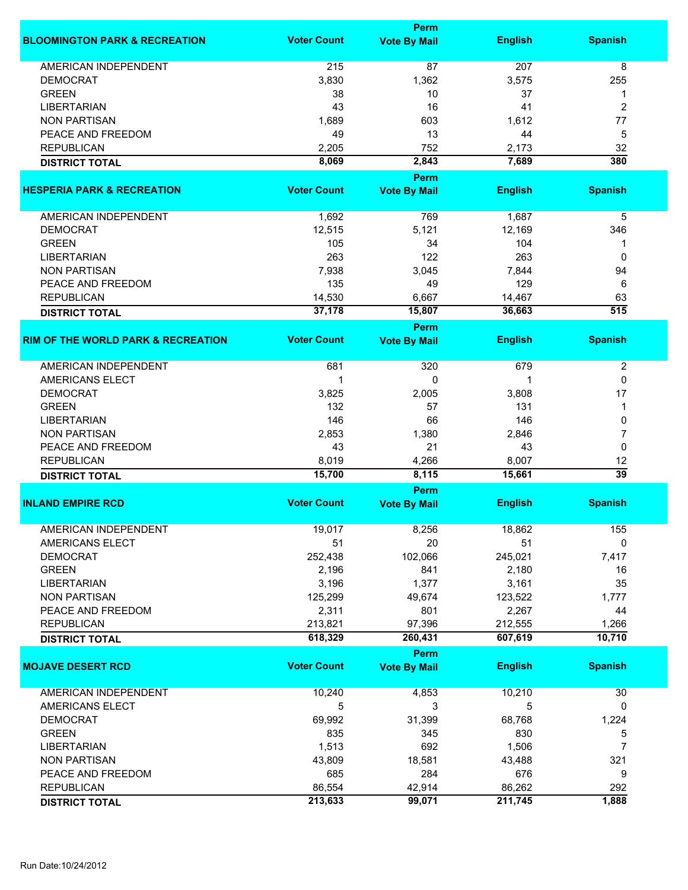|                                               |                    | Perm                |                |                  |
|-----------------------------------------------|--------------------|---------------------|----------------|------------------|
| <b>BLOOMINGTON PARK &amp; RECREATION</b>      | <b>Voter Count</b> | <b>Vote By Mail</b> | <b>English</b> | <b>Spanish</b>   |
| <b>AMERICAN INDEPENDENT</b>                   | 215                | 87                  | 207            | 8                |
| <b>DEMOCRAT</b>                               | 3,830              | 1,362               | 3,575          | 255              |
| <b>GREEN</b>                                  |                    |                     |                |                  |
|                                               | 38                 | 10                  | 37             | 1                |
| <b>LIBERTARIAN</b>                            | 43                 | 16                  | 41             | 2                |
| <b>NON PARTISAN</b>                           | 1,689              | 603                 | 1,612          | 77               |
| PEACE AND FREEDOM                             | 49                 | 13                  | 44             | 5                |
| <b>REPUBLICAN</b>                             | 2,205              | 752                 | 2,173          | 32               |
| <b>DISTRICT TOTAL</b>                         | 8,069              | 2,843               | 7,689          | 380              |
|                                               |                    | <b>Perm</b>         |                |                  |
| <b>HESPERIA PARK &amp; RECREATION</b>         | <b>Voter Count</b> | <b>Vote By Mail</b> | <b>English</b> | <b>Spanish</b>   |
| AMERICAN INDEPENDENT                          | 1,692              | 769                 | 1,687          | 5                |
| <b>DEMOCRAT</b>                               | 12,515             | 5,121               | 12,169         | 346              |
| <b>GREEN</b>                                  | 105                | 34                  | 104            | 1                |
| <b>LIBERTARIAN</b>                            | 263                | 122                 | 263            | 0                |
| <b>NON PARTISAN</b>                           | 7,938              | 3,045               | 7,844          | 94               |
| PEACE AND FREEDOM                             | 135                | 49                  | 129            | 6                |
| <b>REPUBLICAN</b>                             | 14,530             | 6,667               | 14,467         | 63               |
|                                               | 37,178             | 15,807              | 36,663         | $\overline{515}$ |
| <b>DISTRICT TOTAL</b>                         |                    |                     |                |                  |
|                                               |                    | <b>Perm</b>         |                |                  |
| <b>RIM OF THE WORLD PARK &amp; RECREATION</b> | <b>Voter Count</b> | <b>Vote By Mail</b> | <b>English</b> | <b>Spanish</b>   |
| <b>AMERICAN INDEPENDENT</b>                   | 681                | 320                 | 679            | $\overline{2}$   |
| <b>AMERICANS ELECT</b>                        | 1                  | 0                   |                | 0                |
| <b>DEMOCRAT</b>                               | 3,825              | 2,005               | 3,808          | 17               |
| <b>GREEN</b>                                  | 132                | 57                  | 131            | 1                |
| <b>LIBERTARIAN</b>                            | 146                | 66                  | 146            | 0                |
| <b>NON PARTISAN</b>                           | 2,853              | 1,380               | 2,846          | 7                |
| PEACE AND FREEDOM                             | 43                 | 21                  | 43             | 0                |
| <b>REPUBLICAN</b>                             | 8,019              | 4,266               | 8,007          | 12               |
| <b>DISTRICT TOTAL</b>                         | 15,700             | 8,115               | 15,661         | $\overline{39}$  |
|                                               |                    | <b>Perm</b>         |                |                  |
| <b>INLAND EMPIRE RCD</b>                      | <b>Voter Count</b> | <b>Vote By Mail</b> | <b>English</b> | <b>Spanish</b>   |
|                                               |                    |                     |                |                  |
| <b>AMERICAN INDEPENDENT</b>                   | 19,017             | 8,256               | 18,862         | 155              |
| AMERICANS ELECT                               | 51                 | 20                  | 51             | 0                |
| <b>DEMOCRAT</b>                               | 252,438            | 102,066             | 245,021        | 7,417            |
| <b>GREEN</b>                                  | 2,196              | 841                 | 2,180          | 16               |
| <b>LIBERTARIAN</b>                            | 3,196              | 1,377               | 3,161          | 35               |
| <b>NON PARTISAN</b>                           | 125,299            | 49,674              | 123,522        | 1,777            |
| PEACE AND FREEDOM                             | 2,311              | 801                 | 2,267          | 44               |
| <b>REPUBLICAN</b>                             | 213,821            | 97,396              | 212,555        | 1,266            |
| <b>DISTRICT TOTAL</b>                         | 618,329            | 260,431             | 607,619        | 10,710           |
|                                               |                    | <b>Perm</b>         |                |                  |
| <b>MOJAVE DESERT RCD</b>                      | <b>Voter Count</b> | <b>Vote By Mail</b> | <b>English</b> | <b>Spanish</b>   |
| AMERICAN INDEPENDENT                          | 10,240             | 4,853               | 10,210         | 30               |
| AMERICANS ELECT                               | 5                  | 3                   | 5              | 0                |
|                                               |                    |                     |                |                  |
| <b>DEMOCRAT</b>                               | 69,992             | 31,399              | 68,768         | 1,224            |
| <b>GREEN</b>                                  | 835                | 345                 | 830            | 5                |
| <b>LIBERTARIAN</b>                            | 1,513              | 692                 | 1,506          | 7                |
| <b>NON PARTISAN</b>                           | 43,809             | 18,581              | 43,488         | 321              |
| PEACE AND FREEDOM                             | 685                | 284                 | 676            | 9                |
| <b>REPUBLICAN</b>                             | 86,554             | 42,914              | 86,262         | 292              |
| <b>DISTRICT TOTAL</b>                         | 213,633            | 99,071              | 211,745        | 1,888            |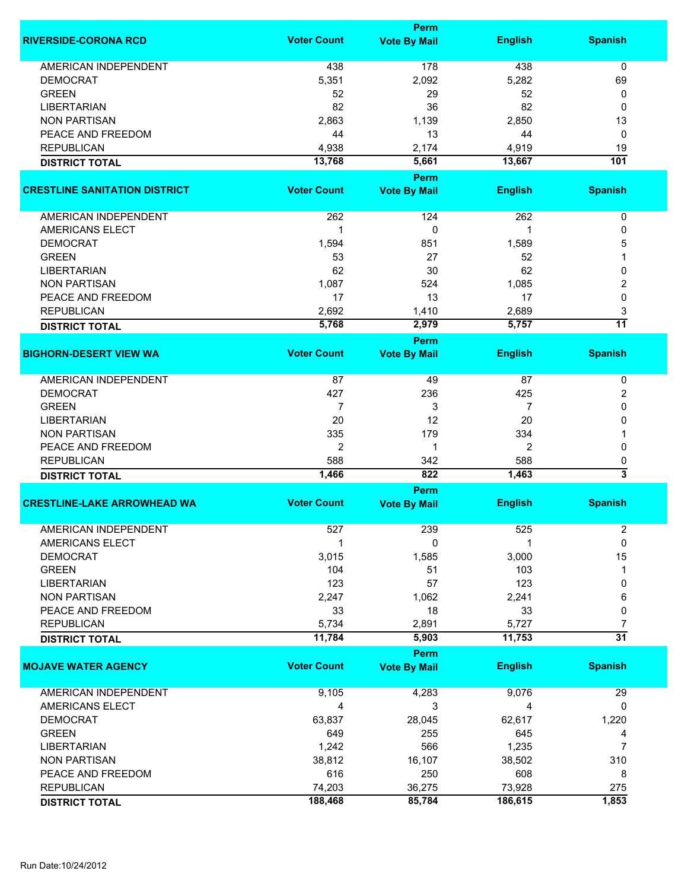|                                      |                    | <b>Perm</b>                        |                |                 |
|--------------------------------------|--------------------|------------------------------------|----------------|-----------------|
| <b>RIVERSIDE-CORONA RCD</b>          | <b>Voter Count</b> | <b>Vote By Mail</b>                | <b>English</b> | <b>Spanish</b>  |
| <b>AMERICAN INDEPENDENT</b>          | 438                | 178                                | 438            | 0               |
| <b>DEMOCRAT</b>                      | 5,351              | 2,092                              | 5,282          | 69              |
| <b>GREEN</b>                         | 52                 | 29                                 | 52             | 0               |
| <b>LIBERTARIAN</b>                   | 82                 | 36                                 | 82             | 0               |
| <b>NON PARTISAN</b>                  | 2,863              | 1,139                              | 2,850          |                 |
|                                      |                    |                                    |                | 13              |
| PEACE AND FREEDOM                    | 44                 | 13                                 | 44             | 0               |
| <b>REPUBLICAN</b>                    | 4,938              | 2,174                              | 4,919          | 19              |
| <b>DISTRICT TOTAL</b>                | 13,768             | 5,661                              | 13,667         | 101             |
| <b>CRESTLINE SANITATION DISTRICT</b> | <b>Voter Count</b> | <b>Perm</b><br><b>Vote By Mail</b> | <b>English</b> | <b>Spanish</b>  |
|                                      |                    |                                    |                |                 |
| <b>AMERICAN INDEPENDENT</b>          | 262                | 124                                | 262            | 0               |
| AMERICANS ELECT                      | 1                  | 0                                  | 1              | 0               |
| <b>DEMOCRAT</b>                      | 1,594              | 851                                | 1,589          | 5               |
| <b>GREEN</b>                         | 53                 | 27                                 | 52             |                 |
| <b>LIBERTARIAN</b>                   | 62                 | 30                                 | 62             | 0               |
| <b>NON PARTISAN</b>                  | 1,087              | 524                                | 1,085          | 2               |
| PEACE AND FREEDOM                    | 17                 | 13                                 | 17             | $\mathbf 0$     |
| <b>REPUBLICAN</b>                    | 2,692              | 1,410                              | 2,689          | 3               |
| <b>DISTRICT TOTAL</b>                | 5,768              | 2,979                              | 5,757          | $\overline{11}$ |
|                                      |                    | <b>Perm</b>                        |                |                 |
| <b>BIGHORN-DESERT VIEW WA</b>        | <b>Voter Count</b> | <b>Vote By Mail</b>                | <b>English</b> | <b>Spanish</b>  |
|                                      |                    |                                    |                |                 |
| <b>AMERICAN INDEPENDENT</b>          | 87                 | 49                                 | 87             | 0               |
| <b>DEMOCRAT</b>                      | 427                | 236                                | 425            | 2               |
| <b>GREEN</b>                         | $\overline{7}$     | 3                                  | 7              | 0               |
| <b>LIBERTARIAN</b>                   | 20                 | 12                                 | 20             | 0               |
| <b>NON PARTISAN</b>                  | 335                | 179                                | 334            |                 |
| PEACE AND FREEDOM                    | $\overline{2}$     | 1                                  | 2              | 0               |
| <b>REPUBLICAN</b>                    | 588                | 342                                | 588            | 0               |
| <b>DISTRICT TOTAL</b>                | 1,466              | 822                                | 1,463          | 3               |
|                                      |                    | <b>Perm</b>                        |                |                 |
| <b>CRESTLINE-LAKE ARROWHEAD WA</b>   | <b>Voter Count</b> | <b>Vote By Mail</b>                | <b>English</b> | <b>Spanish</b>  |
| AMERICAN INDEPENDENT                 | 527                | 239                                | 525            | 2               |
| AMERICANS ELECT                      | 1                  | 0                                  |                | $\mathbf 0$     |
| <b>DEMOCRAT</b>                      | 3,015              | 1,585                              | 3,000          | 15              |
| <b>GREEN</b>                         | 104                | 51                                 | 103            | -1              |
| <b>LIBERTARIAN</b>                   | 123                | 57                                 | 123            | 0               |
| <b>NON PARTISAN</b>                  | 2,247              | 1,062                              | 2,241          | 6               |
| PEACE AND FREEDOM                    |                    |                                    |                |                 |
|                                      | 33                 | 18                                 | 33             | 0               |
| <b>REPUBLICAN</b>                    | 5,734              | 2,891                              | 5,727          | 7               |
| <b>DISTRICT TOTAL</b>                | 11,784             | 5,903                              | 11,753         | $\overline{31}$ |
|                                      |                    | <b>Perm</b>                        |                |                 |
| <b>MOJAVE WATER AGENCY</b>           | <b>Voter Count</b> | <b>Vote By Mail</b>                | <b>English</b> | <b>Spanish</b>  |
| AMERICAN INDEPENDENT                 | 9,105              | 4,283                              | 9,076          | 29              |
| AMERICANS ELECT                      | 4                  | 3                                  | 4              | 0               |
| <b>DEMOCRAT</b>                      | 63,837             | 28,045                             | 62,617         | 1,220           |
| <b>GREEN</b>                         | 649                | 255                                | 645            | 4               |
| <b>LIBERTARIAN</b>                   | 1,242              | 566                                | 1,235          | 7               |
| <b>NON PARTISAN</b>                  | 38,812             | 16,107                             | 38,502         | 310             |
| PEACE AND FREEDOM                    | 616                | 250                                | 608            | 8               |
| <b>REPUBLICAN</b>                    | 74,203             | 36,275                             | 73,928         | 275             |
|                                      | 188,468            | 85,784                             | 186,615        | 1,853           |
| <b>DISTRICT TOTAL</b>                |                    |                                    |                |                 |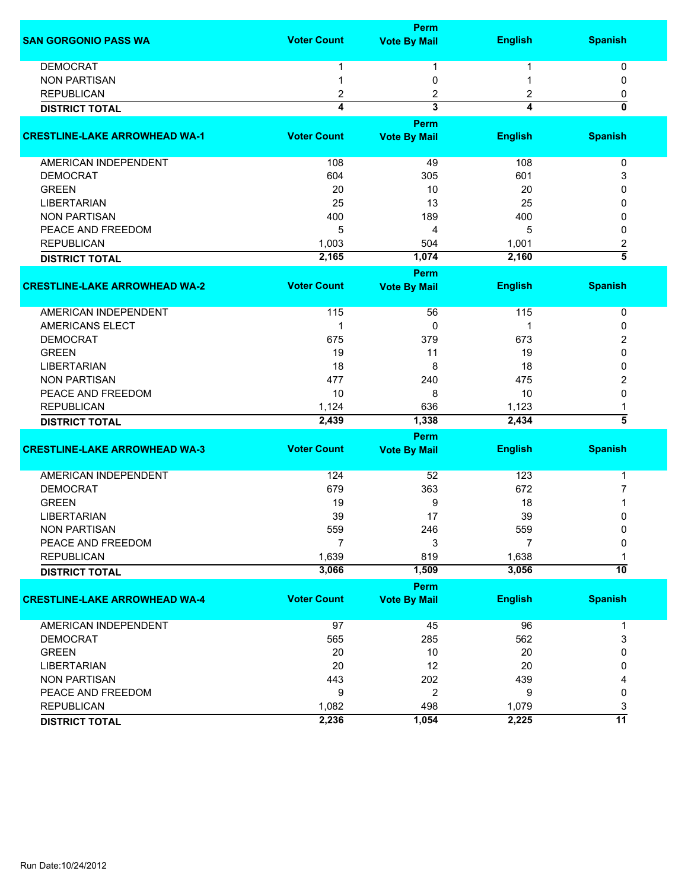|                                      |                    | <b>Perm</b>             |                |                 |
|--------------------------------------|--------------------|-------------------------|----------------|-----------------|
| <b>SAN GORGONIO PASS WA</b>          | <b>Voter Count</b> | <b>Vote By Mail</b>     | <b>English</b> | <b>Spanish</b>  |
| <b>DEMOCRAT</b>                      |                    | 1                       |                | 0               |
| <b>NON PARTISAN</b>                  |                    | 0                       |                | 0               |
| <b>REPUBLICAN</b>                    | 2                  | 2                       | 2              | 0               |
|                                      | 4                  | $\overline{\mathbf{3}}$ | 4              | 0               |
| <b>DISTRICT TOTAL</b>                |                    |                         |                |                 |
|                                      |                    | Perm                    |                |                 |
| <b>CRESTLINE-LAKE ARROWHEAD WA-1</b> | <b>Voter Count</b> | <b>Vote By Mail</b>     | <b>English</b> | <b>Spanish</b>  |
| AMERICAN INDEPENDENT                 | 108                | 49                      | 108            | 0               |
| <b>DEMOCRAT</b>                      | 604                | 305                     | 601            | 3               |
| <b>GREEN</b>                         | 20                 | 10                      | 20             | 0               |
| <b>LIBERTARIAN</b>                   | 25                 | 13                      | 25             | 0               |
| <b>NON PARTISAN</b>                  | 400                | 189                     | 400            | 0               |
| PEACE AND FREEDOM                    | 5                  | 4                       | 5              | 0               |
| <b>REPUBLICAN</b>                    | 1,003              | 504                     | 1,001          | 2               |
| <b>DISTRICT TOTAL</b>                | 2,165              | 1,074                   | 2,160          | $\overline{5}$  |
|                                      |                    | Perm                    |                |                 |
| <b>CRESTLINE-LAKE ARROWHEAD WA-2</b> | <b>Voter Count</b> | <b>Vote By Mail</b>     | <b>English</b> | <b>Spanish</b>  |
| <b>AMERICAN INDEPENDENT</b>          | 115                | 56                      | 115            | 0               |
| <b>AMERICANS ELECT</b>               | 1                  | 0                       | 1              | 0               |
| <b>DEMOCRAT</b>                      | 675                | 379                     | 673            | 2               |
| <b>GREEN</b>                         | 19                 | 11                      | 19             | 0               |
| <b>LIBERTARIAN</b>                   | 18                 | 8                       | 18             | 0               |
| <b>NON PARTISAN</b>                  | 477                | 240                     | 475            | 2               |
| PEACE AND FREEDOM                    | 10                 | 8                       | 10             | 0               |
| <b>REPUBLICAN</b>                    | 1,124              | 636                     | 1,123          |                 |
| <b>DISTRICT TOTAL</b>                | 2,439              | 1,338                   | 2,434          | 5               |
|                                      |                    |                         |                |                 |
|                                      | <b>Voter Count</b> | Perm                    |                |                 |
| <b>CRESTLINE-LAKE ARROWHEAD WA-3</b> |                    | <b>Vote By Mail</b>     | <b>English</b> | <b>Spanish</b>  |
| AMERICAN INDEPENDENT                 | 124                | 52                      | 123            | 1               |
| <b>DEMOCRAT</b>                      | 679                | 363                     | 672            | 7               |
| <b>GREEN</b>                         | 19                 | 9                       | 18             |                 |
| <b>LIBERTARIAN</b>                   | 39                 | 17                      | 39             | 0               |
| <b>NON PARTISAN</b>                  | 559                | 246                     | 559            | $\pmb{0}$       |
| PEACE AND FREEDOM                    | 7                  | 3                       | 7              | 0               |
| <b>REPUBLICAN</b>                    | 1,639              | 819                     | 1,638          |                 |
| <b>DISTRICT TOTAL</b>                | 3,066              | 1,509                   | 3,056          | $\overline{10}$ |
|                                      |                    | Perm                    |                |                 |
| <b>CRESTLINE-LAKE ARROWHEAD WA-4</b> | <b>Voter Count</b> | <b>Vote By Mail</b>     | <b>English</b> | <b>Spanish</b>  |
| <b>AMERICAN INDEPENDENT</b>          | 97                 | 45                      | 96             | 1               |
| <b>DEMOCRAT</b>                      | 565                | 285                     | 562            | 3               |
| <b>GREEN</b>                         | 20                 | 10                      | 20             | 0               |
| <b>LIBERTARIAN</b>                   | 20                 | 12                      | 20             | 0               |
| <b>NON PARTISAN</b>                  | 443                | 202                     | 439            | 4               |
| PEACE AND FREEDOM                    | 9                  | $\overline{2}$          | 9              | 0               |
| <b>REPUBLICAN</b>                    | 1,082              | 498                     | 1,079          | 3               |
|                                      | 2,236              | 1,054                   | 2,225          | 11              |
| <b>DISTRICT TOTAL</b>                |                    |                         |                |                 |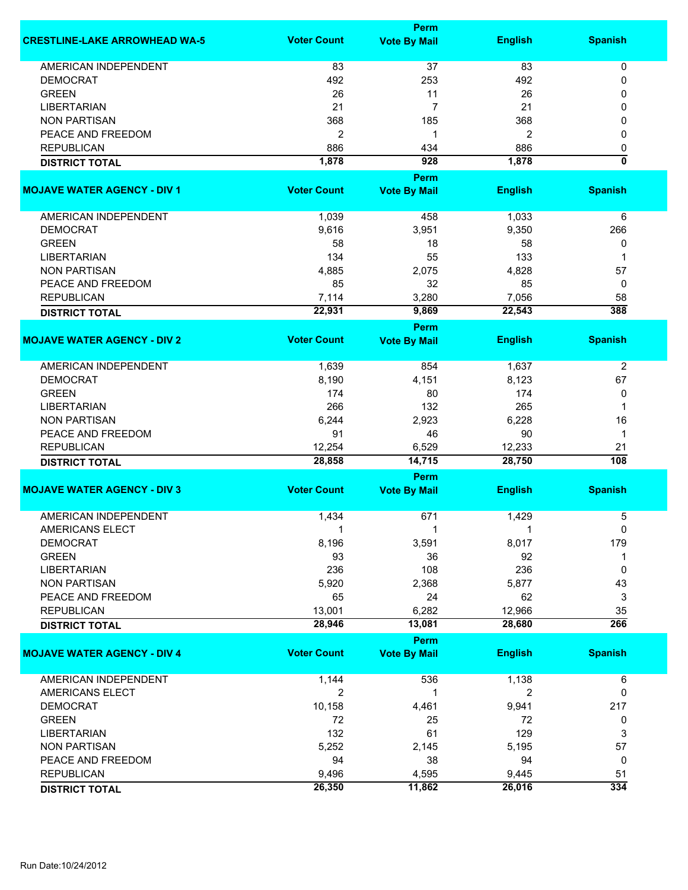|                                      | <b>Perm</b>        |                      |                |                         |  |
|--------------------------------------|--------------------|----------------------|----------------|-------------------------|--|
| <b>CRESTLINE-LAKE ARROWHEAD WA-5</b> | <b>Voter Count</b> | <b>Vote By Mail</b>  | <b>English</b> | <b>Spanish</b>          |  |
| <b>AMERICAN INDEPENDENT</b>          | 83                 | 37                   | 83             | 0                       |  |
| <b>DEMOCRAT</b>                      | 492                | 253                  | 492            | 0                       |  |
| <b>GREEN</b>                         | 26                 | 11                   | 26             | 0                       |  |
|                                      |                    |                      |                |                         |  |
| <b>LIBERTARIAN</b>                   | 21                 | 7                    | 21             | 0                       |  |
| <b>NON PARTISAN</b>                  | 368                | 185                  | 368            | 0                       |  |
| PEACE AND FREEDOM                    | $\overline{2}$     | 1                    | 2              | 0                       |  |
| <b>REPUBLICAN</b>                    | 886                | 434                  | 886            | 0                       |  |
| <b>DISTRICT TOTAL</b>                | 1,878              | 928                  | 1,878          | $\overline{\mathbf{0}}$ |  |
|                                      |                    | <b>Perm</b>          |                |                         |  |
| <b>MOJAVE WATER AGENCY - DIV 1</b>   | <b>Voter Count</b> | <b>Vote By Mail</b>  | <b>English</b> | <b>Spanish</b>          |  |
| AMERICAN INDEPENDENT                 | 1,039              | 458                  | 1,033          | 6                       |  |
| <b>DEMOCRAT</b>                      | 9,616              | 3,951                | 9,350          | 266                     |  |
| <b>GREEN</b>                         | 58                 | 18                   | 58             | 0                       |  |
| <b>LIBERTARIAN</b>                   | 134                | 55                   | 133            | 1                       |  |
| <b>NON PARTISAN</b>                  | 4,885              | 2,075                | 4,828          | 57                      |  |
| PEACE AND FREEDOM                    |                    | 32                   |                |                         |  |
|                                      | 85                 |                      | 85             | 0                       |  |
| <b>REPUBLICAN</b>                    | 7,114              | 3,280                | 7,056          | 58<br>388               |  |
| <b>DISTRICT TOTAL</b>                | 22,931             | 9,869<br><b>Perm</b> | 22,543         |                         |  |
| <b>MOJAVE WATER AGENCY - DIV 2</b>   | <b>Voter Count</b> | <b>Vote By Mail</b>  | <b>English</b> | <b>Spanish</b>          |  |
|                                      |                    |                      |                |                         |  |
| <b>AMERICAN INDEPENDENT</b>          | 1,639              | 854                  | 1,637          | $\overline{2}$          |  |
| <b>DEMOCRAT</b>                      | 8,190              | 4,151                | 8,123          | 67                      |  |
| <b>GREEN</b>                         | 174                | 80                   | 174            | 0                       |  |
| <b>LIBERTARIAN</b>                   | 266                | 132                  | 265            | 1                       |  |
| <b>NON PARTISAN</b>                  | 6,244              | 2,923                | 6,228          | 16                      |  |
| PEACE AND FREEDOM                    | 91                 | 46                   | 90             | 1                       |  |
| <b>REPUBLICAN</b>                    | 12,254             | 6,529                | 12,233         | 21                      |  |
| <b>DISTRICT TOTAL</b>                | 28,858             | 14,715               | 28,750         | 108                     |  |
|                                      |                    | Perm                 |                |                         |  |
| <b>MOJAVE WATER AGENCY - DIV 3</b>   | <b>Voter Count</b> | <b>Vote By Mail</b>  | <b>English</b> | <b>Spanish</b>          |  |
|                                      |                    |                      |                |                         |  |
| <b>AMERICAN INDEPENDENT</b>          | 1,434              | 671                  | 1,429          | 5                       |  |
| <b>AMERICANS ELECT</b>               |                    | 1                    |                | 0                       |  |
| <b>DEMOCRAT</b>                      | 8,196              | 3,591                | 8,017          | 179                     |  |
| <b>GREEN</b>                         | 93                 | 36                   | 92             | 1                       |  |
| <b>LIBERTARIAN</b>                   | 236                | 108                  | 236            | 0                       |  |
| <b>NON PARTISAN</b>                  | 5,920              | 2,368                | 5,877          | 43                      |  |
| PEACE AND FREEDOM                    | 65                 | 24                   | 62             | 3                       |  |
| <b>REPUBLICAN</b>                    | 13,001             | 6,282                | 12,966         | 35                      |  |
| <b>DISTRICT TOTAL</b>                | 28,946             | 13,081               | 28,680         | 266                     |  |
|                                      |                    | Perm                 |                |                         |  |
| <b>MOJAVE WATER AGENCY - DIV 4</b>   | <b>Voter Count</b> | <b>Vote By Mail</b>  | <b>English</b> | <b>Spanish</b>          |  |
|                                      |                    |                      |                |                         |  |
| <b>AMERICAN INDEPENDENT</b>          | 1,144              | 536                  | 1,138          | 6                       |  |
| AMERICANS ELECT                      | 2                  | 1                    | 2              | 0                       |  |
| <b>DEMOCRAT</b>                      | 10,158             | 4,461                | 9,941          | 217                     |  |
| <b>GREEN</b>                         | 72                 | 25                   | 72             | 0                       |  |
| <b>LIBERTARIAN</b>                   | 132                | 61                   | 129            | 3                       |  |
| <b>NON PARTISAN</b>                  | 5,252              | 2,145                | 5,195          | 57                      |  |
| PEACE AND FREEDOM                    | 94                 | 38                   | 94             | 0                       |  |
| <b>REPUBLICAN</b>                    | 9,496              | 4,595                | 9,445          | 51                      |  |
|                                      | 26,350             | 11,862               | 26,016         | 334                     |  |
| <b>DISTRICT TOTAL</b>                |                    |                      |                |                         |  |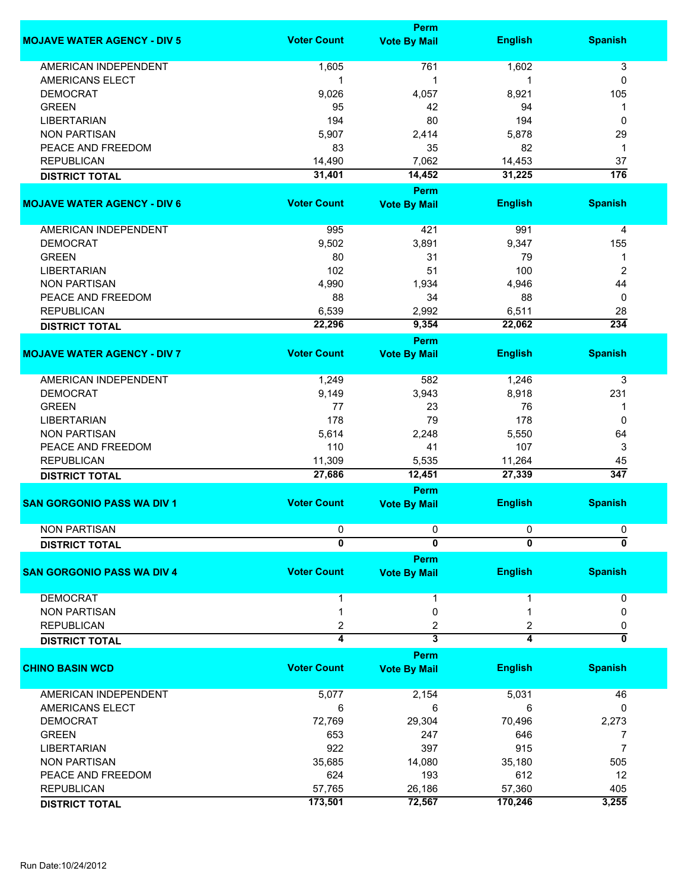|                                    |                     | <b>Perm</b>             |                     |                                |
|------------------------------------|---------------------|-------------------------|---------------------|--------------------------------|
| <b>MOJAVE WATER AGENCY - DIV 5</b> | <b>Voter Count</b>  | <b>Vote By Mail</b>     | <b>English</b>      | <b>Spanish</b>                 |
| <b>AMERICAN INDEPENDENT</b>        | 1,605               | 761                     | 1,602               | 3                              |
| <b>AMERICANS ELECT</b>             | 1                   | 1                       | 1                   | 0                              |
| <b>DEMOCRAT</b>                    | 9,026               | 4,057                   | 8,921               | 105                            |
| <b>GREEN</b>                       | 95                  | 42                      | 94                  | 1                              |
| <b>LIBERTARIAN</b>                 | 194                 | 80                      | 194                 | 0                              |
| <b>NON PARTISAN</b>                |                     |                         |                     |                                |
|                                    | 5,907               | 2,414                   | 5,878               | 29                             |
| PEACE AND FREEDOM                  | 83                  | 35                      | 82                  | 1                              |
| <b>REPUBLICAN</b>                  | 14,490              | 7,062                   | 14,453              | 37                             |
| <b>DISTRICT TOTAL</b>              | 31,401              | 14,452                  | 31,225              | 176                            |
|                                    |                     | <b>Perm</b>             |                     |                                |
| <b>MOJAVE WATER AGENCY - DIV 6</b> | <b>Voter Count</b>  | <b>Vote By Mail</b>     | <b>English</b>      | <b>Spanish</b>                 |
| AMERICAN INDEPENDENT               | 995                 | 421                     | 991                 | 4                              |
| <b>DEMOCRAT</b>                    | 9,502               | 3,891                   | 9,347               | 155                            |
| <b>GREEN</b>                       | 80                  | 31                      | 79                  | 1                              |
| <b>LIBERTARIAN</b>                 | 102                 | 51                      | 100                 | 2                              |
| <b>NON PARTISAN</b>                | 4,990               | 1,934                   | 4,946               | 44                             |
| PEACE AND FREEDOM                  | 88                  | 34                      | 88                  | 0                              |
| <b>REPUBLICAN</b>                  | 6,539               | 2,992                   | 6,511               | 28                             |
|                                    | 22,296              | 9,354                   | 22,062              | 234                            |
| <b>DISTRICT TOTAL</b>              |                     |                         |                     |                                |
|                                    |                     | <b>Perm</b>             |                     |                                |
| <b>MOJAVE WATER AGENCY - DIV 7</b> | <b>Voter Count</b>  | <b>Vote By Mail</b>     | <b>English</b>      | <b>Spanish</b>                 |
| <b>AMERICAN INDEPENDENT</b>        | 1,249               | 582                     | 1,246               | 3                              |
| <b>DEMOCRAT</b>                    | 9,149               | 3,943                   | 8,918               | 231                            |
| <b>GREEN</b>                       | 77                  | 23                      | 76                  | 1                              |
| <b>LIBERTARIAN</b>                 | 178                 | 79                      | 178                 | 0                              |
| <b>NON PARTISAN</b>                | 5,614               | 2,248                   | 5,550               | 64                             |
| PEACE AND FREEDOM                  | 110                 | 41                      | 107                 | 3                              |
| <b>REPUBLICAN</b>                  | 11,309              | 5,535                   | 11,264              | 45                             |
| <b>DISTRICT TOTAL</b>              | 27,686              | 12,451                  | 27,339              | 347                            |
|                                    |                     | <b>Perm</b>             |                     |                                |
| <b>SAN GORGONIO PASS WA DIV 1</b>  | <b>Voter Count</b>  | <b>Vote By Mail</b>     | <b>English</b>      | <b>Spanish</b>                 |
| <b>NON PARTISAN</b>                |                     |                         |                     |                                |
|                                    | 0<br>$\overline{0}$ | 0<br>$\overline{0}$     | 0<br>$\overline{0}$ | 0<br>$\overline{\mathfrak{o}}$ |
| <b>DISTRICT TOTAL</b>              |                     |                         |                     |                                |
|                                    |                     | <b>Perm</b>             |                     |                                |
| <b>SAN GORGONIO PASS WA DIV 4</b>  | <b>Voter Count</b>  | <b>Vote By Mail</b>     | <b>English</b>      | <b>Spanish</b>                 |
| <b>DEMOCRAT</b>                    |                     | 1                       |                     | 0                              |
| <b>NON PARTISAN</b>                |                     | 0                       |                     | 0                              |
| <b>REPUBLICAN</b>                  | 2                   | 2                       | 2                   | 0                              |
| <b>DISTRICT TOTAL</b>              | 4                   | $\overline{\mathbf{3}}$ | 4                   | 0                              |
|                                    |                     | <b>Perm</b>             |                     |                                |
| <b>CHINO BASIN WCD</b>             | <b>Voter Count</b>  | <b>Vote By Mail</b>     | <b>English</b>      | <b>Spanish</b>                 |
| AMERICAN INDEPENDENT               |                     |                         |                     |                                |
|                                    | 5,077               | 2,154                   | 5,031               | 46                             |
| AMERICANS ELECT                    | 6                   | 6                       | 6                   | 0                              |
| <b>DEMOCRAT</b>                    | 72,769              | 29,304                  | 70,496              | 2,273                          |
| <b>GREEN</b>                       | 653                 | 247                     | 646                 | 7                              |
| <b>LIBERTARIAN</b>                 | 922                 | 397                     | 915                 | 7                              |
| <b>NON PARTISAN</b>                | 35,685              | 14,080                  | 35,180              | 505                            |
| PEACE AND FREEDOM                  | 624                 | 193                     | 612                 | 12                             |
| <b>REPUBLICAN</b>                  | 57,765              | 26,186                  | 57,360              | 405                            |
| <b>DISTRICT TOTAL</b>              | 173,501             | 72,567                  | 170,246             | 3,255                          |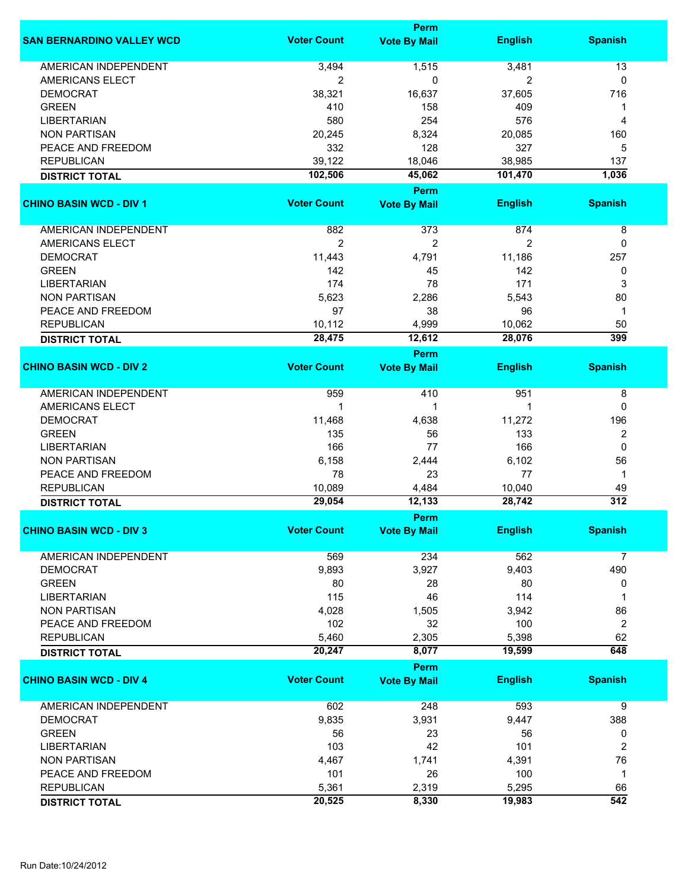|                                  |                    | <b>Perm</b>         |                |                  |
|----------------------------------|--------------------|---------------------|----------------|------------------|
| <b>SAN BERNARDINO VALLEY WCD</b> | <b>Voter Count</b> | <b>Vote By Mail</b> | <b>English</b> | <b>Spanish</b>   |
| <b>AMERICAN INDEPENDENT</b>      | 3,494              | 1,515               | 3,481          | 13               |
| AMERICANS ELECT                  | 2                  | 0                   | 2              | 0                |
| <b>DEMOCRAT</b>                  | 38,321             | 16,637              | 37,605         | 716              |
| <b>GREEN</b>                     | 410                | 158                 | 409            | 1                |
| <b>LIBERTARIAN</b>               | 580                | 254                 | 576            | 4                |
| <b>NON PARTISAN</b>              | 20,245             | 8,324               | 20,085         | 160              |
| PEACE AND FREEDOM                | 332                | 128                 | 327            | 5                |
| <b>REPUBLICAN</b>                | 39,122             | 18,046              | 38,985         | 137              |
|                                  | 102,506            | 45,062              | 101,470        | 1,036            |
| <b>DISTRICT TOTAL</b>            |                    |                     |                |                  |
|                                  |                    | <b>Perm</b>         |                |                  |
| <b>CHINO BASIN WCD - DIV 1</b>   | <b>Voter Count</b> | <b>Vote By Mail</b> | <b>English</b> | <b>Spanish</b>   |
| AMERICAN INDEPENDENT             | 882                | 373                 | 874            | 8                |
| AMERICANS ELECT                  | $\overline{2}$     | $\overline{c}$      | $\overline{2}$ | 0                |
| <b>DEMOCRAT</b>                  | 11,443             | 4,791               | 11,186         | 257              |
| <b>GREEN</b>                     | 142                | 45                  | 142            | 0                |
| <b>LIBERTARIAN</b>               | 174                | 78                  | 171            | 3                |
| <b>NON PARTISAN</b>              | 5,623              | 2,286               | 5,543          | 80               |
| PEACE AND FREEDOM                | 97                 | 38                  | 96             | 1                |
| <b>REPUBLICAN</b>                | 10,112             | 4,999               | 10,062         | 50               |
| <b>DISTRICT TOTAL</b>            | 28,475             | 12,612              | 28,076         | $\overline{399}$ |
|                                  |                    | <b>Perm</b>         |                |                  |
| <b>CHINO BASIN WCD - DIV 2</b>   | <b>Voter Count</b> | <b>Vote By Mail</b> | <b>English</b> | <b>Spanish</b>   |
|                                  |                    |                     |                |                  |
| <b>AMERICAN INDEPENDENT</b>      | 959                | 410                 | 951            | 8                |
| <b>AMERICANS ELECT</b>           | 1                  | 1                   | 1              | 0                |
| <b>DEMOCRAT</b>                  | 11,468             | 4,638               | 11,272         | 196              |
| <b>GREEN</b>                     | 135                | 56                  | 133            | $\overline{c}$   |
| <b>LIBERTARIAN</b>               | 166                | 77                  | 166            | $\mathbf 0$      |
| <b>NON PARTISAN</b>              | 6,158              | 2,444               | 6,102          | 56               |
| PEACE AND FREEDOM                | 78                 | 23                  | 77             | $\mathbf{1}$     |
| <b>REPUBLICAN</b>                | 10,089             | 4,484               | 10,040         | 49               |
| <b>DISTRICT TOTAL</b>            | 29,054             | 12,133              | 28,742         | $\overline{312}$ |
|                                  |                    | <b>Perm</b>         |                |                  |
| <b>CHINO BASIN WCD - DIV 3</b>   | <b>Voter Count</b> | <b>Vote By Mail</b> | <b>English</b> | <b>Spanish</b>   |
| <b>AMERICAN INDEPENDENT</b>      | 569                | 234                 | 562            | 7                |
| <b>DEMOCRAT</b>                  | 9,893              | 3,927               | 9,403          | 490              |
| <b>GREEN</b>                     | 80                 | 28                  | 80             | 0                |
| <b>LIBERTARIAN</b>               | 115                | 46                  | 114            | 1                |
| <b>NON PARTISAN</b>              |                    |                     | 3,942          | 86               |
|                                  | 4,028              | 1,505<br>32         | 100            |                  |
| PEACE AND FREEDOM                | 102                |                     |                | 2<br>62          |
| <b>REPUBLICAN</b>                | 5,460              | 2,305               | 5,398          | 648              |
| <b>DISTRICT TOTAL</b>            | 20,247             | 8,077               | 19,599         |                  |
|                                  |                    | <b>Perm</b>         |                |                  |
| <b>CHINO BASIN WCD - DIV 4</b>   | <b>Voter Count</b> | <b>Vote By Mail</b> | <b>English</b> | <b>Spanish</b>   |
| <b>AMERICAN INDEPENDENT</b>      | 602                | 248                 | 593            | 9                |
| <b>DEMOCRAT</b>                  | 9,835              | 3,931               | 9,447          | 388              |
| <b>GREEN</b>                     | 56                 | 23                  | 56             | 0                |
| <b>LIBERTARIAN</b>               | 103                | 42                  | 101            | $\overline{2}$   |
| <b>NON PARTISAN</b>              | 4,467              | 1,741               | 4,391          | 76               |
| PEACE AND FREEDOM                | 101                | 26                  | 100            | $\mathbf{1}$     |
| <b>REPUBLICAN</b>                | 5,361              | 2,319               | 5,295          | 66               |
| <b>DISTRICT TOTAL</b>            | 20,525             | 8,330               | 19,983         | 542              |
|                                  |                    |                     |                |                  |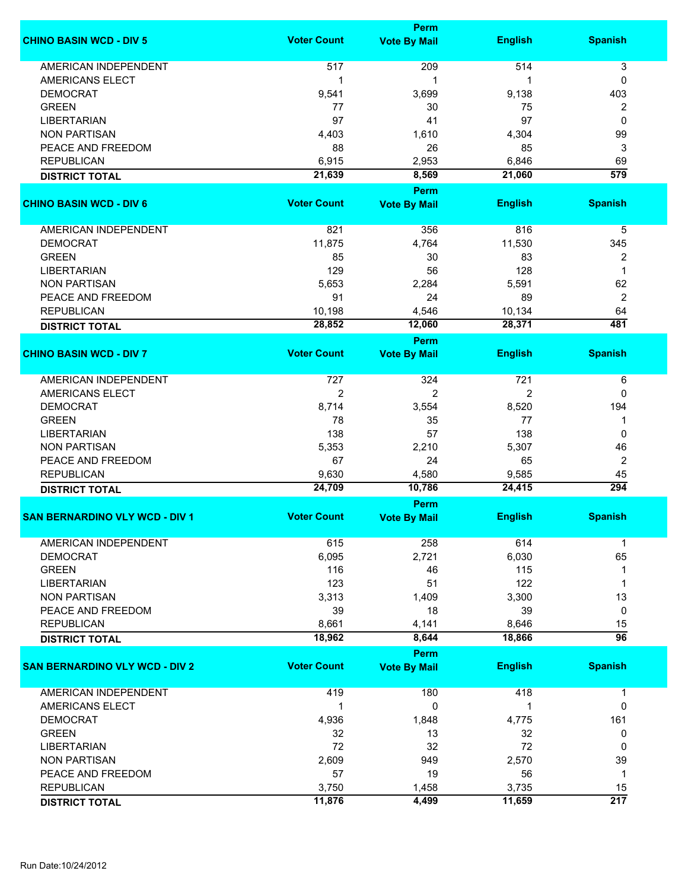|                                       |                    | <b>Perm</b>         |                |                  |
|---------------------------------------|--------------------|---------------------|----------------|------------------|
| <b>CHINO BASIN WCD - DIV 5</b>        | <b>Voter Count</b> | <b>Vote By Mail</b> | <b>English</b> | <b>Spanish</b>   |
| <b>AMERICAN INDEPENDENT</b>           | 517                | 209                 | 514            | 3                |
| AMERICANS ELECT                       | 1                  | 1                   |                | 0                |
|                                       |                    |                     |                |                  |
| <b>DEMOCRAT</b>                       | 9,541              | 3,699               | 9,138          | 403              |
| <b>GREEN</b>                          | 77                 | 30                  | 75             | 2                |
| <b>LIBERTARIAN</b>                    | 97                 | 41                  | 97             | 0                |
| <b>NON PARTISAN</b>                   | 4,403              | 1,610               | 4,304          | 99               |
| PEACE AND FREEDOM                     | 88                 | 26                  | 85             | 3                |
| <b>REPUBLICAN</b>                     | 6,915              | 2,953               | 6,846          | 69               |
| <b>DISTRICT TOTAL</b>                 | 21,639             | 8,569               | 21,060         | $\overline{579}$ |
|                                       |                    | <b>Perm</b>         |                |                  |
| <b>CHINO BASIN WCD - DIV 6</b>        | <b>Voter Count</b> | <b>Vote By Mail</b> | <b>English</b> | <b>Spanish</b>   |
|                                       |                    |                     |                |                  |
| <b>AMERICAN INDEPENDENT</b>           | 821                | 356                 | 816            | 5                |
| <b>DEMOCRAT</b>                       | 11,875             | 4,764               | 11,530         | 345              |
| <b>GREEN</b>                          | 85                 | 30                  | 83             | 2                |
| <b>LIBERTARIAN</b>                    | 129                | 56                  | 128            | $\mathbf 1$      |
| <b>NON PARTISAN</b>                   | 5,653              | 2,284               | 5,591          | 62               |
| PEACE AND FREEDOM                     | 91                 | 24                  | 89             | 2                |
| <b>REPUBLICAN</b>                     | 10,198             | 4,546               | 10,134         | 64               |
| <b>DISTRICT TOTAL</b>                 | 28,852             | 12,060              | 28,371         | 481              |
|                                       |                    | <b>Perm</b>         |                |                  |
| <b>CHINO BASIN WCD - DIV 7</b>        | <b>Voter Count</b> | <b>Vote By Mail</b> | <b>English</b> | <b>Spanish</b>   |
|                                       |                    |                     |                |                  |
| <b>AMERICAN INDEPENDENT</b>           | 727                | 324                 | 721            | 6                |
| <b>AMERICANS ELECT</b>                | $\overline{2}$     | 2                   | 2              | 0                |
| <b>DEMOCRAT</b>                       | 8,714              | 3,554               | 8,520          | 194              |
| <b>GREEN</b>                          | 78                 | 35                  | 77             | 1                |
| <b>LIBERTARIAN</b>                    | 138                | 57                  | 138            | 0                |
| <b>NON PARTISAN</b>                   | 5,353              | 2,210               | 5,307          | 46               |
| PEACE AND FREEDOM                     | 67                 | 24                  | 65             | $\boldsymbol{2}$ |
| <b>REPUBLICAN</b>                     | 9,630              | 4,580               | 9,585          | 45               |
| <b>DISTRICT TOTAL</b>                 | 24,709             | 10,786              | 24,415         | 294              |
|                                       |                    | Perm                |                |                  |
| <b>SAN BERNARDINO VLY WCD - DIV 1</b> | <b>Voter Count</b> | <b>Vote By Mail</b> | <b>English</b> | <b>Spanish</b>   |
|                                       |                    |                     |                |                  |
| AMERICAN INDEPENDENT                  | 615                | 258                 | 614            | -1               |
| <b>DEMOCRAT</b>                       | 6,095              | 2,721               | 6,030          | 65               |
| <b>GREEN</b>                          | 116                | 46                  | 115            | 1                |
| <b>LIBERTARIAN</b>                    | 123                | 51                  | 122            | 1                |
| <b>NON PARTISAN</b>                   | 3,313              | 1,409               | 3,300          | 13               |
| PEACE AND FREEDOM                     | 39                 | 18                  | 39             | 0                |
| <b>REPUBLICAN</b>                     | 8,661              | 4,141               | 8,646          | 15               |
| <b>DISTRICT TOTAL</b>                 | 18,962             | 8,644               | 18,866         | $\overline{96}$  |
|                                       |                    | <b>Perm</b>         |                |                  |
| <b>SAN BERNARDINO VLY WCD - DIV 2</b> | <b>Voter Count</b> | <b>Vote By Mail</b> | <b>English</b> | <b>Spanish</b>   |
|                                       |                    |                     |                |                  |
| <b>AMERICAN INDEPENDENT</b>           | 419                | 180                 | 418            | 1                |
| AMERICANS ELECT                       | 1                  | 0                   |                | 0                |
| <b>DEMOCRAT</b>                       | 4,936              | 1,848               | 4,775          | 161              |
| <b>GREEN</b>                          | 32                 | 13                  | 32             | 0                |
| <b>LIBERTARIAN</b>                    | 72                 | 32                  | 72             | 0                |
| <b>NON PARTISAN</b>                   | 2,609              | 949                 | 2,570          | 39               |
| PEACE AND FREEDOM                     | 57                 | 19                  | 56             | $\mathbf 1$      |
| <b>REPUBLICAN</b>                     | 3,750              | 1,458               | 3,735          | 15               |
|                                       | 11,876             | 4,499               | 11,659         | $\overline{217}$ |
| <b>DISTRICT TOTAL</b>                 |                    |                     |                |                  |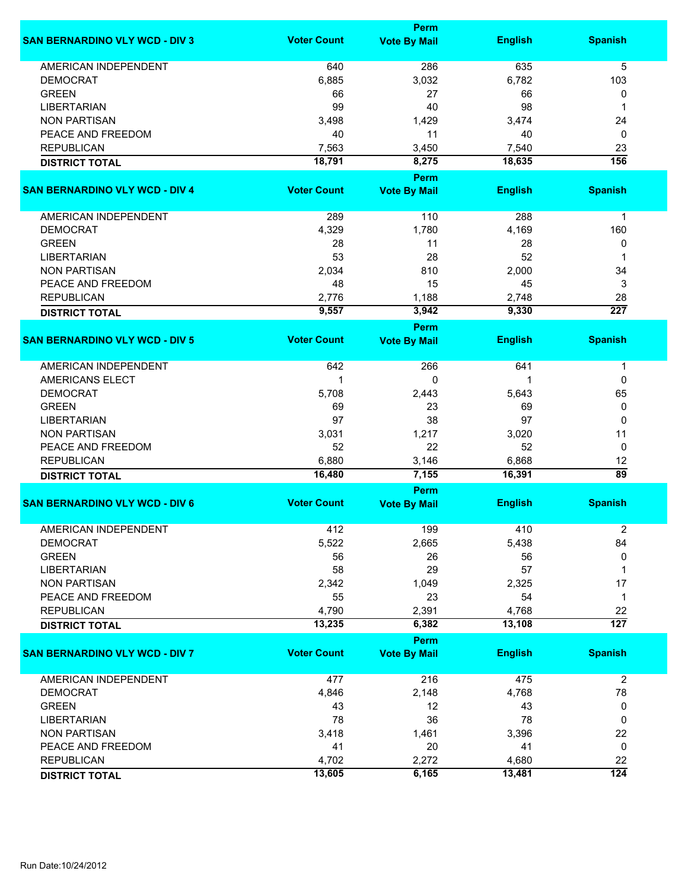|                                       | <b>Perm</b>        |                                    |                |                  |  |
|---------------------------------------|--------------------|------------------------------------|----------------|------------------|--|
| <b>SAN BERNARDINO VLY WCD - DIV 3</b> | <b>Voter Count</b> | <b>Vote By Mail</b>                | <b>English</b> | <b>Spanish</b>   |  |
| <b>AMERICAN INDEPENDENT</b>           | 640                | 286                                | 635            | $\overline{5}$   |  |
| <b>DEMOCRAT</b>                       | 6,885              | 3,032                              | 6,782          | 103              |  |
| <b>GREEN</b>                          | 66                 | 27                                 | 66             | 0                |  |
| <b>LIBERTARIAN</b>                    | 99                 | 40                                 | 98             | 1                |  |
|                                       |                    |                                    |                |                  |  |
| <b>NON PARTISAN</b>                   | 3,498              | 1,429                              | 3,474          | 24               |  |
| PEACE AND FREEDOM                     | 40                 | 11                                 | 40             | 0                |  |
| <b>REPUBLICAN</b>                     | 7,563              | 3,450                              | 7,540          | 23               |  |
| <b>DISTRICT TOTAL</b>                 | 18,791             | 8,275                              | 18,635         | $\overline{156}$ |  |
| <b>SAN BERNARDINO VLY WCD - DIV 4</b> | <b>Voter Count</b> | <b>Perm</b><br><b>Vote By Mail</b> | <b>English</b> | <b>Spanish</b>   |  |
| AMERICAN INDEPENDENT                  | 289                | 110                                | 288            | $\mathbf{1}$     |  |
| <b>DEMOCRAT</b>                       | 4,329              | 1,780                              | 4,169          | 160              |  |
| <b>GREEN</b>                          | 28                 | 11                                 | 28             | 0                |  |
| <b>LIBERTARIAN</b>                    | 53                 | 28                                 | 52             | 1                |  |
| <b>NON PARTISAN</b>                   | 2,034              | 810                                | 2,000          | 34               |  |
| PEACE AND FREEDOM                     | 48                 | 15                                 | 45             | 3                |  |
|                                       |                    |                                    |                |                  |  |
| <b>REPUBLICAN</b>                     | 2,776              | 1,188                              | 2,748          | 28               |  |
| <b>DISTRICT TOTAL</b>                 | 9,557              | 3,942                              | 9,330          | $\overline{227}$ |  |
|                                       |                    | Perm                               |                |                  |  |
| <b>SAN BERNARDINO VLY WCD - DIV 5</b> | <b>Voter Count</b> | <b>Vote By Mail</b>                | <b>English</b> | <b>Spanish</b>   |  |
| <b>AMERICAN INDEPENDENT</b>           | 642                | 266                                | 641            | 1                |  |
| <b>AMERICANS ELECT</b>                | 1                  | 0                                  | 1              | 0                |  |
| <b>DEMOCRAT</b>                       | 5,708              | 2,443                              | 5,643          | 65               |  |
| <b>GREEN</b>                          | 69                 | 23                                 | 69             | 0                |  |
| <b>LIBERTARIAN</b>                    | 97                 | 38                                 | 97             | 0                |  |
| <b>NON PARTISAN</b>                   | 3,031              | 1,217                              | 3,020          | 11               |  |
|                                       |                    |                                    |                |                  |  |
| PEACE AND FREEDOM                     | 52                 | 22                                 | 52             | 0                |  |
| <b>REPUBLICAN</b>                     | 6,880              | 3,146                              | 6,868          | 12               |  |
| <b>DISTRICT TOTAL</b>                 | 16,480             | 7,155<br>Perm                      | 16,391         | $\overline{89}$  |  |
| <b>SAN BERNARDINO VLY WCD - DIV 6</b> | <b>Voter Count</b> | <b>Vote By Mail</b>                | <b>English</b> | <b>Spanish</b>   |  |
| AMERICAN INDEPENDENT                  | 412                | 199                                | 410            | 2                |  |
| <b>DEMOCRAT</b>                       | 5,522              | 2,665                              | 5,438          | 84               |  |
| <b>GREEN</b>                          | 56                 | 26                                 | 56             | 0                |  |
| <b>LIBERTARIAN</b>                    | 58                 | 29                                 | 57             | 1                |  |
| <b>NON PARTISAN</b>                   | 2,342              | 1,049                              | 2,325          | 17               |  |
| PEACE AND FREEDOM                     | 55                 | 23                                 | 54             | 1                |  |
| <b>REPUBLICAN</b>                     | 4,790              | 2,391                              | 4,768          | 22               |  |
| <b>DISTRICT TOTAL</b>                 | 13,235             | 6,382                              | 13,108         | $\overline{127}$ |  |
|                                       |                    | <b>Perm</b>                        |                |                  |  |
| <b>SAN BERNARDINO VLY WCD - DIV 7</b> | <b>Voter Count</b> | <b>Vote By Mail</b>                | <b>English</b> | <b>Spanish</b>   |  |
| <b>AMERICAN INDEPENDENT</b>           | 477                | 216                                | 475            | $\overline{2}$   |  |
| <b>DEMOCRAT</b>                       | 4,846              | 2,148                              | 4,768          | 78               |  |
| <b>GREEN</b>                          | 43                 | 12                                 | 43             | 0                |  |
| <b>LIBERTARIAN</b>                    | 78                 | 36                                 | 78             | 0                |  |
| <b>NON PARTISAN</b>                   | 3,418              | 1,461                              | 3,396          | 22               |  |
| PEACE AND FREEDOM                     | 41                 | 20                                 | 41             | 0                |  |
| <b>REPUBLICAN</b>                     | 4,702              | 2,272                              | 4,680          | 22               |  |
|                                       | 13,605             | 6,165                              | 13,481         | $\overline{124}$ |  |
| <b>DISTRICT TOTAL</b>                 |                    |                                    |                |                  |  |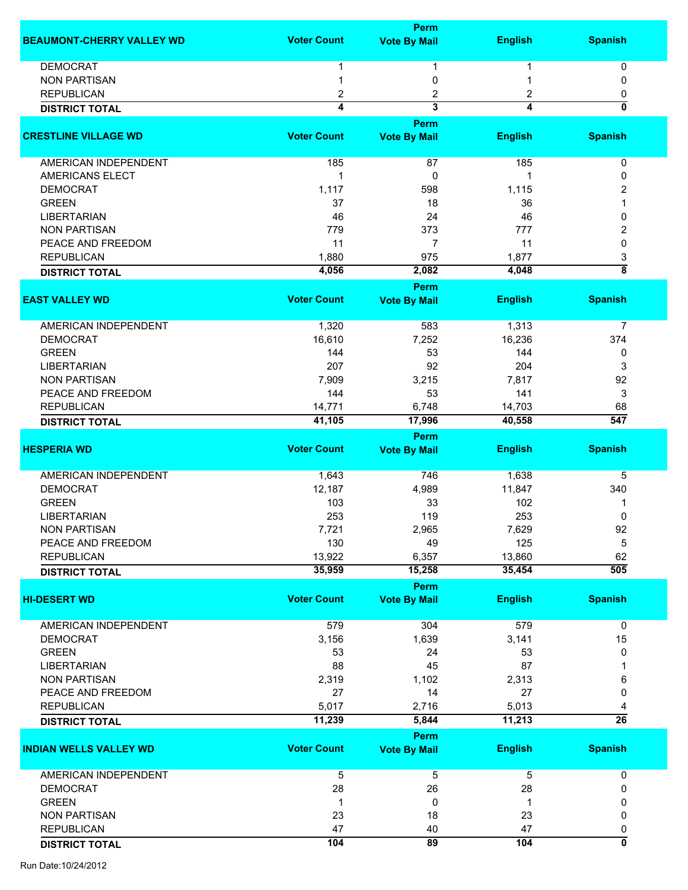|                                  |                    | <b>Perm</b>                 |                |                           |
|----------------------------------|--------------------|-----------------------------|----------------|---------------------------|
| <b>BEAUMONT-CHERRY VALLEY WD</b> | <b>Voter Count</b> | <b>Vote By Mail</b>         | <b>English</b> | <b>Spanish</b>            |
|                                  |                    |                             |                |                           |
| <b>DEMOCRAT</b>                  |                    | 1                           |                | 0                         |
| <b>NON PARTISAN</b>              |                    | 0                           |                | 0                         |
| <b>REPUBLICAN</b>                | $\overline{2}$     | 2                           | 2              | 0                         |
| <b>DISTRICT TOTAL</b>            | 4                  | $\overline{\mathbf{3}}$     | 4              | 0                         |
|                                  |                    | Perm                        |                |                           |
| <b>CRESTLINE VILLAGE WD</b>      | <b>Voter Count</b> | <b>Vote By Mail</b>         | <b>English</b> | <b>Spanish</b>            |
| AMERICAN INDEPENDENT             | 185                | 87                          | 185            | 0                         |
| AMERICANS ELECT                  | $\mathbf 1$        | 0                           | 1              | 0                         |
| <b>DEMOCRAT</b>                  | 1,117              | 598                         | 1,115          | 2                         |
| <b>GREEN</b>                     | 37                 | 18                          | 36             |                           |
| <b>LIBERTARIAN</b>               | 46                 | 24                          | 46             | 0                         |
| <b>NON PARTISAN</b>              | 779                | 373                         | 777            | 2                         |
|                                  |                    |                             |                |                           |
| PEACE AND FREEDOM                | 11                 | $\overline{7}$              | 11             | 0                         |
| <b>REPUBLICAN</b>                | 1,880              | 975                         | 1,877          | 3                         |
| <b>DISTRICT TOTAL</b>            | 4,056              | 2,082                       | 4,048          | $\overline{\overline{8}}$ |
|                                  |                    | Perm                        |                |                           |
| <b>EAST VALLEY WD</b>            | <b>Voter Count</b> | <b>Vote By Mail</b>         | <b>English</b> | <b>Spanish</b>            |
| AMERICAN INDEPENDENT             | 1,320              | 583                         | 1,313          | $\overline{7}$            |
| <b>DEMOCRAT</b>                  | 16,610             | 7,252                       | 16,236         | 374                       |
| <b>GREEN</b>                     | 144                | 53                          | 144            | 0                         |
| <b>LIBERTARIAN</b>               | 207                | 92                          | 204            | 3                         |
| <b>NON PARTISAN</b>              | 7,909              | 3,215                       | 7,817          | 92                        |
| PEACE AND FREEDOM                | 144                | 53                          | 141            | 3                         |
| <b>REPUBLICAN</b>                | 14,771             | 6,748                       | 14,703         | 68                        |
| <b>DISTRICT TOTAL</b>            | 41,105             | 17,996                      | 40,558         | $\overline{547}$          |
|                                  |                    | Perm                        |                |                           |
| <b>HESPERIA WD</b>               | <b>Voter Count</b> | <b>Vote By Mail</b>         | <b>English</b> | <b>Spanish</b>            |
|                                  |                    |                             |                |                           |
| AMERICAN INDEPENDENT             | 1,643              | 746                         | 1,638          | 5                         |
| <b>DEMOCRAT</b>                  | 12,187             | 4,989                       | 11,847         | 340                       |
| <b>GREEN</b>                     | 103                | 33                          | 102            | 1                         |
| <b>LIBERTARIAN</b>               | 253                | 119                         | 253            | 0                         |
| <b>NON PARTISAN</b>              | 7,721              | 2,965                       | 7,629          | 92                        |
| PEACE AND FREEDOM                | 130                | 49                          | 125            | 5                         |
| <b>REPUBLICAN</b>                | 13,922             | 6,357                       | 13,860         | 62                        |
| <b>DISTRICT TOTAL</b>            | 35,959             | 15,258                      | 35,454         | $\overline{505}$          |
|                                  |                    | Perm                        |                |                           |
| <b>HI-DESERT WD</b>              | <b>Voter Count</b> | <b>Vote By Mail</b>         | <b>English</b> | <b>Spanish</b>            |
| AMERICAN INDEPENDENT             | 579                | 304                         | 579            | 0                         |
| <b>DEMOCRAT</b>                  | 3,156              | 1,639                       | 3,141          | 15                        |
| <b>GREEN</b>                     | 53                 | 24                          | 53             | 0                         |
| <b>LIBERTARIAN</b>               | 88                 | 45                          | 87             |                           |
| <b>NON PARTISAN</b>              | 2,319              | 1,102                       | 2,313          | 6                         |
| PEACE AND FREEDOM                | 27                 | 14                          | 27             | 0                         |
| <b>REPUBLICAN</b>                | 5,017              | 2,716                       | 5,013          | 4                         |
|                                  | 11,239             | 5,844                       | 11,213         | $\overline{26}$           |
| <b>DISTRICT TOTAL</b>            |                    |                             |                |                           |
| <b>INDIAN WELLS VALLEY WD</b>    | <b>Voter Count</b> | Perm<br><b>Vote By Mail</b> | <b>English</b> | <b>Spanish</b>            |
|                                  |                    |                             |                |                           |
| <b>AMERICAN INDEPENDENT</b>      | 5                  | $\,$ 5 $\,$                 | 5              | 0                         |
| <b>DEMOCRAT</b>                  | 28                 | 26                          | 28             | 0                         |
| <b>GREEN</b>                     | 1                  | 0                           | 1              | 0                         |
| <b>NON PARTISAN</b>              | 23                 | 18                          | 23             | 0                         |
| <b>REPUBLICAN</b>                | 47                 | 40                          | 47             | 0                         |
| <b>DISTRICT TOTAL</b>            | 104                | 89                          | 104            | $\overline{\mathfrak{o}}$ |
|                                  |                    |                             |                |                           |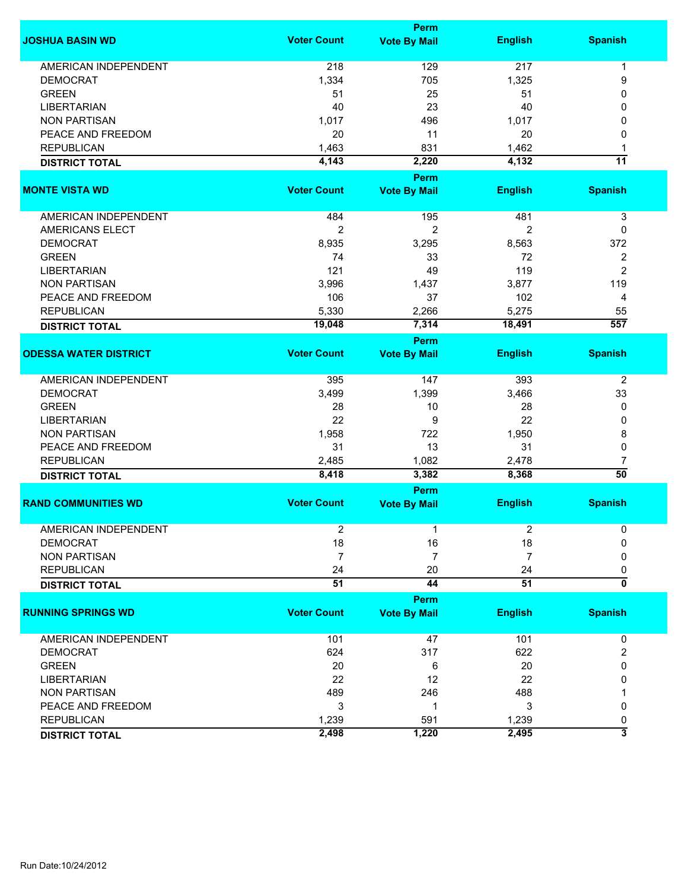|                              |                    | <b>Perm</b>         |                |                           |
|------------------------------|--------------------|---------------------|----------------|---------------------------|
| <b>JOSHUA BASIN WD</b>       | <b>Voter Count</b> | <b>Vote By Mail</b> | <b>English</b> | <b>Spanish</b>            |
| <b>AMERICAN INDEPENDENT</b>  | 218                | 129                 | 217            | 1                         |
| <b>DEMOCRAT</b>              | 1,334              | 705                 | 1,325          | 9                         |
| <b>GREEN</b>                 | 51                 | 25                  | 51             | 0                         |
| <b>LIBERTARIAN</b>           | 40                 | 23                  | 40             | 0                         |
| <b>NON PARTISAN</b>          |                    |                     |                | 0                         |
|                              | 1,017              | 496                 | 1,017          |                           |
| PEACE AND FREEDOM            | 20                 | 11                  | 20             | 0                         |
| <b>REPUBLICAN</b>            | 1,463              | 831                 | 1,462          | 1                         |
| <b>DISTRICT TOTAL</b>        | 4,143              | 2,220               | 4,132          | $\overline{11}$           |
|                              |                    | <b>Perm</b>         |                |                           |
| <b>MONTE VISTA WD</b>        | <b>Voter Count</b> | <b>Vote By Mail</b> | <b>English</b> | <b>Spanish</b>            |
| AMERICAN INDEPENDENT         | 484                | 195                 | 481            | 3                         |
| <b>AMERICANS ELECT</b>       | $\overline{c}$     | $\overline{2}$      | 2              | 0                         |
| <b>DEMOCRAT</b>              | 8,935              | 3,295               | 8,563          | 372                       |
|                              |                    |                     |                |                           |
| <b>GREEN</b>                 | 74                 | 33                  | 72<br>119      | 2                         |
| <b>LIBERTARIAN</b>           | 121                | 49                  |                | $\overline{2}$            |
| <b>NON PARTISAN</b>          | 3,996              | 1,437               | 3,877          | 119                       |
| PEACE AND FREEDOM            | 106                | 37                  | 102            | 4                         |
| <b>REPUBLICAN</b>            | 5,330              | 2,266               | 5,275          | 55                        |
| <b>DISTRICT TOTAL</b>        | 19,048             | 7,314               | 18,491         | 557                       |
|                              |                    | Perm                |                |                           |
| <b>ODESSA WATER DISTRICT</b> | <b>Voter Count</b> | <b>Vote By Mail</b> | <b>English</b> | <b>Spanish</b>            |
| AMERICAN INDEPENDENT         | 395                | 147                 | 393            | $\overline{2}$            |
| <b>DEMOCRAT</b>              | 3,499              | 1,399               | 3,466          | 33                        |
| <b>GREEN</b>                 | 28                 | 10                  | 28             | 0                         |
| <b>LIBERTARIAN</b>           | 22                 | 9                   | 22             | 0                         |
| <b>NON PARTISAN</b>          | 1,958              | 722                 | 1,950          | 8                         |
| PEACE AND FREEDOM            | 31                 | 13                  | 31             | 0                         |
| <b>REPUBLICAN</b>            | 2,485              | 1,082               | 2,478          | 7                         |
| <b>DISTRICT TOTAL</b>        | 8,418              | 3,382               | 8,368          | $\overline{50}$           |
|                              |                    | <b>Perm</b>         |                |                           |
| <b>RAND COMMUNITIES WD</b>   | <b>Voter Count</b> | <b>Vote By Mail</b> | <b>English</b> | <b>Spanish</b>            |
|                              |                    |                     |                |                           |
| <b>AMERICAN INDEPENDENT</b>  | 2                  | 1                   | 2              | 0                         |
| <b>DEMOCRAT</b>              | 18                 | 16                  | 18             | 0                         |
| <b>NON PARTISAN</b>          | $\overline{7}$     | $\overline{7}$      | 7              | 0                         |
| <b>REPUBLICAN</b>            | 24                 | 20                  | 24             | 0                         |
| <b>DISTRICT TOTAL</b>        | 51                 | 44                  | 51             | $\overline{\mathbf{0}}$   |
|                              |                    | <b>Perm</b>         |                |                           |
| <b>RUNNING SPRINGS WD</b>    | <b>Voter Count</b> | <b>Vote By Mail</b> | <b>English</b> | <b>Spanish</b>            |
|                              |                    |                     |                |                           |
| <b>AMERICAN INDEPENDENT</b>  | 101                | 47                  | 101            | 0                         |
| <b>DEMOCRAT</b>              | 624                | 317                 | 622            | $\overline{2}$            |
| <b>GREEN</b>                 | 20                 | 6                   | 20             | 0                         |
| <b>LIBERTARIAN</b>           | 22                 | 12                  | 22             | 0                         |
| <b>NON PARTISAN</b>          | 489                | 246                 | 488            |                           |
| PEACE AND FREEDOM            | 3                  | 1                   | 3              | 0                         |
| <b>REPUBLICAN</b>            | 1,239              | 591                 | 1,239          | 0                         |
| <b>DISTRICT TOTAL</b>        | 2,498              | 1,220               | 2,495          | $\overline{\overline{3}}$ |
|                              |                    |                     |                |                           |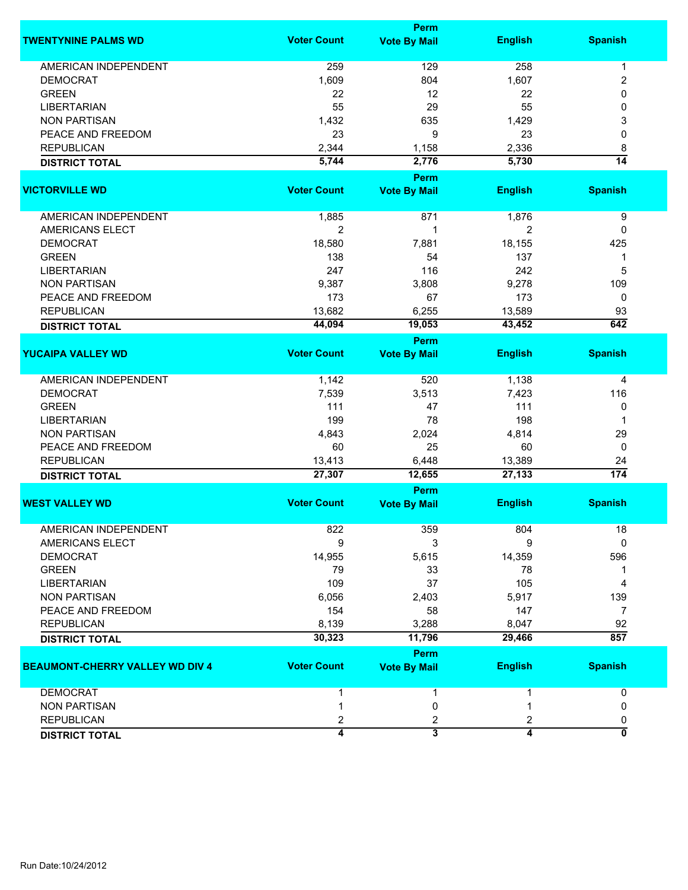|                                        | <b>Perm</b>        |                         |                |                           |  |
|----------------------------------------|--------------------|-------------------------|----------------|---------------------------|--|
| <b>TWENTYNINE PALMS WD</b>             | <b>Voter Count</b> | <b>Vote By Mail</b>     | <b>English</b> | <b>Spanish</b>            |  |
| <b>AMERICAN INDEPENDENT</b>            | 259                | 129                     | 258            | 1                         |  |
| <b>DEMOCRAT</b>                        | 1,609              | 804                     | 1,607          | 2                         |  |
| <b>GREEN</b>                           | 22                 | 12                      | 22             | 0                         |  |
| <b>LIBERTARIAN</b>                     | 55                 | 29                      | 55             | 0                         |  |
| <b>NON PARTISAN</b>                    | 1,432              | 635                     | 1,429          | 3                         |  |
| PEACE AND FREEDOM                      | 23                 | 9                       | 23             | 0                         |  |
| <b>REPUBLICAN</b>                      | 2,344              | 1,158                   | 2,336          | 8                         |  |
|                                        | 5,744              | 2,776                   | 5,730          | $\overline{14}$           |  |
| <b>DISTRICT TOTAL</b>                  |                    |                         |                |                           |  |
|                                        |                    | Perm                    |                |                           |  |
| <b>VICTORVILLE WD</b>                  | <b>Voter Count</b> | <b>Vote By Mail</b>     | <b>English</b> | <b>Spanish</b>            |  |
| <b>AMERICAN INDEPENDENT</b>            | 1,885              | 871                     | 1,876          | 9                         |  |
| AMERICANS ELECT                        | $\overline{2}$     | 1                       | 2              | 0                         |  |
| <b>DEMOCRAT</b>                        | 18,580             | 7,881                   | 18,155         | 425                       |  |
| <b>GREEN</b>                           | 138                | 54                      | 137            | 1                         |  |
| <b>LIBERTARIAN</b>                     | 247                | 116                     | 242            | 5                         |  |
| <b>NON PARTISAN</b>                    | 9,387              | 3,808                   | 9,278          | 109                       |  |
| PEACE AND FREEDOM                      | 173                | 67                      | 173            | 0                         |  |
| <b>REPUBLICAN</b>                      | 13,682             | 6,255                   | 13,589         | 93                        |  |
| <b>DISTRICT TOTAL</b>                  | 44,094             | 19,053                  | 43,452         | 642                       |  |
|                                        |                    | <b>Perm</b>             |                |                           |  |
| <b>YUCAIPA VALLEY WD</b>               | <b>Voter Count</b> | <b>Vote By Mail</b>     | <b>English</b> | <b>Spanish</b>            |  |
| <b>AMERICAN INDEPENDENT</b>            | 1,142              | 520                     | 1,138          | 4                         |  |
| <b>DEMOCRAT</b>                        | 7,539              | 3,513                   | 7,423          | 116                       |  |
| <b>GREEN</b>                           | 111                | 47                      | 111            | 0                         |  |
| <b>LIBERTARIAN</b>                     | 199                | 78                      | 198            | 1                         |  |
| <b>NON PARTISAN</b>                    | 4,843              | 2,024                   | 4,814          | 29                        |  |
| PEACE AND FREEDOM                      | 60                 | 25                      | 60             | 0                         |  |
| <b>REPUBLICAN</b>                      | 13,413             | 6,448                   | 13,389         | 24                        |  |
|                                        | 27,307             | 12,655                  | 27,133         | $\overline{174}$          |  |
| <b>DISTRICT TOTAL</b>                  |                    | Perm                    |                |                           |  |
| <b>WEST VALLEY WD</b>                  | <b>Voter Count</b> | <b>Vote By Mail</b>     | <b>English</b> | <b>Spanish</b>            |  |
|                                        |                    |                         |                |                           |  |
| AMERICAN INDEPENDENT                   | 822                | 359                     | 804            | 18                        |  |
| AMERICANS ELECT                        | 9                  | 3                       | 9              | $\mathbf{0}$              |  |
| <b>DEMOCRAT</b>                        | 14,955             | 5,615                   | 14,359         | 596                       |  |
| <b>GREEN</b>                           | 79                 | 33                      | 78             |                           |  |
| <b>LIBERTARIAN</b>                     | 109                | 37                      | 105            | 4                         |  |
| <b>NON PARTISAN</b>                    | 6,056              | 2,403                   | 5,917          | 139                       |  |
| PEACE AND FREEDOM                      | 154                | 58                      | 147            | 7                         |  |
| <b>REPUBLICAN</b>                      | 8,139              | 3,288                   | 8,047          | 92                        |  |
| <b>DISTRICT TOTAL</b>                  | 30,323             | 11,796                  | 29,466         | $\overline{857}$          |  |
|                                        |                    | <b>Perm</b>             |                |                           |  |
| <b>BEAUMONT-CHERRY VALLEY WD DIV 4</b> | <b>Voter Count</b> | <b>Vote By Mail</b>     | <b>English</b> | <b>Spanish</b>            |  |
| <b>DEMOCRAT</b>                        | 1                  | 1                       | 1              | 0                         |  |
| <b>NON PARTISAN</b>                    | 1                  | 0                       |                | 0                         |  |
| <b>REPUBLICAN</b>                      | 2                  | 2                       | 2              | 0                         |  |
| <b>DISTRICT TOTAL</b>                  | $\overline{4}$     | $\overline{\mathbf{3}}$ | $\overline{4}$ | $\overline{\mathfrak{o}}$ |  |
|                                        |                    |                         |                |                           |  |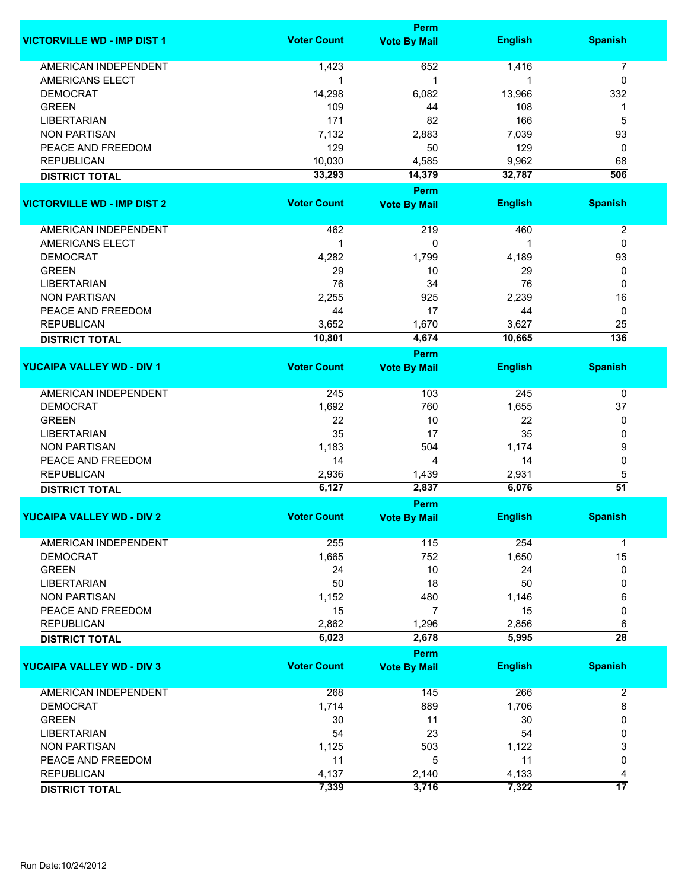|                                    |                    | Perm                        |                |                  |
|------------------------------------|--------------------|-----------------------------|----------------|------------------|
| <b>VICTORVILLE WD - IMP DIST 1</b> | <b>Voter Count</b> | <b>Vote By Mail</b>         | <b>English</b> | <b>Spanish</b>   |
| <b>AMERICAN INDEPENDENT</b>        | 1,423              | 652                         | 1,416          | $\overline{7}$   |
| AMERICANS ELECT                    | 1                  | 1                           | 1              | 0                |
| <b>DEMOCRAT</b>                    | 14,298             | 6,082                       | 13,966         | 332              |
| <b>GREEN</b>                       | 109                | 44                          | 108            | 1                |
| <b>LIBERTARIAN</b>                 | 171                | 82                          | 166            | 5                |
|                                    |                    |                             | 7,039          |                  |
| <b>NON PARTISAN</b>                | 7,132              | 2,883                       |                | 93               |
| PEACE AND FREEDOM                  | 129                | 50                          | 129            | 0                |
| <b>REPUBLICAN</b>                  | 10,030             | 4,585                       | 9,962          | 68               |
| <b>DISTRICT TOTAL</b>              | 33,293             | 14,379                      | 32,787         | 506              |
|                                    |                    | Perm                        |                |                  |
| <b>VICTORVILLE WD - IMP DIST 2</b> | <b>Voter Count</b> | <b>Vote By Mail</b>         | <b>English</b> | <b>Spanish</b>   |
| AMERICAN INDEPENDENT               | 462                | 219                         | 460            | $\boldsymbol{2}$ |
| <b>AMERICANS ELECT</b>             | 1                  | 0                           |                | 0                |
| <b>DEMOCRAT</b>                    | 4,282              | 1,799                       | 4,189          | 93               |
| <b>GREEN</b>                       | 29                 | 10                          | 29             | 0                |
|                                    |                    |                             |                |                  |
| <b>LIBERTARIAN</b>                 | 76                 | 34                          | 76             | 0                |
| <b>NON PARTISAN</b>                | 2,255              | 925                         | 2,239          | 16               |
| PEACE AND FREEDOM                  | 44                 | 17                          | 44             | 0                |
| <b>REPUBLICAN</b>                  | 3,652              | 1,670                       | 3,627          | 25               |
| <b>DISTRICT TOTAL</b>              | 10,801             | 4,674                       | 10,665         | 136              |
|                                    |                    | Perm                        |                |                  |
| <b>YUCAIPA VALLEY WD - DIV 1</b>   | <b>Voter Count</b> | <b>Vote By Mail</b>         | <b>English</b> | <b>Spanish</b>   |
| <b>AMERICAN INDEPENDENT</b>        | 245                | 103                         | 245            | 0                |
| <b>DEMOCRAT</b>                    | 1,692              | 760                         | 1,655          | 37               |
| <b>GREEN</b>                       | 22                 | 10                          | 22             | 0                |
| <b>LIBERTARIAN</b>                 | 35                 | 17                          | 35             | 0                |
|                                    |                    |                             |                |                  |
| <b>NON PARTISAN</b>                | 1,183              | 504                         | 1,174          | 9                |
| PEACE AND FREEDOM                  | 14                 | 4                           | 14             | 0                |
| <b>REPUBLICAN</b>                  | 2,936              | 1,439                       | 2,931          | 5                |
| <b>DISTRICT TOTAL</b>              | 6,127              | 2,837                       | 6,076          | $\overline{51}$  |
| <b>YUCAIPA VALLEY WD - DIV 2</b>   | <b>Voter Count</b> | Perm<br><b>Vote By Mail</b> | <b>English</b> | <b>Spanish</b>   |
|                                    |                    |                             |                |                  |
| <b>AMERICAN INDEPENDENT</b>        | 255                | 115                         | 254            | 1                |
| <b>DEMOCRAT</b>                    | 1,665              | 752                         | 1,650          | 15               |
| <b>GREEN</b>                       | 24                 | 10                          | 24             | 0                |
| <b>LIBERTARIAN</b>                 | 50                 | 18                          | 50             | 0                |
| <b>NON PARTISAN</b>                | 1,152              | 480                         | 1,146          | 6                |
| PEACE AND FREEDOM                  | 15                 | $\overline{7}$              | 15             | 0                |
| <b>REPUBLICAN</b>                  | 2,862              | 1,296                       | 2,856          | 6                |
| <b>DISTRICT TOTAL</b>              | 6,023              | 2,678                       | 5,995          | $\overline{28}$  |
|                                    |                    | Perm                        |                |                  |
| <b>YUCAIPA VALLEY WD - DIV 3</b>   | <b>Voter Count</b> | <b>Vote By Mail</b>         | <b>English</b> | <b>Spanish</b>   |
|                                    |                    |                             |                |                  |
| <b>AMERICAN INDEPENDENT</b>        | 268                | 145                         | 266            | $\overline{2}$   |
| <b>DEMOCRAT</b>                    | 1,714              | 889                         | 1,706          | 8                |
| <b>GREEN</b>                       | 30                 | 11                          | 30             | 0                |
| <b>LIBERTARIAN</b>                 | 54                 | 23                          | 54             | 0                |
| <b>NON PARTISAN</b>                | 1,125              | 503                         | 1,122          | 3                |
| PEACE AND FREEDOM                  | 11                 | 5                           | 11             | 0                |
| <b>REPUBLICAN</b>                  | 4,137              | 2,140                       | 4,133          | 4                |
|                                    | 7,339              | 3,716                       | 7,322          | 17               |
| <b>DISTRICT TOTAL</b>              |                    |                             |                |                  |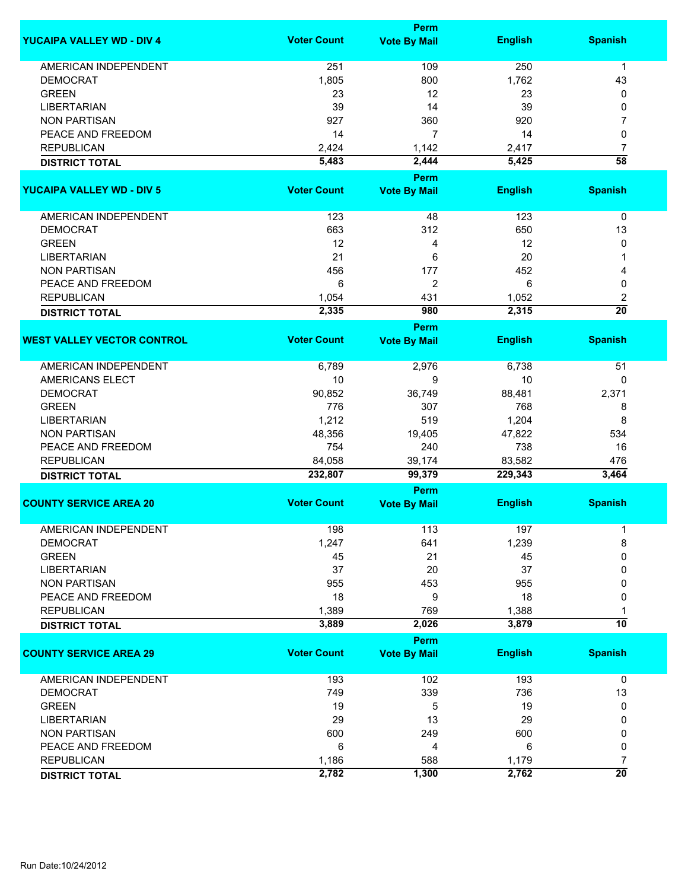|                                   |                    | <b>Perm</b>                        |                |                      |
|-----------------------------------|--------------------|------------------------------------|----------------|----------------------|
| <b>YUCAIPA VALLEY WD - DIV 4</b>  | <b>Voter Count</b> | <b>Vote By Mail</b>                | <b>English</b> | <b>Spanish</b>       |
| <b>AMERICAN INDEPENDENT</b>       | 251                | 109                                | 250            | $\mathbf{1}$         |
| <b>DEMOCRAT</b>                   | 1,805              | 800                                | 1,762          | 43                   |
| <b>GREEN</b>                      | 23                 | 12                                 | 23             | 0                    |
| <b>LIBERTARIAN</b>                | 39                 | 14                                 | 39             | 0                    |
|                                   |                    |                                    |                |                      |
| <b>NON PARTISAN</b>               | 927                | 360                                | 920            | 7                    |
| PEACE AND FREEDOM                 | 14                 | 7                                  | 14             | 0                    |
| <b>REPUBLICAN</b>                 | 2,424              | 1,142                              | 2,417          | $\overline{7}$       |
| <b>DISTRICT TOTAL</b>             | 5,483              | 2,444                              | 5,425          | $\overline{58}$      |
| <b>YUCAIPA VALLEY WD - DIV 5</b>  | <b>Voter Count</b> | <b>Perm</b><br><b>Vote By Mail</b> | <b>English</b> | <b>Spanish</b>       |
| AMERICAN INDEPENDENT              | 123                | 48                                 | 123            | 0                    |
| <b>DEMOCRAT</b>                   | 663                | 312                                | 650            | 13                   |
| <b>GREEN</b>                      | 12                 | 4                                  | 12             | 0                    |
| <b>LIBERTARIAN</b>                | 21                 | 6                                  | 20             | 1                    |
| <b>NON PARTISAN</b>               | 456                | 177                                | 452            | 4                    |
|                                   |                    |                                    |                |                      |
| PEACE AND FREEDOM                 | 6                  | 2                                  | 6              | 0                    |
| <b>REPUBLICAN</b>                 | 1,054              | 431                                | 1,052          | 2                    |
| <b>DISTRICT TOTAL</b>             | 2,335              | 980                                | 2,315          | $\overline{20}$      |
| <b>WEST VALLEY VECTOR CONTROL</b> | <b>Voter Count</b> | <b>Perm</b><br><b>Vote By Mail</b> | <b>English</b> | <b>Spanish</b>       |
|                                   |                    |                                    |                |                      |
| <b>AMERICAN INDEPENDENT</b>       | 6,789              | 2,976                              | 6,738          | 51                   |
| <b>AMERICANS ELECT</b>            | 10                 | 9                                  | 10             | 0                    |
| <b>DEMOCRAT</b>                   | 90,852             | 36,749                             | 88,481         | 2,371                |
| <b>GREEN</b>                      | 776                | 307                                | 768            | 8                    |
| <b>LIBERTARIAN</b>                | 1,212              | 519                                | 1,204          | 8                    |
| <b>NON PARTISAN</b>               | 48,356             | 19,405                             | 47,822         | 534                  |
| PEACE AND FREEDOM                 | 754                | 240                                | 738            | 16                   |
| <b>REPUBLICAN</b>                 | 84,058             | 39,174                             | 83,582         | 476                  |
| <b>DISTRICT TOTAL</b>             | 232,807            | 99,379                             | 229,343        | 3,464                |
|                                   |                    | <b>Perm</b>                        |                |                      |
| <b>COUNTY SERVICE AREA 20</b>     | <b>Voter Count</b> | <b>Vote By Mail</b>                | <b>English</b> | <b>Spanish</b>       |
| AMERICAN INDEPENDENT              | 198                | 113                                | 197            | 1                    |
| <b>DEMOCRAT</b>                   | 1,247              | 641                                | 1,239          | 8                    |
| <b>GREEN</b>                      | 45                 | 21                                 | 45             | 0                    |
| <b>LIBERTARIAN</b>                | 37                 | 20                                 | 37             | 0                    |
| <b>NON PARTISAN</b>               | 955                | 453                                | 955            | 0                    |
| PEACE AND FREEDOM                 | 18                 | 9                                  | 18             | 0                    |
| <b>REPUBLICAN</b>                 | 1,389              | 769                                | 1,388          |                      |
| <b>DISTRICT TOTAL</b>             | 3,889              | 2,026                              | 3,879          | $\overline{10}$      |
|                                   |                    | <b>Perm</b>                        |                |                      |
| <b>COUNTY SERVICE AREA 29</b>     | <b>Voter Count</b> | <b>Vote By Mail</b>                | <b>English</b> | <b>Spanish</b>       |
| <b>AMERICAN INDEPENDENT</b>       | 193                | 102                                | 193            | 0                    |
| <b>DEMOCRAT</b>                   | 749                | 339                                | 736            | 13                   |
| <b>GREEN</b>                      | 19                 | 5                                  | 19             | 0                    |
| <b>LIBERTARIAN</b>                | 29                 | 13                                 | 29             | 0                    |
| <b>NON PARTISAN</b>               | 600                | 249                                | 600            | 0                    |
| PEACE AND FREEDOM                 | 6                  | 4                                  | 6              | 0                    |
|                                   |                    |                                    |                |                      |
| <b>REPUBLICAN</b>                 | 1,186              | 588                                | 1,179          | 7<br>$\overline{20}$ |
| <b>DISTRICT TOTAL</b>             | 2,782              | 1,300                              | 2,762          |                      |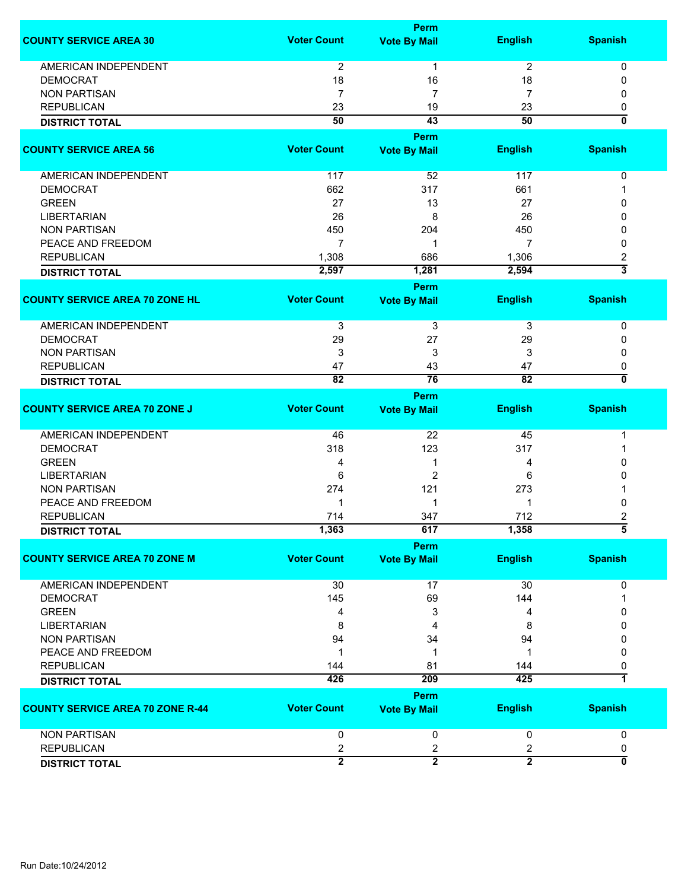|                                         |                         | <b>Perm</b>                 |                |                         |
|-----------------------------------------|-------------------------|-----------------------------|----------------|-------------------------|
| <b>COUNTY SERVICE AREA 30</b>           | <b>Voter Count</b>      | <b>Vote By Mail</b>         | <b>English</b> | <b>Spanish</b>          |
| <b>AMERICAN INDEPENDENT</b>             | 2                       | 1                           | $\overline{c}$ | 0                       |
| <b>DEMOCRAT</b>                         | 18                      | 16                          | 18             | 0                       |
| <b>NON PARTISAN</b>                     | 7                       | 7                           | 7              | 0                       |
| <b>REPUBLICAN</b>                       | 23                      | 19                          | 23             | 0                       |
| <b>DISTRICT TOTAL</b>                   | $\overline{50}$         | $\overline{43}$             | 50             | $\overline{\mathbf{0}}$ |
|                                         |                         |                             |                |                         |
| <b>COUNTY SERVICE AREA 56</b>           | <b>Voter Count</b>      | Perm<br><b>Vote By Mail</b> | <b>English</b> | <b>Spanish</b>          |
|                                         |                         |                             |                |                         |
| AMERICAN INDEPENDENT                    | 117                     | 52                          | 117            | 0                       |
| <b>DEMOCRAT</b>                         | 662                     | 317                         | 661            |                         |
| <b>GREEN</b>                            | 27                      | 13                          | 27             | 0                       |
| <b>LIBERTARIAN</b>                      | 26                      | 8                           | 26             | 0                       |
| <b>NON PARTISAN</b>                     | 450                     | 204                         | 450            | 0                       |
| PEACE AND FREEDOM                       | 7                       | 1                           | 7              | 0                       |
| <b>REPUBLICAN</b>                       | 1,308                   | 686                         | 1,306          | 2                       |
| <b>DISTRICT TOTAL</b>                   | 2,597                   | 1,281                       | 2,594          | $\overline{3}$          |
|                                         |                         | Perm                        |                |                         |
| <b>COUNTY SERVICE AREA 70 ZONE HL</b>   | <b>Voter Count</b>      | <b>Vote By Mail</b>         | <b>English</b> | <b>Spanish</b>          |
| AMERICAN INDEPENDENT                    | 3                       | $\overline{3}$              | $\overline{3}$ | 0                       |
| <b>DEMOCRAT</b>                         | 29                      | 27                          | 29             | 0                       |
| <b>NON PARTISAN</b>                     | 3                       | 3                           | 3              | 0                       |
| <b>REPUBLICAN</b>                       | 47                      | 43                          | 47             | 0                       |
| <b>DISTRICT TOTAL</b>                   | 82                      | 76                          | 82             | 0                       |
|                                         |                         | Perm                        |                |                         |
| <b>COUNTY SERVICE AREA 70 ZONE J</b>    | <b>Voter Count</b>      | <b>Vote By Mail</b>         | <b>English</b> | <b>Spanish</b>          |
| AMERICAN INDEPENDENT                    | 46                      | 22                          | 45             | 1                       |
| <b>DEMOCRAT</b>                         | 318                     | 123                         | 317            | 1                       |
| <b>GREEN</b>                            | 4                       | 1                           | 4              | 0                       |
| <b>LIBERTARIAN</b>                      | 6                       | $\overline{2}$              | 6              | 0                       |
| <b>NON PARTISAN</b>                     | 274                     | 121                         | 273            |                         |
| PEACE AND FREEDOM                       | 1                       | 1                           | 1              | 0                       |
| <b>REPUBLICAN</b>                       | 714                     | 347                         | 712            | 2                       |
| <b>DISTRICT TOTAL</b>                   | 1,363                   | 617                         | 1,358          | đ                       |
|                                         |                         | <b>Perm</b>                 |                |                         |
| <b>COUNTY SERVICE AREA 70 ZONE M</b>    | <b>Voter Count</b>      | <b>Vote By Mail</b>         | <b>English</b> | <b>Spanish</b>          |
| AMERICAN INDEPENDENT                    | 30                      | 17                          | 30             | 0                       |
| <b>DEMOCRAT</b>                         | 145                     | 69                          | 144            | 1                       |
| <b>GREEN</b>                            | 4                       | 3                           | 4              | 0                       |
| <b>LIBERTARIAN</b>                      | 8                       | 4                           | 8              | 0                       |
| <b>NON PARTISAN</b>                     | 94                      | 34                          | 94             | 0                       |
| PEACE AND FREEDOM                       | 1                       | 1                           | 1              | 0                       |
| <b>REPUBLICAN</b>                       | 144                     | 81                          | 144            | 0                       |
| <b>DISTRICT TOTAL</b>                   | 426                     | 209                         | 425            | $\overline{\mathbf{1}}$ |
|                                         |                         | Perm                        |                |                         |
| <b>COUNTY SERVICE AREA 70 ZONE R-44</b> | <b>Voter Count</b>      | <b>Vote By Mail</b>         | <b>English</b> | <b>Spanish</b>          |
| <b>NON PARTISAN</b>                     | 0                       | 0                           | 0              | 0                       |
| <b>REPUBLICAN</b>                       | $\overline{\mathbf{c}}$ | $\overline{\mathbf{c}}$     | 2              | 0                       |
|                                         | $\overline{2}$          | $\overline{2}$              | $\overline{2}$ | 0                       |
| <b>DISTRICT TOTAL</b>                   |                         |                             |                |                         |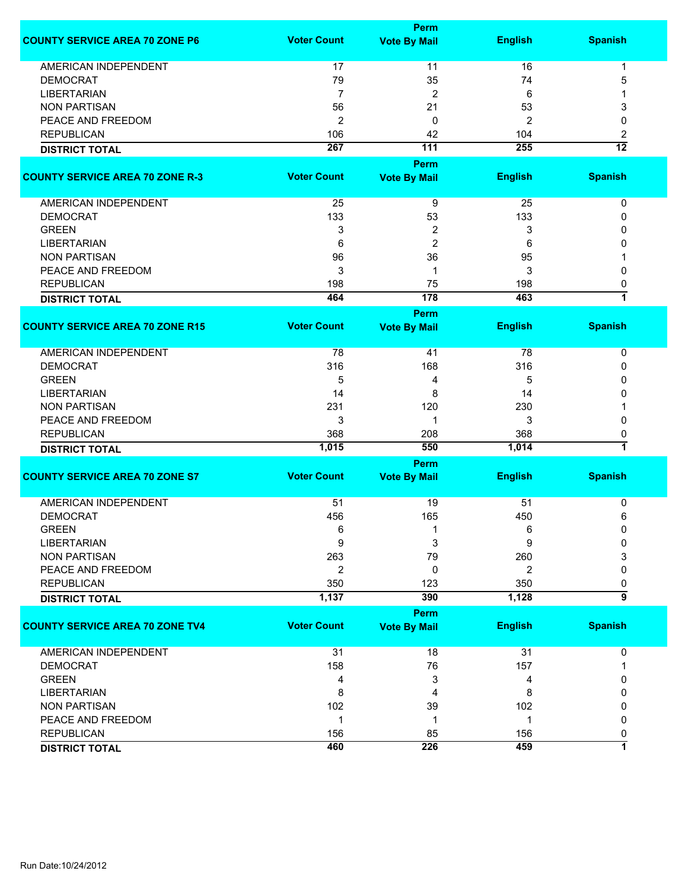|                                        |                    | Perm                        |                |                         |
|----------------------------------------|--------------------|-----------------------------|----------------|-------------------------|
| <b>COUNTY SERVICE AREA 70 ZONE P6</b>  | <b>Voter Count</b> | <b>Vote By Mail</b>         | <b>English</b> | <b>Spanish</b>          |
| AMERICAN INDEPENDENT                   | 17                 | 11                          | 16             | 1                       |
| <b>DEMOCRAT</b>                        | 79                 | 35                          | 74             | 5                       |
| <b>LIBERTARIAN</b>                     | $\overline{7}$     | 2                           | 6              |                         |
| <b>NON PARTISAN</b>                    | 56                 | 21                          | 53             | 3                       |
| PEACE AND FREEDOM                      | 2                  | 0                           | $\overline{2}$ | 0                       |
| <b>REPUBLICAN</b>                      | 106                | 42                          | 104            | 2                       |
| <b>DISTRICT TOTAL</b>                  | 267                | $\overline{111}$            | 255            | $\overline{12}$         |
|                                        |                    |                             |                |                         |
|                                        |                    | Perm                        |                |                         |
| <b>COUNTY SERVICE AREA 70 ZONE R-3</b> | <b>Voter Count</b> | <b>Vote By Mail</b>         | <b>English</b> | <b>Spanish</b>          |
| AMERICAN INDEPENDENT                   | 25                 | 9                           | 25             | 0                       |
| <b>DEMOCRAT</b>                        | 133                | 53                          | 133            | 0                       |
| <b>GREEN</b>                           | 3                  | 2                           | 3              | 0                       |
| <b>LIBERTARIAN</b>                     | 6                  | $\overline{2}$              | 6              | 0                       |
| <b>NON PARTISAN</b>                    | 96                 | 36                          | 95             |                         |
| PEACE AND FREEDOM                      | 3                  | 1                           | 3              | 0                       |
|                                        |                    |                             |                |                         |
| <b>REPUBLICAN</b>                      | 198                | 75                          | 198            | 0<br>$\overline{1}$     |
| <b>DISTRICT TOTAL</b>                  | 464                | 178                         | 463            |                         |
|                                        |                    | Perm                        |                |                         |
| <b>COUNTY SERVICE AREA 70 ZONE R15</b> | <b>Voter Count</b> | <b>Vote By Mail</b>         | <b>English</b> | <b>Spanish</b>          |
| <b>AMERICAN INDEPENDENT</b>            | 78                 | 41                          | 78             | $\mathbf 0$             |
| <b>DEMOCRAT</b>                        | 316                | 168                         | 316            | 0                       |
| <b>GREEN</b>                           | 5                  | 4                           | 5              | 0                       |
| <b>LIBERTARIAN</b>                     | 14                 | 8                           | 14             | 0                       |
| <b>NON PARTISAN</b>                    | 231                | 120                         | 230            |                         |
| PEACE AND FREEDOM                      | 3                  | 1                           | 3              | 0                       |
| <b>REPUBLICAN</b>                      | 368                | 208                         | 368            | 0                       |
| <b>DISTRICT TOTAL</b>                  | 1,015              | 550                         | 1,014          | $\overline{\mathbf{1}}$ |
|                                        |                    |                             |                |                         |
| <b>COUNTY SERVICE AREA 70 ZONE S7</b>  | <b>Voter Count</b> | Perm<br><b>Vote By Mail</b> | <b>English</b> | <b>Spanish</b>          |
|                                        |                    |                             |                |                         |
| <b>AMERICAN INDEPENDENT</b>            | 51                 | 19                          | 51             | 0                       |
| <b>DEMOCRAT</b>                        | 456                | 165                         | 450            | 6                       |
| <b>GREEN</b>                           | 6                  | 1                           | 6              | 0                       |
| <b>LIBERTARIAN</b>                     | 9                  | 3                           | 9              | $\Omega$                |
| <b>NON PARTISAN</b>                    | 263                | 79                          | 260            | 3                       |
| PEACE AND FREEDOM                      | 2                  | 0                           | $\overline{2}$ | 0                       |
| <b>REPUBLICAN</b>                      | 350                | 123                         | 350            | 0                       |
| <b>DISTRICT TOTAL</b>                  | 1,137              | 390                         | 1,128          | 5                       |
|                                        |                    | Perm                        |                |                         |
| <b>COUNTY SERVICE AREA 70 ZONE TV4</b> | <b>Voter Count</b> | <b>Vote By Mail</b>         | <b>English</b> | <b>Spanish</b>          |
|                                        |                    |                             |                |                         |
| AMERICAN INDEPENDENT                   | 31                 | 18                          | 31             | 0                       |
| <b>DEMOCRAT</b>                        | 158                | 76                          | 157            |                         |
| <b>GREEN</b>                           | 4                  | 3                           | 4              | 0                       |
| <b>LIBERTARIAN</b>                     | 8                  | 4                           | 8              | 0                       |
| <b>NON PARTISAN</b>                    | 102                | 39                          | 102            | 0                       |
| PEACE AND FREEDOM                      | 1                  | 1                           | $\mathbf{1}$   | 0                       |
| <b>REPUBLICAN</b>                      | 156                | 85                          | 156            | 0                       |
| <b>DISTRICT TOTAL</b>                  | 460                | 226                         | 459            | 1                       |
|                                        |                    |                             |                |                         |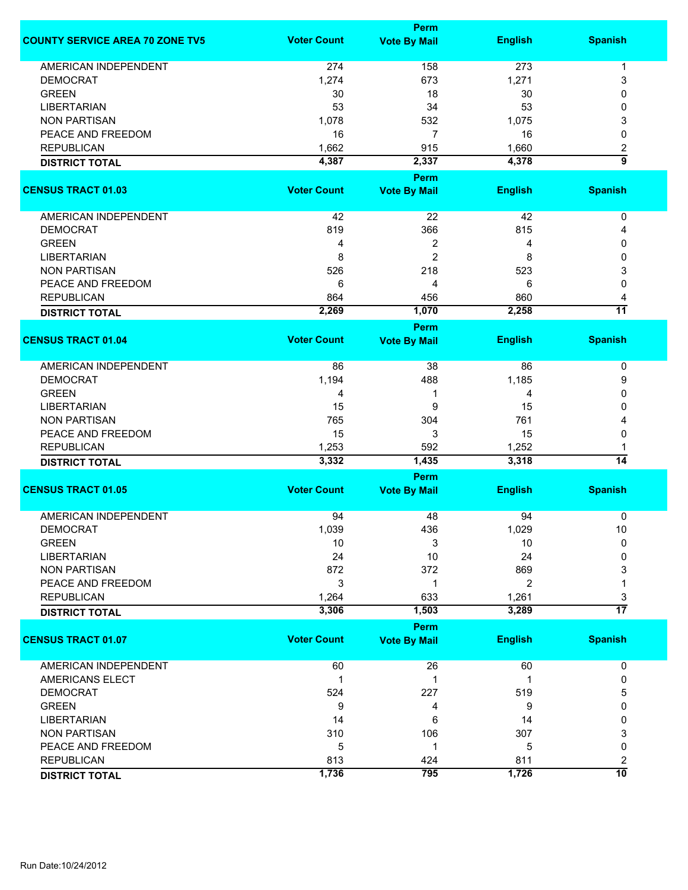|                                        |                    | <b>Perm</b>         |                |                      |
|----------------------------------------|--------------------|---------------------|----------------|----------------------|
| <b>COUNTY SERVICE AREA 70 ZONE TV5</b> | <b>Voter Count</b> | <b>Vote By Mail</b> | <b>English</b> | <b>Spanish</b>       |
| <b>AMERICAN INDEPENDENT</b>            | 274                | 158                 | 273            | 1                    |
| <b>DEMOCRAT</b>                        | 1,274              | 673                 | 1,271          | 3                    |
| <b>GREEN</b>                           | 30                 | 18                  | 30             | 0                    |
| <b>LIBERTARIAN</b>                     | 53                 | 34                  | 53             | 0                    |
| <b>NON PARTISAN</b>                    | 1,078              | 532                 | 1,075          | 3                    |
| PEACE AND FREEDOM                      | 16                 | 7                   | 16             | 0                    |
| <b>REPUBLICAN</b>                      | 1,662              | 915                 | 1,660          | 2                    |
| <b>DISTRICT TOTAL</b>                  | 4,387              | 2,337               | 4,378          | $\overline{9}$       |
|                                        |                    | Perm                |                |                      |
| <b>CENSUS TRACT 01.03</b>              | <b>Voter Count</b> | <b>Vote By Mail</b> | <b>English</b> | <b>Spanish</b>       |
|                                        |                    |                     |                |                      |
| AMERICAN INDEPENDENT                   | 42                 | 22                  | 42             | 0                    |
| <b>DEMOCRAT</b>                        | 819                | 366                 | 815            | 4                    |
| <b>GREEN</b>                           | 4                  | 2                   | 4              | 0                    |
| <b>LIBERTARIAN</b>                     | 8                  | $\overline{c}$      | 8              | 0                    |
| <b>NON PARTISAN</b>                    | 526                | 218                 | 523            | 3                    |
| PEACE AND FREEDOM                      | 6                  | 4                   | 6              | 0                    |
| <b>REPUBLICAN</b>                      | 864                | 456                 | 860            | 4                    |
| <b>DISTRICT TOTAL</b>                  | 2,269              | 1,070               | 2,258          | $\overline{11}$      |
|                                        |                    | <b>Perm</b>         |                |                      |
| <b>CENSUS TRACT 01.04</b>              | <b>Voter Count</b> | <b>Vote By Mail</b> | <b>English</b> | <b>Spanish</b>       |
| <b>AMERICAN INDEPENDENT</b>            | 86                 | 38                  | 86             | $\pmb{0}$            |
| <b>DEMOCRAT</b>                        | 1,194              | 488                 | 1,185          | 9                    |
| <b>GREEN</b>                           | 4                  | 1                   | 4              | 0                    |
| <b>LIBERTARIAN</b>                     | 15                 | 9                   | 15             | 0                    |
| <b>NON PARTISAN</b>                    | 765                | 304                 | 761            |                      |
| PEACE AND FREEDOM                      | 15                 | 3                   | 15             | 0                    |
| <b>REPUBLICAN</b>                      | 1,253              | 592                 | 1,252          |                      |
| <b>DISTRICT TOTAL</b>                  | 3,332              | 1,435               | 3,318          | $\overline{14}$      |
|                                        |                    | <b>Perm</b>         |                |                      |
| <b>CENSUS TRACT 01.05</b>              | <b>Voter Count</b> | <b>Vote By Mail</b> | <b>English</b> | <b>Spanish</b>       |
| <b>AMERICAN INDEPENDENT</b>            | 94                 | 48                  | 94             | 0                    |
| DEMOCRAI                               | 1,039              | 436                 | 1,029          | $10$                 |
| <b>GREEN</b>                           | 10                 | 3                   | 10             | 0                    |
| <b>LIBERTARIAN</b>                     | 24                 | 10                  | 24             | 0                    |
| <b>NON PARTISAN</b>                    | 872                | 372                 | 869            | 3                    |
| PEACE AND FREEDOM                      | 3                  | 1                   | $\overline{2}$ | 1                    |
| <b>REPUBLICAN</b>                      | 1,264              | 633                 | 1,261          | 3                    |
| <b>DISTRICT TOTAL</b>                  | 3,306              | 1,503               | 3,289          | $\overline{17}$      |
|                                        |                    | <b>Perm</b>         |                |                      |
| <b>CENSUS TRACT 01.07</b>              | <b>Voter Count</b> | <b>Vote By Mail</b> | <b>English</b> | <b>Spanish</b>       |
| AMERICAN INDEPENDENT                   | 60                 | 26                  | 60             | 0                    |
|                                        | $\mathbf 1$        | 1                   | 1              | 0                    |
| AMERICANS ELECT                        |                    |                     |                |                      |
| <b>DEMOCRAT</b>                        | 524                | 227                 | 519            | 5                    |
| <b>GREEN</b>                           | 9                  | 4                   | 9              | 0                    |
| <b>LIBERTARIAN</b>                     | 14                 | 6                   | 14             | 0                    |
| <b>NON PARTISAN</b>                    | 310                | 106                 | 307            | 3                    |
| PEACE AND FREEDOM                      | 5                  | 1                   | 5              | 0                    |
| <b>REPUBLICAN</b>                      | 813<br>1,736       | 424<br>795          | 811<br>1,726   | 2<br>$\overline{10}$ |
| <b>DISTRICT TOTAL</b>                  |                    |                     |                |                      |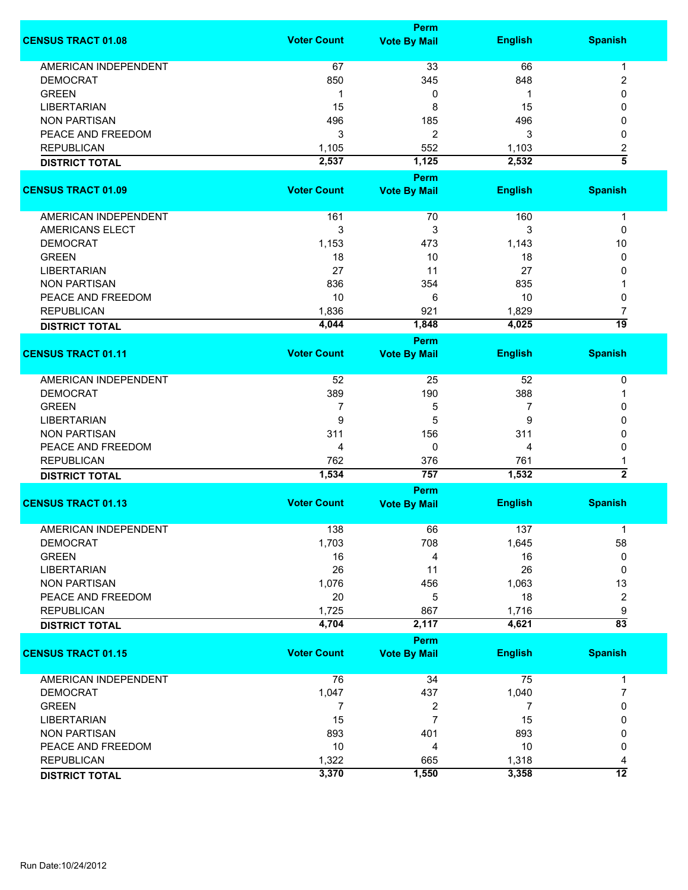|                             |                    | Perm                        |                |                      |
|-----------------------------|--------------------|-----------------------------|----------------|----------------------|
| <b>CENSUS TRACT 01.08</b>   | <b>Voter Count</b> | <b>Vote By Mail</b>         | <b>English</b> | <b>Spanish</b>       |
| <b>AMERICAN INDEPENDENT</b> | 67                 | 33                          | 66             | -1                   |
| <b>DEMOCRAT</b>             | 850                | 345                         | 848            | $\overline{2}$       |
| <b>GREEN</b>                | 1                  | 0                           |                | 0                    |
| <b>LIBERTARIAN</b>          | 15                 | 8                           | 15             | 0                    |
| <b>NON PARTISAN</b>         |                    |                             |                | 0                    |
|                             | 496                | 185                         | 496            |                      |
| PEACE AND FREEDOM           | 3                  | $\overline{c}$              | 3              | $\mathbf{0}$         |
| <b>REPUBLICAN</b>           | 1,105              | 552                         | 1,103          | 2                    |
| <b>DISTRICT TOTAL</b>       | 2,537              | 1,125                       | 2,532          | $\overline{\bf 5}$   |
| <b>CENSUS TRACT 01.09</b>   | <b>Voter Count</b> | Perm<br><b>Vote By Mail</b> | <b>English</b> | <b>Spanish</b>       |
|                             |                    |                             |                |                      |
| AMERICAN INDEPENDENT        | 161                | 70                          | 160            | $\mathbf 1$          |
| <b>AMERICANS ELECT</b>      | 3                  | 3                           | 3              | 0                    |
| <b>DEMOCRAT</b>             | 1,153              | 473                         | 1,143          | 10                   |
| <b>GREEN</b>                | 18                 | 10                          | 18             | 0                    |
| <b>LIBERTARIAN</b>          | 27                 | 11                          | 27             | 0                    |
| <b>NON PARTISAN</b>         | 836                | 354                         | 835            |                      |
| PEACE AND FREEDOM           | 10                 | 6                           | 10             | 0                    |
| <b>REPUBLICAN</b>           | 1,836              | 921                         | 1,829          | 7                    |
| <b>DISTRICT TOTAL</b>       | 4,044              | 1,848                       | 4,025          | 19                   |
|                             |                    | Perm                        |                |                      |
| <b>CENSUS TRACT 01.11</b>   | <b>Voter Count</b> | <b>Vote By Mail</b>         | <b>English</b> | <b>Spanish</b>       |
| AMERICAN INDEPENDENT        | 52                 | 25                          | 52             | 0                    |
| <b>DEMOCRAT</b>             | 389                | 190                         | 388            |                      |
|                             |                    |                             |                |                      |
| <b>GREEN</b>                | 7                  | 5                           | 7              | 0                    |
| <b>LIBERTARIAN</b>          | 9                  | 5                           | 9              | 0                    |
| <b>NON PARTISAN</b>         | 311                | 156                         | 311            | 0                    |
| PEACE AND FREEDOM           | 4                  | 0                           | 4              | 0                    |
| <b>REPUBLICAN</b>           | 762                | 376                         | 761            |                      |
| <b>DISTRICT TOTAL</b>       | 1,534              | 757                         | 1,532          | $\overline{2}$       |
| <b>CENSUS TRACT 01.13</b>   | <b>Voter Count</b> | Perm<br><b>Vote By Mail</b> | <b>English</b> | <b>Spanish</b>       |
|                             |                    |                             |                |                      |
| <b>AMERICAN INDEPENDENT</b> | 138                | 66                          | 137            | 1                    |
| <b>DEMOCRAT</b>             | 1,703              | 708                         | 1,645          | 58                   |
| <b>GREEN</b>                | 16                 | 4                           | 16             | 0                    |
| <b>LIBERTARIAN</b>          | 26                 | 11                          | 26             | 0                    |
| <b>NON PARTISAN</b>         | 1,076              | 456                         | 1,063          | 13                   |
| PEACE AND FREEDOM           | 20                 | 5                           | 18             | $\overline{2}$       |
| <b>REPUBLICAN</b>           | 1,725              | 867                         | 1,716          | 9                    |
| <b>DISTRICT TOTAL</b>       | 4,704              | 2,117                       | 4,621          | $\overline{83}$      |
|                             |                    | Perm                        |                |                      |
| <b>CENSUS TRACT 01.15</b>   | <b>Voter Count</b> | <b>Vote By Mail</b>         | <b>English</b> | <b>Spanish</b>       |
| <b>AMERICAN INDEPENDENT</b> | 76                 | 34                          | 75             | $\mathbf{1}$         |
| <b>DEMOCRAT</b>             | 1,047              | 437                         | 1,040          | 7                    |
| <b>GREEN</b>                | 7                  | 2                           | $\overline{7}$ | 0                    |
| <b>LIBERTARIAN</b>          | 15                 | $\overline{7}$              | 15             | 0                    |
| <b>NON PARTISAN</b>         | 893                | 401                         | 893            | 0                    |
| PEACE AND FREEDOM           | 10                 | 4                           | 10             | 0                    |
| <b>REPUBLICAN</b>           | 1,322              |                             | 1,318          |                      |
|                             |                    | 665                         |                | 4<br>$\overline{12}$ |
| <b>DISTRICT TOTAL</b>       | 3,370              | 1,550                       | 3,358          |                      |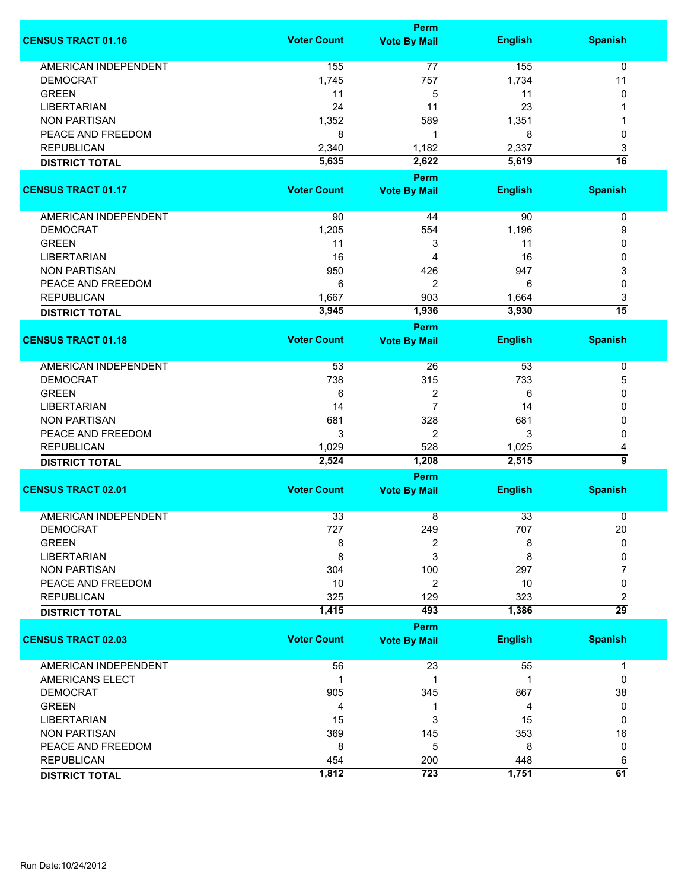|                             |                    | Perm                |                |                 |
|-----------------------------|--------------------|---------------------|----------------|-----------------|
| <b>CENSUS TRACT 01.16</b>   | <b>Voter Count</b> | <b>Vote By Mail</b> | <b>English</b> | <b>Spanish</b>  |
| <b>AMERICAN INDEPENDENT</b> | 155                | 77                  | 155            | $\mathbf 0$     |
| <b>DEMOCRAT</b>             | 1,745              | 757                 | 1,734          | 11              |
| <b>GREEN</b>                |                    |                     |                |                 |
|                             | 11                 | 5                   | 11             | 0               |
| <b>LIBERTARIAN</b>          | 24                 | 11                  | 23             |                 |
| <b>NON PARTISAN</b>         | 1,352              | 589                 | 1,351          |                 |
| PEACE AND FREEDOM           | 8                  | 1                   | 8              | 0               |
| <b>REPUBLICAN</b>           | 2,340              | 1,182               | 2,337          | 3               |
| <b>DISTRICT TOTAL</b>       | 5,635              | 2,622               | 5,619          | $\overline{16}$ |
|                             |                    | Perm                |                |                 |
| <b>CENSUS TRACT 01.17</b>   | <b>Voter Count</b> | <b>Vote By Mail</b> | <b>English</b> | <b>Spanish</b>  |
| AMERICAN INDEPENDENT        | 90                 | 44                  | 90             | 0               |
| <b>DEMOCRAT</b>             | 1,205              | 554                 | 1,196          | 9               |
| <b>GREEN</b>                | 11                 | 3                   | 11             | 0               |
|                             |                    |                     |                |                 |
| <b>LIBERTARIAN</b>          | 16                 | 4                   | 16             | 0               |
| <b>NON PARTISAN</b>         | 950                | 426                 | 947            | 3               |
| PEACE AND FREEDOM           | 6                  | $\overline{c}$      | 6              | 0               |
| <b>REPUBLICAN</b>           | 1,667              | 903                 | 1,664          | 3               |
| <b>DISTRICT TOTAL</b>       | 3,945              | 1,936               | 3,930          | $\overline{15}$ |
|                             |                    | <b>Perm</b>         |                |                 |
| <b>CENSUS TRACT 01.18</b>   | <b>Voter Count</b> | <b>Vote By Mail</b> | <b>English</b> | <b>Spanish</b>  |
| <b>AMERICAN INDEPENDENT</b> | 53                 | 26                  | 53             | $\pmb{0}$       |
| <b>DEMOCRAT</b>             | 738                | 315                 | 733            | 5               |
| <b>GREEN</b>                | 6                  | 2                   | 6              | 0               |
| <b>LIBERTARIAN</b>          | 14                 | $\overline{7}$      | 14             | 0               |
| <b>NON PARTISAN</b>         | 681                | 328                 | 681            | 0               |
| PEACE AND FREEDOM           | 3                  | 2                   | 3              | 0               |
| <b>REPUBLICAN</b>           | 1,029              | 528                 | 1,025          | 4               |
|                             | 2,524              | 1,208               | 2,515          | 5               |
| <b>DISTRICT TOTAL</b>       |                    |                     |                |                 |
| <b>CENSUS TRACT 02.01</b>   | <b>Voter Count</b> | <b>Perm</b>         | <b>English</b> | <b>Spanish</b>  |
|                             |                    | <b>Vote By Mail</b> |                |                 |
| <b>AMERICAN INDEPENDENT</b> | 33                 | 8                   | 33             | 0               |
| DEMOCRAT                    | 727                | 249                 | 707            | 20              |
| <b>GREEN</b>                | 8                  | 2                   | 8              | 0               |
| <b>LIBERTARIAN</b>          | 8                  | 3                   | 8              | 0               |
| <b>NON PARTISAN</b>         | 304                | 100                 | 297            | 7               |
| PEACE AND FREEDOM           | 10                 | $\overline{2}$      | 10             | 0               |
| <b>REPUBLICAN</b>           | 325                | 129                 | 323            | 2               |
| <b>DISTRICT TOTAL</b>       | 1,415              | 493                 | 1,386          | $\overline{29}$ |
|                             |                    | <b>Perm</b>         |                |                 |
| <b>CENSUS TRACT 02.03</b>   | <b>Voter Count</b> | <b>Vote By Mail</b> | <b>English</b> | <b>Spanish</b>  |
|                             |                    |                     |                |                 |
| <b>AMERICAN INDEPENDENT</b> | 56                 | 23                  | 55             | 1               |
| AMERICANS ELECT             | 1                  | 1                   | 1              | 0               |
| <b>DEMOCRAT</b>             | 905                | 345                 | 867            | 38              |
| <b>GREEN</b>                | 4                  | 1                   | 4              | 0               |
| <b>LIBERTARIAN</b>          | 15                 | 3                   | 15             | 0               |
| <b>NON PARTISAN</b>         | 369                | 145                 | 353            | 16              |
| PEACE AND FREEDOM           | 8                  | 5                   | 8              | 0               |
| <b>REPUBLICAN</b>           | 454                | 200                 | 448            | 6               |
| <b>DISTRICT TOTAL</b>       | 1,812              | 723                 | 1,751          | 61              |
|                             |                    |                     |                |                 |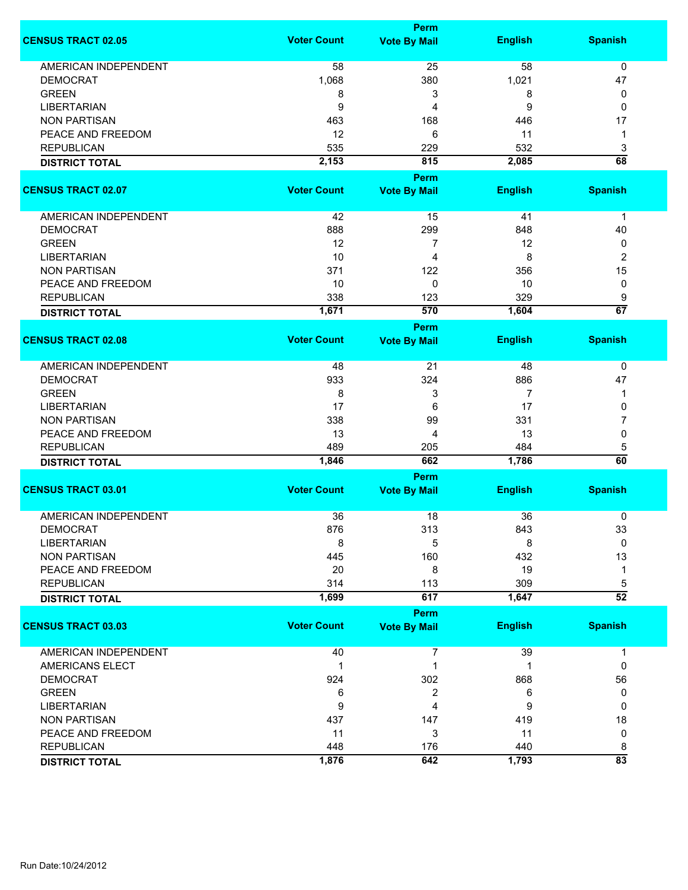|                             |                    | <b>Perm</b>         |                |                      |
|-----------------------------|--------------------|---------------------|----------------|----------------------|
| <b>CENSUS TRACT 02.05</b>   | <b>Voter Count</b> | <b>Vote By Mail</b> | <b>English</b> | <b>Spanish</b>       |
| <b>AMERICAN INDEPENDENT</b> | 58                 | 25                  | 58             | 0                    |
| <b>DEMOCRAT</b>             | 1,068              | 380                 | 1,021          | 47                   |
| <b>GREEN</b>                | 8                  | 3                   | 8              | 0                    |
| <b>LIBERTARIAN</b>          | 9                  | 4                   | 9              | 0                    |
| <b>NON PARTISAN</b>         | 463                | 168                 | 446            | 17                   |
|                             |                    | 6                   |                |                      |
| PEACE AND FREEDOM           | 12                 |                     | 11             | 1                    |
| <b>REPUBLICAN</b>           | 535                | 229                 | 532            | 3                    |
| <b>DISTRICT TOTAL</b>       | 2,153              | 815                 | 2,085          | $\overline{68}$      |
|                             |                    | Perm                |                |                      |
| <b>CENSUS TRACT 02.07</b>   | <b>Voter Count</b> | <b>Vote By Mail</b> | <b>English</b> | <b>Spanish</b>       |
| AMERICAN INDEPENDENT        | 42                 | 15                  | 41             | 1                    |
| <b>DEMOCRAT</b>             | 888                | 299                 | 848            | 40                   |
| <b>GREEN</b>                | 12                 | 7                   | 12             | 0                    |
| <b>LIBERTARIAN</b>          | 10                 | 4                   | 8              | 2                    |
| <b>NON PARTISAN</b>         | 371                | 122                 | 356            | 15                   |
| PEACE AND FREEDOM           | 10                 | $\mathbf 0$         | 10             | 0                    |
|                             |                    |                     |                |                      |
| <b>REPUBLICAN</b>           | 338                | 123                 | 329            | 9<br>$\overline{67}$ |
| <b>DISTRICT TOTAL</b>       | 1,671              | 570                 | 1,604          |                      |
|                             |                    | Perm                |                |                      |
| <b>CENSUS TRACT 02.08</b>   | <b>Voter Count</b> | <b>Vote By Mail</b> | <b>English</b> | <b>Spanish</b>       |
| <b>AMERICAN INDEPENDENT</b> | 48                 | 21                  | 48             | 0                    |
| <b>DEMOCRAT</b>             | 933                | 324                 | 886            | 47                   |
| <b>GREEN</b>                | 8                  | 3                   | 7              | 1                    |
| <b>LIBERTARIAN</b>          | 17                 | 6                   | 17             | 0                    |
| <b>NON PARTISAN</b>         | 338                | 99                  | 331            | 7                    |
| PEACE AND FREEDOM           | 13                 | 4                   | 13             | 0                    |
|                             |                    |                     |                |                      |
| <b>REPUBLICAN</b>           | 489                | 205<br>662          | 484<br>1,786   | 5<br>60              |
| <b>DISTRICT TOTAL</b>       | 1,846              |                     |                |                      |
|                             |                    | <b>Perm</b>         |                |                      |
| <b>CENSUS TRACT 03.01</b>   | <b>Voter Count</b> | <b>Vote By Mail</b> | <b>English</b> | <b>Spanish</b>       |
| <b>AMERICAN INDEPENDENT</b> | 36                 | 18                  | 36             | 0                    |
| <b>DEMOCRAT</b>             | 876                | 313                 | 843            | 33                   |
| <b>LIBERTARIAN</b>          | 8                  | 5                   | 8              | 0                    |
| <b>NON PARTISAN</b>         | 445                | 160                 | 432            | 13                   |
| PEACE AND FREEDOM           | 20                 | 8                   | 19             | 1                    |
| <b>REPUBLICAN</b>           | 314                | 113                 | 309            | 5                    |
| <b>DISTRICT TOTAL</b>       | 1,699              | 617                 | 1,647          | $\overline{52}$      |
|                             |                    | <b>Perm</b>         |                |                      |
| <b>CENSUS TRACT 03.03</b>   | <b>Voter Count</b> | <b>Vote By Mail</b> | <b>English</b> | <b>Spanish</b>       |
| <b>AMERICAN INDEPENDENT</b> | 40                 | 7                   | 39             | 1                    |
| AMERICANS ELECT             | $\mathbf{1}$       | 1                   | 1              | 0                    |
| <b>DEMOCRAT</b>             |                    |                     |                |                      |
|                             | 924                | 302                 | 868            | 56                   |
| <b>GREEN</b>                | 6                  | 2                   | 6              | 0                    |
| <b>LIBERTARIAN</b>          | 9                  | 4                   | 9              | 0                    |
| <b>NON PARTISAN</b>         | 437                | 147                 | 419            | 18                   |
| PEACE AND FREEDOM           | 11                 | 3                   | 11             | 0                    |
| <b>REPUBLICAN</b>           | 448                | 176                 | 440            | 8                    |
| <b>DISTRICT TOTAL</b>       | 1,876              | 642                 | 1,793          | $\overline{83}$      |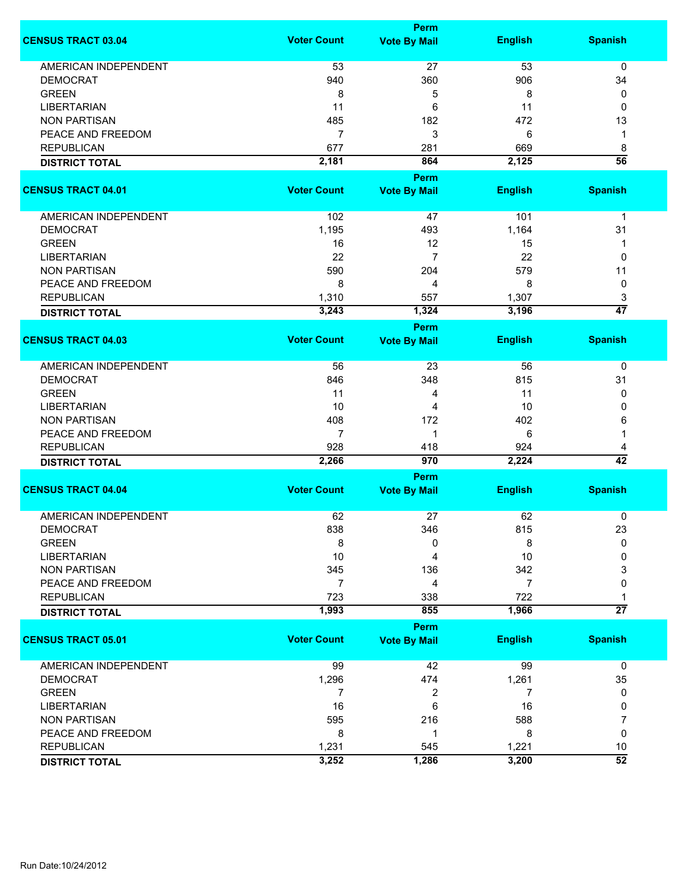|                             |                    | <b>Perm</b>                        |                |                      |
|-----------------------------|--------------------|------------------------------------|----------------|----------------------|
| <b>CENSUS TRACT 03.04</b>   | <b>Voter Count</b> | <b>Vote By Mail</b>                | <b>English</b> | <b>Spanish</b>       |
| <b>AMERICAN INDEPENDENT</b> | 53                 | 27                                 | 53             | 0                    |
| <b>DEMOCRAT</b>             | 940                | 360                                | 906            | 34                   |
| <b>GREEN</b>                | 8                  | 5                                  | 8              | 0                    |
| <b>LIBERTARIAN</b>          | 11                 | 6                                  | 11             | 0                    |
| <b>NON PARTISAN</b>         | 485                | 182                                | 472            | 13                   |
| PEACE AND FREEDOM           | $\overline{7}$     | 3                                  | 6              | 1                    |
| <b>REPUBLICAN</b>           | 677                | 281                                | 669            |                      |
|                             | 2,181              | 864                                | 2,125          | 8<br>$\overline{56}$ |
| <b>DISTRICT TOTAL</b>       |                    |                                    |                |                      |
|                             |                    | <b>Perm</b>                        |                |                      |
| <b>CENSUS TRACT 04.01</b>   | <b>Voter Count</b> | <b>Vote By Mail</b>                | <b>English</b> | <b>Spanish</b>       |
| <b>AMERICAN INDEPENDENT</b> | 102                | 47                                 | 101            | $\mathbf 1$          |
| <b>DEMOCRAT</b>             | 1,195              | 493                                | 1,164          | 31                   |
| <b>GREEN</b>                | 16                 | 12                                 | 15             | 1                    |
| <b>LIBERTARIAN</b>          | 22                 | $\overline{7}$                     | 22             | 0                    |
| <b>NON PARTISAN</b>         | 590                | 204                                | 579            | 11                   |
| PEACE AND FREEDOM           | 8                  | 4                                  | 8              | 0                    |
| <b>REPUBLICAN</b>           | 1,310              | 557                                | 1,307          | 3                    |
| <b>DISTRICT TOTAL</b>       | 3,243              | 1,324                              | 3,196          | $\overline{47}$      |
|                             |                    | Perm                               |                |                      |
| <b>CENSUS TRACT 04.03</b>   | <b>Voter Count</b> | <b>Vote By Mail</b>                | <b>English</b> | <b>Spanish</b>       |
| <b>AMERICAN INDEPENDENT</b> | 56                 | 23                                 | 56             | 0                    |
| <b>DEMOCRAT</b>             | 846                | 348                                | 815            | 31                   |
| <b>GREEN</b>                | 11                 | 4                                  | 11             | 0                    |
| <b>LIBERTARIAN</b>          | 10                 | 4                                  | 10             | 0                    |
| <b>NON PARTISAN</b>         | 408                | 172                                | 402            | 6                    |
| PEACE AND FREEDOM           | 7                  | 1                                  | 6              | 1                    |
| <b>REPUBLICAN</b>           | 928                | 418                                | 924            | 4                    |
| <b>DISTRICT TOTAL</b>       | 2,266              | 970                                | 2,224          | $\overline{42}$      |
|                             |                    | <b>Perm</b>                        |                |                      |
| <b>CENSUS TRACT 04.04</b>   | <b>Voter Count</b> | <b>Vote By Mail</b>                | <b>English</b> | <b>Spanish</b>       |
| <b>AMERICAN INDEPENDENT</b> | 62                 | 27                                 | 62             | 0                    |
| <b>DEMOCRAT</b>             | 838                | 346                                | 815            | 23                   |
| <b>GREEN</b>                | 8                  | 0                                  | 8              | 0                    |
| <b>LIBERTARIAN</b>          | 10                 | 4                                  | 10             | 0                    |
| <b>NON PARTISAN</b>         | 345                | 136                                | 342            | 3                    |
| PEACE AND FREEDOM           | 7                  | 4                                  | 7              | 0                    |
| <b>REPUBLICAN</b>           | 723                | 338                                | 722            |                      |
|                             | 1,993              | 855                                | 1,966          | $\overline{27}$      |
| <b>DISTRICT TOTAL</b>       |                    |                                    |                |                      |
| <b>CENSUS TRACT 05.01</b>   | <b>Voter Count</b> | <b>Perm</b><br><b>Vote By Mail</b> | <b>English</b> | <b>Spanish</b>       |
| <b>AMERICAN INDEPENDENT</b> | 99                 | 42                                 | 99             | 0                    |
| <b>DEMOCRAT</b>             | 1,296              | 474                                | 1,261          | 35                   |
| <b>GREEN</b>                | 7                  | 2                                  | 7              | 0                    |
| <b>LIBERTARIAN</b>          | 16                 | 6                                  | 16             | 0                    |
| <b>NON PARTISAN</b>         | 595                | 216                                | 588            | 7                    |
| PEACE AND FREEDOM           | 8                  | $\mathbf 1$                        | 8              | 0                    |
| <b>REPUBLICAN</b>           | 1,231              | 545                                | 1,221          | 10                   |
| <b>DISTRICT TOTAL</b>       | 3,252              | 1,286                              | 3,200          | $\overline{52}$      |
|                             |                    |                                    |                |                      |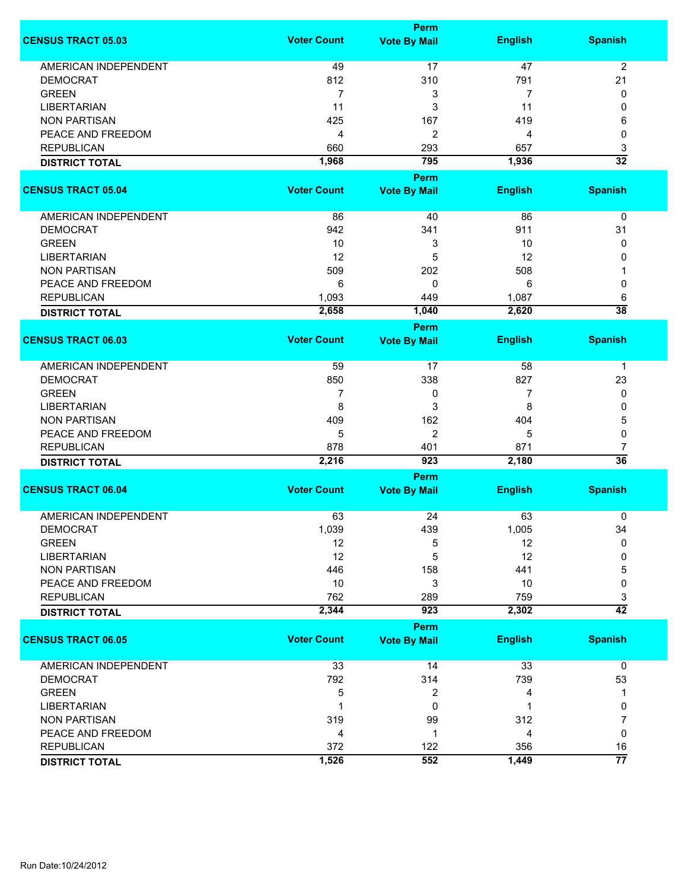|                             |                    | <b>Perm</b>                        |                |                      |
|-----------------------------|--------------------|------------------------------------|----------------|----------------------|
| <b>CENSUS TRACT 05.03</b>   | <b>Voter Count</b> | <b>Vote By Mail</b>                | <b>English</b> | <b>Spanish</b>       |
| <b>AMERICAN INDEPENDENT</b> | 49                 | 17                                 | 47             | $\overline{2}$       |
| <b>DEMOCRAT</b>             | 812                | 310                                | 791            | 21                   |
| <b>GREEN</b>                | $\overline{7}$     | 3                                  | 7              | 0                    |
| <b>LIBERTARIAN</b>          | 11                 | 3                                  | 11             | 0                    |
| <b>NON PARTISAN</b>         | 425                | 167                                | 419            | 6                    |
|                             |                    |                                    |                |                      |
| PEACE AND FREEDOM           | 4                  | 2                                  | 4              | 0                    |
| <b>REPUBLICAN</b>           | 660                | 293                                | 657            | 3                    |
| <b>DISTRICT TOTAL</b>       | 1,968              | 795                                | 1,936          | $\overline{32}$      |
|                             |                    | <b>Perm</b>                        |                |                      |
| <b>CENSUS TRACT 05.04</b>   | <b>Voter Count</b> | <b>Vote By Mail</b>                | <b>English</b> | <b>Spanish</b>       |
| AMERICAN INDEPENDENT        | 86                 | 40                                 | 86             | 0                    |
| <b>DEMOCRAT</b>             | 942                | 341                                | 911            | 31                   |
| <b>GREEN</b>                | 10                 | 3                                  | 10             | 0                    |
| <b>LIBERTARIAN</b>          | 12                 | 5                                  | 12             | 0                    |
| <b>NON PARTISAN</b>         | 509                | 202                                | 508            | 1                    |
| PEACE AND FREEDOM           | 6                  | 0                                  | 6              | 0                    |
| <b>REPUBLICAN</b>           |                    |                                    | 1,087          |                      |
|                             | 1,093              | 449                                |                | 6<br>$\overline{38}$ |
| <b>DISTRICT TOTAL</b>       | 2,658              | 1,040                              | 2,620          |                      |
| <b>CENSUS TRACT 06.03</b>   | <b>Voter Count</b> | <b>Perm</b><br><b>Vote By Mail</b> | <b>English</b> | <b>Spanish</b>       |
|                             |                    |                                    |                |                      |
| <b>AMERICAN INDEPENDENT</b> | 59                 | 17                                 | 58             | $\mathbf 1$          |
| <b>DEMOCRAT</b>             | 850                | 338                                | 827            | 23                   |
| <b>GREEN</b>                | 7                  | 0                                  | 7              | 0                    |
| <b>LIBERTARIAN</b>          | 8                  | 3                                  | 8              | 0                    |
| <b>NON PARTISAN</b>         | 409                | 162                                | 404            | 5                    |
| PEACE AND FREEDOM           | 5                  | $\overline{2}$                     | 5              | 0                    |
| <b>REPUBLICAN</b>           |                    |                                    | 871            |                      |
|                             | 878<br>2,216       | 401<br>923                         | 2,180          | 7<br>$\overline{36}$ |
| <b>DISTRICT TOTAL</b>       |                    | <b>Perm</b>                        |                |                      |
| <b>CENSUS TRACT 06.04</b>   | <b>Voter Count</b> | <b>Vote By Mail</b>                | <b>English</b> | <b>Spanish</b>       |
|                             |                    |                                    |                |                      |
| <b>AMERICAN INDEPENDENT</b> | 63                 | 24                                 | 63             | 0                    |
| <b>DEMOCRAT</b>             | 1,039              | 439                                | 1,005          | 34                   |
| <b>GREEN</b>                | 12                 | 5                                  | 12             | $\Omega$             |
| <b>LIBERTARIAN</b>          | 12                 | 5                                  | 12             | 0                    |
| <b>NON PARTISAN</b>         | 446                | 158                                | 441            | 5                    |
| PEACE AND FREEDOM           | 10                 | 3                                  | 10             | 0                    |
| <b>REPUBLICAN</b>           | 762                | 289                                | 759            | 3                    |
| <b>DISTRICT TOTAL</b>       | 2,344              | 923                                | 2,302          | $\overline{42}$      |
|                             |                    | <b>Perm</b>                        |                |                      |
| <b>CENSUS TRACT 06.05</b>   | <b>Voter Count</b> | <b>Vote By Mail</b>                | <b>English</b> | <b>Spanish</b>       |
| <b>AMERICAN INDEPENDENT</b> | 33                 | 14                                 | 33             | $\mathbf 0$          |
| <b>DEMOCRAT</b>             | 792                | 314                                | 739            | 53                   |
| <b>GREEN</b>                | 5                  | 2                                  | 4              | 1                    |
| <b>LIBERTARIAN</b>          |                    | 0                                  | 1              | 0                    |
| <b>NON PARTISAN</b>         | 319                | 99                                 | 312            | 7                    |
| PEACE AND FREEDOM           | 4                  | 1                                  | 4              | 0                    |
| <b>REPUBLICAN</b>           | 372                | 122                                | 356            | 16                   |
|                             | 1,526              | 552                                | 1,449          | $\overline{77}$      |
| <b>DISTRICT TOTAL</b>       |                    |                                    |                |                      |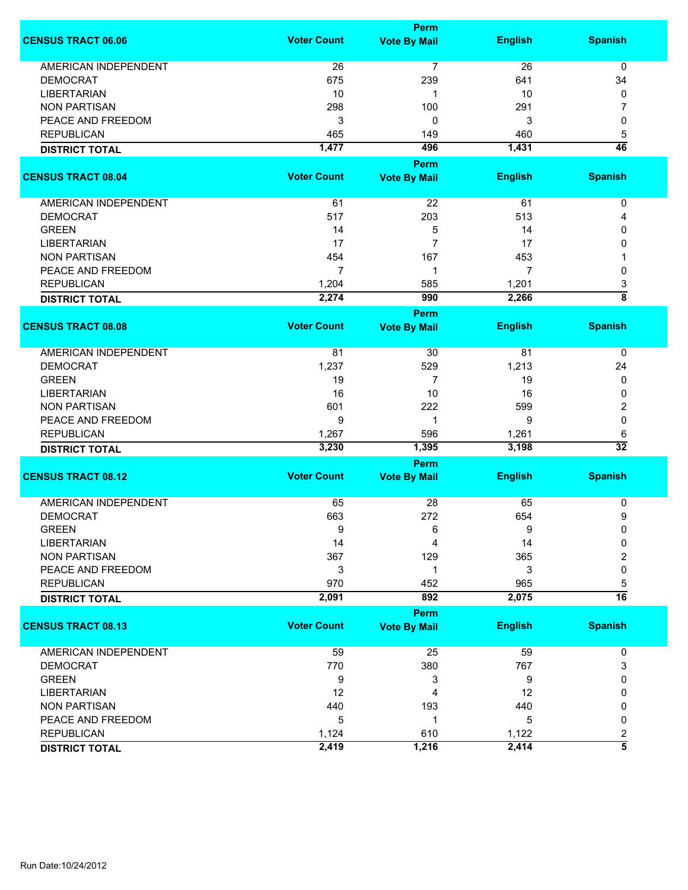|                             |                    | Perm                |                |                         |
|-----------------------------|--------------------|---------------------|----------------|-------------------------|
| <b>CENSUS TRACT 06.06</b>   | <b>Voter Count</b> | <b>Vote By Mail</b> | <b>English</b> | <b>Spanish</b>          |
| <b>AMERICAN INDEPENDENT</b> | 26                 | $\overline{7}$      | 26             | $\mathbf 0$             |
| <b>DEMOCRAT</b>             | 675                | 239                 | 641            | 34                      |
| <b>LIBERTARIAN</b>          | 10                 | 1                   | 10             | 0                       |
| <b>NON PARTISAN</b>         | 298                | 100                 | 291            | 7                       |
|                             |                    |                     |                |                         |
| PEACE AND FREEDOM           | 3                  | 0                   | 3              | 0                       |
| <b>REPUBLICAN</b>           | 465                | 149                 | 460            | 5<br>$\overline{46}$    |
| <b>DISTRICT TOTAL</b>       | 1,477              | 496                 | 1,431          |                         |
|                             |                    | <b>Perm</b>         |                |                         |
| <b>CENSUS TRACT 08.04</b>   | <b>Voter Count</b> | <b>Vote By Mail</b> | <b>English</b> | <b>Spanish</b>          |
|                             |                    |                     |                |                         |
| AMERICAN INDEPENDENT        | 61                 | 22                  | 61             | 0                       |
| <b>DEMOCRAT</b>             | 517                | 203                 | 513            | 4                       |
| <b>GREEN</b>                | 14                 | 5                   | 14             | 0                       |
| <b>LIBERTARIAN</b>          | 17                 | 7                   | 17             | 0                       |
| <b>NON PARTISAN</b>         | 454                | 167                 | 453            |                         |
| PEACE AND FREEDOM           | 7                  | 1                   | 7              | 0                       |
| <b>REPUBLICAN</b>           | 1,204              | 585                 | 1,201          | 3                       |
| <b>DISTRICT TOTAL</b>       | 2,274              | 990                 | 2,266          | $\overline{\mathbf{8}}$ |
|                             |                    | <b>Perm</b>         |                |                         |
| <b>CENSUS TRACT 08.08</b>   | <b>Voter Count</b> | <b>Vote By Mail</b> | <b>English</b> | <b>Spanish</b>          |
| <b>AMERICAN INDEPENDENT</b> | 81                 | 30                  | 81             | 0                       |
| <b>DEMOCRAT</b>             | 1,237              | 529                 | 1,213          | 24                      |
| <b>GREEN</b>                | 19                 | 7                   | 19             | 0                       |
| <b>LIBERTARIAN</b>          | 16                 | 10                  | 16             | 0                       |
| <b>NON PARTISAN</b>         | 601                | 222                 | 599            | 2                       |
| PEACE AND FREEDOM           | 9                  | 1                   | 9              | 0                       |
| <b>REPUBLICAN</b>           | 1,267              | 596                 | 1,261          | 6                       |
|                             | 3,230              | 1,395               | 3,198          | $\overline{32}$         |
| <b>DISTRICT TOTAL</b>       |                    |                     |                |                         |
| <b>CENSUS TRACT 08.12</b>   | <b>Voter Count</b> | Perm                |                |                         |
|                             |                    | <b>Vote By Mail</b> | <b>English</b> | <b>Spanish</b>          |
| <b>AMERICAN INDEPENDENT</b> | 65                 | 28                  | 65             | 0                       |
| <b>DEMOCRAT</b>             | 663                | 272                 | 654            | 9                       |
| <b>GREEN</b>                | 9                  | 6                   | 9              | 0                       |
| <b>LIBERTARIAN</b>          | 14                 | 4                   | 14             | 0                       |
| <b>NON PARTISAN</b>         | 367                | 129                 | 365            | 2                       |
| PEACE AND FREEDOM           | 3                  | 1                   | 3              | 0                       |
| <b>REPUBLICAN</b>           | 970                | 452                 | 965            | 5                       |
| <b>DISTRICT TOTAL</b>       | 2,091              | 892                 | 2,075          | $\overline{16}$         |
|                             |                    | Perm                |                |                         |
| <b>CENSUS TRACT 08.13</b>   | <b>Voter Count</b> | <b>Vote By Mail</b> | <b>English</b> | <b>Spanish</b>          |
|                             |                    |                     |                |                         |
| AMERICAN INDEPENDENT        | 59                 | 25                  | 59             | 0                       |
| <b>DEMOCRAT</b>             | 770                | 380                 | 767            | 3                       |
| <b>GREEN</b>                | 9                  | 3                   | 9              | 0                       |
| <b>LIBERTARIAN</b>          | 12                 | 4                   | 12             | 0                       |
| <b>NON PARTISAN</b>         | 440                | 193                 | 440            | 0                       |
| PEACE AND FREEDOM           | 5                  | $\mathbf 1$         | 5              | 0                       |
| <b>REPUBLICAN</b>           | 1,124              | 610                 | 1,122          | $\overline{\mathbf{c}}$ |
| <b>DISTRICT TOTAL</b>       | 2,419              | 1,216               | 2,414          | $\overline{\bf{5}}$     |
|                             |                    |                     |                |                         |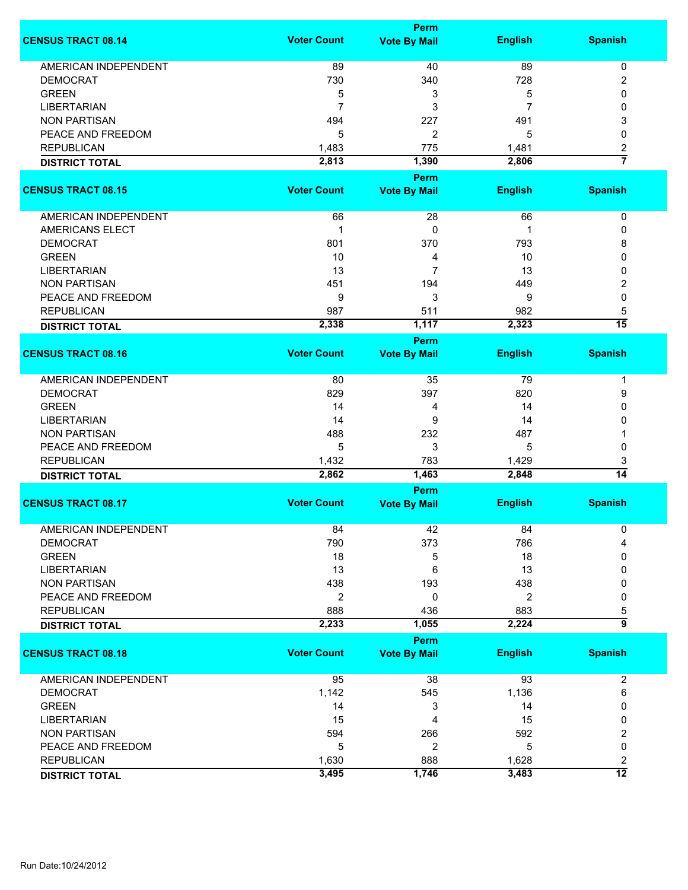|                             |                    | Perm                |                |                      |
|-----------------------------|--------------------|---------------------|----------------|----------------------|
| <b>CENSUS TRACT 08.14</b>   | <b>Voter Count</b> | <b>Vote By Mail</b> | <b>English</b> | <b>Spanish</b>       |
| <b>AMERICAN INDEPENDENT</b> | 89                 | 40                  | 89             | 0                    |
| <b>DEMOCRAT</b>             | 730                | 340                 | 728            | 2                    |
| <b>GREEN</b>                | 5                  | 3                   | 5              | $\mathbf{0}$         |
| <b>LIBERTARIAN</b>          | 7                  | 3                   | 7              | 0                    |
| <b>NON PARTISAN</b>         | 494                | 227                 | 491            | 3                    |
| PEACE AND FREEDOM           | 5                  | 2                   | 5              | 0                    |
| <b>REPUBLICAN</b>           |                    |                     |                |                      |
|                             | 1,483              | 775                 | 1,481          | 2<br>$\overline{7}$  |
| <b>DISTRICT TOTAL</b>       | 2,813              | 1,390<br>Perm       | 2,806          |                      |
| <b>CENSUS TRACT 08.15</b>   | <b>Voter Count</b> | <b>Vote By Mail</b> | <b>English</b> | <b>Spanish</b>       |
| AMERICAN INDEPENDENT        | 66                 | 28                  | 66             | 0                    |
| <b>AMERICANS ELECT</b>      | 1                  | 0                   | 1              | 0                    |
| <b>DEMOCRAT</b>             | 801                | 370                 | 793            | 8                    |
| <b>GREEN</b>                | 10                 | 4                   | 10             | 0                    |
| <b>LIBERTARIAN</b>          | 13                 | 7                   | 13             | 0                    |
| <b>NON PARTISAN</b>         | 451                | 194                 | 449            | 2                    |
|                             |                    |                     |                | 0                    |
| PEACE AND FREEDOM           | 9                  | 3                   | 9              |                      |
| <b>REPUBLICAN</b>           | 987                | 511                 | 982            | 5<br>$\overline{15}$ |
| <b>DISTRICT TOTAL</b>       | 2,338              | 1,117               | 2,323          |                      |
|                             |                    | Perm                |                |                      |
| <b>CENSUS TRACT 08.16</b>   | <b>Voter Count</b> | <b>Vote By Mail</b> | <b>English</b> | <b>Spanish</b>       |
| AMERICAN INDEPENDENT        | 80                 | 35                  | 79             | -1                   |
| <b>DEMOCRAT</b>             | 829                | 397                 | 820            | 9                    |
| <b>GREEN</b>                | 14                 | 4                   | 14             | $\mathbf{0}$         |
| <b>LIBERTARIAN</b>          | 14                 | 9                   | 14             | 0                    |
| <b>NON PARTISAN</b>         | 488                | 232                 | 487            |                      |
| PEACE AND FREEDOM           | 5                  | 3                   | 5              | 0                    |
| <b>REPUBLICAN</b>           | 1,432              | 783                 | 1,429          | 3                    |
| <b>DISTRICT TOTAL</b>       | 2,862              | 1,463               | 2,848          | $\overline{14}$      |
|                             |                    | Perm                |                |                      |
| <b>CENSUS TRACT 08.17</b>   | <b>Voter Count</b> | <b>Vote By Mail</b> | <b>English</b> | <b>Spanish</b>       |
| <b>AMERICAN INDEPENDENT</b> | 84                 | 42                  | 84             | 0                    |
| <b>DEMOCRAT</b>             | 790                | 373                 | 786            |                      |
| <b>GREEN</b>                | 18                 | 5                   | 18             | $\Omega$             |
| <b>LIBERTARIAN</b>          | 13                 | 6                   | 13             | 0                    |
| <b>NON PARTISAN</b>         | 438                | 193                 | 438            | 0                    |
| PEACE AND FREEDOM           | 2                  | 0                   | 2              | 0                    |
| <b>REPUBLICAN</b>           | 888                | 436                 | 883            | 5                    |
| <b>DISTRICT TOTAL</b>       | 2,233              | 1,055               | 2,224          | 5                    |
|                             |                    | Perm                |                |                      |
| <b>CENSUS TRACT 08.18</b>   | <b>Voter Count</b> | <b>Vote By Mail</b> | <b>English</b> | <b>Spanish</b>       |
| <b>AMERICAN INDEPENDENT</b> | 95                 | 38                  | 93             | $\overline{c}$       |
| <b>DEMOCRAT</b>             | 1,142              | 545                 | 1,136          | 6                    |
| <b>GREEN</b>                | 14                 | 3                   | 14             | 0                    |
| <b>LIBERTARIAN</b>          | 15                 | 4                   | 15             | 0                    |
| <b>NON PARTISAN</b>         | 594                | 266                 | 592            | 2                    |
| PEACE AND FREEDOM           | 5                  | 2                   | 5              | 0                    |
| <b>REPUBLICAN</b>           | 1,630              | 888                 | 1,628          | 2                    |
| <b>DISTRICT TOTAL</b>       | 3,495              | 1,746               | 3,483          | $\overline{12}$      |
|                             |                    |                     |                |                      |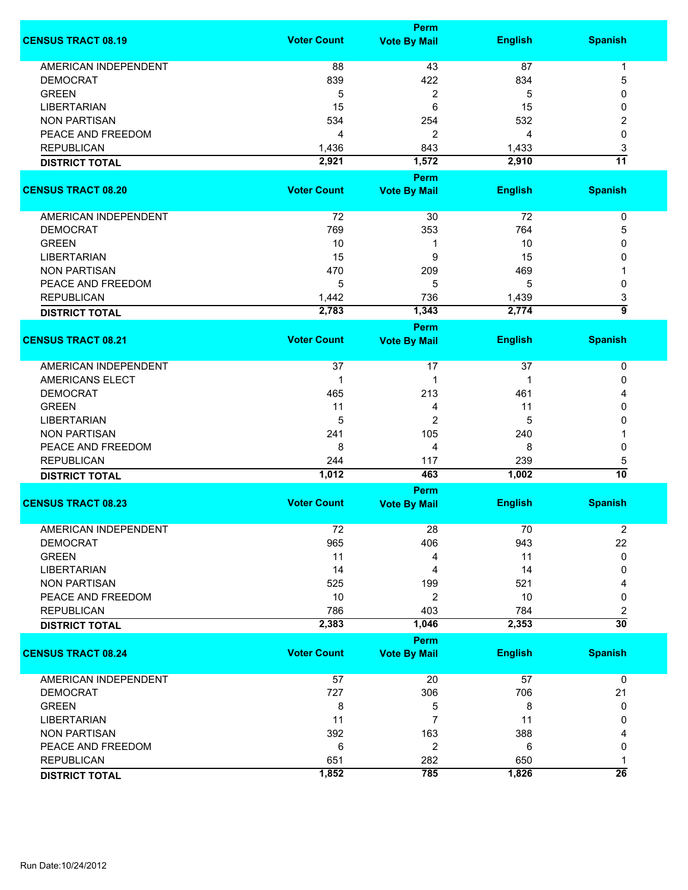|                             |                    | <b>Perm</b>         |                |                 |
|-----------------------------|--------------------|---------------------|----------------|-----------------|
| <b>CENSUS TRACT 08.19</b>   | <b>Voter Count</b> | <b>Vote By Mail</b> | <b>English</b> | <b>Spanish</b>  |
| <b>AMERICAN INDEPENDENT</b> | 88                 | 43                  | 87             | 1               |
| <b>DEMOCRAT</b>             | 839                | 422                 | 834            | 5               |
| <b>GREEN</b>                |                    |                     |                | 0               |
|                             | 5                  | $\overline{c}$      | 5              |                 |
| <b>LIBERTARIAN</b>          | 15                 | 6                   | 15             | 0               |
| <b>NON PARTISAN</b>         | 534                | 254                 | 532            | 2               |
| PEACE AND FREEDOM           | 4                  | $\overline{2}$      | 4              | 0               |
| <b>REPUBLICAN</b>           | 1,436              | 843                 | 1,433          | 3               |
| <b>DISTRICT TOTAL</b>       | 2,921              | 1,572               | 2,910          | $\overline{11}$ |
|                             |                    | <b>Perm</b>         |                |                 |
| <b>CENSUS TRACT 08.20</b>   | <b>Voter Count</b> | <b>Vote By Mail</b> | <b>English</b> | <b>Spanish</b>  |
| <b>AMERICAN INDEPENDENT</b> | 72                 | 30                  | 72             | 0               |
| <b>DEMOCRAT</b>             | 769                |                     | 764            |                 |
|                             |                    | 353                 |                | 5               |
| <b>GREEN</b>                | 10                 | 1                   | 10             | 0               |
| <b>LIBERTARIAN</b>          | 15                 | 9                   | 15             | 0               |
| <b>NON PARTISAN</b>         | 470                | 209                 | 469            |                 |
| PEACE AND FREEDOM           | 5                  | 5                   | 5              | 0               |
| <b>REPUBLICAN</b>           | 1,442              | 736                 | 1,439          | 3               |
| <b>DISTRICT TOTAL</b>       | 2,783              | 1,343               | 2,774          | 5               |
|                             |                    | <b>Perm</b>         |                |                 |
| <b>CENSUS TRACT 08.21</b>   | <b>Voter Count</b> | <b>Vote By Mail</b> | <b>English</b> | <b>Spanish</b>  |
| <b>AMERICAN INDEPENDENT</b> | 37                 | 17                  | 37             | 0               |
| <b>AMERICANS ELECT</b>      | 1                  | 1                   | 1              | 0               |
| <b>DEMOCRAT</b>             | 465                | 213                 | 461            |                 |
| <b>GREEN</b>                | 11                 | 4                   | 11             | 0               |
| <b>LIBERTARIAN</b>          | 5                  | $\overline{2}$      | 5              | 0               |
| <b>NON PARTISAN</b>         | 241                | 105                 | 240            |                 |
| PEACE AND FREEDOM           | 8                  | 4                   | 8              | 0               |
| <b>REPUBLICAN</b>           | 244                | 117                 | 239            | 5               |
|                             | 1,012              | 463                 | 1,002          | 10              |
| <b>DISTRICT TOTAL</b>       |                    | <b>Perm</b>         |                |                 |
| <b>CENSUS TRACT 08.23</b>   | <b>Voter Count</b> | <b>Vote By Mail</b> | <b>English</b> | <b>Spanish</b>  |
|                             |                    |                     |                |                 |
| <b>AMERICAN INDEPENDENT</b> | 72                 | 28                  | 70             | 2               |
| <b>DEMOCRAT</b>             | 965                | 406                 | 943            | 22              |
| <b>GREEN</b>                | 11                 | 4                   | 11             | 0               |
| <b>LIBERTARIAN</b>          | 14                 | 4                   | 14             | 0               |
| <b>NON PARTISAN</b>         | 525                | 199                 | 521            |                 |
| PEACE AND FREEDOM           | 10                 | $\overline{c}$      | 10             | 0               |
| <b>REPUBLICAN</b>           | 786                | 403                 | 784            | 2               |
| <b>DISTRICT TOTAL</b>       | 2,383              | 1,046               | 2,353          | $\overline{30}$ |
|                             |                    | <b>Perm</b>         |                |                 |
| <b>CENSUS TRACT 08.24</b>   | <b>Voter Count</b> | <b>Vote By Mail</b> | <b>English</b> | <b>Spanish</b>  |
| <b>AMERICAN INDEPENDENT</b> | 57                 | 20                  | 57             | 0               |
| <b>DEMOCRAT</b>             | 727                | 306                 | 706            | 21              |
| <b>GREEN</b>                | 8                  | 5                   | 8              | 0               |
| <b>LIBERTARIAN</b>          | 11                 | $\overline{7}$      | 11             | 0               |
| <b>NON PARTISAN</b>         | 392                | 163                 | 388            |                 |
| PEACE AND FREEDOM           | 6                  | $\overline{c}$      | 6              | 0               |
| <b>REPUBLICAN</b>           | 651                | 282                 | 650            |                 |
| <b>DISTRICT TOTAL</b>       | 1,852              | 785                 | 1,826          | $\overline{26}$ |
|                             |                    |                     |                |                 |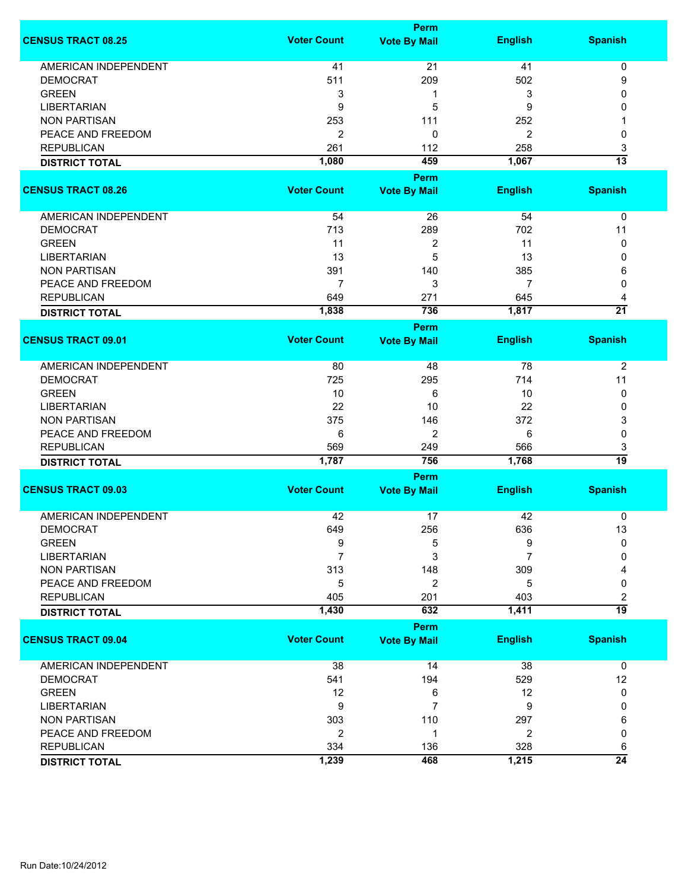|                             |                    | <b>Perm</b>         |                |                 |
|-----------------------------|--------------------|---------------------|----------------|-----------------|
| <b>CENSUS TRACT 08.25</b>   | <b>Voter Count</b> | <b>Vote By Mail</b> | <b>English</b> | <b>Spanish</b>  |
| <b>AMERICAN INDEPENDENT</b> | 41                 | 21                  | 41             | $\pmb{0}$       |
| <b>DEMOCRAT</b>             | 511                | 209                 | 502            | 9               |
| <b>GREEN</b>                | 3                  | 1                   | 3              | 0               |
| <b>LIBERTARIAN</b>          | 9                  | 5                   | 9              | 0               |
| <b>NON PARTISAN</b>         | 253                | 111                 | 252            | 1               |
| PEACE AND FREEDOM           |                    |                     |                |                 |
|                             | $\overline{c}$     | 0                   | 2              | 0               |
| <b>REPUBLICAN</b>           | 261                | 112                 | 258            | 3               |
| <b>DISTRICT TOTAL</b>       | 1,080              | 459                 | 1,067          | $\overline{13}$ |
|                             |                    | <b>Perm</b>         |                |                 |
| <b>CENSUS TRACT 08.26</b>   | <b>Voter Count</b> | <b>Vote By Mail</b> | <b>English</b> | <b>Spanish</b>  |
| AMERICAN INDEPENDENT        | 54                 | 26                  | 54             | 0               |
| <b>DEMOCRAT</b>             | 713                | 289                 | 702            | 11              |
| <b>GREEN</b>                | 11                 | $\boldsymbol{2}$    | 11             | 0               |
| <b>LIBERTARIAN</b>          | 13                 | 5                   | 13             | 0               |
| <b>NON PARTISAN</b>         | 391                | 140                 | 385            | 6               |
| PEACE AND FREEDOM           | $\overline{7}$     | 3                   | $\overline{7}$ | 0               |
| <b>REPUBLICAN</b>           | 649                | 271                 | 645            | 4               |
|                             | 1,838              | 736                 | 1,817          | $\overline{21}$ |
| <b>DISTRICT TOTAL</b>       |                    | Perm                |                |                 |
| <b>CENSUS TRACT 09.01</b>   | <b>Voter Count</b> | <b>Vote By Mail</b> | <b>English</b> | <b>Spanish</b>  |
| <b>AMERICAN INDEPENDENT</b> | 80                 | 48                  | 78             | $\overline{2}$  |
| <b>DEMOCRAT</b>             | 725                | 295                 | 714            | 11              |
| <b>GREEN</b>                | 10                 | 6                   | 10             | 0               |
| <b>LIBERTARIAN</b>          | 22                 | 10                  | 22             | 0               |
| <b>NON PARTISAN</b>         | 375                | 146                 | 372            | 3               |
| PEACE AND FREEDOM           | 6                  | $\overline{2}$      | 6              | 0               |
| <b>REPUBLICAN</b>           | 569                |                     | 566            |                 |
| <b>DISTRICT TOTAL</b>       | 1,787              | 249<br>756          | 1,768          | 3<br>19         |
|                             |                    | <b>Perm</b>         |                |                 |
| <b>CENSUS TRACT 09.03</b>   | <b>Voter Count</b> | <b>Vote By Mail</b> | <b>English</b> | <b>Spanish</b>  |
|                             |                    |                     |                |                 |
| <b>AMERICAN INDEPENDENT</b> | 42                 | 17                  | 42             | 0               |
| <b>DEMOCRAT</b>             | 649                | 256                 | 636            | 13              |
| <b>GREEN</b>                | 9                  | 5                   | 9              | 0               |
| <b>LIBERTARIAN</b>          | 7                  | 3                   | 7              | 0               |
| <b>NON PARTISAN</b>         | 313                | 148                 | 309            | Δ               |
| PEACE AND FREEDOM           | 5                  | 2                   | 5              | 0               |
| <b>REPUBLICAN</b>           | 405                | 201                 | 403            | 2               |
| <b>DISTRICT TOTAL</b>       | 1,430              | 632                 | 1,411          | 19              |
|                             |                    | <b>Perm</b>         |                |                 |
| <b>CENSUS TRACT 09.04</b>   | <b>Voter Count</b> | <b>Vote By Mail</b> | <b>English</b> | <b>Spanish</b>  |
| <b>AMERICAN INDEPENDENT</b> | 38                 | 14                  | 38             | 0               |
| <b>DEMOCRAT</b>             | 541                | 194                 | 529            | 12              |
| <b>GREEN</b>                | 12                 | 6                   | 12             | 0               |
| <b>LIBERTARIAN</b>          | 9                  | $\overline{7}$      | 9              | 0               |
| <b>NON PARTISAN</b>         | 303                | 110                 | 297            | 6               |
| PEACE AND FREEDOM           | $\overline{2}$     | 1                   | $\overline{2}$ | 0               |
| <b>REPUBLICAN</b>           | 334                | 136                 | 328            | 6               |
| <b>DISTRICT TOTAL</b>       | 1,239              | 468                 | 1,215          | $\overline{24}$ |
|                             |                    |                     |                |                 |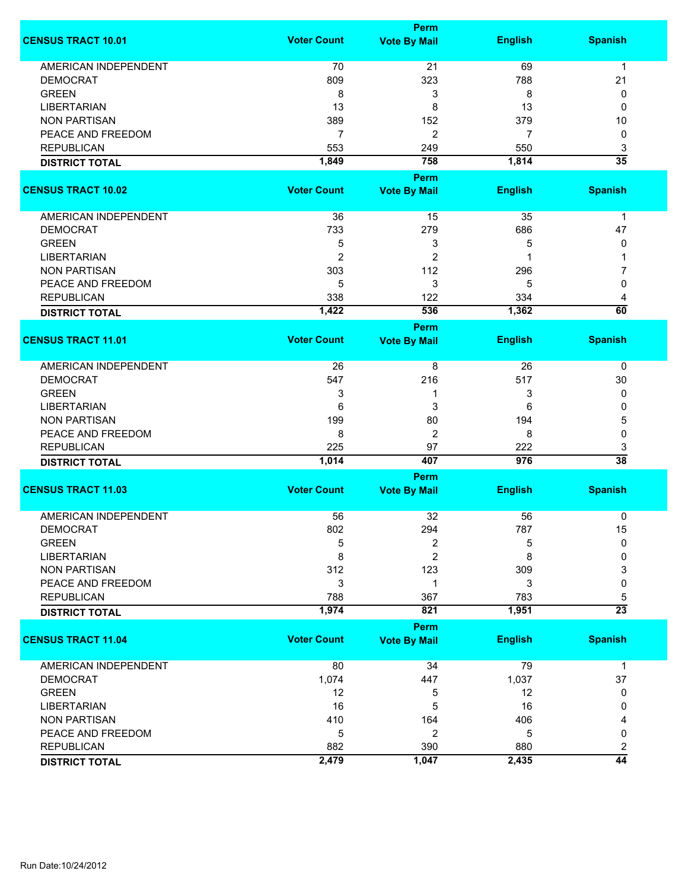|                             |                    | <b>Perm</b>                        |                |                         |
|-----------------------------|--------------------|------------------------------------|----------------|-------------------------|
| <b>CENSUS TRACT 10.01</b>   | <b>Voter Count</b> | <b>Vote By Mail</b>                | <b>English</b> | <b>Spanish</b>          |
| <b>AMERICAN INDEPENDENT</b> | 70                 | 21                                 | 69             | $\mathbf{1}$            |
| <b>DEMOCRAT</b>             | 809                | 323                                | 788            | 21                      |
| <b>GREEN</b>                | 8                  | 3                                  | 8              | 0                       |
| <b>LIBERTARIAN</b>          | 13                 | 8                                  | 13             | 0                       |
| <b>NON PARTISAN</b>         | 389                | 152                                | 379            | 10                      |
|                             |                    |                                    |                |                         |
| PEACE AND FREEDOM           | $\overline{7}$     | 2                                  | 7              | 0                       |
| <b>REPUBLICAN</b>           | 553                | 249                                | 550            | 3                       |
| <b>DISTRICT TOTAL</b>       | 1,849              | 758                                | 1,814          | $\overline{35}$         |
|                             |                    | <b>Perm</b>                        |                |                         |
| <b>CENSUS TRACT 10.02</b>   | <b>Voter Count</b> | <b>Vote By Mail</b>                | <b>English</b> | <b>Spanish</b>          |
| AMERICAN INDEPENDENT        | 36                 | 15                                 | 35             | $\mathbf 1$             |
| <b>DEMOCRAT</b>             | 733                | 279                                | 686            | 47                      |
| <b>GREEN</b>                | 5                  | 3                                  | 5              | 0                       |
| <b>LIBERTARIAN</b>          | $\overline{2}$     | 2                                  | 1              | 1                       |
| <b>NON PARTISAN</b>         | 303                | 112                                | 296            | 7                       |
| PEACE AND FREEDOM           | 5                  | 3                                  | 5              | 0                       |
| <b>REPUBLICAN</b>           | 338                | 122                                | 334            | 4                       |
|                             | 1,422              | 536                                | 1,362          | $\overline{60}$         |
| <b>DISTRICT TOTAL</b>       |                    |                                    |                |                         |
| <b>CENSUS TRACT 11.01</b>   | <b>Voter Count</b> | <b>Perm</b><br><b>Vote By Mail</b> | <b>English</b> | <b>Spanish</b>          |
| <b>AMERICAN INDEPENDENT</b> | 26                 | 8                                  | 26             | 0                       |
| <b>DEMOCRAT</b>             | 547                | 216                                | 517            | 30                      |
| <b>GREEN</b>                | 3                  | 1                                  | 3              | 0                       |
| <b>LIBERTARIAN</b>          | 6                  | 3                                  | 6              | 0                       |
| <b>NON PARTISAN</b>         | 199                | 80                                 | 194            | 5                       |
| PEACE AND FREEDOM           | 8                  | $\overline{c}$                     | 8              | 0                       |
| <b>REPUBLICAN</b>           | 225                | 97                                 | 222            |                         |
|                             | 1,014              | 407                                | 976            | 3<br>$\overline{38}$    |
| <b>DISTRICT TOTAL</b>       |                    |                                    |                |                         |
| <b>CENSUS TRACT 11.03</b>   | <b>Voter Count</b> | <b>Perm</b><br><b>Vote By Mail</b> | <b>English</b> | <b>Spanish</b>          |
|                             |                    |                                    |                |                         |
| <b>AMERICAN INDEPENDENT</b> | 56                 | 32                                 | 56             | 0                       |
| <b>DEMOCRAT</b>             | 802                | 294                                | 787            | 15                      |
| <b>GREEN</b>                | 5                  | 2                                  | 5              | 0                       |
| <b>LIBERTARIAN</b>          | 8                  | 2                                  | 8              | 0                       |
| <b>NON PARTISAN</b>         | 312                | 123                                | 309            | 3                       |
| PEACE AND FREEDOM           | 3                  | 1                                  | 3              | 0                       |
| <b>REPUBLICAN</b>           | 788                | 367                                | 783            | 5                       |
| <b>DISTRICT TOTAL</b>       | 1,974              | 821                                | 1,951          | $\overline{23}$         |
|                             |                    | <b>Perm</b>                        |                |                         |
| <b>CENSUS TRACT 11.04</b>   | <b>Voter Count</b> | <b>Vote By Mail</b>                | <b>English</b> | <b>Spanish</b>          |
| <b>AMERICAN INDEPENDENT</b> | 80                 | 34                                 | 79             | $\mathbf 1$             |
| <b>DEMOCRAT</b>             | 1,074              | 447                                | 1,037          | 37                      |
| <b>GREEN</b>                | 12                 | 5                                  | 12             | 0                       |
| <b>LIBERTARIAN</b>          | 16                 | 5                                  | 16             | 0                       |
| <b>NON PARTISAN</b>         | 410                | 164                                | 406            | 4                       |
| PEACE AND FREEDOM           | 5                  | 2                                  | 5              | 0                       |
| <b>REPUBLICAN</b>           | 882                | 390                                | 880            | $\overline{\mathbf{c}}$ |
| <b>DISTRICT TOTAL</b>       | 2,479              | 1,047                              | 2,435          | $\overline{44}$         |
|                             |                    |                                    |                |                         |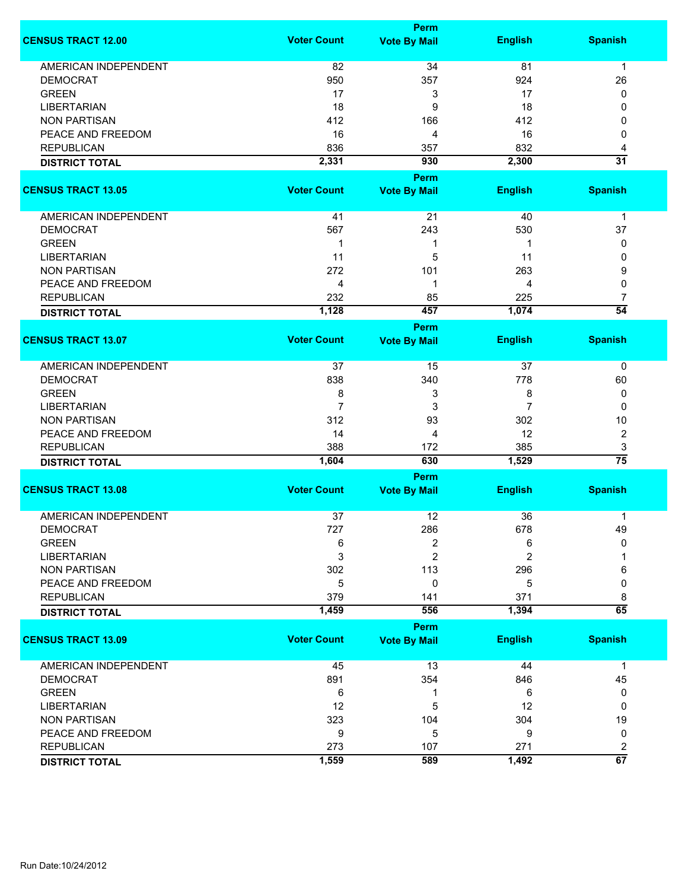|                             |                    | <b>Perm</b>         |                |                      |
|-----------------------------|--------------------|---------------------|----------------|----------------------|
| <b>CENSUS TRACT 12.00</b>   | <b>Voter Count</b> | <b>Vote By Mail</b> | <b>English</b> | <b>Spanish</b>       |
| <b>AMERICAN INDEPENDENT</b> | 82                 | 34                  | 81             | $\mathbf 1$          |
| <b>DEMOCRAT</b>             | 950                | 357                 | 924            | 26                   |
| <b>GREEN</b>                | 17                 | 3                   | 17             | 0                    |
|                             | 18                 | 9                   |                |                      |
| <b>LIBERTARIAN</b>          |                    |                     | 18             | 0                    |
| <b>NON PARTISAN</b>         | 412                | 166                 | 412            | 0                    |
| PEACE AND FREEDOM           | 16                 | 4                   | 16             | 0                    |
| <b>REPUBLICAN</b>           | 836                | 357                 | 832            | 4                    |
| <b>DISTRICT TOTAL</b>       | 2,331              | 930                 | 2,300          | $\overline{31}$      |
|                             |                    | Perm                |                |                      |
| <b>CENSUS TRACT 13.05</b>   | <b>Voter Count</b> | <b>Vote By Mail</b> | <b>English</b> | <b>Spanish</b>       |
| AMERICAN INDEPENDENT        | 41                 | 21                  | 40             | 1                    |
| <b>DEMOCRAT</b>             | 567                | 243                 | 530            | 37                   |
| <b>GREEN</b>                | 1                  |                     | -1             |                      |
|                             |                    | 1                   |                | 0                    |
| <b>LIBERTARIAN</b>          | 11                 | 5                   | 11             | 0                    |
| <b>NON PARTISAN</b>         | 272                | 101                 | 263            | 9                    |
| PEACE AND FREEDOM           | 4                  | 1                   | 4              | 0                    |
| <b>REPUBLICAN</b>           | 232                | 85                  | 225            | $\overline{7}$       |
| <b>DISTRICT TOTAL</b>       | 1,128              | 457                 | 1,074          | $\overline{54}$      |
|                             |                    | Perm                |                |                      |
| <b>CENSUS TRACT 13.07</b>   | <b>Voter Count</b> | <b>Vote By Mail</b> | <b>English</b> | <b>Spanish</b>       |
| <b>AMERICAN INDEPENDENT</b> | 37                 | 15                  | 37             | 0                    |
| <b>DEMOCRAT</b>             | 838                | 340                 | 778            | 60                   |
| <b>GREEN</b>                | 8                  | 3                   | 8              | 0                    |
| <b>LIBERTARIAN</b>          | $\overline{7}$     | 3                   | 7              | $\mathbf{0}$         |
| <b>NON PARTISAN</b>         | 312                | 93                  | 302            | 10                   |
| PEACE AND FREEDOM           |                    |                     |                |                      |
|                             | 14                 | 4                   | 12             | $\overline{c}$       |
| <b>REPUBLICAN</b>           | 388                | 172<br>630          | 385            | 3<br>$\overline{75}$ |
| <b>DISTRICT TOTAL</b>       | 1,604              |                     | 1,529          |                      |
|                             |                    | Perm                |                |                      |
| <b>CENSUS TRACT 13.08</b>   | <b>Voter Count</b> | <b>Vote By Mail</b> | <b>English</b> | <b>Spanish</b>       |
| <b>AMERICAN INDEPENDENT</b> | 37                 | 12                  | 36             | 1                    |
| <b>DEMOCRAT</b>             | 727                | 286                 | 678            | 49                   |
| <b>GREEN</b>                | 6                  | 2                   | 6              | 0                    |
| <b>LIBERTARIAN</b>          | 3                  | 2                   | $\overline{2}$ |                      |
| <b>NON PARTISAN</b>         | 302                | 113                 | 296            | 6                    |
| PEACE AND FREEDOM           | 5                  | 0                   | 5              | 0                    |
|                             |                    |                     |                |                      |
| <b>REPUBLICAN</b>           | 379                | 141                 | 371            | 8<br>$\overline{65}$ |
| <b>DISTRICT TOTAL</b>       | 1,459              | 556                 | 1,394          |                      |
|                             |                    | <b>Perm</b>         |                |                      |
| <b>CENSUS TRACT 13.09</b>   | <b>Voter Count</b> | <b>Vote By Mail</b> | <b>English</b> | <b>Spanish</b>       |
| <b>AMERICAN INDEPENDENT</b> | 45                 | 13                  | 44             | $\mathbf 1$          |
| <b>DEMOCRAT</b>             | 891                | 354                 | 846            | 45                   |
| <b>GREEN</b>                | 6                  | 1                   | 6              | 0                    |
| <b>LIBERTARIAN</b>          | 12                 | 5                   | 12             | 0                    |
| <b>NON PARTISAN</b>         | 323                | 104                 | 304            | 19                   |
| PEACE AND FREEDOM           | 9                  | 5                   | 9              | 0                    |
| <b>REPUBLICAN</b>           | 273                | 107                 | 271            | 2                    |
|                             | 1,559              | 589                 | 1,492          | 67                   |
| <b>DISTRICT TOTAL</b>       |                    |                     |                |                      |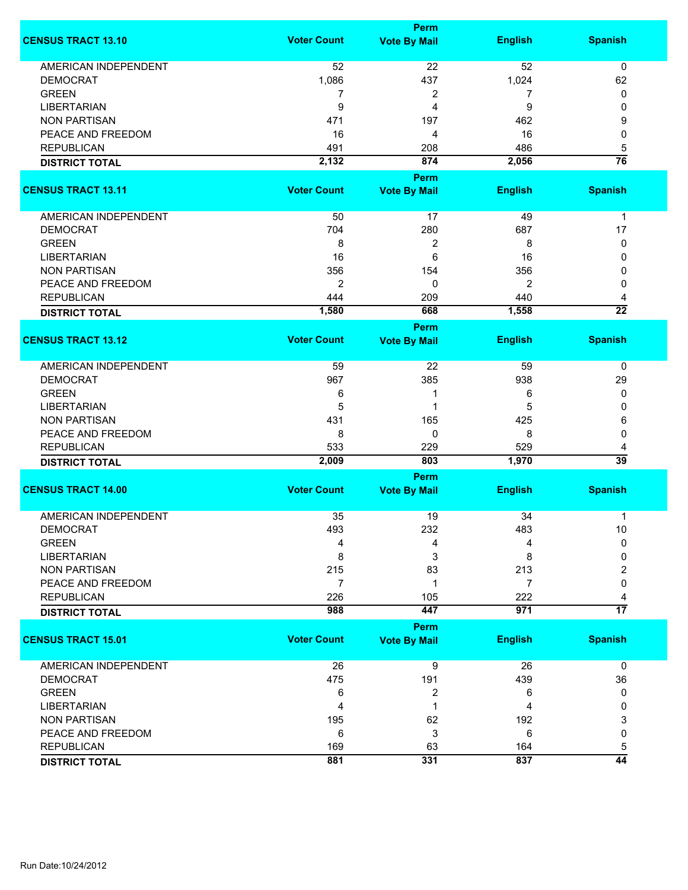|                             | Perm               |                             |                |                      |  |
|-----------------------------|--------------------|-----------------------------|----------------|----------------------|--|
| <b>CENSUS TRACT 13.10</b>   | <b>Voter Count</b> | <b>Vote By Mail</b>         | <b>English</b> | <b>Spanish</b>       |  |
| <b>AMERICAN INDEPENDENT</b> | 52                 | 22                          | 52             | $\mathbf 0$          |  |
| <b>DEMOCRAT</b>             | 1,086              | 437                         | 1,024          | 62                   |  |
| <b>GREEN</b>                | 7                  | 2                           | 7              | 0                    |  |
| <b>LIBERTARIAN</b>          | 9                  | 4                           | 9              | 0                    |  |
| <b>NON PARTISAN</b>         | 471                | 197                         | 462            | 9                    |  |
| PEACE AND FREEDOM           | 16                 | 4                           | 16             | 0                    |  |
|                             |                    |                             |                |                      |  |
| <b>REPUBLICAN</b>           | 491                | 208                         | 486            | 5                    |  |
| <b>DISTRICT TOTAL</b>       | 2,132              | 874                         | 2,056          | $\overline{76}$      |  |
|                             |                    | <b>Perm</b>                 |                |                      |  |
| <b>CENSUS TRACT 13.11</b>   | <b>Voter Count</b> | <b>Vote By Mail</b>         | <b>English</b> | <b>Spanish</b>       |  |
| AMERICAN INDEPENDENT        | 50                 | 17                          | 49             | $\mathbf{1}$         |  |
| <b>DEMOCRAT</b>             | 704                | 280                         | 687            | 17                   |  |
| <b>GREEN</b>                | 8                  | $\overline{c}$              | 8              | 0                    |  |
| <b>LIBERTARIAN</b>          | 16                 | 6                           | 16             | 0                    |  |
| <b>NON PARTISAN</b>         | 356                | 154                         | 356            | 0                    |  |
| PEACE AND FREEDOM           | $\overline{2}$     | 0                           | $\overline{2}$ | 0                    |  |
| <b>REPUBLICAN</b>           | 444                | 209                         | 440            | 4                    |  |
|                             | 1,580              | 668                         | 1,558          | $\overline{22}$      |  |
| <b>DISTRICT TOTAL</b>       |                    | Perm                        |                |                      |  |
| <b>CENSUS TRACT 13.12</b>   | <b>Voter Count</b> | <b>Vote By Mail</b>         | <b>English</b> | <b>Spanish</b>       |  |
| <b>AMERICAN INDEPENDENT</b> | 59                 | 22                          | 59             | 0                    |  |
| <b>DEMOCRAT</b>             | 967                | 385                         | 938            | 29                   |  |
| <b>GREEN</b>                | 6                  | 1                           | 6              | 0                    |  |
| <b>LIBERTARIAN</b>          | 5                  | 1                           | 5              | 0                    |  |
| <b>NON PARTISAN</b>         | 431                | 165                         | 425            | 6                    |  |
| PEACE AND FREEDOM           | 8                  | 0                           | 8              | 0                    |  |
|                             |                    |                             |                |                      |  |
| <b>REPUBLICAN</b>           | 533                | 229                         | 529            | 4<br>$\overline{39}$ |  |
| <b>DISTRICT TOTAL</b>       | 2,009              | 803                         | 1,970          |                      |  |
| <b>CENSUS TRACT 14.00</b>   | <b>Voter Count</b> | Perm<br><b>Vote By Mail</b> | <b>English</b> | <b>Spanish</b>       |  |
|                             |                    |                             |                |                      |  |
| <b>AMERICAN INDEPENDENT</b> | 35                 | 19                          | 34             | 1                    |  |
| <b>DEMOCRAT</b>             | 493                | 232                         | 483            | 10                   |  |
| <b>GREEN</b>                | 4                  | 4                           | 4              | $\mathbf{0}$         |  |
| <b>LIBERTARIAN</b>          | 8                  | 3                           | 8              | 0                    |  |
| <b>NON PARTISAN</b>         | 215                | 83                          | 213            | 2                    |  |
| PEACE AND FREEDOM           | 7                  | 1                           | $\overline{7}$ | 0                    |  |
| <b>REPUBLICAN</b>           | 226                | 105                         | 222            | 4                    |  |
| <b>DISTRICT TOTAL</b>       | 988                | 447                         | 971            | $\overline{17}$      |  |
|                             |                    | Perm                        |                |                      |  |
| <b>CENSUS TRACT 15.01</b>   | <b>Voter Count</b> | <b>Vote By Mail</b>         | <b>English</b> | <b>Spanish</b>       |  |
| AMERICAN INDEPENDENT        | 26                 | $\overline{9}$              | 26             | $\mathbf 0$          |  |
| <b>DEMOCRAT</b>             | 475                | 191                         | 439            | 36                   |  |
| <b>GREEN</b>                | 6                  | 2                           | 6              | 0                    |  |
| <b>LIBERTARIAN</b>          | 4                  | 1                           | 4              | 0                    |  |
| <b>NON PARTISAN</b>         | 195                | 62                          | 192            | 3                    |  |
| PEACE AND FREEDOM           | 6                  | 3                           | 6              | 0                    |  |
| <b>REPUBLICAN</b>           | 169                | 63                          | 164            | 5                    |  |
| <b>DISTRICT TOTAL</b>       | 881                | 331                         | 837            | $\overline{44}$      |  |
|                             |                    |                             |                |                      |  |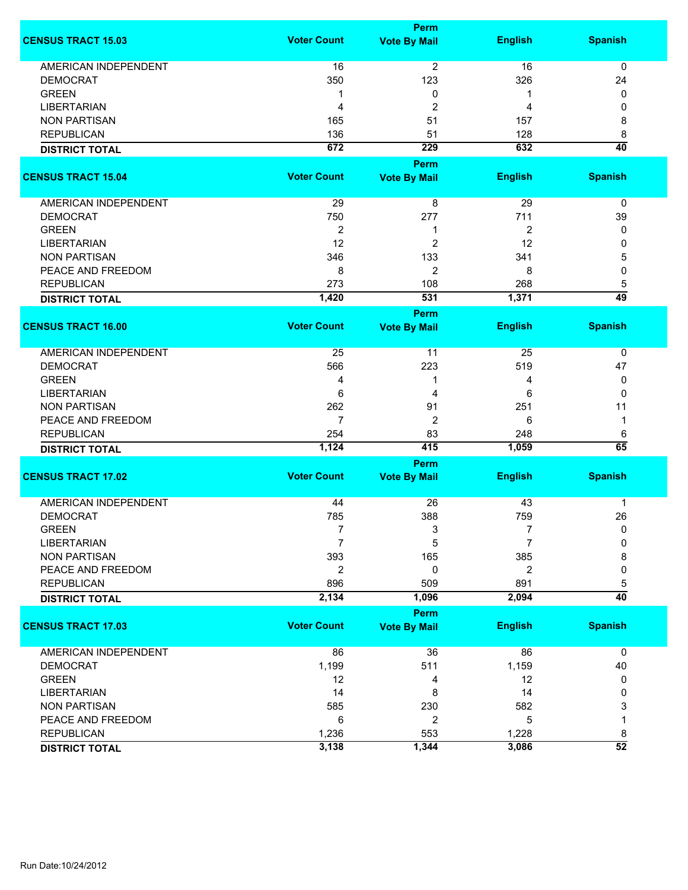|                             |                    | Perm                |                |                 |
|-----------------------------|--------------------|---------------------|----------------|-----------------|
| <b>CENSUS TRACT 15.03</b>   | <b>Voter Count</b> | <b>Vote By Mail</b> | <b>English</b> | <b>Spanish</b>  |
| <b>AMERICAN INDEPENDENT</b> | 16                 | $\overline{2}$      | 16             | $\mathbf 0$     |
| <b>DEMOCRAT</b>             | 350                | 123                 | 326            | 24              |
| <b>GREEN</b>                | 1                  | 0                   | 1              | 0               |
| <b>LIBERTARIAN</b>          | 4                  | $\overline{2}$      | 4              | 0               |
|                             |                    |                     |                |                 |
| <b>NON PARTISAN</b>         | 165                | 51                  | 157            | 8               |
| <b>REPUBLICAN</b>           | 136                | 51                  | 128            | 8               |
| <b>DISTRICT TOTAL</b>       | 672                | $\overline{229}$    | 632            | $\overline{40}$ |
|                             |                    | <b>Perm</b>         |                |                 |
| <b>CENSUS TRACT 15.04</b>   | <b>Voter Count</b> | <b>Vote By Mail</b> | <b>English</b> | <b>Spanish</b>  |
|                             |                    |                     |                |                 |
| AMERICAN INDEPENDENT        | 29                 | 8                   | 29             | 0               |
| <b>DEMOCRAT</b>             | 750                | 277                 | 711            | 39              |
| <b>GREEN</b>                | $\overline{2}$     | 1                   | $\overline{2}$ | 0               |
| <b>LIBERTARIAN</b>          | 12                 | $\overline{c}$      | 12             | 0               |
| <b>NON PARTISAN</b>         | 346                | 133                 | 341            | 5               |
| PEACE AND FREEDOM           | 8                  | $\overline{2}$      | 8              | 0               |
| <b>REPUBLICAN</b>           | 273                | 108                 | 268            | 5               |
| <b>DISTRICT TOTAL</b>       | 1,420              | 531                 | 1,371          | 49              |
|                             |                    | Perm                |                |                 |
| <b>CENSUS TRACT 16.00</b>   | <b>Voter Count</b> | <b>Vote By Mail</b> | <b>English</b> | <b>Spanish</b>  |
| <b>AMERICAN INDEPENDENT</b> | 25                 | 11                  | 25             | 0               |
| <b>DEMOCRAT</b>             | 566                | 223                 | 519            | 47              |
| <b>GREEN</b>                | 4                  | 1                   | 4              | 0               |
| <b>LIBERTARIAN</b>          | 6                  | 4                   | 6              | 0               |
|                             |                    |                     |                |                 |
| <b>NON PARTISAN</b>         | 262                | 91                  | 251            | 11              |
| PEACE AND FREEDOM           | 7                  | $\overline{c}$      | 6              | $\mathbf 1$     |
| <b>REPUBLICAN</b>           | 254                | 83                  | 248            | 6               |
| <b>DISTRICT TOTAL</b>       | 1,124              | 415                 | 1,059          | 65              |
|                             |                    | Perm                |                |                 |
| <b>CENSUS TRACT 17.02</b>   | <b>Voter Count</b> | <b>Vote By Mail</b> | <b>English</b> | <b>Spanish</b>  |
| <b>AMERICAN INDEPENDENT</b> | 44                 | 26                  | 43             | $\mathbf 1$     |
| <b>DEMOCRAT</b>             | 785                | 388                 | 759            | 26              |
| <b>GREEN</b>                | 7                  | 3                   | 7              | 0               |
| <b>LIBERTARIAN</b>          | $\overline{7}$     | 5                   | $\overline{7}$ | 0               |
| <b>NON PARTISAN</b>         | 393                | 165                 | 385            | 8               |
| PEACE AND FREEDOM           | 2                  | 0                   | 2              | 0               |
| <b>REPUBLICAN</b>           | 896                | 509                 | 891            | 5               |
| <b>DISTRICT TOTAL</b>       | 2,134              | 1,096               | 2,094          | $\overline{40}$ |
|                             |                    | <b>Perm</b>         |                |                 |
| <b>CENSUS TRACT 17.03</b>   | <b>Voter Count</b> | <b>Vote By Mail</b> | <b>English</b> | <b>Spanish</b>  |
|                             |                    |                     |                |                 |
| <b>AMERICAN INDEPENDENT</b> | 86                 | 36                  | 86             | 0               |
| <b>DEMOCRAT</b>             | 1,199              | 511                 | 1,159          | 40              |
| <b>GREEN</b>                | 12                 | 4                   | 12             | 0               |
| <b>LIBERTARIAN</b>          | 14                 | 8                   | 14             | 0               |
| <b>NON PARTISAN</b>         | 585                | 230                 | 582            | 3               |
| PEACE AND FREEDOM           | 6                  | $\overline{2}$      | 5              | 1               |
| <b>REPUBLICAN</b>           | 1,236              | 553                 | 1,228          | 8               |
| <b>DISTRICT TOTAL</b>       | 3,138              | 1,344               | 3,086          | $\overline{52}$ |
|                             |                    |                     |                |                 |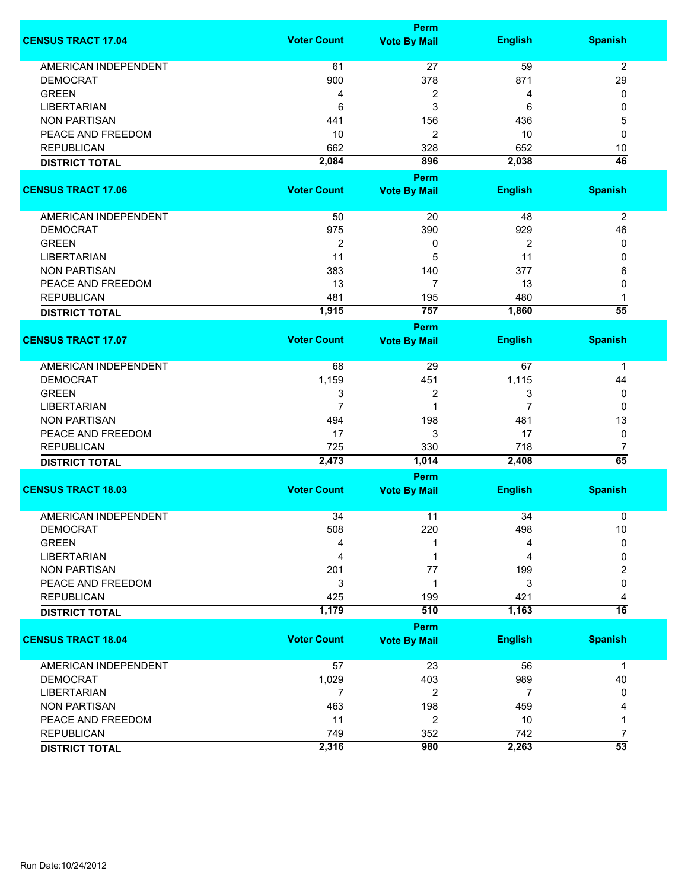|                             |                    | <b>Perm</b>         |                |                      |
|-----------------------------|--------------------|---------------------|----------------|----------------------|
| <b>CENSUS TRACT 17.04</b>   | <b>Voter Count</b> | <b>Vote By Mail</b> | <b>English</b> | <b>Spanish</b>       |
| <b>AMERICAN INDEPENDENT</b> | 61                 | 27                  | 59             | $\overline{2}$       |
| <b>DEMOCRAT</b>             | 900                | 378                 | 871            | 29                   |
| <b>GREEN</b>                | 4                  | 2                   | 4              | 0                    |
| <b>LIBERTARIAN</b>          | 6                  | 3                   | 6              | 0                    |
| <b>NON PARTISAN</b>         | 441                | 156                 | 436            | 5                    |
| PEACE AND FREEDOM           | 10                 | $\overline{c}$      | 10             | $\mathbf 0$          |
| <b>REPUBLICAN</b>           |                    |                     |                |                      |
|                             | 662                | 328                 | 652            | 10                   |
| <b>DISTRICT TOTAL</b>       | 2,084              | 896                 | 2,038          | $\overline{46}$      |
|                             |                    | <b>Perm</b>         |                |                      |
| <b>CENSUS TRACT 17.06</b>   | <b>Voter Count</b> | <b>Vote By Mail</b> | <b>English</b> | <b>Spanish</b>       |
| AMERICAN INDEPENDENT        | 50                 | 20                  | 48             | $\overline{2}$       |
| <b>DEMOCRAT</b>             | 975                | 390                 | 929            | 46                   |
| <b>GREEN</b>                | $\overline{2}$     | 0                   | $\overline{2}$ | 0                    |
| <b>LIBERTARIAN</b>          | 11                 | 5                   | 11             | 0                    |
| <b>NON PARTISAN</b>         | 383                | 140                 | 377            | 6                    |
| PEACE AND FREEDOM           | 13                 | $\overline{7}$      | 13             | 0                    |
|                             | 481                |                     | 480            |                      |
| <b>REPUBLICAN</b>           | 1,915              | 195<br>757          | 1,860          | 1<br>$\overline{55}$ |
| <b>DISTRICT TOTAL</b>       |                    | Perm                |                |                      |
| <b>CENSUS TRACT 17.07</b>   | <b>Voter Count</b> | <b>Vote By Mail</b> | <b>English</b> | <b>Spanish</b>       |
|                             |                    |                     |                |                      |
| <b>AMERICAN INDEPENDENT</b> | 68                 | 29                  | 67             | 1                    |
| <b>DEMOCRAT</b>             | 1,159              | 451                 | 1,115          | 44                   |
| <b>GREEN</b>                | 3                  | 2                   | 3              | 0                    |
| <b>LIBERTARIAN</b>          | $\overline{7}$     | 1                   | 7              | 0                    |
| <b>NON PARTISAN</b>         | 494                | 198                 | 481            | 13                   |
| PEACE AND FREEDOM           | 17                 | 3                   | 17             | 0                    |
| <b>REPUBLICAN</b>           | 725                | 330                 | 718            | 7                    |
| <b>DISTRICT TOTAL</b>       | 2,473              | 1,014               | 2,408          | 65                   |
|                             |                    | <b>Perm</b>         |                |                      |
| <b>CENSUS TRACT 18.03</b>   | <b>Voter Count</b> | <b>Vote By Mail</b> | <b>English</b> | <b>Spanish</b>       |
| <b>AMERICAN INDEPENDENT</b> | 34                 | 11                  | 34             | 0                    |
| <b>DEMOCRAT</b>             | 508                | 220                 | 498            | 10                   |
| <b>GREEN</b>                | 4                  |                     | 4              | $\mathbf 0$          |
| <b>LIBERTARIAN</b>          | 4                  |                     | 4              | 0                    |
|                             |                    |                     |                |                      |
| <b>NON PARTISAN</b>         | 201                | 77                  | 199            | 2                    |
| PEACE AND FREEDOM           | 3                  | 1                   | 3              | 0                    |
| <b>REPUBLICAN</b>           | 425                | 199                 | 421            | 4                    |
| <b>DISTRICT TOTAL</b>       | 1,179              | 510                 | 1,163          | $\overline{16}$      |
|                             |                    | <b>Perm</b>         |                |                      |
| <b>CENSUS TRACT 18.04</b>   | <b>Voter Count</b> | <b>Vote By Mail</b> | <b>English</b> | <b>Spanish</b>       |
| <b>AMERICAN INDEPENDENT</b> | 57                 | 23                  | 56             | $\mathbf 1$          |
| <b>DEMOCRAT</b>             | 1,029              | 403                 | 989            | 40                   |
| <b>LIBERTARIAN</b>          | 7                  | 2                   | 7              | 0                    |
| <b>NON PARTISAN</b>         | 463                | 198                 | 459            |                      |
| PEACE AND FREEDOM           | 11                 | $\overline{c}$      | 10             | 1                    |
| <b>REPUBLICAN</b>           | 749                | 352                 | 742            | 7                    |
|                             | 2,316              | 980                 | 2,263          | $\overline{53}$      |
| <b>DISTRICT TOTAL</b>       |                    |                     |                |                      |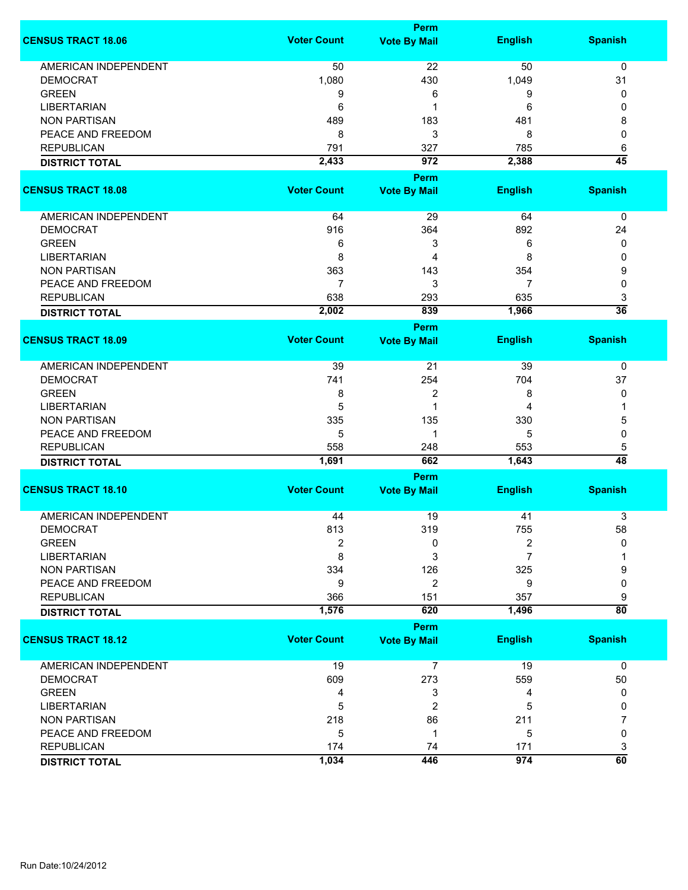|                             |                    | <b>Perm</b>         |                |                      |
|-----------------------------|--------------------|---------------------|----------------|----------------------|
| <b>CENSUS TRACT 18.06</b>   | <b>Voter Count</b> | <b>Vote By Mail</b> | <b>English</b> | <b>Spanish</b>       |
| <b>AMERICAN INDEPENDENT</b> | 50                 | 22                  | 50             | 0                    |
| <b>DEMOCRAT</b>             | 1,080              | 430                 | 1,049          | 31                   |
| <b>GREEN</b>                | 9                  | 6                   | 9              | 0                    |
| <b>LIBERTARIAN</b>          | 6                  | 1                   | 6              | 0                    |
| <b>NON PARTISAN</b>         | 489                | 183                 | 481            | 8                    |
| PEACE AND FREEDOM           | 8                  | 3                   | 8              | $\mathbf 0$          |
|                             |                    |                     |                |                      |
| <b>REPUBLICAN</b>           | 791                | 327                 | 785            | 6<br>$\overline{45}$ |
| <b>DISTRICT TOTAL</b>       | 2,433              | 972                 | 2,388          |                      |
|                             |                    | <b>Perm</b>         |                |                      |
| <b>CENSUS TRACT 18.08</b>   | <b>Voter Count</b> | <b>Vote By Mail</b> | <b>English</b> | <b>Spanish</b>       |
| AMERICAN INDEPENDENT        | 64                 | 29                  | 64             | 0                    |
| <b>DEMOCRAT</b>             | 916                | 364                 | 892            | 24                   |
| <b>GREEN</b>                | 6                  | 3                   | 6              | 0                    |
| <b>LIBERTARIAN</b>          | 8                  | 4                   | 8              | 0                    |
| <b>NON PARTISAN</b>         | 363                | 143                 | 354            | 9                    |
| PEACE AND FREEDOM           | $\overline{7}$     | 3                   | 7              | 0                    |
| <b>REPUBLICAN</b>           | 638                | 293                 | 635            | 3                    |
|                             | 2,002              | 839                 | 1,966          | $\overline{36}$      |
| <b>DISTRICT TOTAL</b>       |                    |                     |                |                      |
| <b>CENSUS TRACT 18.09</b>   | <b>Voter Count</b> | <b>Perm</b>         | <b>English</b> | <b>Spanish</b>       |
|                             |                    | <b>Vote By Mail</b> |                |                      |
| <b>AMERICAN INDEPENDENT</b> | 39                 | 21                  | 39             | 0                    |
| <b>DEMOCRAT</b>             | 741                | 254                 | 704            | 37                   |
| <b>GREEN</b>                | 8                  | 2                   | 8              | 0                    |
| <b>LIBERTARIAN</b>          | 5                  | 1                   | 4              | 1                    |
| <b>NON PARTISAN</b>         | 335                | 135                 | 330            | 5                    |
| PEACE AND FREEDOM           | 5                  | 1                   | 5              | 0                    |
| <b>REPUBLICAN</b>           | 558                | 248                 | 553            | 5                    |
| <b>DISTRICT TOTAL</b>       | 1,691              | 662                 | 1,643          | 48                   |
|                             |                    | <b>Perm</b>         |                |                      |
| <b>CENSUS TRACT 18.10</b>   | <b>Voter Count</b> | <b>Vote By Mail</b> | <b>English</b> | <b>Spanish</b>       |
|                             |                    |                     |                |                      |
| <b>AMERICAN INDEPENDENT</b> | 44                 | 19                  | 41             | 3                    |
| <b>DEMOCRAT</b>             | 813                | 319                 | 755            | 58                   |
| <b>GREEN</b>                | 2                  | 0                   | 2              | 0                    |
| <b>LIBERTARIAN</b>          | 8                  | 3                   | 7              |                      |
| <b>NON PARTISAN</b>         | 334                | 126                 | 325            | 9                    |
| PEACE AND FREEDOM           | 9                  | 2                   | 9              | 0                    |
| <b>REPUBLICAN</b>           | 366                | 151                 | 357            | 9                    |
| <b>DISTRICT TOTAL</b>       | 1,576              | 620                 | 1,496          | $\overline{80}$      |
|                             |                    | <b>Perm</b>         |                |                      |
| <b>CENSUS TRACT 18.12</b>   | <b>Voter Count</b> | <b>Vote By Mail</b> | <b>English</b> | <b>Spanish</b>       |
| <b>AMERICAN INDEPENDENT</b> | 19                 | $\overline{7}$      | 19             | 0                    |
| <b>DEMOCRAT</b>             | 609                | 273                 | 559            | 50                   |
| <b>GREEN</b>                | 4                  | 3                   | 4              | 0                    |
| <b>LIBERTARIAN</b>          | 5                  | 2                   | 5              | 0                    |
| <b>NON PARTISAN</b>         | 218                | 86                  | 211            | 7                    |
| PEACE AND FREEDOM           | 5                  | 1                   | 5              | 0                    |
| <b>REPUBLICAN</b>           | 174                | 74                  | 171            | 3                    |
| <b>DISTRICT TOTAL</b>       | 1,034              | 446                 | 974            | $\overline{60}$      |
|                             |                    |                     |                |                      |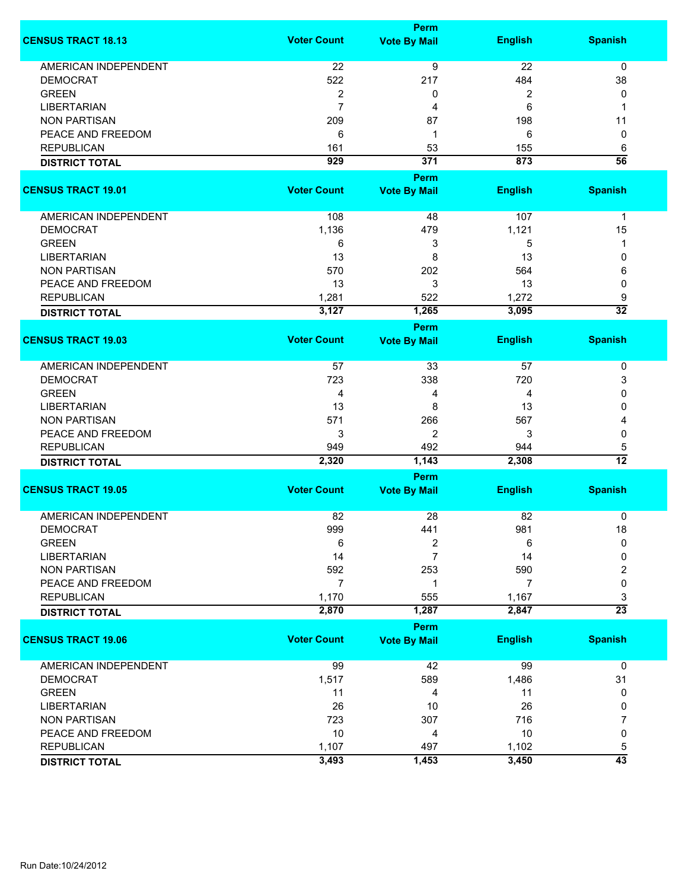|                             |                    | <b>Perm</b>         |                |                 |
|-----------------------------|--------------------|---------------------|----------------|-----------------|
| <b>CENSUS TRACT 18.13</b>   | <b>Voter Count</b> | <b>Vote By Mail</b> | <b>English</b> | <b>Spanish</b>  |
| <b>AMERICAN INDEPENDENT</b> | 22                 | $\overline{9}$      | 22             | 0               |
| <b>DEMOCRAT</b>             | 522                | 217                 | 484            | 38              |
| <b>GREEN</b>                | $\overline{c}$     | 0                   | 2              | 0               |
| <b>LIBERTARIAN</b>          | $\overline{7}$     | 4                   | 6              | 1               |
|                             |                    |                     |                |                 |
| <b>NON PARTISAN</b>         | 209                | 87                  | 198            | 11              |
| PEACE AND FREEDOM           | 6                  | 1                   | 6              | 0               |
| <b>REPUBLICAN</b>           | 161                | 53                  | 155            | 6               |
| <b>DISTRICT TOTAL</b>       | 929                | 371                 | 873            | $\overline{56}$ |
|                             |                    | <b>Perm</b>         |                |                 |
| <b>CENSUS TRACT 19.01</b>   | <b>Voter Count</b> | <b>Vote By Mail</b> | <b>English</b> | <b>Spanish</b>  |
| AMERICAN INDEPENDENT        | 108                | 48                  | 107            | $\mathbf 1$     |
| <b>DEMOCRAT</b>             | 1,136              | 479                 | 1,121          | 15              |
| <b>GREEN</b>                | 6                  | 3                   | 5              | 1               |
| <b>LIBERTARIAN</b>          | 13                 | 8                   | 13             | 0               |
| <b>NON PARTISAN</b>         | 570                | 202                 | 564            | 6               |
| PEACE AND FREEDOM           | 13                 | 3                   | 13             |                 |
|                             |                    |                     |                | 0               |
| <b>REPUBLICAN</b>           | 1,281              | 522                 | 1,272          | 9               |
| <b>DISTRICT TOTAL</b>       | 3,127              | 1,265               | 3,095          | $\overline{32}$ |
|                             | <b>Voter Count</b> | <b>Perm</b>         |                |                 |
| <b>CENSUS TRACT 19.03</b>   |                    | <b>Vote By Mail</b> | <b>English</b> | <b>Spanish</b>  |
| <b>AMERICAN INDEPENDENT</b> | 57                 | 33                  | 57             | 0               |
| <b>DEMOCRAT</b>             | 723                | 338                 | 720            | 3               |
| <b>GREEN</b>                | 4                  | 4                   | 4              | 0               |
| <b>LIBERTARIAN</b>          | 13                 | 8                   | 13             | 0               |
| <b>NON PARTISAN</b>         | 571                | 266                 | 567            | 4               |
| PEACE AND FREEDOM           | 3                  | $\overline{2}$      | 3              | 0               |
| <b>REPUBLICAN</b>           | 949                | 492                 | 944            | 5               |
| <b>DISTRICT TOTAL</b>       | 2,320              | 1,143               | 2,308          | $\overline{12}$ |
|                             |                    | Perm                |                |                 |
| <b>CENSUS TRACT 19.05</b>   | <b>Voter Count</b> | <b>Vote By Mail</b> | <b>English</b> | <b>Spanish</b>  |
|                             |                    |                     |                |                 |
| <b>AMERICAN INDEPENDENT</b> | 82                 | 28                  | 82             | 0               |
| <b>DEMOCRAT</b>             | 999                | 441                 | 981            | 18              |
| <b>GREEN</b>                | 6                  | 2                   | 6              | 0               |
| <b>LIBERTARIAN</b>          | 14                 | 7                   | 14             | 0               |
| <b>NON PARTISAN</b>         | 592                | 253                 | 590            | 2               |
| PEACE AND FREEDOM           | $\overline{7}$     | 1                   | $\overline{7}$ | 0               |
| <b>REPUBLICAN</b>           | 1,170              | 555                 | 1,167          | 3               |
| <b>DISTRICT TOTAL</b>       | 2,870              | 1,287               | 2,847          | $\overline{23}$ |
|                             |                    | <b>Perm</b>         |                |                 |
| <b>CENSUS TRACT 19.06</b>   | <b>Voter Count</b> | <b>Vote By Mail</b> | <b>English</b> | <b>Spanish</b>  |
| <b>AMERICAN INDEPENDENT</b> | 99                 | 42                  | 99             | 0               |
| <b>DEMOCRAT</b>             | 1,517              | 589                 | 1,486          | 31              |
| <b>GREEN</b>                | 11                 | 4                   | 11             | 0               |
| <b>LIBERTARIAN</b>          | 26                 | 10                  | 26             | 0               |
| <b>NON PARTISAN</b>         | 723                | 307                 | 716            | 7               |
| PEACE AND FREEDOM           | 10                 | 4                   | 10             | 0               |
|                             |                    |                     |                |                 |
| <b>REPUBLICAN</b>           | 1,107              | 497                 | 1,102          | 5               |
| <b>DISTRICT TOTAL</b>       | 3,493              | 1,453               | 3,450          | $\overline{43}$ |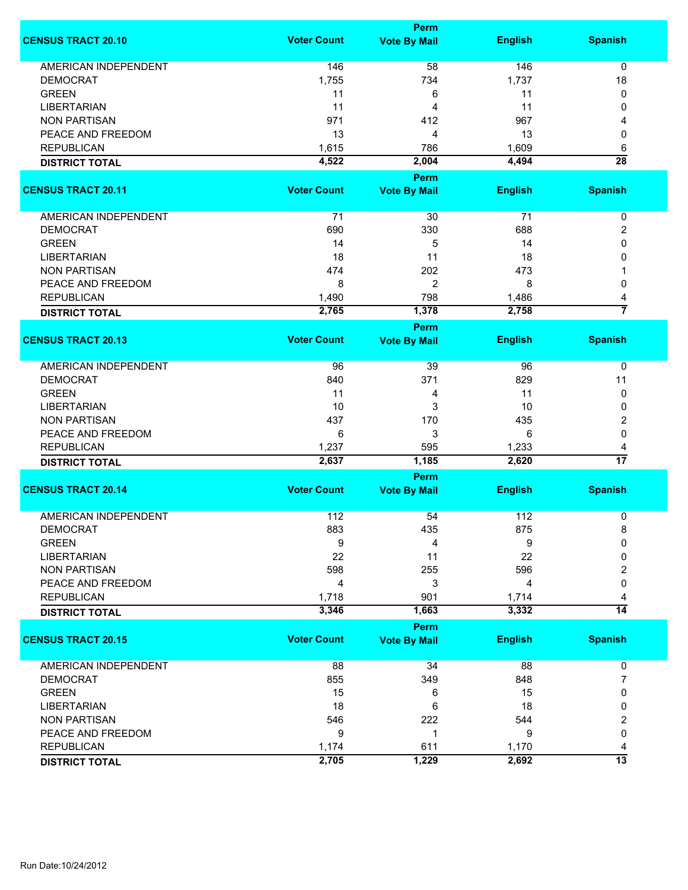|                             |                    | <b>Perm</b>         |                |                      |
|-----------------------------|--------------------|---------------------|----------------|----------------------|
| <b>CENSUS TRACT 20.10</b>   | <b>Voter Count</b> | <b>Vote By Mail</b> | <b>English</b> | <b>Spanish</b>       |
| <b>AMERICAN INDEPENDENT</b> | 146                | 58                  | 146            | $\mathbf 0$          |
| <b>DEMOCRAT</b>             | 1,755              | 734                 | 1,737          | 18                   |
| <b>GREEN</b>                | 11                 | 6                   | 11             | 0                    |
| <b>LIBERTARIAN</b>          | 11                 | 4                   | 11             | 0                    |
| <b>NON PARTISAN</b>         | 971                | 412                 | 967            | 4                    |
| PEACE AND FREEDOM           | 13                 | 4                   | 13             | 0                    |
| <b>REPUBLICAN</b>           | 1,615              | 786                 | 1,609          |                      |
|                             |                    |                     |                | 6<br>$\overline{28}$ |
| <b>DISTRICT TOTAL</b>       | 4,522              | 2,004<br>Perm       | 4,494          |                      |
| <b>CENSUS TRACT 20.11</b>   | <b>Voter Count</b> | <b>Vote By Mail</b> | <b>English</b> | <b>Spanish</b>       |
| AMERICAN INDEPENDENT        | 71                 | 30                  | 71             | $\pmb{0}$            |
| <b>DEMOCRAT</b>             | 690                | 330                 | 688            | 2                    |
| <b>GREEN</b>                | 14                 | 5                   | 14             | 0                    |
| <b>LIBERTARIAN</b>          | 18                 | 11                  | 18             | 0                    |
| <b>NON PARTISAN</b>         | 474                | 202                 | 473            |                      |
| PEACE AND FREEDOM           | 8                  | $\overline{c}$      | 8              | 0                    |
| <b>REPUBLICAN</b>           | 1,490              | 798                 | 1,486          | 4                    |
|                             | 2,765              | 1,378               | 2,758          | $\overline{7}$       |
| <b>DISTRICT TOTAL</b>       |                    | <b>Perm</b>         |                |                      |
| <b>CENSUS TRACT 20.13</b>   | <b>Voter Count</b> | <b>Vote By Mail</b> | <b>English</b> | <b>Spanish</b>       |
| <b>AMERICAN INDEPENDENT</b> | 96                 | 39                  | 96             | 0                    |
| <b>DEMOCRAT</b>             | 840                | 371                 | 829            | 11                   |
|                             |                    |                     | 11             |                      |
| <b>GREEN</b>                | 11                 | 4                   |                | 0                    |
| <b>LIBERTARIAN</b>          | 10                 | 3                   | 10             | 0                    |
| <b>NON PARTISAN</b>         | 437                | 170                 | 435            | 2                    |
| PEACE AND FREEDOM           | 6                  | 3                   | 6              | 0                    |
| <b>REPUBLICAN</b>           | 1,237              | 595                 | 1,233          | 4                    |
| <b>DISTRICT TOTAL</b>       | 2,637              | 1,185               | 2,620          | $\overline{17}$      |
|                             |                    | <b>Perm</b>         |                |                      |
| <b>CENSUS TRACT 20.14</b>   | <b>Voter Count</b> | <b>Vote By Mail</b> | <b>English</b> | <b>Spanish</b>       |
| <b>AMERICAN INDEPENDENT</b> | 112                | 54                  | 112            | 0                    |
| DEMOCRAI                    | 883                | 435                 | 875            | 8                    |
| <b>GREEN</b>                | 9                  | 4                   | 9              | 0                    |
| <b>LIBERTARIAN</b>          | 22                 | 11                  | 22             | 0                    |
| <b>NON PARTISAN</b>         | 598                | 255                 | 596            | 2                    |
| PEACE AND FREEDOM           | 4                  | 3                   | 4              | 0                    |
| <b>REPUBLICAN</b>           | 1,718              | 901                 | 1,714          | 4                    |
| <b>DISTRICT TOTAL</b>       | 3,346              | 1,663               | 3,332          | $\overline{14}$      |
|                             |                    | <b>Perm</b>         |                |                      |
| <b>CENSUS TRACT 20.15</b>   | <b>Voter Count</b> | <b>Vote By Mail</b> | <b>English</b> | <b>Spanish</b>       |
| <b>AMERICAN INDEPENDENT</b> | 88                 | 34                  | 88             | 0                    |
| <b>DEMOCRAT</b>             | 855                | 349                 | 848            | 7                    |
| <b>GREEN</b>                | 15                 | 6                   | 15             | 0                    |
| <b>LIBERTARIAN</b>          | 18                 | 6                   | 18             | 0                    |
| <b>NON PARTISAN</b>         | 546                | 222                 | 544            | 2                    |
| PEACE AND FREEDOM           | 9                  | 1                   | 9              | 0                    |
| <b>REPUBLICAN</b>           | 1,174              | 611                 | 1,170          | 4                    |
| <b>DISTRICT TOTAL</b>       | 2,705              | 1,229               | 2,692          | $\overline{13}$      |
|                             |                    |                     |                |                      |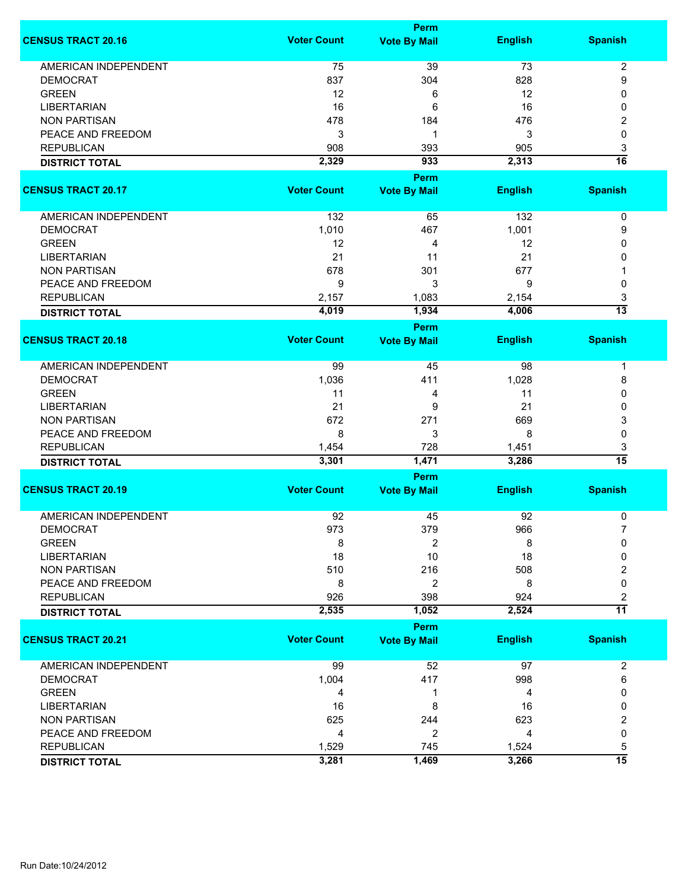|                             |                    | <b>Perm</b>                        |                |                 |
|-----------------------------|--------------------|------------------------------------|----------------|-----------------|
| <b>CENSUS TRACT 20.16</b>   | <b>Voter Count</b> | <b>Vote By Mail</b>                | <b>English</b> | <b>Spanish</b>  |
| <b>AMERICAN INDEPENDENT</b> | 75                 | 39                                 | 73             | $\overline{2}$  |
| <b>DEMOCRAT</b>             | 837                | 304                                | 828            | 9               |
| <b>GREEN</b>                | 12                 | 6                                  | 12             | 0               |
| <b>LIBERTARIAN</b>          | 16                 | 6                                  | 16             | 0               |
| <b>NON PARTISAN</b>         | 478                | 184                                | 476            |                 |
|                             |                    |                                    |                | 2               |
| PEACE AND FREEDOM           | 3                  | 1                                  | 3              | 0               |
| <b>REPUBLICAN</b>           | 908                | 393                                | 905            | 3               |
| <b>DISTRICT TOTAL</b>       | 2,329              | 933                                | 2,313          | 16              |
| <b>CENSUS TRACT 20.17</b>   | <b>Voter Count</b> | <b>Perm</b><br><b>Vote By Mail</b> | <b>English</b> | <b>Spanish</b>  |
|                             |                    |                                    |                |                 |
| AMERICAN INDEPENDENT        | 132                | 65                                 | 132            | 0               |
| <b>DEMOCRAT</b>             | 1,010              | 467                                | 1,001          | 9               |
| <b>GREEN</b>                | 12                 | 4                                  | 12             | 0               |
| <b>LIBERTARIAN</b>          | 21                 | 11                                 | 21             | 0               |
| <b>NON PARTISAN</b>         | 678                | 301                                | 677            |                 |
| PEACE AND FREEDOM           | 9                  | 3                                  | 9              | 0               |
| <b>REPUBLICAN</b>           | 2,157              | 1,083                              | 2,154          | 3               |
|                             | 4,019              | 1,934                              | 4,006          | $\overline{13}$ |
| <b>DISTRICT TOTAL</b>       |                    | <b>Perm</b>                        |                |                 |
| <b>CENSUS TRACT 20.18</b>   | <b>Voter Count</b> | <b>Vote By Mail</b>                | <b>English</b> | <b>Spanish</b>  |
|                             |                    |                                    |                |                 |
| <b>AMERICAN INDEPENDENT</b> | 99                 | 45                                 | 98             | 1               |
| <b>DEMOCRAT</b>             | 1,036              | 411                                | 1,028          | 8               |
| <b>GREEN</b>                | 11                 | 4                                  | 11             | 0               |
| <b>LIBERTARIAN</b>          | 21                 | 9                                  | 21             | 0               |
| <b>NON PARTISAN</b>         | 672                | 271                                | 669            | 3               |
| PEACE AND FREEDOM           | 8                  | 3                                  | 8              | 0               |
| <b>REPUBLICAN</b>           | 1,454              | 728                                | 1,451          | 3               |
|                             | 3,301              | 1,471                              | 3,286          | $\overline{15}$ |
| <b>DISTRICT TOTAL</b>       |                    | Perm                               |                |                 |
| <b>CENSUS TRACT 20.19</b>   | <b>Voter Count</b> | <b>Vote By Mail</b>                | <b>English</b> | <b>Spanish</b>  |
|                             |                    |                                    |                |                 |
| <b>AMERICAN INDEPENDENT</b> | 92                 | 45                                 | 92             | 0               |
| <b>DEMOCRAT</b>             | 973                | 379                                | 966            |                 |
| <b>GREEN</b>                | 8                  | 2                                  | 8              | 0               |
| <b>LIBERTARIAN</b>          | 18                 | 10                                 | 18             | 0               |
| <b>NON PARTISAN</b>         | 510                | 216                                | 508            | 2               |
| PEACE AND FREEDOM           | 8                  | 2                                  | 8              | $\mathbf 0$     |
| <b>REPUBLICAN</b>           | 926                | 398                                | 924            | 2               |
| <b>DISTRICT TOTAL</b>       | 2,535              | 1,052                              | 2,524          | $\overline{11}$ |
|                             |                    | Perm                               |                |                 |
| <b>CENSUS TRACT 20.21</b>   | <b>Voter Count</b> | <b>Vote By Mail</b>                | <b>English</b> | <b>Spanish</b>  |
| AMERICAN INDEPENDENT        | 99                 | 52                                 | 97             | $\overline{c}$  |
| <b>DEMOCRAT</b>             | 1,004              | 417                                | 998            | 6               |
| <b>GREEN</b>                | 4                  | 1                                  | 4              | 0               |
| <b>LIBERTARIAN</b>          | 16                 | 8                                  | 16             | 0               |
| <b>NON PARTISAN</b>         | 625                | 244                                | 623            | 2               |
| PEACE AND FREEDOM           | 4                  | 2                                  | 4              | 0               |
| <b>REPUBLICAN</b>           | 1,529              | 745                                | 1,524          | 5               |
| <b>DISTRICT TOTAL</b>       | 3,281              | 1,469                              | 3,266          | $\overline{15}$ |
|                             |                    |                                    |                |                 |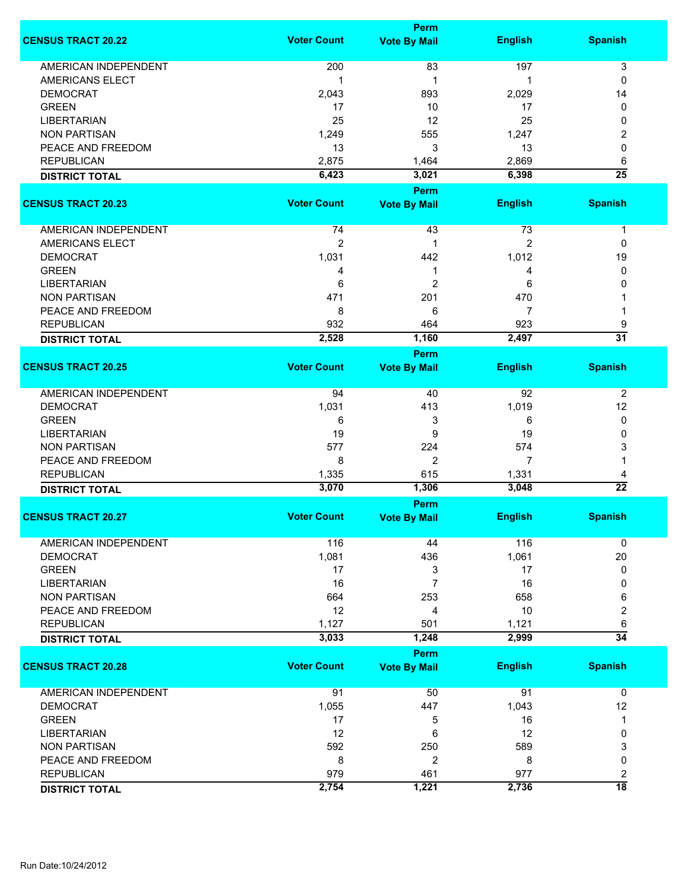|                             | <b>Perm</b>        |                     |                |                 |
|-----------------------------|--------------------|---------------------|----------------|-----------------|
| <b>CENSUS TRACT 20.22</b>   | <b>Voter Count</b> | <b>Vote By Mail</b> | <b>English</b> | <b>Spanish</b>  |
| <b>AMERICAN INDEPENDENT</b> | 200                | 83                  | 197            | 3               |
| AMERICANS ELECT             | -1                 | 1                   | -1             | 0               |
| <b>DEMOCRAT</b>             | 2,043              | 893                 | 2,029          | 14              |
| <b>GREEN</b>                | 17                 | 10                  | 17             | 0               |
| <b>LIBERTARIAN</b>          | 25                 | 12                  | 25             | 0               |
| <b>NON PARTISAN</b>         | 1,249              | 555                 | 1,247          | 2               |
| PEACE AND FREEDOM           | 13                 | 3                   | 13             | 0               |
| <b>REPUBLICAN</b>           | 2,875              | 1,464               | 2,869          | 6               |
|                             | 6,423              | 3,021               | 6,398          | $\overline{25}$ |
| <b>DISTRICT TOTAL</b>       |                    |                     |                |                 |
|                             |                    | <b>Perm</b>         |                |                 |
| <b>CENSUS TRACT 20.23</b>   | <b>Voter Count</b> | <b>Vote By Mail</b> | <b>English</b> | <b>Spanish</b>  |
| AMERICAN INDEPENDENT        | 74                 | 43                  | 73             | $\mathbf 1$     |
| <b>AMERICANS ELECT</b>      | $\overline{2}$     | 1                   | 2              | 0               |
| <b>DEMOCRAT</b>             | 1,031              | 442                 | 1,012          | 19              |
| <b>GREEN</b>                | 4                  | 1                   | 4              | 0               |
| <b>LIBERTARIAN</b>          | 6                  | 2                   | 6              | 0               |
| <b>NON PARTISAN</b>         | 471                | 201                 | 470            |                 |
| PEACE AND FREEDOM           | 8                  | 6                   | 7              |                 |
| <b>REPUBLICAN</b>           | 932                | 464                 | 923            | 9               |
| <b>DISTRICT TOTAL</b>       | 2,528              | 1,160               | 2,497          | $\overline{31}$ |
|                             |                    | <b>Perm</b>         |                |                 |
| <b>CENSUS TRACT 20.25</b>   | <b>Voter Count</b> | <b>Vote By Mail</b> | <b>English</b> | <b>Spanish</b>  |
|                             |                    |                     |                |                 |
| AMERICAN INDEPENDENT        | 94                 | 40                  | 92             | $\overline{2}$  |
| <b>DEMOCRAT</b>             | 1,031              | 413                 | 1,019          | 12              |
| <b>GREEN</b>                | 6                  | 3                   | 6              | 0               |
| <b>LIBERTARIAN</b>          | 19                 | 9                   | 19             | 0               |
| <b>NON PARTISAN</b>         | 577                | 224                 | 574            | 3               |
| PEACE AND FREEDOM           | 8                  | $\overline{c}$      | 7              | 1               |
| <b>REPUBLICAN</b>           | 1,335              | 615                 | 1,331          | 4               |
| <b>DISTRICT TOTAL</b>       | 3,070              | 1,306               | 3,048          | $\overline{22}$ |
|                             |                    | <b>Perm</b>         |                |                 |
| <b>CENSUS TRACT 20.27</b>   | <b>Voter Count</b> | <b>Vote By Mail</b> | <b>English</b> | <b>Spanish</b>  |
|                             |                    |                     |                |                 |
| AMERICAN INDEPENDENT        | 116                | 44                  | 116            | 0               |
| <b>DEMOCRAT</b>             | 1,081              | 436                 | 1,061          | 20              |
| <b>GREEN</b>                | 17                 | 3                   | 17             | 0               |
| <b>LIBERTARIAN</b>          | 16                 | $\overline{7}$      | 16             | 0               |
| <b>NON PARTISAN</b>         | 664                | 253                 | 658            | 6               |
| PEACE AND FREEDOM           | 12                 | 4                   | 10             | $\overline{2}$  |
| <b>REPUBLICAN</b>           | 1,127              | 501                 | 1,121          | 6               |
| <b>DISTRICT TOTAL</b>       | 3,033              | 1,248               | 2,999          | $\overline{34}$ |
|                             |                    | Perm                |                |                 |
| <b>CENSUS TRACT 20.28</b>   | <b>Voter Count</b> | <b>Vote By Mail</b> | <b>English</b> | <b>Spanish</b>  |
| <b>AMERICAN INDEPENDENT</b> | 91                 | 50                  | 91             | $\mathbf 0$     |
| <b>DEMOCRAT</b>             | 1,055              | 447                 | 1,043          | 12              |
| <b>GREEN</b>                | 17                 | 5                   | 16             | 1               |
| <b>LIBERTARIAN</b>          | 12                 | 6                   | 12             | 0               |
| <b>NON PARTISAN</b>         | 592                | 250                 | 589            | 3               |
| PEACE AND FREEDOM           | 8                  | $\overline{2}$      | 8              | 0               |
| <b>REPUBLICAN</b>           | 979                | 461                 | 977            | 2               |
| <b>DISTRICT TOTAL</b>       | 2,754              | 1,221               | 2,736          | $\overline{18}$ |
|                             |                    |                     |                |                 |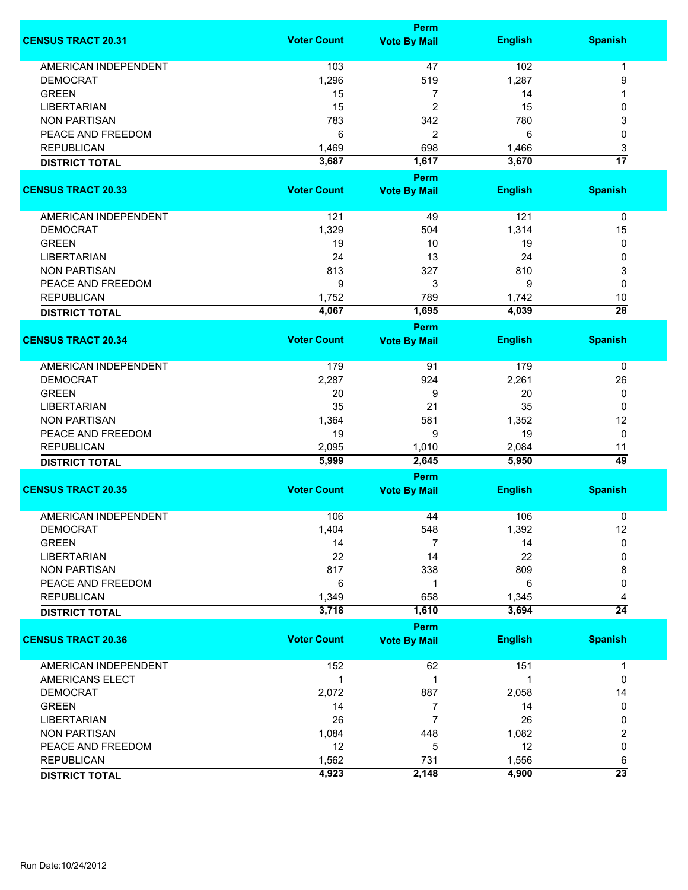|                             |                    | <b>Perm</b>         |                |                 |
|-----------------------------|--------------------|---------------------|----------------|-----------------|
| <b>CENSUS TRACT 20.31</b>   | <b>Voter Count</b> | <b>Vote By Mail</b> | <b>English</b> | <b>Spanish</b>  |
| <b>AMERICAN INDEPENDENT</b> | 103                | 47                  | 102            | 1               |
| <b>DEMOCRAT</b>             | 1,296              | 519                 | 1,287          | 9               |
| <b>GREEN</b>                |                    | 7                   |                |                 |
| <b>LIBERTARIAN</b>          | 15<br>15           |                     | 14             |                 |
|                             |                    | $\overline{c}$      | 15             | 0               |
| <b>NON PARTISAN</b>         | 783                | 342                 | 780            | 3               |
| PEACE AND FREEDOM           | 6                  | $\overline{2}$      | 6              | 0               |
| <b>REPUBLICAN</b>           | 1,469              | 698                 | 1,466          | 3               |
| <b>DISTRICT TOTAL</b>       | 3,687              | 1,617               | 3,670          | $\overline{17}$ |
|                             |                    | <b>Perm</b>         |                |                 |
| <b>CENSUS TRACT 20.33</b>   | <b>Voter Count</b> | <b>Vote By Mail</b> | <b>English</b> | <b>Spanish</b>  |
| AMERICAN INDEPENDENT        | 121                | 49                  | 121            | 0               |
| <b>DEMOCRAT</b>             | 1,329              | 504                 | 1,314          | 15              |
| <b>GREEN</b>                | 19                 | 10                  | 19             | 0               |
| <b>LIBERTARIAN</b>          | 24                 | 13                  | 24             | 0               |
| <b>NON PARTISAN</b>         | 813                | 327                 | 810            | 3               |
| PEACE AND FREEDOM           | 9                  | 3                   | 9              | $\mathbf 0$     |
| <b>REPUBLICAN</b>           | 1,752              | 789                 | 1,742          | 10              |
| <b>DISTRICT TOTAL</b>       | 4,067              | 1,695               | 4,039          | $\overline{28}$ |
|                             |                    | <b>Perm</b>         |                |                 |
| <b>CENSUS TRACT 20.34</b>   | <b>Voter Count</b> | <b>Vote By Mail</b> | <b>English</b> | <b>Spanish</b>  |
|                             |                    |                     |                |                 |
| <b>AMERICAN INDEPENDENT</b> | 179                | 91                  | 179            | 0               |
| <b>DEMOCRAT</b>             | 2,287              | 924                 | 2,261          | 26              |
| <b>GREEN</b>                | 20                 | 9                   | 20             | 0               |
| <b>LIBERTARIAN</b>          | 35                 | 21                  | 35             | 0               |
| <b>NON PARTISAN</b>         | 1,364              | 581                 | 1,352          | 12              |
| PEACE AND FREEDOM           | 19                 | 9                   | 19             | $\mathbf 0$     |
| <b>REPUBLICAN</b>           | 2,095              | 1,010               | 2,084          | 11              |
| <b>DISTRICT TOTAL</b>       | 5,999              | 2,645               | 5,950          | 49              |
|                             |                    | <b>Perm</b>         |                |                 |
| <b>CENSUS TRACT 20.35</b>   | <b>Voter Count</b> | <b>Vote By Mail</b> | <b>English</b> | <b>Spanish</b>  |
|                             |                    |                     |                |                 |
| <b>AMERICAN INDEPENDENT</b> | 106                | 44                  | 106            | 0               |
| DEMOCRAT                    | 1,404              | 548                 | 1,392          | 12              |
| <b>GREEN</b>                | 14                 | 7                   | 14             | 0               |
| <b>LIBERTARIAN</b>          | 22                 | 14                  | 22             | 0               |
| <b>NON PARTISAN</b>         | 817                | 338                 | 809            | 8               |
| PEACE AND FREEDOM           | 6                  | 1                   | 6              | 0               |
| <b>REPUBLICAN</b>           | 1,349              | 658                 | 1,345          | 4               |
| <b>DISTRICT TOTAL</b>       | 3,718              | 1,610               | 3,694          | $\overline{24}$ |
|                             |                    | <b>Perm</b>         |                |                 |
| <b>CENSUS TRACT 20.36</b>   | <b>Voter Count</b> | <b>Vote By Mail</b> | <b>English</b> | <b>Spanish</b>  |
|                             |                    |                     |                |                 |
| <b>AMERICAN INDEPENDENT</b> | 152                | 62                  | 151            | 1               |
| AMERICANS ELECT             | 1                  | 1                   | 1              | 0               |
| <b>DEMOCRAT</b>             | 2,072              | 887                 | 2,058          | 14              |
| <b>GREEN</b>                | 14                 | 7                   | 14             | 0               |
| <b>LIBERTARIAN</b>          | 26                 | 7                   | 26             | 0               |
| <b>NON PARTISAN</b>         | 1,084              | 448                 | 1,082          | 2               |
| PEACE AND FREEDOM           | 12                 | 5                   | 12             | 0               |
| <b>REPUBLICAN</b>           | 1,562              | 731                 | 1,556          | 6               |
| <b>DISTRICT TOTAL</b>       | 4,923              | 2,148               | 4,900          | $\overline{23}$ |
|                             |                    |                     |                |                 |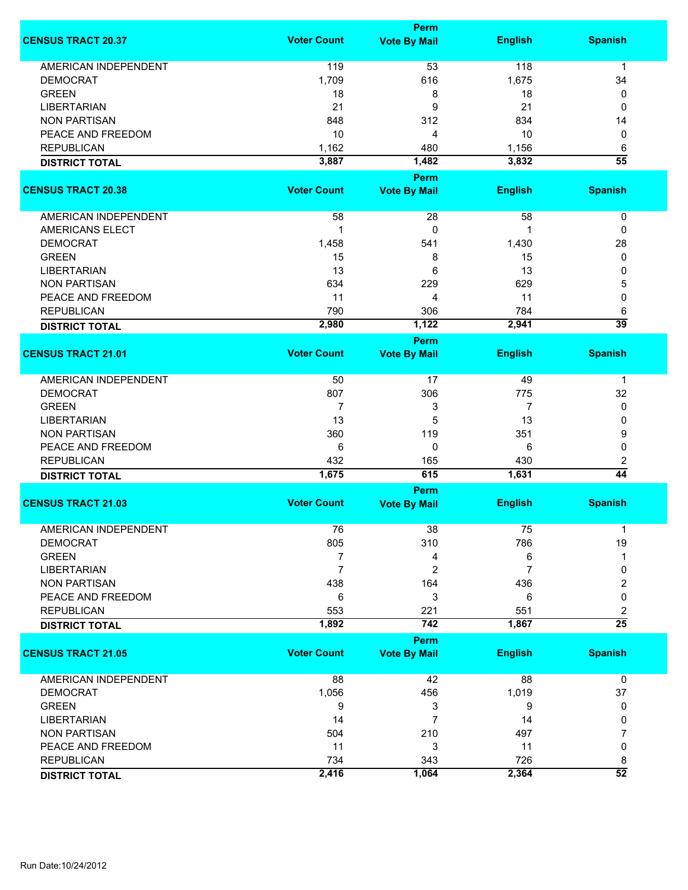|                             | Perm               |                     |                |                      |  |
|-----------------------------|--------------------|---------------------|----------------|----------------------|--|
| <b>CENSUS TRACT 20.37</b>   | <b>Voter Count</b> | <b>Vote By Mail</b> | <b>English</b> | <b>Spanish</b>       |  |
| <b>AMERICAN INDEPENDENT</b> | 119                | 53                  | 118            | $\mathbf 1$          |  |
| <b>DEMOCRAT</b>             | 1,709              | 616                 | 1,675          | 34                   |  |
| <b>GREEN</b>                | 18                 | 8                   | 18             | 0                    |  |
| <b>LIBERTARIAN</b>          | 21                 | 9                   | 21             | 0                    |  |
| <b>NON PARTISAN</b>         | 848                | 312                 | 834            | 14                   |  |
| PEACE AND FREEDOM           | 10                 |                     | 10             |                      |  |
|                             |                    | 4                   |                | 0                    |  |
| <b>REPUBLICAN</b>           | 1,162              | 480                 | 1,156          | 6                    |  |
| <b>DISTRICT TOTAL</b>       | 3,887              | 1,482               | 3,832          | $\overline{55}$      |  |
|                             |                    | Perm                |                |                      |  |
| <b>CENSUS TRACT 20.38</b>   | <b>Voter Count</b> | <b>Vote By Mail</b> | <b>English</b> | <b>Spanish</b>       |  |
| AMERICAN INDEPENDENT        | 58                 | 28                  | 58             | 0                    |  |
| <b>AMERICANS ELECT</b>      | 1                  | 0                   |                | 0                    |  |
| <b>DEMOCRAT</b>             | 1,458              | 541                 | 1,430          | 28                   |  |
| <b>GREEN</b>                | 15                 | 8                   | 15             | 0                    |  |
| <b>LIBERTARIAN</b>          | 13                 | 6                   | 13             | 0                    |  |
| <b>NON PARTISAN</b>         | 634                |                     |                |                      |  |
|                             |                    | 229                 | 629            | 5                    |  |
| PEACE AND FREEDOM           | 11                 | 4                   | 11             | 0                    |  |
| <b>REPUBLICAN</b>           | 790<br>2,980       | 306<br>1,122        | 784<br>2,941   | 6<br>$\overline{39}$ |  |
| <b>DISTRICT TOTAL</b>       |                    |                     |                |                      |  |
|                             |                    | Perm                |                |                      |  |
| <b>CENSUS TRACT 21.01</b>   | <b>Voter Count</b> | <b>Vote By Mail</b> | <b>English</b> | <b>Spanish</b>       |  |
| AMERICAN INDEPENDENT        | 50                 | 17                  | 49             | $\mathbf 1$          |  |
| <b>DEMOCRAT</b>             | 807                | 306                 | 775            | 32                   |  |
| <b>GREEN</b>                | 7                  | 3                   | 7              | 0                    |  |
| <b>LIBERTARIAN</b>          | 13                 | 5                   | 13             | 0                    |  |
| <b>NON PARTISAN</b>         | 360                | 119                 | 351            | 9                    |  |
| PEACE AND FREEDOM           | 6                  | 0                   | 6              | 0                    |  |
| <b>REPUBLICAN</b>           | 432                | 165                 | 430            | 2                    |  |
|                             | 1,675              | 615                 | 1,631          | $\overline{44}$      |  |
| <b>DISTRICT TOTAL</b>       |                    | Perm                |                |                      |  |
| <b>CENSUS TRACT 21.03</b>   | <b>Voter Count</b> | <b>Vote By Mail</b> | <b>English</b> | <b>Spanish</b>       |  |
|                             |                    |                     |                |                      |  |
| <b>AMERICAN INDEPENDENT</b> | 76                 | 38                  | 75             |                      |  |
| <b>DEMOCRAT</b>             | 805                | 310                 | 786            | 19                   |  |
| <b>GREEN</b>                | 7                  | 4                   | 6              |                      |  |
| <b>LIBERTARIAN</b>          | $\overline{7}$     | 2                   | $\overline{7}$ | 0                    |  |
| <b>NON PARTISAN</b>         | 438                | 164                 | 436            | 2                    |  |
| PEACE AND FREEDOM           | 6                  | 3                   | 6              | 0                    |  |
| <b>REPUBLICAN</b>           | 553                | 221                 | 551            | 2                    |  |
| <b>DISTRICT TOTAL</b>       | 1,892              | 742                 | 1,867          | $\overline{25}$      |  |
|                             |                    | Perm                |                |                      |  |
| <b>CENSUS TRACT 21.05</b>   | <b>Voter Count</b> | <b>Vote By Mail</b> | <b>English</b> | <b>Spanish</b>       |  |
| AMERICAN INDEPENDENT        | 88                 | 42                  | 88             | 0                    |  |
| <b>DEMOCRAT</b>             | 1,056              | 456                 | 1,019          | 37                   |  |
| <b>GREEN</b>                | 9                  | 3                   | 9              | 0                    |  |
| <b>LIBERTARIAN</b>          | 14                 | 7                   | 14             | 0                    |  |
| <b>NON PARTISAN</b>         | 504                | 210                 | 497            | 7                    |  |
| PEACE AND FREEDOM           | 11                 | 3                   | 11             | 0                    |  |
| <b>REPUBLICAN</b>           | 734                | 343                 | 726            | 8                    |  |
| <b>DISTRICT TOTAL</b>       | 2,416              | 1,064               | 2,364          | $\overline{52}$      |  |
|                             |                    |                     |                |                      |  |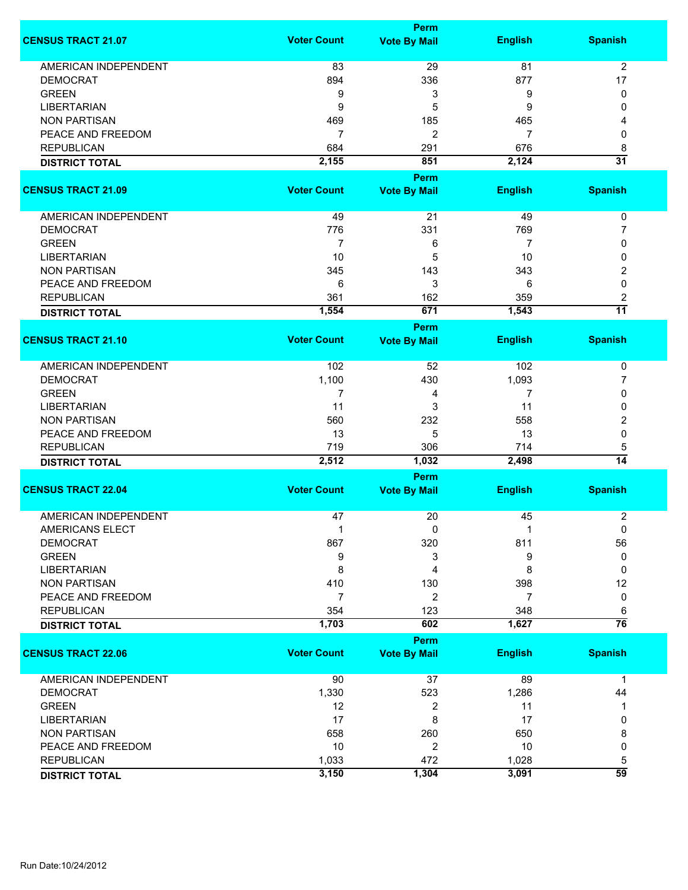|                             |                    | Perm                        |                |                      |
|-----------------------------|--------------------|-----------------------------|----------------|----------------------|
| <b>CENSUS TRACT 21.07</b>   | <b>Voter Count</b> | <b>Vote By Mail</b>         | <b>English</b> | <b>Spanish</b>       |
| <b>AMERICAN INDEPENDENT</b> | 83                 | 29                          | 81             | $\overline{2}$       |
| <b>DEMOCRAT</b>             | 894                | 336                         | 877            | 17                   |
| <b>GREEN</b>                | 9                  | 3                           | 9              | 0                    |
|                             |                    |                             |                |                      |
| <b>LIBERTARIAN</b>          | 9                  | 5                           | 9              | 0                    |
| <b>NON PARTISAN</b>         | 469                | 185                         | 465            | 4                    |
| PEACE AND FREEDOM           | $\overline{7}$     | $\overline{c}$              | $\overline{7}$ | 0                    |
| <b>REPUBLICAN</b>           | 684                | 291                         | 676            | 8                    |
| <b>DISTRICT TOTAL</b>       | 2,155              | 851                         | 2,124          | $\overline{31}$      |
|                             |                    | Perm                        |                |                      |
| <b>CENSUS TRACT 21.09</b>   | <b>Voter Count</b> | <b>Vote By Mail</b>         | <b>English</b> | <b>Spanish</b>       |
| AMERICAN INDEPENDENT        | 49                 | 21                          | 49             | 0                    |
| <b>DEMOCRAT</b>             | 776                | 331                         | 769            | 7                    |
| <b>GREEN</b>                | $\overline{7}$     | 6                           | 7              | 0                    |
| <b>LIBERTARIAN</b>          | 10                 | 5                           | 10             | 0                    |
| <b>NON PARTISAN</b>         | 345                | 143                         | 343            | 2                    |
| PEACE AND FREEDOM           | 6                  | 3                           | 6              | 0                    |
| <b>REPUBLICAN</b>           | 361                | 162                         | 359            |                      |
|                             | 1,554              | 671                         | 1,543          | 2<br>$\overline{11}$ |
| <b>DISTRICT TOTAL</b>       |                    |                             |                |                      |
|                             |                    | Perm                        |                |                      |
| <b>CENSUS TRACT 21.10</b>   | <b>Voter Count</b> | <b>Vote By Mail</b>         | <b>English</b> | <b>Spanish</b>       |
| AMERICAN INDEPENDENT        | 102                | 52                          | 102            | 0                    |
| <b>DEMOCRAT</b>             | 1,100              | 430                         | 1,093          | $\overline{7}$       |
| <b>GREEN</b>                | 7                  | 4                           | 7              | 0                    |
| <b>LIBERTARIAN</b>          | 11                 | 3                           | 11             | 0                    |
| <b>NON PARTISAN</b>         | 560                | 232                         | 558            | 2                    |
| PEACE AND FREEDOM           | 13                 | 5                           | 13             | 0                    |
| <b>REPUBLICAN</b>           | 719                | 306                         | 714            | 5                    |
| <b>DISTRICT TOTAL</b>       | 2,512              | 1,032                       | 2,498          | $\overline{14}$      |
|                             |                    |                             |                |                      |
| <b>CENSUS TRACT 22.04</b>   | <b>Voter Count</b> | Perm<br><b>Vote By Mail</b> | <b>English</b> | <b>Spanish</b>       |
|                             |                    |                             |                |                      |
| <b>AMERICAN INDEPENDENT</b> | 47                 | 20                          | 45             | 2                    |
| AMERICANS ELECT             | 1                  | 0                           |                | 0                    |
| <b>DEMOCRAT</b>             | 867                | 320                         | 811            | 56                   |
| <b>GREEN</b>                | 9                  | 3                           | 9              | 0                    |
| <b>LIBERTARIAN</b>          | 8                  | 4                           | 8              | 0                    |
| <b>NON PARTISAN</b>         | 410                | 130                         | 398            | 12                   |
| PEACE AND FREEDOM           | 7                  | 2                           | 7              | 0                    |
| <b>REPUBLICAN</b>           | 354                | 123                         | 348            | 6                    |
| <b>DISTRICT TOTAL</b>       | 1,703              | 602                         | 1,627          | $\overline{76}$      |
|                             |                    | Perm                        |                |                      |
| <b>CENSUS TRACT 22.06</b>   | <b>Voter Count</b> | <b>Vote By Mail</b>         | <b>English</b> | <b>Spanish</b>       |
| <b>AMERICAN INDEPENDENT</b> | 90                 | 37                          | 89             | $\mathbf{1}$         |
| <b>DEMOCRAT</b>             | 1,330              | 523                         | 1,286          | 44                   |
| <b>GREEN</b>                | 12                 | 2                           | 11             |                      |
| <b>LIBERTARIAN</b>          | 17                 | 8                           | 17             | 0                    |
| <b>NON PARTISAN</b>         | 658                | 260                         | 650            | 8                    |
|                             | 10                 |                             | 10             |                      |
| PEACE AND FREEDOM           |                    | 2                           |                | 0                    |
| <b>REPUBLICAN</b>           | 1,033              | 472                         | 1,028          | 5                    |
| <b>DISTRICT TOTAL</b>       | 3,150              | 1,304                       | 3,091          | $\overline{59}$      |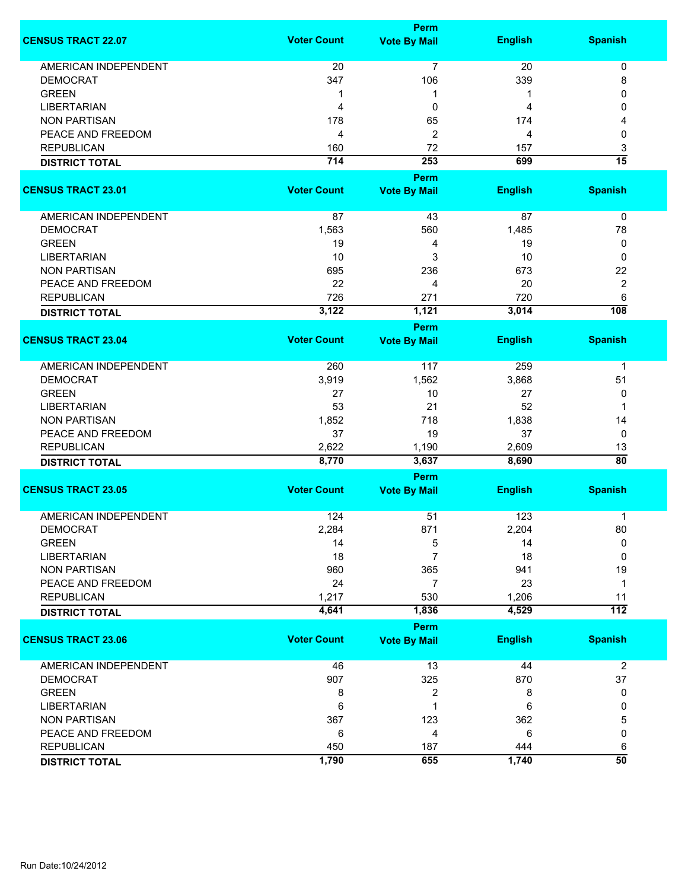|                             |                    | <b>Perm</b>         |                |                      |
|-----------------------------|--------------------|---------------------|----------------|----------------------|
| <b>CENSUS TRACT 22.07</b>   | <b>Voter Count</b> | <b>Vote By Mail</b> | <b>English</b> | <b>Spanish</b>       |
| <b>AMERICAN INDEPENDENT</b> | 20                 | 7                   | 20             | 0                    |
| <b>DEMOCRAT</b>             | 347                | 106                 | 339            | 8                    |
| <b>GREEN</b>                | 1                  | 1                   | 1              | 0                    |
| <b>LIBERTARIAN</b>          | 4                  | 0                   | 4              | 0                    |
| <b>NON PARTISAN</b>         | 178                | 65                  | 174            | 4                    |
| PEACE AND FREEDOM           | 4                  | 2                   | 4              | 0                    |
| <b>REPUBLICAN</b>           |                    |                     |                |                      |
|                             | 160                | 72                  | 157            | 3<br>$\overline{15}$ |
| <b>DISTRICT TOTAL</b>       | 714                | 253                 | 699            |                      |
|                             |                    | <b>Perm</b>         |                |                      |
| <b>CENSUS TRACT 23.01</b>   | <b>Voter Count</b> | <b>Vote By Mail</b> | <b>English</b> | <b>Spanish</b>       |
| AMERICAN INDEPENDENT        | 87                 | 43                  | 87             | 0                    |
| <b>DEMOCRAT</b>             | 1,563              | 560                 | 1,485          | 78                   |
| <b>GREEN</b>                | 19                 | 4                   | 19             | 0                    |
| <b>LIBERTARIAN</b>          | 10                 | 3                   | 10             | 0                    |
| <b>NON PARTISAN</b>         | 695                | 236                 | 673            | 22                   |
| PEACE AND FREEDOM           | 22                 | 4                   | 20             | $\overline{2}$       |
| <b>REPUBLICAN</b>           | 726                | 271                 | 720            | 6                    |
|                             | 3,122              | 1,121               | 3,014          | $\overline{108}$     |
| <b>DISTRICT TOTAL</b>       |                    | Perm                |                |                      |
| <b>CENSUS TRACT 23.04</b>   | <b>Voter Count</b> | <b>Vote By Mail</b> | <b>English</b> | <b>Spanish</b>       |
|                             |                    |                     |                |                      |
| <b>AMERICAN INDEPENDENT</b> | 260                | 117                 | 259            | 1                    |
| <b>DEMOCRAT</b>             | 3,919              | 1,562               | 3,868          | 51                   |
| <b>GREEN</b>                | 27                 | 10                  | 27             | 0                    |
| <b>LIBERTARIAN</b>          | 53                 | 21                  | 52             | 1                    |
| <b>NON PARTISAN</b>         | 1,852              | 718                 | 1,838          | 14                   |
| PEACE AND FREEDOM           | 37                 | 19                  | 37             | 0                    |
| <b>REPUBLICAN</b>           | 2,622              | 1,190               | 2,609          | 13                   |
| <b>DISTRICT TOTAL</b>       | 8,770              | 3,637               | 8,690          | $\overline{80}$      |
|                             |                    | <b>Perm</b>         |                |                      |
| <b>CENSUS TRACT 23.05</b>   | <b>Voter Count</b> | <b>Vote By Mail</b> | <b>English</b> | <b>Spanish</b>       |
| <b>AMERICAN INDEPENDENT</b> | 124                | 51                  | 123            | 1                    |
| <b>DEMOCRAT</b>             | 2,284              | 871                 | 2,204          | 80                   |
| <b>GREEN</b>                | 14                 | 5                   | 14             | 0                    |
| <b>LIBERTARIAN</b>          | 18                 | 7                   | 18             | $\Omega$             |
| <b>NON PARTISAN</b>         | 960                | 365                 | 941            | 19                   |
| PEACE AND FREEDOM           | 24                 | 7                   | 23             | 1                    |
| <b>REPUBLICAN</b>           | 1,217              | 530                 | 1,206          | 11                   |
| <b>DISTRICT TOTAL</b>       | 4,641              | 1,836               | 4,529          | $\overline{112}$     |
|                             |                    | <b>Perm</b>         |                |                      |
| <b>CENSUS TRACT 23.06</b>   | <b>Voter Count</b> | <b>Vote By Mail</b> | <b>English</b> | <b>Spanish</b>       |
|                             |                    |                     |                |                      |
| <b>AMERICAN INDEPENDENT</b> | 46                 | 13                  | 44             | $\overline{2}$       |
| <b>DEMOCRAT</b>             | 907                | 325                 | 870            | 37                   |
| <b>GREEN</b>                | 8                  | 2                   | 8              | 0                    |
| <b>LIBERTARIAN</b>          | 6                  | 1                   | 6              | 0                    |
| <b>NON PARTISAN</b>         | 367                | 123                 | 362            | 5                    |
| PEACE AND FREEDOM           | 6                  | 4                   | 6              | 0                    |
| <b>REPUBLICAN</b>           | 450                | 187                 | 444            | 6                    |
| <b>DISTRICT TOTAL</b>       | 1,790              | 655                 | 1,740          | $\overline{50}$      |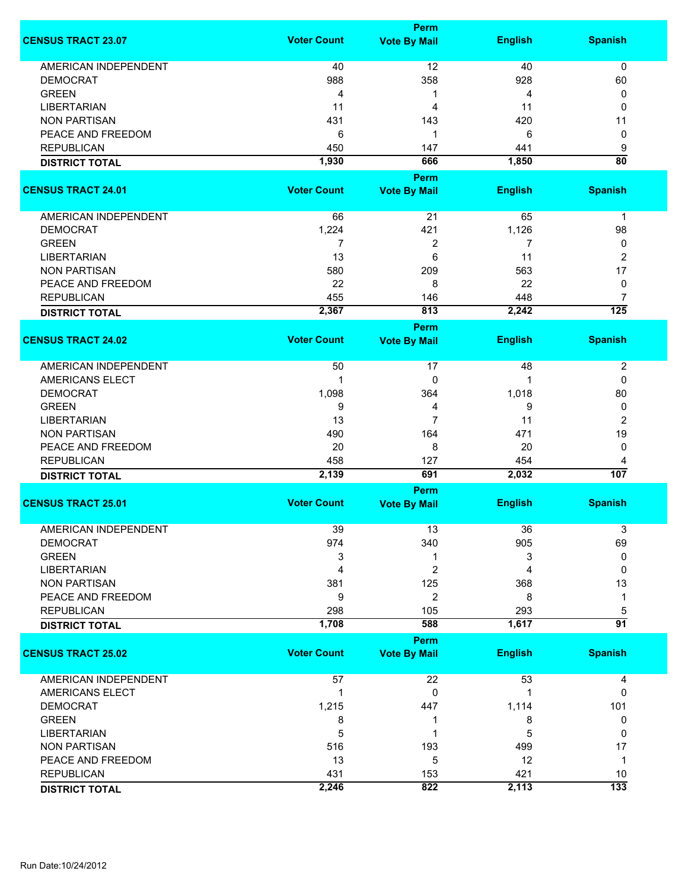|                                        |                    | <b>Perm</b>         |                |                  |
|----------------------------------------|--------------------|---------------------|----------------|------------------|
| <b>CENSUS TRACT 23.07</b>              | <b>Voter Count</b> | <b>Vote By Mail</b> | <b>English</b> | <b>Spanish</b>   |
| <b>AMERICAN INDEPENDENT</b>            | 40                 | 12                  | 40             | $\mathbf 0$      |
| <b>DEMOCRAT</b>                        | 988                | 358                 | 928            | 60               |
| <b>GREEN</b>                           | 4                  | 1                   | 4              | 0                |
| <b>LIBERTARIAN</b>                     | 11                 | 4                   | 11             | 0                |
| <b>NON PARTISAN</b>                    |                    |                     |                |                  |
|                                        | 431                | 143                 | 420            | 11               |
| PEACE AND FREEDOM<br><b>REPUBLICAN</b> | 6                  | 1                   | 6              | 0                |
|                                        | 450                | 147                 | 441            | 9                |
| <b>DISTRICT TOTAL</b>                  | 1,930              | 666                 | 1,850          | $\overline{80}$  |
|                                        |                    | <b>Perm</b>         |                |                  |
| <b>CENSUS TRACT 24.01</b>              | <b>Voter Count</b> | <b>Vote By Mail</b> | <b>English</b> | <b>Spanish</b>   |
|                                        |                    |                     |                |                  |
| <b>AMERICAN INDEPENDENT</b>            | 66                 | 21                  | 65             | $\mathbf 1$      |
| <b>DEMOCRAT</b>                        | 1,224              | 421                 | 1,126          | 98               |
| <b>GREEN</b>                           | 7                  | $\overline{c}$      | 7              | 0                |
| <b>LIBERTARIAN</b>                     | 13                 | 6                   | 11             | 2                |
| <b>NON PARTISAN</b>                    | 580                | 209                 | 563            | 17               |
| PEACE AND FREEDOM                      | 22                 | 8                   | 22             | 0                |
| <b>REPUBLICAN</b>                      | 455                | 146                 | 448            | 7                |
| <b>DISTRICT TOTAL</b>                  | 2,367              | 813                 | 2,242          | $\overline{125}$ |
|                                        |                    | <b>Perm</b>         |                |                  |
| <b>CENSUS TRACT 24.02</b>              | <b>Voter Count</b> | <b>Vote By Mail</b> | <b>English</b> | <b>Spanish</b>   |
| <b>AMERICAN INDEPENDENT</b>            | 50                 | 17                  | 48             | $\boldsymbol{2}$ |
| <b>AMERICANS ELECT</b>                 | 1                  | 0                   | 1              | 0                |
| <b>DEMOCRAT</b>                        | 1,098              | 364                 | 1,018          | 80               |
| <b>GREEN</b>                           | 9                  | 4                   | 9              | 0                |
| <b>LIBERTARIAN</b>                     | 13                 | $\overline{7}$      | 11             | 2                |
| <b>NON PARTISAN</b>                    | 490                | 164                 | 471            | 19               |
| PEACE AND FREEDOM                      | 20                 | 8                   | 20             | 0                |
| <b>REPUBLICAN</b>                      | 458                | 127                 | 454            | 4                |
| <b>DISTRICT TOTAL</b>                  | 2,139              | 691                 | 2,032          | 107              |
|                                        |                    | <b>Perm</b>         |                |                  |
| <b>CENSUS TRACT 25.01</b>              | <b>Voter Count</b> | <b>Vote By Mail</b> | <b>English</b> | <b>Spanish</b>   |
| <b>AMERICAN INDEPENDENT</b>            | 39                 | 13                  | 36             | 3                |
| <b>DEMOCRAT</b>                        | 974                | 340                 | 905            | 69               |
| <b>GREEN</b>                           | 3                  | 1                   | 3              | 0                |
| <b>LIBERTARIAN</b>                     | 4                  | $\overline{c}$      | 4              | 0                |
| <b>NON PARTISAN</b>                    | 381                | 125                 | 368            | 13               |
| PEACE AND FREEDOM                      | 9                  | $\overline{c}$      | 8              | 1                |
| <b>REPUBLICAN</b>                      | 298                | 105                 | 293            | 5                |
| <b>DISTRICT TOTAL</b>                  | 1,708              | 588                 | 1,617          | $\overline{91}$  |
|                                        |                    | <b>Perm</b>         |                |                  |
| <b>CENSUS TRACT 25.02</b>              | <b>Voter Count</b> | <b>Vote By Mail</b> | <b>English</b> | <b>Spanish</b>   |
|                                        |                    |                     |                |                  |
| <b>AMERICAN INDEPENDENT</b>            | 57                 | 22                  | 53             | 4                |
| AMERICANS ELECT                        | 1                  | 0                   |                | 0                |
| <b>DEMOCRAT</b>                        | 1,215              | 447                 | 1,114          | 101              |
| <b>GREEN</b>                           | 8                  | 1                   | 8              | 0                |
| <b>LIBERTARIAN</b>                     | 5                  | 1                   | 5              | 0                |
| <b>NON PARTISAN</b>                    | 516                | 193                 | 499            | 17               |
| PEACE AND FREEDOM                      | 13                 | 5                   | 12             | 1                |
| <b>REPUBLICAN</b>                      | 431                | 153                 | 421            | 10               |
| <b>DISTRICT TOTAL</b>                  | 2,246              | 822                 | 2,113          | 133              |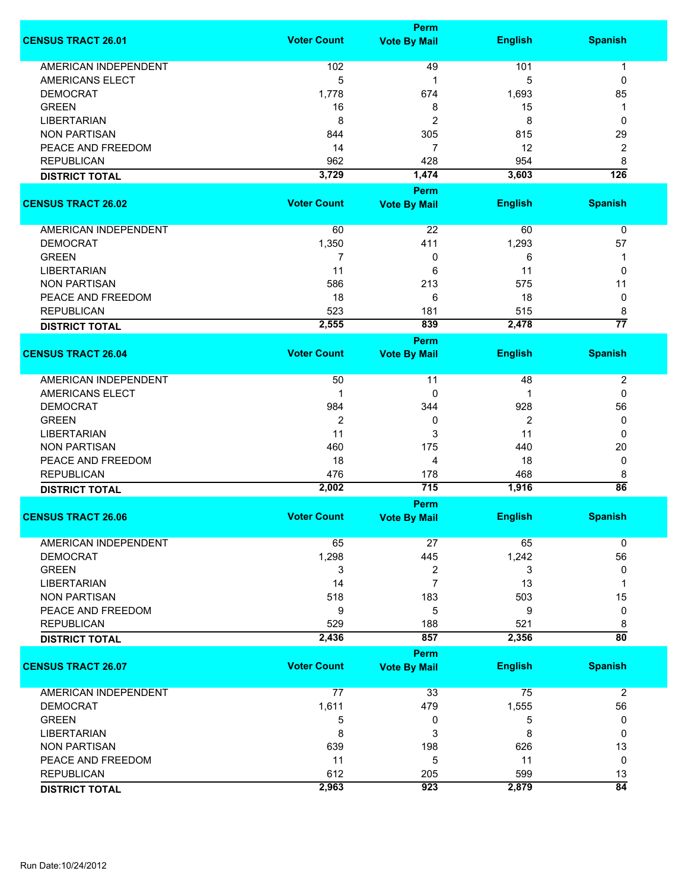|                             | Perm               |                     |                |                  |  |
|-----------------------------|--------------------|---------------------|----------------|------------------|--|
| <b>CENSUS TRACT 26.01</b>   | <b>Voter Count</b> | <b>Vote By Mail</b> | <b>English</b> | <b>Spanish</b>   |  |
| <b>AMERICAN INDEPENDENT</b> | 102                | 49                  | 101            | 1                |  |
| AMERICANS ELECT             | 5                  | 1                   | 5              | 0                |  |
| <b>DEMOCRAT</b>             | 1,778              | 674                 | 1,693          | 85               |  |
|                             |                    |                     |                |                  |  |
| <b>GREEN</b>                | 16                 | 8                   | 15             | 1                |  |
| <b>LIBERTARIAN</b>          | 8                  | $\overline{c}$      | 8              | 0                |  |
| <b>NON PARTISAN</b>         | 844                | 305                 | 815            | 29               |  |
| PEACE AND FREEDOM           | 14                 | 7                   | 12             | 2                |  |
| <b>REPUBLICAN</b>           | 962                | 428                 | 954            | 8                |  |
| <b>DISTRICT TOTAL</b>       | 3,729              | 1,474               | 3,603          | $\overline{126}$ |  |
|                             |                    | <b>Perm</b>         |                |                  |  |
| <b>CENSUS TRACT 26.02</b>   | <b>Voter Count</b> | <b>Vote By Mail</b> | <b>English</b> | <b>Spanish</b>   |  |
|                             |                    |                     |                |                  |  |
| AMERICAN INDEPENDENT        | 60                 | 22                  | 60             | 0                |  |
| <b>DEMOCRAT</b>             | 1,350              | 411                 | 1,293          | 57               |  |
| <b>GREEN</b>                |                    |                     |                |                  |  |
|                             | 7                  | 0                   | 6              | 1                |  |
| <b>LIBERTARIAN</b>          | 11                 | 6                   | 11             | 0                |  |
| <b>NON PARTISAN</b>         | 586                | 213                 | 575            | 11               |  |
| PEACE AND FREEDOM           | 18                 | 6                   | 18             | 0                |  |
| <b>REPUBLICAN</b>           | 523                | 181                 | 515            | 8                |  |
| <b>DISTRICT TOTAL</b>       | 2,555              | 839                 | 2,478          | $\overline{77}$  |  |
|                             |                    | Perm                |                |                  |  |
| <b>CENSUS TRACT 26.04</b>   | <b>Voter Count</b> | <b>Vote By Mail</b> | <b>English</b> | <b>Spanish</b>   |  |
|                             |                    |                     |                |                  |  |
| <b>AMERICAN INDEPENDENT</b> | 50                 | 11                  | 48             | $\boldsymbol{2}$ |  |
| <b>AMERICANS ELECT</b>      | 1                  | 0                   | 1              | 0                |  |
| <b>DEMOCRAT</b>             | 984                | 344                 | 928            | 56               |  |
| <b>GREEN</b>                | $\overline{2}$     | 0                   | 2              | 0                |  |
| <b>LIBERTARIAN</b>          | 11                 | 3                   | 11             | 0                |  |
| <b>NON PARTISAN</b>         | 460                | 175                 | 440            | 20               |  |
|                             |                    |                     |                |                  |  |
| PEACE AND FREEDOM           | 18                 | 4                   | 18             | 0                |  |
| <b>REPUBLICAN</b>           | 476                | 178                 | 468            | 8                |  |
| <b>DISTRICT TOTAL</b>       | 2,002              | 715                 | 1,916          | $\overline{86}$  |  |
|                             |                    | <b>Perm</b>         |                |                  |  |
| <b>CENSUS TRACT 26.06</b>   | <b>Voter Count</b> | <b>Vote By Mail</b> | <b>English</b> | <b>Spanish</b>   |  |
|                             |                    |                     |                |                  |  |
| <b>AMERICAN INDEPENDENT</b> | 65                 | 27                  | 65             | 0                |  |
| <b>DEMOCRAT</b>             | 1,298              | 445                 | 1,242          | 56               |  |
| <b>GREEN</b>                | 3                  | 2                   | 3              | 0                |  |
| <b>LIBERTARIAN</b>          | 14                 | 7                   | 13             | 1                |  |
| <b>NON PARTISAN</b>         | 518                | 183                 | 503            | 15               |  |
| PEACE AND FREEDOM           | 9                  | 5                   | 9              | 0                |  |
| <b>REPUBLICAN</b>           | 529                | 188                 | 521            | 8                |  |
| <b>DISTRICT TOTAL</b>       | 2,436              | 857                 | 2,356          | $\overline{80}$  |  |
|                             |                    | <b>Perm</b>         |                |                  |  |
| <b>CENSUS TRACT 26.07</b>   | <b>Voter Count</b> | <b>Vote By Mail</b> | <b>English</b> | <b>Spanish</b>   |  |
|                             |                    |                     |                |                  |  |
| <b>AMERICAN INDEPENDENT</b> | 77                 | 33                  | 75             | $\overline{2}$   |  |
| <b>DEMOCRAT</b>             | 1,611              | 479                 | 1,555          | 56               |  |
| <b>GREEN</b>                | 5                  |                     | 5              | 0                |  |
|                             |                    | 0                   |                |                  |  |
| <b>LIBERTARIAN</b>          | 8                  | 3                   | 8              | 0                |  |
| <b>NON PARTISAN</b>         | 639                | 198                 | 626            | 13               |  |
| PEACE AND FREEDOM           | 11                 | 5                   | 11             | 0                |  |
| <b>REPUBLICAN</b>           | 612                | 205                 | 599            | 13               |  |
| <b>DISTRICT TOTAL</b>       | 2,963              | 923                 | 2,879          | $\overline{84}$  |  |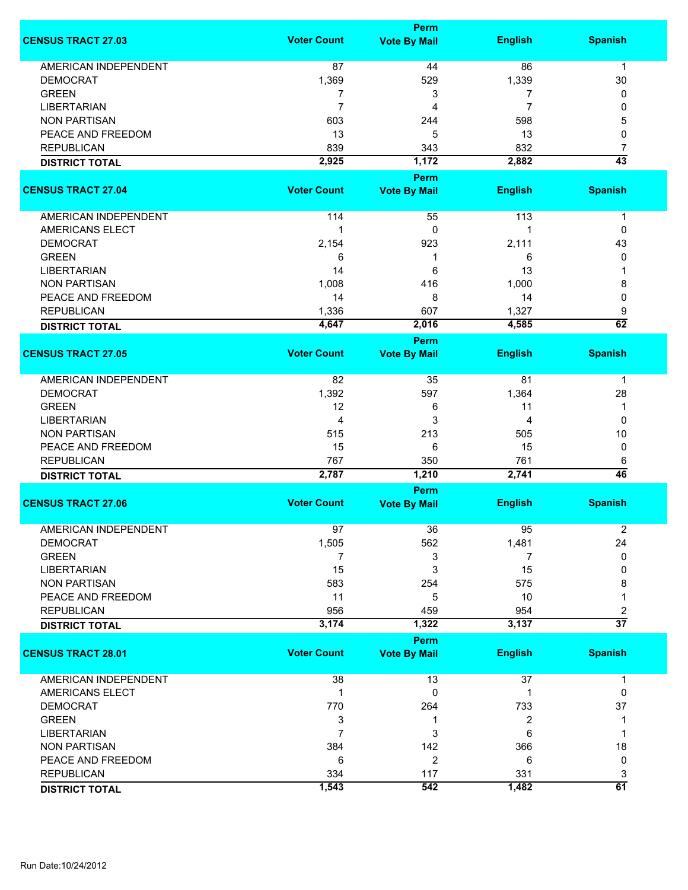|                             |                    | Perm                |                |                 |
|-----------------------------|--------------------|---------------------|----------------|-----------------|
| <b>CENSUS TRACT 27.03</b>   | <b>Voter Count</b> | <b>Vote By Mail</b> | <b>English</b> | <b>Spanish</b>  |
|                             |                    |                     |                |                 |
| <b>AMERICAN INDEPENDENT</b> | 87                 | 44                  | 86             | $\mathbf 1$     |
| <b>DEMOCRAT</b>             | 1,369              | 529                 | 1,339          | 30              |
| <b>GREEN</b>                | 7                  | 3                   | 7              | 0               |
| <b>LIBERTARIAN</b>          | 7                  | 4                   | 7              | 0               |
| <b>NON PARTISAN</b>         | 603                | 244                 | 598            | 5               |
| PEACE AND FREEDOM           | 13                 | 5                   | 13             | 0               |
| <b>REPUBLICAN</b>           | 839                | 343                 | 832            | 7               |
| <b>DISTRICT TOTAL</b>       | 2,925              | 1,172               | 2,882          | $\overline{43}$ |
|                             |                    | Perm                |                |                 |
| <b>CENSUS TRACT 27.04</b>   | <b>Voter Count</b> | <b>Vote By Mail</b> | <b>English</b> | <b>Spanish</b>  |
|                             |                    |                     |                |                 |
| AMERICAN INDEPENDENT        | 114                | 55                  | 113            | 1               |
| <b>AMERICANS ELECT</b>      | 1                  | 0                   |                | 0               |
| <b>DEMOCRAT</b>             | 2,154              | 923                 | 2,111          | 43              |
| <b>GREEN</b>                | 6                  | 1                   | 6              | 0               |
| <b>LIBERTARIAN</b>          | 14                 | 6                   | 13             |                 |
| <b>NON PARTISAN</b>         | 1,008              |                     | 1,000          |                 |
|                             |                    | 416                 |                | 8               |
| PEACE AND FREEDOM           | 14                 | 8                   | 14             | 0               |
| <b>REPUBLICAN</b>           | 1,336              | 607                 | 1,327          | 9               |
| <b>DISTRICT TOTAL</b>       | 4,647              | 2,016               | 4,585          | $\overline{62}$ |
|                             |                    | Perm                |                |                 |
| <b>CENSUS TRACT 27.05</b>   | <b>Voter Count</b> | <b>Vote By Mail</b> | <b>English</b> | <b>Spanish</b>  |
|                             |                    |                     |                |                 |
| AMERICAN INDEPENDENT        | 82                 | 35                  | 81             | $\mathbf 1$     |
| <b>DEMOCRAT</b>             | 1,392              | 597                 | 1,364          | 28              |
| <b>GREEN</b>                | 12                 | 6                   | 11             | 1               |
| <b>LIBERTARIAN</b>          | 4                  | 3                   | 4              | 0               |
| <b>NON PARTISAN</b>         | 515                | 213                 | 505            | 10              |
| PEACE AND FREEDOM           | 15                 | 6                   | 15             | 0               |
| <b>REPUBLICAN</b>           | 767                | 350                 | 761            | 6               |
| <b>DISTRICT TOTAL</b>       | 2,787              | 1,210               | 2,741          | 46              |
|                             |                    | Perm                |                |                 |
| <b>CENSUS TRACT 27.06</b>   | <b>Voter Count</b> | <b>Vote By Mail</b> | <b>English</b> | <b>Spanish</b>  |
|                             |                    |                     |                |                 |
| <b>AMERICAN INDEPENDENT</b> | 97                 | 36                  | 95             | 2               |
| <b>DEMOCRAT</b>             | 1,505              | 562                 | 1,481          | 24              |
| <b>GREEN</b>                | 7                  | 3                   | 7              | 0               |
| <b>LIBERTARIAN</b>          | 15                 | 3                   | 15             | 0               |
| <b>NON PARTISAN</b>         | 583                | 254                 | 575            | 8               |
| PEACE AND FREEDOM           | 11                 | 5                   | 10             | 1               |
| <b>REPUBLICAN</b>           | 956                | 459                 | 954            | 2               |
|                             | 3,174              | 1,322               | 3,137          | $\overline{37}$ |
| <b>DISTRICT TOTAL</b>       |                    |                     |                |                 |
|                             |                    | Perm                |                |                 |
| <b>CENSUS TRACT 28.01</b>   | <b>Voter Count</b> | <b>Vote By Mail</b> | <b>English</b> | <b>Spanish</b>  |
| AMERICAN INDEPENDENT        | 38                 | 13                  | 37             | 1               |
| AMERICANS ELECT             | 1                  | 0                   | 1              | 0               |
|                             |                    |                     |                |                 |
| <b>DEMOCRAT</b>             | 770                | 264                 | 733            | 37              |
| <b>GREEN</b>                | 3                  | 1                   | 2              | 1               |
| <b>LIBERTARIAN</b>          | 7                  | 3                   | 6              |                 |
| <b>NON PARTISAN</b>         | 384                | 142                 | 366            | 18              |
| PEACE AND FREEDOM           | 6                  | 2                   | 6              | 0               |
| <b>REPUBLICAN</b>           | 334                | 117                 | 331            | 3               |
| <b>DISTRICT TOTAL</b>       | 1,543              | 542                 | 1,482          | 61              |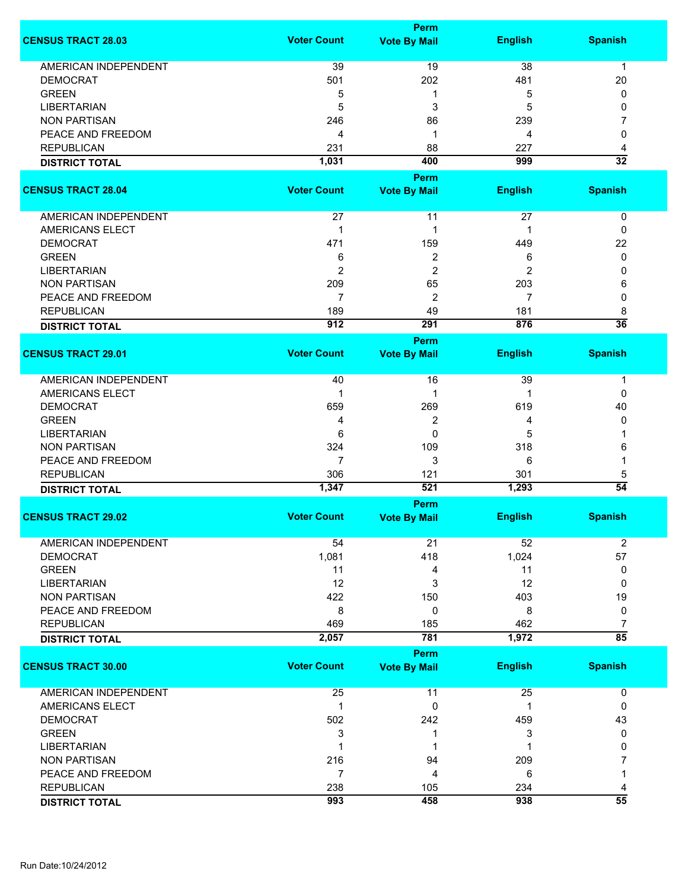|                                                |                    | Perm                |                |                 |
|------------------------------------------------|--------------------|---------------------|----------------|-----------------|
| <b>CENSUS TRACT 28.03</b>                      | <b>Voter Count</b> | <b>Vote By Mail</b> | <b>English</b> | <b>Spanish</b>  |
| AMERICAN INDEPENDENT                           | 39                 |                     | 38             |                 |
|                                                |                    | 19                  |                | $\mathbf 1$     |
| <b>DEMOCRAT</b>                                | 501                | 202                 | 481            | 20              |
| <b>GREEN</b>                                   | 5                  | 1                   | 5              | 0               |
| <b>LIBERTARIAN</b>                             | 5                  | 3                   | 5              | 0               |
| <b>NON PARTISAN</b>                            | 246                | 86                  | 239            | 7               |
| PEACE AND FREEDOM                              | 4                  | 1                   | 4              | 0               |
| <b>REPUBLICAN</b>                              | 231                | 88                  | 227            | 4               |
| <b>DISTRICT TOTAL</b>                          | 1,031              | 400                 | 999            | $\overline{32}$ |
|                                                |                    | Perm                |                |                 |
| <b>CENSUS TRACT 28.04</b>                      | <b>Voter Count</b> | <b>Vote By Mail</b> | <b>English</b> | <b>Spanish</b>  |
|                                                |                    |                     |                |                 |
| AMERICAN INDEPENDENT                           | 27                 | 11                  | 27             | 0               |
| <b>AMERICANS ELECT</b>                         | 1                  | 1                   | 1              | $\mathbf{0}$    |
| <b>DEMOCRAT</b>                                | 471                | 159                 | 449            | 22              |
| <b>GREEN</b>                                   | 6                  | 2                   | 6              | 0               |
| <b>LIBERTARIAN</b>                             | 2                  | $\overline{c}$      | 2              | 0               |
| <b>NON PARTISAN</b>                            | 209                | 65                  | 203            | 6               |
| PEACE AND FREEDOM                              | 7                  | 2                   | 7              | 0               |
| <b>REPUBLICAN</b>                              | 189                | 49                  | 181            | 8               |
| <b>DISTRICT TOTAL</b>                          | 912                | 291                 | 876            | $\overline{36}$ |
|                                                |                    |                     |                |                 |
|                                                |                    | <b>Perm</b>         |                |                 |
| <b>CENSUS TRACT 29.01</b>                      | <b>Voter Count</b> | <b>Vote By Mail</b> | <b>English</b> | <b>Spanish</b>  |
| <b>AMERICAN INDEPENDENT</b>                    | 40                 | 16                  | 39             | 1               |
| <b>AMERICANS ELECT</b>                         | 1                  | 1                   | 1              | 0               |
| <b>DEMOCRAT</b>                                | 659                | 269                 | 619            | 40              |
| <b>GREEN</b>                                   |                    |                     |                |                 |
|                                                | 4                  | 2                   | 4              | 0               |
| <b>LIBERTARIAN</b>                             | 6                  | 0                   | 5              |                 |
| <b>NON PARTISAN</b>                            | 324                | 109                 | 318            | 6               |
| PEACE AND FREEDOM                              | 7                  | 3                   | 6              |                 |
| <b>REPUBLICAN</b>                              | 306                | 121                 | 301            | 5               |
| <b>DISTRICT TOTAL</b>                          | 1,347              | 521                 | 1,293          | $\overline{54}$ |
|                                                |                    | Perm                |                |                 |
| <b>CENSUS TRACT 29.02</b>                      | <b>Voter Count</b> | <b>Vote By Mail</b> | <b>English</b> | <b>Spanish</b>  |
|                                                |                    |                     |                |                 |
| <b>AMERICAN INDEPENDENT</b><br><b>DEMOCRAT</b> | 54                 | 21                  | 52             | $\overline{2}$  |
|                                                | 1,081              | 418                 | 1,024          | 57              |
| <b>GREEN</b>                                   | 11                 | 4                   | 11             | 0               |
| <b>LIBERTARIAN</b>                             | 12                 | 3                   | 12             | 0               |
| <b>NON PARTISAN</b>                            | 422                | 150                 | 403            | 19              |
| PEACE AND FREEDOM                              | 8                  | 0                   | 8              | 0               |
| <b>REPUBLICAN</b>                              | 469                | 185                 | 462            | $\overline{7}$  |
| <b>DISTRICT TOTAL</b>                          | 2,057              | 781                 | 1,972          | $\overline{85}$ |
|                                                |                    | Perm                |                |                 |
| <b>CENSUS TRACT 30.00</b>                      | <b>Voter Count</b> | <b>Vote By Mail</b> | <b>English</b> | <b>Spanish</b>  |
|                                                |                    |                     |                |                 |
| <b>AMERICAN INDEPENDENT</b>                    | 25                 | 11                  | 25             | 0               |
| AMERICANS ELECT                                | 1                  | 0                   | 1              | 0               |
| <b>DEMOCRAT</b>                                | 502                | 242                 | 459            | 43              |
| <b>GREEN</b>                                   | 3                  | 1                   | 3              | 0               |
| <b>LIBERTARIAN</b>                             | 1                  | 1                   | 1              | 0               |
| <b>NON PARTISAN</b>                            | 216                | 94                  | 209            | 7               |
| PEACE AND FREEDOM                              | 7                  | 4                   | 6              |                 |
| <b>REPUBLICAN</b>                              | 238                |                     | 234            |                 |
|                                                |                    | 105                 |                | 4               |
| <b>DISTRICT TOTAL</b>                          | 993                | 458                 | 938            | $\overline{55}$ |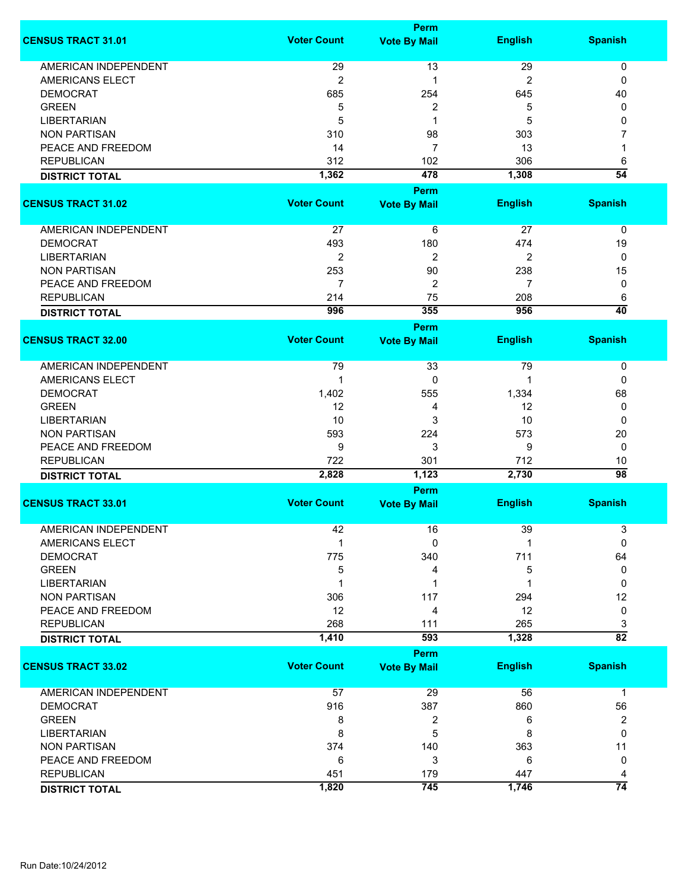|                             |                    | <b>Perm</b>         |                |                 |
|-----------------------------|--------------------|---------------------|----------------|-----------------|
| <b>CENSUS TRACT 31.01</b>   | <b>Voter Count</b> | <b>Vote By Mail</b> | <b>English</b> | <b>Spanish</b>  |
| <b>AMERICAN INDEPENDENT</b> | 29                 | 13                  | 29             | 0               |
| <b>AMERICANS ELECT</b>      | $\mathbf 2$        | 1                   | 2              | 0               |
| <b>DEMOCRAT</b>             | 685                | 254                 | 645            | 40              |
| <b>GREEN</b>                | 5                  | $\boldsymbol{2}$    | 5              | 0               |
| <b>LIBERTARIAN</b>          | 5                  | 1                   | 5              | 0               |
|                             | 310                |                     |                | 7               |
| <b>NON PARTISAN</b>         |                    | 98                  | 303            |                 |
| PEACE AND FREEDOM           | 14                 | $\overline{7}$      | 13             | 1               |
| <b>REPUBLICAN</b>           | 312                | 102                 | 306            | 6               |
| <b>DISTRICT TOTAL</b>       | 1,362              | 478                 | 1,308          | $\overline{54}$ |
|                             |                    | <b>Perm</b>         |                |                 |
| <b>CENSUS TRACT 31.02</b>   | <b>Voter Count</b> | <b>Vote By Mail</b> | <b>English</b> | <b>Spanish</b>  |
| AMERICAN INDEPENDENT        | 27                 | 6                   | 27             | 0               |
| <b>DEMOCRAT</b>             | 493                | 180                 | 474            | 19              |
| <b>LIBERTARIAN</b>          | $\overline{c}$     | $\overline{2}$      | $\overline{2}$ | 0               |
| <b>NON PARTISAN</b>         | 253                | 90                  | 238            | 15              |
| PEACE AND FREEDOM           | $\overline{7}$     | $\overline{2}$      | 7              | 0               |
| <b>REPUBLICAN</b>           | 214                | 75                  | 208            | 6               |
| <b>DISTRICT TOTAL</b>       | 996                | 355                 | 956            | $\overline{40}$ |
|                             |                    | <b>Perm</b>         |                |                 |
| <b>CENSUS TRACT 32.00</b>   | <b>Voter Count</b> | <b>Vote By Mail</b> | <b>English</b> | <b>Spanish</b>  |
| <b>AMERICAN INDEPENDENT</b> | 79                 | 33                  | 79             | 0               |
| <b>AMERICANS ELECT</b>      | 1                  | 0                   | 1              | 0               |
| <b>DEMOCRAT</b>             | 1,402              | 555                 | 1,334          | 68              |
| <b>GREEN</b>                | 12                 | 4                   | 12             | 0               |
| <b>LIBERTARIAN</b>          | 10                 | 3                   | 10             | 0               |
| <b>NON PARTISAN</b>         | 593                | 224                 | 573            | 20              |
| PEACE AND FREEDOM           | 9                  | 3                   | 9              | 0               |
| <b>REPUBLICAN</b>           | 722                | 301                 | 712            | 10              |
| <b>DISTRICT TOTAL</b>       | 2,828              | 1,123               | 2,730          | $\overline{98}$ |
|                             |                    |                     |                |                 |
| <b>CENSUS TRACT 33.01</b>   | <b>Voter Count</b> | <b>Vote By Mail</b> | <b>English</b> | <b>Spanish</b>  |
| AMERICAN INDEPENDENT        | 42                 | 16                  | 39             | 3               |
| AMERICANS ELECT             | 1                  | 0                   |                | 0               |
| <b>DEMOCRAT</b>             | 775                | 340                 | 711            | 64              |
| <b>GREEN</b>                | 5                  | 4                   | 5              | 0               |
| <b>LIBERTARIAN</b>          |                    | 1                   |                | 0               |
| <b>NON PARTISAN</b>         | 306                | 117                 | 294            | 12              |
| PEACE AND FREEDOM           | 12                 | 4                   | 12             | 0               |
| <b>REPUBLICAN</b>           | 268                | 111                 | 265            | 3               |
| <b>DISTRICT TOTAL</b>       | 1,410              | 593                 | 1,328          | $\overline{82}$ |
|                             |                    | <b>Perm</b>         |                |                 |
| <b>CENSUS TRACT 33.02</b>   | <b>Voter Count</b> | <b>Vote By Mail</b> | <b>English</b> | <b>Spanish</b>  |
|                             |                    |                     |                |                 |
| <b>AMERICAN INDEPENDENT</b> | 57                 | 29                  | 56             | 1               |
| <b>DEMOCRAT</b>             | 916                | 387                 | 860            | 56              |
| <b>GREEN</b>                | 8                  | 2                   | 6              | 2               |
| <b>LIBERTARIAN</b>          | 8                  | 5                   | 8              | 0               |
| <b>NON PARTISAN</b>         | 374                | 140                 | 363            | 11              |
| PEACE AND FREEDOM           | 6                  | 3                   | 6              | 0               |
| <b>REPUBLICAN</b>           | 451                | 179                 | 447            | 4               |
| <b>DISTRICT TOTAL</b>       | 1,820              | 745                 | 1,746          | $\overline{74}$ |
|                             |                    |                     |                |                 |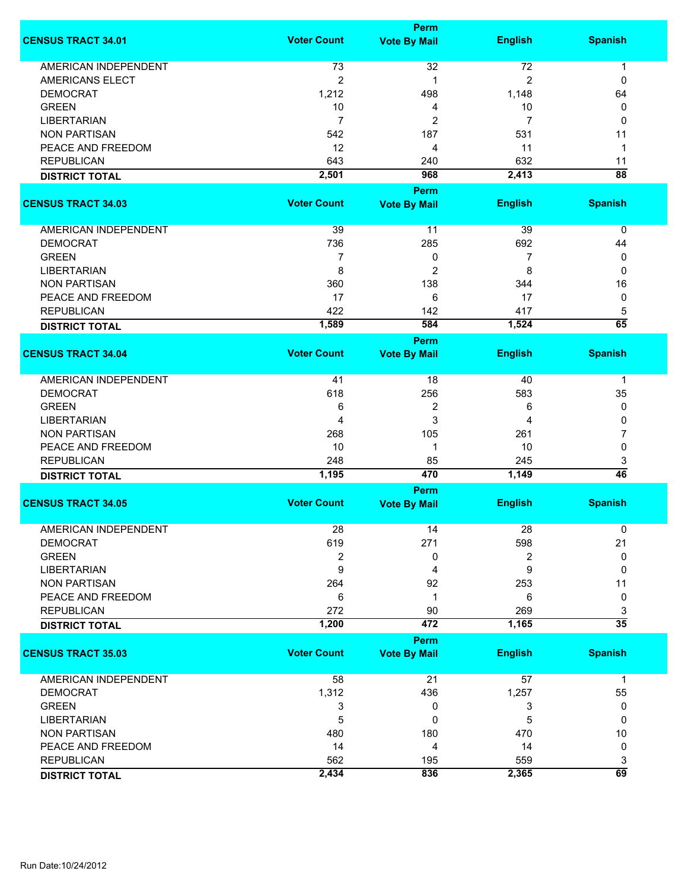|                             |                    | Perm                |                |                 |
|-----------------------------|--------------------|---------------------|----------------|-----------------|
| <b>CENSUS TRACT 34.01</b>   | <b>Voter Count</b> | <b>Vote By Mail</b> | <b>English</b> | <b>Spanish</b>  |
| <b>AMERICAN INDEPENDENT</b> | 73                 | 32                  | 72             | 1               |
| <b>AMERICANS ELECT</b>      | $\overline{c}$     | 1                   | $\overline{2}$ | 0               |
| <b>DEMOCRAT</b>             | 1,212              | 498                 | 1,148          | 64              |
| <b>GREEN</b>                | 10                 | 4                   | 10             | 0               |
| <b>LIBERTARIAN</b>          | 7                  | $\overline{2}$      | 7              | 0               |
| <b>NON PARTISAN</b>         | 542                | 187                 | 531            | 11              |
| PEACE AND FREEDOM           | 12                 | 4                   | 11             | 1               |
| <b>REPUBLICAN</b>           | 643                | 240                 | 632            | 11              |
| <b>DISTRICT TOTAL</b>       | 2,501              | 968                 | 2,413          | $\overline{88}$ |
|                             |                    | Perm                |                |                 |
| <b>CENSUS TRACT 34.03</b>   | <b>Voter Count</b> | <b>Vote By Mail</b> | <b>English</b> | <b>Spanish</b>  |
|                             |                    |                     |                |                 |
| AMERICAN INDEPENDENT        | 39                 | 11                  | 39             | 0               |
| <b>DEMOCRAT</b>             | 736                | 285                 | 692            | 44              |
| <b>GREEN</b>                | 7                  | 0                   | 7              | 0               |
| <b>LIBERTARIAN</b>          | 8                  | 2                   | 8              | 0               |
| <b>NON PARTISAN</b>         | 360                | 138                 | 344            | 16              |
| PEACE AND FREEDOM           | 17                 | 6                   | 17             | 0               |
| <b>REPUBLICAN</b>           | 422                | 142                 | 417            | 5               |
| <b>DISTRICT TOTAL</b>       | 1,589              | 584                 | 1,524          | $\overline{65}$ |
|                             |                    | Perm                |                |                 |
| <b>CENSUS TRACT 34.04</b>   | <b>Voter Count</b> | <b>Vote By Mail</b> | <b>English</b> | <b>Spanish</b>  |
|                             |                    |                     |                |                 |
| AMERICAN INDEPENDENT        | 41                 | 18                  | 40             | 1               |
| <b>DEMOCRAT</b>             | 618                | 256                 | 583            | 35              |
| <b>GREEN</b>                | 6                  | 2                   | 6              | 0               |
| <b>LIBERTARIAN</b>          | 4                  | 3                   | 4              | 0               |
| <b>NON PARTISAN</b>         | 268                | 105                 | 261            | 7               |
| PEACE AND FREEDOM           | 10                 | 1                   | 10             | 0               |
| <b>REPUBLICAN</b>           | 248                | 85                  | 245            | 3               |
| <b>DISTRICT TOTAL</b>       | 1,195              | 470                 | 1,149          | $\overline{46}$ |
|                             |                    | Perm                |                |                 |
| <b>CENSUS TRACT 34.05</b>   | <b>Voter Count</b> | <b>Vote By Mail</b> | <b>English</b> | <b>Spanish</b>  |
| <b>AMERICAN INDEPENDENT</b> | 28                 | 14                  | 28             | 0               |
| <b>DEMOCRAT</b>             | 619                | 271                 | 598            | 21              |
| <b>GREEN</b>                | 2                  | 0                   | 2              | 0               |
| <b>LIBERTARIAN</b>          | 9                  | 4                   | 9              | 0               |
| <b>NON PARTISAN</b>         | 264                | 92                  | 253            | 11              |
| PEACE AND FREEDOM           | 6                  | 1                   | 6              | 0               |
| <b>REPUBLICAN</b>           | 272                | 90                  | 269            | 3               |
| <b>DISTRICT TOTAL</b>       | 1,200              | 472                 | 1,165          | $\overline{35}$ |
|                             |                    | <b>Perm</b>         |                |                 |
| <b>CENSUS TRACT 35.03</b>   | <b>Voter Count</b> | <b>Vote By Mail</b> | <b>English</b> | <b>Spanish</b>  |
| <b>AMERICAN INDEPENDENT</b> | 58                 | 21                  | 57             | $\mathbf{1}$    |
| <b>DEMOCRAT</b>             | 1,312              | 436                 | 1,257          | 55              |
| <b>GREEN</b>                | 3                  | 0                   | 3              | 0               |
| <b>LIBERTARIAN</b>          | 5                  | 0                   | 5              | 0               |
| <b>NON PARTISAN</b>         | 480                | 180                 | 470            | 10              |
| PEACE AND FREEDOM           | 14                 | 4                   | 14             | 0               |
| <b>REPUBLICAN</b>           | 562                | 195                 | 559            | 3               |
| <b>DISTRICT TOTAL</b>       | 2,434              | 836                 | 2,365          | 69              |
|                             |                    |                     |                |                 |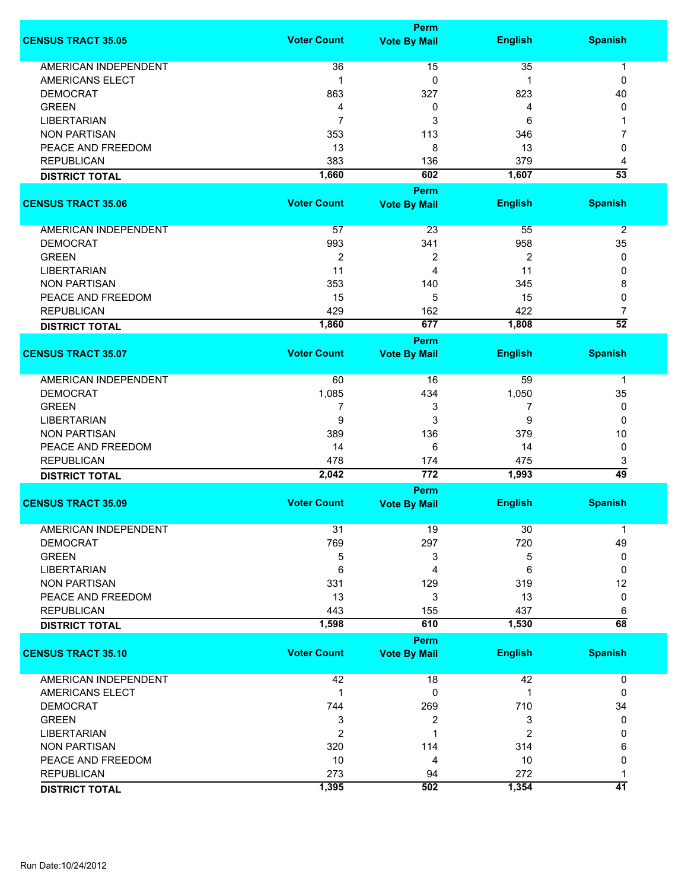|                             | Perm               |                     |                |                 |  |
|-----------------------------|--------------------|---------------------|----------------|-----------------|--|
| <b>CENSUS TRACT 35.05</b>   | <b>Voter Count</b> | <b>Vote By Mail</b> | <b>English</b> | <b>Spanish</b>  |  |
| <b>AMERICAN INDEPENDENT</b> | 36                 | 15                  | 35             | 1               |  |
|                             | 1                  |                     |                |                 |  |
| AMERICANS ELECT             |                    | 0                   | 1              | 0               |  |
| <b>DEMOCRAT</b>             | 863                | 327                 | 823            | 40              |  |
| <b>GREEN</b>                | 4                  | 0                   | 4              | 0               |  |
| <b>LIBERTARIAN</b>          | 7                  | 3                   | 6              |                 |  |
| <b>NON PARTISAN</b>         | 353                | 113                 | 346            | 7               |  |
| PEACE AND FREEDOM           | 13                 | 8                   | 13             | 0               |  |
| <b>REPUBLICAN</b>           | 383                | 136                 | 379            | 4               |  |
| <b>DISTRICT TOTAL</b>       | 1,660              | 602                 | 1,607          | $\overline{53}$ |  |
|                             |                    | Perm                |                |                 |  |
| <b>CENSUS TRACT 35.06</b>   | <b>Voter Count</b> | <b>Vote By Mail</b> | <b>English</b> | <b>Spanish</b>  |  |
|                             |                    |                     |                |                 |  |
| AMERICAN INDEPENDENT        | 57                 | 23                  | 55             | $\overline{2}$  |  |
| <b>DEMOCRAT</b>             | 993                | 341                 | 958            | 35              |  |
| <b>GREEN</b>                | 2                  | 2                   | 2              | 0               |  |
| <b>LIBERTARIAN</b>          | 11                 | 4                   | 11             | 0               |  |
| <b>NON PARTISAN</b>         | 353                | 140                 | 345            | 8               |  |
| PEACE AND FREEDOM           | 15                 | 5                   | 15             | 0               |  |
| <b>REPUBLICAN</b>           | 429                | 162                 | 422            | 7               |  |
|                             | 1,860              | 677                 | 1,808          | $\overline{52}$ |  |
| <b>DISTRICT TOTAL</b>       |                    |                     |                |                 |  |
|                             | <b>Voter Count</b> | Perm                |                |                 |  |
| <b>CENSUS TRACT 35.07</b>   |                    | <b>Vote By Mail</b> | <b>English</b> | <b>Spanish</b>  |  |
| AMERICAN INDEPENDENT        | 60                 | 16                  | 59             | 1               |  |
| <b>DEMOCRAT</b>             | 1,085              | 434                 | 1,050          | 35              |  |
| <b>GREEN</b>                |                    |                     |                |                 |  |
|                             | 7                  | 3                   | 7              | 0               |  |
| <b>LIBERTARIAN</b>          | 9                  | 3                   | 9              | 0               |  |
| <b>NON PARTISAN</b>         | 389                | 136                 | 379            | 10              |  |
| PEACE AND FREEDOM           | 14                 | 6                   | 14             | 0               |  |
| <b>REPUBLICAN</b>           | 478                | 174                 | 475            | 3               |  |
| <b>DISTRICT TOTAL</b>       | 2,042              | 772                 | 1,993          | $\overline{49}$ |  |
|                             |                    | Perm                |                |                 |  |
| <b>CENSUS TRACT 35.09</b>   | <b>Voter Count</b> | <b>Vote By Mail</b> | <b>English</b> | <b>Spanish</b>  |  |
| <b>AMERICAN INDEPENDENT</b> | 31                 | 19                  | 30             | 1               |  |
| <b>DEMOCRAT</b>             | 769                | 297                 | 720            | 49              |  |
| <b>GREEN</b>                | 5                  | 3                   | 5              | 0               |  |
| <b>LIBERTARIAN</b>          |                    |                     | 6              | 0               |  |
| <b>NON PARTISAN</b>         | 6                  | 4                   |                |                 |  |
|                             | 331                | 129                 | 319            | 12              |  |
| PEACE AND FREEDOM           | 13                 | 3                   | 13             | 0               |  |
| <b>REPUBLICAN</b>           | 443                | 155                 | 437            | 6               |  |
| <b>DISTRICT TOTAL</b>       | 1,598              | 610                 | 1,530          | $\overline{68}$ |  |
|                             |                    | Perm                |                |                 |  |
| <b>CENSUS TRACT 35.10</b>   | <b>Voter Count</b> | <b>Vote By Mail</b> | <b>English</b> | <b>Spanish</b>  |  |
| <b>AMERICAN INDEPENDENT</b> | 42                 | 18                  | 42             | 0               |  |
| AMERICANS ELECT             | 1                  | 0                   | 1              | 0               |  |
| <b>DEMOCRAT</b>             | 744                | 269                 | 710            | 34              |  |
| <b>GREEN</b>                | 3                  | 2                   | 3              | 0               |  |
|                             | $\overline{2}$     | 1                   | 2              | 0               |  |
| <b>LIBERTARIAN</b>          |                    |                     |                |                 |  |
| <b>NON PARTISAN</b>         | 320                | 114                 | 314            | 6               |  |
| PEACE AND FREEDOM           | 10                 | 4                   | 10             | 0               |  |
| <b>REPUBLICAN</b>           | 273                | 94                  | 272            |                 |  |
| <b>DISTRICT TOTAL</b>       | 1,395              | 502                 | 1,354          | 41              |  |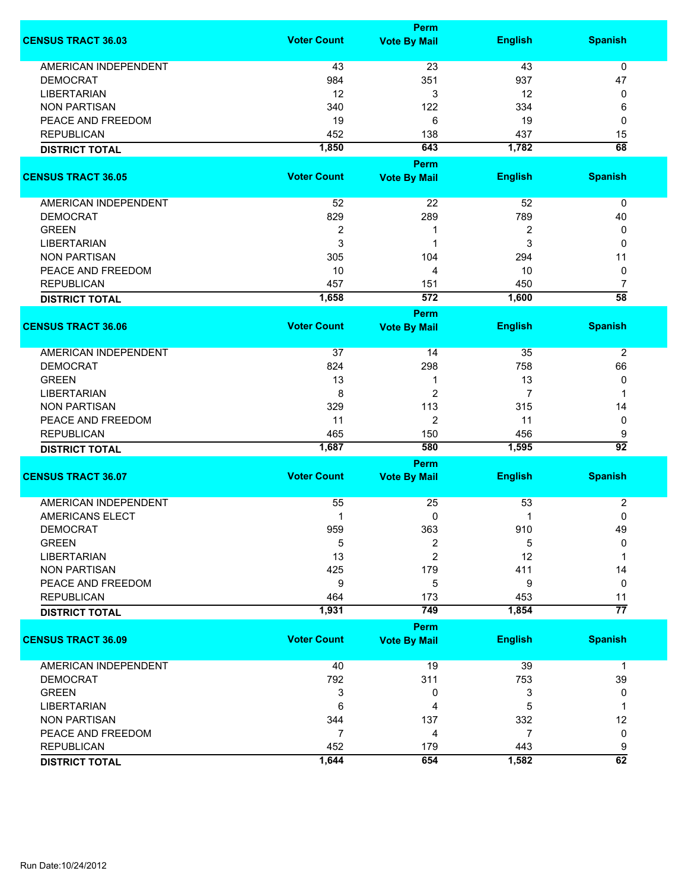|                             |                    | <b>Perm</b>         |                |                      |
|-----------------------------|--------------------|---------------------|----------------|----------------------|
| <b>CENSUS TRACT 36.03</b>   | <b>Voter Count</b> | <b>Vote By Mail</b> | <b>English</b> | <b>Spanish</b>       |
| <b>AMERICAN INDEPENDENT</b> | 43                 | 23                  | 43             | 0                    |
| <b>DEMOCRAT</b>             | 984                | 351                 | 937            | 47                   |
| <b>LIBERTARIAN</b>          | 12                 | 3                   | 12             | 0                    |
| <b>NON PARTISAN</b>         | 340                | 122                 | 334            | 6                    |
| PEACE AND FREEDOM           | 19                 | 6                   | 19             | 0                    |
| <b>REPUBLICAN</b>           | 452                | 138                 | 437            | 15                   |
| <b>DISTRICT TOTAL</b>       | 1,850              | 643                 | 1,782          | $\overline{68}$      |
|                             |                    | Perm                |                |                      |
| <b>CENSUS TRACT 36.05</b>   | <b>Voter Count</b> | <b>Vote By Mail</b> | <b>English</b> | <b>Spanish</b>       |
| AMERICAN INDEPENDENT        | 52                 | 22                  | 52             | 0                    |
| <b>DEMOCRAT</b>             | 829                | 289                 | 789            | 40                   |
| <b>GREEN</b>                | 2                  | -1                  | 2              | 0                    |
| <b>LIBERTARIAN</b>          | 3                  | 1                   | 3              | 0                    |
| <b>NON PARTISAN</b>         | 305                | 104                 | 294            | 11                   |
| PEACE AND FREEDOM           | 10                 | 4                   | 10             | 0                    |
|                             |                    |                     |                |                      |
| <b>REPUBLICAN</b>           | 457<br>1,658       | 151<br>572          | 450<br>1,600   | 7<br>$\overline{58}$ |
| <b>DISTRICT TOTAL</b>       |                    |                     |                |                      |
|                             |                    | Perm                |                |                      |
| <b>CENSUS TRACT 36.06</b>   | <b>Voter Count</b> | <b>Vote By Mail</b> | <b>English</b> | <b>Spanish</b>       |
| <b>AMERICAN INDEPENDENT</b> | 37                 | 14                  | 35             | $\overline{2}$       |
| <b>DEMOCRAT</b>             | 824                | 298                 | 758            | 66                   |
| <b>GREEN</b>                | 13                 | 1                   | 13             | 0                    |
| <b>LIBERTARIAN</b>          | 8                  | $\overline{2}$      | 7              | 1                    |
| <b>NON PARTISAN</b>         | 329                | 113                 | 315            | 14                   |
| PEACE AND FREEDOM           | 11                 | $\overline{2}$      | 11             | 0                    |
| <b>REPUBLICAN</b>           | 465                | 150                 | 456            | 9                    |
| <b>DISTRICT TOTAL</b>       | 1,687              | 580                 | 1,595          | $\overline{92}$      |
|                             |                    | Perm                |                |                      |
| <b>CENSUS TRACT 36.07</b>   | <b>Voter Count</b> | <b>Vote By Mail</b> | <b>English</b> | <b>Spanish</b>       |
|                             |                    |                     |                |                      |
| <b>AMERICAN INDEPENDENT</b> | 55                 | 25                  | 53             | 2                    |
| AMERICANS ELECT             | 1                  | 0                   | 1              | 0                    |
| <b>DEMOCRAT</b>             | 959                | 363                 | 910            | 49                   |
| <b>GREEN</b>                | 5                  | 2                   | 5              | $\mathbf{0}$         |
| <b>LIBERTARIAN</b>          | 13                 | 2                   | 12             |                      |
| <b>NON PARTISAN</b>         | 425                | 179                 | 411            | 14                   |
| PEACE AND FREEDOM           | 9                  | 5                   | 9              | 0                    |
| <b>REPUBLICAN</b>           | 464                | 173                 | 453            | 11                   |
| <b>DISTRICT TOTAL</b>       | 1,931              | 749                 | 1,854          | $\overline{77}$      |
|                             |                    | Perm                |                |                      |
| <b>CENSUS TRACT 36.09</b>   | <b>Voter Count</b> | <b>Vote By Mail</b> | <b>English</b> | <b>Spanish</b>       |
| <b>AMERICAN INDEPENDENT</b> | 40                 | 19                  | 39             | $\mathbf 1$          |
| <b>DEMOCRAT</b>             | 792                | 311                 | 753            | 39                   |
| <b>GREEN</b>                | 3                  | 0                   | 3              | 0                    |
| <b>LIBERTARIAN</b>          | 6                  | 4                   | 5              | 1                    |
| <b>NON PARTISAN</b>         | 344                | 137                 | 332            | 12                   |
| PEACE AND FREEDOM           | 7                  | 4                   | $\overline{7}$ | 0                    |
| <b>REPUBLICAN</b>           | 452                | 179                 | 443            | 9                    |
| <b>DISTRICT TOTAL</b>       | 1,644              | 654                 | 1,582          | 62                   |
|                             |                    |                     |                |                      |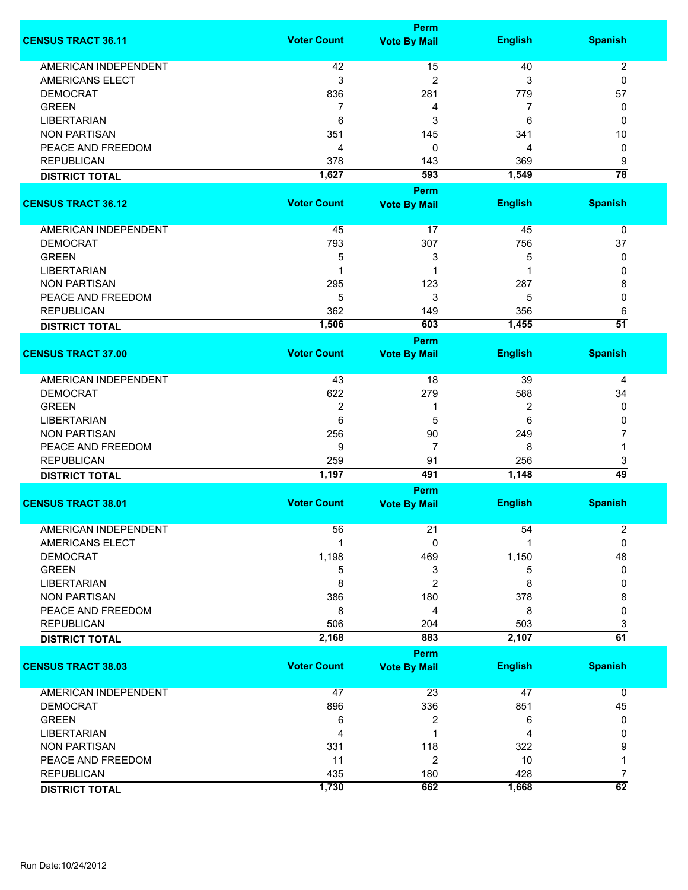|                             | Perm               |                     |                |                      |  |
|-----------------------------|--------------------|---------------------|----------------|----------------------|--|
| <b>CENSUS TRACT 36.11</b>   | <b>Voter Count</b> | <b>Vote By Mail</b> | <b>English</b> | <b>Spanish</b>       |  |
| <b>AMERICAN INDEPENDENT</b> | 42                 | 15                  | 40             | 2                    |  |
| <b>AMERICANS ELECT</b>      | 3                  | $\overline{2}$      | 3              | 0                    |  |
| <b>DEMOCRAT</b>             | 836                |                     |                |                      |  |
|                             |                    | 281                 | 779            | 57                   |  |
| <b>GREEN</b>                | 7                  | 4                   | 7              | 0                    |  |
| <b>LIBERTARIAN</b>          | 6                  | 3                   | 6              | 0                    |  |
| <b>NON PARTISAN</b>         | 351                | 145                 | 341            | 10                   |  |
| PEACE AND FREEDOM           | 4                  | 0                   | 4              | 0                    |  |
| <b>REPUBLICAN</b>           | 378                | 143                 | 369            | 9                    |  |
| <b>DISTRICT TOTAL</b>       | 1,627              | 593                 | 1,549          | $\overline{78}$      |  |
|                             |                    | Perm                |                |                      |  |
| <b>CENSUS TRACT 36.12</b>   | <b>Voter Count</b> | <b>Vote By Mail</b> | <b>English</b> | <b>Spanish</b>       |  |
|                             |                    |                     |                |                      |  |
| AMERICAN INDEPENDENT        | 45                 | 17                  | 45             |                      |  |
|                             |                    |                     |                | 0                    |  |
| <b>DEMOCRAT</b>             | 793                | 307                 | 756            | 37                   |  |
| <b>GREEN</b>                | 5                  | 3                   | 5              | 0                    |  |
| <b>LIBERTARIAN</b>          |                    | 1                   |                | 0                    |  |
| <b>NON PARTISAN</b>         | 295                | 123                 | 287            | 8                    |  |
| PEACE AND FREEDOM           | 5                  | 3                   | 5              | 0                    |  |
| <b>REPUBLICAN</b>           | 362                | 149                 | 356            | 6                    |  |
| <b>DISTRICT TOTAL</b>       | 1,506              | 603                 | 1,455          | $\overline{51}$      |  |
|                             |                    | Perm                |                |                      |  |
| <b>CENSUS TRACT 37.00</b>   | <b>Voter Count</b> | <b>Vote By Mail</b> | <b>English</b> | <b>Spanish</b>       |  |
| AMERICAN INDEPENDENT        | 43                 | 18                  | 39             | 4                    |  |
| <b>DEMOCRAT</b>             | 622                | 279                 | 588            | 34                   |  |
| <b>GREEN</b>                | 2                  | 1                   | 2              | 0                    |  |
| <b>LIBERTARIAN</b>          | 6                  | 5                   | 6              | 0                    |  |
|                             |                    |                     |                |                      |  |
| <b>NON PARTISAN</b>         | 256                | 90                  | 249            | 7                    |  |
| PEACE AND FREEDOM           | 9                  | $\overline{7}$      | 8              | 1                    |  |
| <b>REPUBLICAN</b>           | 259                | 91                  | 256            | 3                    |  |
| <b>DISTRICT TOTAL</b>       | 1,197              | 491                 | 1,148          | $\overline{49}$      |  |
|                             |                    | Perm                |                |                      |  |
| <b>CENSUS TRACT 38.01</b>   | <b>Voter Count</b> | <b>Vote By Mail</b> | <b>English</b> | <b>Spanish</b>       |  |
| <b>AMERICAN INDEPENDENT</b> | 56                 | 21                  | 54             | 2                    |  |
| AMERICANS ELECT             | 1                  | 0                   |                | 0                    |  |
| <b>DEMOCRAT</b>             | 1,198              | 469                 | 1,150          | 48                   |  |
| <b>GREEN</b>                | 5                  | 3                   | 5              | 0                    |  |
| <b>LIBERTARIAN</b>          | 8                  | $\overline{c}$      | 8              | 0                    |  |
| <b>NON PARTISAN</b>         | 386                | 180                 | 378            | 8                    |  |
| PEACE AND FREEDOM           | 8                  | 4                   | 8              | 0                    |  |
| <b>REPUBLICAN</b>           |                    |                     | 503            |                      |  |
|                             | 506                | 204                 |                | 3<br>$\overline{61}$ |  |
| <b>DISTRICT TOTAL</b>       | 2,168              | 883                 | 2,107          |                      |  |
|                             |                    | Perm                |                |                      |  |
| <b>CENSUS TRACT 38.03</b>   | <b>Voter Count</b> | <b>Vote By Mail</b> | <b>English</b> | <b>Spanish</b>       |  |
| <b>AMERICAN INDEPENDENT</b> | 47                 | 23                  | 47             | 0                    |  |
| <b>DEMOCRAT</b>             | 896                | 336                 | 851            | 45                   |  |
| <b>GREEN</b>                | 6                  | 2                   | 6              | 0                    |  |
| <b>LIBERTARIAN</b>          | 4                  | 1                   | 4              | 0                    |  |
| <b>NON PARTISAN</b>         | 331                | 118                 | 322            | 9                    |  |
| PEACE AND FREEDOM           | 11                 | $\overline{c}$      | 10             | 1                    |  |
| <b>REPUBLICAN</b>           | 435                | 180                 | 428            | 7                    |  |
|                             | 1,730              | 662                 |                | 62                   |  |
| <b>DISTRICT TOTAL</b>       |                    |                     | 1,668          |                      |  |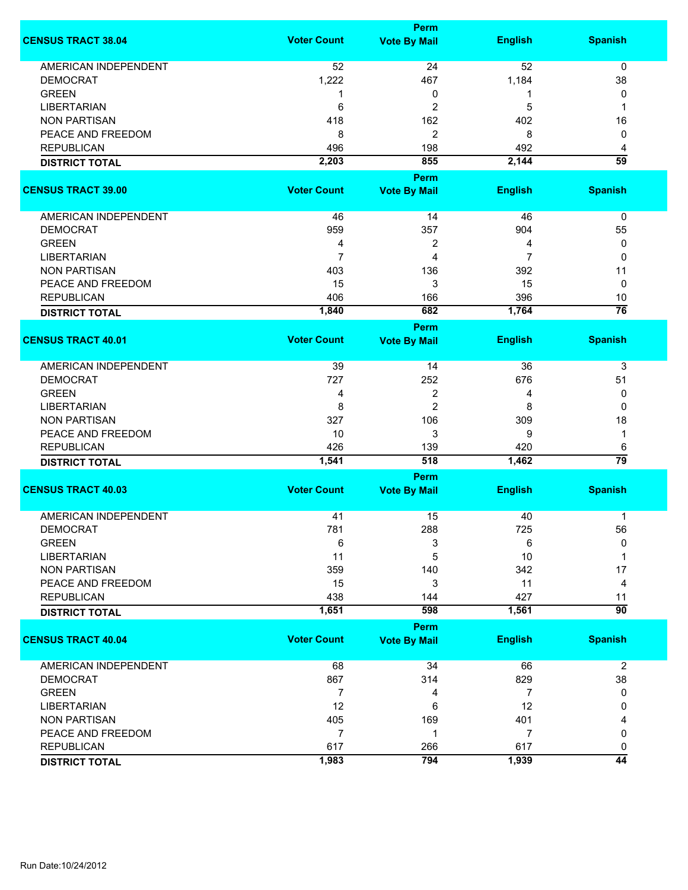|                             |                    | <b>Perm</b>         |                |                 |
|-----------------------------|--------------------|---------------------|----------------|-----------------|
| <b>CENSUS TRACT 38.04</b>   | <b>Voter Count</b> | <b>Vote By Mail</b> | <b>English</b> | <b>Spanish</b>  |
| <b>AMERICAN INDEPENDENT</b> | 52                 | 24                  | 52             | $\pmb{0}$       |
| <b>DEMOCRAT</b>             | 1,222              | 467                 | 1,184          | 38              |
| <b>GREEN</b>                | 1                  | 0                   | 1              | 0               |
| <b>LIBERTARIAN</b>          | 6                  | $\overline{c}$      | 5              | 1               |
|                             |                    |                     |                |                 |
| <b>NON PARTISAN</b>         | 418                | 162                 | 402            | 16              |
| PEACE AND FREEDOM           | 8                  | $\overline{c}$      | 8              | 0               |
| <b>REPUBLICAN</b>           | 496                | 198                 | 492            | 4               |
| <b>DISTRICT TOTAL</b>       | 2,203              | 855                 | 2,144          | $\overline{59}$ |
|                             |                    | Perm                |                |                 |
| <b>CENSUS TRACT 39.00</b>   | <b>Voter Count</b> | <b>Vote By Mail</b> | <b>English</b> | <b>Spanish</b>  |
| AMERICAN INDEPENDENT        | 46                 | 14                  | 46             | 0               |
| <b>DEMOCRAT</b>             | 959                | 357                 | 904            | 55              |
| <b>GREEN</b>                | 4                  | 2                   | 4              | 0               |
| <b>LIBERTARIAN</b>          | $\overline{7}$     | 4                   | 7              | 0               |
| <b>NON PARTISAN</b>         | 403                | 136                 | 392            | 11              |
|                             |                    | 3                   |                |                 |
| PEACE AND FREEDOM           | 15                 |                     | 15             | 0               |
| <b>REPUBLICAN</b>           | 406                | 166                 | 396            | 10              |
| <b>DISTRICT TOTAL</b>       | 1,840              | 682                 | 1,764          | $\overline{76}$ |
| <b>CENSUS TRACT 40.01</b>   | <b>Voter Count</b> | <b>Perm</b>         |                | <b>Spanish</b>  |
|                             |                    | <b>Vote By Mail</b> | <b>English</b> |                 |
| <b>AMERICAN INDEPENDENT</b> | 39                 | 14                  | 36             | 3               |
| <b>DEMOCRAT</b>             | 727                | 252                 | 676            | 51              |
| <b>GREEN</b>                | 4                  | 2                   | 4              | 0               |
| <b>LIBERTARIAN</b>          | 8                  | $\overline{c}$      | 8              | $\Omega$        |
| <b>NON PARTISAN</b>         | 327                | 106                 | 309            | 18              |
| PEACE AND FREEDOM           | 10                 | 3                   | 9              | 1               |
| <b>REPUBLICAN</b>           | 426                | 139                 | 420            | 6               |
| <b>DISTRICT TOTAL</b>       | 1,541              | 518                 | 1,462          | $\overline{79}$ |
|                             |                    | Perm                |                |                 |
| <b>CENSUS TRACT 40.03</b>   | <b>Voter Count</b> | <b>Vote By Mail</b> | <b>English</b> | <b>Spanish</b>  |
|                             |                    |                     |                |                 |
| <b>AMERICAN INDEPENDENT</b> | 41                 | 15                  | 40             | 1               |
| <b>DEMOCRAT</b>             | 781                | 288                 | 725            | 56              |
| <b>GREEN</b>                | 6                  | 3                   | 6              | 0               |
| <b>LIBERTARIAN</b>          | 11                 | 5                   | 10             | 1               |
| <b>NON PARTISAN</b>         | 359                | 140                 | 342            | 17              |
| PEACE AND FREEDOM           | 15                 | 3                   | 11             | 4               |
| <b>REPUBLICAN</b>           | 438                | 144                 | 427            | 11              |
| <b>DISTRICT TOTAL</b>       | 1,651              | 598                 | 1,561          | $\overline{90}$ |
|                             |                    | <b>Perm</b>         |                |                 |
| <b>CENSUS TRACT 40.04</b>   | <b>Voter Count</b> | <b>Vote By Mail</b> | <b>English</b> | <b>Spanish</b>  |
| <b>AMERICAN INDEPENDENT</b> | 68                 | 34                  | 66             | $\overline{2}$  |
| <b>DEMOCRAT</b>             | 867                | 314                 | 829            | 38              |
| <b>GREEN</b>                | $\overline{7}$     | 4                   | $\overline{7}$ | 0               |
| <b>LIBERTARIAN</b>          | 12                 | 6                   | 12             | 0               |
| <b>NON PARTISAN</b>         | 405                | 169                 | 401            | 4               |
| PEACE AND FREEDOM           | $\overline{7}$     | 1                   | $\overline{7}$ | 0               |
| <b>REPUBLICAN</b>           | 617                | 266                 | 617            | 0               |
|                             | 1,983              | 794                 | 1,939          | $\overline{44}$ |
| <b>DISTRICT TOTAL</b>       |                    |                     |                |                 |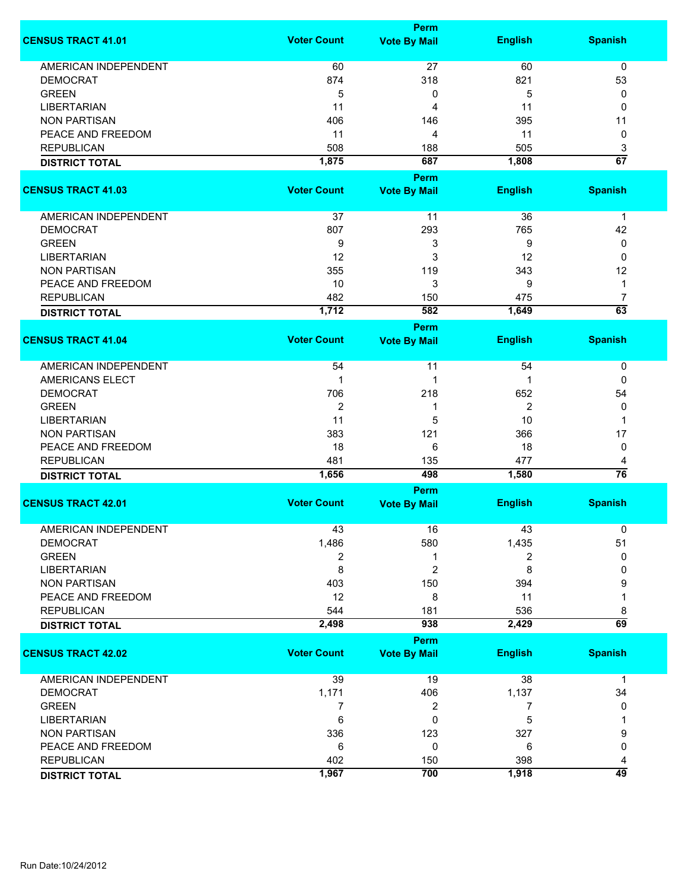|                             |                    | Perm                               |                |                 |
|-----------------------------|--------------------|------------------------------------|----------------|-----------------|
| <b>CENSUS TRACT 41.01</b>   | <b>Voter Count</b> | <b>Vote By Mail</b>                | <b>English</b> | <b>Spanish</b>  |
| <b>AMERICAN INDEPENDENT</b> | 60                 | 27                                 | 60             | $\mathbf 0$     |
| <b>DEMOCRAT</b>             | 874                | 318                                | 821            | 53              |
| <b>GREEN</b>                | 5                  | 0                                  | 5              | 0               |
| <b>LIBERTARIAN</b>          | 11                 | 4                                  | 11             | 0               |
| <b>NON PARTISAN</b>         | 406                | 146                                | 395            | 11              |
|                             |                    |                                    |                |                 |
| PEACE AND FREEDOM           | 11                 | 4                                  | 11             | $\pmb{0}$       |
| <b>REPUBLICAN</b>           | 508                | 188                                | 505            | 3               |
| <b>DISTRICT TOTAL</b>       | 1,875              | 687                                | 1,808          | $\overline{67}$ |
| <b>CENSUS TRACT 41.03</b>   | <b>Voter Count</b> | Perm<br><b>Vote By Mail</b>        | <b>English</b> | <b>Spanish</b>  |
| AMERICAN INDEPENDENT        | 37                 | 11                                 | 36             | $\mathbf 1$     |
| <b>DEMOCRAT</b>             | 807                | 293                                | 765            | 42              |
| <b>GREEN</b>                | 9                  | 3                                  | 9              | 0               |
| <b>LIBERTARIAN</b>          | 12                 | 3                                  | 12             | 0               |
| <b>NON PARTISAN</b>         | 355                | 119                                | 343            | 12              |
| PEACE AND FREEDOM           | 10                 | 3                                  | 9              | 1               |
| <b>REPUBLICAN</b>           | 482                | 150                                | 475            | 7               |
|                             | 1,712              | 582                                | 1,649          | $\overline{63}$ |
| <b>DISTRICT TOTAL</b>       |                    |                                    |                |                 |
| <b>CENSUS TRACT 41.04</b>   | <b>Voter Count</b> | <b>Perm</b><br><b>Vote By Mail</b> | <b>English</b> | <b>Spanish</b>  |
|                             |                    |                                    |                |                 |
| <b>AMERICAN INDEPENDENT</b> | 54                 | 11                                 | 54             | 0               |
| <b>AMERICANS ELECT</b>      | 1                  | 1                                  | 1              | 0               |
| <b>DEMOCRAT</b>             | 706                | 218                                | 652            | 54              |
| <b>GREEN</b>                | $\overline{2}$     | 1                                  | $\overline{2}$ | 0               |
| <b>LIBERTARIAN</b>          | 11                 | 5                                  | 10             | 1               |
| <b>NON PARTISAN</b>         | 383                | 121                                | 366            | 17              |
| PEACE AND FREEDOM           | 18                 | 6                                  | 18             | 0               |
| <b>REPUBLICAN</b>           | 481                | 135                                | 477            | 4               |
| <b>DISTRICT TOTAL</b>       | 1,656              | 498                                | 1,580          | 76              |
|                             |                    | Perm                               |                |                 |
| <b>CENSUS TRACT 42.01</b>   | <b>Voter Count</b> | <b>Vote By Mail</b>                | <b>English</b> | <b>Spanish</b>  |
| <b>AMERICAN INDEPENDENT</b> | 43                 | 16                                 | 43             | 0               |
| <b>DEMOCRAT</b>             | 1,486              | 580                                | 1,435          | 51              |
| <b>GREEN</b>                | 2                  | 1                                  | 2              | 0               |
| <b>LIBERTARIAN</b>          | 8                  | $\overline{2}$                     | 8              | 0               |
| <b>NON PARTISAN</b>         | 403                | 150                                | 394            | 9               |
| PEACE AND FREEDOM           | 12                 | 8                                  | 11             |                 |
| <b>REPUBLICAN</b>           | 544                | 181                                | 536            | 8               |
| <b>DISTRICT TOTAL</b>       | 2,498              | 938                                | 2,429          | $\overline{69}$ |
|                             |                    | Perm                               |                |                 |
| <b>CENSUS TRACT 42.02</b>   | <b>Voter Count</b> | <b>Vote By Mail</b>                | <b>English</b> | <b>Spanish</b>  |
| AMERICAN INDEPENDENT        | 39                 | 19                                 | 38             | 1               |
| <b>DEMOCRAT</b>             | 1,171              | 406                                | 1,137          | 34              |
| <b>GREEN</b>                | 7                  | 2                                  | 7              | 0               |
| <b>LIBERTARIAN</b>          | 6                  | 0                                  | 5              |                 |
| <b>NON PARTISAN</b>         | 336                | 123                                | 327            | 9               |
| PEACE AND FREEDOM           | 6                  | 0                                  | 6              | 0               |
| <b>REPUBLICAN</b>           | 402                | 150                                | 398            | 4               |
| <b>DISTRICT TOTAL</b>       | 1,967              | 700                                | 1,918          | 49              |
|                             |                    |                                    |                |                 |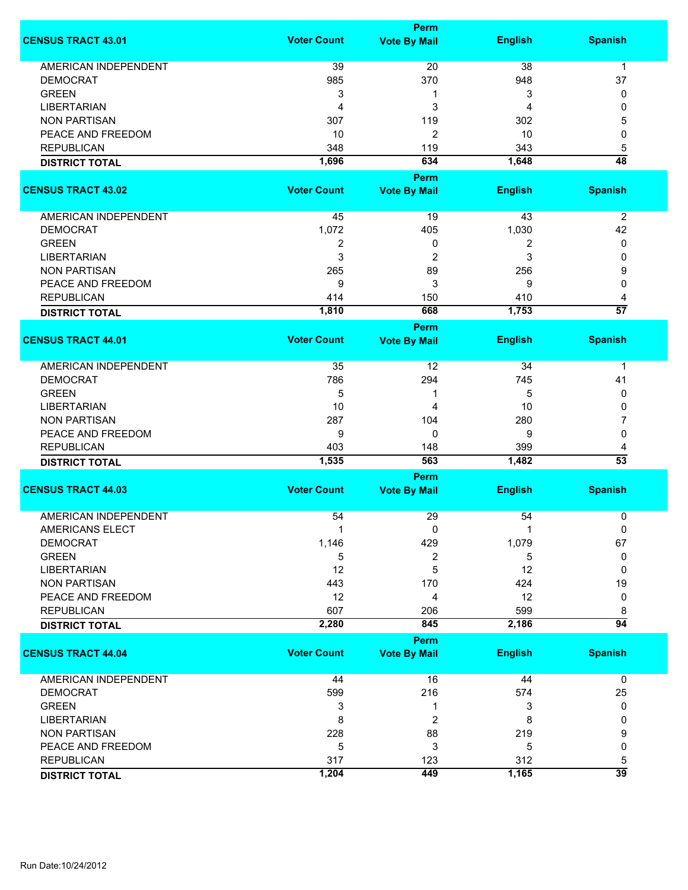|                             |                    | <b>Perm</b>                 |                |                      |
|-----------------------------|--------------------|-----------------------------|----------------|----------------------|
| <b>CENSUS TRACT 43.01</b>   | <b>Voter Count</b> | <b>Vote By Mail</b>         | <b>English</b> | <b>Spanish</b>       |
| <b>AMERICAN INDEPENDENT</b> | 39                 | 20                          | 38             | $\mathbf 1$          |
| <b>DEMOCRAT</b>             | 985                | 370                         | 948            | 37                   |
| <b>GREEN</b>                | 3                  | 1                           | 3              | 0                    |
| <b>LIBERTARIAN</b>          | 4                  | 3                           | 4              | 0                    |
| <b>NON PARTISAN</b>         | 307                | 119                         | 302            | 5                    |
| PEACE AND FREEDOM           | 10                 |                             |                | 0                    |
| <b>REPUBLICAN</b>           |                    | 2                           | 10<br>343      |                      |
|                             | 348                | 119<br>634                  | 1,648          | 5<br>$\overline{48}$ |
| <b>DISTRICT TOTAL</b>       | 1,696              |                             |                |                      |
| <b>CENSUS TRACT 43.02</b>   | <b>Voter Count</b> | Perm<br><b>Vote By Mail</b> | <b>English</b> | <b>Spanish</b>       |
|                             |                    |                             |                |                      |
| AMERICAN INDEPENDENT        | 45                 | 19                          | 43             | $\overline{2}$       |
| <b>DEMOCRAT</b>             | 1,072              | 405                         | 1,030          | 42                   |
| <b>GREEN</b>                | $\boldsymbol{2}$   | 0                           | 2              | 0                    |
| <b>LIBERTARIAN</b>          | 3                  | 2                           | 3              | 0                    |
| <b>NON PARTISAN</b>         | 265                | 89                          | 256            | 9                    |
| PEACE AND FREEDOM           | 9                  | 3                           | 9              | 0                    |
| <b>REPUBLICAN</b>           | 414                | 150                         | 410            | 4                    |
| <b>DISTRICT TOTAL</b>       | 1,810              | 668                         | 1,753          | $\overline{57}$      |
|                             |                    | <b>Perm</b>                 |                |                      |
| <b>CENSUS TRACT 44.01</b>   | <b>Voter Count</b> | <b>Vote By Mail</b>         | <b>English</b> | <b>Spanish</b>       |
|                             |                    |                             |                |                      |
| <b>AMERICAN INDEPENDENT</b> | 35                 | 12                          | 34             | $\mathbf 1$          |
| <b>DEMOCRAT</b>             | 786                | 294                         | 745            | 41                   |
| <b>GREEN</b>                | 5                  | 1                           | 5              | 0                    |
| <b>LIBERTARIAN</b>          | 10                 | 4                           | 10             | 0                    |
| <b>NON PARTISAN</b>         | 287                | 104                         | 280            | 7                    |
| PEACE AND FREEDOM           | 9                  | 0                           | 9              | 0                    |
| <b>REPUBLICAN</b>           | 403                | 148                         | 399            | 4                    |
| <b>DISTRICT TOTAL</b>       | 1,535              | 563                         | 1,482          | $\overline{53}$      |
|                             |                    | Perm                        |                |                      |
| <b>CENSUS TRACT 44.03</b>   | <b>Voter Count</b> | <b>Vote By Mail</b>         | <b>English</b> | <b>Spanish</b>       |
| <b>AMERICAN INDEPENDENT</b> | 54                 | 29                          | 54             | 0                    |
| AMERICANS ELECT             | 1                  | 0                           | -1             | 0                    |
| <b>DEMOCRAT</b>             | 1,146              | 429                         | 1,079          | 67                   |
| <b>GREEN</b>                | 5                  | 2                           | 5              | 0                    |
| <b>LIBERTARIAN</b>          | 12                 | 5                           | 12             | 0                    |
| <b>NON PARTISAN</b>         | 443                | 170                         | 424            | 19                   |
| PEACE AND FREEDOM           | 12                 | 4                           | 12             | 0                    |
| <b>REPUBLICAN</b>           | 607                | 206                         | 599            | 8                    |
| <b>DISTRICT TOTAL</b>       | 2,280              | 845                         | 2,186          | $\overline{94}$      |
|                             |                    | <b>Perm</b>                 |                |                      |
| <b>CENSUS TRACT 44.04</b>   | <b>Voter Count</b> | <b>Vote By Mail</b>         | <b>English</b> | <b>Spanish</b>       |
| <b>AMERICAN INDEPENDENT</b> |                    |                             | 44             |                      |
|                             | 44                 | 16                          |                | 0                    |
| <b>DEMOCRAT</b>             | 599                | 216                         | 574            | 25                   |
| <b>GREEN</b>                | 3                  | 1                           | 3              | 0                    |
| <b>LIBERTARIAN</b>          | 8                  | 2                           | 8              | 0                    |
| <b>NON PARTISAN</b>         | 228                | 88                          | 219            | 9                    |
| PEACE AND FREEDOM           | 5                  | 3                           | 5              | 0                    |
| <b>REPUBLICAN</b>           | 317                | 123                         | 312            | 5<br>$\overline{39}$ |
| <b>DISTRICT TOTAL</b>       | 1,204              | 449                         | 1,165          |                      |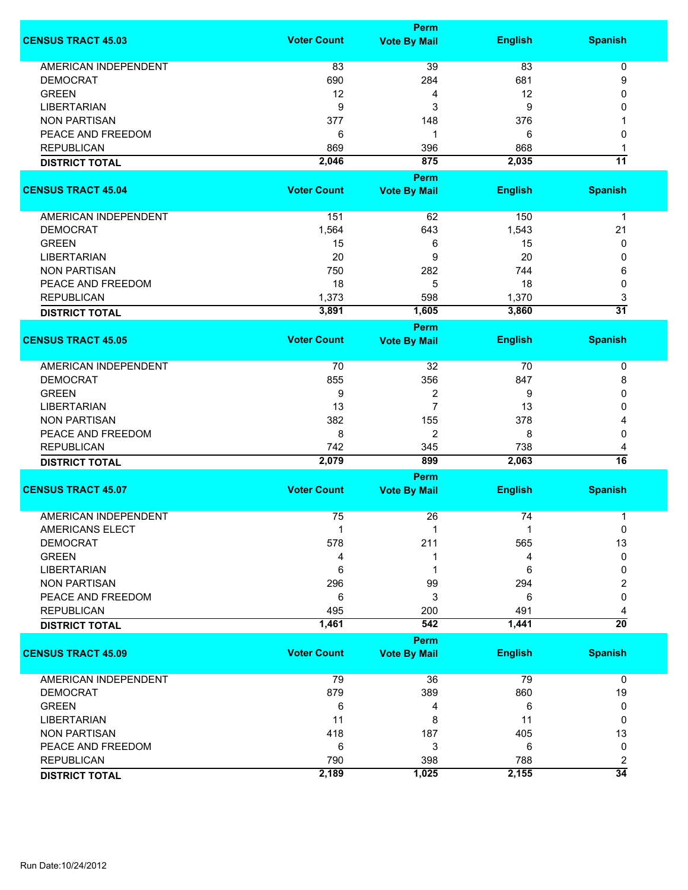|                                           |                    | Perm                |                |                 |
|-------------------------------------------|--------------------|---------------------|----------------|-----------------|
| <b>CENSUS TRACT 45.03</b>                 | <b>Voter Count</b> | <b>Vote By Mail</b> | <b>English</b> | <b>Spanish</b>  |
|                                           |                    |                     |                |                 |
| <b>AMERICAN INDEPENDENT</b>               | 83                 | 39                  | 83             | 0               |
| <b>DEMOCRAT</b>                           | 690                | 284                 | 681            | 9               |
| <b>GREEN</b>                              | 12                 | 4                   | 12             | $\Omega$        |
| <b>LIBERTARIAN</b>                        | 9                  | 3                   | 9              | 0               |
| <b>NON PARTISAN</b>                       | 377                | 148                 | 376            |                 |
| PEACE AND FREEDOM                         | 6                  | 1                   | 6              | 0               |
| <b>REPUBLICAN</b>                         | 869                | 396                 | 868            |                 |
| <b>DISTRICT TOTAL</b>                     | 2,046              | 875                 | 2,035          | $\overline{11}$ |
|                                           |                    | Perm                |                |                 |
| <b>CENSUS TRACT 45.04</b>                 | <b>Voter Count</b> | <b>Vote By Mail</b> | <b>English</b> | <b>Spanish</b>  |
| AMERICAN INDEPENDENT                      | 151                | 62                  | 150            | $\mathbf{1}$    |
| <b>DEMOCRAT</b>                           | 1,564              | 643                 | 1,543          | 21              |
| <b>GREEN</b>                              | 15                 | 6                   | 15             | 0               |
| <b>LIBERTARIAN</b>                        | 20                 | 9                   | 20             | 0               |
| <b>NON PARTISAN</b>                       | 750                | 282                 | 744            | 6               |
| PEACE AND FREEDOM                         | 18                 | 5                   | 18             | $\mathbf{0}$    |
| <b>REPUBLICAN</b>                         | 1,373              | 598                 | 1,370          | 3               |
| <b>DISTRICT TOTAL</b>                     | 3,891              | 1,605               | 3,860          | $\overline{31}$ |
|                                           |                    | Perm                |                |                 |
| <b>CENSUS TRACT 45.05</b>                 | <b>Voter Count</b> | <b>Vote By Mail</b> | <b>English</b> | <b>Spanish</b>  |
|                                           |                    |                     |                |                 |
| AMERICAN INDEPENDENT                      | 70                 | 32                  | 70             | 0               |
| <b>DEMOCRAT</b>                           | 855                | 356                 | 847            | 8               |
| <b>GREEN</b>                              | 9                  | 2                   | 9              | 0               |
| <b>LIBERTARIAN</b>                        | 13                 | $\overline{7}$      | 13             | 0               |
| <b>NON PARTISAN</b>                       | 382                | 155                 | 378            |                 |
| PEACE AND FREEDOM                         | 8                  | 2                   | 8              | 0               |
| <b>REPUBLICAN</b>                         | 742                | 345                 | 738            | 4               |
| <b>DISTRICT TOTAL</b>                     | 2,079              | 899                 | 2,063          | $\overline{16}$ |
|                                           |                    | Perm                |                |                 |
| <b>CENSUS TRACT 45.07</b>                 | <b>Voter Count</b> | <b>Vote By Mail</b> | <b>English</b> | <b>Spanish</b>  |
|                                           |                    |                     |                |                 |
| <b>AMERICAN INDEPENDENT</b>               | 75                 | 26                  | 74             | 1               |
| AMERICANS ELECT                           | 1                  |                     |                | $\pmb{0}$       |
| <b>DEMOCRAT</b>                           | 578                | 211                 | 565            | 13              |
| <b>GREEN</b>                              | 4                  |                     | 4              | 0               |
| <b>LIBERTARIAN</b>                        | 6                  | 1                   | 6              | 0               |
| <b>NON PARTISAN</b>                       | 296                | 99                  | 294            | 2               |
| PEACE AND FREEDOM                         | 6                  | 3                   | 6              | 0               |
| <b>REPUBLICAN</b>                         | 495                | 200                 | 491            | 4               |
| <b>DISTRICT TOTAL</b>                     | 1,461              | 542                 | 1,441          | $\overline{20}$ |
|                                           |                    | Perm                |                |                 |
| <b>CENSUS TRACT 45.09</b>                 | <b>Voter Count</b> | <b>Vote By Mail</b> | <b>English</b> | <b>Spanish</b>  |
| AMERICAN INDEPENDENT                      | 79                 | 36                  | 79             | 0               |
|                                           | 879                |                     |                |                 |
| <b>DEMOCRAT</b><br><b>GREEN</b>           |                    | 389                 | 860<br>6       | 19<br>0         |
|                                           | 6                  | 4                   |                |                 |
| <b>LIBERTARIAN</b><br><b>NON PARTISAN</b> | 11<br>418          | 8<br>187            | 11<br>405      | 0<br>13         |
| PEACE AND FREEDOM                         | 6                  | 3                   | 6              | 0               |
| <b>REPUBLICAN</b>                         | 790                | 398                 | 788            | 2               |
|                                           | 2,189              | 1,025               | 2,155          | $\overline{34}$ |
| <b>DISTRICT TOTAL</b>                     |                    |                     |                |                 |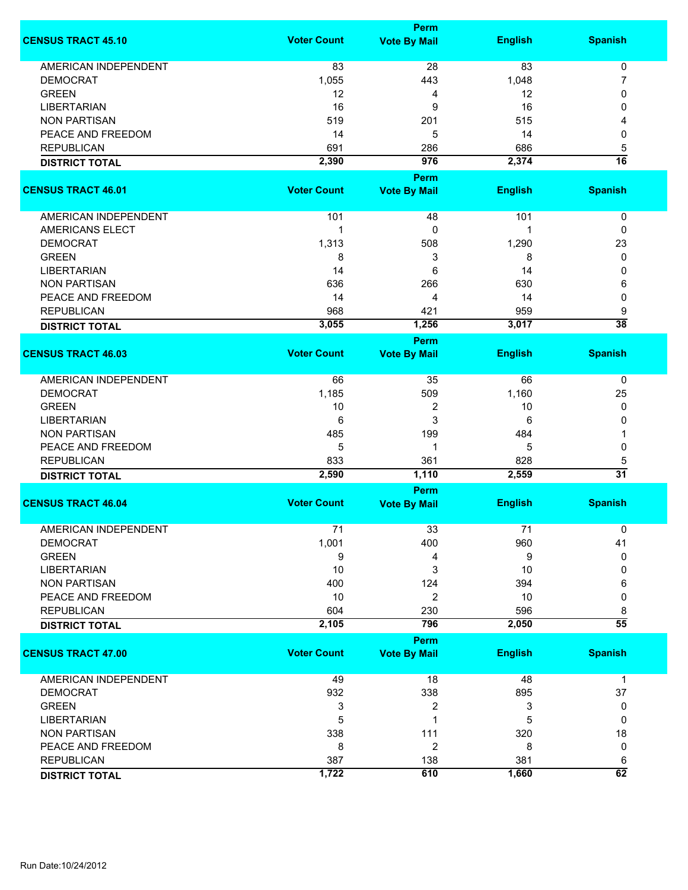|                             | Perm               |                     |                |                 |  |
|-----------------------------|--------------------|---------------------|----------------|-----------------|--|
| <b>CENSUS TRACT 45.10</b>   | <b>Voter Count</b> | <b>Vote By Mail</b> | <b>English</b> | <b>Spanish</b>  |  |
| <b>AMERICAN INDEPENDENT</b> | 83                 | 28                  | 83             | $\mathbf 0$     |  |
| <b>DEMOCRAT</b>             | 1,055              | 443                 | 1,048          | 7               |  |
| <b>GREEN</b>                | 12                 | 4                   | 12             | 0               |  |
| <b>LIBERTARIAN</b>          | 16                 | 9                   | 16             | 0               |  |
| <b>NON PARTISAN</b>         | 519                | 201                 | 515            |                 |  |
| PEACE AND FREEDOM           | 14                 | 5                   | 14             | 0               |  |
| <b>REPUBLICAN</b>           | 691                | 286                 | 686            | 5               |  |
| <b>DISTRICT TOTAL</b>       | 2,390              | 976                 | 2,374          | $\overline{16}$ |  |
|                             |                    | Perm                |                |                 |  |
| <b>CENSUS TRACT 46.01</b>   | <b>Voter Count</b> | <b>Vote By Mail</b> | <b>English</b> | <b>Spanish</b>  |  |
| AMERICAN INDEPENDENT        | 101                | 48                  | 101            | 0               |  |
| <b>AMERICANS ELECT</b>      | 1                  | 0                   |                | 0               |  |
| <b>DEMOCRAT</b>             | 1,313              | 508                 | 1,290          | 23              |  |
| <b>GREEN</b>                | 8                  | 3                   | 8              | 0               |  |
| <b>LIBERTARIAN</b>          | 14                 | 6                   | 14             | 0               |  |
| <b>NON PARTISAN</b>         | 636                | 266                 | 630            | 6               |  |
| PEACE AND FREEDOM           | 14                 | 4                   | 14             | 0               |  |
| <b>REPUBLICAN</b>           | 968                | 421                 | 959            | 9               |  |
| <b>DISTRICT TOTAL</b>       | 3,055              | 1,256               | 3,017          | $\overline{38}$ |  |
|                             |                    | Perm                |                |                 |  |
| <b>CENSUS TRACT 46.03</b>   | <b>Voter Count</b> | <b>Vote By Mail</b> | <b>English</b> | <b>Spanish</b>  |  |
| <b>AMERICAN INDEPENDENT</b> | 66                 | 35                  | 66             | $\mathbf 0$     |  |
| <b>DEMOCRAT</b>             | 1,185              | 509                 | 1,160          | 25              |  |
| <b>GREEN</b>                | 10                 | 2                   | 10             | 0               |  |
| <b>LIBERTARIAN</b>          | 6                  | 3                   | 6              | 0               |  |
| <b>NON PARTISAN</b>         | 485                | 199                 | 484            |                 |  |
| PEACE AND FREEDOM           | 5                  | 1                   | 5              | 0               |  |
| <b>REPUBLICAN</b>           | 833                | 361                 | 828            | 5               |  |
| <b>DISTRICT TOTAL</b>       | 2,590              | 1,110               | 2,559          | $\overline{31}$ |  |
|                             |                    | Perm                |                |                 |  |
| <b>CENSUS TRACT 46.04</b>   | <b>Voter Count</b> | <b>Vote By Mail</b> | <b>English</b> | <b>Spanish</b>  |  |
| <b>AMERICAN INDEPENDENT</b> | 71                 | 33                  | 71             | 0               |  |
| <b>DEMOCRAT</b>             | 1,001              | 400                 | 960            | 41              |  |
| <b>GREEN</b>                | 9                  | 4                   | 9              | 0               |  |
| <b>LIBERTARIAN</b>          | 10                 | 3                   | 10             | 0               |  |
| <b>NON PARTISAN</b>         | 400                | 124                 | 394            | 6               |  |
| PEACE AND FREEDOM           | 10                 | $\overline{2}$      | 10             | 0               |  |
| <b>REPUBLICAN</b>           | 604                | 230                 | 596            | 8               |  |
| <b>DISTRICT TOTAL</b>       | 2,105              | 796                 | 2,050          | $\overline{55}$ |  |
|                             |                    | <b>Perm</b>         |                |                 |  |
| <b>CENSUS TRACT 47.00</b>   | <b>Voter Count</b> | <b>Vote By Mail</b> | <b>English</b> | <b>Spanish</b>  |  |
| AMERICAN INDEPENDENT        | 49                 | 18                  | 48             | $\mathbf 1$     |  |
| <b>DEMOCRAT</b>             | 932                | 338                 | 895            | 37              |  |
| <b>GREEN</b>                | 3                  | 2                   | 3              | 0               |  |
| LIBERTARIAN                 | 5                  | 1                   | 5              | 0               |  |
| <b>NON PARTISAN</b>         | 338                | 111                 | 320            | 18              |  |
| PEACE AND FREEDOM           | 8                  | 2                   | 8              | 0               |  |
| <b>REPUBLICAN</b>           | 387                | 138                 | 381            | 6               |  |
| <b>DISTRICT TOTAL</b>       | 1,722              | 610                 | 1,660          | 62              |  |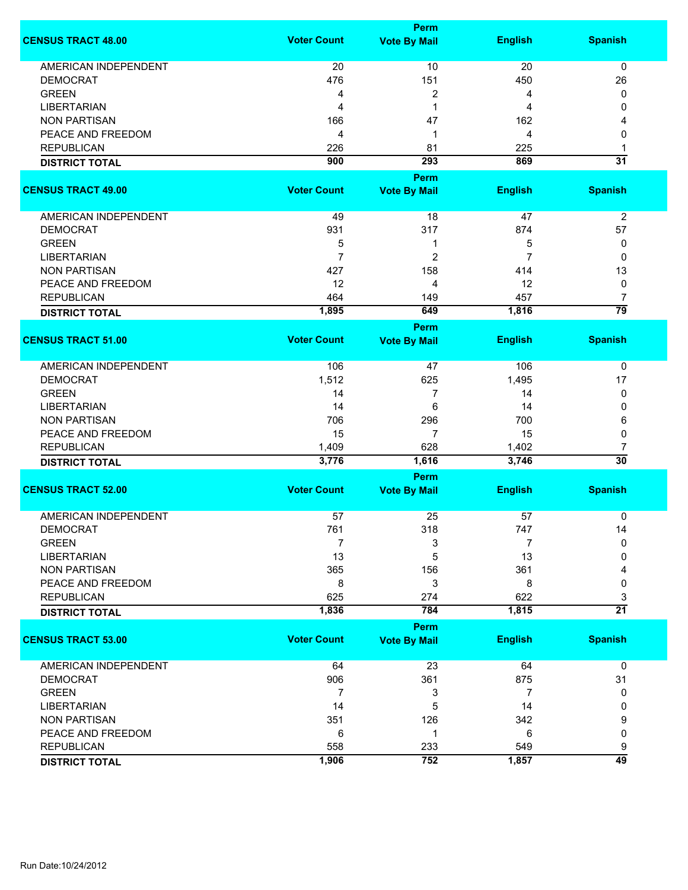|                             |                    | <b>Perm</b>         |                |                 |
|-----------------------------|--------------------|---------------------|----------------|-----------------|
| <b>CENSUS TRACT 48.00</b>   | <b>Voter Count</b> | <b>Vote By Mail</b> | <b>English</b> | <b>Spanish</b>  |
| <b>AMERICAN INDEPENDENT</b> | 20                 | 10                  | 20             | $\mathbf 0$     |
| <b>DEMOCRAT</b>             | 476                | 151                 | 450            | 26              |
| <b>GREEN</b>                | 4                  | 2                   | 4              | 0               |
| <b>LIBERTARIAN</b>          | 4                  | 1                   | 4              | 0               |
| <b>NON PARTISAN</b>         | 166                | 47                  | 162            | 4               |
|                             |                    |                     |                |                 |
| PEACE AND FREEDOM           | 4                  | 1                   | 4              | 0               |
| <b>REPUBLICAN</b>           | 226                | 81                  | 225            | 1               |
| <b>DISTRICT TOTAL</b>       | 900                | 293                 | 869            | $\overline{31}$ |
|                             |                    | Perm                |                |                 |
| <b>CENSUS TRACT 49.00</b>   | <b>Voter Count</b> | <b>Vote By Mail</b> | <b>English</b> | <b>Spanish</b>  |
| AMERICAN INDEPENDENT        | 49                 | 18                  | 47             | $\overline{2}$  |
| DEMOCRAT                    | 931                | 317                 | 874            | 57              |
| <b>GREEN</b>                | 5                  | 1                   | 5              | 0               |
| <b>LIBERTARIAN</b>          | $\overline{7}$     | $\overline{c}$      | 7              | 0               |
| <b>NON PARTISAN</b>         | 427                | 158                 | 414            | 13              |
| PEACE AND FREEDOM           | 12                 | 4                   | 12             | 0               |
| <b>REPUBLICAN</b>           | 464                |                     | 457            | 7               |
|                             |                    | 149                 |                | $\overline{79}$ |
| <b>DISTRICT TOTAL</b>       | 1,895              | 649                 | 1,816          |                 |
| <b>CENSUS TRACT 51.00</b>   | <b>Voter Count</b> | Perm                | <b>English</b> | <b>Spanish</b>  |
|                             |                    | <b>Vote By Mail</b> |                |                 |
| <b>AMERICAN INDEPENDENT</b> | 106                | 47                  | 106            | 0               |
| <b>DEMOCRAT</b>             | 1,512              | 625                 | 1,495          | 17              |
| <b>GREEN</b>                | 14                 | 7                   | 14             | 0               |
| <b>LIBERTARIAN</b>          | 14                 | 6                   | 14             | 0               |
| <b>NON PARTISAN</b>         | 706                | 296                 | 700            | 6               |
| PEACE AND FREEDOM           | 15                 | 7                   | 15             | 0               |
| <b>REPUBLICAN</b>           | 1,409              | 628                 | 1,402          | 7               |
| <b>DISTRICT TOTAL</b>       | 3,776              | 1,616               | 3,746          | $\overline{30}$ |
|                             |                    | <b>Perm</b>         |                |                 |
| <b>CENSUS TRACT 52.00</b>   | <b>Voter Count</b> | <b>Vote By Mail</b> | <b>English</b> | <b>Spanish</b>  |
|                             |                    |                     |                |                 |
| <b>AMERICAN INDEPENDENT</b> | 57                 | 25                  | 57             | 0               |
| <b>DEMOCRAT</b>             | 761                | 318                 | 747            | 14              |
| <b>GREEN</b>                | 7                  | 3                   | 7              | 0               |
| <b>LIBERTARIAN</b>          | 13                 | 5                   | 13             | 0               |
| <b>NON PARTISAN</b>         | 365                | 156                 | 361            |                 |
| PEACE AND FREEDOM           | 8                  | 3                   | 8              | 0               |
| <b>REPUBLICAN</b>           | 625                | 274                 | 622            | 3               |
| <b>DISTRICT TOTAL</b>       | 1,836              | 784                 | 1,815          | $\overline{21}$ |
|                             |                    | <b>Perm</b>         |                |                 |
| <b>CENSUS TRACT 53.00</b>   | <b>Voter Count</b> | <b>Vote By Mail</b> | <b>English</b> | <b>Spanish</b>  |
| <b>AMERICAN INDEPENDENT</b> | 64                 | 23                  | 64             | 0               |
| <b>DEMOCRAT</b>             | 906                | 361                 | 875            | 31              |
| <b>GREEN</b>                | 7                  | 3                   | 7              | 0               |
| <b>LIBERTARIAN</b>          | 14                 | 5                   | 14             | 0               |
| <b>NON PARTISAN</b>         | 351                | 126                 | 342            | 9               |
| PEACE AND FREEDOM           | 6                  | 1                   | 6              | 0               |
| <b>REPUBLICAN</b>           | 558                | 233                 | 549            | 9               |
|                             | 1,906              | 752                 | 1,857          | $\overline{49}$ |
| <b>DISTRICT TOTAL</b>       |                    |                     |                |                 |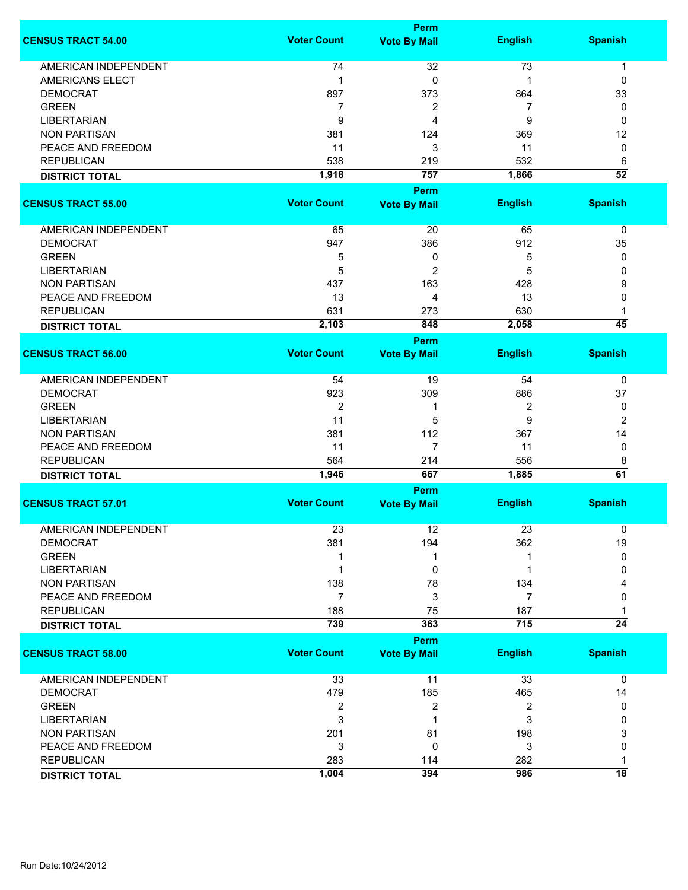|                             |                    | Perm                |                |                 |
|-----------------------------|--------------------|---------------------|----------------|-----------------|
| <b>CENSUS TRACT 54.00</b>   | <b>Voter Count</b> | <b>Vote By Mail</b> | <b>English</b> | <b>Spanish</b>  |
| <b>AMERICAN INDEPENDENT</b> | 74                 | 32                  | 73             | 1               |
| <b>AMERICANS ELECT</b>      | 1                  | 0                   | 1              | 0               |
| <b>DEMOCRAT</b>             | 897                | 373                 | 864            | 33              |
| <b>GREEN</b>                | 7                  | 2                   | 7              | 0               |
| <b>LIBERTARIAN</b>          | 9                  | 4                   | 9              | 0               |
| <b>NON PARTISAN</b>         | 381                | 124                 | 369            | 12              |
| PEACE AND FREEDOM           | 11                 | 3                   | 11             | 0               |
| <b>REPUBLICAN</b>           | 538                | 219                 | 532            | 6               |
| <b>DISTRICT TOTAL</b>       | 1,918              | 757                 | 1,866          | $\overline{52}$ |
|                             |                    | Perm                |                |                 |
| <b>CENSUS TRACT 55.00</b>   | <b>Voter Count</b> | <b>Vote By Mail</b> | <b>English</b> | <b>Spanish</b>  |
|                             |                    |                     |                |                 |
| <b>AMERICAN INDEPENDENT</b> | 65                 | 20                  | 65             | 0               |
| <b>DEMOCRAT</b>             | 947                | 386                 | 912            | 35              |
| <b>GREEN</b>                | 5                  | 0                   | 5              | 0               |
| <b>LIBERTARIAN</b>          | 5                  | 2                   | 5              | 0               |
| <b>NON PARTISAN</b>         | 437                | 163                 | 428            | 9               |
| PEACE AND FREEDOM           | 13                 | 4                   | 13             | 0               |
| <b>REPUBLICAN</b>           | 631                | 273                 | 630            |                 |
| <b>DISTRICT TOTAL</b>       | 2,103              | 848                 | 2,058          | $\overline{45}$ |
|                             |                    | Perm                |                |                 |
| <b>CENSUS TRACT 56.00</b>   | <b>Voter Count</b> | <b>Vote By Mail</b> | <b>English</b> | <b>Spanish</b>  |
| AMERICAN INDEPENDENT        | 54                 | 19                  | 54             | 0               |
| <b>DEMOCRAT</b>             | 923                | 309                 | 886            | 37              |
| <b>GREEN</b>                | 2                  | 1                   | 2              | 0               |
| <b>LIBERTARIAN</b>          | 11                 | 5                   | 9              | 2               |
| <b>NON PARTISAN</b>         | 381                | 112                 | 367            | 14              |
| PEACE AND FREEDOM           | 11                 | $\overline{7}$      | 11             | 0               |
| <b>REPUBLICAN</b>           | 564                | 214                 | 556            |                 |
|                             | 1,946              | 667                 | 1,885          | 8<br>61         |
| <b>DISTRICT TOTAL</b>       |                    | Perm                |                |                 |
| <b>CENSUS TRACT 57.01</b>   | <b>Voter Count</b> | <b>Vote By Mail</b> | <b>English</b> | <b>Spanish</b>  |
|                             |                    |                     |                |                 |
| <b>AMERICAN INDEPENDENT</b> | 23                 | 12                  | 23             | 0               |
| <b>DEMOCRAT</b>             | 381                | 194                 | 362            | 19              |
| <b>GREEN</b>                |                    | 1                   |                | 0               |
| <b>LIBERTARIAN</b>          |                    | 0                   |                | 0               |
| <b>NON PARTISAN</b>         | 138                | 78                  | 134            |                 |
| PEACE AND FREEDOM           | $\overline{7}$     | 3                   | $\overline{7}$ | 0               |
| <b>REPUBLICAN</b>           | 188                | 75                  | 187            |                 |
| <b>DISTRICT TOTAL</b>       | 739                | 363                 | 715            | $\overline{24}$ |
|                             |                    | Perm                |                |                 |
| <b>CENSUS TRACT 58.00</b>   | <b>Voter Count</b> | <b>Vote By Mail</b> | <b>English</b> | <b>Spanish</b>  |
| <b>AMERICAN INDEPENDENT</b> | 33                 | 11                  | 33             | $\mathbf 0$     |
| <b>DEMOCRAT</b>             | 479                | 185                 | 465            | 14              |
| <b>GREEN</b>                | 2                  | 2                   | 2              | 0               |
| <b>LIBERTARIAN</b>          | 3                  | 1                   | 3              | 0               |
| <b>NON PARTISAN</b>         | 201                | 81                  | 198            | 3               |
| PEACE AND FREEDOM           | 3                  | 0                   | 3              | 0               |
| <b>REPUBLICAN</b>           | 283                | 114                 | 282            | 1               |
| <b>DISTRICT TOTAL</b>       | 1,004              | 394                 | 986            | $\overline{18}$ |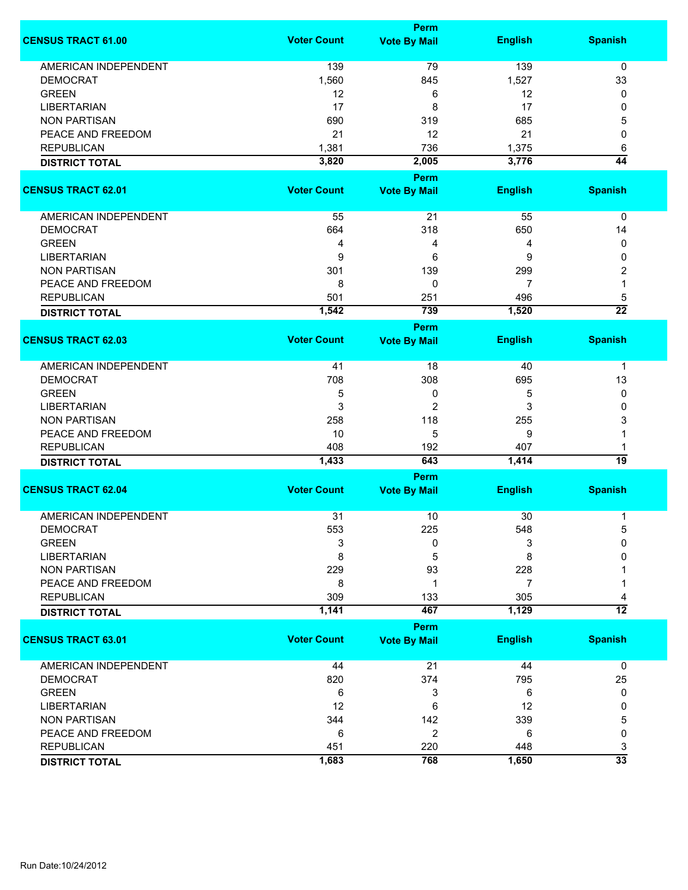|                             | <b>Perm</b>        |                                    |                |                 |  |
|-----------------------------|--------------------|------------------------------------|----------------|-----------------|--|
| <b>CENSUS TRACT 61.00</b>   | <b>Voter Count</b> | <b>Vote By Mail</b>                | <b>English</b> | <b>Spanish</b>  |  |
| <b>AMERICAN INDEPENDENT</b> | 139                | 79                                 | 139            | 0               |  |
| <b>DEMOCRAT</b>             | 1,560              | 845                                | 1,527          | 33              |  |
| <b>GREEN</b>                | 12                 | 6                                  | 12             | 0               |  |
| <b>LIBERTARIAN</b>          | 17                 | 8                                  | 17             | 0               |  |
| <b>NON PARTISAN</b>         |                    |                                    | 685            |                 |  |
|                             | 690                | 319                                |                | 5               |  |
| PEACE AND FREEDOM           | 21                 | 12                                 | 21             | 0               |  |
| <b>REPUBLICAN</b>           | 1,381              | 736                                | 1,375          | 6               |  |
| <b>DISTRICT TOTAL</b>       | 3,820              | 2,005                              | 3,776          | $\overline{44}$ |  |
| <b>CENSUS TRACT 62.01</b>   | <b>Voter Count</b> | <b>Perm</b><br><b>Vote By Mail</b> | <b>English</b> | <b>Spanish</b>  |  |
|                             |                    |                                    |                |                 |  |
| AMERICAN INDEPENDENT        | 55                 | 21                                 | 55             | 0               |  |
| <b>DEMOCRAT</b>             | 664                | 318                                | 650            | 14              |  |
| <b>GREEN</b>                | 4                  | 4                                  | 4              | 0               |  |
| <b>LIBERTARIAN</b>          | 9                  | 6                                  | 9              | 0               |  |
| <b>NON PARTISAN</b>         | 301                | 139                                | 299            | 2               |  |
| PEACE AND FREEDOM           | 8                  | 0                                  | 7              | 1               |  |
| <b>REPUBLICAN</b>           | 501                | 251                                | 496            | 5               |  |
| <b>DISTRICT TOTAL</b>       | 1,542              | 739                                | 1,520          | $\overline{22}$ |  |
|                             |                    | <b>Perm</b>                        |                |                 |  |
| <b>CENSUS TRACT 62.03</b>   | <b>Voter Count</b> | <b>Vote By Mail</b>                | <b>English</b> | <b>Spanish</b>  |  |
| <b>AMERICAN INDEPENDENT</b> | 41                 | 18                                 | 40             | $\mathbf 1$     |  |
| <b>DEMOCRAT</b>             | 708                | 308                                | 695            | 13              |  |
| <b>GREEN</b>                | 5                  | 0                                  | 5              | 0               |  |
| <b>LIBERTARIAN</b>          | 3                  | 2                                  | 3              | 0               |  |
| <b>NON PARTISAN</b>         | 258                | 118                                | 255            | 3               |  |
|                             |                    |                                    |                |                 |  |
| PEACE AND FREEDOM           | 10                 | 5                                  | 9              | 1               |  |
| <b>REPUBLICAN</b>           | 408                | 192                                | 407            | 1               |  |
| <b>DISTRICT TOTAL</b>       | 1,433              | 643                                | 1,414          | 19              |  |
|                             |                    | <b>Perm</b>                        |                |                 |  |
| <b>CENSUS TRACT 62.04</b>   | <b>Voter Count</b> | <b>Vote By Mail</b>                | <b>English</b> | <b>Spanish</b>  |  |
| <b>AMERICAN INDEPENDENT</b> | 31                 | 10                                 | 30             | 1               |  |
| <b>DEMOCRAT</b>             | 553                | 225                                | 548            | 5               |  |
| <b>GREEN</b>                | 3                  | 0                                  | 3              | 0               |  |
| <b>LIBERTARIAN</b>          | 8                  | 5                                  | 8              | 0               |  |
| <b>NON PARTISAN</b>         | 229                | 93                                 | 228            |                 |  |
| PEACE AND FREEDOM           | 8                  | 1                                  | 7              |                 |  |
| <b>REPUBLICAN</b>           | 309                | 133                                | 305            |                 |  |
| <b>DISTRICT TOTAL</b>       | 1,141              | 467                                | 1,129          | $\overline{12}$ |  |
|                             |                    | Perm                               |                |                 |  |
| <b>CENSUS TRACT 63.01</b>   | <b>Voter Count</b> | <b>Vote By Mail</b>                | <b>English</b> | <b>Spanish</b>  |  |
| <b>AMERICAN INDEPENDENT</b> | 44                 | 21                                 | 44             | $\mathbf 0$     |  |
| <b>DEMOCRAT</b>             | 820                | 374                                | 795            | 25              |  |
| <b>GREEN</b>                | 6                  | 3                                  | 6              | 0               |  |
| <b>LIBERTARIAN</b>          | 12                 | 6                                  | 12             | 0               |  |
| <b>NON PARTISAN</b>         | 344                | 142                                | 339            | 5               |  |
| PEACE AND FREEDOM           | 6                  | $\overline{2}$                     | 6              | 0               |  |
| <b>REPUBLICAN</b>           | 451                | 220                                | 448            | 3               |  |
| <b>DISTRICT TOTAL</b>       | 1,683              | 768                                | 1,650          | $\overline{33}$ |  |
|                             |                    |                                    |                |                 |  |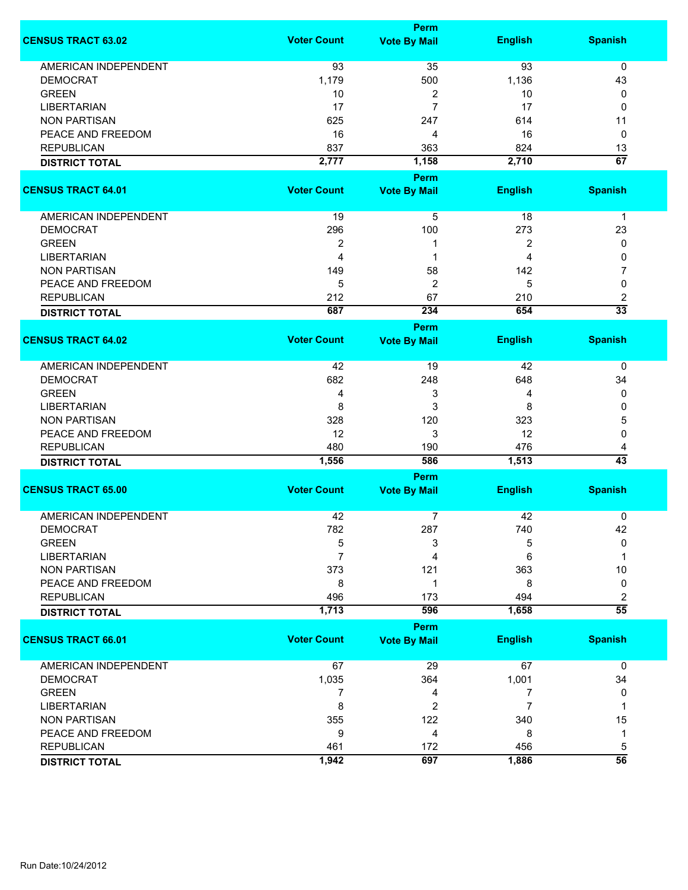|                             |                    | <b>Perm</b>         |                |                 |
|-----------------------------|--------------------|---------------------|----------------|-----------------|
| <b>CENSUS TRACT 63.02</b>   | <b>Voter Count</b> | <b>Vote By Mail</b> | <b>English</b> | <b>Spanish</b>  |
| <b>AMERICAN INDEPENDENT</b> | 93                 | 35                  | 93             | $\mathbf 0$     |
| <b>DEMOCRAT</b>             | 1,179              | 500                 | 1,136          | 43              |
| <b>GREEN</b>                | 10                 | 2                   | 10             | 0               |
| <b>LIBERTARIAN</b>          | 17                 | 7                   | 17             | 0               |
|                             |                    |                     |                |                 |
| <b>NON PARTISAN</b>         | 625                | 247                 | 614            | 11              |
| PEACE AND FREEDOM           | 16                 | 4                   | 16             | 0               |
| <b>REPUBLICAN</b>           | 837                | 363                 | 824            | 13              |
| <b>DISTRICT TOTAL</b>       | 2,777              | 1,158               | 2,710          | $\overline{67}$ |
|                             |                    | <b>Perm</b>         |                |                 |
| <b>CENSUS TRACT 64.01</b>   | <b>Voter Count</b> | <b>Vote By Mail</b> | <b>English</b> | <b>Spanish</b>  |
| AMERICAN INDEPENDENT        | 19                 | 5                   | 18             | $\mathbf 1$     |
| <b>DEMOCRAT</b>             | 296                | 100                 | 273            | 23              |
| <b>GREEN</b>                | $\overline{2}$     | 1                   | $\overline{2}$ | 0               |
| <b>LIBERTARIAN</b>          | $\overline{4}$     | 1                   | 4              | 0               |
| <b>NON PARTISAN</b>         | 149                | 58                  | 142            | 7               |
|                             |                    |                     |                |                 |
| PEACE AND FREEDOM           | 5                  | $\overline{2}$      | 5              | 0               |
| <b>REPUBLICAN</b>           | 212                | 67                  | 210            | 2               |
| <b>DISTRICT TOTAL</b>       | 687                | 234                 | 654            | $\overline{33}$ |
|                             |                    | <b>Perm</b>         |                |                 |
| <b>CENSUS TRACT 64.02</b>   | <b>Voter Count</b> | <b>Vote By Mail</b> | <b>English</b> | <b>Spanish</b>  |
| <b>AMERICAN INDEPENDENT</b> | 42                 | 19                  | 42             | 0               |
| <b>DEMOCRAT</b>             | 682                | 248                 | 648            | 34              |
| <b>GREEN</b>                | 4                  | 3                   | 4              | 0               |
| <b>LIBERTARIAN</b>          | 8                  | 3                   | 8              | 0               |
| <b>NON PARTISAN</b>         | 328                | 120                 | 323            |                 |
|                             |                    |                     |                | 5               |
| PEACE AND FREEDOM           | 12                 | 3                   | 12             | 0               |
| <b>REPUBLICAN</b>           | 480                | 190                 | 476            | 4               |
| <b>DISTRICT TOTAL</b>       | 1,556              | 586                 | 1,513          | $\overline{43}$ |
|                             |                    | <b>Perm</b>         |                |                 |
| <b>CENSUS TRACT 65.00</b>   | <b>Voter Count</b> | <b>Vote By Mail</b> | <b>English</b> | <b>Spanish</b>  |
| <b>AMERICAN INDEPENDENT</b> | 42                 | 7                   | 42             | 0               |
| <b>DEMOCRAT</b>             | 782                | 287                 | 740            | 42              |
| <b>GREEN</b>                | 5                  | 3                   | 5              | 0               |
| <b>LIBERTARIAN</b>          | $\overline{7}$     | 4                   | 6              | 1               |
| <b>NON PARTISAN</b>         | 373                | 121                 | 363            | 10              |
| PEACE AND FREEDOM           | 8                  | 1                   | 8              | 0               |
| <b>REPUBLICAN</b>           | 496                | 173                 | 494            | 2               |
| <b>DISTRICT TOTAL</b>       | 1,713              | 596                 | 1,658          | $\overline{55}$ |
|                             |                    | <b>Perm</b>         |                |                 |
| <b>CENSUS TRACT 66.01</b>   | <b>Voter Count</b> | <b>Vote By Mail</b> | <b>English</b> | <b>Spanish</b>  |
| <b>AMERICAN INDEPENDENT</b> | 67                 | 29                  | 67             | 0               |
| <b>DEMOCRAT</b>             | 1,035              | 364                 | 1,001          | 34              |
| <b>GREEN</b>                | 7                  | 4                   | 7              | 0               |
| <b>LIBERTARIAN</b>          | 8                  | 2                   | 7              | 1               |
| <b>NON PARTISAN</b>         | 355                | 122                 | 340            | 15              |
| PEACE AND FREEDOM           | 9                  | 4                   | 8              | 1               |
|                             |                    |                     |                |                 |
| <b>REPUBLICAN</b>           | 461                | 172                 | 456            | 5               |
| <b>DISTRICT TOTAL</b>       | 1,942              | 697                 | 1,886          | $\overline{56}$ |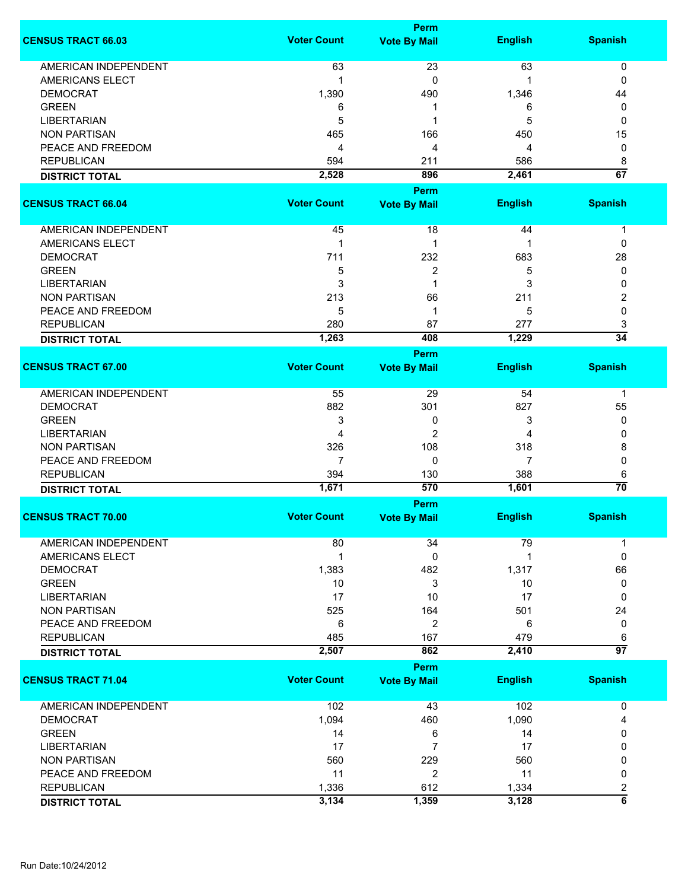|                             |                    | Perm                |                |                         |
|-----------------------------|--------------------|---------------------|----------------|-------------------------|
| <b>CENSUS TRACT 66.03</b>   | <b>Voter Count</b> | <b>Vote By Mail</b> | <b>English</b> | <b>Spanish</b>          |
| <b>AMERICAN INDEPENDENT</b> | 63                 | 23                  | 63             | 0                       |
| AMERICANS ELECT             | 1                  | 0                   | -1             | 0                       |
| <b>DEMOCRAT</b>             |                    |                     |                |                         |
|                             | 1,390              | 490                 | 1,346          | 44                      |
| <b>GREEN</b>                | 6                  | 1                   | 6              | 0                       |
| <b>LIBERTARIAN</b>          | 5                  | 1                   | 5              | 0                       |
| <b>NON PARTISAN</b>         | 465                | 166                 | 450            | 15                      |
| PEACE AND FREEDOM           | 4                  | 4                   | 4              | 0                       |
| <b>REPUBLICAN</b>           | 594                | 211                 | 586            | 8                       |
| <b>DISTRICT TOTAL</b>       | 2,528              | 896                 | 2,461          | $\overline{67}$         |
|                             |                    | Perm                |                |                         |
| <b>CENSUS TRACT 66.04</b>   | <b>Voter Count</b> | <b>Vote By Mail</b> | <b>English</b> | <b>Spanish</b>          |
|                             |                    |                     |                |                         |
| AMERICAN INDEPENDENT        | 45                 | 18                  | 44             | $\mathbf 1$             |
| <b>AMERICANS ELECT</b>      | 1                  | 1                   | 1              | 0                       |
|                             |                    |                     |                |                         |
| <b>DEMOCRAT</b>             | 711                | 232                 | 683            | 28                      |
| <b>GREEN</b>                | 5                  | 2                   | 5              | 0                       |
| <b>LIBERTARIAN</b>          | 3                  | 1                   | 3              | 0                       |
| <b>NON PARTISAN</b>         | 213                | 66                  | 211            | 2                       |
| PEACE AND FREEDOM           | 5                  | 1                   | 5              | 0                       |
| <b>REPUBLICAN</b>           | 280                | 87                  | 277            | 3                       |
| <b>DISTRICT TOTAL</b>       | 1,263              | 408                 | 1,229          | $\overline{34}$         |
|                             |                    | Perm                |                |                         |
| <b>CENSUS TRACT 67.00</b>   | <b>Voter Count</b> | <b>Vote By Mail</b> | <b>English</b> | <b>Spanish</b>          |
|                             |                    |                     |                |                         |
| AMERICAN INDEPENDENT        | 55                 | 29                  | 54             | 1                       |
| <b>DEMOCRAT</b>             | 882                | 301                 | 827            | 55                      |
| <b>GREEN</b>                | 3                  | 0                   | 3              | 0                       |
| <b>LIBERTARIAN</b>          | 4                  | $\overline{c}$      | 4              | 0                       |
| <b>NON PARTISAN</b>         | 326                | 108                 | 318            | 8                       |
| PEACE AND FREEDOM           | $\overline{7}$     | 0                   | 7              | 0                       |
|                             |                    |                     |                |                         |
| <b>REPUBLICAN</b>           | 394                | 130                 | 388            | 6                       |
| <b>DISTRICT TOTAL</b>       | 1,671              | 570                 | 1,601          | $\overline{70}$         |
|                             |                    | Perm                |                |                         |
| <b>CENSUS TRACT 70.00</b>   | <b>Voter Count</b> | <b>Vote By Mail</b> | <b>English</b> | <b>Spanish</b>          |
|                             |                    |                     |                |                         |
| <b>AMERICAN INDEPENDENT</b> | 80                 | 34                  | 79             | -1                      |
| AMERICANS ELECT             | $\mathbf 1$        | 0                   | 1              | $\mathbf 0$             |
| <b>DEMOCRAT</b>             | 1,383              | 482                 | 1,317          | 66                      |
| <b>GREEN</b>                | 10                 | 3                   | 10             | 0                       |
| <b>LIBERTARIAN</b>          | 17                 | 10                  | 17             | 0                       |
| <b>NON PARTISAN</b>         | 525                | 164                 | 501            | 24                      |
| PEACE AND FREEDOM           | 6                  | $\overline{2}$      | 6              | 0                       |
| <b>REPUBLICAN</b>           | 485                | 167                 | 479            | 6                       |
| <b>DISTRICT TOTAL</b>       | 2,507              | 862                 | 2,410          | $\overline{97}$         |
|                             |                    | Perm                |                |                         |
| <b>CENSUS TRACT 71.04</b>   | <b>Voter Count</b> | <b>Vote By Mail</b> | <b>English</b> | <b>Spanish</b>          |
|                             |                    |                     |                |                         |
| <b>AMERICAN INDEPENDENT</b> | 102                | 43                  | 102            | $\mathbf 0$             |
|                             |                    |                     |                |                         |
| <b>DEMOCRAT</b>             | 1,094              | 460                 | 1,090          | 4                       |
| <b>GREEN</b>                | 14                 | 6                   | 14             | 0                       |
| <b>LIBERTARIAN</b>          | 17                 | 7                   | 17             | 0                       |
| <b>NON PARTISAN</b>         | 560                | 229                 | 560            | 0                       |
| PEACE AND FREEDOM           | 11                 | 2                   | 11             | 0                       |
| <b>REPUBLICAN</b>           | 1,336              | 612                 | 1,334          | 2                       |
| <b>DISTRICT TOTAL</b>       | 3,134              | 1,359               | 3,128          | $\overline{\mathbf{6}}$ |
|                             |                    |                     |                |                         |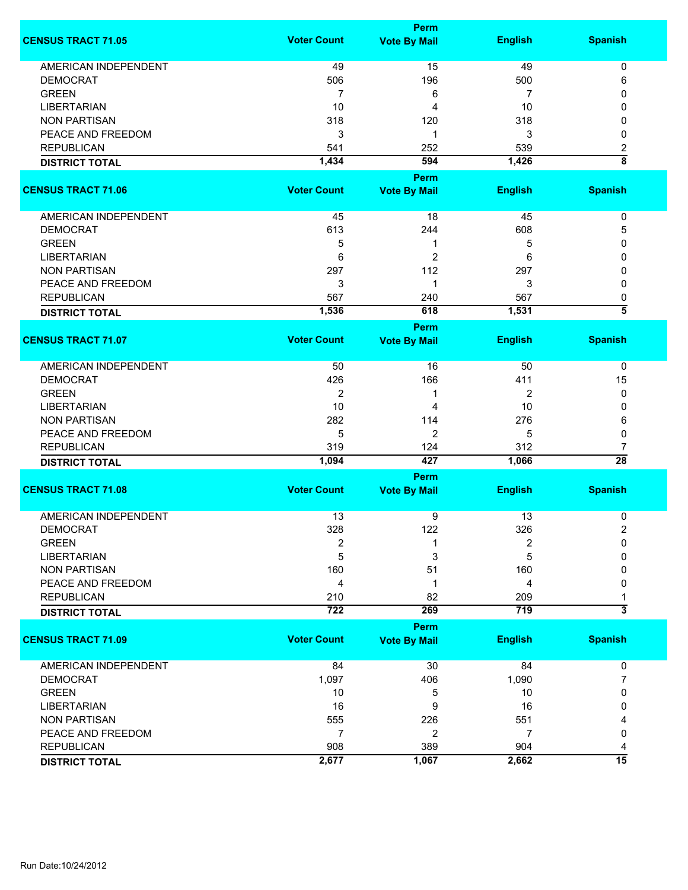|                             |                    | Perm                |                |                                    |  |  |
|-----------------------------|--------------------|---------------------|----------------|------------------------------------|--|--|
| <b>CENSUS TRACT 71.05</b>   | <b>Voter Count</b> | <b>Vote By Mail</b> | <b>English</b> | <b>Spanish</b>                     |  |  |
| <b>AMERICAN INDEPENDENT</b> | 49                 | 15                  | 49             | $\pmb{0}$                          |  |  |
| <b>DEMOCRAT</b>             | 506                | 196                 | 500            | 6                                  |  |  |
| <b>GREEN</b>                | $\overline{7}$     | 6                   | 7              | 0                                  |  |  |
| <b>LIBERTARIAN</b>          | 10                 | 4                   | 10             | 0                                  |  |  |
|                             |                    |                     |                |                                    |  |  |
| <b>NON PARTISAN</b>         | 318                | 120                 | 318            | 0                                  |  |  |
| PEACE AND FREEDOM           | 3                  | 1                   | 3              | 0                                  |  |  |
| <b>REPUBLICAN</b>           | 541                | 252                 | 539            | $\boldsymbol{2}$                   |  |  |
| <b>DISTRICT TOTAL</b>       | 1,434              | 594                 | 1,426          | $\overline{\overline{\mathbf{8}}}$ |  |  |
|                             |                    | Perm                |                |                                    |  |  |
| <b>CENSUS TRACT 71.06</b>   | <b>Voter Count</b> | <b>Vote By Mail</b> | <b>English</b> | <b>Spanish</b>                     |  |  |
|                             |                    |                     |                |                                    |  |  |
| AMERICAN INDEPENDENT        | 45                 | 18                  | 45             | 0                                  |  |  |
| <b>DEMOCRAT</b>             | 613                | 244                 | 608            | 5                                  |  |  |
| <b>GREEN</b>                | 5                  | 1                   | 5              | 0                                  |  |  |
| <b>LIBERTARIAN</b>          | 6                  | $\overline{2}$      | 6              | 0                                  |  |  |
| <b>NON PARTISAN</b>         | 297                | 112                 | 297            | 0                                  |  |  |
| PEACE AND FREEDOM           | 3                  | 1                   | 3              | 0                                  |  |  |
| <b>REPUBLICAN</b>           | 567                | 240                 | 567            | 0                                  |  |  |
| <b>DISTRICT TOTAL</b>       | 1,536              | 618                 | 1,531          | $\overline{\bf{5}}$                |  |  |
|                             |                    | Perm                |                |                                    |  |  |
| <b>CENSUS TRACT 71.07</b>   | <b>Voter Count</b> | <b>Vote By Mail</b> | <b>English</b> | <b>Spanish</b>                     |  |  |
|                             |                    |                     |                |                                    |  |  |
| <b>AMERICAN INDEPENDENT</b> | 50                 | 16                  | 50             | $\mathbf 0$                        |  |  |
| <b>DEMOCRAT</b>             | 426                | 166                 | 411            | 15                                 |  |  |
| <b>GREEN</b>                | 2                  | 1                   | 2              | 0                                  |  |  |
|                             |                    |                     |                |                                    |  |  |
| <b>LIBERTARIAN</b>          | 10                 | 4                   | 10             | 0                                  |  |  |
| <b>NON PARTISAN</b>         | 282                | 114                 | 276            | 6                                  |  |  |
| PEACE AND FREEDOM           | 5                  | $\overline{c}$      | 5              | 0                                  |  |  |
| <b>REPUBLICAN</b>           | 319                | 124                 | 312            | 7                                  |  |  |
| <b>DISTRICT TOTAL</b>       | 1,094              | 427                 | 1,066          | $\overline{28}$                    |  |  |
|                             | Perm               |                     |                |                                    |  |  |
| <b>CENSUS TRACT 71.08</b>   | <b>Voter Count</b> | <b>Vote By Mail</b> | <b>English</b> | <b>Spanish</b>                     |  |  |
|                             |                    |                     |                |                                    |  |  |
| <b>AMERICAN INDEPENDENT</b> | 13                 | 9                   | 13             | 0                                  |  |  |
| <b>DEMOCRAT</b>             | 328                | 122                 | 326            | 2                                  |  |  |
| <b>GREEN</b>                | 2                  | 1                   | 2              | $\Omega$                           |  |  |
| <b>LIBERTARIAN</b>          | 5                  | 3                   | 5              | 0                                  |  |  |
| <b>NON PARTISAN</b>         | 160                | 51                  | 160            | 0                                  |  |  |
| PEACE AND FREEDOM           | 4                  | 1                   | 4              | 0                                  |  |  |
| <b>REPUBLICAN</b>           | 210                | 82                  | 209            | 1                                  |  |  |
| <b>DISTRICT TOTAL</b>       | $\overline{722}$   | 269                 | 719            | $\overline{\overline{3}}$          |  |  |
|                             |                    | Perm                |                |                                    |  |  |
| <b>CENSUS TRACT 71.09</b>   | <b>Voter Count</b> | <b>Vote By Mail</b> | <b>English</b> | <b>Spanish</b>                     |  |  |
| AMERICAN INDEPENDENT        | 84                 | 30                  | 84             | 0                                  |  |  |
|                             |                    |                     |                |                                    |  |  |
| <b>DEMOCRAT</b>             | 1,097              | 406                 | 1,090          | $\overline{7}$                     |  |  |
| <b>GREEN</b>                | 10                 | 5                   | 10             | 0                                  |  |  |
| <b>LIBERTARIAN</b>          | 16                 | 9                   | 16             | 0                                  |  |  |
| <b>NON PARTISAN</b>         | 555                | 226                 | 551            |                                    |  |  |
| PEACE AND FREEDOM           | $\overline{7}$     | 2                   | $\overline{7}$ | 0                                  |  |  |
| <b>REPUBLICAN</b>           | 908                | 389                 | 904            | 4                                  |  |  |
| <b>DISTRICT TOTAL</b>       | 2,677              | 1,067               | 2,662          | $\overline{15}$                    |  |  |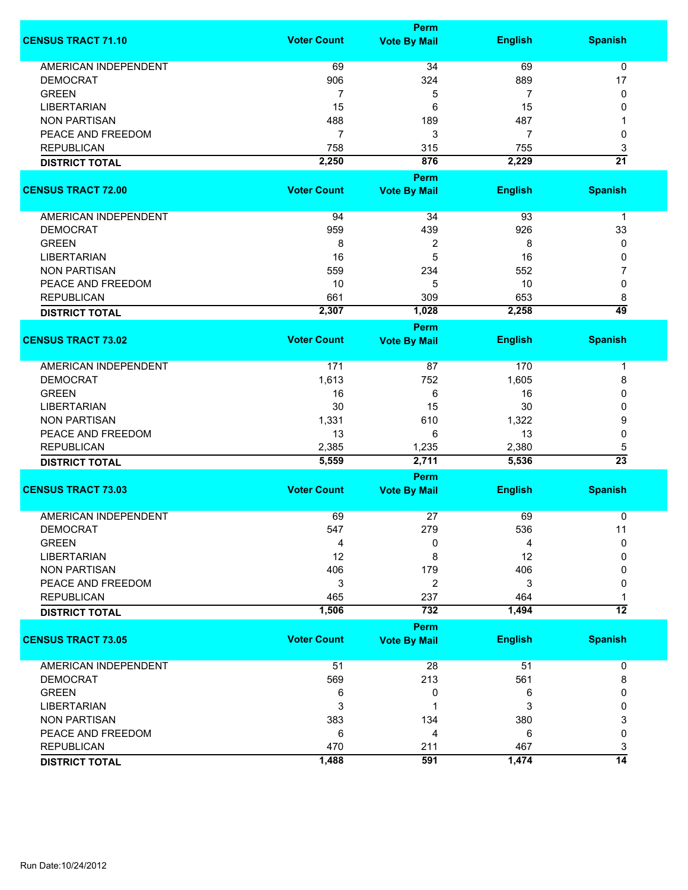|                             |                    | <b>Perm</b>          |                |                      |
|-----------------------------|--------------------|----------------------|----------------|----------------------|
| <b>CENSUS TRACT 71.10</b>   | <b>Voter Count</b> | <b>Vote By Mail</b>  | <b>English</b> | <b>Spanish</b>       |
| <b>AMERICAN INDEPENDENT</b> | 69                 | 34                   | 69             | $\mathbf 0$          |
| <b>DEMOCRAT</b>             | 906                | 324                  | 889            | 17                   |
| <b>GREEN</b>                | 7                  | 5                    | 7              | 0                    |
| <b>LIBERTARIAN</b>          | 15                 | 6                    | 15             | 0                    |
| <b>NON PARTISAN</b>         | 488                | 189                  | 487            |                      |
|                             |                    |                      |                |                      |
| PEACE AND FREEDOM           | $\overline{7}$     | 3                    | 7              | 0                    |
| <b>REPUBLICAN</b>           | 758                | 315                  | 755            | 3                    |
| <b>DISTRICT TOTAL</b>       | 2,250              | 876                  | 2,229          | $\overline{21}$      |
| <b>CENSUS TRACT 72.00</b>   | <b>Voter Count</b> | <b>Perm</b>          | <b>English</b> | <b>Spanish</b>       |
|                             |                    | <b>Vote By Mail</b>  |                |                      |
| AMERICAN INDEPENDENT        | 94                 | 34                   | 93             | $\mathbf 1$          |
| <b>DEMOCRAT</b>             | 959                | 439                  | 926            | 33                   |
| <b>GREEN</b>                | 8                  | $\overline{2}$       | 8              | 0                    |
| <b>LIBERTARIAN</b>          | 16                 | 5                    | 16             | 0                    |
| <b>NON PARTISAN</b>         | 559                | 234                  | 552            | 7                    |
| PEACE AND FREEDOM           | 10                 | 5                    | 10             | 0                    |
| <b>REPUBLICAN</b>           | 661                | 309                  | 653            |                      |
|                             |                    |                      |                | 8<br>$\overline{49}$ |
| <b>DISTRICT TOTAL</b>       | 2,307              | 1,028<br><b>Perm</b> | 2,258          |                      |
| <b>CENSUS TRACT 73.02</b>   | <b>Voter Count</b> | <b>Vote By Mail</b>  | <b>English</b> | <b>Spanish</b>       |
|                             |                    |                      |                |                      |
| <b>AMERICAN INDEPENDENT</b> | 171                | 87                   | 170            | 1                    |
| <b>DEMOCRAT</b>             | 1,613              | 752                  | 1,605          | 8                    |
| <b>GREEN</b>                | 16                 | 6                    | 16             | 0                    |
| <b>LIBERTARIAN</b>          | 30                 | 15                   | 30             | 0                    |
| <b>NON PARTISAN</b>         | 1,331              | 610                  | 1,322          | 9                    |
| PEACE AND FREEDOM           | 13                 | 6                    | 13             | 0                    |
| <b>REPUBLICAN</b>           |                    |                      | 2,380          |                      |
|                             | 2,385<br>5,559     | 1,235<br>2,711       | 5,536          | 5<br>$\overline{23}$ |
| <b>DISTRICT TOTAL</b>       |                    | Perm                 |                |                      |
| <b>CENSUS TRACT 73.03</b>   | <b>Voter Count</b> | <b>Vote By Mail</b>  | <b>English</b> | <b>Spanish</b>       |
|                             |                    |                      |                |                      |
| <b>AMERICAN INDEPENDENT</b> | 69                 | 27                   | 69             | 0                    |
| <b>DEMOCRAT</b>             | 547                | 279                  | 536            | 11                   |
| <b>GREEN</b>                | 4                  | 0                    | 4              | $\mathbf{0}$         |
| <b>LIBERTARIAN</b>          | 12                 | 8                    | 12             | 0                    |
| <b>NON PARTISAN</b>         | 406                | 179                  | 406            | 0                    |
| PEACE AND FREEDOM           | 3                  | 2                    | 3              | 0                    |
| <b>REPUBLICAN</b>           | 465                | 237                  | 464            |                      |
| <b>DISTRICT TOTAL</b>       | 1,506              | 732                  | 1,494          | $\overline{12}$      |
|                             |                    | <b>Perm</b>          |                |                      |
| <b>CENSUS TRACT 73.05</b>   | <b>Voter Count</b> | <b>Vote By Mail</b>  | <b>English</b> | <b>Spanish</b>       |
| <b>AMERICAN INDEPENDENT</b> | 51                 | 28                   | 51             | 0                    |
| <b>DEMOCRAT</b>             | 569                | 213                  | 561            | 8                    |
| <b>GREEN</b>                | 6                  | 0                    | 6              | 0                    |
| <b>LIBERTARIAN</b>          | 3                  | 1                    | 3              | 0                    |
| <b>NON PARTISAN</b>         | 383                | 134                  | 380            | 3                    |
| PEACE AND FREEDOM           | 6                  | 4                    | 6              | 0                    |
|                             |                    |                      |                |                      |
| <b>REPUBLICAN</b>           | 470                | 211                  | 467            | 3                    |
| <b>DISTRICT TOTAL</b>       | 1,488              | 591                  | 1,474          | $\overline{14}$      |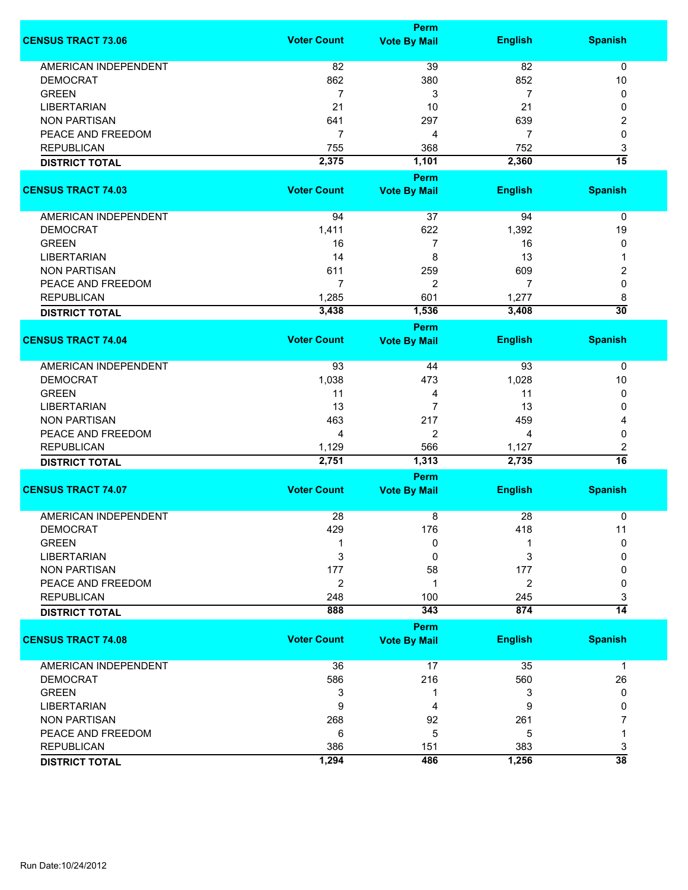|                    | <b>Perm</b>                                                                                                                                                                        |                                                                                                                                               |                                                                                                                                                                         |
|--------------------|------------------------------------------------------------------------------------------------------------------------------------------------------------------------------------|-----------------------------------------------------------------------------------------------------------------------------------------------|-------------------------------------------------------------------------------------------------------------------------------------------------------------------------|
| <b>Voter Count</b> | <b>Vote By Mail</b>                                                                                                                                                                | <b>English</b>                                                                                                                                | <b>Spanish</b>                                                                                                                                                          |
|                    |                                                                                                                                                                                    |                                                                                                                                               | $\mathbf 0$                                                                                                                                                             |
|                    |                                                                                                                                                                                    |                                                                                                                                               | 10                                                                                                                                                                      |
|                    |                                                                                                                                                                                    |                                                                                                                                               | 0                                                                                                                                                                       |
|                    |                                                                                                                                                                                    |                                                                                                                                               | 0                                                                                                                                                                       |
|                    |                                                                                                                                                                                    |                                                                                                                                               | 2                                                                                                                                                                       |
|                    |                                                                                                                                                                                    |                                                                                                                                               | 0                                                                                                                                                                       |
|                    |                                                                                                                                                                                    |                                                                                                                                               | 3                                                                                                                                                                       |
|                    |                                                                                                                                                                                    |                                                                                                                                               | $\overline{15}$                                                                                                                                                         |
|                    |                                                                                                                                                                                    |                                                                                                                                               |                                                                                                                                                                         |
| <b>Voter Count</b> | <b>Vote By Mail</b>                                                                                                                                                                | <b>English</b>                                                                                                                                | <b>Spanish</b>                                                                                                                                                          |
| 94                 | 37                                                                                                                                                                                 | 94                                                                                                                                            | 0                                                                                                                                                                       |
| 1,411              | 622                                                                                                                                                                                | 1,392                                                                                                                                         | 19                                                                                                                                                                      |
| 16                 | $\overline{7}$                                                                                                                                                                     | 16                                                                                                                                            | 0                                                                                                                                                                       |
| 14                 | 8                                                                                                                                                                                  | 13                                                                                                                                            | 1                                                                                                                                                                       |
|                    |                                                                                                                                                                                    |                                                                                                                                               | 2                                                                                                                                                                       |
|                    |                                                                                                                                                                                    |                                                                                                                                               | 0                                                                                                                                                                       |
|                    |                                                                                                                                                                                    |                                                                                                                                               | 8                                                                                                                                                                       |
|                    |                                                                                                                                                                                    |                                                                                                                                               | $\overline{30}$                                                                                                                                                         |
|                    |                                                                                                                                                                                    |                                                                                                                                               |                                                                                                                                                                         |
| <b>Voter Count</b> | <b>Vote By Mail</b>                                                                                                                                                                | <b>English</b>                                                                                                                                | <b>Spanish</b>                                                                                                                                                          |
| 93                 | 44                                                                                                                                                                                 | 93                                                                                                                                            | 0                                                                                                                                                                       |
|                    | 473                                                                                                                                                                                |                                                                                                                                               | 10                                                                                                                                                                      |
| 11                 | 4                                                                                                                                                                                  |                                                                                                                                               | 0                                                                                                                                                                       |
|                    | $\overline{7}$                                                                                                                                                                     |                                                                                                                                               | 0                                                                                                                                                                       |
|                    |                                                                                                                                                                                    |                                                                                                                                               | 4                                                                                                                                                                       |
|                    |                                                                                                                                                                                    |                                                                                                                                               | 0                                                                                                                                                                       |
|                    |                                                                                                                                                                                    |                                                                                                                                               | 2                                                                                                                                                                       |
|                    |                                                                                                                                                                                    |                                                                                                                                               | $\overline{16}$                                                                                                                                                         |
|                    | <b>Perm</b>                                                                                                                                                                        |                                                                                                                                               |                                                                                                                                                                         |
| <b>Voter Count</b> | <b>Vote By Mail</b>                                                                                                                                                                | <b>English</b>                                                                                                                                | <b>Spanish</b>                                                                                                                                                          |
| 28                 | 8                                                                                                                                                                                  | 28                                                                                                                                            | 0                                                                                                                                                                       |
| 429                | 176                                                                                                                                                                                | 418                                                                                                                                           | 11                                                                                                                                                                      |
|                    | 0                                                                                                                                                                                  |                                                                                                                                               | 0                                                                                                                                                                       |
| 3                  | 0                                                                                                                                                                                  | 3                                                                                                                                             | 0                                                                                                                                                                       |
| 177                | 58                                                                                                                                                                                 | 177                                                                                                                                           | 0                                                                                                                                                                       |
| $\overline{2}$     | 1                                                                                                                                                                                  | $\overline{2}$                                                                                                                                | 0                                                                                                                                                                       |
| 248                | 100                                                                                                                                                                                | 245                                                                                                                                           | 3                                                                                                                                                                       |
| 888                | 343                                                                                                                                                                                | 874                                                                                                                                           | $\overline{14}$                                                                                                                                                         |
|                    | <b>Perm</b>                                                                                                                                                                        |                                                                                                                                               |                                                                                                                                                                         |
|                    | <b>Vote By Mail</b>                                                                                                                                                                |                                                                                                                                               | <b>Spanish</b>                                                                                                                                                          |
| 36                 | 17                                                                                                                                                                                 | 35                                                                                                                                            | $\mathbf 1$                                                                                                                                                             |
|                    |                                                                                                                                                                                    |                                                                                                                                               | 26                                                                                                                                                                      |
| 3                  | 1                                                                                                                                                                                  | 3                                                                                                                                             | 0                                                                                                                                                                       |
| 9                  | 4                                                                                                                                                                                  | 9                                                                                                                                             | 0                                                                                                                                                                       |
| 268                | 92                                                                                                                                                                                 | 261                                                                                                                                           | 7                                                                                                                                                                       |
| 6                  | 5                                                                                                                                                                                  | 5                                                                                                                                             | 1                                                                                                                                                                       |
| 386                | 151                                                                                                                                                                                | 383                                                                                                                                           | 3                                                                                                                                                                       |
| 1,294              | 486                                                                                                                                                                                | 1,256                                                                                                                                         | $\overline{38}$                                                                                                                                                         |
|                    | 82<br>862<br>$\overline{7}$<br>21<br>641<br>7<br>755<br>2,375<br>611<br>$\overline{7}$<br>1,285<br>3,438<br>1,038<br>13<br>463<br>4<br>1,129<br>2,751<br><b>Voter Count</b><br>586 | 39<br>380<br>3<br>10<br>297<br>4<br>368<br>1,101<br><b>Perm</b><br>259<br>2<br>601<br>1,536<br><b>Perm</b><br>217<br>2<br>566<br>1,313<br>216 | 82<br>852<br>$\overline{7}$<br>21<br>639<br>7<br>752<br>2,360<br>609<br>7<br>1,277<br>3,408<br>1,028<br>11<br>13<br>459<br>4<br>1,127<br>2,735<br><b>English</b><br>560 |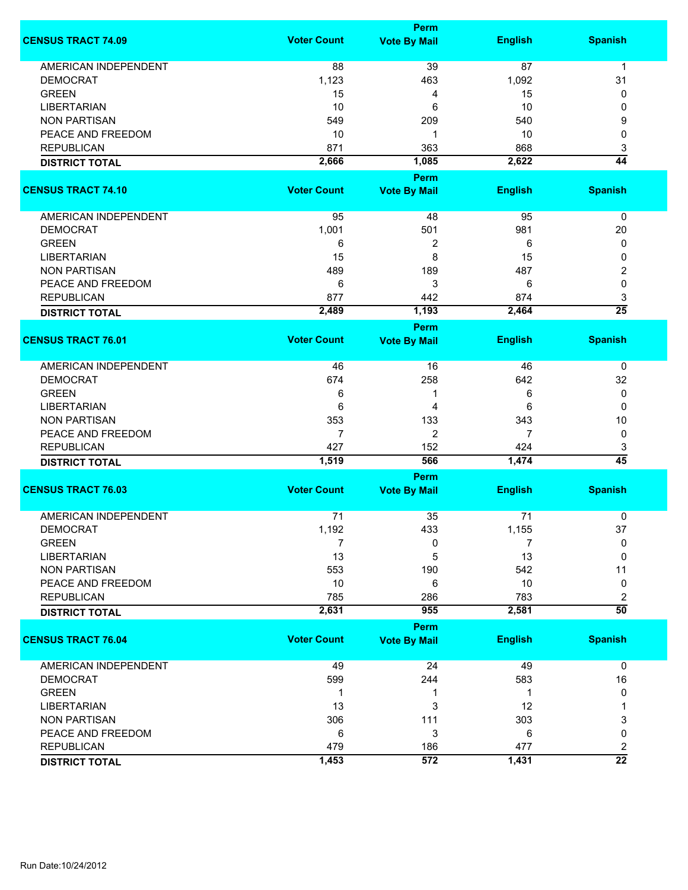|                             |                    | <b>Perm</b>                        |                |                      |
|-----------------------------|--------------------|------------------------------------|----------------|----------------------|
| <b>CENSUS TRACT 74.09</b>   | <b>Voter Count</b> | <b>Vote By Mail</b>                | <b>English</b> | <b>Spanish</b>       |
| <b>AMERICAN INDEPENDENT</b> | 88                 | 39                                 | 87             | $\mathbf{1}$         |
| <b>DEMOCRAT</b>             | 1,123              | 463                                | 1,092          | 31                   |
| <b>GREEN</b>                | 15                 | 4                                  | 15             | 0                    |
| <b>LIBERTARIAN</b>          | 10                 | 6                                  | 10             | 0                    |
| <b>NON PARTISAN</b>         | 549                | 209                                | 540            | 9                    |
| PEACE AND FREEDOM           | 10                 | 1                                  | 10             | 0                    |
| <b>REPUBLICAN</b>           |                    |                                    |                |                      |
|                             | 871                | 363                                | 868            | 3                    |
| <b>DISTRICT TOTAL</b>       | 2,666              | 1,085<br><b>Perm</b>               | 2,622          | 44                   |
| <b>CENSUS TRACT 74.10</b>   | <b>Voter Count</b> | <b>Vote By Mail</b>                | <b>English</b> | <b>Spanish</b>       |
|                             |                    |                                    |                |                      |
| AMERICAN INDEPENDENT        | 95                 | 48                                 | 95             | $\pmb{0}$            |
| <b>DEMOCRAT</b>             | 1,001              | 501                                | 981            | 20                   |
| <b>GREEN</b>                | 6                  | 2                                  | 6              | 0                    |
| <b>LIBERTARIAN</b>          | 15                 | 8                                  | 15             | 0                    |
| <b>NON PARTISAN</b>         | 489                | 189                                | 487            | 2                    |
| PEACE AND FREEDOM           | 6                  | 3                                  | 6              | 0                    |
| <b>REPUBLICAN</b>           | 877                | 442                                | 874            | 3                    |
| <b>DISTRICT TOTAL</b>       | 2,489              | 1,193                              | 2,464          | $\overline{25}$      |
|                             |                    | <b>Perm</b>                        |                |                      |
| <b>CENSUS TRACT 76.01</b>   | <b>Voter Count</b> | <b>Vote By Mail</b>                | <b>English</b> | <b>Spanish</b>       |
| <b>AMERICAN INDEPENDENT</b> | 46                 | 16                                 | 46             | 0                    |
| <b>DEMOCRAT</b>             | 674                | 258                                | 642            | 32                   |
| <b>GREEN</b>                | 6                  | 1                                  | 6              | 0                    |
| <b>LIBERTARIAN</b>          | 6                  | 4                                  | 6              | 0                    |
| <b>NON PARTISAN</b>         | 353                | 133                                | 343            | 10                   |
| PEACE AND FREEDOM           | $\overline{7}$     | 2                                  | 7              | 0                    |
| <b>REPUBLICAN</b>           | 427                | 152                                | 424            |                      |
|                             | 1,519              | 566                                | 1,474          | 3<br>$\overline{45}$ |
| <b>DISTRICT TOTAL</b>       |                    |                                    |                |                      |
| <b>CENSUS TRACT 76.03</b>   | <b>Voter Count</b> | <b>Perm</b><br><b>Vote By Mail</b> | <b>English</b> | <b>Spanish</b>       |
|                             |                    |                                    |                |                      |
| <b>AMERICAN INDEPENDENT</b> | 71                 | 35                                 | 71             | 0                    |
| <b>DEMOCRAT</b>             | 1,192              | 433                                | 1,155          | 37                   |
| <b>GREEN</b>                | 7                  | 0                                  | 7              | 0                    |
| <b>LIBERTARIAN</b>          | 13                 | 5                                  | 13             | $\Omega$             |
| <b>NON PARTISAN</b>         | 553                | 190                                | 542            | 11                   |
| PEACE AND FREEDOM           | 10                 | 6                                  | 10             | 0                    |
| <b>REPUBLICAN</b>           | 785                | 286                                | 783            | 2                    |
| <b>DISTRICT TOTAL</b>       | 2,631              | 955                                | 2,581          | $\overline{50}$      |
|                             |                    | Perm                               |                |                      |
| <b>CENSUS TRACT 76.04</b>   | <b>Voter Count</b> | <b>Vote By Mail</b>                | <b>English</b> | <b>Spanish</b>       |
| AMERICAN INDEPENDENT        | 49                 | 24                                 | 49             | $\mathbf 0$          |
| <b>DEMOCRAT</b>             | 599                | 244                                | 583            | 16                   |
| <b>GREEN</b>                | -1                 | 1                                  | 1              | 0                    |
| <b>LIBERTARIAN</b>          | 13                 | 3                                  | 12             |                      |
| <b>NON PARTISAN</b>         | 306                | 111                                | 303            | 3                    |
| PEACE AND FREEDOM           | 6                  | 3                                  | 6              | 0                    |
| <b>REPUBLICAN</b>           | 479                | 186                                | 477            | 2                    |
| <b>DISTRICT TOTAL</b>       | 1,453              | 572                                | 1,431          | $\overline{22}$      |
|                             |                    |                                    |                |                      |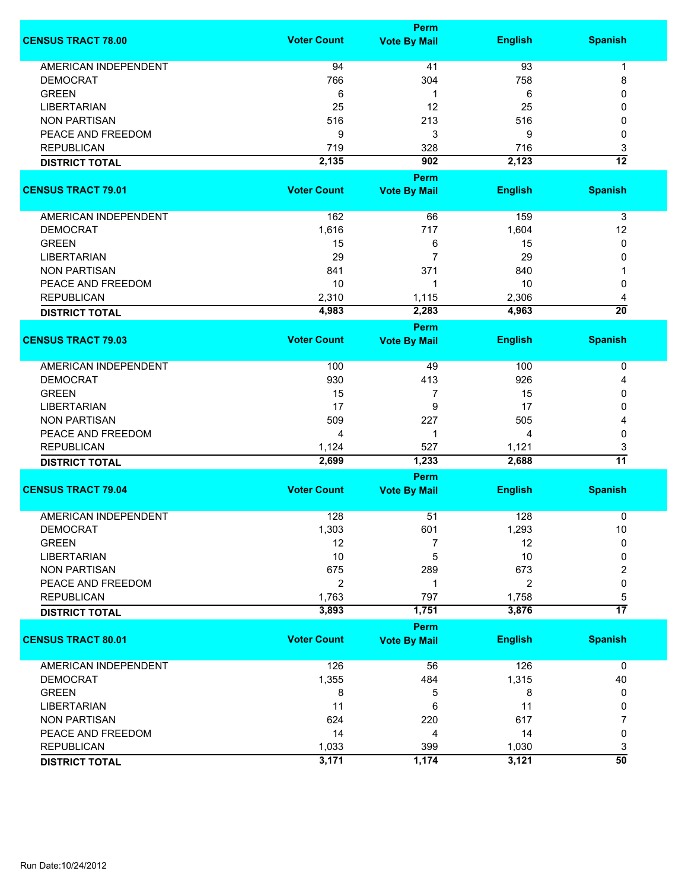|                             |                    | <b>Perm</b>                        |                |                      |  |  |
|-----------------------------|--------------------|------------------------------------|----------------|----------------------|--|--|
| <b>CENSUS TRACT 78.00</b>   | <b>Voter Count</b> | <b>Vote By Mail</b>                | <b>English</b> | <b>Spanish</b>       |  |  |
| <b>AMERICAN INDEPENDENT</b> | 94                 | 41                                 | 93             | 1                    |  |  |
| <b>DEMOCRAT</b>             | 766                | 304                                | 758            | 8                    |  |  |
| <b>GREEN</b>                | 6                  | 1                                  | 6              | 0                    |  |  |
| <b>LIBERTARIAN</b>          | 25                 | 12                                 | 25             | 0                    |  |  |
| <b>NON PARTISAN</b>         | 516                | 213                                | 516            | 0                    |  |  |
| PEACE AND FREEDOM           | 9                  | 3                                  | 9              | 0                    |  |  |
| <b>REPUBLICAN</b>           | 719                | 328                                | 716            |                      |  |  |
|                             |                    |                                    |                | 3<br>$\overline{12}$ |  |  |
| <b>DISTRICT TOTAL</b>       | 2,135              | 902                                | 2,123          |                      |  |  |
|                             |                    | <b>Perm</b>                        |                |                      |  |  |
| <b>CENSUS TRACT 79.01</b>   | <b>Voter Count</b> | <b>Vote By Mail</b>                | <b>English</b> | <b>Spanish</b>       |  |  |
| AMERICAN INDEPENDENT        | 162                | 66                                 | 159            | 3                    |  |  |
| <b>DEMOCRAT</b>             | 1,616              | 717                                | 1,604          | 12                   |  |  |
| <b>GREEN</b>                | 15                 | 6                                  | 15             | 0                    |  |  |
| <b>LIBERTARIAN</b>          | 29                 | $\overline{7}$                     | 29             | 0                    |  |  |
| <b>NON PARTISAN</b>         | 841                | 371                                | 840            |                      |  |  |
| PEACE AND FREEDOM           | 10                 | 1                                  | 10             | 0                    |  |  |
| <b>REPUBLICAN</b>           | 2,310              | 1,115                              | 2,306          | 4                    |  |  |
| <b>DISTRICT TOTAL</b>       | 4,983              | 2,283                              | 4,963          | $\overline{20}$      |  |  |
|                             |                    | <b>Perm</b>                        |                |                      |  |  |
| <b>CENSUS TRACT 79.03</b>   | <b>Voter Count</b> | <b>Vote By Mail</b>                | <b>English</b> | <b>Spanish</b>       |  |  |
|                             |                    |                                    |                |                      |  |  |
| <b>AMERICAN INDEPENDENT</b> | 100                | 49                                 | 100            | 0                    |  |  |
| <b>DEMOCRAT</b>             | 930                | 413                                | 926            | 4                    |  |  |
| <b>GREEN</b>                | 15                 | 7                                  | 15             | 0                    |  |  |
| <b>LIBERTARIAN</b>          | 17                 | 9                                  | 17             | 0                    |  |  |
| <b>NON PARTISAN</b>         | 509                | 227                                | 505            | 4                    |  |  |
| PEACE AND FREEDOM           | 4                  | 1                                  | 4              | 0                    |  |  |
| <b>REPUBLICAN</b>           | 1,124              | 527                                | 1,121          | 3                    |  |  |
| <b>DISTRICT TOTAL</b>       | 2,699              | 1,233                              | 2,688          | $\overline{11}$      |  |  |
|                             | Perm               |                                    |                |                      |  |  |
| <b>CENSUS TRACT 79.04</b>   | <b>Voter Count</b> | <b>Vote By Mail</b>                | <b>English</b> | <b>Spanish</b>       |  |  |
| <b>AMERICAN INDEPENDENT</b> | 128                | 51                                 | 128            | 0                    |  |  |
| <b>DEMOCRAT</b>             | 1,303              | 601                                | 1,293          | 10                   |  |  |
| <b>GREEN</b>                | 12                 | 7                                  | 12             | 0                    |  |  |
| <b>LIBERTARIAN</b>          | 10                 | 5                                  | 10             | 0                    |  |  |
| <b>NON PARTISAN</b>         | 675                | 289                                | 673            | 2                    |  |  |
| PEACE AND FREEDOM           | 2                  | 1                                  | 2              | 0                    |  |  |
| <b>REPUBLICAN</b>           | 1,763              | 797                                | 1,758          | 5                    |  |  |
|                             | 3,893              | 1,751                              | 3,876          | $\overline{17}$      |  |  |
| <b>DISTRICT TOTAL</b>       |                    |                                    |                |                      |  |  |
| <b>CENSUS TRACT 80.01</b>   | <b>Voter Count</b> | <b>Perm</b><br><b>Vote By Mail</b> | <b>English</b> | <b>Spanish</b>       |  |  |
|                             |                    |                                    |                |                      |  |  |
| <b>AMERICAN INDEPENDENT</b> | 126                | 56                                 | 126            | $\mathbf 0$          |  |  |
| <b>DEMOCRAT</b>             | 1,355              | 484                                | 1,315          | 40                   |  |  |
| <b>GREEN</b>                | 8                  | 5                                  | 8              | 0                    |  |  |
| <b>LIBERTARIAN</b>          | 11                 | 6                                  | 11             | 0                    |  |  |
| <b>NON PARTISAN</b>         | 624                | 220                                | 617            | 7                    |  |  |
| PEACE AND FREEDOM           | 14                 | 4                                  | 14             | 0                    |  |  |
| <b>REPUBLICAN</b>           | 1,033              | 399                                | 1,030          | 3                    |  |  |
| <b>DISTRICT TOTAL</b>       | 3,171              | 1,174                              | 3,121          | $\overline{50}$      |  |  |
|                             |                    |                                    |                |                      |  |  |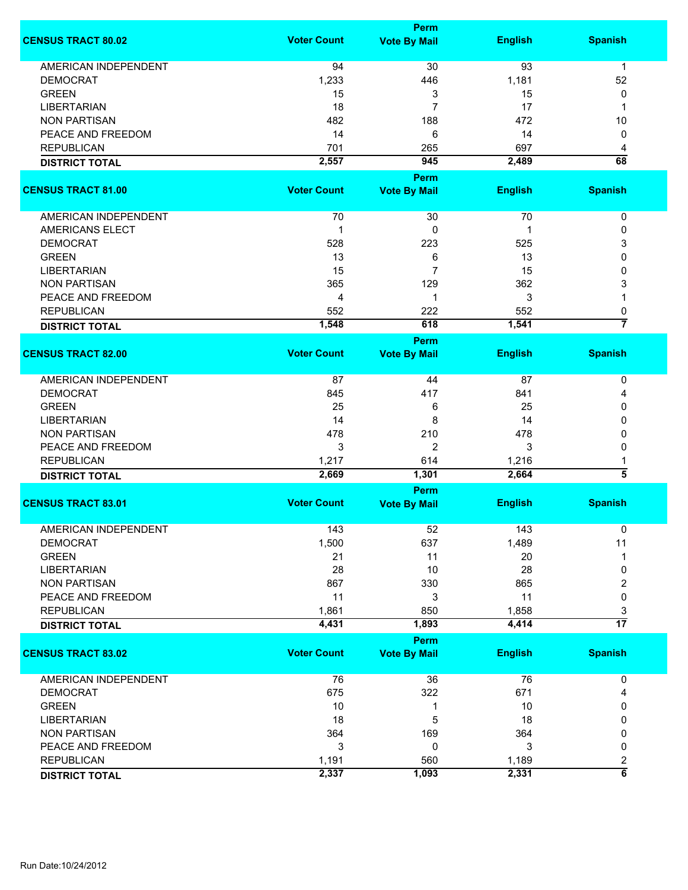|                             |                    | Perm                               |                |                              |
|-----------------------------|--------------------|------------------------------------|----------------|------------------------------|
| <b>CENSUS TRACT 80.02</b>   | <b>Voter Count</b> | <b>Vote By Mail</b>                | <b>English</b> | <b>Spanish</b>               |
| <b>AMERICAN INDEPENDENT</b> | 94                 | 30                                 | 93             | $\mathbf 1$                  |
| <b>DEMOCRAT</b>             | 1,233              | 446                                | 1,181          | 52                           |
| <b>GREEN</b>                | 15                 | 3                                  | 15             | 0                            |
| <b>LIBERTARIAN</b>          | 18                 | 7                                  | 17             | 1                            |
| <b>NON PARTISAN</b>         |                    |                                    |                |                              |
|                             | 482                | 188                                | 472            | 10                           |
| PEACE AND FREEDOM           | 14                 | 6                                  | 14             | 0                            |
| <b>REPUBLICAN</b>           | 701                | 265                                | 697            | 4                            |
| <b>DISTRICT TOTAL</b>       | 2,557              | 945                                | 2,489          | 68                           |
| <b>CENSUS TRACT 81.00</b>   | <b>Voter Count</b> | <b>Perm</b><br><b>Vote By Mail</b> | <b>English</b> | <b>Spanish</b>               |
| AMERICAN INDEPENDENT        | 70                 | 30                                 | 70             | 0                            |
| <b>AMERICANS ELECT</b>      | 1                  | 0                                  | 1              | 0                            |
| <b>DEMOCRAT</b>             |                    |                                    |                |                              |
|                             | 528                | 223                                | 525            | 3                            |
| <b>GREEN</b>                | 13                 | 6                                  | 13             | 0                            |
| <b>LIBERTARIAN</b>          | 15                 | $\overline{7}$                     | 15             | 0                            |
| <b>NON PARTISAN</b>         | 365                | 129                                | 362            | 3                            |
| PEACE AND FREEDOM           | 4                  | 1                                  | 3              |                              |
| <b>REPUBLICAN</b>           | 552                | 222                                | 552            | 0                            |
| <b>DISTRICT TOTAL</b>       | 1,548              | 618                                | 1,541          | $\overline{7}$               |
|                             |                    | Perm                               |                |                              |
| <b>CENSUS TRACT 82.00</b>   | <b>Voter Count</b> | <b>Vote By Mail</b>                | <b>English</b> | <b>Spanish</b>               |
| <b>AMERICAN INDEPENDENT</b> | 87                 | 44                                 | 87             | 0                            |
| <b>DEMOCRAT</b>             | 845                | 417                                | 841            | 4                            |
| <b>GREEN</b>                | 25                 | 6                                  | 25             | 0                            |
| <b>LIBERTARIAN</b>          | 14                 | 8                                  | 14             | $\Omega$                     |
| <b>NON PARTISAN</b>         | 478                | 210                                | 478            | 0                            |
| PEACE AND FREEDOM           | 3                  | 2                                  | 3              | 0                            |
| <b>REPUBLICAN</b>           | 1,217              | 614                                | 1,216          |                              |
| <b>DISTRICT TOTAL</b>       | 2,669              | 1,301                              | 2,664          | 5                            |
|                             |                    | Perm                               |                |                              |
| <b>CENSUS TRACT 83.01</b>   | <b>Voter Count</b> | <b>Vote By Mail</b>                | <b>English</b> | <b>Spanish</b>               |
| <b>AMERICAN INDEPENDENT</b> | 143                | 52                                 | 143            | 0                            |
| <b>DEMOCRAT</b>             | 1,500              | 637                                | 1,489          | 11                           |
| <b>GREEN</b>                | 21                 | 11                                 | 20             |                              |
| <b>LIBERTARIAN</b>          | 28                 | 10                                 | 28             | 0                            |
| <b>NON PARTISAN</b>         | 867                | 330                                | 865            | 2                            |
| PEACE AND FREEDOM           | 11                 | 3                                  | 11             | 0                            |
| <b>REPUBLICAN</b>           | 1,861              | 850                                | 1,858          |                              |
| <b>DISTRICT TOTAL</b>       | 4,431              | 1,893                              | 4,414          | 3<br>$\overline{17}$         |
|                             |                    | Perm                               |                |                              |
| <b>CENSUS TRACT 83.02</b>   | <b>Voter Count</b> | <b>Vote By Mail</b>                | <b>English</b> | <b>Spanish</b>               |
| <b>AMERICAN INDEPENDENT</b> | 76                 | 36                                 | 76             | 0                            |
| <b>DEMOCRAT</b>             | 675                | 322                                | 671            | 4                            |
| <b>GREEN</b>                | 10                 | 1                                  | 10             | 0                            |
| <b>LIBERTARIAN</b>          | 18                 | 5                                  | 18             | 0                            |
| <b>NON PARTISAN</b>         | 364                | 169                                | 364            | 0                            |
| PEACE AND FREEDOM           | 3                  | 0                                  | 3              | 0                            |
|                             |                    |                                    |                |                              |
| <b>REPUBLICAN</b>           | 1,191              | 560                                | 1,189          | 2<br>$\overline{\mathbf{6}}$ |
| <b>DISTRICT TOTAL</b>       | 2,337              | 1,093                              | 2,331          |                              |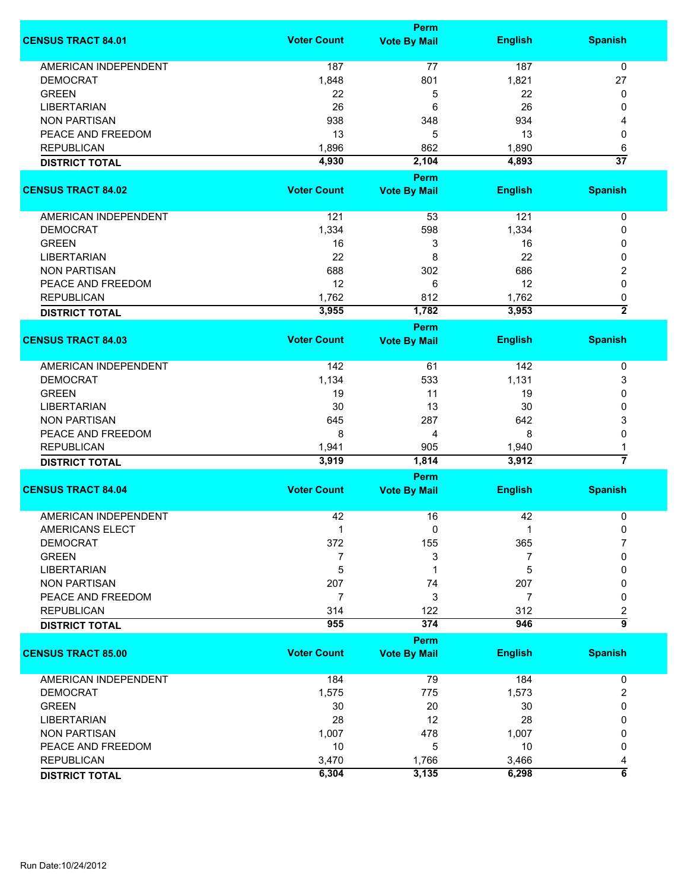|                             |                    | <b>Perm</b>         |                |                 |
|-----------------------------|--------------------|---------------------|----------------|-----------------|
| <b>CENSUS TRACT 84.01</b>   | <b>Voter Count</b> | <b>Vote By Mail</b> | <b>English</b> | <b>Spanish</b>  |
| <b>AMERICAN INDEPENDENT</b> | 187                | 77                  | 187            | $\mathbf 0$     |
| <b>DEMOCRAT</b>             | 1,848              | 801                 | 1,821          | 27              |
| <b>GREEN</b>                | 22                 | 5                   | 22             | 0               |
| <b>LIBERTARIAN</b>          | 26                 | 6                   | 26             | 0               |
| <b>NON PARTISAN</b>         | 938                | 348                 | 934            | 4               |
| PEACE AND FREEDOM           | 13                 | 5                   | 13             | 0               |
| <b>REPUBLICAN</b>           | 1,896              | 862                 | 1,890          | 6               |
| <b>DISTRICT TOTAL</b>       | 4,930              | 2,104               | 4,893          | $\overline{37}$ |
|                             |                    | <b>Perm</b>         |                |                 |
| <b>CENSUS TRACT 84.02</b>   | <b>Voter Count</b> | <b>Vote By Mail</b> | <b>English</b> | <b>Spanish</b>  |
|                             |                    |                     |                |                 |
| AMERICAN INDEPENDENT        | 121                | 53                  | 121            | $\pmb{0}$       |
| <b>DEMOCRAT</b>             | 1,334              | 598                 | 1,334          | 0               |
| <b>GREEN</b>                | 16                 | 3                   | 16             | 0               |
| <b>LIBERTARIAN</b>          | 22                 | 8                   | 22             | 0               |
| <b>NON PARTISAN</b>         | 688                | 302                 | 686            | 2               |
| PEACE AND FREEDOM           | 12                 | 6                   | 12             | 0               |
| <b>REPUBLICAN</b>           | 1,762              | 812                 | 1,762          | 0               |
| <b>DISTRICT TOTAL</b>       | 3,955              | 1,782               | 3,953          | $\overline{2}$  |
|                             |                    | <b>Perm</b>         |                |                 |
| <b>CENSUS TRACT 84.03</b>   | <b>Voter Count</b> | <b>Vote By Mail</b> | <b>English</b> | <b>Spanish</b>  |
|                             |                    |                     |                |                 |
| <b>AMERICAN INDEPENDENT</b> | 142                | 61                  | 142            | 0               |
| <b>DEMOCRAT</b>             | 1,134              | 533                 | 1,131          | 3               |
| <b>GREEN</b>                | 19                 | 11                  | 19             | 0               |
| <b>LIBERTARIAN</b>          | 30                 | 13                  | 30             | 0               |
| <b>NON PARTISAN</b>         | 645                | 287                 | 642            | 3               |
| PEACE AND FREEDOM           | 8                  | 4                   | 8              | 0               |
| <b>REPUBLICAN</b>           | 1,941              | 905                 | 1,940          | 1               |
| <b>DISTRICT TOTAL</b>       | 3,919              | 1,814               | 3,912          | 7               |
|                             |                    | <b>Perm</b>         |                |                 |
| <b>CENSUS TRACT 84.04</b>   | <b>Voter Count</b> | <b>Vote By Mail</b> | <b>English</b> | <b>Spanish</b>  |
| <b>AMERICAN INDEPENDENT</b> | 42                 | 16                  | 42             | 0               |
| AMERICANS ELECT             |                    | 0                   |                | 0               |
| <b>DEMOCRAT</b>             | 372                | 155                 | 365            | 7               |
| <b>GREEN</b>                | 7                  | 3                   | 7              | 0               |
| LIBERTARIAN                 | 5                  | 1                   | 5              | 0               |
| <b>NON PARTISAN</b>         | 207                | 74                  | 207            | 0               |
| PEACE AND FREEDOM           | 7                  | 3                   | 7              | 0               |
| <b>REPUBLICAN</b>           | 314                | 122                 | 312            | 2               |
| <b>DISTRICT TOTAL</b>       | 955                | 374                 | 946            | $\overline{9}$  |
|                             |                    | <b>Perm</b>         |                |                 |
| <b>CENSUS TRACT 85.00</b>   | <b>Voter Count</b> | <b>Vote By Mail</b> | <b>English</b> | <b>Spanish</b>  |
|                             |                    |                     |                |                 |
| <b>AMERICAN INDEPENDENT</b> | 184                | 79                  | 184            | 0               |
| <b>DEMOCRAT</b>             | 1,575              | 775                 | 1,573          | 2               |
| <b>GREEN</b>                | 30                 | 20                  | 30             | 0               |
| <b>LIBERTARIAN</b>          | 28                 | 12                  | 28             | 0               |
| <b>NON PARTISAN</b>         | 1,007              | 478                 | 1,007          | 0               |
| PEACE AND FREEDOM           | 10                 | 5                   | 10             | 0               |
| <b>REPUBLICAN</b>           | 3,470              | 1,766               | 3,466          | 4               |
| <b>DISTRICT TOTAL</b>       | 6,304              | 3,135               | 6,298          | $\overline{6}$  |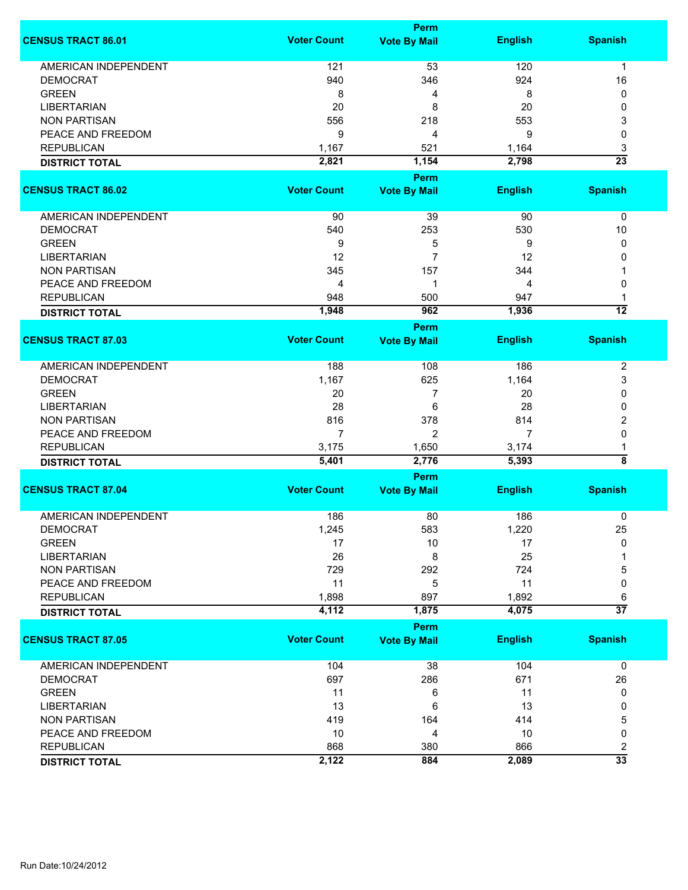|                             |                    | <b>Perm</b>          |                |                         |
|-----------------------------|--------------------|----------------------|----------------|-------------------------|
| <b>CENSUS TRACT 86.01</b>   | <b>Voter Count</b> | <b>Vote By Mail</b>  | <b>English</b> | <b>Spanish</b>          |
| <b>AMERICAN INDEPENDENT</b> | 121                | 53                   | 120            | 1                       |
| <b>DEMOCRAT</b>             | 940                | 346                  | 924            | 16                      |
| <b>GREEN</b>                | 8                  | 4                    | 8              | 0                       |
| <b>LIBERTARIAN</b>          | 20                 | 8                    | 20             | 0                       |
| <b>NON PARTISAN</b>         | 556                | 218                  | 553            | 3                       |
| PEACE AND FREEDOM           | 9                  | 4                    | 9              | 0                       |
| <b>REPUBLICAN</b>           |                    | 521                  |                |                         |
|                             | 1,167              |                      | 1,164          | 3<br>$\overline{23}$    |
| <b>DISTRICT TOTAL</b>       | 2,821              | 1,154<br><b>Perm</b> | 2,798          |                         |
| <b>CENSUS TRACT 86.02</b>   | <b>Voter Count</b> | <b>Vote By Mail</b>  | <b>English</b> | <b>Spanish</b>          |
|                             |                    |                      |                |                         |
| AMERICAN INDEPENDENT        | 90                 | 39                   | 90             | 0                       |
| <b>DEMOCRAT</b>             | 540                | 253                  | 530            | 10                      |
| <b>GREEN</b>                | 9                  | 5                    | 9              | 0                       |
| <b>LIBERTARIAN</b>          | 12                 | $\overline{7}$       | 12             | 0                       |
| <b>NON PARTISAN</b>         | 345                | 157                  | 344            |                         |
| PEACE AND FREEDOM           | 4                  | 1                    | 4              | 0                       |
| <b>REPUBLICAN</b>           | 948                | 500                  | 947            | 1                       |
|                             | 1,948              | 962                  | 1,936          | $\overline{12}$         |
| <b>DISTRICT TOTAL</b>       |                    | <b>Perm</b>          |                |                         |
| <b>CENSUS TRACT 87.03</b>   | <b>Voter Count</b> | <b>Vote By Mail</b>  | <b>English</b> | <b>Spanish</b>          |
|                             |                    |                      |                |                         |
| <b>AMERICAN INDEPENDENT</b> | 188                | 108                  | 186            | $\overline{2}$          |
| <b>DEMOCRAT</b>             | 1,167              | 625                  | 1,164          | 3                       |
| <b>GREEN</b>                | 20                 | 7                    | 20             | 0                       |
| <b>LIBERTARIAN</b>          | 28                 | 6                    | 28             | 0                       |
| <b>NON PARTISAN</b>         | 816                | 378                  | 814            | 2                       |
| PEACE AND FREEDOM           | 7                  | $\overline{2}$       | 7              | 0                       |
| <b>REPUBLICAN</b>           | 3,175              | 1,650                | 3,174          | 1                       |
| <b>DISTRICT TOTAL</b>       | 5,401              | 2,776                | 5,393          | ह                       |
|                             |                    | Perm                 |                |                         |
| <b>CENSUS TRACT 87.04</b>   | <b>Voter Count</b> | <b>Vote By Mail</b>  | <b>English</b> | <b>Spanish</b>          |
| <b>AMERICAN INDEPENDENT</b> | 186                | 80                   | 186            | 0                       |
| <b>DEMOCRAT</b>             | 1,245              | 583                  | 1,220          | 25                      |
| <b>GREEN</b>                | 17                 | 10                   | 17             | 0                       |
| <b>LIBERTARIAN</b>          | 26                 | 8                    | 25             |                         |
| <b>NON PARTISAN</b>         | 729                | 292                  | 724            | 5                       |
| PEACE AND FREEDOM           | 11                 | 5                    | 11             | 0                       |
| <b>REPUBLICAN</b>           | 1,898              | 897                  | 1,892          | 6                       |
| <b>DISTRICT TOTAL</b>       | 4,112              | 1,875                | 4,075          | $\overline{37}$         |
|                             |                    | <b>Perm</b>          |                |                         |
| <b>CENSUS TRACT 87.05</b>   | <b>Voter Count</b> | <b>Vote By Mail</b>  | <b>English</b> | <b>Spanish</b>          |
|                             |                    |                      |                |                         |
| <b>AMERICAN INDEPENDENT</b> | 104                | 38                   | 104            | $\mathbf 0$             |
| <b>DEMOCRAT</b>             | 697                | 286                  | 671            | 26                      |
| <b>GREEN</b>                | 11                 | 6                    | 11             | 0                       |
| <b>LIBERTARIAN</b>          | 13                 | 6                    | 13             | 0                       |
| <b>NON PARTISAN</b>         | 419                | 164                  | 414            | 5                       |
| PEACE AND FREEDOM           | 10                 | 4                    | 10             | 0                       |
| <b>REPUBLICAN</b>           | 868                | 380                  | 866            | $\overline{\mathbf{c}}$ |
| <b>DISTRICT TOTAL</b>       | 2,122              | 884                  | 2,089          | $\overline{33}$         |
|                             |                    |                      |                |                         |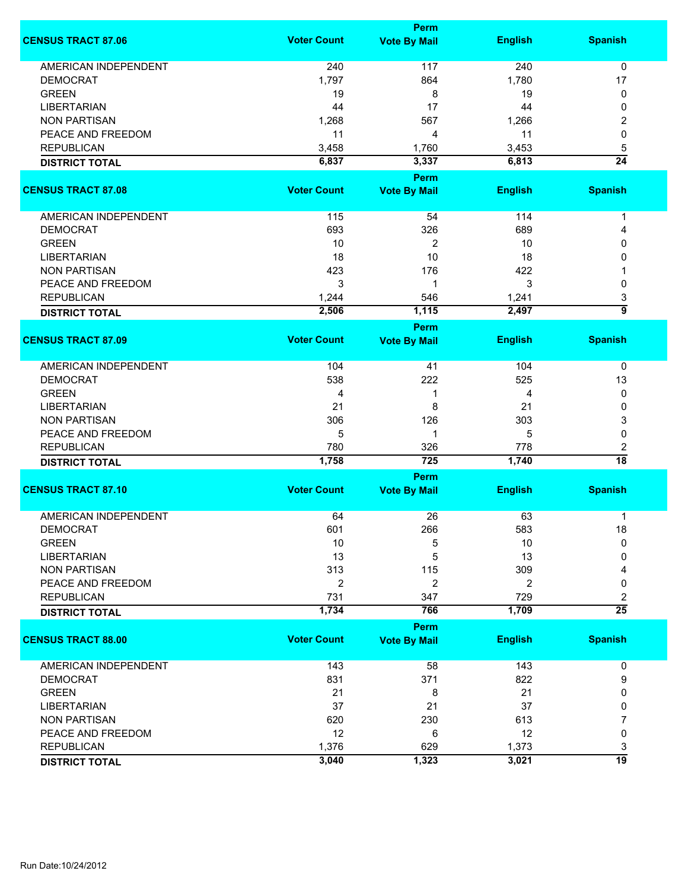|                             |                    | <b>Perm</b>          |                |                 |
|-----------------------------|--------------------|----------------------|----------------|-----------------|
| <b>CENSUS TRACT 87.06</b>   | <b>Voter Count</b> | <b>Vote By Mail</b>  | <b>English</b> | <b>Spanish</b>  |
| <b>AMERICAN INDEPENDENT</b> | 240                | 117                  | 240            | $\mathbf 0$     |
| <b>DEMOCRAT</b>             | 1,797              | 864                  | 1,780          | 17              |
| <b>GREEN</b>                | 19                 | 8                    | 19             | 0               |
| <b>LIBERTARIAN</b>          | 44                 | 17                   | 44             | 0               |
| <b>NON PARTISAN</b>         | 1,268              | 567                  | 1,266          | 2               |
| PEACE AND FREEDOM           | 11                 | 4                    | 11             | 0               |
|                             |                    |                      |                |                 |
| <b>REPUBLICAN</b>           | 3,458              | 1,760                | 3,453          | 5               |
| <b>DISTRICT TOTAL</b>       | 6,837              | 3,337<br><b>Perm</b> | 6,813          | $\overline{24}$ |
| <b>CENSUS TRACT 87.08</b>   | <b>Voter Count</b> | <b>Vote By Mail</b>  | <b>English</b> | <b>Spanish</b>  |
| AMERICAN INDEPENDENT        | 115                | 54                   | 114            | 1               |
| <b>DEMOCRAT</b>             | 693                | 326                  | 689            | 4               |
| <b>GREEN</b>                | 10                 | 2                    | 10             | 0               |
| <b>LIBERTARIAN</b>          | 18                 | 10                   | 18             | 0               |
| <b>NON PARTISAN</b>         | 423                | 176                  | 422            |                 |
| PEACE AND FREEDOM           | 3                  | 1                    | 3              | 0               |
| <b>REPUBLICAN</b>           | 1,244              | 546                  | 1,241          | 3               |
| <b>DISTRICT TOTAL</b>       | 2,506              | 1,115                | 2,497          | $\overline{9}$  |
|                             |                    | <b>Perm</b>          |                |                 |
| <b>CENSUS TRACT 87.09</b>   | <b>Voter Count</b> | <b>Vote By Mail</b>  | <b>English</b> | <b>Spanish</b>  |
| AMERICAN INDEPENDENT        | 104                | 41                   | 104            | 0               |
| <b>DEMOCRAT</b>             | 538                | 222                  | 525            | 13              |
| <b>GREEN</b>                | 4                  | 1                    | 4              | 0               |
| <b>LIBERTARIAN</b>          | 21                 | 8                    | 21             | 0               |
| <b>NON PARTISAN</b>         | 306                | 126                  | 303            | 3               |
| PEACE AND FREEDOM           | 5                  | 1                    | 5              | 0               |
| <b>REPUBLICAN</b>           | 780                | 326                  | 778            | 2               |
| <b>DISTRICT TOTAL</b>       | 1,758              | 725                  | 1,740          | $\overline{18}$ |
|                             |                    | Perm                 |                |                 |
| <b>CENSUS TRACT 87.10</b>   | <b>Voter Count</b> | <b>Vote By Mail</b>  | <b>English</b> | <b>Spanish</b>  |
| <b>AMERICAN INDEPENDENT</b> | 64                 | 26                   | 63             | 1               |
| DEMOCRAT                    | 601                | 266                  | 583            | 18              |
| <b>GREEN</b>                | 10                 | 5                    | 10             | 0               |
| <b>LIBERTARIAN</b>          | 13                 | 5                    | 13             | 0               |
| <b>NON PARTISAN</b>         | 313                | 115                  | 309            | 4               |
| PEACE AND FREEDOM           | $\overline{2}$     | $\overline{2}$       | $\overline{2}$ | 0               |
| <b>REPUBLICAN</b>           | 731                | 347                  | 729            | 2               |
| <b>DISTRICT TOTAL</b>       | 1,734              | 766                  | 1,709          | $\overline{25}$ |
|                             |                    | <b>Perm</b>          |                |                 |
| <b>CENSUS TRACT 88.00</b>   | <b>Voter Count</b> | <b>Vote By Mail</b>  | <b>English</b> | <b>Spanish</b>  |
| <b>AMERICAN INDEPENDENT</b> | 143                | 58                   | 143            | 0               |
| <b>DEMOCRAT</b>             | 831                | 371                  | 822            | 9               |
| <b>GREEN</b>                | 21                 | 8                    | 21             | 0               |
| <b>LIBERTARIAN</b>          | 37                 | 21                   | 37             | 0               |
| <b>NON PARTISAN</b>         | 620                | 230                  | 613            | 7               |
| PEACE AND FREEDOM           | 12                 | 6                    | 12             | 0               |
| <b>REPUBLICAN</b>           | 1,376              | 629                  | 1,373          | 3               |
| <b>DISTRICT TOTAL</b>       | 3,040              | 1,323                | 3,021          | $\overline{19}$ |
|                             |                    |                      |                |                 |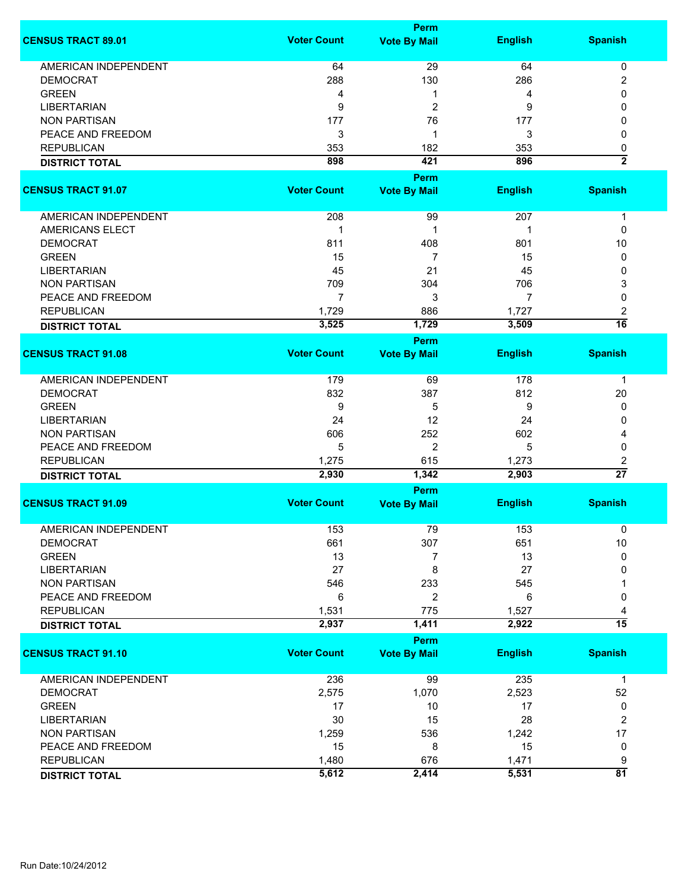|                                            |                    | Perm                |                |                      |
|--------------------------------------------|--------------------|---------------------|----------------|----------------------|
| <b>CENSUS TRACT 89.01</b>                  | <b>Voter Count</b> | <b>Vote By Mail</b> | <b>English</b> | <b>Spanish</b>       |
| <b>AMERICAN INDEPENDENT</b>                | 64                 | 29                  | 64             | 0                    |
| <b>DEMOCRAT</b>                            | 288                | 130                 | 286            | $\boldsymbol{2}$     |
| <b>GREEN</b>                               | 4                  | 1                   | 4              | 0                    |
| <b>LIBERTARIAN</b>                         | 9                  | 2                   | 9              | 0                    |
| <b>NON PARTISAN</b>                        | 177                | 76                  | 177            | 0                    |
| PEACE AND FREEDOM                          | 3                  | 1                   | 3              | 0                    |
| <b>REPUBLICAN</b>                          | 353                | 182                 | 353            |                      |
|                                            |                    |                     |                | 0                    |
| <b>DISTRICT TOTAL</b>                      | 898                | 421<br>Perm         | 896            | $\overline{2}$       |
| <b>CENSUS TRACT 91.07</b>                  | <b>Voter Count</b> | <b>Vote By Mail</b> | <b>English</b> | <b>Spanish</b>       |
| AMERICAN INDEPENDENT                       | 208                | 99                  | 207            | $\mathbf 1$          |
| <b>AMERICANS ELECT</b>                     | $\mathbf 1$        | $\mathbf 1$         | 1              | 0                    |
| <b>DEMOCRAT</b>                            | 811                | 408                 | 801            | 10                   |
| <b>GREEN</b>                               | 15                 | 7                   | 15             | 0                    |
| <b>LIBERTARIAN</b>                         | 45                 | 21                  | 45             | 0                    |
| <b>NON PARTISAN</b>                        | 709                | 304                 | 706            |                      |
|                                            |                    |                     |                | 3                    |
| PEACE AND FREEDOM                          | $\overline{7}$     | 3                   | $\overline{7}$ | 0                    |
| <b>REPUBLICAN</b>                          | 1,729              | 886                 | 1,727          | $\boldsymbol{2}$     |
| <b>DISTRICT TOTAL</b>                      | 3,525              | 1,729               | 3,509          | $\overline{16}$      |
|                                            |                    | Perm                |                |                      |
| <b>CENSUS TRACT 91.08</b>                  | <b>Voter Count</b> | <b>Vote By Mail</b> | <b>English</b> | <b>Spanish</b>       |
| <b>AMERICAN INDEPENDENT</b>                | 179                | 69                  | 178            | -1                   |
| <b>DEMOCRAT</b>                            | 832                | 387                 | 812            | 20                   |
| <b>GREEN</b>                               | 9                  | 5                   | 9              | 0                    |
| <b>LIBERTARIAN</b>                         | 24                 | 12                  | 24             | 0                    |
| <b>NON PARTISAN</b>                        | 606                | 252                 | 602            | 4                    |
| PEACE AND FREEDOM                          | 5                  | $\overline{2}$      | 5              | 0                    |
| <b>REPUBLICAN</b>                          | 1,275              | 615                 | 1,273          | $\boldsymbol{2}$     |
| <b>DISTRICT TOTAL</b>                      | 2,930              | 1,342               | 2,903          | $\overline{27}$      |
|                                            |                    | Perm                |                |                      |
| <b>CENSUS TRACT 91.09</b>                  | <b>Voter Count</b> | <b>Vote By Mail</b> | <b>English</b> | <b>Spanish</b>       |
| AMERICAN INDEPENDENT                       | 153                | 79                  | 153            | 0                    |
| <b>DEMOCRAT</b>                            | 661                | 307                 | 651            | 10                   |
| <b>GREEN</b>                               | 13                 | 7                   | 13             | 0                    |
| <b>LIBERTARIAN</b>                         | 27                 | 8                   | 27             | $\Omega$             |
| <b>NON PARTISAN</b>                        | 546                | 233                 | 545            |                      |
| PEACE AND FREEDOM                          | 6                  | 2                   | 6              | 0                    |
|                                            |                    |                     |                |                      |
| <b>REPUBLICAN</b><br><b>DISTRICT TOTAL</b> | 1,531<br>2,937     | 775<br>1,411        | 1,527<br>2,922 | 4<br>$\overline{15}$ |
|                                            |                    | <b>Perm</b>         |                |                      |
| <b>CENSUS TRACT 91.10</b>                  | <b>Voter Count</b> | <b>Vote By Mail</b> | <b>English</b> | <b>Spanish</b>       |
| AMERICAN INDEPENDENT                       | 236                | 99                  | 235            | $\mathbf 1$          |
| <b>DEMOCRAT</b>                            | 2,575              | 1,070               | 2,523          | 52                   |
| <b>GREEN</b>                               |                    |                     |                |                      |
|                                            | 17                 | 10                  | 17             | 0                    |
| <b>LIBERTARIAN</b>                         | 30                 | 15                  | 28             | $\overline{2}$       |
| <b>NON PARTISAN</b>                        | 1,259              | 536                 | 1,242          | 17                   |
| PEACE AND FREEDOM                          | 15                 | 8                   | 15             | 0                    |
| <b>REPUBLICAN</b>                          | 1,480              | 676                 | 1,471          | 9                    |
| <b>DISTRICT TOTAL</b>                      | 5,612              | 2,414               | 5,531          | $\overline{81}$      |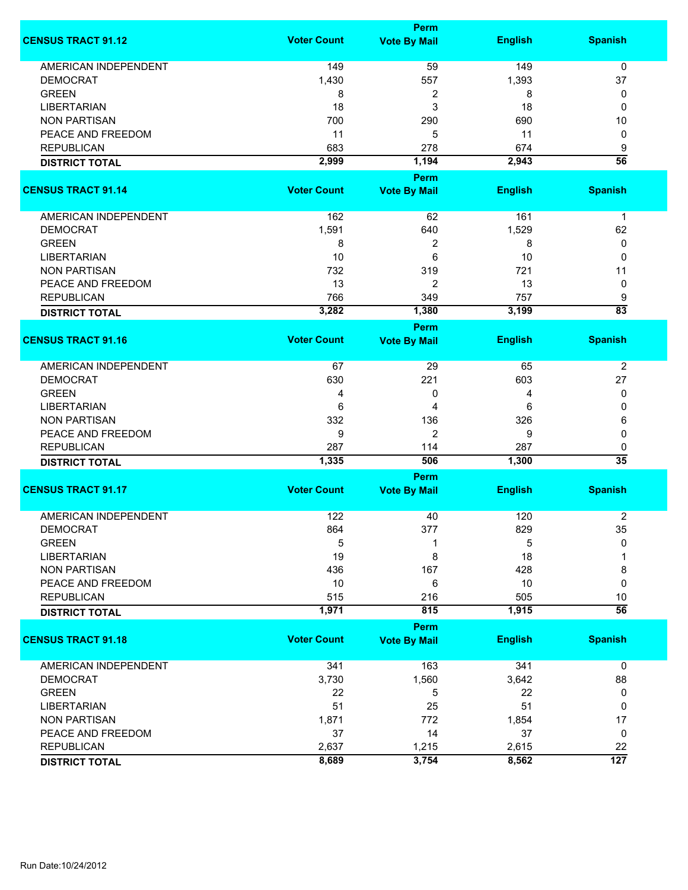|                             | <b>Perm</b>        |                     |                |                  |  |
|-----------------------------|--------------------|---------------------|----------------|------------------|--|
| <b>CENSUS TRACT 91.12</b>   | <b>Voter Count</b> | <b>Vote By Mail</b> | <b>English</b> | <b>Spanish</b>   |  |
| <b>AMERICAN INDEPENDENT</b> | 149                | 59                  | 149            | 0                |  |
| <b>DEMOCRAT</b>             | 1,430              | 557                 | 1,393          | 37               |  |
| <b>GREEN</b>                | 8                  | 2                   | 8              | 0                |  |
| <b>LIBERTARIAN</b>          | 18                 | 3                   | 18             | 0                |  |
| <b>NON PARTISAN</b>         | 700                | 290                 | 690            | 10               |  |
| PEACE AND FREEDOM           | 11                 | 5                   | 11             | 0                |  |
| <b>REPUBLICAN</b>           | 683                | 278                 | 674            | 9                |  |
|                             | 2,999              | 1,194               | 2,943          | $\overline{56}$  |  |
| <b>DISTRICT TOTAL</b>       |                    | <b>Perm</b>         |                |                  |  |
| <b>CENSUS TRACT 91.14</b>   | <b>Voter Count</b> | <b>Vote By Mail</b> | <b>English</b> | <b>Spanish</b>   |  |
| AMERICAN INDEPENDENT        | 162                | 62                  | 161            | $\mathbf 1$      |  |
| <b>DEMOCRAT</b>             | 1,591              | 640                 | 1,529          | 62               |  |
| <b>GREEN</b>                | 8                  | 2                   | 8              | 0                |  |
| <b>LIBERTARIAN</b>          | 10                 | 6                   | 10             | 0                |  |
| <b>NON PARTISAN</b>         | 732                | 319                 | 721            | 11               |  |
| PEACE AND FREEDOM           | 13                 | 2                   | 13             | 0                |  |
| <b>REPUBLICAN</b>           | 766                | 349                 | 757            | 9                |  |
| <b>DISTRICT TOTAL</b>       | 3,282              | 1,380               | 3,199          | $\overline{83}$  |  |
|                             |                    | Perm                |                |                  |  |
| <b>CENSUS TRACT 91.16</b>   | <b>Voter Count</b> | <b>Vote By Mail</b> | <b>English</b> | <b>Spanish</b>   |  |
| AMERICAN INDEPENDENT        | 67                 | 29                  | 65             | $\overline{2}$   |  |
| <b>DEMOCRAT</b>             | 630                | 221                 | 603            | 27               |  |
| <b>GREEN</b>                | 4                  | 0                   | 4              | 0                |  |
| <b>LIBERTARIAN</b>          | 6                  | 4                   | 6              | 0                |  |
| <b>NON PARTISAN</b>         | 332                | 136                 | 326            | 6                |  |
| PEACE AND FREEDOM           | 9                  | $\overline{c}$      | 9              | $\mathbf 0$      |  |
| <b>REPUBLICAN</b>           | 287                | 114                 | 287            | 0                |  |
| <b>DISTRICT TOTAL</b>       | 1,335              | 506                 | 1,300          | $\overline{35}$  |  |
|                             |                    | Perm                |                |                  |  |
| <b>CENSUS TRACT 91.17</b>   | <b>Voter Count</b> | <b>Vote By Mail</b> | <b>English</b> | <b>Spanish</b>   |  |
| <b>AMERICAN INDEPENDENT</b> | 122                | 40                  | 120            | $\overline{2}$   |  |
| DEMOCRAT                    | 864                | 377                 | 829            | 35               |  |
| <b>GREEN</b>                | 5                  | 1                   | 5              | 0                |  |
| <b>LIBERTARIAN</b>          | 19                 | 8                   | 18             |                  |  |
| <b>NON PARTISAN</b>         | 436                | 167                 | 428            | 8                |  |
| PEACE AND FREEDOM           | 10                 | 6                   | 10             | $\mathbf 0$      |  |
| <b>REPUBLICAN</b>           | 515                | 216                 | 505            | 10               |  |
| <b>DISTRICT TOTAL</b>       | 1,971              | 815                 | 1,915          | $\overline{56}$  |  |
|                             |                    | <b>Perm</b>         |                |                  |  |
| <b>CENSUS TRACT 91.18</b>   | <b>Voter Count</b> | <b>Vote By Mail</b> | <b>English</b> | <b>Spanish</b>   |  |
| <b>AMERICAN INDEPENDENT</b> | 341                | 163                 | 341            | $\mathbf 0$      |  |
| <b>DEMOCRAT</b>             | 3,730              | 1,560               | 3,642          | 88               |  |
| <b>GREEN</b>                | 22                 | 5                   | 22             | 0                |  |
| <b>LIBERTARIAN</b>          | 51                 | 25                  | 51             | 0                |  |
| <b>NON PARTISAN</b>         | 1,871              | 772                 | 1,854          | 17               |  |
| PEACE AND FREEDOM           | 37                 | 14                  | 37             | 0                |  |
| <b>REPUBLICAN</b>           | 2,637              | 1,215               | 2,615          | 22               |  |
| <b>DISTRICT TOTAL</b>       | 8,689              | 3,754               | 8,562          | $\overline{127}$ |  |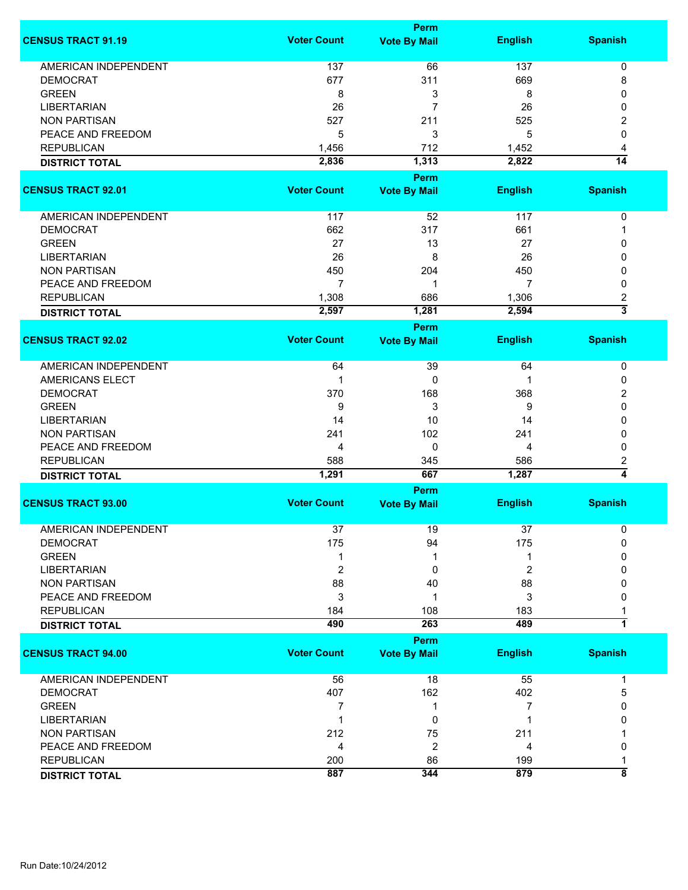|                             |                    | Perm                               |                |                         |
|-----------------------------|--------------------|------------------------------------|----------------|-------------------------|
| <b>CENSUS TRACT 91.19</b>   | <b>Voter Count</b> | <b>Vote By Mail</b>                | <b>English</b> | <b>Spanish</b>          |
| <b>AMERICAN INDEPENDENT</b> | 137                | 66                                 | 137            | 0                       |
| <b>DEMOCRAT</b>             | 677                | 311                                | 669            | 8                       |
| <b>GREEN</b>                | 8                  | 3                                  | 8              | 0                       |
| <b>LIBERTARIAN</b>          | 26                 | 7                                  | 26             | 0                       |
| <b>NON PARTISAN</b>         | 527                | 211                                | 525            | 2                       |
| PEACE AND FREEDOM           | 5                  | 3                                  | 5              | 0                       |
| <b>REPUBLICAN</b>           |                    |                                    |                |                         |
|                             | 1,456              | 712                                | 1,452          | 4<br>$\overline{14}$    |
| <b>DISTRICT TOTAL</b>       | 2,836              | 1,313                              | 2,822          |                         |
| <b>CENSUS TRACT 92.01</b>   | <b>Voter Count</b> | <b>Perm</b><br><b>Vote By Mail</b> | <b>English</b> | <b>Spanish</b>          |
|                             |                    |                                    |                |                         |
| AMERICAN INDEPENDENT        | 117                | 52                                 | 117            | 0                       |
| <b>DEMOCRAT</b>             | 662                | 317                                | 661            |                         |
| <b>GREEN</b>                | 27                 | 13                                 | 27             | 0                       |
| <b>LIBERTARIAN</b>          | 26                 | 8                                  | 26             | 0                       |
| <b>NON PARTISAN</b>         | 450                | 204                                | 450            | 0                       |
| PEACE AND FREEDOM           | 7                  | 1                                  | 7              | 0                       |
| <b>REPUBLICAN</b>           | 1,308              | 686                                | 1,306          | $\overline{\mathbf{c}}$ |
| <b>DISTRICT TOTAL</b>       | 2,597              | 1,281                              | 2,594          | $\overline{\mathbf{3}}$ |
|                             |                    | Perm                               |                |                         |
| <b>CENSUS TRACT 92.02</b>   | <b>Voter Count</b> | <b>Vote By Mail</b>                | <b>English</b> | <b>Spanish</b>          |
|                             |                    |                                    |                |                         |
| <b>AMERICAN INDEPENDENT</b> | 64                 | 39                                 | 64             | $\pmb{0}$               |
| <b>AMERICANS ELECT</b>      | 1                  | 0                                  |                | 0                       |
| <b>DEMOCRAT</b>             | 370                | 168                                | 368            | 2                       |
| <b>GREEN</b>                | 9                  | 3                                  | 9              | 0                       |
| <b>LIBERTARIAN</b>          | 14                 | 10                                 | 14             | 0                       |
| <b>NON PARTISAN</b>         | 241                | 102                                | 241            | 0                       |
| PEACE AND FREEDOM           | 4                  | $\mathbf 0$                        | 4              | 0                       |
| <b>REPUBLICAN</b>           | 588                | 345                                | 586            | 2                       |
| <b>DISTRICT TOTAL</b>       | 1,291              | 667                                | 1,287          | 4                       |
|                             |                    | Perm                               |                |                         |
| <b>CENSUS TRACT 93.00</b>   | <b>Voter Count</b> | <b>Vote By Mail</b>                | <b>English</b> | <b>Spanish</b>          |
| <b>AMERICAN INDEPENDENT</b> | 37                 | 19                                 | 37             | 0                       |
| <b>DEMOCRAT</b>             | 175                | 94                                 | 175            | 0                       |
| <b>GREEN</b>                | 1                  | 1                                  |                | 0                       |
| <b>LIBERTARIAN</b>          | 2                  | 0                                  | 2              | 0                       |
| <b>NON PARTISAN</b>         | 88                 | 40                                 | 88             | 0                       |
| PEACE AND FREEDOM           |                    |                                    | 3              |                         |
| <b>REPUBLICAN</b>           | 3<br>184           | 1<br>108                           | 183            | 0                       |
| <b>DISTRICT TOTAL</b>       | 490                | 263                                | 489            | 1                       |
|                             |                    | Perm                               |                |                         |
| <b>CENSUS TRACT 94.00</b>   | <b>Voter Count</b> | <b>Vote By Mail</b>                | <b>English</b> | <b>Spanish</b>          |
|                             |                    |                                    |                |                         |
| <b>AMERICAN INDEPENDENT</b> | 56                 | 18                                 | 55             | 1                       |
| <b>DEMOCRAT</b>             | 407                | 162                                | 402            | 5                       |
| <b>GREEN</b>                | 7                  | 1                                  | 7              | 0                       |
| <b>LIBERTARIAN</b>          | 1                  | 0                                  |                | 0                       |
| <b>NON PARTISAN</b>         | 212                | 75                                 | 211            |                         |
| PEACE AND FREEDOM           | 4                  | $\overline{2}$                     | 4              | 0                       |
| <b>REPUBLICAN</b>           | 200                | 86                                 | 199            |                         |
| <b>DISTRICT TOTAL</b>       | 887                | 344                                | 879            | $\overline{\mathbf{8}}$ |
|                             |                    |                                    |                |                         |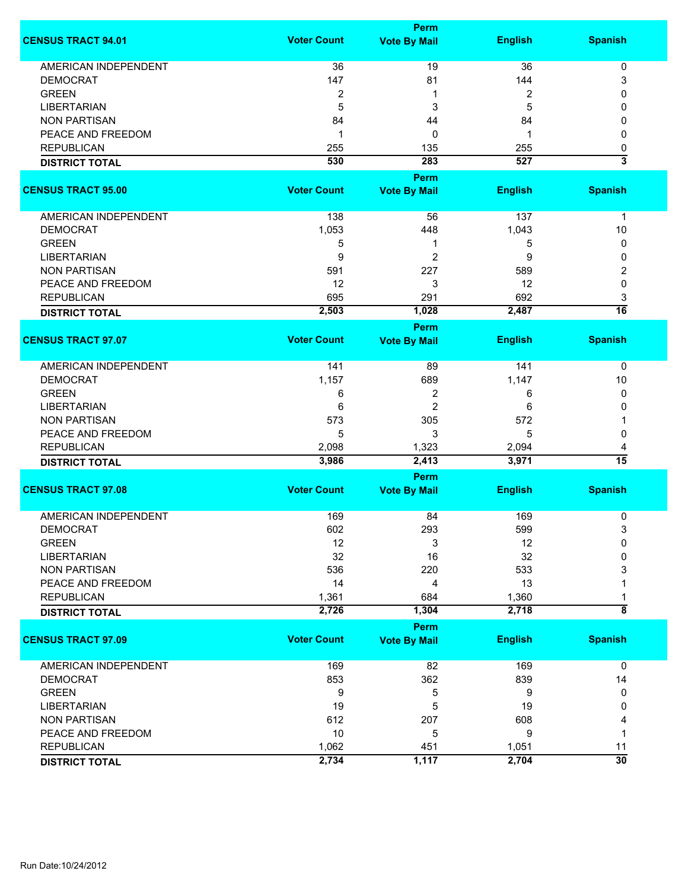|                             |                    | <b>Perm</b>         |                |                           |
|-----------------------------|--------------------|---------------------|----------------|---------------------------|
| <b>CENSUS TRACT 94.01</b>   | <b>Voter Count</b> | <b>Vote By Mail</b> | <b>English</b> | <b>Spanish</b>            |
| <b>AMERICAN INDEPENDENT</b> | 36                 | 19                  | 36             | $\pmb{0}$                 |
| <b>DEMOCRAT</b>             | 147                | 81                  | 144            | 3                         |
| <b>GREEN</b>                | 2                  | 1                   | 2              | 0                         |
| <b>LIBERTARIAN</b>          | 5                  | 3                   | 5              | 0                         |
|                             |                    |                     |                |                           |
| <b>NON PARTISAN</b>         | 84                 | 44                  | 84             | 0                         |
| PEACE AND FREEDOM           | 1                  | 0                   | 1              | 0                         |
| <b>REPUBLICAN</b>           | 255                | 135                 | 255            | 0                         |
| <b>DISTRICT TOTAL</b>       | 530                | 283                 | 527            | $\overline{\overline{3}}$ |
|                             |                    | Perm                |                |                           |
| <b>CENSUS TRACT 95.00</b>   | <b>Voter Count</b> | <b>Vote By Mail</b> | <b>English</b> | <b>Spanish</b>            |
| AMERICAN INDEPENDENT        | 138                | 56                  | 137            | 1                         |
| <b>DEMOCRAT</b>             | 1,053              | 448                 | 1,043          | 10                        |
| <b>GREEN</b>                | 5                  | 1                   | 5              | 0                         |
| <b>LIBERTARIAN</b>          | 9                  | 2                   | 9              | 0                         |
| <b>NON PARTISAN</b>         | 591                | 227                 | 589            | 2                         |
|                             |                    |                     |                |                           |
| PEACE AND FREEDOM           | 12                 | 3                   | 12             | $\mathbf 0$               |
| <b>REPUBLICAN</b>           | 695                | 291                 | 692            | 3                         |
| <b>DISTRICT TOTAL</b>       | 2,503              | 1,028               | 2,487          | $\overline{16}$           |
|                             |                    | Perm                |                |                           |
| <b>CENSUS TRACT 97.07</b>   | <b>Voter Count</b> | <b>Vote By Mail</b> | <b>English</b> | <b>Spanish</b>            |
| <b>AMERICAN INDEPENDENT</b> | 141                | 89                  | 141            | 0                         |
| <b>DEMOCRAT</b>             | 1,157              | 689                 | 1,147          | 10                        |
| <b>GREEN</b>                | 6                  | 2                   | 6              | 0                         |
| <b>LIBERTARIAN</b>          | 6                  | $\overline{c}$      | 6              | 0                         |
| <b>NON PARTISAN</b>         | 573                | 305                 | 572            | 1                         |
| PEACE AND FREEDOM           | 5                  | 3                   | 5              |                           |
|                             |                    |                     |                | 0                         |
| <b>REPUBLICAN</b>           | 2,098              | 1,323<br>2,413      | 2,094<br>3,971 | 4<br>$\overline{15}$      |
| <b>DISTRICT TOTAL</b>       | 3,986              |                     |                |                           |
| <b>CENSUS TRACT 97.08</b>   | <b>Voter Count</b> | Perm                |                |                           |
|                             |                    | <b>Vote By Mail</b> | <b>English</b> | <b>Spanish</b>            |
| <b>AMERICAN INDEPENDENT</b> | 169                | 84                  | 169            | 0                         |
| <b>DEMOCRAT</b>             | 602                | 293                 | 599            | 3                         |
| <b>GREEN</b>                | 12                 | 3                   | 12             | 0                         |
| <b>LIBERTARIAN</b>          | 32                 | 16                  | 32             | 0                         |
| <b>NON PARTISAN</b>         | 536                | 220                 | 533            | 3                         |
| PEACE AND FREEDOM           | 14                 | 4                   | 13             |                           |
| <b>REPUBLICAN</b>           | 1,361              | 684                 | 1,360          | 1                         |
| <b>DISTRICT TOTAL</b>       | 2,726              | 1,304               | 2,718          | $\overline{\bf 8}$        |
|                             |                    | <b>Perm</b>         |                |                           |
| <b>CENSUS TRACT 97.09</b>   | <b>Voter Count</b> | <b>Vote By Mail</b> | <b>English</b> | <b>Spanish</b>            |
| <b>AMERICAN INDEPENDENT</b> | 169                | 82                  | 169            | $\mathbf 0$               |
| <b>DEMOCRAT</b>             | 853                | 362                 | 839            | 14                        |
| <b>GREEN</b>                | 9                  | 5                   | 9              | 0                         |
| <b>LIBERTARIAN</b>          | 19                 | 5                   | 19             | 0                         |
| <b>NON PARTISAN</b>         | 612                | 207                 | 608            | 4                         |
| PEACE AND FREEDOM           | 10                 | 5                   | 9              | 1                         |
| <b>REPUBLICAN</b>           | 1,062              | 451                 |                |                           |
|                             |                    |                     | 1,051          | 11<br>$\overline{30}$     |
| <b>DISTRICT TOTAL</b>       | 2,734              | 1,117               | 2,704          |                           |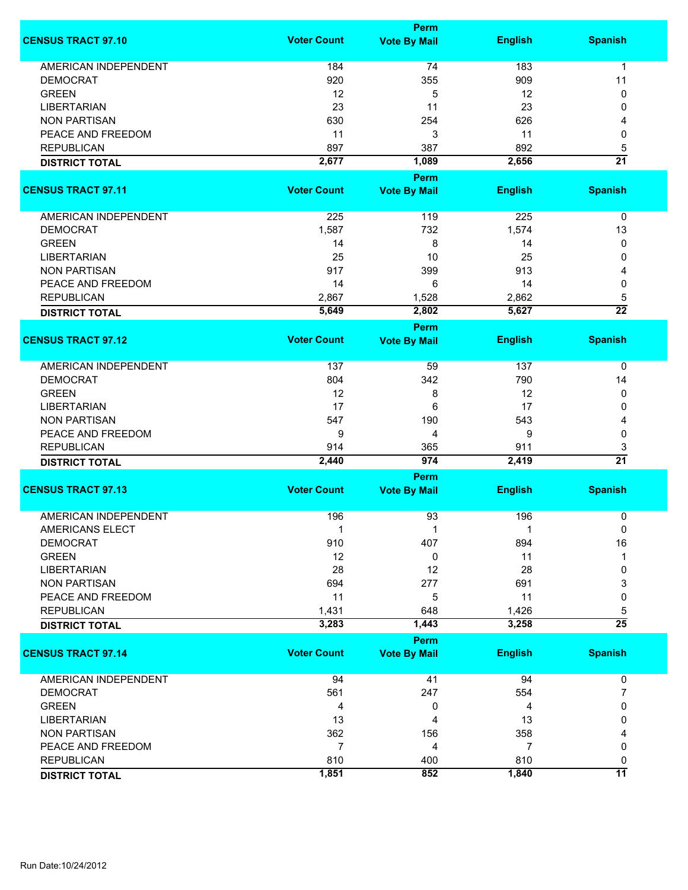|                             |                    | Perm                |                |                      |
|-----------------------------|--------------------|---------------------|----------------|----------------------|
| <b>CENSUS TRACT 97.10</b>   | <b>Voter Count</b> | <b>Vote By Mail</b> | <b>English</b> | <b>Spanish</b>       |
| <b>AMERICAN INDEPENDENT</b> | 184                | 74                  | 183            | 1                    |
| <b>DEMOCRAT</b>             | 920                | 355                 | 909            | 11                   |
| <b>GREEN</b>                | 12                 | 5                   | 12             | 0                    |
| <b>LIBERTARIAN</b>          |                    |                     | 23             | 0                    |
|                             | 23                 | 11                  |                |                      |
| <b>NON PARTISAN</b>         | 630                | 254                 | 626            | 4                    |
| PEACE AND FREEDOM           | 11                 | 3                   | 11             | 0                    |
| <b>REPUBLICAN</b>           | 897                | 387                 | 892            | 5                    |
| <b>DISTRICT TOTAL</b>       | 2,677              | 1,089               | 2,656          | $\overline{21}$      |
|                             |                    | Perm                |                |                      |
| <b>CENSUS TRACT 97.11</b>   | <b>Voter Count</b> | <b>Vote By Mail</b> | <b>English</b> | <b>Spanish</b>       |
| <b>AMERICAN INDEPENDENT</b> | 225                | 119                 | 225            | 0                    |
| <b>DEMOCRAT</b>             | 1,587              | 732                 | 1,574          | 13                   |
| <b>GREEN</b>                | 14                 | 8                   | 14             | 0                    |
| <b>LIBERTARIAN</b>          | 25                 | 10                  | 25             | 0                    |
| <b>NON PARTISAN</b>         | 917                | 399                 | 913            | 4                    |
| PEACE AND FREEDOM           | 14                 | 6                   | 14             | 0                    |
| <b>REPUBLICAN</b>           | 2,867              | 1,528               | 2,862          |                      |
|                             | 5,649              | 2,802               | 5,627          | 5<br>$\overline{22}$ |
| <b>DISTRICT TOTAL</b>       |                    |                     |                |                      |
| <b>CENSUS TRACT 97.12</b>   | <b>Voter Count</b> | Perm                |                | <b>Spanish</b>       |
|                             |                    | <b>Vote By Mail</b> | <b>English</b> |                      |
| <b>AMERICAN INDEPENDENT</b> | 137                | 59                  | 137            | 0                    |
| <b>DEMOCRAT</b>             | 804                | 342                 | 790            | 14                   |
| <b>GREEN</b>                | 12                 | 8                   | 12             | 0                    |
| <b>LIBERTARIAN</b>          | 17                 | 6                   | 17             | 0                    |
| <b>NON PARTISAN</b>         | 547                | 190                 | 543            | 4                    |
| PEACE AND FREEDOM           | 9                  | 4                   | 9              | 0                    |
| <b>REPUBLICAN</b>           | 914                | 365                 | 911            | 3                    |
| <b>DISTRICT TOTAL</b>       | 2,440              | 974                 | 2,419          | $\overline{21}$      |
|                             |                    | Perm                |                |                      |
| <b>CENSUS TRACT 97.13</b>   | <b>Voter Count</b> | <b>Vote By Mail</b> | <b>English</b> | <b>Spanish</b>       |
|                             |                    |                     |                |                      |
| <b>AMERICAN INDEPENDENT</b> | 196                | 93                  | 196            | 0                    |
| AMERICANS ELECT             | 1                  |                     |                | 0                    |
| <b>DEMOCRAT</b>             | 910                | 407                 | 894            | 16                   |
| <b>GREEN</b>                | 12                 | 0                   | 11             | 1                    |
| <b>LIBERTARIAN</b>          | 28                 | 12                  | 28             | 0                    |
| <b>NON PARTISAN</b>         | 694                | 277                 | 691            | 3                    |
| PEACE AND FREEDOM           | 11                 | 5                   | 11             | 0                    |
| <b>REPUBLICAN</b>           | 1,431              | 648                 | 1,426          | 5                    |
| <b>DISTRICT TOTAL</b>       | 3,283              | 1,443               | 3,258          | $\overline{25}$      |
|                             |                    | <b>Perm</b>         |                |                      |
| <b>CENSUS TRACT 97.14</b>   | <b>Voter Count</b> | <b>Vote By Mail</b> | <b>English</b> | <b>Spanish</b>       |
|                             |                    |                     |                |                      |
| <b>AMERICAN INDEPENDENT</b> | 94                 | 41                  | 94             | 0                    |
| <b>DEMOCRAT</b>             | 561                | 247                 | 554            | 7                    |
| <b>GREEN</b>                | 4                  | 0                   | 4              | 0                    |
| <b>LIBERTARIAN</b>          | 13                 | 4                   | 13             | 0                    |
| <b>NON PARTISAN</b>         | 362                | 156                 | 358            |                      |
| PEACE AND FREEDOM           | $\overline{7}$     | 4                   | 7              | 0                    |
| <b>REPUBLICAN</b>           | 810                | 400                 | 810            | 0                    |
| <b>DISTRICT TOTAL</b>       | 1,851              | 852                 | 1,840          | $\overline{11}$      |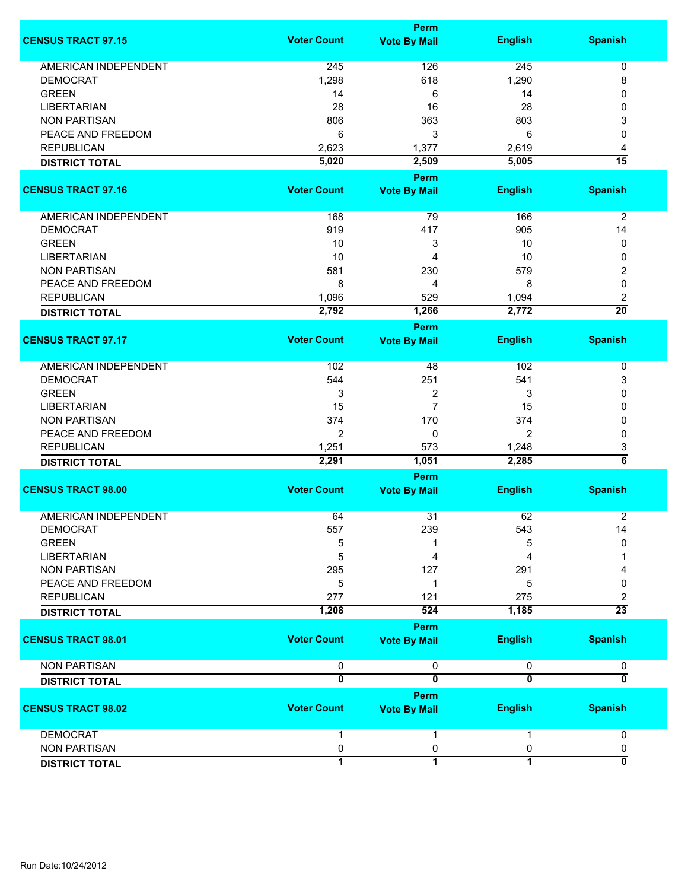|                             |                         | <b>Perm</b>                        |                         |                           |
|-----------------------------|-------------------------|------------------------------------|-------------------------|---------------------------|
| <b>CENSUS TRACT 97.15</b>   | <b>Voter Count</b>      | <b>Vote By Mail</b>                | <b>English</b>          | <b>Spanish</b>            |
| <b>AMERICAN INDEPENDENT</b> | 245                     | 126                                | 245                     | 0                         |
| <b>DEMOCRAT</b>             | 1,298                   | 618                                | 1,290                   | 8                         |
| <b>GREEN</b>                | 14                      | 6                                  | 14                      | 0                         |
| <b>LIBERTARIAN</b>          | 28                      | 16                                 | 28                      | 0                         |
| <b>NON PARTISAN</b>         | 806                     | 363                                | 803                     | 3                         |
| PEACE AND FREEDOM           | 6                       | 3                                  |                         |                           |
|                             |                         |                                    | 6                       | 0                         |
| <b>REPUBLICAN</b>           | 2,623                   | 1,377                              | 2,619                   | 4                         |
| <b>DISTRICT TOTAL</b>       | 5,020                   | 2,509                              | 5,005                   | $\overline{15}$           |
| <b>CENSUS TRACT 97.16</b>   | <b>Voter Count</b>      | <b>Perm</b><br><b>Vote By Mail</b> | <b>English</b>          | <b>Spanish</b>            |
| AMERICAN INDEPENDENT        | 168                     | 79                                 | 166                     | $\overline{2}$            |
| <b>DEMOCRAT</b>             | 919                     | 417                                | 905                     | 14                        |
| <b>GREEN</b>                | 10                      | 3                                  | 10                      | 0                         |
| <b>LIBERTARIAN</b>          | 10                      | 4                                  | 10                      | 0                         |
| <b>NON PARTISAN</b>         | 581                     | 230                                | 579                     | 2                         |
| PEACE AND FREEDOM           | 8                       | 4                                  | 8                       | 0                         |
| <b>REPUBLICAN</b>           | 1,096                   | 529                                | 1,094                   | 2                         |
|                             | 2,792                   | 1,266                              | 2,772                   | $\overline{20}$           |
| <b>DISTRICT TOTAL</b>       |                         | <b>Perm</b>                        |                         |                           |
| <b>CENSUS TRACT 97.17</b>   | <b>Voter Count</b>      | <b>Vote By Mail</b>                | <b>English</b>          | <b>Spanish</b>            |
| <b>AMERICAN INDEPENDENT</b> | 102                     | 48                                 | 102                     | 0                         |
| <b>DEMOCRAT</b>             | 544                     | 251                                | 541                     | 3                         |
| <b>GREEN</b>                | 3                       | 2                                  | 3                       | 0                         |
| <b>LIBERTARIAN</b>          | 15                      | $\overline{7}$                     | 15                      | 0                         |
| <b>NON PARTISAN</b>         | 374                     | 170                                | 374                     | 0                         |
| PEACE AND FREEDOM           | $\overline{2}$          | 0                                  | 2                       | 0                         |
| <b>REPUBLICAN</b>           | 1,251                   | 573                                | 1,248                   |                           |
|                             | 2,291                   | 1,051                              | 2,285                   | 3<br>$\overline{\bf{6}}$  |
| <b>DISTRICT TOTAL</b>       |                         |                                    |                         |                           |
| <b>CENSUS TRACT 98.00</b>   | <b>Voter Count</b>      | Perm<br><b>Vote By Mail</b>        | <b>English</b>          | <b>Spanish</b>            |
|                             |                         |                                    |                         |                           |
| <b>AMERICAN INDEPENDENT</b> | 64                      | 31                                 | 62                      | $\overline{2}$            |
| DEMOCRAT                    | 557                     | 239                                | 543                     | 14                        |
| <b>GREEN</b>                | 5                       | 1                                  | 5                       | 0                         |
| <b>LIBERTARIAN</b>          | 5                       | 4                                  | 4                       |                           |
| <b>NON PARTISAN</b>         | 295                     | 127                                | 291                     |                           |
| PEACE AND FREEDOM           | 5                       | 1                                  | 5                       | 0                         |
| <b>REPUBLICAN</b>           | 277                     | 121                                | 275                     | 2                         |
| <b>DISTRICT TOTAL</b>       | 1,208                   | 524                                | 1,185                   | $\overline{23}$           |
|                             |                         | Perm                               |                         |                           |
| <b>CENSUS TRACT 98.01</b>   | <b>Voter Count</b>      | <b>Vote By Mail</b>                | <b>English</b>          | <b>Spanish</b>            |
| <b>NON PARTISAN</b>         | 0                       | 0                                  | $\pmb{0}$               | 0                         |
| <b>DISTRICT TOTAL</b>       | $\overline{\mathbf{0}}$ | $\overline{\mathbf{0}}$            | $\overline{\mathbf{0}}$ | $\overline{\mathfrak{o}}$ |
|                             |                         | <b>Perm</b>                        |                         |                           |
| <b>CENSUS TRACT 98.02</b>   | <b>Voter Count</b>      | <b>Vote By Mail</b>                | <b>English</b>          | <b>Spanish</b>            |
| <b>DEMOCRAT</b>             | 1                       | 1                                  |                         | 0                         |
| <b>NON PARTISAN</b>         | 0                       | 0                                  | 0                       | 0                         |
| <b>DISTRICT TOTAL</b>       | 1                       | $\overline{1}$                     | 1                       | $\overline{\mathbf{0}}$   |
|                             |                         |                                    |                         |                           |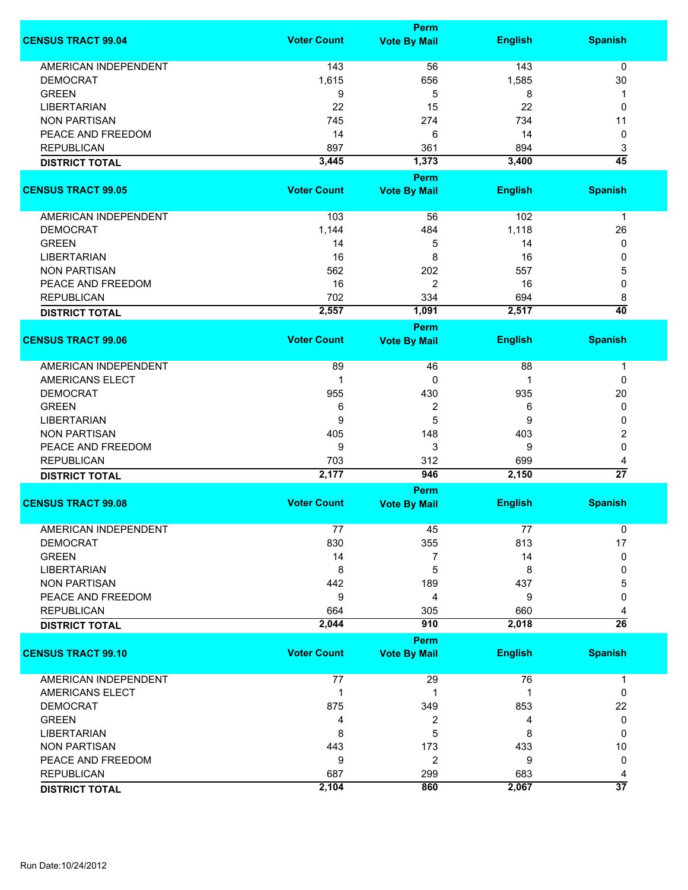|                             |                    | Perm                        |                |                      |
|-----------------------------|--------------------|-----------------------------|----------------|----------------------|
| <b>CENSUS TRACT 99.04</b>   | <b>Voter Count</b> | <b>Vote By Mail</b>         | <b>English</b> | <b>Spanish</b>       |
| <b>AMERICAN INDEPENDENT</b> | 143                | 56                          | 143            | $\mathbf 0$          |
| <b>DEMOCRAT</b>             | 1,615              | 656                         | 1,585          | 30                   |
| <b>GREEN</b>                | 9                  | 5                           | 8              | 1                    |
| <b>LIBERTARIAN</b>          | 22                 | 15                          | 22             | 0                    |
| <b>NON PARTISAN</b>         | 745                | 274                         | 734            | 11                   |
| PEACE AND FREEDOM           |                    |                             | 14             |                      |
|                             | 14                 | 6                           |                | 0                    |
| <b>REPUBLICAN</b>           | 897                | 361                         | 894            | 3                    |
| <b>DISTRICT TOTAL</b>       | 3,445              | 1,373                       | 3,400          | $\overline{45}$      |
|                             |                    | Perm                        |                |                      |
| <b>CENSUS TRACT 99.05</b>   | <b>Voter Count</b> | <b>Vote By Mail</b>         | <b>English</b> | <b>Spanish</b>       |
| AMERICAN INDEPENDENT        | 103                | 56                          | 102            | $\mathbf{1}$         |
| <b>DEMOCRAT</b>             | 1,144              | 484                         | 1,118          | 26                   |
| <b>GREEN</b>                | 14                 | 5                           | 14             | 0                    |
| <b>LIBERTARIAN</b>          | 16                 | 8                           | 16             | 0                    |
| <b>NON PARTISAN</b>         |                    |                             | 557            |                      |
| PEACE AND FREEDOM           | 562<br>16          | 202                         | 16             | 5<br>0               |
| <b>REPUBLICAN</b>           | 702                | 2<br>334                    | 694            |                      |
|                             | 2,557              | 1,091                       | 2,517          | 8<br>$\overline{40}$ |
| <b>DISTRICT TOTAL</b>       |                    |                             |                |                      |
| <b>CENSUS TRACT 99.06</b>   | <b>Voter Count</b> | Perm<br><b>Vote By Mail</b> | <b>English</b> | <b>Spanish</b>       |
|                             |                    |                             |                |                      |
| <b>AMERICAN INDEPENDENT</b> | 89                 | 46                          | 88             | 1                    |
| <b>AMERICANS ELECT</b>      | 1                  | 0                           | 1              | 0                    |
| <b>DEMOCRAT</b>             | 955                | 430                         | 935            | 20                   |
| <b>GREEN</b>                | 6                  | 2                           | 6              | 0                    |
| <b>LIBERTARIAN</b>          | 9                  | 5                           | 9              | 0                    |
| <b>NON PARTISAN</b>         | 405                | 148                         | 403            | 2                    |
| PEACE AND FREEDOM           | 9                  | 3                           | 9              | 0                    |
| <b>REPUBLICAN</b>           | 703                | 312                         | 699            | 4                    |
| <b>DISTRICT TOTAL</b>       | 2,177              | 946                         | 2,150          | $\overline{27}$      |
|                             |                    | <b>Perm</b>                 |                |                      |
| <b>CENSUS TRACT 99.08</b>   | <b>Voter Count</b> | <b>Vote By Mail</b>         | <b>English</b> | <b>Spanish</b>       |
| <b>AMERICAN INDEPENDENT</b> | 77                 | 45                          | 77             | 0                    |
| <b>DEMOCRAT</b>             | 830                | 355                         | 813            | 17                   |
| <b>GREEN</b>                | 14                 | 7                           | 14             | 0                    |
| <b>LIBERTARIAN</b>          | 8                  | 5                           | 8              | 0                    |
| <b>NON PARTISAN</b>         | 442                | 189                         | 437            | 5                    |
| PEACE AND FREEDOM           | 9                  | 4                           | 9              | 0                    |
| <b>REPUBLICAN</b>           | 664                | 305                         | 660            |                      |
| <b>DISTRICT TOTAL</b>       | 2,044              | 910                         | 2,018          | $\overline{26}$      |
|                             |                    | Perm                        |                |                      |
| <b>CENSUS TRACT 99.10</b>   | <b>Voter Count</b> | <b>Vote By Mail</b>         | <b>English</b> | <b>Spanish</b>       |
|                             |                    |                             |                |                      |
| <b>AMERICAN INDEPENDENT</b> | 77                 | 29                          | 76             | 1                    |
| AMERICANS ELECT             | 1                  | 1                           | 1              | 0                    |
| <b>DEMOCRAT</b>             | 875                | 349                         | 853            | 22                   |
| <b>GREEN</b>                | 4                  | 2                           | 4              | 0                    |
| <b>LIBERTARIAN</b>          | 8                  | 5                           | 8              | 0                    |
| <b>NON PARTISAN</b>         | 443                | 173                         | 433            | 10                   |
| PEACE AND FREEDOM           | 9                  | 2                           | 9              | 0                    |
| <b>REPUBLICAN</b>           | 687                | 299                         | 683            | 4                    |
| <b>DISTRICT TOTAL</b>       | 2,104              | 860                         | 2,067          | $\overline{37}$      |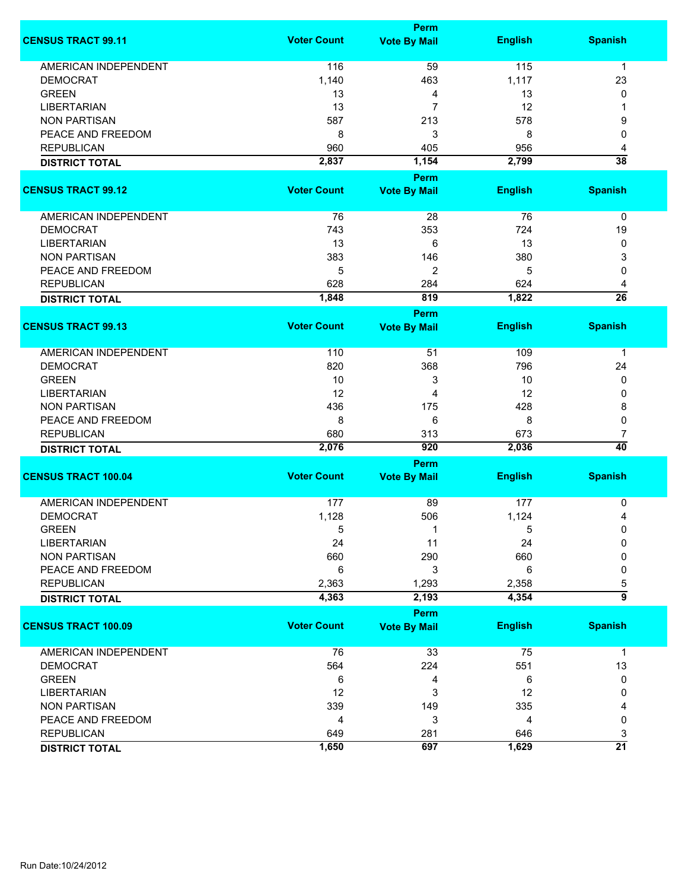|                             |                    | <b>Perm</b>         |                |                      |
|-----------------------------|--------------------|---------------------|----------------|----------------------|
| <b>CENSUS TRACT 99.11</b>   | <b>Voter Count</b> | <b>Vote By Mail</b> | <b>English</b> | <b>Spanish</b>       |
| <b>AMERICAN INDEPENDENT</b> | 116                | 59                  | 115            | $\mathbf 1$          |
| <b>DEMOCRAT</b>             | 1,140              | 463                 | 1,117          | 23                   |
| <b>GREEN</b>                | 13                 | 4                   | 13             | 0                    |
| <b>LIBERTARIAN</b>          | 13                 | $\overline{7}$      | 12             | 1                    |
| <b>NON PARTISAN</b>         | 587                | 213                 | 578            | 9                    |
| PEACE AND FREEDOM           | 8                  | 3                   | 8              | 0                    |
| <b>REPUBLICAN</b>           | 960                |                     | 956            |                      |
|                             |                    | 405                 |                | 4<br>$\overline{38}$ |
| <b>DISTRICT TOTAL</b>       | 2,837              | 1,154               | 2,799          |                      |
|                             |                    | Perm                |                |                      |
| <b>CENSUS TRACT 99.12</b>   | <b>Voter Count</b> | <b>Vote By Mail</b> | <b>English</b> | <b>Spanish</b>       |
| AMERICAN INDEPENDENT        | 76                 | 28                  | 76             | $\mathbf 0$          |
| <b>DEMOCRAT</b>             | 743                | 353                 | 724            | 19                   |
| <b>LIBERTARIAN</b>          | 13                 | 6                   | 13             | 0                    |
| <b>NON PARTISAN</b>         | 383                | 146                 | 380            | 3                    |
| PEACE AND FREEDOM           | 5                  | $\overline{2}$      | 5              | 0                    |
| <b>REPUBLICAN</b>           | 628                | 284                 | 624            | 4                    |
| <b>DISTRICT TOTAL</b>       | 1,848              | 819                 | 1,822          | $\overline{26}$      |
|                             |                    |                     |                |                      |
|                             |                    | <b>Perm</b>         |                |                      |
| <b>CENSUS TRACT 99.13</b>   | <b>Voter Count</b> | <b>Vote By Mail</b> | <b>English</b> | <b>Spanish</b>       |
| <b>AMERICAN INDEPENDENT</b> | 110                | 51                  | 109            | 1                    |
| <b>DEMOCRAT</b>             | 820                | 368                 | 796            | 24                   |
| <b>GREEN</b>                | 10                 | 3                   | 10             | 0                    |
| <b>LIBERTARIAN</b>          | 12                 | 4                   | 12             | 0                    |
| <b>NON PARTISAN</b>         | 436                | 175                 | 428            | 8                    |
| PEACE AND FREEDOM           | 8                  | 6                   | 8              | 0                    |
| <b>REPUBLICAN</b>           | 680                | 313                 | 673            | 7                    |
| <b>DISTRICT TOTAL</b>       | 2,076              | 920                 | 2,036          | $\overline{40}$      |
|                             |                    | <b>Perm</b>         |                |                      |
| <b>CENSUS TRACT 100.04</b>  | <b>Voter Count</b> | <b>Vote By Mail</b> | <b>English</b> | <b>Spanish</b>       |
|                             |                    |                     |                |                      |
| <b>AMERICAN INDEPENDENT</b> | 177                | 89                  | 177            | 0                    |
| <b>DEMOCRAT</b>             | 1,128              | 506                 | 1,124          | 4                    |
| <b>GREEN</b>                | 5                  | 1                   | 5              | 0                    |
| <b>LIBERTARIAN</b>          | 24                 | 11                  | 24             | 0                    |
| <b>NON PARTISAN</b>         | 660                | 290                 | 660            | 0                    |
| PEACE AND FREEDOM           | 6                  | 3                   | 6              | 0                    |
| <b>REPUBLICAN</b>           | 2,363              | 1,293               | 2,358          | 5                    |
| <b>DISTRICT TOTAL</b>       | 4,363              | 2,193               | 4,354          | $\overline{9}$       |
|                             |                    | <b>Perm</b>         |                |                      |
| <b>CENSUS TRACT 100.09</b>  | <b>Voter Count</b> | <b>Vote By Mail</b> | <b>English</b> | <b>Spanish</b>       |
|                             |                    |                     |                |                      |
| AMERICAN INDEPENDENT        | 76                 | 33                  | 75             | $\mathbf{1}$         |
| <b>DEMOCRAT</b>             | 564                | 224                 | 551            | 13                   |
| <b>GREEN</b>                | 6                  | 4                   | 6              | 0                    |
| <b>LIBERTARIAN</b>          | 12                 | 3                   | 12             | 0                    |
| <b>NON PARTISAN</b>         | 339                | 149                 | 335            | 4                    |
| PEACE AND FREEDOM           | 4                  | 3                   | 4              | 0                    |
| <b>REPUBLICAN</b>           | 649                | 281                 | 646            | 3                    |
| <b>DISTRICT TOTAL</b>       | 1,650              | 697                 | 1,629          | $\overline{21}$      |
|                             |                    |                     |                |                      |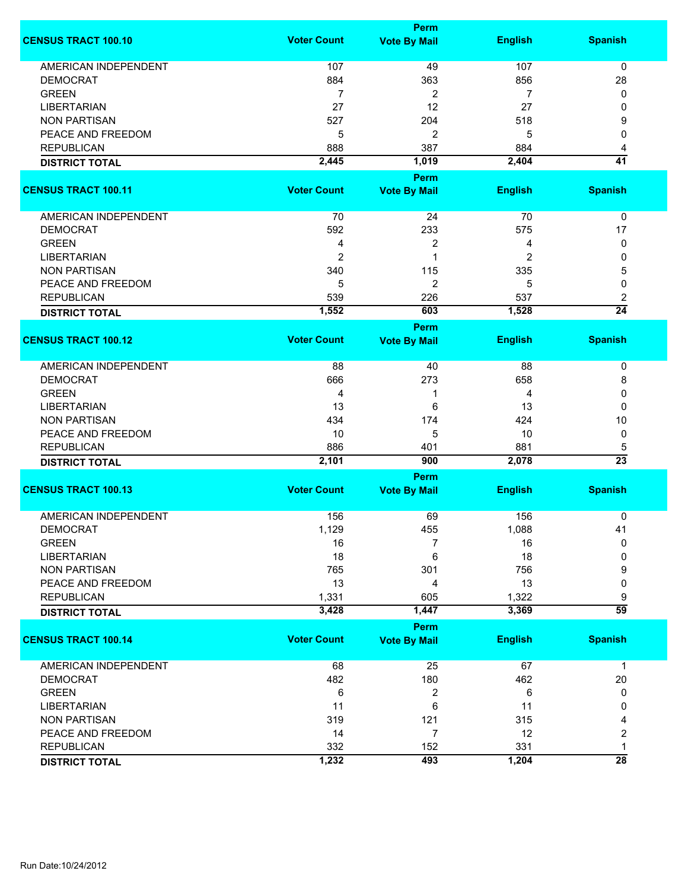|                             | <b>Perm</b>        |                                    |                |                      |  |
|-----------------------------|--------------------|------------------------------------|----------------|----------------------|--|
| <b>CENSUS TRACT 100.10</b>  | <b>Voter Count</b> | <b>Vote By Mail</b>                | <b>English</b> | <b>Spanish</b>       |  |
| <b>AMERICAN INDEPENDENT</b> | 107                | 49                                 | 107            | 0                    |  |
| <b>DEMOCRAT</b>             | 884                | 363                                | 856            | 28                   |  |
| <b>GREEN</b>                | 7                  | 2                                  | 7              | 0                    |  |
| <b>LIBERTARIAN</b>          | 27                 | 12                                 | 27             | 0                    |  |
| <b>NON PARTISAN</b>         |                    |                                    |                |                      |  |
|                             | 527                | 204                                | 518            | 9                    |  |
| PEACE AND FREEDOM           | 5                  | 2                                  | 5              | 0                    |  |
| <b>REPUBLICAN</b>           | 888                | 387                                | 884            | 4                    |  |
| <b>DISTRICT TOTAL</b>       | 2,445              | 1,019                              | 2,404          | $\overline{41}$      |  |
| <b>CENSUS TRACT 100.11</b>  | <b>Voter Count</b> | <b>Perm</b><br><b>Vote By Mail</b> | <b>English</b> | <b>Spanish</b>       |  |
|                             |                    |                                    |                |                      |  |
| AMERICAN INDEPENDENT        | 70                 | 24                                 | 70             | 0                    |  |
| <b>DEMOCRAT</b>             | 592                | 233                                | 575            | 17                   |  |
| <b>GREEN</b>                | 4                  | 2                                  | 4              | 0                    |  |
| <b>LIBERTARIAN</b>          | $\overline{2}$     | 1                                  | 2              | 0                    |  |
| <b>NON PARTISAN</b>         | 340                | 115                                | 335            | 5                    |  |
| PEACE AND FREEDOM           | 5                  | 2                                  | 5              | 0                    |  |
| <b>REPUBLICAN</b>           | 539                | 226                                | 537            | 2                    |  |
| <b>DISTRICT TOTAL</b>       | 1,552              | 603                                | 1,528          | $\overline{24}$      |  |
|                             |                    | <b>Perm</b>                        |                |                      |  |
| <b>CENSUS TRACT 100.12</b>  | <b>Voter Count</b> | <b>Vote By Mail</b>                | <b>English</b> | <b>Spanish</b>       |  |
| <b>AMERICAN INDEPENDENT</b> | 88                 | 40                                 | 88             | 0                    |  |
| <b>DEMOCRAT</b>             | 666                | 273                                | 658            | 8                    |  |
| <b>GREEN</b>                | 4                  | 1                                  | 4              | 0                    |  |
| <b>LIBERTARIAN</b>          | 13                 | 6                                  | 13             | 0                    |  |
| <b>NON PARTISAN</b>         | 434                | 174                                | 424            | 10                   |  |
|                             |                    |                                    |                |                      |  |
| PEACE AND FREEDOM           | 10                 | 5                                  | 10             | 0                    |  |
| <b>REPUBLICAN</b>           | 886                | 401                                | 881<br>2,078   | 5<br>$\overline{23}$ |  |
| <b>DISTRICT TOTAL</b>       | 2,101              | 900<br>Perm                        |                |                      |  |
| <b>CENSUS TRACT 100.13</b>  | <b>Voter Count</b> | <b>Vote By Mail</b>                | <b>English</b> | <b>Spanish</b>       |  |
|                             |                    |                                    |                |                      |  |
| <b>AMERICAN INDEPENDENT</b> | 156                | 69                                 | 156            | 0                    |  |
| <b>DEMOCRAT</b>             | 1,129              | 455                                | 1,088          | 41                   |  |
| <b>GREEN</b>                | 16                 | 7                                  | 16             | 0                    |  |
| <b>LIBERTARIAN</b>          | 18                 | 6                                  | 18             | 0                    |  |
| <b>NON PARTISAN</b>         | 765                | 301                                | 756            | 9                    |  |
| PEACE AND FREEDOM           | 13                 | 4                                  | 13             | 0                    |  |
| <b>REPUBLICAN</b>           | 1,331              | 605                                | 1,322          | 9                    |  |
| <b>DISTRICT TOTAL</b>       | 3,428              | 1,447                              | 3,369          | $\overline{59}$      |  |
|                             |                    | <b>Perm</b>                        |                |                      |  |
| <b>CENSUS TRACT 100.14</b>  | <b>Voter Count</b> | <b>Vote By Mail</b>                | <b>English</b> | <b>Spanish</b>       |  |
| <b>AMERICAN INDEPENDENT</b> | 68                 | 25                                 | 67             | $\mathbf{1}$         |  |
| <b>DEMOCRAT</b>             | 482                | 180                                | 462            | 20                   |  |
| <b>GREEN</b>                | 6                  | 2                                  | 6              | 0                    |  |
| <b>LIBERTARIAN</b>          | 11                 | 6                                  | 11             | 0                    |  |
| <b>NON PARTISAN</b>         | 319                | 121                                | 315            | 4                    |  |
| PEACE AND FREEDOM           | 14                 | 7                                  | 12             | 2                    |  |
| <b>REPUBLICAN</b>           | 332                | 152                                | 331            | 1                    |  |
| <b>DISTRICT TOTAL</b>       | 1,232              | 493                                | 1,204          | $\overline{28}$      |  |
|                             |                    |                                    |                |                      |  |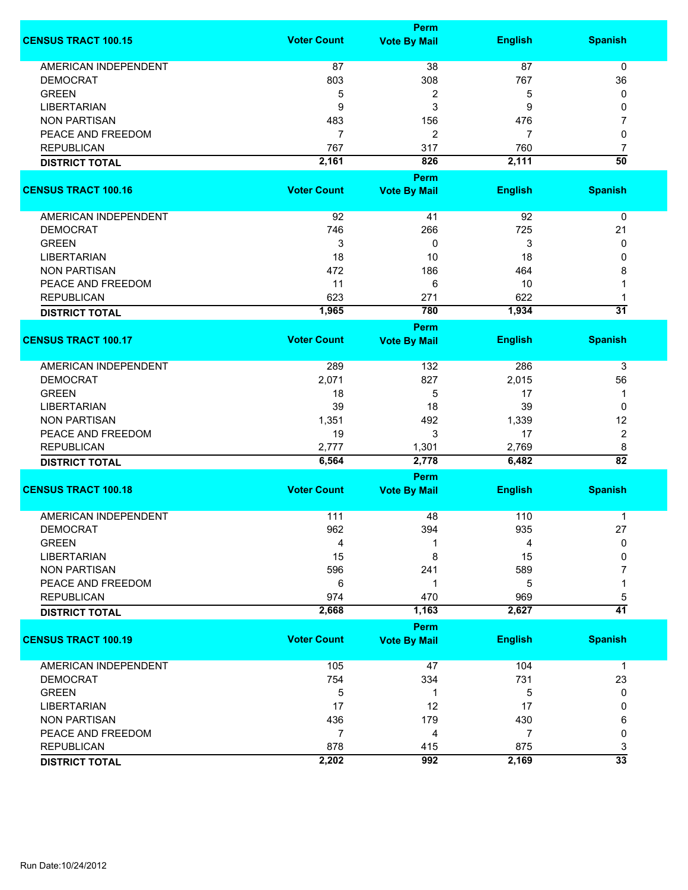|                             | <b>Perm</b>        |                     |                |                 |  |
|-----------------------------|--------------------|---------------------|----------------|-----------------|--|
| <b>CENSUS TRACT 100.15</b>  | <b>Voter Count</b> | <b>Vote By Mail</b> | <b>English</b> | <b>Spanish</b>  |  |
| <b>AMERICAN INDEPENDENT</b> | 87                 | 38                  | 87             | 0               |  |
| <b>DEMOCRAT</b>             | 803                | 308                 | 767            | 36              |  |
| <b>GREEN</b>                | 5                  | 2                   | 5              | 0               |  |
| <b>LIBERTARIAN</b>          | 9                  | 3                   | 9              | 0               |  |
|                             |                    |                     |                |                 |  |
| <b>NON PARTISAN</b>         | 483                | 156                 | 476            | 7               |  |
| PEACE AND FREEDOM           | $\overline{7}$     | $\overline{c}$      | 7              | 0               |  |
| <b>REPUBLICAN</b>           | 767                | 317                 | 760            | 7               |  |
| <b>DISTRICT TOTAL</b>       | 2,161              | 826                 | 2,111          | $\overline{50}$ |  |
|                             |                    | Perm                |                |                 |  |
| <b>CENSUS TRACT 100.16</b>  | <b>Voter Count</b> | <b>Vote By Mail</b> | <b>English</b> | <b>Spanish</b>  |  |
| AMERICAN INDEPENDENT        | 92                 | 41                  | 92             | 0               |  |
| <b>DEMOCRAT</b>             | 746                | 266                 | 725            | 21              |  |
| <b>GREEN</b>                | 3                  | 0                   | 3              | 0               |  |
| <b>LIBERTARIAN</b>          | 18                 | 10                  | 18             | 0               |  |
| <b>NON PARTISAN</b>         | 472                | 186                 | 464            | 8               |  |
|                             |                    |                     |                |                 |  |
| PEACE AND FREEDOM           | 11                 | 6                   | 10             | 1               |  |
| <b>REPUBLICAN</b>           | 623                | 271                 | 622            | 1               |  |
| <b>DISTRICT TOTAL</b>       | 1,965              | 780                 | 1,934          | $\overline{31}$ |  |
|                             |                    | <b>Perm</b>         |                |                 |  |
| <b>CENSUS TRACT 100.17</b>  | <b>Voter Count</b> | <b>Vote By Mail</b> | <b>English</b> | <b>Spanish</b>  |  |
| <b>AMERICAN INDEPENDENT</b> | 289                | 132                 | 286            | 3               |  |
| <b>DEMOCRAT</b>             | 2,071              | 827                 | 2,015          | 56              |  |
| <b>GREEN</b>                | 18                 | 5                   | 17             | 1               |  |
| <b>LIBERTARIAN</b>          | 39                 | 18                  | 39             | 0               |  |
| <b>NON PARTISAN</b>         | 1,351              | 492                 | 1,339          | 12              |  |
| PEACE AND FREEDOM           | 19                 | 3                   | 17             | $\overline{c}$  |  |
| <b>REPUBLICAN</b>           | 2,777              | 1,301               | 2,769          | 8               |  |
| <b>DISTRICT TOTAL</b>       | 6,564              | 2,778               | 6,482          | $\overline{82}$ |  |
|                             |                    | Perm                |                |                 |  |
| <b>CENSUS TRACT 100.18</b>  | <b>Voter Count</b> | <b>Vote By Mail</b> | <b>English</b> | <b>Spanish</b>  |  |
|                             |                    |                     |                |                 |  |
| <b>AMERICAN INDEPENDENT</b> | 111                | 48                  | 110            | 1               |  |
| <b>DEMOCRAT</b>             | 962                | 394                 | 935            | 27              |  |
| <b>GREEN</b>                | 4                  | 1                   | 4              | 0               |  |
| <b>LIBERTARIAN</b>          | 15                 | 8                   | 15             | 0               |  |
| <b>NON PARTISAN</b>         | 596                | 241                 | 589            | 7               |  |
| PEACE AND FREEDOM           | 6                  | 1                   | 5              | 1               |  |
| <b>REPUBLICAN</b>           | 974                | 470                 | 969            | 5               |  |
| <b>DISTRICT TOTAL</b>       | 2,668              | 1,163               | 2,627          | $\overline{41}$ |  |
|                             |                    | <b>Perm</b>         |                |                 |  |
| <b>CENSUS TRACT 100.19</b>  | <b>Voter Count</b> | <b>Vote By Mail</b> | <b>English</b> | <b>Spanish</b>  |  |
| <b>AMERICAN INDEPENDENT</b> | 105                | 47                  | 104            | $\mathbf 1$     |  |
| <b>DEMOCRAT</b>             | 754                | 334                 | 731            | 23              |  |
| <b>GREEN</b>                | 5                  | 1                   | 5              | 0               |  |
| <b>LIBERTARIAN</b>          | 17                 | 12                  | 17             | 0               |  |
| <b>NON PARTISAN</b>         | 436                | 179                 | 430            | 6               |  |
| PEACE AND FREEDOM           | $\overline{7}$     | 4                   | $\overline{7}$ | 0               |  |
| <b>REPUBLICAN</b>           | 878                | 415                 | 875            | 3               |  |
| <b>DISTRICT TOTAL</b>       | 2,202              | 992                 | 2,169          | $\overline{33}$ |  |
|                             |                    |                     |                |                 |  |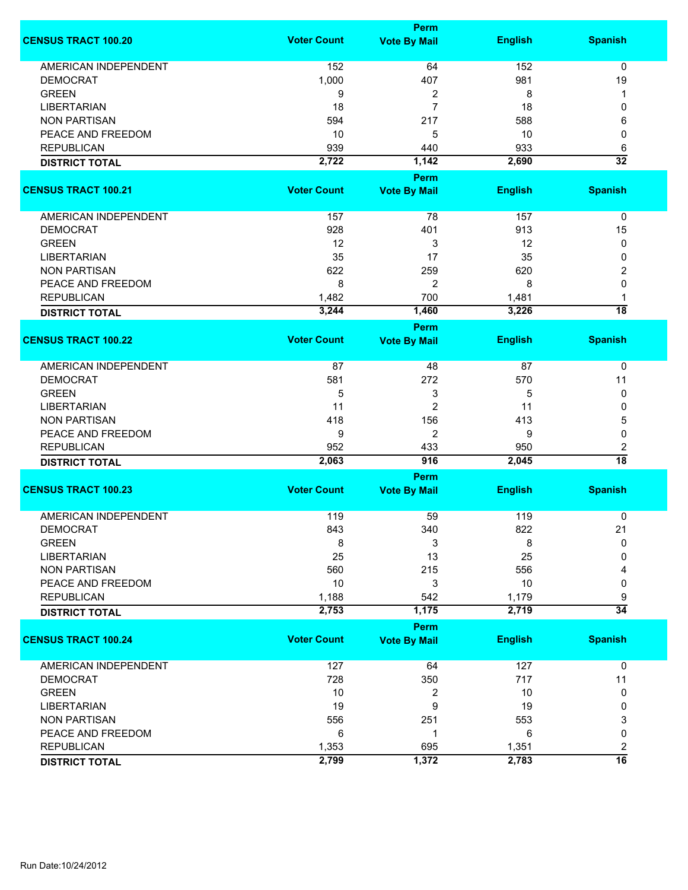|                             |                    | <b>Perm</b>                        |                |                      |
|-----------------------------|--------------------|------------------------------------|----------------|----------------------|
| <b>CENSUS TRACT 100.20</b>  | <b>Voter Count</b> | <b>Vote By Mail</b>                | <b>English</b> | <b>Spanish</b>       |
| <b>AMERICAN INDEPENDENT</b> | 152                | 64                                 | 152            | 0                    |
| <b>DEMOCRAT</b>             | 1,000              | 407                                | 981            | 19                   |
| <b>GREEN</b>                | 9                  | 2                                  | 8              | 1                    |
| <b>LIBERTARIAN</b>          | 18                 | 7                                  | 18             | 0                    |
| <b>NON PARTISAN</b>         | 594                | 217                                | 588            | 6                    |
|                             |                    |                                    |                |                      |
| PEACE AND FREEDOM           | 10                 | 5                                  | 10             | 0                    |
| <b>REPUBLICAN</b>           | 939                | 440                                | 933            | 6                    |
| <b>DISTRICT TOTAL</b>       | 2,722              | 1,142                              | 2,690          | $\overline{32}$      |
| <b>CENSUS TRACT 100.21</b>  | <b>Voter Count</b> | <b>Perm</b><br><b>Vote By Mail</b> | <b>English</b> | <b>Spanish</b>       |
|                             |                    |                                    |                |                      |
| AMERICAN INDEPENDENT        | 157                | 78                                 | 157            | 0                    |
| <b>DEMOCRAT</b>             | 928                | 401                                | 913            | 15                   |
| <b>GREEN</b>                | 12                 | 3                                  | 12             | 0                    |
| <b>LIBERTARIAN</b>          | 35                 | 17                                 | 35             | 0                    |
| <b>NON PARTISAN</b>         | 622                | 259                                | 620            | 2                    |
| PEACE AND FREEDOM           | 8                  | 2                                  | 8              | 0                    |
| <b>REPUBLICAN</b>           | 1,482              | 700                                | 1,481          | 1                    |
|                             | 3,244              | 1,460                              | 3,226          | $\overline{18}$      |
| <b>DISTRICT TOTAL</b>       |                    | <b>Perm</b>                        |                |                      |
| <b>CENSUS TRACT 100.22</b>  | <b>Voter Count</b> | <b>Vote By Mail</b>                | <b>English</b> | <b>Spanish</b>       |
|                             |                    |                                    |                |                      |
| <b>AMERICAN INDEPENDENT</b> | 87                 | 48                                 | 87             | 0                    |
| <b>DEMOCRAT</b>             | 581                | 272                                | 570            | 11                   |
| <b>GREEN</b>                | 5                  | 3                                  | 5              | 0                    |
| <b>LIBERTARIAN</b>          | 11                 | $\overline{c}$                     | 11             | 0                    |
| <b>NON PARTISAN</b>         | 418                | 156                                | 413            | 5                    |
| PEACE AND FREEDOM           | 9                  | 2                                  | 9              | 0                    |
|                             |                    |                                    |                |                      |
| <b>REPUBLICAN</b>           | 952                | 433                                | 950            | 2<br>$\overline{18}$ |
| <b>DISTRICT TOTAL</b>       | 2,063              | 916                                | 2,045          |                      |
|                             | <b>Voter Count</b> | <b>Perm</b>                        |                |                      |
| <b>CENSUS TRACT 100.23</b>  |                    | <b>Vote By Mail</b>                | <b>English</b> | <b>Spanish</b>       |
| <b>AMERICAN INDEPENDENT</b> | 119                | 59                                 | 119            | 0                    |
| <b>DEMOCRAT</b>             | 843                | 340                                | 822            | 21                   |
| <b>GREEN</b>                | 8                  | 3                                  | 8              | 0                    |
| <b>LIBERTARIAN</b>          | 25                 | 13                                 | 25             | 0                    |
| <b>NON PARTISAN</b>         | 560                | 215                                | 556            | 4                    |
| PEACE AND FREEDOM           | 10                 | 3                                  | 10             | 0                    |
| <b>REPUBLICAN</b>           | 1,188              | 542                                | 1,179          | 9                    |
| <b>DISTRICT TOTAL</b>       | 2,753              | 1,175                              | 2,719          | $\overline{34}$      |
|                             |                    | Perm                               |                |                      |
| <b>CENSUS TRACT 100.24</b>  | <b>Voter Count</b> | <b>Vote By Mail</b>                | <b>English</b> | <b>Spanish</b>       |
|                             |                    |                                    |                |                      |
| <b>AMERICAN INDEPENDENT</b> | 127                | 64                                 | 127            | $\mathbf 0$          |
| <b>DEMOCRAT</b>             | 728                | 350                                | 717            | 11                   |
| <b>GREEN</b>                | 10                 | 2                                  | 10             | 0                    |
| <b>LIBERTARIAN</b>          | 19                 | 9                                  | 19             | 0                    |
| <b>NON PARTISAN</b>         | 556                | 251                                | 553            | 3                    |
| PEACE AND FREEDOM           | 6                  | 1                                  | 6              | 0                    |
| <b>REPUBLICAN</b>           | 1,353              | 695                                | 1,351          | 2                    |
| <b>DISTRICT TOTAL</b>       | 2,799              | 1,372                              | 2,783          | $\overline{16}$      |
|                             |                    |                                    |                |                      |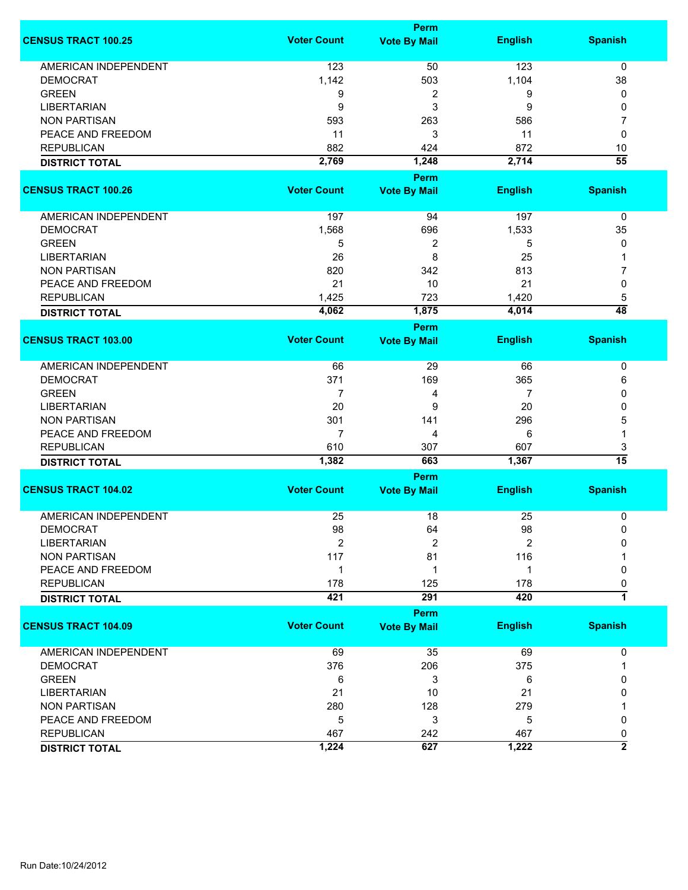|                             |                    | Perm                 |                |                 |
|-----------------------------|--------------------|----------------------|----------------|-----------------|
| <b>CENSUS TRACT 100.25</b>  | <b>Voter Count</b> | <b>Vote By Mail</b>  | <b>English</b> | <b>Spanish</b>  |
| <b>AMERICAN INDEPENDENT</b> | 123                | 50                   | 123            | 0               |
| <b>DEMOCRAT</b>             | 1,142              | 503                  | 1,104          | 38              |
| <b>GREEN</b>                | 9                  | 2                    | 9              | 0               |
| <b>LIBERTARIAN</b>          | 9                  | 3                    | 9              | 0               |
| <b>NON PARTISAN</b>         | 593                | 263                  | 586            | 7               |
| PEACE AND FREEDOM           |                    | 3                    |                |                 |
|                             | 11                 |                      | 11             | 0               |
| <b>REPUBLICAN</b>           | 882                | 424                  | 872            | 10              |
| <b>DISTRICT TOTAL</b>       | 2,769              | 1,248                | 2,714          | $\overline{55}$ |
|                             |                    | Perm                 |                |                 |
| <b>CENSUS TRACT 100.26</b>  | <b>Voter Count</b> | <b>Vote By Mail</b>  | <b>English</b> | <b>Spanish</b>  |
| AMERICAN INDEPENDENT        | 197                | 94                   | 197            | $\pmb{0}$       |
| <b>DEMOCRAT</b>             | 1,568              | 696                  | 1,533          | 35              |
| <b>GREEN</b>                | 5                  | 2                    | 5              | 0               |
| <b>LIBERTARIAN</b>          | 26                 | 8                    | 25             | 1               |
| <b>NON PARTISAN</b>         | 820                | 342                  | 813            | 7               |
| PEACE AND FREEDOM           | 21                 | 10                   | 21             | 0               |
|                             |                    |                      |                |                 |
| <b>REPUBLICAN</b>           | 1,425              | 723                  | 1,420          | 5               |
| <b>DISTRICT TOTAL</b>       | 4,062              | 1,875<br><b>Perm</b> | 4,014          | $\overline{48}$ |
|                             |                    |                      |                |                 |
| <b>CENSUS TRACT 103.00</b>  | <b>Voter Count</b> | <b>Vote By Mail</b>  | <b>English</b> | <b>Spanish</b>  |
| AMERICAN INDEPENDENT        | 66                 | 29                   | 66             | 0               |
| <b>DEMOCRAT</b>             | 371                | 169                  | 365            | 6               |
| <b>GREEN</b>                | $\overline{7}$     | 4                    | 7              | 0               |
| <b>LIBERTARIAN</b>          | 20                 | 9                    | 20             | 0               |
| <b>NON PARTISAN</b>         | 301                | 141                  | 296            | 5               |
| PEACE AND FREEDOM           | $\overline{7}$     | 4                    | 6              | 1               |
| <b>REPUBLICAN</b>           | 610                | 307                  | 607            | 3               |
|                             | 1,382              | 663                  | 1,367          | $\overline{15}$ |
| <b>DISTRICT TOTAL</b>       |                    | <b>Perm</b>          |                |                 |
| <b>CENSUS TRACT 104.02</b>  | <b>Voter Count</b> | <b>Vote By Mail</b>  | <b>English</b> | <b>Spanish</b>  |
| <b>AMERICAN INDEPENDENT</b> | 25                 | 18                   | 25             |                 |
|                             |                    |                      |                | 0               |
| <b>DEMOCRAT</b>             | 98                 | 64                   | 98             | 0               |
| <b>LIBERTARIAN</b>          | 2                  | $\overline{2}$       | $\overline{2}$ | 0               |
| <b>NON PARTISAN</b>         | 117                | 81                   | 116            |                 |
| PEACE AND FREEDOM           | 1                  | 1                    | 1              | 0               |
| <b>REPUBLICAN</b>           | 178                | 125                  | 178            | 0               |
| <b>DISTRICT TOTAL</b>       | 421                | 291                  | 420            | $\overline{1}$  |
|                             |                    | Perm                 |                |                 |
| <b>CENSUS TRACT 104.09</b>  | <b>Voter Count</b> | <b>Vote By Mail</b>  | <b>English</b> | <b>Spanish</b>  |
| <b>AMERICAN INDEPENDENT</b> | 69                 | 35                   | 69             | 0               |
| <b>DEMOCRAT</b>             | 376                | 206                  | 375            | 1               |
| <b>GREEN</b>                | 6                  | 3                    | 6              | 0               |
| <b>LIBERTARIAN</b>          | 21                 | 10                   | 21             | 0               |
| <b>NON PARTISAN</b>         | 280                | 128                  | 279            |                 |
| PEACE AND FREEDOM           | 5                  | 3                    | 5              | 0               |
| <b>REPUBLICAN</b>           | 467                | 242                  | 467            | 0               |
|                             | 1,224              | 627                  | 1,222          | $\overline{2}$  |
| <b>DISTRICT TOTAL</b>       |                    |                      |                |                 |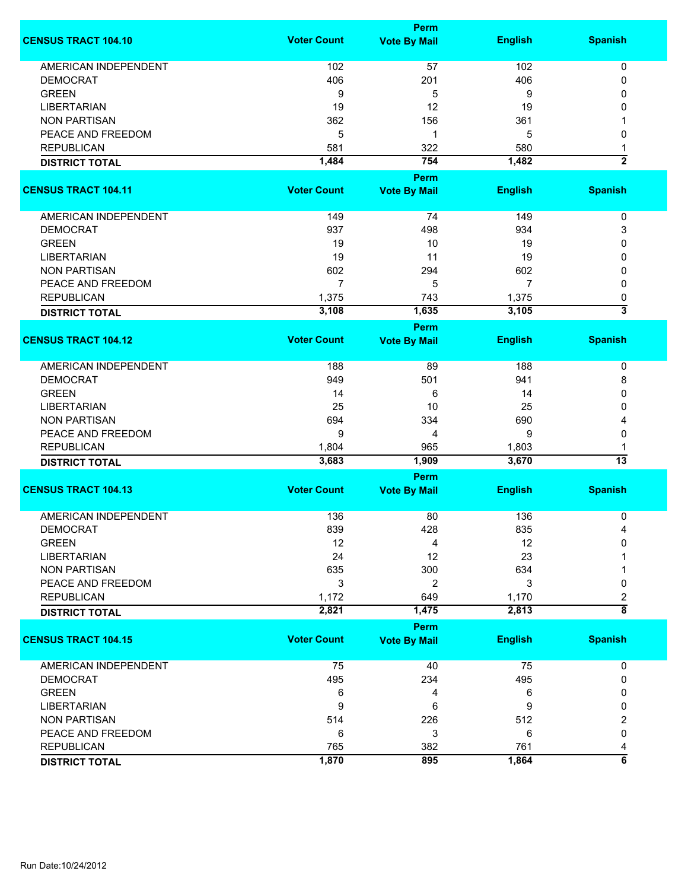|                             |                    | <b>Perm</b>         |                |                           |
|-----------------------------|--------------------|---------------------|----------------|---------------------------|
| <b>CENSUS TRACT 104.10</b>  | <b>Voter Count</b> | <b>Vote By Mail</b> | <b>English</b> | <b>Spanish</b>            |
| <b>AMERICAN INDEPENDENT</b> | 102                | 57                  | 102            | 0                         |
| <b>DEMOCRAT</b>             | 406                | 201                 | 406            | 0                         |
| <b>GREEN</b>                |                    |                     |                | 0                         |
|                             | 9                  | 5                   | 9              |                           |
| <b>LIBERTARIAN</b>          | 19                 | 12                  | 19             | 0                         |
| <b>NON PARTISAN</b>         | 362                | 156                 | 361            | 1                         |
| PEACE AND FREEDOM           | 5                  | 1                   | 5              | 0                         |
| <b>REPUBLICAN</b>           | 581                | 322                 | 580            | 1                         |
| <b>DISTRICT TOTAL</b>       | 1,484              | 754                 | 1,482          | $\overline{2}$            |
|                             |                    | <b>Perm</b>         |                |                           |
| <b>CENSUS TRACT 104.11</b>  | <b>Voter Count</b> | <b>Vote By Mail</b> | <b>English</b> | <b>Spanish</b>            |
| <b>AMERICAN INDEPENDENT</b> | 149                | 74                  | 149            | 0                         |
| <b>DEMOCRAT</b>             | 937                | 498                 | 934            | 3                         |
| <b>GREEN</b>                | 19                 | 10                  | 19             | 0                         |
| <b>LIBERTARIAN</b>          | 19                 | 11                  | 19             | 0                         |
| <b>NON PARTISAN</b>         | 602                | 294                 | 602            | 0                         |
| PEACE AND FREEDOM           | $\overline{7}$     | 5                   | $\overline{7}$ | 0                         |
|                             |                    |                     |                |                           |
| <b>REPUBLICAN</b>           | 1,375              | 743                 | 1,375          | 0                         |
| <b>DISTRICT TOTAL</b>       | 3,108              | 1,635               | 3,105          | $\overline{\overline{3}}$ |
|                             |                    | Perm                |                |                           |
| <b>CENSUS TRACT 104.12</b>  | <b>Voter Count</b> | <b>Vote By Mail</b> | <b>English</b> | <b>Spanish</b>            |
| <b>AMERICAN INDEPENDENT</b> | 188                | 89                  | 188            | 0                         |
| <b>DEMOCRAT</b>             | 949                | 501                 | 941            | 8                         |
| <b>GREEN</b>                | 14                 | 6                   | 14             | 0                         |
| <b>LIBERTARIAN</b>          | 25                 | 10                  | 25             | 0                         |
| <b>NON PARTISAN</b>         | 694                | 334                 | 690            | 4                         |
| PEACE AND FREEDOM           | 9                  | 4                   | 9              | 0                         |
|                             |                    |                     |                |                           |
| <b>REPUBLICAN</b>           | 1,804              | 965                 | 1,803          | 1<br>13                   |
| <b>DISTRICT TOTAL</b>       | 3,683              | 1,909               | 3,670          |                           |
|                             |                    | <b>Perm</b>         |                |                           |
| <b>CENSUS TRACT 104.13</b>  | <b>Voter Count</b> | <b>Vote By Mail</b> | <b>English</b> | <b>Spanish</b>            |
| <b>AMERICAN INDEPENDENT</b> | 136                | 80                  | 136            | 0                         |
| <b>DEMOCRAT</b>             | 839                | 428                 | 835            | 4                         |
| <b>GREEN</b>                | 12                 | 4                   | 12             | 0                         |
| <b>LIBERTARIAN</b>          | 24                 | 12                  | 23             |                           |
| <b>NON PARTISAN</b>         | 635                | 300                 | 634            |                           |
| PEACE AND FREEDOM           | 3                  | 2                   | 3              | 0                         |
| <b>REPUBLICAN</b>           | 1,172              | 649                 | 1,170          | 2                         |
| <b>DISTRICT TOTAL</b>       | 2,821              | 1,475               | 2,813          | $\overline{\bf 8}$        |
|                             |                    | <b>Perm</b>         |                |                           |
| <b>CENSUS TRACT 104.15</b>  | <b>Voter Count</b> | <b>Vote By Mail</b> | <b>English</b> | <b>Spanish</b>            |
| <b>AMERICAN INDEPENDENT</b> | 75                 | 40                  | 75             | 0                         |
| <b>DEMOCRAT</b>             | 495                | 234                 | 495            | 0                         |
| <b>GREEN</b>                | 6                  | 4                   | 6              | 0                         |
| <b>LIBERTARIAN</b>          | 9                  | 6                   | 9              | 0                         |
| <b>NON PARTISAN</b>         | 514                | 226                 | 512            | 2                         |
| PEACE AND FREEDOM           | 6                  | 3                   | 6              | 0                         |
| <b>REPUBLICAN</b>           | 765                | 382                 | 761            | 4                         |
| <b>DISTRICT TOTAL</b>       | 1,870              | 895                 | 1,864          | $\overline{6}$            |
|                             |                    |                     |                |                           |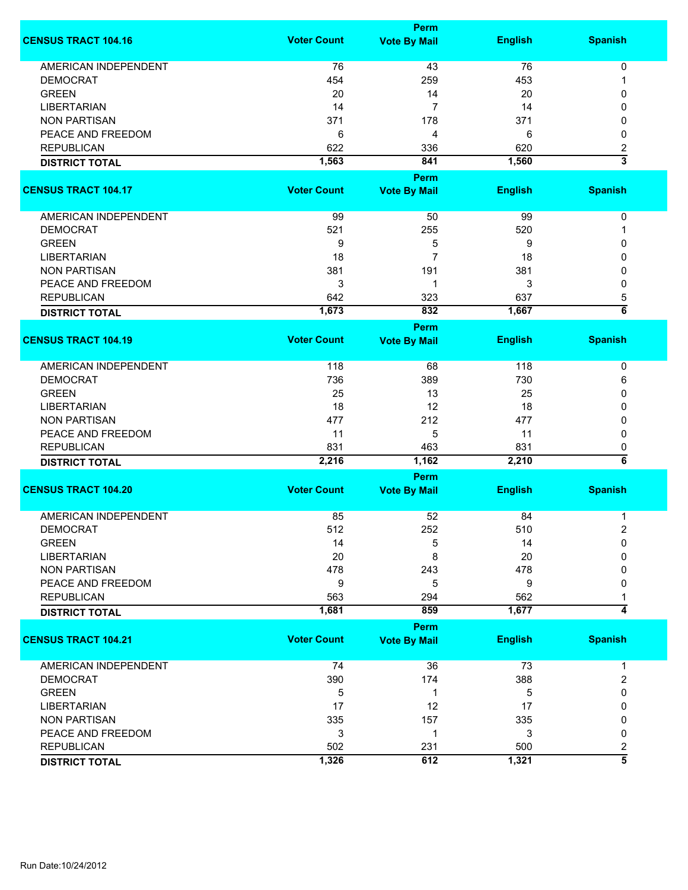|                             |                    | <b>Perm</b>                 |                |                           |
|-----------------------------|--------------------|-----------------------------|----------------|---------------------------|
| <b>CENSUS TRACT 104.16</b>  | <b>Voter Count</b> | <b>Vote By Mail</b>         | <b>English</b> | <b>Spanish</b>            |
| <b>AMERICAN INDEPENDENT</b> | 76                 | 43                          | 76             | 0                         |
| <b>DEMOCRAT</b>             | 454                | 259                         | 453            | 1                         |
| <b>GREEN</b>                | 20                 | 14                          | 20             | 0                         |
|                             |                    | $\overline{7}$              |                |                           |
| <b>LIBERTARIAN</b>          | 14                 |                             | 14             | 0                         |
| <b>NON PARTISAN</b>         | 371                | 178                         | 371            | 0                         |
| PEACE AND FREEDOM           | 6                  | 4                           | 6              | 0                         |
| <b>REPUBLICAN</b>           | 622                | 336                         | 620            | $\overline{\mathbf{c}}$   |
| <b>DISTRICT TOTAL</b>       | 1,563              | 841                         | 1,560          | $\overline{\overline{3}}$ |
|                             |                    | <b>Perm</b>                 |                |                           |
| <b>CENSUS TRACT 104.17</b>  | <b>Voter Count</b> | <b>Vote By Mail</b>         | <b>English</b> | <b>Spanish</b>            |
| AMERICAN INDEPENDENT        | 99                 | 50                          | 99             | 0                         |
| <b>DEMOCRAT</b>             | 521                | 255                         | 520            | 1                         |
| <b>GREEN</b>                | 9                  | 5                           | 9              | 0                         |
| <b>LIBERTARIAN</b>          | 18                 | 7                           | 18             | 0                         |
| <b>NON PARTISAN</b>         | 381                | 191                         | 381            | 0                         |
|                             |                    | 1                           |                |                           |
| PEACE AND FREEDOM           | 3                  |                             | 3              | 0                         |
| <b>REPUBLICAN</b>           | 642                | 323                         | 637            | 5                         |
| <b>DISTRICT TOTAL</b>       | 1,673              | 832                         | 1,667          | $\overline{\mathbf{6}}$   |
|                             |                    | <b>Perm</b>                 |                |                           |
| <b>CENSUS TRACT 104.19</b>  | <b>Voter Count</b> | <b>Vote By Mail</b>         | <b>English</b> | <b>Spanish</b>            |
| <b>AMERICAN INDEPENDENT</b> | 118                | 68                          | 118            | 0                         |
| <b>DEMOCRAT</b>             | 736                | 389                         | 730            | 6                         |
| <b>GREEN</b>                | 25                 | 13                          | 25             | 0                         |
| <b>LIBERTARIAN</b>          | 18                 | 12                          | 18             | 0                         |
| <b>NON PARTISAN</b>         | 477                | 212                         | 477            | 0                         |
| PEACE AND FREEDOM           | 11                 | 5                           | 11             |                           |
|                             |                    |                             |                | 0                         |
| <b>REPUBLICAN</b>           | 831                | 463                         | 831            | 0<br>$\overline{\bf{6}}$  |
| <b>DISTRICT TOTAL</b>       | 2,216              | 1,162                       | 2,210          |                           |
| <b>CENSUS TRACT 104.20</b>  | <b>Voter Count</b> | Perm<br><b>Vote By Mail</b> | <b>English</b> | <b>Spanish</b>            |
|                             |                    |                             |                |                           |
| <b>AMERICAN INDEPENDENT</b> | 85                 | 52                          | 84             | 1                         |
| <b>DEMOCRAT</b>             | 512                | 252                         | 510            | 2                         |
| <b>GREEN</b>                | 14                 | 5                           | 14             | 0                         |
| <b>LIBERTARIAN</b>          | 20                 | 8                           | 20             | 0                         |
| <b>NON PARTISAN</b>         | 478                | 243                         | 478            | 0                         |
| PEACE AND FREEDOM           | 9                  | 5                           | 9              | 0                         |
| <b>REPUBLICAN</b>           | 563                | 294                         | 562            |                           |
| <b>DISTRICT TOTAL</b>       | 1,681              | 859                         | 1,677          | $\overline{4}$            |
|                             |                    | Perm                        |                |                           |
| <b>CENSUS TRACT 104.21</b>  | <b>Voter Count</b> | <b>Vote By Mail</b>         | <b>English</b> | <b>Spanish</b>            |
| <b>AMERICAN INDEPENDENT</b> | 74                 | 36                          | 73             | 1                         |
| <b>DEMOCRAT</b>             | 390                | 174                         | 388            | 2                         |
| <b>GREEN</b>                | 5                  | 1                           | 5              | 0                         |
| <b>LIBERTARIAN</b>          | 17                 | 12                          | 17             | 0                         |
| <b>NON PARTISAN</b>         | 335                | 157                         | 335            | 0                         |
| PEACE AND FREEDOM           | 3                  | 1                           | 3              | 0                         |
| <b>REPUBLICAN</b>           | 502                | 231                         | 500            |                           |
|                             |                    |                             |                | 2<br>$\overline{\bf{5}}$  |
| <b>DISTRICT TOTAL</b>       | 1,326              | 612                         | 1,321          |                           |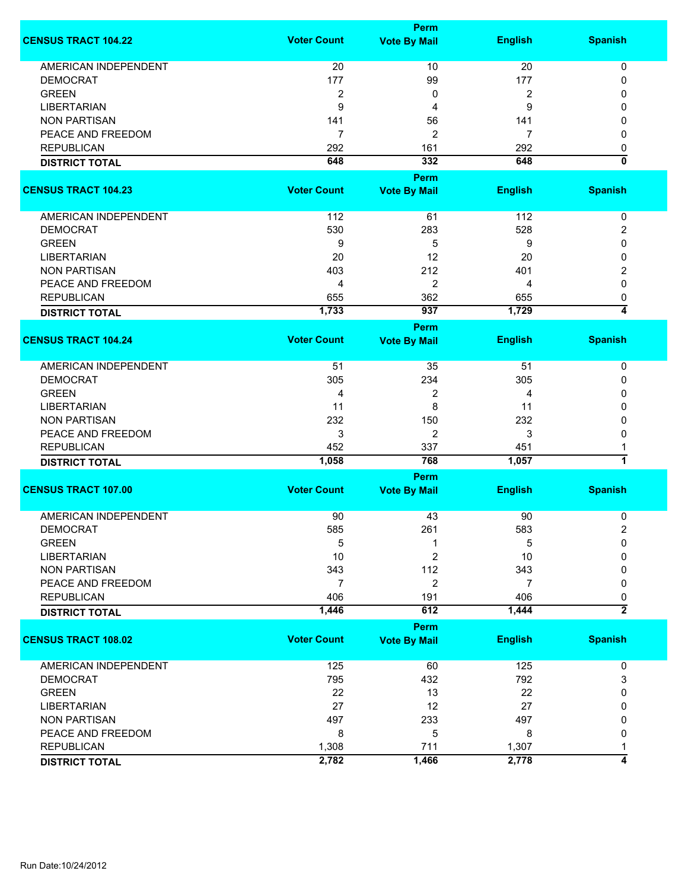|                             |                    | Perm                |                |                         |
|-----------------------------|--------------------|---------------------|----------------|-------------------------|
| <b>CENSUS TRACT 104.22</b>  | <b>Voter Count</b> | <b>Vote By Mail</b> | <b>English</b> | <b>Spanish</b>          |
| <b>AMERICAN INDEPENDENT</b> | 20                 | 10                  | 20             | 0                       |
| <b>DEMOCRAT</b>             | 177                | 99                  | 177            | 0                       |
| <b>GREEN</b>                | $\overline{2}$     | 0                   | $\overline{2}$ | 0                       |
| <b>LIBERTARIAN</b>          | 9                  | 4                   | 9              | 0                       |
| <b>NON PARTISAN</b>         | 141                | 56                  | 141            | 0                       |
|                             |                    |                     |                |                         |
| PEACE AND FREEDOM           | $\overline{7}$     | 2                   | 7              | 0                       |
| <b>REPUBLICAN</b>           | 292                | 161                 | 292            | 0                       |
| <b>DISTRICT TOTAL</b>       | 648                | 332                 | 648            | ō                       |
|                             |                    | Perm                |                |                         |
| <b>CENSUS TRACT 104.23</b>  | <b>Voter Count</b> | <b>Vote By Mail</b> | <b>English</b> | <b>Spanish</b>          |
| AMERICAN INDEPENDENT        | 112                | 61                  | 112            | 0                       |
| <b>DEMOCRAT</b>             | 530                | 283                 | 528            | 2                       |
| <b>GREEN</b>                | 9                  | 5                   | 9              | 0                       |
| <b>LIBERTARIAN</b>          | 20                 | 12                  | 20             | 0                       |
| <b>NON PARTISAN</b>         | 403                | 212                 |                |                         |
|                             |                    |                     | 401            | 2                       |
| PEACE AND FREEDOM           | 4                  | $\overline{2}$      | 4              | 0                       |
| <b>REPUBLICAN</b>           | 655                | 362                 | 655            | 0                       |
| <b>DISTRICT TOTAL</b>       | 1,733              | 937                 | 1,729          | 4                       |
|                             |                    | <b>Perm</b>         |                |                         |
| <b>CENSUS TRACT 104.24</b>  | <b>Voter Count</b> | <b>Vote By Mail</b> | <b>English</b> | <b>Spanish</b>          |
| <b>AMERICAN INDEPENDENT</b> | 51                 | 35                  | 51             | 0                       |
| <b>DEMOCRAT</b>             | 305                | 234                 | 305            | 0                       |
| <b>GREEN</b>                | 4                  | 2                   | 4              | 0                       |
| <b>LIBERTARIAN</b>          | 11                 | 8                   | 11             | 0                       |
| <b>NON PARTISAN</b>         | 232                | 150                 | 232            | 0                       |
| PEACE AND FREEDOM           | 3                  | $\overline{2}$      | 3              | 0                       |
| <b>REPUBLICAN</b>           | 452                | 337                 | 451            |                         |
| <b>DISTRICT TOTAL</b>       | 1,058              | 768                 | 1,057          | $\overline{\mathbf{1}}$ |
|                             |                    | <b>Perm</b>         |                |                         |
| <b>CENSUS TRACT 107.00</b>  | <b>Voter Count</b> | <b>Vote By Mail</b> | <b>English</b> | <b>Spanish</b>          |
|                             |                    |                     |                |                         |
| <b>AMERICAN INDEPENDENT</b> | 90                 | 43                  | 90             | 0                       |
| <b>DEMOCRAT</b>             | 585                | 261                 | 583            | 2                       |
| <b>GREEN</b>                | 5                  | 1                   | 5              | 0                       |
| <b>LIBERTARIAN</b>          | 10                 | 2                   | 10             | 0                       |
| <b>NON PARTISAN</b>         | 343                | 112                 | 343            | 0                       |
| PEACE AND FREEDOM           | 7                  | 2                   | 7              | 0                       |
| <b>REPUBLICAN</b>           | 406                | 191                 | 406            | 0                       |
| <b>DISTRICT TOTAL</b>       | 1,446              | 612                 | 1,444          | $\overline{2}$          |
|                             |                    | <b>Perm</b>         |                |                         |
| <b>CENSUS TRACT 108.02</b>  | <b>Voter Count</b> | <b>Vote By Mail</b> | <b>English</b> | <b>Spanish</b>          |
| AMERICAN INDEPENDENT        | 125                | 60                  | 125            | 0                       |
| <b>DEMOCRAT</b>             | 795                | 432                 | 792            | 3                       |
| <b>GREEN</b>                | 22                 | 13                  | 22             | 0                       |
| <b>LIBERTARIAN</b>          | 27                 | 12                  | 27             | 0                       |
| <b>NON PARTISAN</b>         | 497                | 233                 | 497            | 0                       |
| PEACE AND FREEDOM           | 8                  | 5                   | 8              | 0                       |
| <b>REPUBLICAN</b>           | 1,308              | 711                 | 1,307          | 1                       |
|                             | 2,782              | 1,466               | 2,778          | 4                       |
| <b>DISTRICT TOTAL</b>       |                    |                     |                |                         |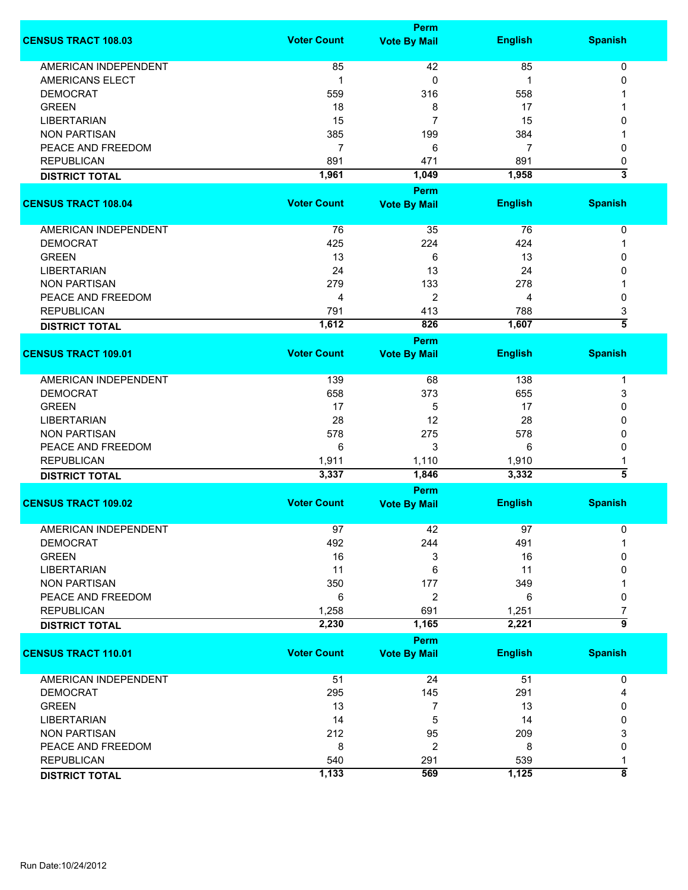|                             |                    | Perm                        |                |                    |
|-----------------------------|--------------------|-----------------------------|----------------|--------------------|
| <b>CENSUS TRACT 108.03</b>  | <b>Voter Count</b> | <b>Vote By Mail</b>         | <b>English</b> | <b>Spanish</b>     |
| <b>AMERICAN INDEPENDENT</b> | 85                 | 42                          | 85             | 0                  |
| AMERICANS ELECT             | 1                  | 0                           | 1              | 0                  |
| <b>DEMOCRAT</b>             | 559                | 316                         | 558            |                    |
| <b>GREEN</b>                | 18                 | 8                           | 17             |                    |
| <b>LIBERTARIAN</b>          | 15                 | $\overline{7}$              | 15             | 0                  |
| <b>NON PARTISAN</b>         | 385                | 199                         | 384            |                    |
| PEACE AND FREEDOM           | 7                  | 6                           | $\overline{7}$ | 0                  |
| <b>REPUBLICAN</b>           | 891                | 471                         | 891            | 0                  |
| <b>DISTRICT TOTAL</b>       | 1,961              | 1,049                       | 1,958          | 3                  |
|                             |                    |                             |                |                    |
| <b>CENSUS TRACT 108.04</b>  | <b>Voter Count</b> | Perm                        | <b>English</b> | <b>Spanish</b>     |
|                             |                    | <b>Vote By Mail</b>         |                |                    |
| AMERICAN INDEPENDENT        | 76                 | 35                          | 76             | $\pmb{0}$          |
| <b>DEMOCRAT</b>             | 425                | 224                         | 424            | 1                  |
| <b>GREEN</b>                | 13                 | 6                           | 13             | 0                  |
| <b>LIBERTARIAN</b>          | 24                 | 13                          | 24             | 0                  |
| <b>NON PARTISAN</b>         | 279                | 133                         | 278            |                    |
| PEACE AND FREEDOM           | 4                  | $\overline{2}$              | 4              | 0                  |
| <b>REPUBLICAN</b>           | 791                | 413                         | 788            | 3                  |
| <b>DISTRICT TOTAL</b>       | 1,612              | 826                         | 1,607          | $\overline{5}$     |
|                             |                    | Perm                        |                |                    |
| <b>CENSUS TRACT 109.01</b>  | <b>Voter Count</b> | <b>Vote By Mail</b>         | <b>English</b> | <b>Spanish</b>     |
| <b>AMERICAN INDEPENDENT</b> | 139                | 68                          | 138            | -1                 |
| <b>DEMOCRAT</b>             | 658                | 373                         | 655            | 3                  |
| <b>GREEN</b>                | 17                 | 5                           | 17             | $\mathbf{0}$       |
| <b>LIBERTARIAN</b>          | 28                 | 12                          | 28             | 0                  |
| <b>NON PARTISAN</b>         | 578                | 275                         | 578            | 0                  |
|                             |                    |                             |                |                    |
| PEACE AND FREEDOM           | 6                  | 3                           | 6              | 0                  |
| <b>REPUBLICAN</b>           | 1,911              | 1,110                       | 1,910          | 1<br>3             |
| <b>DISTRICT TOTAL</b>       | 3,337              | 1,846                       | 3,332          |                    |
| <b>CENSUS TRACT 109.02</b>  | <b>Voter Count</b> | Perm<br><b>Vote By Mail</b> | <b>English</b> | <b>Spanish</b>     |
|                             |                    |                             |                |                    |
| AMERICAN INDEPENDENT        | 97                 | 42                          | 97             | 0                  |
| <b>DEMOCRAT</b>             | 492                | 244                         | 491            |                    |
| <b>GREEN</b>                | 16                 | 3                           | 16             | 0                  |
| <b>LIBERTARIAN</b>          | 11                 | 6                           | 11             | 0                  |
| <b>NON PARTISAN</b>         | 350                | 177                         | 349            |                    |
| PEACE AND FREEDOM           | 6                  | 2                           | 6              | 0                  |
| <b>REPUBLICAN</b>           | 1,258              | 691                         | 1,251          | 7                  |
| <b>DISTRICT TOTAL</b>       | 2,230              | 1,165                       | 2,221          | 5                  |
|                             |                    | Perm                        |                |                    |
| <b>CENSUS TRACT 110.01</b>  | <b>Voter Count</b> | <b>Vote By Mail</b>         | <b>English</b> | <b>Spanish</b>     |
| AMERICAN INDEPENDENT        | 51                 | 24                          | 51             | 0                  |
| <b>DEMOCRAT</b>             | 295                | 145                         | 291            | 4                  |
| <b>GREEN</b>                | 13                 | 7                           | 13             | 0                  |
| <b>LIBERTARIAN</b>          | 14                 | 5                           | 14             | 0                  |
| <b>NON PARTISAN</b>         | 212                | 95                          | 209            | 3                  |
| PEACE AND FREEDOM           | 8                  | 2                           | 8              | 0                  |
| <b>REPUBLICAN</b>           | 540                | 291                         | 539            | 1                  |
| <b>DISTRICT TOTAL</b>       | 1,133              | 569                         | 1,125          | $\overline{\bf 8}$ |
|                             |                    |                             |                |                    |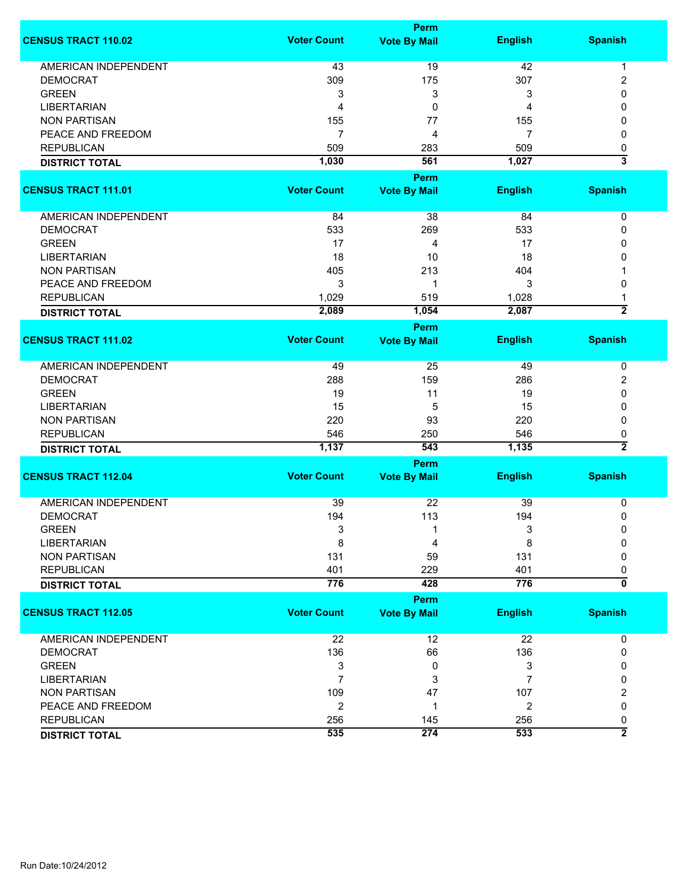|                             |                    | <b>Perm</b>         |                |                         |
|-----------------------------|--------------------|---------------------|----------------|-------------------------|
| <b>CENSUS TRACT 110.02</b>  | <b>Voter Count</b> | <b>Vote By Mail</b> | <b>English</b> | <b>Spanish</b>          |
| <b>AMERICAN INDEPENDENT</b> | 43                 | 19                  | 42             | 1                       |
| <b>DEMOCRAT</b>             | 309                | 175                 | 307            | 2                       |
| <b>GREEN</b>                | 3                  | 3                   | 3              | 0                       |
| <b>LIBERTARIAN</b>          | 4                  | 0                   | 4              | 0                       |
|                             |                    |                     |                |                         |
| <b>NON PARTISAN</b>         | 155                | 77                  | 155            | 0                       |
| PEACE AND FREEDOM           | 7                  | 4                   | 7              | 0                       |
| <b>REPUBLICAN</b>           | 509                | 283                 | 509            | 0                       |
| <b>DISTRICT TOTAL</b>       | 1,030              | 561                 | 1,027          | 3                       |
|                             |                    | <b>Perm</b>         |                |                         |
| <b>CENSUS TRACT 111.01</b>  | <b>Voter Count</b> | <b>Vote By Mail</b> | <b>English</b> | <b>Spanish</b>          |
|                             |                    |                     |                |                         |
| AMERICAN INDEPENDENT        | 84                 | 38                  | 84             | 0                       |
| <b>DEMOCRAT</b>             | 533                | 269                 | 533            | 0                       |
| <b>GREEN</b>                | 17                 | 4                   | 17             | 0                       |
| <b>LIBERTARIAN</b>          | 18                 | 10                  | 18             | 0                       |
| <b>NON PARTISAN</b>         | 405                | 213                 | 404            |                         |
| PEACE AND FREEDOM           | 3                  | 1                   | 3              | 0                       |
| <b>REPUBLICAN</b>           | 1,029              | 519                 | 1,028          | 1                       |
|                             | 2,089              | 1,054               | 2,087          | $\overline{2}$          |
| <b>DISTRICT TOTAL</b>       |                    |                     |                |                         |
|                             |                    | <b>Perm</b>         |                |                         |
| <b>CENSUS TRACT 111.02</b>  | <b>Voter Count</b> | <b>Vote By Mail</b> | <b>English</b> | <b>Spanish</b>          |
| <b>AMERICAN INDEPENDENT</b> | 49                 | 25                  | 49             | 0                       |
| <b>DEMOCRAT</b>             | 288                | 159                 | 286            | 2                       |
| <b>GREEN</b>                | 19                 | 11                  | 19             | 0                       |
| <b>LIBERTARIAN</b>          | 15                 | 5                   | 15             | 0                       |
| <b>NON PARTISAN</b>         | 220                | 93                  | 220            | 0                       |
| <b>REPUBLICAN</b>           | 546                | 250                 | 546            | 0                       |
|                             | 1,137              | 543                 | 1,135          | $\overline{2}$          |
| <b>DISTRICT TOTAL</b>       |                    |                     |                |                         |
|                             |                    | <b>Perm</b>         |                |                         |
| <b>CENSUS TRACT 112.04</b>  | <b>Voter Count</b> | <b>Vote By Mail</b> | <b>English</b> | <b>Spanish</b>          |
| <b>AMERICAN INDEPENDENT</b> |                    | 22                  | 39             |                         |
|                             | 39                 |                     |                | 0                       |
| <b>DEMOCRAT</b>             | 194                | 113                 | 194            | 0                       |
| <b>GREEN</b>                | 3                  | 1                   | 3              | 0                       |
| <b>LIBERTARIAN</b>          | 8                  | 4                   | 8              | 0                       |
| <b>NON PARTISAN</b>         | 131                | 59                  | 131            | 0                       |
| <b>REPUBLICAN</b>           | 401                | 229                 | 401            | 0                       |
| <b>DISTRICT TOTAL</b>       | 776                | 428                 | 776            | $\overline{\mathbf{0}}$ |
|                             |                    | <b>Perm</b>         |                |                         |
| <b>CENSUS TRACT 112.05</b>  | <b>Voter Count</b> | <b>Vote By Mail</b> | <b>English</b> | <b>Spanish</b>          |
|                             |                    |                     |                |                         |
| <b>AMERICAN INDEPENDENT</b> | 22                 | 12                  | 22             | 0                       |
| <b>DEMOCRAT</b>             | 136                | 66                  | 136            | 0                       |
| <b>GREEN</b>                | 3                  | 0                   | 3              | 0                       |
| <b>LIBERTARIAN</b>          | $\overline{7}$     | 3                   | 7              | 0                       |
| <b>NON PARTISAN</b>         | 109                | 47                  | 107            | 2                       |
|                             |                    |                     |                | 0                       |
| PEACE AND FREEDOM           | $\overline{c}$     | 1                   | 2              |                         |
| <b>REPUBLICAN</b>           | 256                | 145                 | 256            | 0                       |
| <b>DISTRICT TOTAL</b>       | 535                | 274                 | 533            | $\overline{2}$          |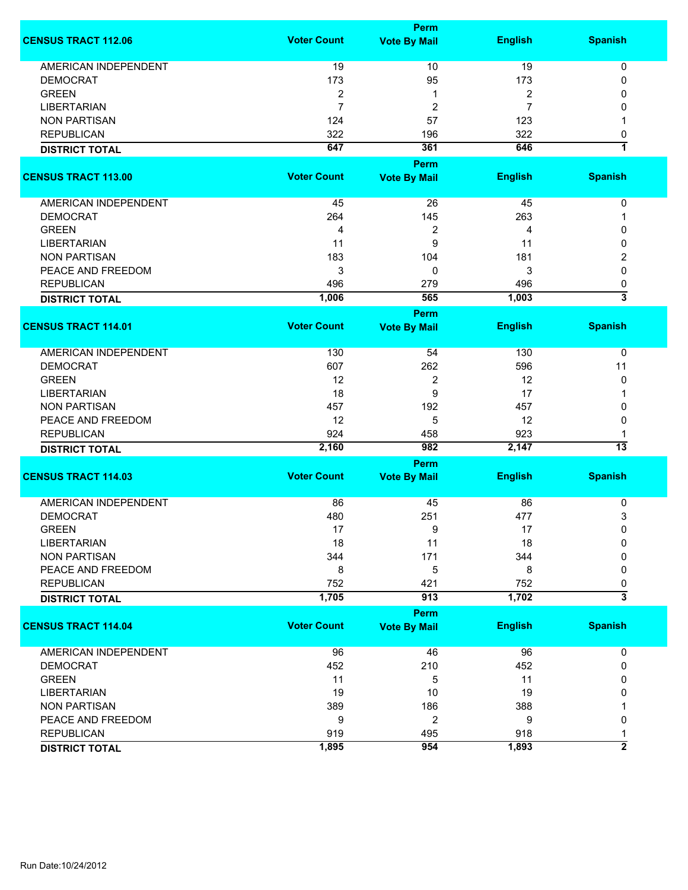|                             |                    | Perm                |                  |                                |
|-----------------------------|--------------------|---------------------|------------------|--------------------------------|
| <b>CENSUS TRACT 112.06</b>  | <b>Voter Count</b> | <b>Vote By Mail</b> | <b>English</b>   | <b>Spanish</b>                 |
| AMERICAN INDEPENDENT        | 19                 | 10                  | 19               | 0                              |
| <b>DEMOCRAT</b>             | 173                | 95                  | 173              | 0                              |
|                             |                    |                     |                  |                                |
| <b>GREEN</b>                | 2                  | 1                   | $\boldsymbol{2}$ | 0                              |
| <b>LIBERTARIAN</b>          | $\overline{7}$     | $\overline{2}$      | $\overline{7}$   | 0                              |
| <b>NON PARTISAN</b>         | 124                | 57                  | 123              | 1                              |
| <b>REPUBLICAN</b>           | 322                | 196                 | 322              | 0                              |
| <b>DISTRICT TOTAL</b>       | 647                | 361                 | 646              | 7                              |
|                             |                    | <b>Perm</b>         |                  |                                |
| <b>CENSUS TRACT 113.00</b>  | <b>Voter Count</b> | <b>Vote By Mail</b> | <b>English</b>   | <b>Spanish</b>                 |
|                             |                    |                     |                  |                                |
| AMERICAN INDEPENDENT        | 45                 | 26                  | 45               | 0                              |
| <b>DEMOCRAT</b>             | 264                | 145                 | 263              | 1                              |
| <b>GREEN</b>                | 4                  | 2                   | 4                | 0                              |
| <b>LIBERTARIAN</b>          | 11                 | 9                   | 11               | 0                              |
| <b>NON PARTISAN</b>         | 183                | 104                 | 181              | 2                              |
| PEACE AND FREEDOM           | 3                  | 0                   | 3                | 0                              |
| <b>REPUBLICAN</b>           | 496                | 279                 | 496              |                                |
|                             |                    | 565                 | 1,003            | 0<br>$\overline{\overline{3}}$ |
| <b>DISTRICT TOTAL</b>       | 1,006              |                     |                  |                                |
|                             |                    | Perm                |                  |                                |
| <b>CENSUS TRACT 114.01</b>  | <b>Voter Count</b> | <b>Vote By Mail</b> | <b>English</b>   | <b>Spanish</b>                 |
| <b>AMERICAN INDEPENDENT</b> | 130                | 54                  | 130              | 0                              |
| <b>DEMOCRAT</b>             | 607                | 262                 | 596              | 11                             |
| <b>GREEN</b>                | 12                 | 2                   | 12               | 0                              |
| <b>LIBERTARIAN</b>          | 18                 | 9                   | 17               |                                |
| <b>NON PARTISAN</b>         | 457                | 192                 | 457              | 0                              |
|                             |                    |                     |                  |                                |
| PEACE AND FREEDOM           | 12                 | 5                   | 12               | 0                              |
| <b>REPUBLICAN</b>           | 924                | 458                 | 923              |                                |
| <b>DISTRICT TOTAL</b>       | 2,160              | 982                 | 2,147            | 13                             |
|                             |                    | Perm                |                  |                                |
| <b>CENSUS TRACT 114.03</b>  | <b>Voter Count</b> | <b>Vote By Mail</b> | <b>English</b>   | <b>Spanish</b>                 |
| <b>AMERICAN INDEPENDENT</b> | 86                 | 45                  | 86               | 0                              |
| <b>DEMOCRAT</b>             | 480                | 251                 | 477              | 3                              |
| <b>GREEN</b>                | 17                 | 9                   | 17               | 0                              |
| <b>LIBERTARIAN</b>          | 18                 | 11                  | 18               | 0                              |
| <b>NON PARTISAN</b>         | 344                | 171                 | 344              | 0                              |
| PEACE AND FREEDOM           | 8                  | 5                   | 8                | 0                              |
|                             |                    |                     |                  |                                |
| <b>REPUBLICAN</b>           | 752                | 421                 | 752              | 0<br>$\overline{\overline{3}}$ |
| <b>DISTRICT TOTAL</b>       | 1,705              | 913                 | 1,702            |                                |
|                             |                    | Perm                |                  |                                |
| <b>CENSUS TRACT 114.04</b>  | <b>Voter Count</b> | <b>Vote By Mail</b> | <b>English</b>   | <b>Spanish</b>                 |
| AMERICAN INDEPENDENT        | 96                 | 46                  | 96               | 0                              |
| <b>DEMOCRAT</b>             | 452                | 210                 | 452              | 0                              |
| <b>GREEN</b>                | 11                 | 5                   | 11               | 0                              |
| <b>LIBERTARIAN</b>          | 19                 | 10                  | 19               | 0                              |
| <b>NON PARTISAN</b>         | 389                | 186                 | 388              |                                |
| PEACE AND FREEDOM           | 9                  | $\overline{2}$      | 9                | 0                              |
|                             |                    |                     |                  |                                |
| <b>REPUBLICAN</b>           | 919                | 495                 | 918              | 1<br>$\overline{2}$            |
| <b>DISTRICT TOTAL</b>       | 1,895              | 954                 | 1,893            |                                |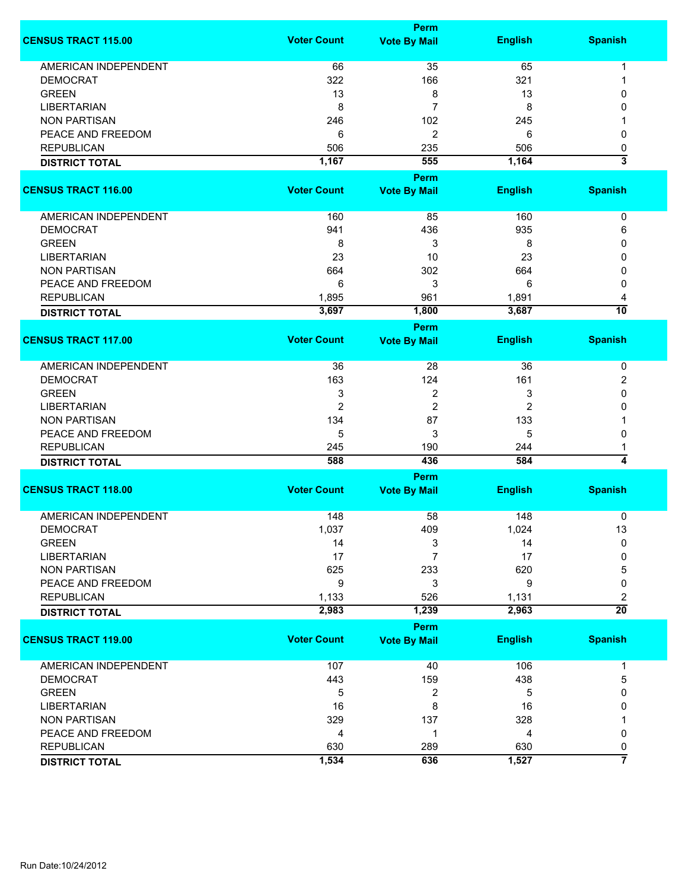|                             |                    | <b>Perm</b>             |                |                         |
|-----------------------------|--------------------|-------------------------|----------------|-------------------------|
| <b>CENSUS TRACT 115.00</b>  | <b>Voter Count</b> | <b>Vote By Mail</b>     | <b>English</b> | <b>Spanish</b>          |
| <b>AMERICAN INDEPENDENT</b> | 66                 | 35                      | 65             | $\mathbf 1$             |
| <b>DEMOCRAT</b>             | 322                | 166                     | 321            | 1                       |
| <b>GREEN</b>                | 13                 | 8                       | 13             | $\mathbf{0}$            |
|                             |                    | 7                       |                | $\mathbf{0}$            |
| <b>LIBERTARIAN</b>          | 8                  |                         | 8              |                         |
| <b>NON PARTISAN</b>         | 246                | 102                     | 245            | 1                       |
| PEACE AND FREEDOM           | 6                  | $\overline{2}$          | 6              | 0                       |
| <b>REPUBLICAN</b>           | 506                | 235                     | 506            | 0                       |
| <b>DISTRICT TOTAL</b>       | 1,167              | 555                     | 1,164          | $\overline{\mathbf{3}}$ |
|                             |                    | <b>Perm</b>             |                |                         |
| <b>CENSUS TRACT 116.00</b>  | <b>Voter Count</b> | <b>Vote By Mail</b>     | <b>English</b> | <b>Spanish</b>          |
| AMERICAN INDEPENDENT        | 160                | 85                      | 160            | 0                       |
| <b>DEMOCRAT</b>             | 941                | 436                     | 935            | 6                       |
| <b>GREEN</b>                | 8                  | 3                       | 8              | 0                       |
| <b>LIBERTARIAN</b>          | 23                 | 10                      | 23             | 0                       |
| <b>NON PARTISAN</b>         | 664                |                         |                |                         |
|                             |                    | 302                     | 664            | 0                       |
| PEACE AND FREEDOM           | 6                  | 3                       | 6              | 0                       |
| <b>REPUBLICAN</b>           | 1,895              | 961                     | 1,891          | 4                       |
| <b>DISTRICT TOTAL</b>       | 3,697              | 1,800                   | 3,687          | $\overline{10}$         |
|                             |                    | Perm                    |                |                         |
| <b>CENSUS TRACT 117.00</b>  | <b>Voter Count</b> | <b>Vote By Mail</b>     | <b>English</b> | <b>Spanish</b>          |
| <b>AMERICAN INDEPENDENT</b> | 36                 | 28                      | 36             | 0                       |
| <b>DEMOCRAT</b>             | 163                | 124                     | 161            | 2                       |
| <b>GREEN</b>                | 3                  | $\overline{\mathbf{c}}$ | 3              | 0                       |
| <b>LIBERTARIAN</b>          | $\overline{2}$     | $\overline{2}$          | $\overline{2}$ | 0                       |
| <b>NON PARTISAN</b>         | 134                | 87                      | 133            |                         |
|                             |                    |                         |                |                         |
| PEACE AND FREEDOM           | 5                  | 3                       | 5              | 0                       |
| <b>REPUBLICAN</b>           | 245                | 190                     | 244            | 1                       |
| <b>DISTRICT TOTAL</b>       | 588                | 436                     | 584            | $\overline{\bf{4}}$     |
|                             |                    | Perm                    |                |                         |
| <b>CENSUS TRACT 118.00</b>  | <b>Voter Count</b> | <b>Vote By Mail</b>     | <b>English</b> | <b>Spanish</b>          |
| <b>AMERICAN INDEPENDENT</b> | 148                | 58                      | 148            | 0                       |
| <b>DEMOCRAT</b>             | 1,037              | 409                     | 1,024          | 13                      |
| <b>GREEN</b>                | 14                 | 3                       | 14             | 0                       |
| <b>LIBERTARIAN</b>          | 17                 | 7                       | 17             | 0                       |
| <b>NON PARTISAN</b>         | 625                | 233                     | 620            | 5                       |
| PEACE AND FREEDOM           | 9                  | 3                       | 9              | 0                       |
|                             |                    |                         |                |                         |
| <b>REPUBLICAN</b>           | 1,133<br>2,983     | 526                     | 1,131<br>2,963 | 2<br>$\overline{20}$    |
| <b>DISTRICT TOTAL</b>       |                    | 1,239                   |                |                         |
|                             |                    | Perm                    |                |                         |
| <b>CENSUS TRACT 119.00</b>  | <b>Voter Count</b> | <b>Vote By Mail</b>     | <b>English</b> | <b>Spanish</b>          |
| AMERICAN INDEPENDENT        | 107                | 40                      | 106            | 1                       |
| <b>DEMOCRAT</b>             | 443                | 159                     | 438            | 5                       |
| <b>GREEN</b>                | 5                  | 2                       | 5              | 0                       |
| <b>LIBERTARIAN</b>          | 16                 | 8                       | 16             | 0                       |
| <b>NON PARTISAN</b>         | 329                | 137                     | 328            |                         |
| PEACE AND FREEDOM           | 4                  | 1                       | 4              | 0                       |
| <b>REPUBLICAN</b>           | 630                |                         | 630            |                         |
|                             |                    | 289                     |                | 0<br>7                  |
| <b>DISTRICT TOTAL</b>       | 1,534              | 636                     | 1,527          |                         |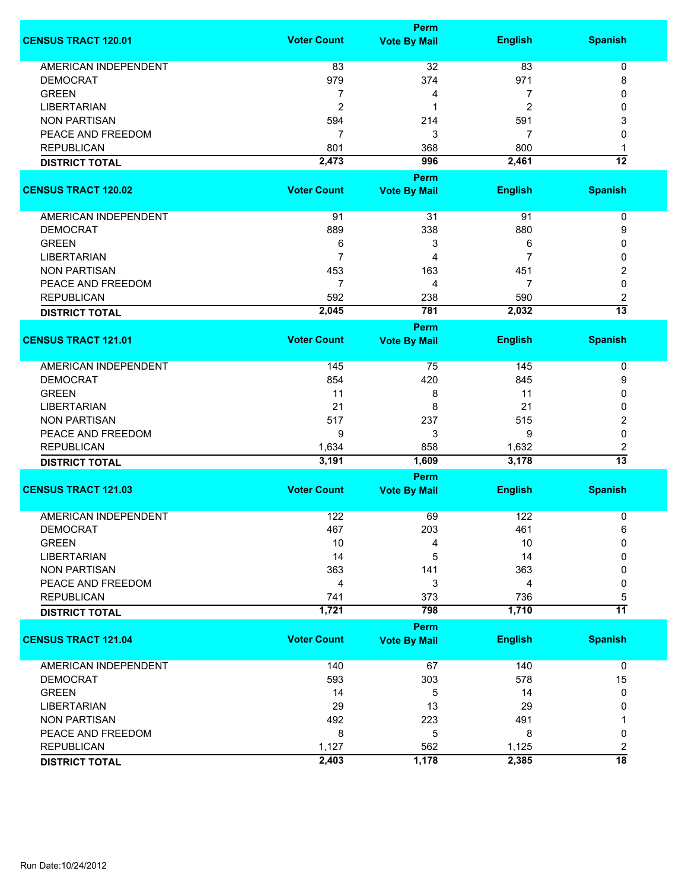|                             |                    | <b>Perm</b>                        |                |                         |
|-----------------------------|--------------------|------------------------------------|----------------|-------------------------|
| <b>CENSUS TRACT 120.01</b>  | <b>Voter Count</b> | <b>Vote By Mail</b>                | <b>English</b> | <b>Spanish</b>          |
| <b>AMERICAN INDEPENDENT</b> | 83                 | 32                                 | 83             | 0                       |
| <b>DEMOCRAT</b>             | 979                | 374                                | 971            | 8                       |
| <b>GREEN</b>                | $\overline{7}$     | 4                                  | 7              | 0                       |
| <b>LIBERTARIAN</b>          | $\overline{2}$     | 1                                  | 2              | 0                       |
| <b>NON PARTISAN</b>         |                    |                                    |                |                         |
|                             | 594                | 214                                | 591            | 3                       |
| PEACE AND FREEDOM           | 7                  | 3                                  | 7              | 0                       |
| <b>REPUBLICAN</b>           | 801                | 368                                | 800            | 1                       |
| <b>DISTRICT TOTAL</b>       | 2,473              | 996                                | 2,461          | $\overline{12}$         |
|                             |                    | <b>Perm</b>                        |                |                         |
| <b>CENSUS TRACT 120.02</b>  | <b>Voter Count</b> | <b>Vote By Mail</b>                | <b>English</b> | <b>Spanish</b>          |
| AMERICAN INDEPENDENT        | 91                 | 31                                 | 91             | $\pmb{0}$               |
| <b>DEMOCRAT</b>             | 889                | 338                                | 880            | 9                       |
| <b>GREEN</b>                | 6                  | 3                                  | 6              | 0                       |
| <b>LIBERTARIAN</b>          | $\overline{7}$     | 4                                  | 7              | 0                       |
|                             |                    |                                    |                |                         |
| <b>NON PARTISAN</b>         | 453                | 163                                | 451            | 2                       |
| PEACE AND FREEDOM           | $\overline{7}$     | 4                                  | 7              | 0                       |
| <b>REPUBLICAN</b>           | 592                | 238                                | 590            | 2                       |
| <b>DISTRICT TOTAL</b>       | 2,045              | 781                                | 2,032          | $\overline{13}$         |
|                             |                    | Perm                               |                |                         |
| <b>CENSUS TRACT 121.01</b>  | <b>Voter Count</b> | <b>Vote By Mail</b>                | <b>English</b> | <b>Spanish</b>          |
| <b>AMERICAN INDEPENDENT</b> | 145                | 75                                 | 145            | 0                       |
| <b>DEMOCRAT</b>             | 854                | 420                                | 845            | 9                       |
| <b>GREEN</b>                | 11                 | 8                                  | 11             | 0                       |
| <b>LIBERTARIAN</b>          | 21                 | 8                                  | 21             | 0                       |
| <b>NON PARTISAN</b>         | 517                | 237                                | 515            | 2                       |
|                             |                    |                                    |                |                         |
| PEACE AND FREEDOM           | 9                  | 3                                  | 9              | $\mathbf 0$             |
| <b>REPUBLICAN</b>           | 1,634              | 858                                | 1,632          | 2                       |
| <b>DISTRICT TOTAL</b>       | 3,191              | 1,609                              | 3,178          | 13                      |
|                             |                    | <b>Perm</b>                        |                |                         |
| <b>CENSUS TRACT 121.03</b>  | <b>Voter Count</b> | <b>Vote By Mail</b>                | <b>English</b> | <b>Spanish</b>          |
| <b>AMERICAN INDEPENDENT</b> | 122                | 69                                 | 122            | 0                       |
| <b>DEMOCRAT</b>             | 467                | 203                                | 461            | 6                       |
| <b>GREEN</b>                | 10                 | 4                                  | 10             | 0                       |
| <b>LIBERTARIAN</b>          | 14                 | 5                                  | 14             | 0                       |
| <b>NON PARTISAN</b>         | 363                | 141                                | 363            | 0                       |
| PEACE AND FREEDOM           | 4                  | 3                                  | 4              | 0                       |
|                             |                    |                                    |                |                         |
| <b>REPUBLICAN</b>           | 741<br>1,721       | 373<br>798                         | 736<br>1,710   | 5<br>$\overline{11}$    |
| <b>DISTRICT TOTAL</b>       |                    |                                    |                |                         |
| <b>CENSUS TRACT 121.04</b>  | <b>Voter Count</b> | <b>Perm</b><br><b>Vote By Mail</b> | <b>English</b> | <b>Spanish</b>          |
|                             |                    |                                    |                |                         |
| <b>AMERICAN INDEPENDENT</b> | 140                | 67                                 | 140            | 0                       |
| <b>DEMOCRAT</b>             | 593                | 303                                | 578            | 15                      |
| <b>GREEN</b>                | 14                 | 5                                  | 14             | 0                       |
| <b>LIBERTARIAN</b>          | 29                 | 13                                 | 29             | 0                       |
| <b>NON PARTISAN</b>         | 492                | 223                                | 491            |                         |
| PEACE AND FREEDOM           | 8                  | 5                                  | 8              | 0                       |
| <b>REPUBLICAN</b>           | 1,127              | 562                                | 1,125          | $\overline{\mathbf{c}}$ |
|                             | 2,403              | 1,178                              | 2,385          | $\overline{18}$         |
| <b>DISTRICT TOTAL</b>       |                    |                                    |                |                         |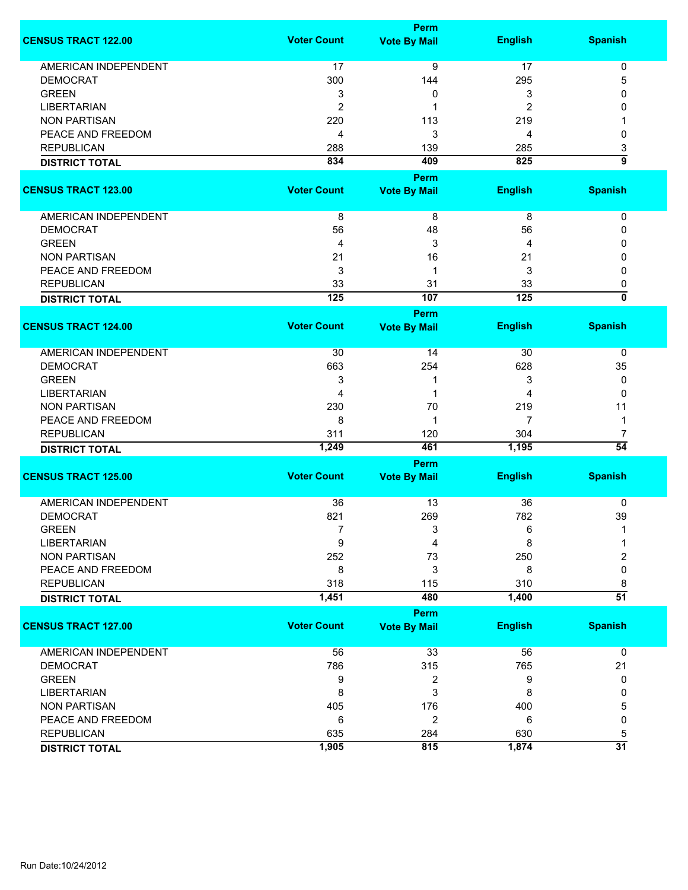|                             |                    | <b>Perm</b>             |                |                           |
|-----------------------------|--------------------|-------------------------|----------------|---------------------------|
| <b>CENSUS TRACT 122.00</b>  | <b>Voter Count</b> | <b>Vote By Mail</b>     | <b>English</b> | <b>Spanish</b>            |
| <b>AMERICAN INDEPENDENT</b> | 17                 | 9                       | 17             | $\pmb{0}$                 |
| <b>DEMOCRAT</b>             | 300                | 144                     | 295            | 5                         |
| <b>GREEN</b>                | 3                  | 0                       | 3              | 0                         |
| <b>LIBERTARIAN</b>          |                    |                         |                | 0                         |
|                             | $\overline{2}$     | 1                       | 2              |                           |
| <b>NON PARTISAN</b>         | 220                | 113                     | 219            | 1                         |
| PEACE AND FREEDOM           | 4                  | 3                       | 4              | 0                         |
| <b>REPUBLICAN</b>           | 288                | 139                     | 285            | 3                         |
| <b>DISTRICT TOTAL</b>       | 834                | 409                     | 825            | $\overline{9}$            |
|                             |                    | <b>Perm</b>             |                |                           |
| <b>CENSUS TRACT 123.00</b>  | <b>Voter Count</b> | <b>Vote By Mail</b>     | <b>English</b> | <b>Spanish</b>            |
| AMERICAN INDEPENDENT        | 8                  | 8                       | 8              | 0                         |
| <b>DEMOCRAT</b>             | 56                 | 48                      | 56             | 0                         |
|                             | 4                  |                         |                |                           |
| <b>GREEN</b>                |                    | 3                       | 4              | 0                         |
| <b>NON PARTISAN</b>         | 21                 | 16                      | 21             | 0                         |
| PEACE AND FREEDOM           | 3                  | 1                       | 3              | 0                         |
| <b>REPUBLICAN</b>           | 33                 | 31                      | 33             | 0                         |
| <b>DISTRICT TOTAL</b>       | 125                | 107                     | 125            | $\overline{\mathfrak{o}}$ |
|                             |                    | Perm                    |                |                           |
| <b>CENSUS TRACT 124.00</b>  | <b>Voter Count</b> | <b>Vote By Mail</b>     | <b>English</b> | <b>Spanish</b>            |
| <b>AMERICAN INDEPENDENT</b> | 30                 | 14                      | 30             | 0                         |
| <b>DEMOCRAT</b>             | 663                | 254                     | 628            | 35                        |
| <b>GREEN</b>                | 3                  | 1                       | 3              | 0                         |
| <b>LIBERTARIAN</b>          | 4                  | 1                       | 4              | 0                         |
| <b>NON PARTISAN</b>         | 230                | 70                      | 219            | 11                        |
| PEACE AND FREEDOM           | 8                  | 1                       | 7              | 1                         |
| <b>REPUBLICAN</b>           | 311                | 120                     | 304            | 7                         |
|                             |                    |                         | 1,195          | $\overline{54}$           |
| <b>DISTRICT TOTAL</b>       | 1,249              | 461                     |                |                           |
|                             |                    | <b>Perm</b>             |                |                           |
| <b>CENSUS TRACT 125.00</b>  | <b>Voter Count</b> | <b>Vote By Mail</b>     | <b>English</b> | <b>Spanish</b>            |
| <b>AMERICAN INDEPENDENT</b> | 36                 | 13                      | 36             | 0                         |
| <b>DEMOCRAT</b>             | 821                | 269                     | 782            | 39                        |
| <b>GREEN</b>                | 7                  | 3                       | 6              |                           |
| <b>LIBERTARIAN</b>          | 9                  | 4                       | 8              |                           |
| <b>NON PARTISAN</b>         | 252                | 73                      | 250            | 2                         |
| PEACE AND FREEDOM           | 8                  | 3                       | 8              | 0                         |
| <b>REPUBLICAN</b>           | 318                | 115                     | 310            | 8                         |
| <b>DISTRICT TOTAL</b>       | 1,451              | 480                     | 1,400          | $\overline{51}$           |
|                             |                    | <b>Perm</b>             |                |                           |
| <b>CENSUS TRACT 127.00</b>  | <b>Voter Count</b> | <b>Vote By Mail</b>     | <b>English</b> | <b>Spanish</b>            |
|                             |                    |                         |                |                           |
| <b>AMERICAN INDEPENDENT</b> | 56                 | 33                      | 56             | 0                         |
| <b>DEMOCRAT</b>             | 786                | 315                     | 765            | 21                        |
| <b>GREEN</b>                | 9                  | $\overline{\mathbf{c}}$ | 9              | 0                         |
| <b>LIBERTARIAN</b>          | 8                  | 3                       | 8              | 0                         |
| <b>NON PARTISAN</b>         | 405                | 176                     | 400            | 5                         |
| PEACE AND FREEDOM           | 6                  | 2                       | 6              | 0                         |
| <b>REPUBLICAN</b>           | 635                | 284                     | 630            | 5                         |
| <b>DISTRICT TOTAL</b>       | 1,905              | 815                     | 1,874          | $\overline{31}$           |
|                             |                    |                         |                |                           |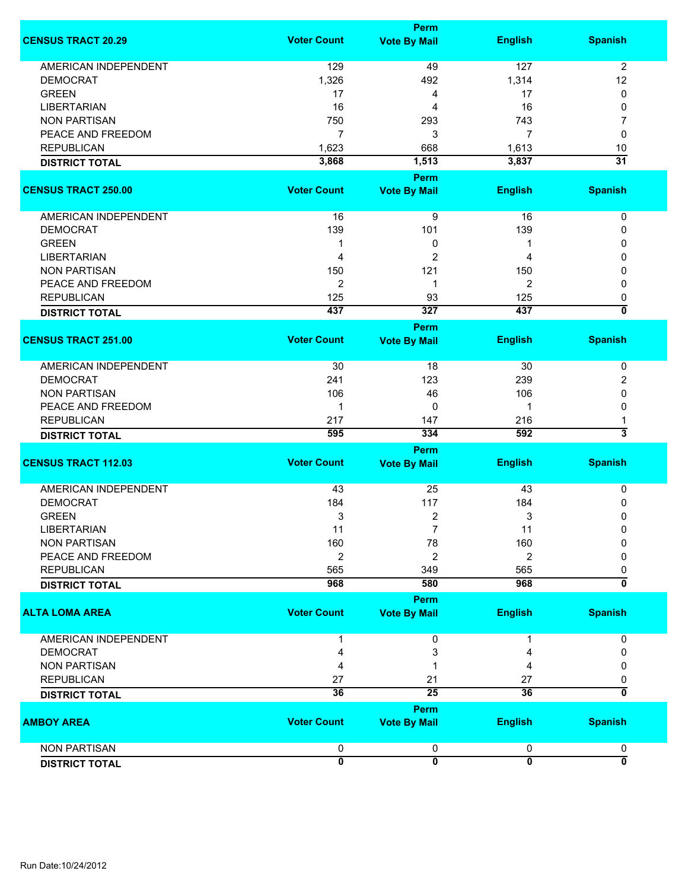|                                            |                    | <b>Perm</b>                        |                |                              |
|--------------------------------------------|--------------------|------------------------------------|----------------|------------------------------|
| <b>CENSUS TRACT 20.29</b>                  | <b>Voter Count</b> | <b>Vote By Mail</b>                | <b>English</b> | <b>Spanish</b>               |
| <b>AMERICAN INDEPENDENT</b>                | 129                | 49                                 | 127            | $\overline{2}$               |
| <b>DEMOCRAT</b>                            | 1,326              | 492                                | 1,314          | 12                           |
| <b>GREEN</b>                               | 17                 | 4                                  | 17             | 0                            |
| <b>LIBERTARIAN</b>                         | 16                 |                                    | 16             |                              |
|                                            |                    | 4                                  |                | 0                            |
| <b>NON PARTISAN</b>                        | 750                | 293                                | 743            | 7                            |
| PEACE AND FREEDOM                          | $\overline{7}$     | 3                                  | 7              | 0                            |
| <b>REPUBLICAN</b>                          | 1,623              | 668                                | 1,613          | 10                           |
| <b>DISTRICT TOTAL</b>                      | 3,868              | 1,513                              | 3,837          | $\overline{31}$              |
| <b>CENSUS TRACT 250.00</b>                 | <b>Voter Count</b> | <b>Perm</b><br><b>Vote By Mail</b> | <b>English</b> | <b>Spanish</b>               |
|                                            |                    |                                    |                |                              |
| AMERICAN INDEPENDENT                       | 16                 | 9                                  | 16             | 0                            |
| <b>DEMOCRAT</b>                            | 139                | 101                                | 139            | 0                            |
| <b>GREEN</b>                               | 1                  | 0                                  | 1              | 0                            |
| <b>LIBERTARIAN</b>                         | 4                  | $\overline{2}$                     | 4              | 0                            |
| <b>NON PARTISAN</b>                        | 150                | 121                                | 150            | 0                            |
|                                            |                    |                                    |                |                              |
| PEACE AND FREEDOM                          | $\overline{2}$     | 1                                  | 2              | 0                            |
| <b>REPUBLICAN</b>                          | 125                | 93                                 | 125            | 0                            |
| <b>DISTRICT TOTAL</b>                      | 437                | $\overline{327}$                   | 437            | ō                            |
|                                            |                    | <b>Perm</b>                        |                |                              |
| <b>CENSUS TRACT 251.00</b>                 | <b>Voter Count</b> | <b>Vote By Mail</b>                | <b>English</b> | <b>Spanish</b>               |
| AMERICAN INDEPENDENT                       | 30                 | 18                                 | 30             | 0                            |
| <b>DEMOCRAT</b>                            | 241                | 123                                | 239            | 2                            |
| <b>NON PARTISAN</b>                        | 106                | 46                                 | 106            | 0                            |
| PEACE AND FREEDOM                          | $\mathbf 1$        | 0                                  | -1             | 0                            |
|                                            | 217                |                                    |                |                              |
| <b>REPUBLICAN</b>                          |                    | 147                                | 216            | 1<br>$\overline{\mathbf{3}}$ |
| <b>DISTRICT TOTAL</b>                      | 595                | 334<br><b>Perm</b>                 | 592            |                              |
| <b>CENSUS TRACT 112.03</b>                 | <b>Voter Count</b> | <b>Vote By Mail</b>                | <b>English</b> | <b>Spanish</b>               |
|                                            |                    |                                    |                |                              |
| <b>AMERICAN INDEPENDENT</b>                | 43                 | 25                                 | 43             | 0                            |
| <b>DEMOCRAT</b>                            | 184                | 117                                | 184            | 0                            |
| <b>GREEN</b>                               | 3                  | 2                                  | 3              | $\mathbf 0$                  |
| LIBERTARIAN                                | 11                 |                                    | 11             | 0                            |
| <b>NON PARTISAN</b>                        | 160                | 78                                 | 160            | 0                            |
| PEACE AND FREEDOM                          | $\overline{2}$     | 2                                  | 2              | 0                            |
| <b>REPUBLICAN</b>                          | 565                |                                    | 565            | 0                            |
| <b>DISTRICT TOTAL</b>                      | 968                | 349<br>580                         | 968            | $\overline{\mathfrak{o}}$    |
|                                            |                    | Perm                               |                |                              |
| <b>ALTA LOMA AREA</b>                      | <b>Voter Count</b> | <b>Vote By Mail</b>                | <b>English</b> | <b>Spanish</b>               |
| <b>AMERICAN INDEPENDENT</b>                |                    | 0                                  | 1              | 0                            |
| <b>DEMOCRAT</b>                            | 4                  | 3                                  | 4              | 0                            |
| <b>NON PARTISAN</b>                        | 4                  |                                    | 4              | 0                            |
|                                            |                    |                                    |                |                              |
| <b>REPUBLICAN</b><br><b>DISTRICT TOTAL</b> | 27<br>36           | 21<br>25                           | 27<br>36       | 0<br>Ō                       |
|                                            |                    | <b>Perm</b>                        |                |                              |
| <b>AMBOY AREA</b>                          | <b>Voter Count</b> | <b>Vote By Mail</b>                | <b>English</b> | <b>Spanish</b>               |
| <b>NON PARTISAN</b>                        | 0                  | 0                                  | 0              | 0                            |
| <b>DISTRICT TOTAL</b>                      | $\mathbf{0}$       | $\overline{\mathbf{0}}$            | $\overline{0}$ | $\overline{\mathbf{0}}$      |
|                                            |                    |                                    |                |                              |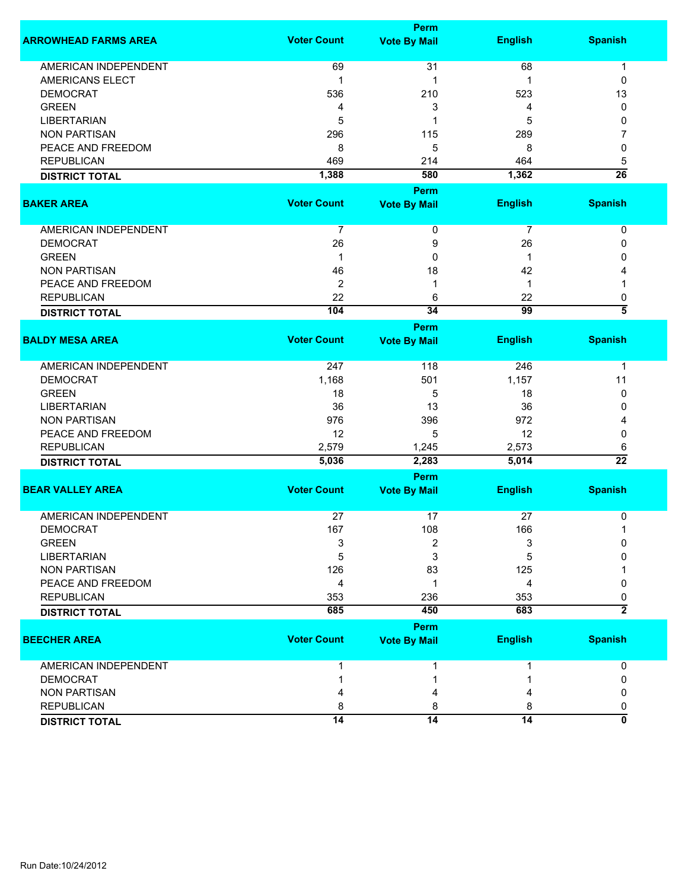|                             |                    | <b>Perm</b>         |                 |                     |
|-----------------------------|--------------------|---------------------|-----------------|---------------------|
| <b>ARROWHEAD FARMS AREA</b> | <b>Voter Count</b> | <b>Vote By Mail</b> | <b>English</b>  | <b>Spanish</b>      |
| <b>AMERICAN INDEPENDENT</b> | 69                 | 31                  | 68              | $\mathbf 1$         |
| <b>AMERICANS ELECT</b>      | $\mathbf{1}$       | 1                   | 1               | 0                   |
| <b>DEMOCRAT</b>             | 536                | 210                 | 523             | 13                  |
| <b>GREEN</b>                | 4                  | 3                   | 4               | 0                   |
| <b>LIBERTARIAN</b>          | 5                  | 1                   | 5               | 0                   |
| <b>NON PARTISAN</b>         | 296                | 115                 | 289             | 7                   |
| PEACE AND FREEDOM           | 8                  | 5                   | 8               | 0                   |
| <b>REPUBLICAN</b>           | 469                | 214                 | 464             | 5                   |
| <b>DISTRICT TOTAL</b>       | 1,388              | 580                 | 1,362           | $\overline{26}$     |
|                             |                    | Perm                |                 |                     |
| <b>BAKER AREA</b>           | <b>Voter Count</b> | <b>Vote By Mail</b> | <b>English</b>  | <b>Spanish</b>      |
| AMERICAN INDEPENDENT        | 7                  | 0                   | 7               | 0                   |
| <b>DEMOCRAT</b>             | 26                 | 9                   | 26              | 0                   |
| <b>GREEN</b>                | $\mathbf{1}$       | 0                   | $\mathbf 1$     | 0                   |
| <b>NON PARTISAN</b>         | 46                 | 18                  | 42              | 4                   |
| PEACE AND FREEDOM           | $\overline{2}$     | 1                   | 1               |                     |
| <b>REPUBLICAN</b>           | 22                 | 6                   | 22              | 0                   |
| <b>DISTRICT TOTAL</b>       | 104                | 34                  | 99              | $\overline{\bf{5}}$ |
|                             |                    | <b>Perm</b>         |                 |                     |
| <b>BALDY MESA AREA</b>      | <b>Voter Count</b> | <b>Vote By Mail</b> | <b>English</b>  | <b>Spanish</b>      |
| AMERICAN INDEPENDENT        | 247                | 118                 | 246             | $\mathbf 1$         |
| <b>DEMOCRAT</b>             | 1,168              | 501                 | 1,157           | 11                  |
| <b>GREEN</b>                | 18                 | 5                   | 18              | 0                   |
| <b>LIBERTARIAN</b>          | 36                 | 13                  | 36              | 0                   |
| <b>NON PARTISAN</b>         | 976                | 396                 | 972             | 4                   |
| PEACE AND FREEDOM           | 12                 | 5                   | 12              | 0                   |
| <b>REPUBLICAN</b>           | 2,579              | 1,245               | 2,573           | 6                   |
| <b>DISTRICT TOTAL</b>       | 5,036              | 2,283               | 5,014           | $\overline{22}$     |
|                             |                    | Perm                |                 |                     |
| <b>BEAR VALLEY AREA</b>     | <b>Voter Count</b> | <b>Vote By Mail</b> | <b>English</b>  | <b>Spanish</b>      |
| <b>AMERICAN INDEPENDENT</b> | 27                 | 17                  | 27              | 0                   |
| <b>DEMOCRAT</b>             | 167                | 108                 | 166             | 1                   |
| <b>GREEN</b>                | 3                  | 2                   | 3               | 0                   |
| <b>LIBERTARIAN</b>          | 5                  | 3                   | 5               | <sup>0</sup>        |
| <b>NON PARTISAN</b>         | 126                | 83                  | 125             |                     |
| PEACE AND FREEDOM           | 4                  | 1                   | 4               | 0                   |
| <b>REPUBLICAN</b>           | 353                | 236                 | 353             | 0                   |
| <b>DISTRICT TOTAL</b>       | 685                | 450                 | 683             | $\overline{2}$      |
|                             |                    | <b>Perm</b>         |                 |                     |
| <b>BEECHER AREA</b>         | <b>Voter Count</b> | <b>Vote By Mail</b> | <b>English</b>  | <b>Spanish</b>      |
| <b>AMERICAN INDEPENDENT</b> | 1                  | 1                   | 1               | 0                   |
| <b>DEMOCRAT</b>             |                    | 1                   |                 | 0                   |
| <b>NON PARTISAN</b>         |                    | 4                   |                 | 0                   |
| <b>REPUBLICAN</b>           | 8                  | 8                   | 8               | 0                   |
| <b>DISTRICT TOTAL</b>       | 14                 | $\overline{14}$     | $\overline{14}$ | ō                   |
|                             |                    |                     |                 |                     |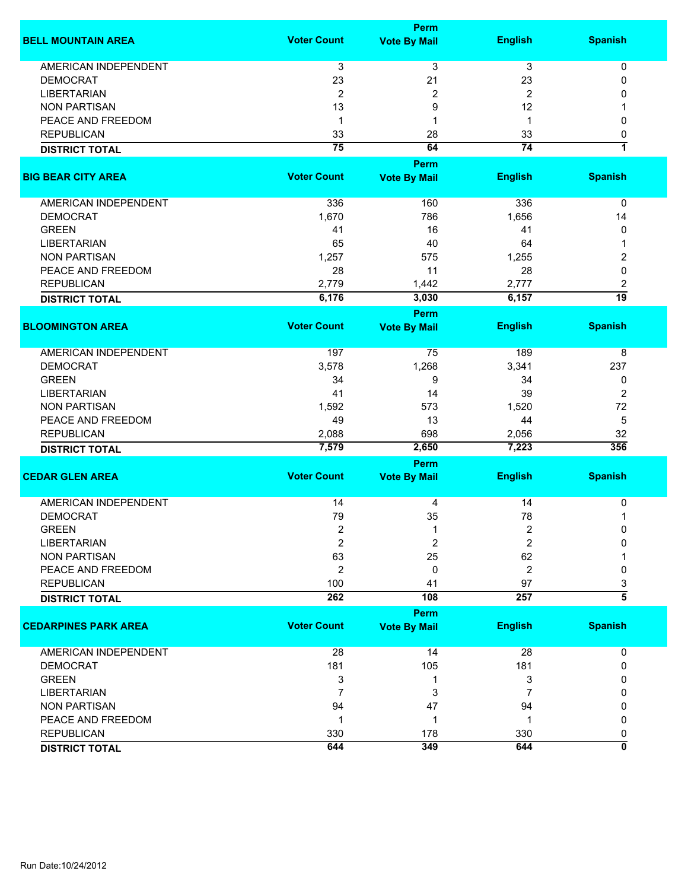|                             |                         | <b>Perm</b>         |                |                |
|-----------------------------|-------------------------|---------------------|----------------|----------------|
| <b>BELL MOUNTAIN AREA</b>   | <b>Voter Count</b>      | <b>Vote By Mail</b> | <b>English</b> | <b>Spanish</b> |
| AMERICAN INDEPENDENT        | 3                       | 3                   | 3              | 0              |
| <b>DEMOCRAT</b>             | 23                      | 21                  | 23             | 0              |
| <b>LIBERTARIAN</b>          | $\overline{2}$          | 2                   | $\overline{2}$ | 0              |
| <b>NON PARTISAN</b>         | 13                      | 9                   | 12             | 1              |
| PEACE AND FREEDOM           | 1                       | 1                   | $\mathbf 1$    | 0              |
| <b>REPUBLICAN</b>           | 33                      | 28                  | 33             | 0              |
|                             | $\overline{75}$         | 64                  | 74             | 7              |
| <b>DISTRICT TOTAL</b>       |                         |                     |                |                |
|                             |                         | Perm                |                |                |
| <b>BIG BEAR CITY AREA</b>   | <b>Voter Count</b>      | <b>Vote By Mail</b> | <b>English</b> | <b>Spanish</b> |
| AMERICAN INDEPENDENT        | 336                     | 160                 | 336            | 0              |
| <b>DEMOCRAT</b>             | 1,670                   | 786                 | 1,656          | 14             |
| <b>GREEN</b>                | 41                      | 16                  | 41             | 0              |
|                             | 65                      | 40                  | 64             | 1              |
| <b>LIBERTARIAN</b>          |                         |                     |                |                |
| <b>NON PARTISAN</b>         | 1,257                   | 575                 | 1,255          | 2              |
| PEACE AND FREEDOM           | 28                      | 11                  | 28             | 0              |
| <b>REPUBLICAN</b>           | 2,779                   | 1,442               | 2,777          | 2              |
| <b>DISTRICT TOTAL</b>       | 6,176                   | 3,030               | 6,157          | 19             |
|                             |                         | Perm                |                |                |
| <b>BLOOMINGTON AREA</b>     | <b>Voter Count</b>      | <b>Vote By Mail</b> | <b>English</b> | <b>Spanish</b> |
| <b>AMERICAN INDEPENDENT</b> | 197                     | 75                  | 189            | 8              |
| <b>DEMOCRAT</b>             | 3,578                   | 1,268               | 3,341          | 237            |
| <b>GREEN</b>                | 34                      | 9                   | 34             | 0              |
| <b>LIBERTARIAN</b>          | 41                      | 14                  | 39             | $\overline{2}$ |
| <b>NON PARTISAN</b>         | 1,592                   | 573                 | 1,520          | 72             |
| PEACE AND FREEDOM           | 49                      | 13                  | 44             | 5              |
| <b>REPUBLICAN</b>           | 2,088                   | 698                 | 2,056          | 32             |
| <b>DISTRICT TOTAL</b>       | 7,579                   | 2,650               | 7,223          | 356            |
|                             |                         | Perm                |                |                |
| <b>CEDAR GLEN AREA</b>      | <b>Voter Count</b>      | <b>Vote By Mail</b> | <b>English</b> | <b>Spanish</b> |
|                             |                         |                     |                |                |
| <b>AMERICAN INDEPENDENT</b> | 14                      | 4                   | 14             | 0              |
| <b>DEMOCRAT</b>             | 79                      | 35                  | 78             | 1              |
| <b>GREEN</b>                | $\overline{\mathbf{c}}$ | 1                   | $\overline{c}$ | 0              |
| <b>LIBERTARIAN</b>          | $\overline{2}$          | 2                   | 2              | 0              |
| <b>NON PARTISAN</b>         | 63                      | 25                  | 62             |                |
| PEACE AND FREEDOM           | $\overline{2}$          | 0                   | $\overline{2}$ | 0              |
| <b>REPUBLICAN</b>           | 100                     | 41                  | 97             | 3              |
| <b>DISTRICT TOTAL</b>       | 262                     | 108                 | 257            | $\overline{5}$ |
|                             |                         | Perm                |                |                |
| <b>CEDARPINES PARK AREA</b> | <b>Voter Count</b>      | <b>Vote By Mail</b> | <b>English</b> | <b>Spanish</b> |
|                             |                         |                     |                |                |
| <b>AMERICAN INDEPENDENT</b> | 28                      | 14                  | 28             | 0              |
| <b>DEMOCRAT</b>             | 181                     | 105                 | 181            | 0              |
| <b>GREEN</b>                | 3                       | 1                   | 3              | 0              |
| <b>LIBERTARIAN</b>          | $\overline{7}$          | 3                   | 7              | 0              |
| <b>NON PARTISAN</b>         | 94                      | 47                  | 94             | 0              |
| PEACE AND FREEDOM           | $\mathbf 1$             | 1                   | 1              | 0              |
| <b>REPUBLICAN</b>           | 330                     | 178                 | 330            | 0              |
| <b>DISTRICT TOTAL</b>       | 644                     | 349                 | 644            | 0              |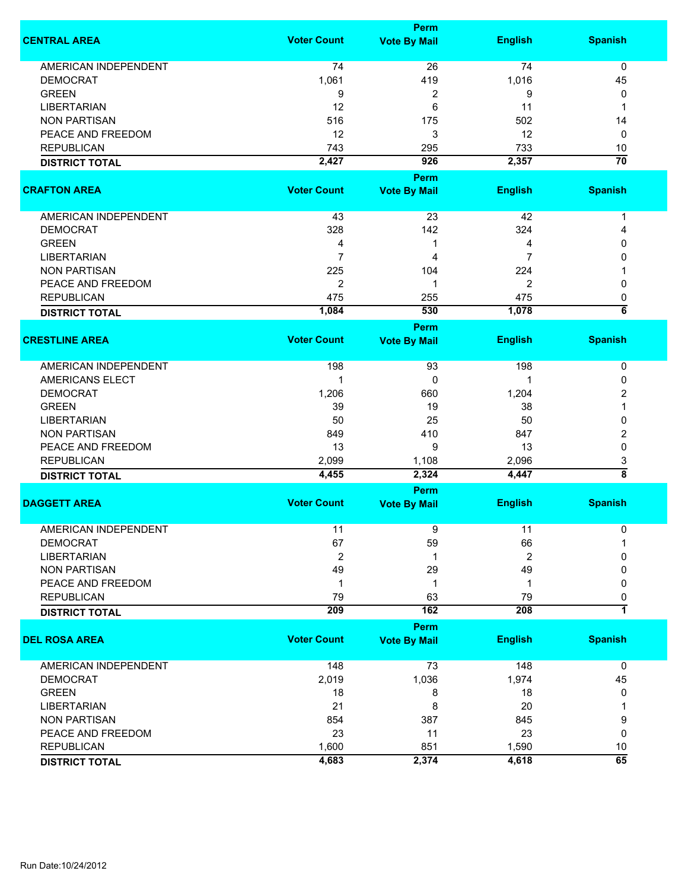|                             |                    | Perm                |                |                    |
|-----------------------------|--------------------|---------------------|----------------|--------------------|
| <b>CENTRAL AREA</b>         | <b>Voter Count</b> | <b>Vote By Mail</b> | <b>English</b> | <b>Spanish</b>     |
| <b>AMERICAN INDEPENDENT</b> | 74                 | 26                  | 74             | 0                  |
| <b>DEMOCRAT</b>             | 1,061              | 419                 | 1,016          | 45                 |
| <b>GREEN</b>                | 9                  | $\overline{c}$      | 9              | 0                  |
| <b>LIBERTARIAN</b>          | 12                 | 6                   | 11             | 1                  |
| <b>NON PARTISAN</b>         | 516                | 175                 | 502            | 14                 |
| PEACE AND FREEDOM           | 12                 | 3                   | 12             | 0                  |
| <b>REPUBLICAN</b>           | 743                | 295                 | 733            | 10                 |
| <b>DISTRICT TOTAL</b>       | 2,427              | 926                 | 2,357          | $\overline{70}$    |
|                             |                    | <b>Perm</b>         |                |                    |
| <b>CRAFTON AREA</b>         | <b>Voter Count</b> | <b>Vote By Mail</b> | <b>English</b> | <b>Spanish</b>     |
|                             |                    |                     |                |                    |
| AMERICAN INDEPENDENT        | 43                 | 23                  | 42             | 1                  |
| <b>DEMOCRAT</b>             | 328                | 142                 | 324            | 4                  |
| <b>GREEN</b>                | 4                  | 1                   | 4              | 0                  |
| <b>LIBERTARIAN</b>          | $\overline{7}$     | 4                   | 7              | 0                  |
| <b>NON PARTISAN</b>         | 225                | 104                 | 224            |                    |
| PEACE AND FREEDOM           | $\overline{2}$     | 1                   | $\overline{2}$ | 0                  |
| <b>REPUBLICAN</b>           | 475                | 255                 | 475            | 0                  |
| <b>DISTRICT TOTAL</b>       | 1,084              | 530                 | 1,078          | $\overline{\bf 6}$ |
|                             |                    | <b>Perm</b>         |                |                    |
| <b>CRESTLINE AREA</b>       | <b>Voter Count</b> | <b>Vote By Mail</b> | <b>English</b> | <b>Spanish</b>     |
|                             |                    |                     |                |                    |
| <b>AMERICAN INDEPENDENT</b> | 198                | 93                  | 198            | 0                  |
| AMERICANS ELECT             | 1                  | 0                   |                | 0                  |
| <b>DEMOCRAT</b>             | 1,206              | 660                 | 1,204          | 2                  |
| <b>GREEN</b>                | 39                 | 19                  | 38             |                    |
| <b>LIBERTARIAN</b>          | 50                 | 25                  | 50             | 0                  |
| <b>NON PARTISAN</b>         | 849                | 410                 | 847            | 2                  |
| PEACE AND FREEDOM           | 13                 | 9                   | 13             | 0                  |
| <b>REPUBLICAN</b>           | 2,099              | 1,108               | 2,096          | 3                  |
| <b>DISTRICT TOTAL</b>       | 4,455              | 2,324               | 4,447          | $\overline{\bf 8}$ |
|                             |                    | Perm                |                |                    |
| <b>DAGGETT AREA</b>         | <b>Voter Count</b> | <b>Vote By Mail</b> | <b>English</b> | <b>Spanish</b>     |
|                             |                    |                     |                |                    |
| <b>AMERICAN INDEPENDENT</b> | 11                 | 9                   | 11             | 0                  |
| <b>DEMOCRAT</b>             | 67                 | 59                  | 66             |                    |
| <b>LIBERTARIAN</b>          | 2                  | 1                   | 2              | 0                  |
| <b>NON PARTISAN</b>         | 49                 | 29                  | 49             | 0                  |
| PEACE AND FREEDOM           | 1                  | 1                   | 1              | 0                  |
| <b>REPUBLICAN</b>           | 79                 | 63                  | 79             | 0                  |
| <b>DISTRICT TOTAL</b>       | 209                | 162                 | 208            | $\overline{1}$     |
|                             |                    | Perm                |                |                    |
| <b>DEL ROSA AREA</b>        | <b>Voter Count</b> | <b>Vote By Mail</b> | <b>English</b> | <b>Spanish</b>     |
| <b>AMERICAN INDEPENDENT</b> | 148                | 73                  | 148            | 0                  |
| <b>DEMOCRAT</b>             | 2,019              | 1,036               | 1,974          | 45                 |
| <b>GREEN</b>                | 18                 | 8                   | 18             | 0                  |
| <b>LIBERTARIAN</b>          | 21                 | 8                   | 20             |                    |
| <b>NON PARTISAN</b>         | 854                | 387                 | 845            | 9                  |
| PEACE AND FREEDOM           | 23                 | 11                  | 23             | 0                  |
| <b>REPUBLICAN</b>           | 1,600              | 851                 | 1,590          | 10                 |
| <b>DISTRICT TOTAL</b>       | 4,683              | 2,374               | 4,618          | $\overline{65}$    |
|                             |                    |                     |                |                    |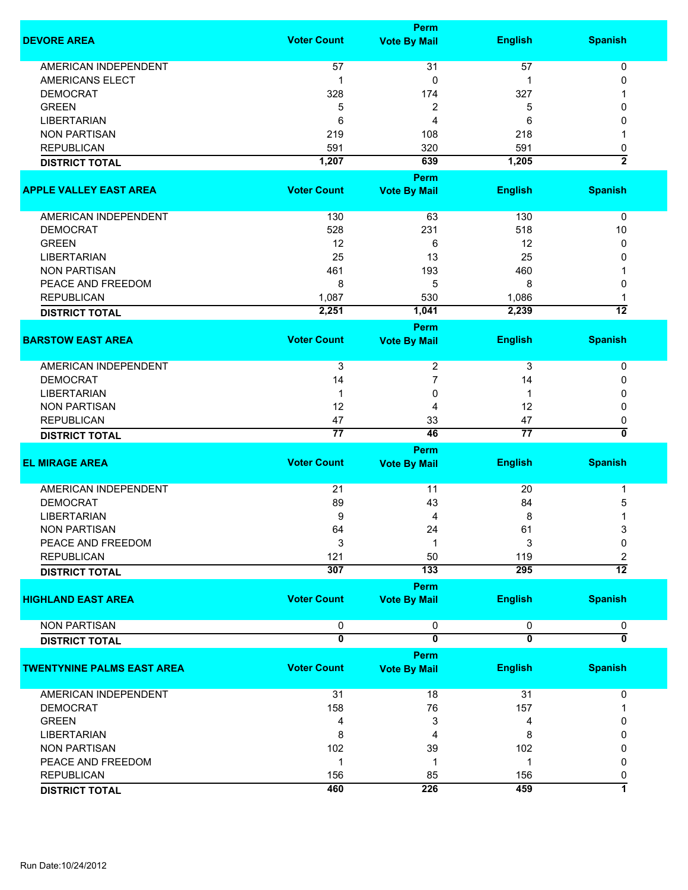|                                   |                         | <b>Perm</b>                        |                         |                         |
|-----------------------------------|-------------------------|------------------------------------|-------------------------|-------------------------|
| <b>DEVORE AREA</b>                | <b>Voter Count</b>      | <b>Vote By Mail</b>                | <b>English</b>          | <b>Spanish</b>          |
| <b>AMERICAN INDEPENDENT</b>       | 57                      | 31                                 | 57                      | 0                       |
| <b>AMERICANS ELECT</b>            | $\mathbf 1$             | 0                                  | 1                       | 0                       |
| <b>DEMOCRAT</b>                   | 328                     | 174                                | 327                     | 1                       |
| <b>GREEN</b>                      |                         | 2                                  |                         | 0                       |
|                                   | 5                       |                                    | 5                       |                         |
| <b>LIBERTARIAN</b>                | 6                       | 4                                  | 6                       | 0                       |
| <b>NON PARTISAN</b>               | 219                     | 108                                | 218                     | 1                       |
| <b>REPUBLICAN</b>                 | 591                     | 320                                | 591                     | 0                       |
| <b>DISTRICT TOTAL</b>             | 1,207                   | 639                                | 1,205                   | $\overline{\mathbf{2}}$ |
| <b>APPLE VALLEY EAST AREA</b>     | <b>Voter Count</b>      | <b>Perm</b>                        | <b>English</b>          | <b>Spanish</b>          |
|                                   |                         | <b>Vote By Mail</b>                |                         |                         |
| AMERICAN INDEPENDENT              | 130                     | 63                                 | 130                     | $\mathbf 0$             |
| <b>DEMOCRAT</b>                   | 528                     | 231                                | 518                     | 10                      |
| <b>GREEN</b>                      | 12                      | 6                                  | 12                      | 0                       |
| <b>LIBERTARIAN</b>                | 25                      | 13                                 | 25                      | 0                       |
| <b>NON PARTISAN</b>               | 461                     | 193                                | 460                     |                         |
|                                   |                         |                                    |                         |                         |
| PEACE AND FREEDOM                 | 8                       | 5                                  | 8                       | 0                       |
| <b>REPUBLICAN</b>                 | 1,087                   | 530                                | 1,086                   | 1                       |
| <b>DISTRICT TOTAL</b>             | 2,251                   | 1,041                              | 2,239                   | $\overline{12}$         |
| <b>BARSTOW EAST AREA</b>          | <b>Voter Count</b>      | <b>Perm</b><br><b>Vote By Mail</b> | <b>English</b>          | <b>Spanish</b>          |
|                                   |                         |                                    |                         |                         |
| <b>AMERICAN INDEPENDENT</b>       | 3                       | 2                                  | 3                       | 0                       |
| <b>DEMOCRAT</b>                   | 14                      | 7                                  | 14                      | 0                       |
| <b>LIBERTARIAN</b>                | $\mathbf{1}$            | 0                                  | 1                       | 0                       |
| <b>NON PARTISAN</b>               | 12                      | 4                                  | 12                      | $\mathbf{0}$            |
| <b>REPUBLICAN</b>                 | 47                      | 33                                 | 47                      | 0                       |
| <b>DISTRICT TOTAL</b>             | $\overline{77}$         | 46                                 | $\overline{77}$         | 0                       |
|                                   |                         | <b>Perm</b>                        |                         |                         |
| <b>EL MIRAGE AREA</b>             | <b>Voter Count</b>      | <b>Vote By Mail</b>                | <b>English</b>          | <b>Spanish</b>          |
| <b>AMERICAN INDEPENDENT</b>       |                         |                                    |                         |                         |
|                                   | 21                      | 11                                 | 20                      | 1                       |
| <b>DEMOCRAT</b>                   | 89                      | 43                                 | 84                      | 5                       |
| <b>LIBERTARIAN</b>                | 9                       | 4                                  | 8                       | 1                       |
| <b>NON PARTISAN</b>               | 64                      | 24                                 | 61                      | 3                       |
| PEACE AND FREEDOM                 | 3                       | 1                                  | 3                       | 0                       |
| <b>REPUBLICAN</b>                 | 121                     | 50                                 | 119                     | 2                       |
| <b>DISTRICT TOTAL</b>             | 307                     | 133                                | 295                     | $\overline{12}$         |
|                                   |                         | <b>Perm</b>                        |                         |                         |
| <b>HIGHLAND EAST AREA</b>         | <b>Voter Count</b>      | <b>Vote By Mail</b>                | <b>English</b>          | <b>Spanish</b>          |
| <b>NON PARTISAN</b>               | 0                       | 0                                  | $\pmb{0}$               | 0                       |
| <b>DISTRICT TOTAL</b>             | $\overline{\mathbf{0}}$ | $\overline{\mathbf{0}}$            | $\overline{\mathbf{0}}$ | 0                       |
|                                   |                         | Perm                               |                         |                         |
| <b>TWENTYNINE PALMS EAST AREA</b> | <b>Voter Count</b>      | <b>Vote By Mail</b>                | <b>English</b>          | <b>Spanish</b>          |
|                                   |                         |                                    |                         |                         |
| AMERICAN INDEPENDENT              | 31                      | 18                                 | 31                      | 0                       |
| <b>DEMOCRAT</b>                   | 158                     | 76                                 | 157                     |                         |
| <b>GREEN</b>                      | 4                       | 3                                  | 4                       | 0                       |
| <b>LIBERTARIAN</b>                | 8                       | 4                                  | 8                       | 0                       |
| <b>NON PARTISAN</b>               | 102                     | 39                                 | 102                     | 0                       |
| PEACE AND FREEDOM                 | $\mathbf 1$             | 1                                  | 1                       | 0                       |
| <b>REPUBLICAN</b>                 | 156                     | 85                                 | 156                     |                         |
|                                   |                         |                                    |                         | 0<br>7                  |
| <b>DISTRICT TOTAL</b>             | 460                     | 226                                | 459                     |                         |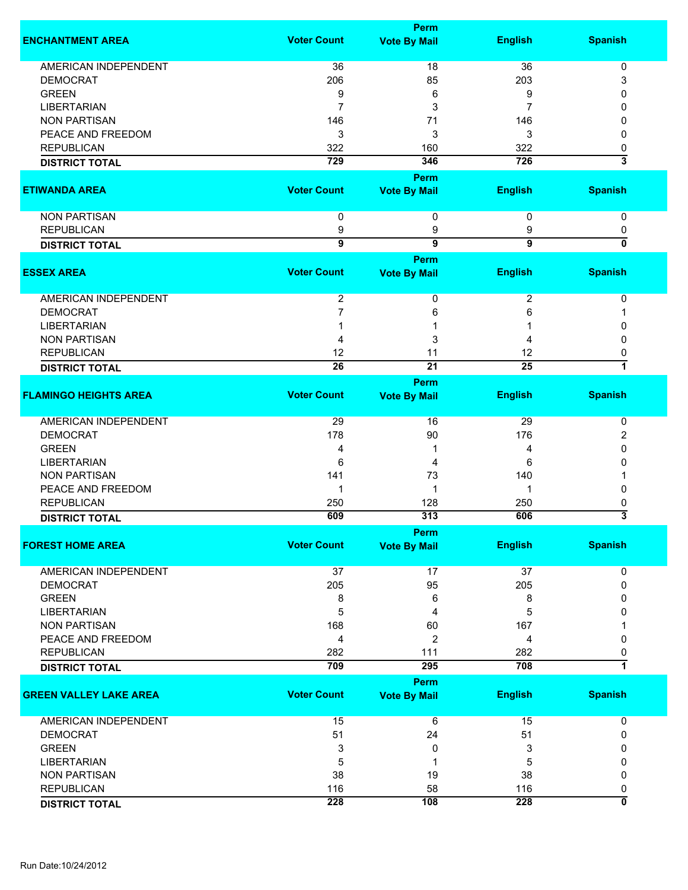|                               |                    | <b>Perm</b>                 |                         |                         |
|-------------------------------|--------------------|-----------------------------|-------------------------|-------------------------|
| <b>ENCHANTMENT AREA</b>       | <b>Voter Count</b> | <b>Vote By Mail</b>         | <b>English</b>          | <b>Spanish</b>          |
| <b>AMERICAN INDEPENDENT</b>   | 36                 | 18                          | 36                      | 0                       |
| <b>DEMOCRAT</b>               | 206                | 85                          | 203                     | 3                       |
| <b>GREEN</b>                  | 9                  | 6                           | 9                       | 0                       |
| <b>LIBERTARIAN</b>            | 7                  | 3                           |                         | 0                       |
| <b>NON PARTISAN</b>           |                    |                             |                         | O                       |
|                               | 146                | 71                          | 146                     |                         |
| PEACE AND FREEDOM             | 3                  | 3                           | 3                       | 0                       |
| <b>REPUBLICAN</b>             | 322                | 160                         | 322                     | 0                       |
| <b>DISTRICT TOTAL</b>         | 729                | 346                         | 726                     | $\overline{\mathbf{3}}$ |
|                               |                    | Perm                        |                         |                         |
| <b>ETIWANDA AREA</b>          | <b>Voter Count</b> | <b>Vote By Mail</b>         | <b>English</b>          | <b>Spanish</b>          |
| <b>NON PARTISAN</b>           | $\mathbf 0$        | 0                           | 0                       | 0                       |
| <b>REPUBLICAN</b>             | 9                  | 9                           | 9                       | 0                       |
| <b>DISTRICT TOTAL</b>         | $\overline{9}$     | $\overline{9}$              | $\overline{9}$          | $\overline{0}$          |
|                               |                    |                             |                         |                         |
|                               |                    | Perm                        |                         |                         |
| <b>ESSEX AREA</b>             | <b>Voter Count</b> | <b>Vote By Mail</b>         | <b>English</b>          | <b>Spanish</b>          |
| AMERICAN INDEPENDENT          | $\overline{2}$     | 0                           | $\overline{\mathbf{c}}$ | 0                       |
| <b>DEMOCRAT</b>               | 7                  | 6                           | 6                       |                         |
| <b>LIBERTARIAN</b>            |                    |                             |                         | 0                       |
| <b>NON PARTISAN</b>           | 4                  | 3                           | 4                       | $\mathbf{0}$            |
|                               | 12                 |                             |                         |                         |
| <b>REPUBLICAN</b>             | $\overline{26}$    | 11                          | 12                      | 0<br>7                  |
| <b>DISTRICT TOTAL</b>         |                    | $\overline{21}$             | $\overline{25}$         |                         |
| <b>FLAMINGO HEIGHTS AREA</b>  | <b>Voter Count</b> | Perm<br><b>Vote By Mail</b> | <b>English</b>          | <b>Spanish</b>          |
|                               |                    |                             |                         |                         |
| AMERICAN INDEPENDENT          | 29                 | 16                          | 29                      | 0                       |
| <b>DEMOCRAT</b>               | 178                | 90                          | 176                     | 2                       |
| <b>GREEN</b>                  | 4                  | 1                           | 4                       | 0                       |
| <b>LIBERTARIAN</b>            | 6                  | 4                           | 6                       | 0                       |
| <b>NON PARTISAN</b>           | 141                | 73                          | 140                     |                         |
| PEACE AND FREEDOM             | 1                  | 1                           | 1                       | 0                       |
| <b>REPUBLICAN</b>             | 250                | 128                         | 250                     | 0                       |
| <b>DISTRICT TOTAL</b>         | 609                | 313                         | 606                     | $\overline{\mathbf{3}}$ |
|                               |                    | <b>Perm</b>                 |                         |                         |
| <b>FOREST HOME AREA</b>       | <b>Voter Count</b> | <b>Vote By Mail</b>         | <b>English</b>          | <b>Spanish</b>          |
| AMERICAN INDEPENDENT          | 37                 | 17                          | 37                      | 0                       |
| <b>DEMOCRAT</b>               | 205                | 95                          | 205                     | $\mathbf{0}$            |
| <b>GREEN</b>                  | 8                  | 6                           | 8                       | 0                       |
| <b>LIBERTARIAN</b>            |                    |                             | 5                       | 0                       |
|                               | 5                  | 4                           |                         |                         |
| <b>NON PARTISAN</b>           | 168                | 60                          | 167                     |                         |
| PEACE AND FREEDOM             | 4                  | $\overline{c}$              | 4                       | 0                       |
| <b>REPUBLICAN</b>             | 282                | 111                         | 282                     | 0                       |
| <b>DISTRICT TOTAL</b>         | 709                | 295                         | 708                     | $\overline{\mathbf{1}}$ |
|                               |                    | Perm                        |                         |                         |
| <b>GREEN VALLEY LAKE AREA</b> | <b>Voter Count</b> | <b>Vote By Mail</b>         | <b>English</b>          | <b>Spanish</b>          |
| <b>AMERICAN INDEPENDENT</b>   | 15                 | $\,6$                       | 15                      | 0                       |
| <b>DEMOCRAT</b>               | 51                 | 24                          | 51                      | 0                       |
| <b>GREEN</b>                  | 3                  | 0                           | 3                       | 0                       |
| <b>LIBERTARIAN</b>            | 5                  | 1                           | 5                       | 0                       |
| <b>NON PARTISAN</b>           | 38                 | 19                          | 38                      | 0                       |
|                               |                    |                             |                         |                         |
| <b>REPUBLICAN</b>             | 116                | 58                          | 116                     | 0                       |
| <b>DISTRICT TOTAL</b>         | 228                | 108                         | 228                     | 0                       |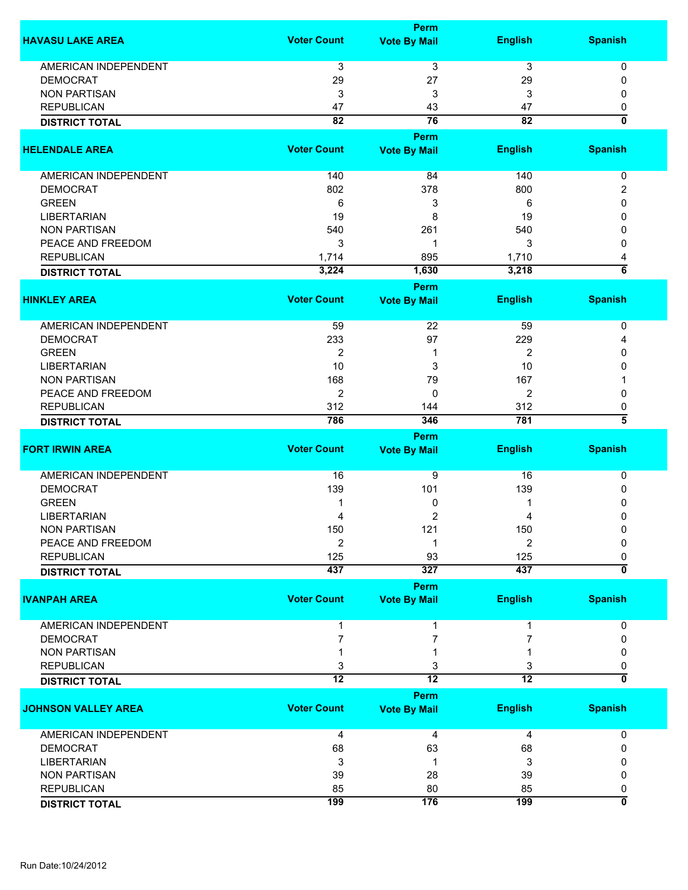|                             |                    | <b>Perm</b>                 |                 |                           |
|-----------------------------|--------------------|-----------------------------|-----------------|---------------------------|
| <b>HAVASU LAKE AREA</b>     | <b>Voter Count</b> | <b>Vote By Mail</b>         | <b>English</b>  | <b>Spanish</b>            |
| AMERICAN INDEPENDENT        | 3                  | 3                           | 3               | 0                         |
| <b>DEMOCRAT</b>             | 29                 | 27                          | 29              | 0                         |
| <b>NON PARTISAN</b>         | 3                  | 3                           | 3               | 0                         |
| <b>REPUBLICAN</b>           | 47                 | 43                          | 47              | 0                         |
| <b>DISTRICT TOTAL</b>       | 82                 | 76                          | 82              | $\mathbf{0}$              |
| <b>HELENDALE AREA</b>       | <b>Voter Count</b> | Perm<br><b>Vote By Mail</b> | <b>English</b>  | <b>Spanish</b>            |
|                             |                    |                             |                 |                           |
| AMERICAN INDEPENDENT        | 140                | 84                          | 140             | 0                         |
| <b>DEMOCRAT</b>             | 802                | 378                         | 800             | 2                         |
| <b>GREEN</b>                | 6                  | 3                           | 6               | 0                         |
| <b>LIBERTARIAN</b>          | 19                 | 8                           | 19              | 0                         |
| <b>NON PARTISAN</b>         | 540                | 261                         | 540             | 0                         |
| PEACE AND FREEDOM           | 3                  | -1                          | 3               | 0                         |
| <b>REPUBLICAN</b>           | 1,714              | 895                         | 1,710           | 4                         |
| <b>DISTRICT TOTAL</b>       | 3,224              | 1,630                       | 3,218           | $\overline{\bf 6}$        |
| <b>HINKLEY AREA</b>         | <b>Voter Count</b> | Perm<br><b>Vote By Mail</b> | <b>English</b>  | <b>Spanish</b>            |
|                             |                    |                             |                 |                           |
| <b>AMERICAN INDEPENDENT</b> | 59                 | 22                          | 59              | 0                         |
| <b>DEMOCRAT</b>             | 233                | 97                          | 229             | 4                         |
| <b>GREEN</b>                | 2                  | 1                           | 2               | 0                         |
| <b>LIBERTARIAN</b>          | 10                 | 3                           | 10              | 0                         |
| <b>NON PARTISAN</b>         | 168                | 79                          | 167             |                           |
| PEACE AND FREEDOM           | $\boldsymbol{2}$   | 0                           | 2               | 0                         |
| <b>REPUBLICAN</b>           | 312                | 144                         | 312             | 0                         |
| <b>DISTRICT TOTAL</b>       | 786                | 346                         | 781             | $\overline{\bf 5}$        |
|                             |                    | <b>Perm</b>                 |                 |                           |
| <b>FORT IRWIN AREA</b>      | <b>Voter Count</b> | <b>Vote By Mail</b>         | <b>English</b>  | <b>Spanish</b>            |
| <b>AMERICAN INDEPENDENT</b> | 16                 | 9                           | 16              | 0                         |
| <b>DEMOCRAT</b>             | 139                | 101                         | 139             | 0                         |
| <b>GREEN</b>                |                    | 0                           |                 | 0                         |
| <b>LIBERTARIAN</b>          | 4                  | 2                           | 4               | 0                         |
| <b>NON PARTISAN</b>         | 150                | 121                         | 150             | 0                         |
| PEACE AND FREEDOM           | 2                  |                             | 2               | 0                         |
| <b>REPUBLICAN</b>           | 125                | 93                          | 125             | 0                         |
| <b>DISTRICT TOTAL</b>       | 437                | 327                         | 437             | $\overline{\mathfrak{o}}$ |
|                             |                    | <b>Perm</b>                 |                 |                           |
| <b>IVANPAH AREA</b>         | <b>Voter Count</b> | <b>Vote By Mail</b>         | <b>English</b>  | <b>Spanish</b>            |
| <b>AMERICAN INDEPENDENT</b> |                    |                             |                 | 0                         |
| <b>DEMOCRAT</b>             |                    | 7                           |                 | 0                         |
| <b>NON PARTISAN</b>         |                    |                             |                 | 0                         |
| <b>REPUBLICAN</b>           | 3                  | 3                           | 3               | 0                         |
| <b>DISTRICT TOTAL</b>       | $\overline{12}$    | $\overline{12}$             | $\overline{12}$ | ō                         |
|                             |                    | Perm                        |                 |                           |
| <b>JOHNSON VALLEY AREA</b>  | <b>Voter Count</b> | <b>Vote By Mail</b>         | <b>English</b>  | <b>Spanish</b>            |
| <b>AMERICAN INDEPENDENT</b> | 4                  | 4                           | 4               | 0                         |
| <b>DEMOCRAT</b>             | 68                 | 63                          | 68              | 0                         |
| <b>LIBERTARIAN</b>          | 3                  | -1                          | 3               |                           |
| <b>NON PARTISAN</b>         | 39                 | 28                          | 39              | 0                         |
| <b>REPUBLICAN</b>           | 85                 | 80                          | 85              | 0                         |
| <b>DISTRICT TOTAL</b>       | 199                | 176                         | 199             | 0                         |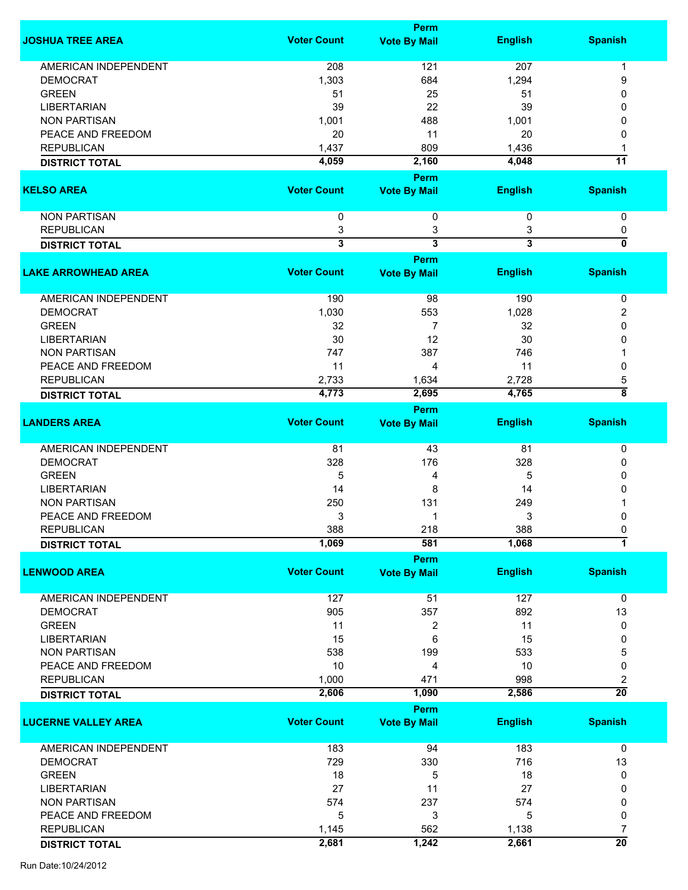|                             |                         | <b>Perm</b>             |                         |                           |
|-----------------------------|-------------------------|-------------------------|-------------------------|---------------------------|
| <b>JOSHUA TREE AREA</b>     | <b>Voter Count</b>      | <b>Vote By Mail</b>     | <b>English</b>          | <b>Spanish</b>            |
| <b>AMERICAN INDEPENDENT</b> | 208                     | 121                     | 207                     | 1                         |
| <b>DEMOCRAT</b>             | 1,303                   | 684                     | 1,294                   | 9                         |
| <b>GREEN</b>                | 51                      | 25                      | 51                      | $\Omega$                  |
|                             |                         |                         |                         |                           |
| <b>LIBERTARIAN</b>          | 39                      | 22                      | 39                      | 0                         |
| <b>NON PARTISAN</b>         | 1,001                   | 488                     | 1,001                   | 0                         |
| PEACE AND FREEDOM           | 20                      | 11                      | 20                      | 0                         |
| <b>REPUBLICAN</b>           | 1,437                   | 809                     | 1,436                   |                           |
| <b>DISTRICT TOTAL</b>       | 4,059                   | 2,160                   | 4,048                   | $\overline{11}$           |
|                             |                         | Perm                    |                         |                           |
| <b>KELSO AREA</b>           | <b>Voter Count</b>      | <b>Vote By Mail</b>     | <b>English</b>          | <b>Spanish</b>            |
| <b>NON PARTISAN</b>         | 0                       | 0                       | 0                       | 0                         |
| <b>REPUBLICAN</b>           | 3                       | 3                       | 3                       | 0                         |
| <b>DISTRICT TOTAL</b>       | $\overline{\mathbf{3}}$ | $\overline{\mathbf{3}}$ | $\overline{\mathbf{3}}$ | $\overline{\mathfrak{o}}$ |
|                             |                         | Perm                    |                         |                           |
| <b>LAKE ARROWHEAD AREA</b>  | <b>Voter Count</b>      | <b>Vote By Mail</b>     | <b>English</b>          | <b>Spanish</b>            |
| <b>AMERICAN INDEPENDENT</b> | 190                     | 98                      | 190                     | 0                         |
| <b>DEMOCRAT</b>             | 1,030                   | 553                     | 1,028                   | 2                         |
| <b>GREEN</b>                | 32                      | $\overline{7}$          | 32                      | 0                         |
| <b>LIBERTARIAN</b>          | 30                      | 12                      | 30                      | 0                         |
| <b>NON PARTISAN</b>         | 747                     | 387                     | 746                     |                           |
|                             |                         |                         |                         |                           |
| PEACE AND FREEDOM           | 11                      | 4                       | 11                      | $\mathbf{0}$              |
| <b>REPUBLICAN</b>           | 2,733                   | 1,634                   | 2,728                   | 5                         |
| <b>DISTRICT TOTAL</b>       | 4,773                   | 2,695                   | 4,765                   | $\overline{\bf 8}$        |
|                             |                         | Perm                    |                         |                           |
| <b>LANDERS AREA</b>         | <b>Voter Count</b>      | <b>Vote By Mail</b>     | <b>English</b>          | <b>Spanish</b>            |
| AMERICAN INDEPENDENT        | 81                      | 43                      | 81                      | $\pmb{0}$                 |
| <b>DEMOCRAT</b>             | 328                     | 176                     | 328                     | 0                         |
| <b>GREEN</b>                | 5                       | 4                       | 5                       | 0                         |
| <b>LIBERTARIAN</b>          | 14                      | 8                       | 14                      | 0                         |
| <b>NON PARTISAN</b>         | 250                     | 131                     | 249                     |                           |
| PEACE AND FREEDOM           | 3                       | 1                       | 3                       | 0                         |
| <b>REPUBLICAN</b>           | 388                     | 218                     | 388                     | $\pmb{0}$                 |
| <b>DISTRICT TOTAL</b>       | 1,069                   | 581                     | 1,068                   | 7                         |
|                             |                         | <b>Perm</b>             |                         |                           |
| <b>LENWOOD AREA</b>         | <b>Voter Count</b>      | <b>Vote By Mail</b>     | <b>English</b>          | <b>Spanish</b>            |
| <b>AMERICAN INDEPENDENT</b> | 127                     | 51                      | 127                     | 0                         |
| <b>DEMOCRAT</b>             | 905                     | 357                     | 892                     | 13                        |
| <b>GREEN</b>                | 11                      |                         | 11                      | 0                         |
|                             |                         | 2                       |                         |                           |
| <b>LIBERTARIAN</b>          | 15                      | 6                       | 15                      | 0                         |
| <b>NON PARTISAN</b>         | 538                     | 199                     | 533                     | 5                         |
| PEACE AND FREEDOM           | 10                      | 4                       | 10                      | 0                         |
| <b>REPUBLICAN</b>           | 1,000                   | 471                     | 998                     | 2                         |
| <b>DISTRICT TOTAL</b>       | 2,606                   | 1,090                   | 2,586                   | $\overline{20}$           |
|                             |                         | Perm                    |                         |                           |
| <b>LUCERNE VALLEY AREA</b>  | <b>Voter Count</b>      | <b>Vote By Mail</b>     | <b>English</b>          | <b>Spanish</b>            |
| <b>AMERICAN INDEPENDENT</b> | 183                     | 94                      | 183                     | $\mathbf 0$               |
| <b>DEMOCRAT</b>             | 729                     | 330                     | 716                     | 13                        |
| <b>GREEN</b>                | 18                      | 5                       | 18                      | 0                         |
| <b>LIBERTARIAN</b>          | 27                      | 11                      | 27                      | 0                         |
|                             |                         |                         |                         |                           |
| <b>NON PARTISAN</b>         | 574                     | 237                     | 574                     | 0                         |
| PEACE AND FREEDOM           | 5                       | 3                       | 5                       | 0                         |
| <b>REPUBLICAN</b>           | 1,145                   | 562                     | 1,138                   | 7                         |
| <b>DISTRICT TOTAL</b>       | 2,681                   | 1,242                   | 2,661                   | $\overline{20}$           |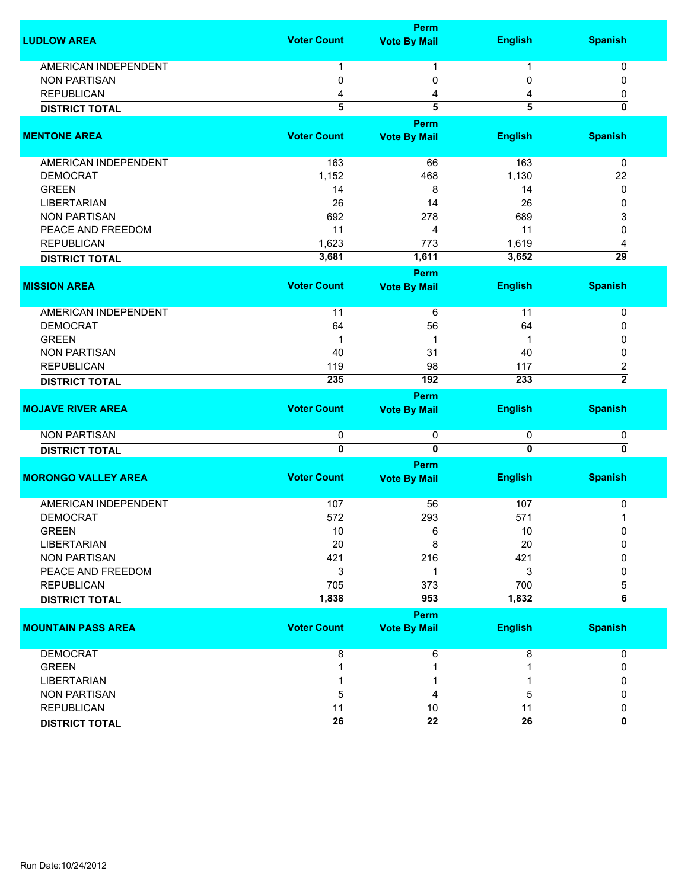|                             |                         | <b>Perm</b>                 |                         |                           |
|-----------------------------|-------------------------|-----------------------------|-------------------------|---------------------------|
| <b>LUDLOW AREA</b>          | <b>Voter Count</b>      | <b>Vote By Mail</b>         | <b>English</b>          | <b>Spanish</b>            |
| <b>AMERICAN INDEPENDENT</b> | 1                       | 1                           | 1                       | 0                         |
| <b>NON PARTISAN</b>         | 0                       | 0                           | 0                       | 0                         |
| <b>REPUBLICAN</b>           | 4                       | 4                           | 4                       | 0                         |
| <b>DISTRICT TOTAL</b>       | $\overline{5}$          | $\overline{5}$              | 5                       | 0                         |
|                             |                         |                             |                         |                           |
| <b>MENTONE AREA</b>         | <b>Voter Count</b>      | Perm<br><b>Vote By Mail</b> | <b>English</b>          | <b>Spanish</b>            |
|                             |                         |                             |                         |                           |
| AMERICAN INDEPENDENT        | 163                     | 66                          | 163                     | 0                         |
| <b>DEMOCRAT</b>             | 1,152                   | 468                         | 1,130                   | 22                        |
| <b>GREEN</b>                | 14                      | 8                           | 14                      | 0                         |
| <b>LIBERTARIAN</b>          | 26                      | 14                          | 26                      | 0                         |
| <b>NON PARTISAN</b>         | 692                     | 278                         | 689                     | 3                         |
| PEACE AND FREEDOM           | 11                      | 4                           | 11                      | 0                         |
| <b>REPUBLICAN</b>           | 1,623                   | 773                         | 1,619                   | 4                         |
| <b>DISTRICT TOTAL</b>       | 3,681                   | 1,611                       | 3,652                   | $\overline{29}$           |
|                             |                         | Perm                        |                         |                           |
| <b>MISSION AREA</b>         | <b>Voter Count</b>      | <b>Vote By Mail</b>         | <b>English</b>          | <b>Spanish</b>            |
| <b>AMERICAN INDEPENDENT</b> | 11                      | 6                           | 11                      | 0                         |
| <b>DEMOCRAT</b>             | 64                      | 56                          | 64                      | 0                         |
| <b>GREEN</b>                | 1                       | 1                           |                         | 0                         |
| <b>NON PARTISAN</b>         | 40                      | 31                          | 40                      | 0                         |
| <b>REPUBLICAN</b>           | 119                     | 98                          | 117                     | 2                         |
| <b>DISTRICT TOTAL</b>       | 235                     | 192                         | 233                     | $\overline{2}$            |
|                             |                         | Perm                        |                         |                           |
| <b>MOJAVE RIVER AREA</b>    | <b>Voter Count</b>      | <b>Vote By Mail</b>         | <b>English</b>          | <b>Spanish</b>            |
| <b>NON PARTISAN</b>         | 0                       | 0                           | 0                       | 0                         |
|                             | $\overline{\mathbf{0}}$ | $\overline{0}$              | $\overline{\mathbf{0}}$ | $\overline{\mathfrak{o}}$ |
| <b>DISTRICT TOTAL</b>       |                         |                             |                         |                           |
| <b>MORONGO VALLEY AREA</b>  | <b>Voter Count</b>      | Perm                        | <b>English</b>          | <b>Spanish</b>            |
|                             |                         | <b>Vote By Mail</b>         |                         |                           |
| <b>AMERICAN INDEPENDENT</b> | 107                     | 56                          | 107                     | 0                         |
| <b>DEMOCRAT</b>             | 572                     | 293                         | 571                     | 1                         |
| <b>GREEN</b>                | 10                      | 6                           | 10                      | 0                         |
| <b>LIBERTARIAN</b>          | 20                      | 8                           | 20                      | 0                         |
| <b>NON PARTISAN</b>         | 421                     | 216                         | 421                     | 0                         |
| PEACE AND FREEDOM           | 3                       | 1                           | 3                       | 0                         |
| <b>REPUBLICAN</b>           | 705                     | 373                         | 700                     | 5                         |
| <b>DISTRICT TOTAL</b>       | 1,838                   | 953                         | 1,832                   | $\overline{\mathbf{6}}$   |
|                             |                         | <b>Perm</b>                 |                         |                           |
| <b>MOUNTAIN PASS AREA</b>   | <b>Voter Count</b>      | <b>Vote By Mail</b>         | <b>English</b>          | <b>Spanish</b>            |
| <b>DEMOCRAT</b>             | 8                       | 6                           | 8                       | 0                         |
| <b>GREEN</b>                |                         |                             |                         | 0                         |
| <b>LIBERTARIAN</b>          |                         |                             |                         | 0                         |
| <b>NON PARTISAN</b>         | 5                       | 4                           | 5                       | 0                         |
| <b>REPUBLICAN</b>           | 11                      | 10                          | 11                      |                           |
|                             |                         |                             |                         | 0                         |
| <b>DISTRICT TOTAL</b>       | 26                      | $\overline{22}$             | 26                      | 0                         |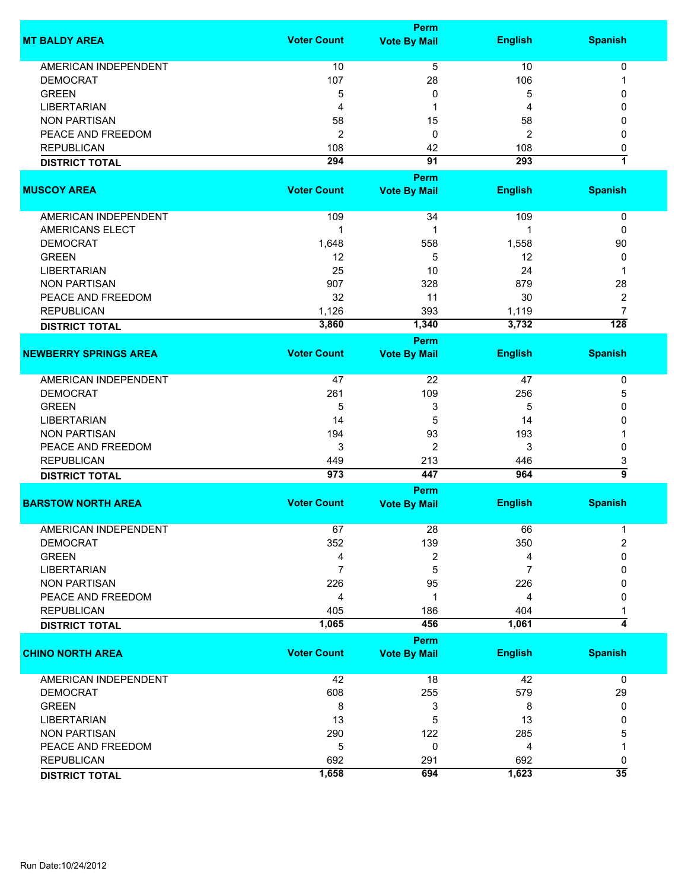|                       |                    | Perm                |                |                |
|-----------------------|--------------------|---------------------|----------------|----------------|
| <b>MT BALDY AREA</b>  | <b>Voter Count</b> | <b>Vote By Mail</b> | <b>English</b> | <b>Spanish</b> |
| AMERICAN INDEPENDENT  | 10                 | 5                   | 10             |                |
| <b>DEMOCRAT</b>       | 107                | 28                  | 106            |                |
| <b>GREEN</b>          |                    |                     | 5              |                |
| <b>LIBERTARIAN</b>    |                    |                     | Δ              |                |
| <b>NON PARTISAN</b>   | 58                 | 15                  | 58             |                |
| PEACE AND FREEDOM     |                    |                     |                |                |
| <b>REPUBLICAN</b>     | 108                | 42                  | 108            |                |
| <b>DISTRICT TOTAL</b> | 294                | 91                  | 293            |                |
|                       |                    | <b>Perm</b>         |                |                |
| <b>MUSCOY AREA</b>    | <b>Voter Count</b> | <b>Vote By Mail</b> | <b>English</b> | <b>Spanish</b> |

| <b>DISTRICT TOTAL</b> | 3,860 | 1,340 | 3,732 | 128 |
|-----------------------|-------|-------|-------|-----|
| <b>REPUBLICAN</b>     | 1.126 | 393   | 1,119 |     |
| PEACE AND FREEDOM     | 32    | 11    | 30    |     |
| NON PARTISAN          | 907   | 328   | 879   | 28  |
| LIBERTARIAN           | 25    | 10    | 24    |     |
| <b>GREEN</b>          | 12    |       | 12    |     |
| <b>DEMOCRAT</b>       | 1,648 | 558   | 1,558 | 90  |
| AMERICANS ELECT       |       |       |       |     |
| AMERICAN INDEPENDENT  | 109   | 34    | 109   |     |

|                              |                    | Perm                |                |                |
|------------------------------|--------------------|---------------------|----------------|----------------|
| <b>NEWBERRY SPRINGS AREA</b> | <b>Voter Count</b> | <b>Vote By Mail</b> | <b>English</b> | <b>Spanish</b> |
| AMERICAN INDEPENDENT         | 47                 | 22                  | 47             |                |
| <b>DEMOCRAT</b>              | 261                | 109                 | 256            | э              |
| <b>GREEN</b>                 | b                  |                     | 5              |                |
| <b>LIBERTARIAN</b>           | 14                 | 5                   | 14             |                |
| <b>NON PARTISAN</b>          | 194                | 93                  | 193            |                |
| PEACE AND FREEDOM            |                    | ົ                   | 3              |                |
| <b>REPUBLICAN</b>            | 449                | 213                 | 446            |                |
| <b>DISTRICT TOTAL</b>        | 973                | 447                 | 964            |                |

|                           |                    | <b>Perm</b>         |                |                |
|---------------------------|--------------------|---------------------|----------------|----------------|
| <b>BARSTOW NORTH AREA</b> | <b>Voter Count</b> | <b>Vote By Mail</b> | <b>English</b> | <b>Spanish</b> |
| AMERICAN INDEPENDENT      | 67                 | 28                  | 66             |                |
| <b>DEMOCRAT</b>           | 352                | 139                 | 350            |                |
| <b>GREEN</b>              | 4                  |                     | 4              |                |
| <b>LIBERTARIAN</b>        |                    | 5                   |                |                |
| NON PARTISAN              | 226                | 95                  | 226            |                |
| PEACE AND FREEDOM         | 4                  |                     | 4              |                |
| <b>REPUBLICAN</b>         | 405                | 186                 | 404            |                |
| <b>DISTRICT TOTAL</b>     | 1,065              | 456                 | 1,061          |                |

|                         |                    | <b>Perm</b>         |                |                |
|-------------------------|--------------------|---------------------|----------------|----------------|
| <b>CHINO NORTH AREA</b> | <b>Voter Count</b> | <b>Vote By Mail</b> | <b>English</b> | <b>Spanish</b> |
| AMERICAN INDEPENDENT    | 42                 | 18                  | 42             |                |
| <b>DEMOCRAT</b>         | 608                | 255                 | 579            | 29             |
| <b>GREEN</b>            | 8                  |                     | 8              |                |
| <b>LIBERTARIAN</b>      | 13                 | 5                   | 13             |                |
| <b>NON PARTISAN</b>     | 290                | 122                 | 285            | 5              |
| PEACE AND FREEDOM       | 5                  |                     | 4              |                |
| <b>REPUBLICAN</b>       | 692                | 291                 | 692            |                |
| <b>DISTRICT TOTAL</b>   | 1,658              | 694                 | 1,623          | 35             |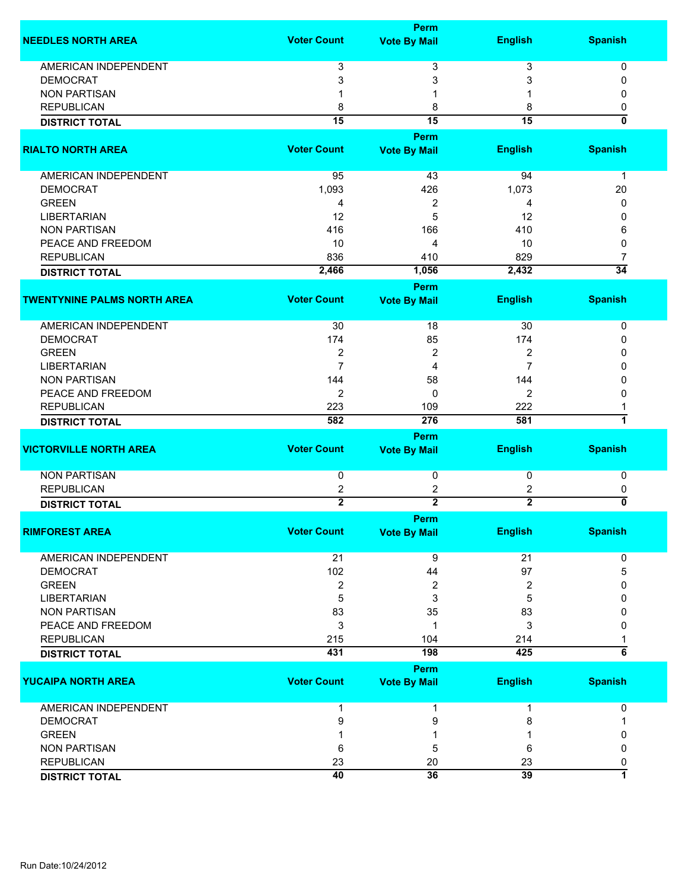| <b>Voter Count</b><br><b>Spanish</b><br><b>English</b><br><b>NEEDLES NORTH AREA</b><br><b>Vote By Mail</b>     |                                |
|----------------------------------------------------------------------------------------------------------------|--------------------------------|
|                                                                                                                |                                |
| <b>AMERICAN INDEPENDENT</b><br>3<br>3<br>3                                                                     | 0                              |
| <b>DEMOCRAT</b><br>3<br>3<br>3                                                                                 | 0                              |
| <b>NON PARTISAN</b>                                                                                            | 0                              |
| <b>REPUBLICAN</b><br>8<br>8<br>8                                                                               | 0                              |
| $\overline{15}$<br>$\overline{15}$<br>$\overline{15}$                                                          | $\overline{\mathbf{0}}$        |
| <b>DISTRICT TOTAL</b>                                                                                          |                                |
| Perm                                                                                                           |                                |
| <b>RIALTO NORTH AREA</b><br><b>Voter Count</b><br><b>English</b><br><b>Spanish</b><br><b>Vote By Mail</b>      |                                |
| <b>AMERICAN INDEPENDENT</b><br>95<br>43<br>94                                                                  | $\mathbf 1$                    |
| <b>DEMOCRAT</b><br>1,093<br>1,073<br>426                                                                       | 20                             |
| <b>GREEN</b><br>2<br>4<br>4                                                                                    | 0                              |
| <b>LIBERTARIAN</b><br>5<br>12<br>12                                                                            | 0                              |
| <b>NON PARTISAN</b><br>410<br>416<br>166                                                                       | 6                              |
| PEACE AND FREEDOM<br>10<br>10<br>4                                                                             | 0                              |
| <b>REPUBLICAN</b><br>836<br>829<br>410                                                                         | 7                              |
| 2,466<br>1,056<br>2,432<br><b>DISTRICT TOTAL</b>                                                               | $\overline{34}$                |
| Perm                                                                                                           |                                |
| <b>Voter Count</b><br><b>TWENTYNINE PALMS NORTH AREA</b><br><b>English</b><br><b>Spanish</b>                   |                                |
| <b>Vote By Mail</b>                                                                                            |                                |
| AMERICAN INDEPENDENT<br>30<br>18<br>30                                                                         | 0                              |
| <b>DEMOCRAT</b><br>174<br>85<br>174                                                                            | 0                              |
| 2<br>2<br><b>GREEN</b><br>2                                                                                    | 0                              |
| $\overline{7}$<br>$\overline{7}$<br><b>LIBERTARIAN</b><br>4                                                    | 0                              |
| <b>NON PARTISAN</b><br>144<br>58<br>144                                                                        | 0                              |
| 2<br>2<br>PEACE AND FREEDOM<br>$\mathbf{0}$                                                                    | 0                              |
| <b>REPUBLICAN</b><br>222<br>223<br>109                                                                         |                                |
| 582<br>276<br>581<br><b>DISTRICT TOTAL</b>                                                                     | 7                              |
| Perm                                                                                                           |                                |
| <b>Voter Count</b><br><b>English</b><br><b>VICTORVILLE NORTH AREA</b><br><b>Spanish</b><br><b>Vote By Mail</b> |                                |
| <b>NON PARTISAN</b><br>0<br>0<br>0                                                                             | 0                              |
| <b>REPUBLICAN</b>                                                                                              |                                |
| 2<br>2<br>2<br>$\overline{2}$<br>$\overline{2}$<br>$\overline{2}$                                              | 0<br>$\overline{\mathfrak{o}}$ |
| <b>DISTRICT TOTAL</b>                                                                                          |                                |
| Perm                                                                                                           |                                |
| <b>RIMFOREST AREA</b><br><b>Voter Count</b><br><b>Vote By Mail</b><br><b>English</b><br><b>Spanish</b>         |                                |
| <b>AMERICAN INDEPENDENT</b><br>21<br>21<br>9                                                                   | 0                              |
| 102<br>97<br><b>DEMOCRAT</b><br>44                                                                             | 5                              |
| <b>GREEN</b><br>2<br>2<br>2                                                                                    | 0                              |
| <b>LIBERTARIAN</b><br>5<br>3<br>5                                                                              | 0                              |
| 83<br><b>NON PARTISAN</b><br>35<br>83                                                                          | 0                              |
| 3<br>PEACE AND FREEDOM<br>3<br>-1                                                                              | 0                              |
| <b>REPUBLICAN</b><br>215<br>104<br>214                                                                         |                                |
| 431<br>198<br>425<br><b>DISTRICT TOTAL</b>                                                                     | $\overline{6}$                 |
| Perm                                                                                                           |                                |
| <b>Voter Count</b><br><b>English</b><br><b>Spanish</b><br><b>YUCAIPA NORTH AREA</b><br><b>Vote By Mail</b>     |                                |
|                                                                                                                |                                |
| <b>AMERICAN INDEPENDENT</b><br>1<br>1<br>1                                                                     | 0                              |
| <b>DEMOCRAT</b><br>9<br>9<br>8                                                                                 |                                |
| <b>GREEN</b>                                                                                                   | 0                              |
| <b>NON PARTISAN</b><br>5<br>6<br>6                                                                             | 0                              |
| <b>REPUBLICAN</b><br>23<br>20<br>23                                                                            | 0                              |
| 40<br>36<br>39<br><b>DISTRICT TOTAL</b>                                                                        | $\overline{\mathbf{1}}$        |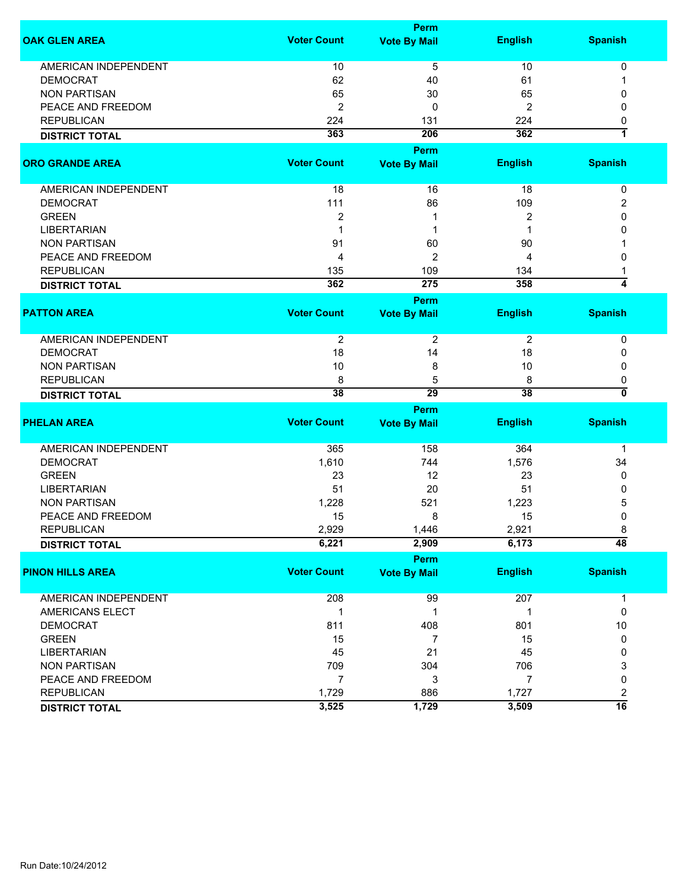|                             | <b>Perm</b>        |                                    |                |                           |  |  |
|-----------------------------|--------------------|------------------------------------|----------------|---------------------------|--|--|
| <b>OAK GLEN AREA</b>        | <b>Voter Count</b> | <b>Vote By Mail</b>                | <b>English</b> | <b>Spanish</b>            |  |  |
| <b>AMERICAN INDEPENDENT</b> | 10                 | 5                                  | 10             | 0                         |  |  |
| <b>DEMOCRAT</b>             | 62                 | 40                                 | 61             | 1                         |  |  |
| <b>NON PARTISAN</b>         | 65                 | 30                                 | 65             | 0                         |  |  |
| PEACE AND FREEDOM           | $\overline{2}$     | 0                                  | 2              | 0                         |  |  |
| <b>REPUBLICAN</b>           |                    |                                    |                |                           |  |  |
|                             | 224<br>363         | 131<br>206                         | 224<br>362     | 0<br>1                    |  |  |
| <b>DISTRICT TOTAL</b>       |                    |                                    |                |                           |  |  |
| <b>ORO GRANDE AREA</b>      | <b>Voter Count</b> | <b>Perm</b><br><b>Vote By Mail</b> | <b>English</b> | <b>Spanish</b>            |  |  |
| AMERICAN INDEPENDENT        | 18                 | 16                                 | 18             | $\pmb{0}$                 |  |  |
| <b>DEMOCRAT</b>             | 111                | 86                                 | 109            | 2                         |  |  |
| <b>GREEN</b>                | $\boldsymbol{2}$   | 1                                  | 2              | 0                         |  |  |
| <b>LIBERTARIAN</b>          | 1                  | 1                                  |                | 0                         |  |  |
| <b>NON PARTISAN</b>         | 91                 | 60                                 | 90             |                           |  |  |
|                             |                    |                                    |                | 0                         |  |  |
| PEACE AND FREEDOM           | 4                  | 2                                  | 4              |                           |  |  |
| <b>REPUBLICAN</b>           | 135<br>362         | 109<br>275                         | 134<br>358     | 4                         |  |  |
| <b>DISTRICT TOTAL</b>       |                    |                                    |                |                           |  |  |
|                             |                    | <b>Perm</b>                        |                |                           |  |  |
| <b>PATTON AREA</b>          | <b>Voter Count</b> | <b>Vote By Mail</b>                | <b>English</b> | <b>Spanish</b>            |  |  |
| <b>AMERICAN INDEPENDENT</b> | $\overline{2}$     | 2                                  | 2              | 0                         |  |  |
| <b>DEMOCRAT</b>             | 18                 | 14                                 | 18             | 0                         |  |  |
| <b>NON PARTISAN</b>         | 10                 | 8                                  | 10             | 0                         |  |  |
| <b>REPUBLICAN</b>           | 8                  | 5                                  | 8              | 0                         |  |  |
| <b>DISTRICT TOTAL</b>       | 38                 | 29                                 | 38             | $\overline{\mathfrak{o}}$ |  |  |
|                             |                    |                                    |                |                           |  |  |
| <b>PHELAN AREA</b>          | <b>Voter Count</b> | <b>Perm</b><br><b>Vote By Mail</b> | <b>English</b> | <b>Spanish</b>            |  |  |
|                             |                    |                                    |                |                           |  |  |
| <b>AMERICAN INDEPENDENT</b> | 365                | 158                                | 364            | $\mathbf 1$               |  |  |
| <b>DEMOCRAT</b>             | 1,610              | 744                                | 1,576          | 34                        |  |  |
| <b>GREEN</b>                | 23                 | 12                                 | 23             | 0                         |  |  |
| <b>LIBERTARIAN</b>          | 51                 | 20                                 | 51             | 0                         |  |  |
| <b>NON PARTISAN</b>         | 1,228              | 521                                | 1,223          | 5                         |  |  |
| PEACE AND FREEDOM           | 15                 | 8                                  | 15             | $\mathbf 0$               |  |  |
| <b>REPUBLICAN</b>           | 2,929              | 1,446                              | 2,921          | 8                         |  |  |
| <b>DISTRICT TOTAL</b>       | 6,221              | 2,909                              | 6,173          | $\overline{48}$           |  |  |
|                             |                    | Perm                               |                |                           |  |  |
| <b>PINON HILLS AREA</b>     | <b>Voter Count</b> | <b>Vote By Mail</b>                | <b>English</b> | <b>Spanish</b>            |  |  |
| AMERICAN INDEPENDENT        | 208                | 99                                 | 207            | $\mathbf{1}$              |  |  |
| AMERICANS ELECT             | $\mathbf 1$        | 1                                  | 1              | 0                         |  |  |
| <b>DEMOCRAT</b>             | 811                | 408                                | 801            | 10                        |  |  |
| <b>GREEN</b>                | 15                 | $\overline{7}$                     | 15             | 0                         |  |  |
| <b>LIBERTARIAN</b>          |                    |                                    |                | 0                         |  |  |
|                             | 45                 | 21                                 | 45             |                           |  |  |
| <b>NON PARTISAN</b>         | 709                | 304                                | 706            | 3                         |  |  |
| PEACE AND FREEDOM           | $\overline{7}$     | 3                                  | $\overline{7}$ | 0                         |  |  |
| <b>REPUBLICAN</b>           | 1,729              | 886                                | 1,727          | $\overline{c}$            |  |  |
| <b>DISTRICT TOTAL</b>       | 3,525              | 1,729                              | 3,509          | $\overline{16}$           |  |  |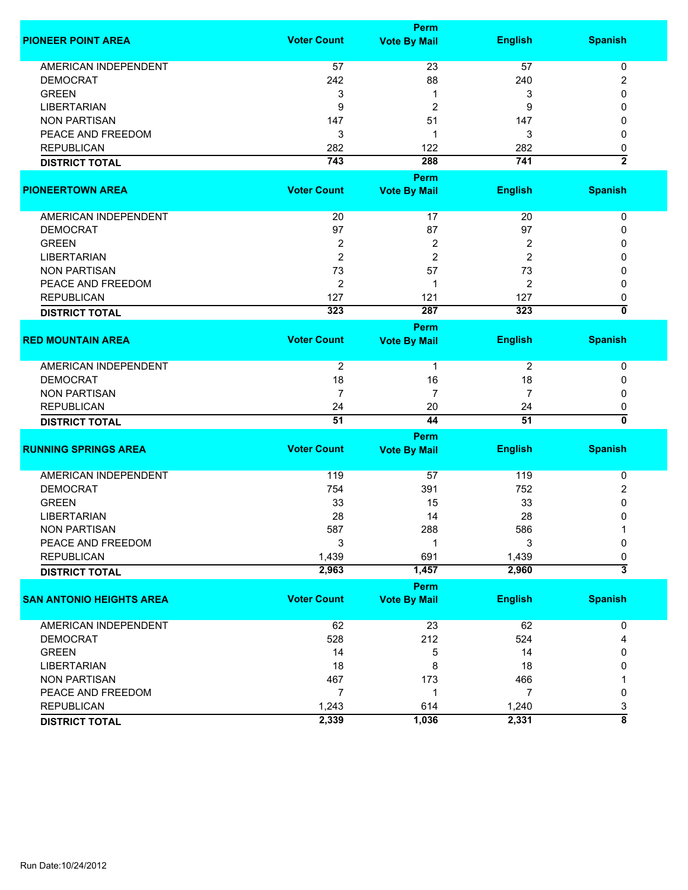|                                 | Perm               |                     |                |                                |  |
|---------------------------------|--------------------|---------------------|----------------|--------------------------------|--|
| <b>PIONEER POINT AREA</b>       | <b>Voter Count</b> | <b>Vote By Mail</b> | <b>English</b> | <b>Spanish</b>                 |  |
| <b>AMERICAN INDEPENDENT</b>     | 57                 | 23                  | 57             | 0                              |  |
| <b>DEMOCRAT</b>                 | 242                | 88                  | 240            | $\overline{c}$                 |  |
| <b>GREEN</b>                    | 3                  | 1                   | 3              | 0                              |  |
| <b>LIBERTARIAN</b>              | 9                  | $\overline{2}$      | 9              | 0                              |  |
| <b>NON PARTISAN</b>             | 147                | 51                  | 147            | 0                              |  |
| PEACE AND FREEDOM               | 3                  | -1                  | 3              | 0                              |  |
| <b>REPUBLICAN</b>               | 282                | 122                 | 282            | 0                              |  |
|                                 | 743                | 288                 | 741            | $\overline{2}$                 |  |
| <b>DISTRICT TOTAL</b>           |                    |                     |                |                                |  |
|                                 |                    | <b>Perm</b>         |                |                                |  |
| <b>PIONEERTOWN AREA</b>         | <b>Voter Count</b> | <b>Vote By Mail</b> | <b>English</b> | <b>Spanish</b>                 |  |
| AMERICAN INDEPENDENT            | 20                 | 17                  | 20             | 0                              |  |
| <b>DEMOCRAT</b>                 | 97                 | 87                  | 97             | 0                              |  |
| <b>GREEN</b>                    | 2                  | 2                   | 2              | 0                              |  |
| <b>LIBERTARIAN</b>              | $\overline{2}$     | $\overline{2}$      | 2              | 0                              |  |
| <b>NON PARTISAN</b>             | 73                 | 57                  | 73             | 0                              |  |
| PEACE AND FREEDOM               | $\overline{2}$     | 1                   | $\overline{2}$ | 0                              |  |
| <b>REPUBLICAN</b>               | 127                | 121                 | 127            |                                |  |
|                                 |                    |                     |                | 0<br>$\overline{\mathfrak{o}}$ |  |
| <b>DISTRICT TOTAL</b>           | 323                | 287                 | 323            |                                |  |
|                                 |                    | Perm                |                |                                |  |
| <b>RED MOUNTAIN AREA</b>        | <b>Voter Count</b> | <b>Vote By Mail</b> | <b>English</b> | <b>Spanish</b>                 |  |
| <b>AMERICAN INDEPENDENT</b>     | 2                  | $\mathbf 1$         | 2              | 0                              |  |
| <b>DEMOCRAT</b>                 | 18                 | 16                  | 18             | 0                              |  |
| <b>NON PARTISAN</b>             | $\overline{7}$     | 7                   | 7              | 0                              |  |
| <b>REPUBLICAN</b>               | 24                 | 20                  | 24             | 0                              |  |
| <b>DISTRICT TOTAL</b>           | $\overline{51}$    | 44                  | 51             | $\overline{\mathbf{0}}$        |  |
|                                 |                    | Perm                |                |                                |  |
| <b>RUNNING SPRINGS AREA</b>     | <b>Voter Count</b> | <b>Vote By Mail</b> | <b>English</b> | <b>Spanish</b>                 |  |
|                                 |                    |                     |                |                                |  |
| <b>AMERICAN INDEPENDENT</b>     | 119                | 57                  | 119            | 0                              |  |
| <b>DEMOCRAT</b>                 | 754                | 391                 | 752            | 2                              |  |
| <b>GREEN</b>                    | 33                 | 15                  | 33             | 0                              |  |
| <b>LIBERTARIAN</b>              | 28                 | 14                  | 28             | 0                              |  |
| <b>NON PARTISAN</b>             | 587                | 288                 | 586            | 1                              |  |
| PEACE AND FREEDOM               | 3                  |                     | 3              | 0                              |  |
| <b>REPUBLICAN</b>               | 1,439              | 691                 | 1,439          | 0                              |  |
|                                 | 2,963              | 1,457               | 2,960          | $\overline{\overline{3}}$      |  |
| <b>DISTRICT TOTAL</b>           |                    |                     |                |                                |  |
|                                 |                    | Perm                |                |                                |  |
| <b>SAN ANTONIO HEIGHTS AREA</b> | <b>Voter Count</b> | <b>Vote By Mail</b> | <b>English</b> | <b>Spanish</b>                 |  |
| AMERICAN INDEPENDENT            | 62                 | 23                  | 62             | 0                              |  |
| <b>DEMOCRAT</b>                 | 528                | 212                 | 524            | 4                              |  |
| <b>GREEN</b>                    | 14                 | 5                   | 14             | 0                              |  |
| <b>LIBERTARIAN</b>              | 18                 | 8                   | 18             | 0                              |  |
| <b>NON PARTISAN</b>             | 467                | 173                 | 466            |                                |  |
| PEACE AND FREEDOM               | $\overline{7}$     | 1                   | $\overline{7}$ | 0                              |  |
| <b>REPUBLICAN</b>               |                    | 614                 | 1,240          |                                |  |
|                                 | 1,243              |                     |                | 3<br>$\overline{\bf 8}$        |  |
| <b>DISTRICT TOTAL</b>           | 2,339              | 1,036               | 2,331          |                                |  |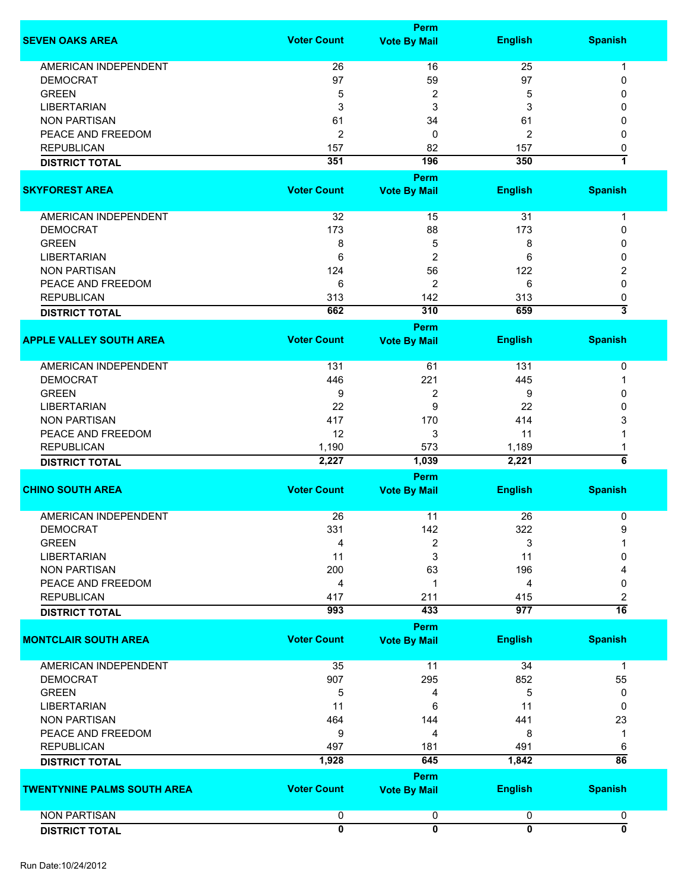|                                    |                    | <b>Perm</b>             |                |                         |
|------------------------------------|--------------------|-------------------------|----------------|-------------------------|
| <b>SEVEN OAKS AREA</b>             | <b>Voter Count</b> | <b>Vote By Mail</b>     | <b>English</b> | <b>Spanish</b>          |
| <b>AMERICAN INDEPENDENT</b>        | 26                 | 16                      | 25             | 1                       |
| <b>DEMOCRAT</b>                    | 97                 | 59                      | 97             | 0                       |
| <b>GREEN</b>                       | 5                  | $\overline{\mathbf{c}}$ | 5              | 0                       |
| <b>LIBERTARIAN</b>                 | 3                  | 3                       | 3              | 0                       |
| <b>NON PARTISAN</b>                |                    |                         |                |                         |
|                                    | 61                 | 34                      | 61             | 0                       |
| PEACE AND FREEDOM                  | 2                  | 0                       | 2              | $\mathbf{0}$            |
| <b>REPUBLICAN</b>                  | 157                | 82                      | 157            | 0                       |
| <b>DISTRICT TOTAL</b>              | 351                | 196                     | 350            | 7                       |
|                                    |                    | <b>Perm</b>             |                |                         |
| <b>SKYFOREST AREA</b>              | <b>Voter Count</b> | <b>Vote By Mail</b>     | <b>English</b> | <b>Spanish</b>          |
| AMERICAN INDEPENDENT               | 32                 | 15                      | 31             | $\mathbf 1$             |
| <b>DEMOCRAT</b>                    | 173                | 88                      | 173            | 0                       |
| <b>GREEN</b>                       | 8                  | 5                       | 8              | 0                       |
| <b>LIBERTARIAN</b>                 | 6                  | $\overline{\mathbf{c}}$ | 6              | 0                       |
| <b>NON PARTISAN</b>                | 124                | 56                      | 122            | 2                       |
| PEACE AND FREEDOM                  | 6                  | 2                       | 6              | 0                       |
| <b>REPUBLICAN</b>                  | 313                | 142                     | 313            | 0                       |
|                                    | 662                | 310                     | 659            | $\overline{\mathbf{3}}$ |
| <b>DISTRICT TOTAL</b>              |                    | Perm                    |                |                         |
| <b>APPLE VALLEY SOUTH AREA</b>     | <b>Voter Count</b> | <b>Vote By Mail</b>     | <b>English</b> | <b>Spanish</b>          |
|                                    |                    |                         |                |                         |
| <b>AMERICAN INDEPENDENT</b>        | 131                | 61                      | 131            | 0                       |
| <b>DEMOCRAT</b>                    | 446                | 221                     | 445            | -1                      |
| <b>GREEN</b>                       | 9                  | $\overline{c}$          | 9              | 0                       |
| <b>LIBERTARIAN</b>                 | 22                 | 9                       | 22             | 0                       |
| <b>NON PARTISAN</b>                | 417                | 170                     | 414            | 3                       |
| PEACE AND FREEDOM                  | 12                 | 3                       | 11             |                         |
| <b>REPUBLICAN</b>                  | 1,190              | 573                     | 1,189          | 1                       |
| <b>DISTRICT TOTAL</b>              | 2,227              | 1,039                   | 2,221          | $\overline{6}$          |
|                                    |                    | Perm                    |                |                         |
| <b>CHINO SOUTH AREA</b>            | <b>Voter Count</b> | <b>Vote By Mail</b>     | <b>English</b> | <b>Spanish</b>          |
|                                    |                    |                         |                |                         |
| <b>AMERICAN INDEPENDENT</b>        | 26                 | 11                      | 26             | 0                       |
| <b>DEMOCRAT</b>                    | 331                | 142                     | 322            | 9                       |
| <b>GREEN</b>                       | 4                  | 2                       | 3              |                         |
| <b>LIBERTARIAN</b>                 | 11                 | 3                       | 11             | 0                       |
| <b>NON PARTISAN</b>                | 200                | 63                      | 196            |                         |
| PEACE AND FREEDOM                  | 4                  | 1                       | 4              | 0                       |
| <b>REPUBLICAN</b>                  | 417                | 211                     | 415            | 2                       |
| <b>DISTRICT TOTAL</b>              | 993                | 433                     | 977            | $\overline{16}$         |
|                                    |                    | Perm                    |                |                         |
| <b>MONTCLAIR SOUTH AREA</b>        | <b>Voter Count</b> | <b>Vote By Mail</b>     | <b>English</b> | <b>Spanish</b>          |
| AMERICAN INDEPENDENT               | 35                 | 11                      | 34             | 1                       |
| <b>DEMOCRAT</b>                    | 907                | 295                     | 852            | 55                      |
| <b>GREEN</b>                       | 5                  | 4                       | 5              | 0                       |
| <b>LIBERTARIAN</b>                 |                    |                         |                |                         |
|                                    | 11                 | 6                       | 11             | 0                       |
| <b>NON PARTISAN</b>                | 464                | 144                     | 441            | 23                      |
| PEACE AND FREEDOM                  | 9                  | 4                       | 8              | 1                       |
| <b>REPUBLICAN</b>                  | 497                | 181                     | 491            | 6                       |
| <b>DISTRICT TOTAL</b>              | 1,928              | 645                     | 1,842          | $\overline{86}$         |
|                                    |                    | Perm                    |                |                         |
| <b>TWENTYNINE PALMS SOUTH AREA</b> | <b>Voter Count</b> | <b>Vote By Mail</b>     | <b>English</b> | <b>Spanish</b>          |
| <b>NON PARTISAN</b>                | 0                  | 0                       | 0              | 0                       |
| <b>DISTRICT TOTAL</b>              | 0                  | $\overline{0}$          | $\overline{0}$ | $\overline{\mathbf{0}}$ |
|                                    |                    |                         |                |                         |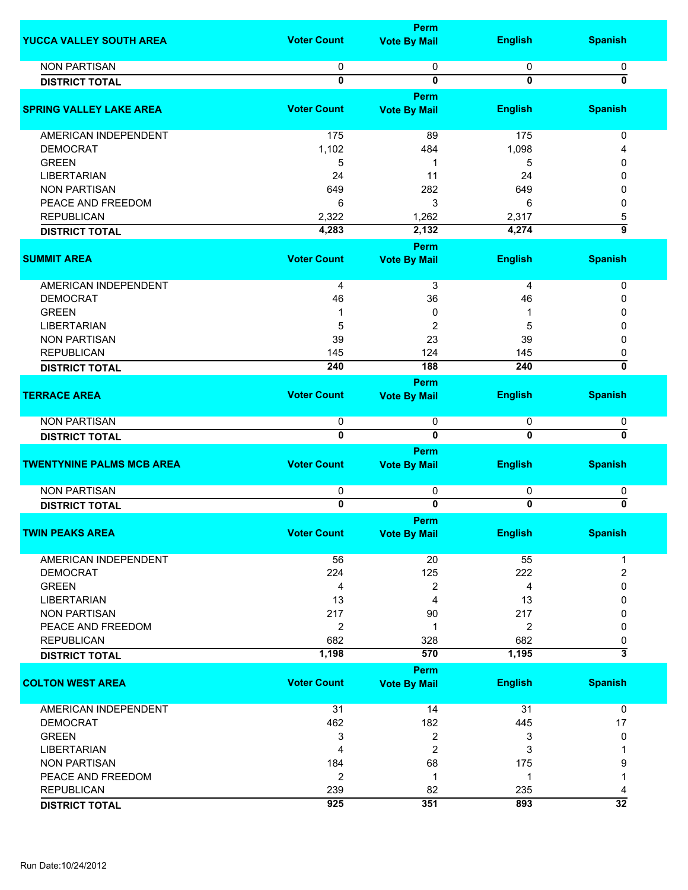|                                  |                    | <b>Perm</b>                 |                  |                                |
|----------------------------------|--------------------|-----------------------------|------------------|--------------------------------|
| YUCCA VALLEY SOUTH AREA          | <b>Voter Count</b> | <b>Vote By Mail</b>         | <b>English</b>   | <b>Spanish</b>                 |
| <b>NON PARTISAN</b>              | 0                  | 0                           | 0                | 0                              |
| <b>DISTRICT TOTAL</b>            | 0                  | 0                           | $\mathbf 0$      | ō                              |
|                                  |                    |                             |                  |                                |
|                                  |                    | Perm                        |                  |                                |
| <b>SPRING VALLEY LAKE AREA</b>   | <b>Voter Count</b> | <b>Vote By Mail</b>         | <b>English</b>   | <b>Spanish</b>                 |
| <b>AMERICAN INDEPENDENT</b>      | 175                | 89                          | 175              | 0                              |
| <b>DEMOCRAT</b>                  | 1,102              | 484                         | 1,098            | 4                              |
| <b>GREEN</b>                     | 5                  | 1                           | 5                | 0                              |
| <b>LIBERTARIAN</b>               | 24                 | 11                          | 24               | 0                              |
| <b>NON PARTISAN</b>              | 649                | 282                         | 649              | 0                              |
|                                  |                    |                             |                  |                                |
| PEACE AND FREEDOM                | 6                  | 3                           | 6                | 0                              |
| <b>REPUBLICAN</b>                | 2,322              | 1,262                       | 2,317            | 5<br>$\overline{9}$            |
| <b>DISTRICT TOTAL</b>            | 4,283              | 2,132                       | 4,274            |                                |
| <b>SUMMIT AREA</b>               | <b>Voter Count</b> | Perm<br><b>Vote By Mail</b> | <b>English</b>   | <b>Spanish</b>                 |
|                                  |                    |                             |                  |                                |
| <b>AMERICAN INDEPENDENT</b>      | 4                  | 3                           | 4                | 0                              |
| <b>DEMOCRAT</b>                  | 46                 | 36                          | 46               | 0                              |
| <b>GREEN</b>                     | 1                  | 0                           |                  | 0                              |
| <b>LIBERTARIAN</b>               | 5                  | $\overline{c}$              | 5                | 0                              |
| <b>NON PARTISAN</b>              | 39                 | 23                          | 39               | 0                              |
| <b>REPUBLICAN</b>                | 145                | 124                         | 145              | 0                              |
| <b>DISTRICT TOTAL</b>            | 240                | 188                         | $\overline{240}$ | 0                              |
|                                  |                    | <b>Perm</b>                 |                  |                                |
| <b>TERRACE AREA</b>              | <b>Voter Count</b> | <b>Vote By Mail</b>         | <b>English</b>   | <b>Spanish</b>                 |
|                                  |                    |                             |                  |                                |
| <b>NON PARTISAN</b>              | 0                  | 0                           | 0                | 0                              |
| <b>DISTRICT TOTAL</b>            | $\overline{0}$     | $\overline{0}$              | $\overline{0}$   | $\overline{\mathfrak{o}}$      |
|                                  |                    | Perm                        |                  |                                |
| <b>TWENTYNINE PALMS MCB AREA</b> | <b>Voter Count</b> | <b>Vote By Mail</b>         | <b>English</b>   | <b>Spanish</b>                 |
| <b>NON PARTISAN</b>              | 0                  | 0                           | 0                | 0                              |
| <b>DISTRICT TOTAL</b>            | 0                  | $\overline{\mathbf{0}}$     | 0                | 0                              |
|                                  |                    |                             |                  |                                |
|                                  |                    | <b>Perm</b>                 |                  |                                |
| <b>TWIN PEAKS AREA</b>           | <b>Voter Count</b> | <b>Vote By Mail</b>         | <b>English</b>   | <b>Spanish</b>                 |
| <b>AMERICAN INDEPENDENT</b>      | 56                 | 20                          | 55               | 1                              |
| <b>DEMOCRAT</b>                  | 224                | 125                         | 222              | $\overline{2}$                 |
| <b>GREEN</b>                     | 4                  | 2                           | 4                | 0                              |
| <b>LIBERTARIAN</b>               | 13                 | 4                           | 13               | 0                              |
| <b>NON PARTISAN</b>              | 217                | 90                          | 217              | 0                              |
| PEACE AND FREEDOM                | 2                  | 1                           | 2                | 0                              |
| <b>REPUBLICAN</b>                | 682                | 328                         | 682              |                                |
|                                  | 1,198              | 570                         | 1,195            | 0<br>$\overline{\overline{3}}$ |
| <b>DISTRICT TOTAL</b>            |                    |                             |                  |                                |
|                                  |                    | Perm                        |                  |                                |
| <b>COLTON WEST AREA</b>          | <b>Voter Count</b> | <b>Vote By Mail</b>         | <b>English</b>   | <b>Spanish</b>                 |
| AMERICAN INDEPENDENT             | 31                 | 14                          | 31               | 0                              |
| <b>DEMOCRAT</b>                  | 462                | 182                         | 445              | 17                             |
| <b>GREEN</b>                     | 3                  | 2                           | 3                | 0                              |
| <b>LIBERTARIAN</b>               | 4                  | 2                           | 3                |                                |
| <b>NON PARTISAN</b>              | 184                | 68                          | 175              | 9                              |
| PEACE AND FREEDOM                | $\overline{2}$     | 1                           | 1                |                                |
| <b>REPUBLICAN</b>                | 239                | 82                          | 235              |                                |
|                                  | 925                | 351                         | 893              | 4<br>$\overline{32}$           |
| <b>DISTRICT TOTAL</b>            |                    |                             |                  |                                |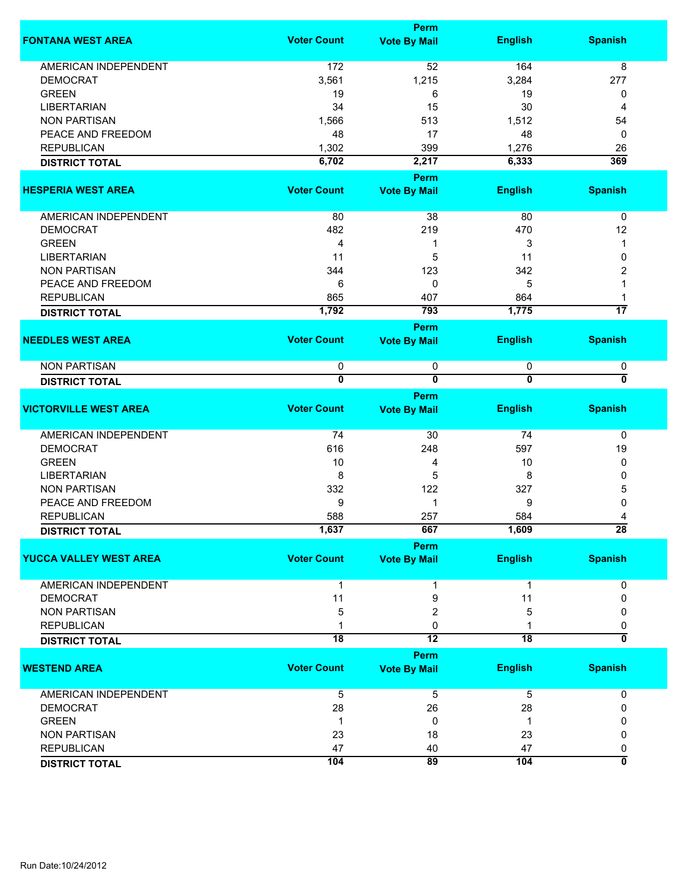|                               |                         | <b>Perm</b>             |                         |                         |
|-------------------------------|-------------------------|-------------------------|-------------------------|-------------------------|
| <b>FONTANA WEST AREA</b>      | <b>Voter Count</b>      | <b>Vote By Mail</b>     | <b>English</b>          | <b>Spanish</b>          |
| <b>AMERICAN INDEPENDENT</b>   | $172$                   | 52                      | 164                     | 8                       |
| <b>DEMOCRAT</b>               | 3,561                   | 1,215                   | 3,284                   | 277                     |
| <b>GREEN</b>                  | 19                      | 6                       | 19                      | 0                       |
| <b>LIBERTARIAN</b>            | 34                      | 15                      | 30                      | 4                       |
| <b>NON PARTISAN</b>           | 1,566                   | 513                     | 1,512                   | 54                      |
| PEACE AND FREEDOM             | 48                      | 17                      | 48                      | 0                       |
| <b>REPUBLICAN</b>             | 1,302                   | 399                     | 1,276                   | 26                      |
| <b>DISTRICT TOTAL</b>         | 6,702                   | 2,217                   | 6,333                   | 369                     |
|                               |                         | Perm                    |                         |                         |
| <b>HESPERIA WEST AREA</b>     | <b>Voter Count</b>      | <b>Vote By Mail</b>     | <b>English</b>          | <b>Spanish</b>          |
| <b>AMERICAN INDEPENDENT</b>   | 80                      | 38                      | 80                      | 0                       |
| <b>DEMOCRAT</b>               | 482                     | 219                     | 470                     | 12                      |
| <b>GREEN</b>                  | 4                       | 1                       | 3                       | 1                       |
| <b>LIBERTARIAN</b>            | 11                      | 5                       | 11                      | 0                       |
| <b>NON PARTISAN</b>           | 344                     | 123                     | 342                     | 2                       |
| PEACE AND FREEDOM             | 6                       | 0                       | 5                       | 1                       |
| <b>REPUBLICAN</b>             | 865                     | 407                     | 864                     | 1                       |
| <b>DISTRICT TOTAL</b>         | 1,792                   | 793                     | 1,775                   | $\overline{17}$         |
|                               |                         | Perm                    |                         |                         |
| <b>NEEDLES WEST AREA</b>      | <b>Voter Count</b>      | <b>Vote By Mail</b>     | <b>English</b>          | <b>Spanish</b>          |
| <b>NON PARTISAN</b>           | 0                       | 0                       | 0                       | 0                       |
| <b>DISTRICT TOTAL</b>         | $\overline{\mathbf{0}}$ | $\overline{\mathbf{0}}$ | $\overline{\mathbf{0}}$ | 0                       |
|                               |                         | Perm                    |                         |                         |
| <b>VICTORVILLE WEST AREA</b>  | <b>Voter Count</b>      | <b>Vote By Mail</b>     | <b>English</b>          | <b>Spanish</b>          |
| <b>AMERICAN INDEPENDENT</b>   | 74                      | 30                      | 74                      | 0                       |
| <b>DEMOCRAT</b>               | 616                     | 248                     | 597                     | 19                      |
| <b>GREEN</b>                  | 10                      | 4                       | 10                      | 0                       |
| <b>LIBERTARIAN</b>            | 8                       | 5                       | 8                       | 0                       |
| <b>NON PARTISAN</b>           | 332                     | 122                     | 327                     | 5                       |
| PEACE AND FREEDOM             | 9                       | $\mathbf{1}$            | 9                       | 0                       |
| <b>REPUBLICAN</b>             | 588                     | 257                     | 584                     | 4                       |
| <b>DISTRICT TOTAL</b>         | 1,637                   | 667                     | 1,609                   | 28                      |
|                               |                         | Perm                    |                         |                         |
| <b>YUCCA VALLEY WEST AREA</b> | <b>Voter Count</b>      | <b>Vote By Mail</b>     | <b>English</b>          | <b>Spanish</b>          |
| <b>AMERICAN INDEPENDENT</b>   | 1                       |                         | 1                       | 0                       |
| <b>DEMOCRAT</b>               | 11                      | 9                       | 11                      | 0                       |
| <b>NON PARTISAN</b>           | 5                       | 2                       | 5                       | 0                       |
| <b>REPUBLICAN</b>             |                         | 0                       |                         | 0                       |
| <b>DISTRICT TOTAL</b>         | $\overline{18}$         | 12                      | $\overline{18}$         | 0                       |
|                               |                         | Perm                    |                         |                         |
| <b>WESTEND AREA</b>           | <b>Voter Count</b>      | <b>Vote By Mail</b>     | <b>English</b>          | <b>Spanish</b>          |
| AMERICAN INDEPENDENT          | 5                       | 5                       | 5                       | 0                       |
| <b>DEMOCRAT</b>               | 28                      | 26                      | 28                      | 0                       |
| <b>GREEN</b>                  | 1                       | 0                       | -1                      | 0                       |
| <b>NON PARTISAN</b>           | 23                      | 18                      | 23                      | 0                       |
| <b>REPUBLICAN</b>             | 47                      | 40                      | 47                      | 0                       |
| <b>DISTRICT TOTAL</b>         | 104                     | 89                      | 104                     | $\overline{\mathbf{0}}$ |
|                               |                         |                         |                         |                         |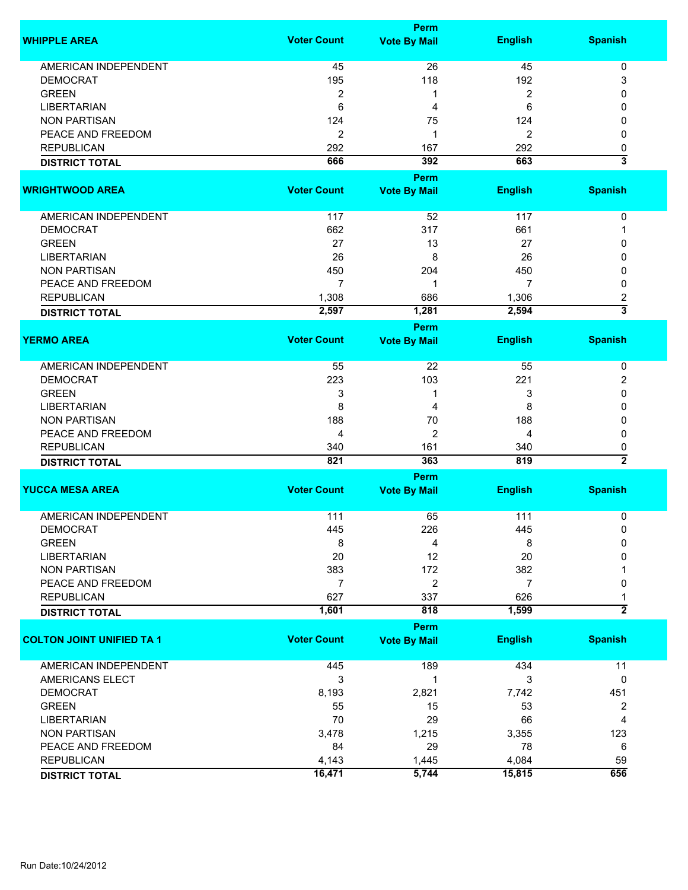|                                  | Perm               |                                    |                |                           |  |
|----------------------------------|--------------------|------------------------------------|----------------|---------------------------|--|
| <b>WHIPPLE AREA</b>              | <b>Voter Count</b> | <b>Vote By Mail</b>                | <b>English</b> | <b>Spanish</b>            |  |
| AMERICAN INDEPENDENT             | 45                 | 26                                 | 45             | 0                         |  |
| <b>DEMOCRAT</b>                  | 195                | 118                                | 192            | 3                         |  |
| <b>GREEN</b>                     | $\overline{2}$     | 1                                  | 2              | 0                         |  |
| <b>LIBERTARIAN</b>               | 6                  | 4                                  | 6              | 0                         |  |
|                                  |                    |                                    |                |                           |  |
| <b>NON PARTISAN</b>              | 124                | 75                                 | 124            | 0                         |  |
| PEACE AND FREEDOM                | $\overline{2}$     | 1                                  | 2              | 0                         |  |
| <b>REPUBLICAN</b>                | 292                | 167                                | 292            | 0                         |  |
| <b>DISTRICT TOTAL</b>            | 666                | 392                                | 663            | $\overline{\mathbf{3}}$   |  |
| <b>WRIGHTWOOD AREA</b>           | <b>Voter Count</b> | <b>Perm</b><br><b>Vote By Mail</b> | <b>English</b> | <b>Spanish</b>            |  |
|                                  |                    |                                    |                |                           |  |
| AMERICAN INDEPENDENT             | 117                | 52                                 | 117            | 0                         |  |
| <b>DEMOCRAT</b>                  | 662                | 317                                | 661            | 1                         |  |
| <b>GREEN</b>                     | 27                 | 13                                 | 27             | 0                         |  |
| <b>LIBERTARIAN</b>               | 26                 | 8                                  | 26             | 0                         |  |
| <b>NON PARTISAN</b>              | 450                | 204                                | 450            | 0                         |  |
| PEACE AND FREEDOM                | 7                  | 1                                  | 7              | 0                         |  |
| <b>REPUBLICAN</b>                | 1,308              | 686                                | 1,306          | 2                         |  |
| <b>DISTRICT TOTAL</b>            | 2,597              | 1,281                              | 2,594          | $\overline{\overline{3}}$ |  |
|                                  |                    | Perm                               |                |                           |  |
| <b>YERMO AREA</b>                | <b>Voter Count</b> | <b>Vote By Mail</b>                | <b>English</b> | <b>Spanish</b>            |  |
|                                  |                    |                                    |                |                           |  |
| <b>AMERICAN INDEPENDENT</b>      | 55                 | 22                                 | 55             | 0                         |  |
| <b>DEMOCRAT</b>                  | 223                | 103                                | 221            | 2                         |  |
| <b>GREEN</b>                     | 3                  | 1                                  | 3              | 0                         |  |
| <b>LIBERTARIAN</b>               | 8                  | 4                                  | 8              | 0                         |  |
| <b>NON PARTISAN</b>              | 188                | 70                                 | 188            | 0                         |  |
| PEACE AND FREEDOM                | 4                  | 2                                  | 4              | 0                         |  |
| <b>REPUBLICAN</b>                | 340                | 161                                | 340            | 0                         |  |
| <b>DISTRICT TOTAL</b>            | 821                | 363                                | 819            | $\overline{2}$            |  |
|                                  |                    | <b>Perm</b>                        |                |                           |  |
| <b>YUCCA MESA AREA</b>           | <b>Voter Count</b> | <b>Vote By Mail</b>                | <b>English</b> | <b>Spanish</b>            |  |
|                                  |                    |                                    |                |                           |  |
| <b>AMERICAN INDEPENDENT</b>      | 111                | 65                                 | $111$          | 0                         |  |
| <b>DEMOCRAT</b>                  | 445                | 226                                | 445            | 0                         |  |
| <b>GREEN</b>                     | 8                  | 4                                  | 8              | 0                         |  |
| <b>LIBERTARIAN</b>               | 20                 | 12                                 | 20             | 0                         |  |
| <b>NON PARTISAN</b>              | 383                | 172                                | 382            |                           |  |
| PEACE AND FREEDOM                | $\overline{7}$     | 2                                  | $\overline{7}$ | 0                         |  |
| <b>REPUBLICAN</b>                | 627                | 337                                | 626            | 1                         |  |
| <b>DISTRICT TOTAL</b>            | 1,601              | 818                                | 1,599          | $\overline{2}$            |  |
|                                  |                    | <b>Perm</b>                        |                |                           |  |
| <b>COLTON JOINT UNIFIED TA 1</b> | <b>Voter Count</b> | <b>Vote By Mail</b>                | <b>English</b> | <b>Spanish</b>            |  |
|                                  |                    |                                    |                |                           |  |
| <b>AMERICAN INDEPENDENT</b>      | 445                | 189                                | 434            | 11                        |  |
| AMERICANS ELECT                  | 3                  | $\mathbf{1}$                       | 3              | 0                         |  |
| <b>DEMOCRAT</b>                  | 8,193              | 2,821                              | 7,742          | 451                       |  |
| <b>GREEN</b>                     | 55                 | 15                                 | 53             | 2                         |  |
| <b>LIBERTARIAN</b>               | 70                 | 29                                 | 66             | $\overline{4}$            |  |
| <b>NON PARTISAN</b>              | 3,478              | 1,215                              | 3,355          | 123                       |  |
| PEACE AND FREEDOM                | 84                 | 29                                 | 78             | 6                         |  |
| <b>REPUBLICAN</b>                | 4,143              | 1,445                              | 4,084          | 59                        |  |
| <b>DISTRICT TOTAL</b>            | 16,471             | 5,744                              | 15,815         | 656                       |  |
|                                  |                    |                                    |                |                           |  |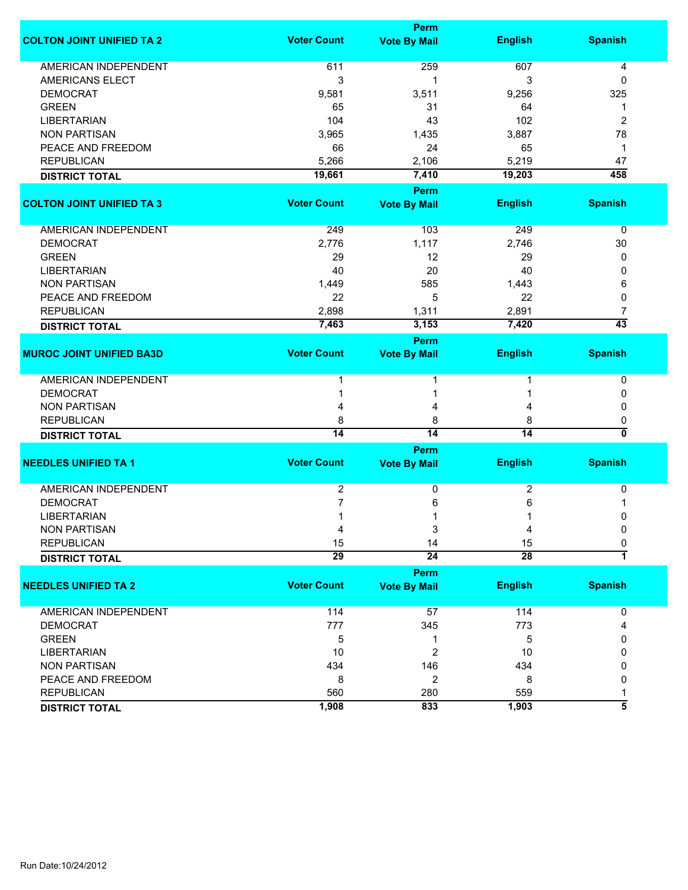|                                  | <b>Perm</b>        |                     |                 |                     |  |
|----------------------------------|--------------------|---------------------|-----------------|---------------------|--|
| <b>COLTON JOINT UNIFIED TA 2</b> | <b>Voter Count</b> | <b>Vote By Mail</b> | <b>English</b>  | <b>Spanish</b>      |  |
| <b>AMERICAN INDEPENDENT</b>      | 611                | 259                 | 607             | 4                   |  |
| <b>AMERICANS ELECT</b>           | 3                  | 1                   | 3               | 0                   |  |
| <b>DEMOCRAT</b>                  | 9,581              | 3,511               | 9,256           | 325                 |  |
| <b>GREEN</b>                     | 65                 | 31                  | 64              | -1                  |  |
| <b>LIBERTARIAN</b>               | 104                | 43                  | 102             | $\overline{2}$      |  |
| <b>NON PARTISAN</b>              | 3,965              | 1,435               | 3,887           | 78                  |  |
| PEACE AND FREEDOM                | 66                 | 24                  | 65              | 1                   |  |
| <b>REPUBLICAN</b>                | 5,266              | 2,106               | 5,219           | 47                  |  |
| <b>DISTRICT TOTAL</b>            | 19,661             | 7,410               | 19,203          | 458                 |  |
|                                  |                    | <b>Perm</b>         |                 |                     |  |
| <b>COLTON JOINT UNIFIED TA 3</b> | <b>Voter Count</b> | <b>Vote By Mail</b> | <b>English</b>  | <b>Spanish</b>      |  |
| AMERICAN INDEPENDENT             | 249                | 103                 | 249             | 0                   |  |
| <b>DEMOCRAT</b>                  | 2,776              | 1,117               | 2,746           | 30                  |  |
| <b>GREEN</b>                     | 29                 | 12                  | 29              | 0                   |  |
| <b>LIBERTARIAN</b>               | 40                 | 20                  | 40              | 0                   |  |
| <b>NON PARTISAN</b>              | 1,449              | 585                 | 1,443           | 6                   |  |
| PEACE AND FREEDOM                | 22                 | 5                   | 22              | 0                   |  |
| <b>REPUBLICAN</b>                | 2,898              | 1,311               | 2,891           | 7                   |  |
| <b>DISTRICT TOTAL</b>            | 7,463              | 3,153               | 7,420           | $\overline{43}$     |  |
|                                  |                    |                     |                 |                     |  |
| <b>MUROC JOINT UNIFIED BA3D</b>  | <b>Voter Count</b> | Perm                |                 | <b>Spanish</b>      |  |
|                                  |                    | <b>Vote By Mail</b> | <b>English</b>  |                     |  |
| <b>AMERICAN INDEPENDENT</b>      |                    |                     |                 | 0                   |  |
| <b>DEMOCRAT</b>                  |                    | 1                   |                 | 0                   |  |
| <b>NON PARTISAN</b>              |                    | 4                   |                 | 0                   |  |
| <b>REPUBLICAN</b>                | 8                  | 8                   | 8               | 0                   |  |
| <b>DISTRICT TOTAL</b>            | $\overline{14}$    | 14                  | 14              | 0                   |  |
|                                  |                    | Perm                |                 |                     |  |
| <b>NEEDLES UNIFIED TA 1</b>      | <b>Voter Count</b> | <b>Vote By Mail</b> | <b>English</b>  | <b>Spanish</b>      |  |
| <b>AMERICAN INDEPENDENT</b>      | 2                  | 0                   | 2               | 0                   |  |
| <b>DEMOCRAT</b>                  | 7                  | 6                   | 6               |                     |  |
| <b>LIBERTARIAN</b>               |                    | 1                   |                 | 0                   |  |
| <b>NON PARTISAN</b>              | 4                  | 3                   | 4               | 0                   |  |
| <b>REPUBLICAN</b>                | 15                 | 14                  | 15              | 0                   |  |
| <b>DISTRICT TOTAL</b>            | $\overline{29}$    | $\overline{24}$     | $\overline{28}$ | 1                   |  |
|                                  |                    | <b>Perm</b>         |                 |                     |  |
| <b>NEEDLES UNIFIED TA 2</b>      | <b>Voter Count</b> | <b>Vote By Mail</b> | <b>English</b>  | <b>Spanish</b>      |  |
| AMERICAN INDEPENDENT             | 114                | 57                  | 114             | 0                   |  |
| <b>DEMOCRAT</b>                  | 777                | 345                 | 773             | 4                   |  |
| <b>GREEN</b>                     | 5                  | 1                   | 5               | 0                   |  |
| <b>LIBERTARIAN</b>               | 10                 | $\overline{c}$      | 10              | 0                   |  |
| <b>NON PARTISAN</b>              | 434                | 146                 | 434             | 0                   |  |
| PEACE AND FREEDOM                | 8                  | $\overline{c}$      | 8               | 0                   |  |
| <b>REPUBLICAN</b>                | 560                | 280                 | 559             |                     |  |
| <b>DISTRICT TOTAL</b>            | 1,908              | 833                 | 1,903           | $\overline{\bf{5}}$ |  |
|                                  |                    |                     |                 |                     |  |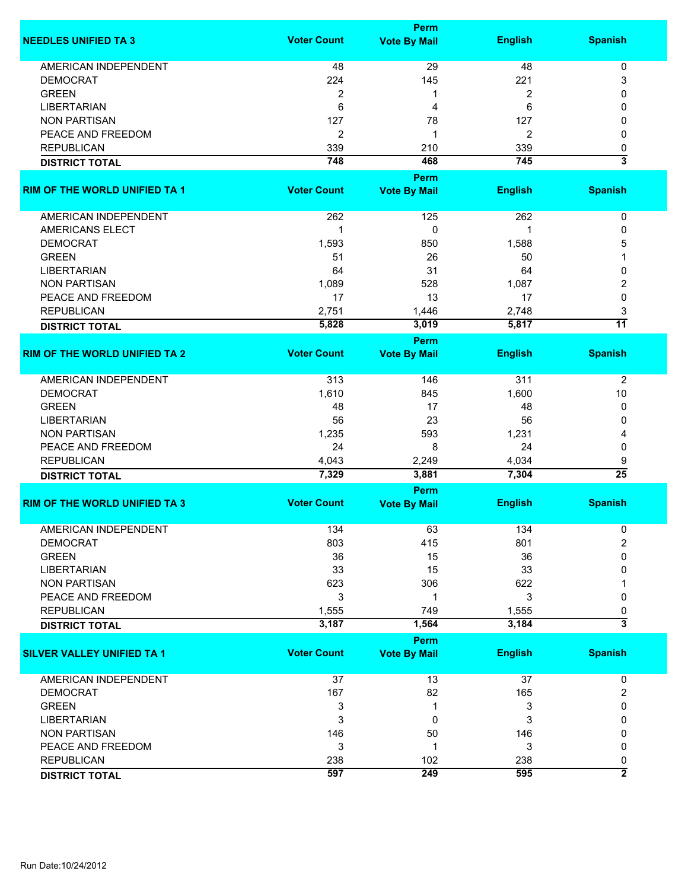|                                      | Perm               |                     |                |                              |  |
|--------------------------------------|--------------------|---------------------|----------------|------------------------------|--|
| <b>NEEDLES UNIFIED TA 3</b>          | <b>Voter Count</b> | <b>Vote By Mail</b> | <b>English</b> | <b>Spanish</b>               |  |
| <b>AMERICAN INDEPENDENT</b>          | 48                 | 29                  | 48             | 0                            |  |
| <b>DEMOCRAT</b>                      | 224                | 145                 | 221            | 3                            |  |
| <b>GREEN</b>                         | 2                  | 1                   | 2              | 0                            |  |
| <b>LIBERTARIAN</b>                   | 6                  | 4                   | 6              | 0                            |  |
| <b>NON PARTISAN</b>                  | 127                | 78                  | 127            | 0                            |  |
| PEACE AND FREEDOM                    | 2                  | 1                   | 2              | 0                            |  |
| <b>REPUBLICAN</b>                    | 339                | 210                 | 339            |                              |  |
|                                      |                    |                     |                | 0<br>$\overline{\mathbf{3}}$ |  |
| <b>DISTRICT TOTAL</b>                | 748                | 468<br>Perm         | 745            |                              |  |
| <b>RIM OF THE WORLD UNIFIED TA 1</b> | <b>Voter Count</b> | <b>Vote By Mail</b> | <b>English</b> | <b>Spanish</b>               |  |
| AMERICAN INDEPENDENT                 | 262                | 125                 | 262            | 0                            |  |
| <b>AMERICANS ELECT</b>               | 1                  | 0                   | 1              | 0                            |  |
| <b>DEMOCRAT</b>                      | 1,593              | 850                 | 1,588          | 5                            |  |
| <b>GREEN</b>                         | 51                 | 26                  | 50             |                              |  |
| <b>LIBERTARIAN</b>                   | 64                 | 31                  | 64             | 0                            |  |
| <b>NON PARTISAN</b>                  | 1,089              | 528                 | 1,087          | 2                            |  |
|                                      |                    |                     |                |                              |  |
| PEACE AND FREEDOM                    | 17                 | 13                  | 17             | 0                            |  |
| <b>REPUBLICAN</b>                    | 2,751              | 1,446               | 2,748          | 3                            |  |
| <b>DISTRICT TOTAL</b>                | 5,828              | 3,019               | 5,817          | $\overline{11}$              |  |
|                                      |                    | Perm                |                |                              |  |
| <b>RIM OF THE WORLD UNIFIED TA 2</b> | <b>Voter Count</b> | <b>Vote By Mail</b> | <b>English</b> | <b>Spanish</b>               |  |
| <b>AMERICAN INDEPENDENT</b>          | 313                | 146                 | 311            | $\overline{2}$               |  |
| <b>DEMOCRAT</b>                      | 1,610              | 845                 | 1,600          | 10                           |  |
| <b>GREEN</b>                         | 48                 | 17                  | 48             | 0                            |  |
| <b>LIBERTARIAN</b>                   | 56                 | 23                  | 56             | 0                            |  |
| <b>NON PARTISAN</b>                  | 1,235              | 593                 | 1,231          | 4                            |  |
| PEACE AND FREEDOM                    | 24                 | 8                   | 24             | 0                            |  |
| <b>REPUBLICAN</b>                    | 4,043              | 2,249               | 4,034          | 9                            |  |
| <b>DISTRICT TOTAL</b>                | 7,329              | 3,881               | 7,304          | $\overline{25}$              |  |
|                                      |                    | Perm                |                |                              |  |
| <b>RIM OF THE WORLD UNIFIED TA 3</b> | <b>Voter Count</b> | <b>Vote By Mail</b> | <b>English</b> | <b>Spanish</b>               |  |
| AMERICAN INDEPENDENT                 | 134                | 63                  | 134            | 0                            |  |
| <b>DEMOCRAT</b>                      | 803                | 415                 | 801            | $\overline{2}$               |  |
| <b>GREEN</b>                         | 36                 | 15                  | 36             | 0                            |  |
| <b>LIBERTARIAN</b>                   | 33                 | 15                  | 33             | 0                            |  |
| <b>NON PARTISAN</b>                  | 623                | 306                 | 622            |                              |  |
| PEACE AND FREEDOM                    | 3                  | 1                   | 3              | 0                            |  |
| <b>REPUBLICAN</b>                    | 1,555              | 749                 | 1,555          | 0                            |  |
| <b>DISTRICT TOTAL</b>                | 3,187              | 1,564               | 3,184          | $\overline{\mathbf{3}}$      |  |
|                                      |                    | Perm                |                |                              |  |
| <b>SILVER VALLEY UNIFIED TA 1</b>    | <b>Voter Count</b> | <b>Vote By Mail</b> | <b>English</b> | <b>Spanish</b>               |  |
| AMERICAN INDEPENDENT                 | 37                 | 13                  | 37             | 0                            |  |
| <b>DEMOCRAT</b>                      | 167                | 82                  | 165            | $\overline{c}$               |  |
| <b>GREEN</b>                         | 3                  | 1                   | 3              | 0                            |  |
| <b>LIBERTARIAN</b>                   | 3                  | 0                   | 3              | 0                            |  |
| <b>NON PARTISAN</b>                  | 146                | 50                  | 146            | 0                            |  |
| PEACE AND FREEDOM                    | 3                  | 1                   | 3              | 0                            |  |
| <b>REPUBLICAN</b>                    | 238                | 102                 | 238            | 0                            |  |
|                                      | 597                | 249                 | 595            | $\overline{2}$               |  |
| <b>DISTRICT TOTAL</b>                |                    |                     |                |                              |  |